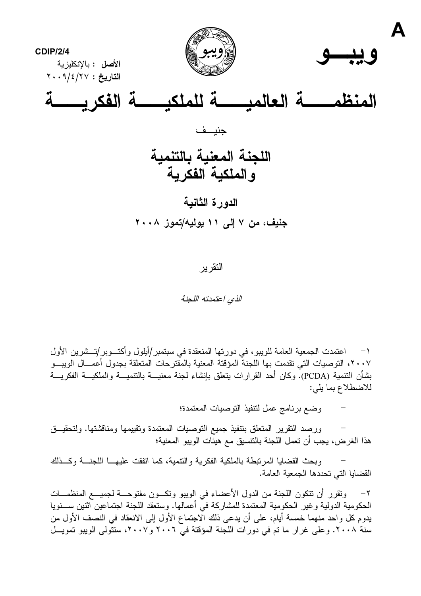

## النقر ير

الذي اعتمدته اللجنة

١– اعتمدت الجمعية العامة للويبو، في دورتها المنعقدة في سبتمبر /أيلول وأكتــوبر /تــشرين الأول ٢٠٠٧، التوصيات التي تقدمت بها اللجنة المؤقتة المعنية بالمقترحات المتعلقة بجدول أعمـــال الويبـــو بشأن النتمية (PCDA). وكان أحد القرارات يتعلق بإنشاء لجنة معنيــــة بالنتميــــة والملكيــــة الفكريــــة للاضطلاع بما يلي:

وضع برنامج عمل لتتفيذ التوصيات المعتمدة؛

ورصد النقرير المنعلق بتنفيذ جميع النوصيات المعتمدة ونقييمها ومناقشتها. ولتحقيــق هذا الغرض، يجب أن تعمل اللجنة بالتتسيق مع هيئات الويبو المعنية؛

وبحث القضايا المر تبطة بالملكية الفكرية والتنمية، كما اتفقت عليهـــا اللجنـــة وكـــذلك القضبايا التي تحددها الجمعية العامة.

٢– وتقرر أن تتكون اللجنة من الدول الأعضاء في الويبو وتكسون مفتوحسة لجميسع المنظمسات الحكومية الدولية وغير الحكومية المعتمدة للمشاركة في أعمالها. وستعقد اللجنة اجتماعين اثنين ســـنويا يدوم كل واحد منهما خمسة أيام، على أن يدعى ذلك الاجتماع الأول إلى الانعقاد في النصف الأول من سنة ٢٠٠٨. وعلى غرار ما تم في دورات اللجنة المؤقتة في ٢٠٠٦ و٢٠٠٧، ستتولى الويبو تمويسل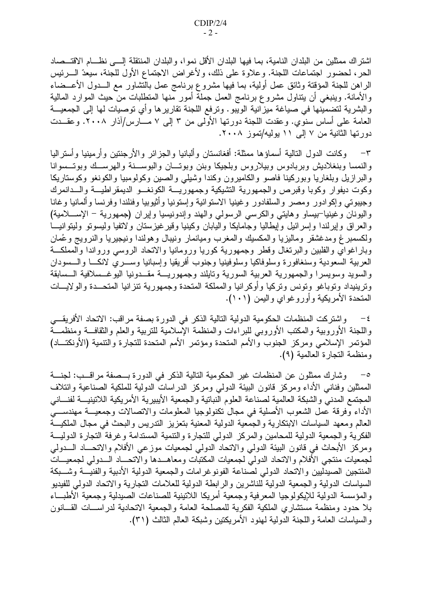اشتراك ممثلين من البلدان النامية، بما فيها البلدان الأقل نموا، والبلدان المنتقلة إلـــى نظـــام الاقتـــصـاد الحر، لحضور اجتماعات اللجنة. وعلاوة على ذلك، ولأغراض الاجتماع الأول للجنة، سيعدّ الــــرئيس الراهن للجنة المؤقتة وثائق عمل أولية، بما فيها مشروع برنامج عمل بالنشاور مع الـــدول الأعـــضاء والأمانة. وينبغي أن يتناول مشروع برنامج العمل جملة أمور منها المنطلبات من حيث الموارد المالية والبشرية لتضمينها في صياغة ميزانية الويبو. ونرفع اللجنة تقاريرها وأي نوصيات لها إلى الجمعيـــة العامة على أساس سنوي. وعقدت اللجنة دورتها الأولى من ٣ إلى ٧ مـــارس/أذار ٢٠٠٨. وعقــدت دورتها الثانية من ٧ إلى ١١ يوليه/تموز ٢٠٠٨.

وكانت الدول النالية أسماؤها ممثلة: أفغانستان وألبانيا والجزائر والأرجنتين وأرمينيا وأستراليا  $-\tau$ والنمسا وبنغلاديش وبربادوس وبيلاروس وبلجيكا وبنن وبوتسان والبوســنة والهرســك وبوتــسوانا والبرازيل وبلغاريا وبوركينا فاصو والكاميرون وكندا وشيلي والصين وكولومبيا والكونغو وكوستاريكا وكوت ديفوار وكوبا وقبرص والجمهورية التشيكية وجمهوريسة الكونغسو الديمقراطيسة والسدانمرك وجيبوتي وإكوادور ومصر والسلفادور وغينيا الاستوائية وإستونيا وأثيوبيا وفنلندا وفرنسا وألمانيا وغانا واليونان وغينيا-بيساو وهايتي والكرسى الرسولي والهند وإندونيسيا وإيران (جمهورية – الإســـلامية) والعراق وإيرلندا وإسرائيل وإيطاليا وجامايكا واليابان وكينيا وقيرغيزستان ولاتفيا وليسونو وليتوانيــا ولكسمبرغ ومدغشقر وماليزيا والمكسيك والمغرب وميانمار ونيبال وهولندا ونيجيريا والنرويج وغُمان وباراغواي والفلبين والبرنغال وقطر وجمهورية كوريا ورومانيا والاتحاد الروسي ورواندا والمملكة العربية السعودية وسنغافورة وسلوفاكيا وسلوفينيا وجنوب أفريقيا وإسبانيا وســـري لانكـــا والـــسودان والسويد وسويسرا والجمهورية العربية السورية وتايلند وجمهوريسة مقسدونيا اليوغسلافية السسابقة وترينيداد وتوباغو وتونس وتركيا وأوكرانيا والمملكة المتحدة وجمهورية تنزانيا المتحــدة والولايـــات المتحدة الأمريكية وأوروغواي واليمن (١٠١).

واشتركت المنظمات الحكومية الدولية التالية الذكر في الدورة بصفة مراقب: الاتحاد الأفريقــي  $-\xi$ واللجنة الأوروبية والمكتب الأوروبي للبراءات والمنظمة الإسلامية للتربية والعلم والثقافــة ومنظمـــة المؤتمر الإسلامي ومركز الجنوب والأمم المتحدة ومؤتمر الأمم المتحدة للتجارة والتتمية (الأونكتـــاد) ومنظمة التجارة العالمية (٩).

وشارك ممثلون عن المنظمات غير الحكومية النالية الذكر في الدورة بـــصفة مراقـــب: لجنــــة  $-\circ$ الممثلين وفنانبي الأداء ومركز قانون البيئة الدولمي ومركز الدراسات الدولية للملكية الصناعية وائتلاف المجتمع المدني والشبكة العالمية لصناعة العلوم النباتية والجمعية الأيبيرية الأمريكية اللاتينيـــة لفنــــاني الأداء وفرقة عمل الشعوب الأصلية في مجال نكنولوجيا المعلومات والانصالات وجمعيـــة مهندســــي العالم ومعهد السياسات الابتكارية والجمعية الدولية المعنية بتعزيز الندريس والبحث في مجال الملكيـــة الفكرية والجمعية الدولية للمحامين والمركز الدولمي للتجارة والتتمية المستدامة وغرفة التجارة الدوليـــة ومركز الأبحاث في قانون البيئة الدولي والاتحاد الدولي لجمعيات موزعي الأفلام والاتحـــاد الــــدولـي لجمعيات منتجى الأفلام والاتحاد الدولي لجمعيات المكتبات ومعاهــدها والاتحـــاد الـــدولي لجمعيـــات المنتجين الصبدليين والاتحاد الدولي لصناعة الفونوغرامات والجمعية الدولية الأدبية والفنيـــة وشـــبكة السياسات الدولية والجمعية الدولية للناشرين والرابطة الدولية للعلامات التجارية والاتحاد الدولمي للفيديو والمؤسسة الدولية للإيكولوجيا المعرفية وجمعية أمريكا اللاتينية للصناعات الصيدلية وجمعية الأطبـــاء بلا حدود ومنظمة مستشاري الملكية الفكرية للمصلحة العامة والجمعية الاتحادية لدراســات القـــانون والسياسات العامة واللجنة الدولية لمهنود الأمريكتين وشبكة العالم الثالث (٣١).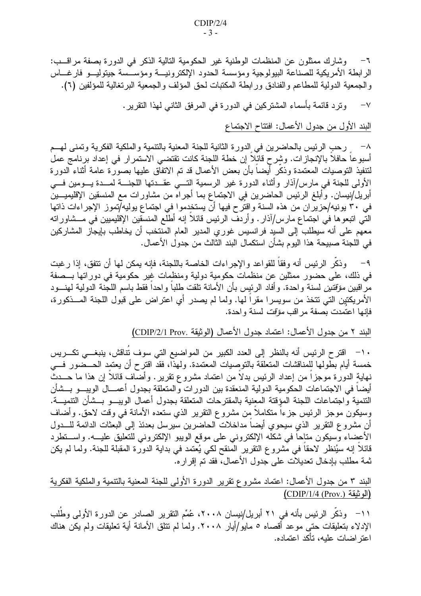وشارك ممثلون عن المنظمات الوطنية غير الحكومية التالية الذكر في الدورة بصفة مراقــب:  $-\mathbf{1}$ الرابطة الأمريكية للصناعة البيولوجية ومؤسسة الحدود الإلكترونيـــة ومؤســـسة جيتوليـــو فارغــــاس و الجمعية الدولية للمطاعم والفنادق ور ابطة المكتبات لحق المؤلف والجمعية البر تغالية للمؤلفين (٢).

> ونرد قائمة بأسماء المشتركين في الدورة في المرفق الثاني لهذا النقرير .  $-\vee$

> > البند الأول من جدول الأعمال: افتتاح الاجتماع

^− رحبِ الرئيس بالحاضرين في ٍالدورة الثانية للجنة المعنية بالنتمية والملكية الفكرية وتمنى لمهــم أسبو عا حافلا بالإنجاز ات. وشر ح قائلا إن خطة اللجنة كانت تقتضي الاستمر ار في إعداد برنامج عمل لنتفيذ النوصيات المعتمدة وذكَّر أَيضاً بأن بعض الأعمال قد نم الاتفاق عليها بصورة عامة أثناء الدورة الأولى للجنة في مارس/آذار وأثناء الدورة غير الرسمية التـــي عقـــدتها اللجنــــة لمـــدة يـــومين فـــي أبريل/نيسان. وأبلغ الرئيس الحاضرين في الاجتماع بما أجراه من مشاورات مع المنسقين الإقليميـــين في ٣٠ يونيه/حزيران من هذه السنة واقتُرَح فيها أنَّ يستخدموا في اجتماع يوليه/تموز الإجراءات ذاتها التي انتبعوها في اجتماع مارس/آذار . وأردف الرئيس قائلاً إنه أطلع المنسقين الإقليميين في مـــشاوراته معهم على أنه سيطلب إلى السيد فرانسيس غوري المدير العام المنتخب أن يخاطب بإيجاز المشاركين في اللجنة صبيحة هذا اليوم بشأن استكمال البند الثالث من جدول الأعمال.

وذكر الرئيس أنه وفقا للقواعد والإجراءات الخاصة باللجنة، فإنه بمكن لها أن نتفق، إذا ر غبت  $-9$ في ذلك، على حضور ممثلين عن منظمات حكومية دولية ومنظمات غير حكومية في دوراتها بـــصفة مرَّاقبين *مؤقتين* لسنة واحدة. وأفاد الرئيس بأن الأمانة تلقت طلباً واحداً فقط باسم اللجُّنة الدولية لـهنـــود الأمريكتين التي تتخذ من سويسر ا مقر اً لها. ولما لم يصدر ٍ أي اعتر اض على قبول اللجنة المـــذكور ة، فإنها اعتمدت بصفة مر اقب *مؤقت* لسنة واحدة.

البند ٢ من جدول الأعمال: اعتماد جدول الأعمال (الوثيقة .CDIP/2/1 Prov)

+ ا = اقتر ح الرئيس أنه بالنظر إلى العدد الكبير من المواضيع التي سوف تتاقش، ينبغـــي تكـــريس خمسة أيام بطولها للمناقشات المتعلقة بالنوصيات المعتمدة. ولهذا، فقد اقترح أن يعتمد الحــضور فـــي نهاية الدورة موجزاً من إعداد الرئيس بدلاً من اعتماد مشروع تقرير . وأضاف قائلاً إن هذا ما حـــدث أيضا في الاجتماعات الحكومية الدولية المنعقدة بين الدورات والمتعلقة بجدول أعمـــال الويبـــو بـــشأن النتمية واجتماعات اللجنة المؤقتة المعنية بالمقترحات المتعلقة بجدول أعمال الويبسو بسشأن التتميسة. وسبكون موجز الرئيس جزءاً منكاملاً من مشروع النقرير الذي ستعده الأمانة في وقت لاحق. وأضاف أن مشروع النقرير الذي سيحوى أيضاً مداخلات الحاضرين سيرسل بعدئذ إلى البعثات الدائمة للـــدول الأعضاء وسيكون متاحا في شكله الإلكتروني على موقع الويبو الإلكتروني للتعليق عليـــه. واســـتطرد قائلا إنه سيُنظر لاحقًا في مشروع النقرير المنقح لكي يُعتمد في بداية الدورة المقبلة للجنة. ولما لم يكن ثمة مطلب بإدخال تعديلات على جدول الأعمال، فقد تم إقرار ه.

البند ٣ من جدول الأعمال: اعتماد مشروع نقرير الدورة الأولى للجنة المعنية بالتنمية والملكية الفكرية (الو ثيقة (CDIP/1/4 (Prov.))

١١– وذكَّر الرئيس بأنه في ٢١ أبريل/نيسان ٢٠٠٨، عُمِّم النقرير الصادر عن الدورة الأولى وطَّلب الإدلاء بتعليقات حتى موعد أقصاه ٥ مايو/أيار ٢٠٠٨. ولما لم تتلق الأمانة أية تعليقات ولم يكن هناك اعتر اضات علبه، تأكد اعتماده.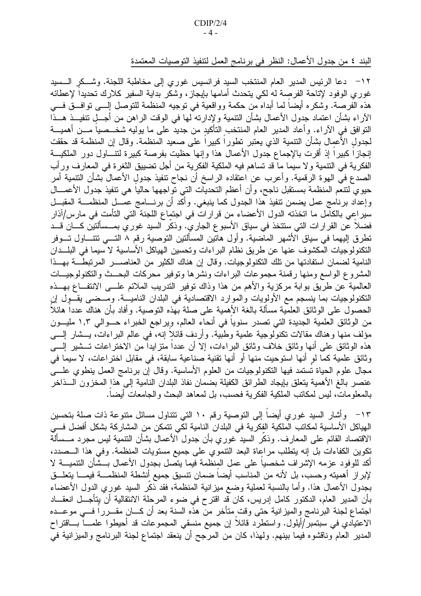البند ٤ من جدول الأعمال: النظر في برنامج العمل لتنفيذ التوصيات المعتمدة

١٢– دعا الرئيس المدير العام المنتخب السيد فرانسيس غوري إلى مخاطبة اللجنة. وشــكر الـــسيد غوري الوفود لإتاحة الفرصة له لكي يتحدث أمامها بإيجاز، وشكر بداية السفير كلارك تحديدا لإعطائه هذه الفرصة. وشكره أيضاً لما أبداه من حكمة وواقعية في نوجيه المنظمة للتوصل إلـــي نوافـــق فـــي الأراء بشأن اعتماد جدول الأعمال بشأن النتمية ولإدارته لمها في الوقت الراهن من أجـــلٍ نتفيـــذ هـــذا النوافق في الآراء. وأعاد المدير العام المنتخب التأكيد من جديد على ما يوليه شخـــصياً مـــن أهميـــة لجدول الأعمال بشأن النتمية الذي يعتبر نطوراً كبيراً على صعيد المنظمة. وقال إن المنظمة قد حققت إنجازًا كبيرًا إذ أقرت بالإجماع جدول الأعمال هذا وإنها حظيت بفرصة كبيرة لتتـــاول دور الملكيـــة الفكرية في التتمية و لا سيما ما قد تساهم فيه الملكية الفكرية من أجل تضييق الثغر ة في المعار ف ور أب الصدع في الهوة الرقمية. وأعرب عن اعتقاده الراسخ أن نجاح نتفيذ جدول الأعمال بشأن التنمية أمر حيوي لنتعُم المنظمة بمستقبل ناجح، وأن أعظم النحديات التي تواجهها حالياً هي نتفيذ جدول الأعمـــال وإعداد برنامج عمل يضمن نتفيذ هذا الجدول كما ينبغي. وأكد أن برنــــامج عصــل المنظمـــة المقبـــل سيراعي بالكامل ما اتخذته الدول الأعضاء من قرارات في اجتماع اللجنة التي التأمت في مارس/آذار فضلا عن القرارات التي سنتخذ في سياق الأسبوع الجاري. وذكر السيد غوري بمـــسألتين كــــان قـــد تطرق اليهما في سياق الأشهر الماضية. وأول هاتين المسألتين التوصية رقم ٨ التـــي تتتـــاول تـــوفر النكنولوجيات المكشوف عنها عن طريق نظام البراءات وتحسين الهياكل الأساسية لا سيما في البلـــدان النامية لضمان استفادتها من تلك التكنولوجيات. وقال إن هناك الكثير من العناصــــر المرتبطـــة بهـــذا المشروع الواسع ومنها رقمنة مجموعات البراءات ونشرها ونوفير محركات البحسث والنكنولوجيسات العالمية عن طريق بوابة مركزية والأهم من هذا وذاك توفير التدريب الملائم علـــي الانتفـــاع بـهـــذه النكنولوجيات بما ينسجم مع الأولويات والموارد الاقتصادية في البلدان الناميـــة. ومـــضـي يقـــول إن الحصول على الوثائق العلمية مسألة بالغة الأهمية على صلة بهذه التوصية. وأفاد بأن هناك عددا هائلاً من الوثائق العلمية الجديدة التي تصدر سنويا في أنحاء العالم، ويراجع الخبراء حـــوالي ١,٣ مليـــون مؤلف منها وهناك مقالات تكنولوجية علمية وطبية. وأردف قائلا إنه، في عالم البراءات، يـــشار إلــــي هذه الوثائق على أنها وثائق خلاف وثائق البراءات، إلا أن عددا متزايدا من الاختراعات تـــشير إلــــي وثائق علمية كما لو أنها استوحيت منها أو أنها نقنية صناعية سابقة، في مقابل اختراعات، لا سيما في مجال علوم الحياة تُستمد فيها النكنولوجيات من العلوم الأساسية. وقال إن برنامج العمل ينطوي علــــي عنصر بالغ الأهمية يتعلق بإيجاد الطرائق الكفيلة بضمان نفاذ البلدان النامية إلى هذا المخزون السذاخر بالمعلومات، ليس لمكاتب الملكية الفكرية فحسب، بل لمعاهد البحث والجامعات أيضاً.

١٣– وأشار السيد غوري أيضا إلى النوصية رقم ١٠ التي نتناول مسائل مننوعة ذات صلة بتحسين الهياكل الأساسية لمكاتب الملكية الفكرية في البلدان النامية لكي تتمكن من المشاركة بشكل أفضل فـــي الاقتصاد القائم على المعارف. وذكَّر السيد غوري بأن جدول الأعمال بشأن التنمية ليس مجرد مـــسألة تكوين الكفاءات بل إنه يتطلب مراعاة البعد النتموي على جميع مستويات المنظمة. وفي هذا الـــصدد، أكد للوفود عزمه الإشراف شخصيا على عمل المنظمة فيما يتصل بجدول الأعمال بـــشأن التتميـــة لا لإبراز أهميته وحسب، بل لأنه من المناسب أيضا ضمان نتسيق جميع أنشطة المنظمــــة فيمــــا يتعلــــق بجدول الأعمال هذا. وأما بالنسبة لعملية وضع ميزانية المنظمة، فقد ذكر السيد غوري الدول الأعضاء بأن المدير العام، الدكتور كامل إدريس، كان قد اقترح في ضوء المرحلة الانتقالية أن يِتأجـــل انعقـــاد اجتماع لجنة البرنامج والميزانية حتى وقت متأخر من هذه السنة بعد أن كـــان مقـــررا فــــي موعـــده الاعتيادي في سبتمبر/أيلول. واستطرد قائلا إن جميع منسقى المجموعات قد أحيطوا علمــــا بــــاقتراح المدير العام وناقشوه فيما بينهم. ولـهذا، كان من المرجح أن ينعقد اجتماع لـجنة البرنامج والميزانية فـي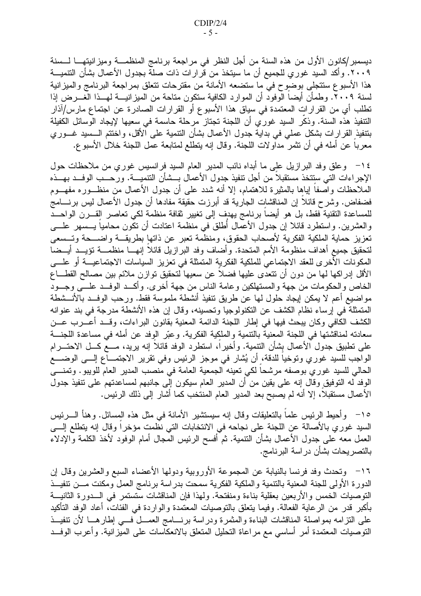ديسمبر/كانون الأول من هذه السنة من أجل النظر في مراجعة برنامج المنظمـــة وميزانيتهـــا لـــسنة ٢٠٠٩. وأكد السيد غوري للجميع أن ما سيتخذ من قرارات ذات صلة بجدول الأعمال بشأن التنميـــة هذا الأسبوع ستتجلَّى بوضوح في ما ستضعه الأمانة من مقترحات تتعلَّق بمراجعة البرنامج والميزانية لسنة ٢٠٠٩. وطمأنَ أيضاً الوفود أن الموارد الكافية ستكون متاحة من المبزانيـــة لمهــذا الغـــرض إذا تطلب أي من القرارات المعتمدة في سياق هذا الأسبوع أو القرارات الصـادرة عن اجتماع مارس/آذار النتفيذ هذه السنة. وذكَّر السيد غوري أن اللجنة تجتاز مرحلة حاسمة في سعيها لإيجاد الوسائل الكفيلة بتنفيذ القرارات بشكل عملـى فـى بدايـة جدول الأعمال بشأن النتمية علـى الأقل، واختتم الـــسيد غـــوري معربا عن أمله في أن نثمر مداولات اللجنة. وقال إنه يتطلع لمتابعة عمل اللجنة خلال الأسبو ع.

١٤ - وعلق وفد البر ازيل على ما أبداه نائب المدير العام السيد فرانسيس غوري من ملاحظات حول الإجراءات التي ستتخذ مستقبلاً من أجل تنفيذ جدول الأعمال بـــشأن التتميـــة. ورحـــب الوفــد بهـــذه الملاحظات واصفًا لِباها بالمثيرة للاهتمام، إلا أنه شدد على أن جدول الأعمال من منظـــوره مفهـــوم فضفاض. وشرح قائلاً إن المناقشات الجارية قد أبرزت حقيقة مفادها أن جدول الأعمال ليس برنــــامج للمساعدة التقنية فقط، بل هو أيضاً برنامج يهدف إلى تغيير ثقافة منظمة لكي تعاصر القـــرن الواحـــد والعشرين. واستطرد قائلا إن جدول الأعمال أطلق في منظمة اعتادت أن نكون محاميا يـــسهر علــــي تعزيز حماية الملكية الفكرية لأصحاب الحقوق، ومنظمة تعبر عن ذاتها بطريقــة واضـــحة وتـــسعى لتحقيق جميع أهداف منظومة الأمم المتحدة. وأضاف وفد البرازيل قائلا إنهـــا منظمـــة تؤيـــد أيـــضا المكونات الأخرى للعقد الاجتماعي للملكية الفكرية المتمثلة في تعزيز السياسات الاجتماعيــــة أو علــــي الأقل إدراكها لها من دون أن تتعدى عليها فضلا عن سعيها لتحقيق توازن ملائم بين مصالح القطـــاع الخاص والحكومات من جهة والمستهلكين وعامة الناس من جهة أخرى. وأكــد الوفــد علـــي وجـــود مو اضبع أعم لا يمكن ايجاد حلول لها عن طريق نتفيذ أنشطة ملموسة فقط. ورحب الوفــد بالأنـــشطة المتمثَّلة في إرساء نظام الكشف عن التكنولوجيا وتحسينه، وقال إن هذه الأنشطة مدرجة في بند عنوانه الكشف الكافي وكان يبحث فيها في إطار اللجنة الدائمة المعنية بقانون البراءات، وقــد أعـــرب عـــن سعادته لمناقشتها في اللجنة المعنية بالنتمية والملكية الفكرية. وعبَّر الوفد عن أمله في مساعدة اللجنـــة على نطبيق جدول الأعمال بشأن النتمية. وأخيرًا، استطرد الوفد قائلًا إنه يريد، مـــع كـــل الاحتـــرام الواجب للسيد غوري وتوخيا للدقة، أن يُشار في موجز الرئيس وفي نقرير الاجتمـــاع إلــــي الوضـــــع الحالي للسيد غوري بوصفه مرشحا لكي تعينه الجمعية العامة في منصب المدير العام للويبو. وتمنسي الوفد له التوفيق وقال إنه على يقين من أن المدير العام سيكون إلى جانبهم لمساعدتهم على نتفيذ جدول الأعمال مستقبلاً، إلا أنه لم يصبح بعد المدير العام المنتخب كما أشار إلى ذلك الرئيس.

١٥– وأحيط الرئيس علماً بالتعليقات وقال إنه سيستشير الأمانة في مثل هذه المِسائل. وهنأ الــــرئيس السيد غوري بالأصالة عن اللجنة على نجاحه في الانتخابات التي نظمت مؤخرا وقال إنه يتطلع إلـــي العمل معه على جدول الأعمال بشأن التنمية. ثمَّ أفسح الرئيس المُحال أمام الوفود لأخذ الكلمة والإدلاء بالتصريحات بشأن در اسة البرنامج.

١٦– وتحدث وفد فرنسا بالنيابة عن المجموعة الأوروبية ودولها الأعضاء السبع والعشرين وقال إن الدورة الأولى للجنة المعنية بالتنمية والملكية الفكرية سمحت بدراسة برنامج العمل ومكنت مـــن تنفيـــذ التوصيات الخمس والأربعين بعقلية بناءة ومنفتحة. ولهذا فإن المناقشات ستستمر في الـــدورة الثانيـــة بأكبر قدر من الرعاية الفعالة. وفيما يتعلق بالتوصيات المعتمدة والواردة في الفئات، أعاد الوفد التأكيد على النز امه بمواصلة المناقشات البناءة والمثمرة ودراسة برنسامج العمـــل فـــي إطارهــــا لأن نتفيـــذ التوصيات المعتمدة أمر أساسي مع مراعاة التحليل المتعلق بالانعكاسات على الميزانية. وأعرب الوفــد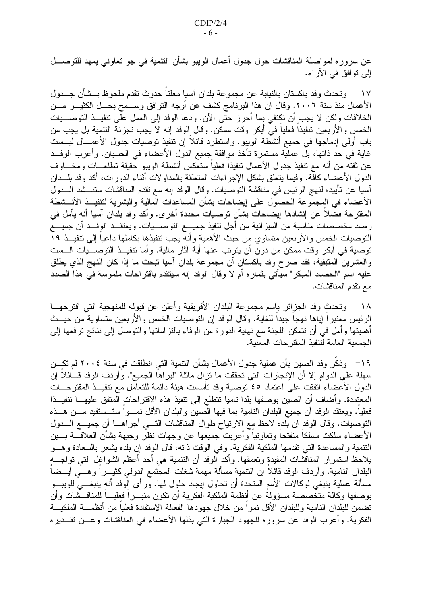عن سروره لمواصلة المناقشات حول جدول أعمال الويبو بشأن النتمية في جو تعاوني يمهد للنوصــــل إلىي توافق في الآراء.

١٧– وتحدث وفد باكستان بالنيابة عن مجموعة بلدان آسيا معلناً حدوث نقدم ملحوظ بـــشأن جـــدول الأعمال منذ سنة ٢٠٠٦. وقال إن هذا البرنامج كشف عن أوجه التوافق وســمح بحــل الكثيــر مـــن الخلافات ولكن لا يجب أن نكتفي بما أحرز حتى الآن. ودعا الوفد إلى العمل على نتفيــذ النوصـــيات الخمس والأربعين نتفيذاً فعلياً في أبكر وقت ممكن. وقال الوفد إنه لا يجب تجزئة التتمية بل يجب من باب أولى إدماجها في جميع أنشَّطة الويبو. واستطرد قائلاً إن نتفيذ نوصيات جدول الأعمـــال ليـــست غاية في حد ذاتها، بل عملية مستمرة تأخذ موافقة جميع الدول الأعضاء في الحسبان. وأعرب الوفــد عن ثقته من أنه مع تنفيذ جدول الأعمال تنفيذا فعليا ستعكس أنشطة الوبيو حقيقة تطلعــات ومخـــاوف الدول الأعضاء كافة. وفيما يتعلق بشكل الإجراءات المتعلقة بالمداولات أثناء الدورات، أكد وفد بلـــدان آسيا عن تأييده لنهج الرئيس في مناقشة التوصيات. وقال الوفد إنه مع تقدم المناقشات ستنـــشد الــــدول الأعضاء في المجموعة الحصول على إيضاحات بشأن المساعدات المالية والبشرية لتنفيــذ الأنـــشطة المقترحة فضلاً عن إنشادها إيضاحات بشأن توصيات محددة أخرى. وأكد وفد بلدان آسيا أنه يأمل في رصد مخصصات مناسبة من الميزانية من أجل نتفيذ جميـــع التوصــــيات. ويعتقـــد الوِفــد أن جميـــع التوصيات الخمس والأربعين متساوى من حيث الأهمية وأنه يجب تنفيذها بكاملها داعياً إلى تنفيــذ ١٩ توصية في أبكر وقت ممكن من دون أن يترتب عنها أية آثار مالية. وأما تتفيــذ التوصـــيات الـــست والعشرين المتبقية، فقد صرح وفد باكستان أن مجموعة بلدان آسيا تبحث ما إذا كان النهج الذي يطلق عليه اسم "الحصاد المبكر " سيأتي بثمار ه أم لا وقال الوفد إنه سيتقدم باقتر احات ملموسة في هذا الصدد مع تقدم المناقشات.

١٨− وتحدث وفد الجزائر باسم مجموعة البلدان الأفريقية وأعلن عن قبوله للمنهجية التي اقترحهـــا الرئيس معتبرًا إياها نهجا جيدًا للغاية. وقال الوفد إن التوصيات الخمس والأربعين متساوية من حيــث أهميتها وأمل في أن نتمكن اللجنة مع نهاية الدورة من الوفاء بالنز اماتها والنوصل إلى نتائج نرفعها إلى الجمعية العامة لتنفيذ المقتر حات المعنية.

١٩– وذكَّر وفد الصين بأن عملية جدول الأعمال بشأن النتمية التي انطلقت في سنة ٢٠٠٤ لم تكـِــن سهلة على الدوام إلا أن الإنجازات التي تحققت ما نزال ماثلة "ليراها الجميع". وأردف الوفد قـــائلا إن الدول الأعضاء اتفقت على اعتماد ٤٥ نوصية وقد تأسست هيئة دائمة للتعامل مع تنفيــذ المقترحـــات المعتمدة. وأضاف أن الصين بوصفها بلدا ناميا نتطلع إلى نتفيذ هذه الاقتراحات المتفق عليهــــا نتفيـــذا فعليا. ويعتقد الوفد أن جميع البلدان النامية بما فيها الصين والبلدان الأقل نمـــوا ستـــستفيد مـــن هـــذه التوصيات. وقال الوفدِ إن بلدهِ لاحظ مِع الارتياح طوال المناقشات التـــي أجراهــــا أن جميـــع الــــدول الأعضاء سلكت مسلكا منفتحا ونعاونيا وأعربت جميعها عن وجهات نظر وجيهة بشأن العلاقـــة بـــين النتمية والمساعدة التي نقدمها الملكية الفكرية. وفي الوقت ذاته، قال الوفد إن بلده يشعر بالسعادة وهـــو يلاحظ استمر ار المناقشات المفيدة وتعمقها. وأكد الوفد أن النتمية هي أحد أعظم الشواغل التبي تواجـــه البلدان النامية. وأردف الوفد قائلاً إن النتمية مسألة مهمة شغلت المجتمع الدولي كثيـــراً وهـــي أيـــضا مسألة عملية ينبغي لوكالات الأمم المتحدة أن تحاول إيجاد حلول لها. ور أي الوفد أنه ينبغـــي للويبـــو بوصفها وكالة متخصصة مسؤولة عن أنظمة الملكية الفكرية أن تكون منبـــراً فعليـــاً للمناقـــشات وأن تضمن للبلدان النامية وللبلدان الأقل نموا من خلال جهودها الفعالة الاستفادة فعليا من أنظمــــة الملكيــــة الفكرية. وأعرب الوفد عن سروره للجهود الجبارة التي بذلها الأعضاء في المناقشات وعـــن تقـــديره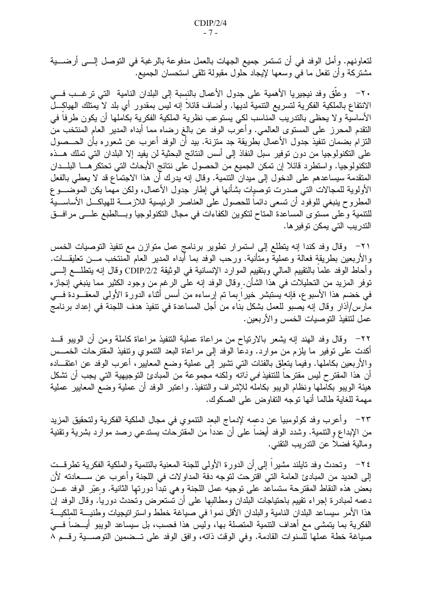لتعاونهم. وأمل الوفد في أن تستمر جميع الجهات بالعمل مدفوعة بالرغبة في التوصل إلـــي أرضــــية مشتركة وأن نفعل ما في وسعها لإيجاد حلول مقبولة نلقى استحسان الجميع.

٢٠ - وعلَّق وفد نيجيريا الأهمية على جدول الأعمال بالنسبة إلى البلدان النامية التي ترغــب فـــي الانتفاع بالملكية الفكرية لتسريع التتمية لديها. وأضاف قائلاً إنه ليس بمقدور أي بلد لا يمتلك الهياكـــل الأساسية ولا يحظى بالتدريب المناسب لكي يستوعب نظرية الملكية الفكرية بكاملها أن يكون طرفا في النقدم المحرز على المستوى العالمي. وأعرَّب الوفد عن بالغ رضاه مما أبداه المدير العام المنتخب من النزام بضمان نتفيذ جدول الأعمال بطريقة جد منزنة. بيد أن الوفد أعرب عن شعوره بأن الحـــصول على التكنولوجيا من دون توفير سبل النفاذ إلى أسس النتائج البحثية لن يفيد إلا البلدان التي تملك هـــذه النكنولوجيا. واستطرد قائلا إن تمكن الجميع من الحصول على نتائج الأبحاث التي تحتكر هـــا البلـــدان المتقدمة سيساعدهم على الدخول إلى ميدان النتمية. وقال إنه يدرك أن هذا الاجتماع قد لا يعطي بالفعل الأولوية للمجالات التي صدرت توصيات بشأنها في إطار جدول الأعمال، ولكن مهما يكن الموضـــو ع المطروح ينبغي للوفود أن تسعى دائما للحصول على العناصر الرئيسية اللازمـــة للهياكـــل الأساســـية للنتمية وعلى مستوى المساعدة المتاح لتكوين الكفاءات في مجال النكنولوجيا وبسالطبع علسى مرافسق التدريب التي يمكن توفير ها.

٢١– وقال وفد كندا إنه يتطلع إلى استمرار نطوير برنامج عمل متوازن مع نتفيذ التوصيات الخمس والأربعين بطريقة فعالة وعملية ومتأنية. ورحب الوفد بما أبداه المدير العام المنتخب مـــن تعليقـــات. وأحاط الوفد علماً بالتقييم المالي وبتقييم الموارد الإنسانية في الوثيقة CDIP/2/2 وقال إنه يتطلـــع إلــــي توفر المزيد من التحليلات في هذا الشأن. وقال الوفد إنه على الرغم من وجود الكثير مما ينبغي إنجازه في خضم هذا الأسبوع، فإنه يستبشر خيرًا بما تم إرساءه من أسس أنثاء الدورة الأولى المعقـــودة فــــي مارس/آذار وقال إنه يصبو للعمل بشكل بناء من أجل المساعدة في تنفيذ هدف اللجنة في إعداد برنامج عمل لنتفيذ التوصيات الخمس والأربعين.

٢٢– وقال وفد الـهند إنـه يشعر بـالارتياح من مراعاة عملية النتفيذ مراعاة كـاملـة ومن أن الويبو قـــد أكدت على توفير ما يلزم من موارد. ودعا الوفد إلى مراعاة البعد النتموي ونتفيذ المقترحات الخمــس والأربعين بكاملها. وفيما يتعلق بالفئات النبي تشير إلى عملية وضع المعايير، أعرب الوفد عن اعتقـــاده أن هذا المقترح ليس مقترحا للتتفيذ *في ذاته* ولكنه مجموعة من المبادئ التوجيهية التي يجب أن تشكل هيئة الويبو بكاملها ونظام الويبو بكامله للإشراف والتنفيذ. واعتبر الوفد أن عملية وضع المعايير عملية مهمة للغاية طالما أنها نوجه النفاوض على الصكوك.

٢٣– وأعرب وفد كولومبيا عن دعمه لإدماج البعد النتموي في مجال الملكية الفكرية ولتحقيق المزيد من الإبداع والنتمية. وشدد الوفد أيضا على أن عددا من المقترحات يستدعى رصد موارد بشرية وتقنية ومالية فضلا عن الندريب النقني.

٢٤− وتحدث وفد نايلند مشيراً إلىي أن الدورة الأولى للجنة المعنية بالتنمية والملكية الفكرية نطرقــت إلى العديد من المبادئ العامة التي اقترحت لتوجه دفة المداولات في اللجنة وأعرب عن ســـعادته لأن بعض هذه النقاط المقترحة ستساعد على نوجيه عمل اللجنة وهي تبدأ دورتها الثانية. وعبّر الوفد عـــن دعمه لمبادرة إجراء تقييم باحتياجات البلدان ومطالبها علىي أن تُستعرض وتُحدث دورياً. وقال الوفد إن هذا الأمر سيساعد البلدان النامية والبلدان الأقل نمواً في صياغة خطط واستراتيجيات وطنيـــة للملكيـــة الفكرية بما يتمشى مع أهداف النتمية المتصلة بها، وليس هذا فحسب، بل سيساعد الويبو أيـــضا فـــي صياغة خطة عملها للسنوات القادمة. وفي الوقت ذاته، وافق الوفد على تــضمين التوصــــية رقـــم ٨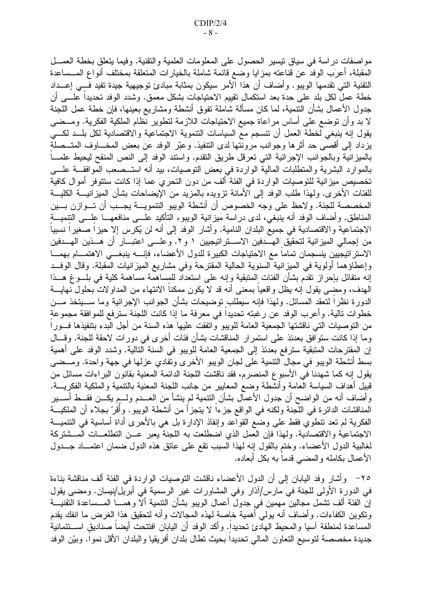مواصفات در اسة في سياق نيسير الحصول على المعلومات العلمية والنقنية. وفيما يتعلق بخطة العمـــل المقبلة، أعرب الوفد عن قناعته بمزايا وضع قائمة شاملة بالخيارات المتعلقة بمختلف أنواع المـــساعدة النقنية التـى نقدمها الويبو. وأضـاف أن هذا الأمر سيكون بمثابة مبادئ توجيهية جيدة نفيد فَــِـي إعـــداد خطة عمل لكل بلد على حدة بعد استكمال تقييم الاحتياجات بشكل معمق. وشدد الوفد تحديدا علــــي أن جدول الأعمال بشأن التنمية، لما كان مسألة شاملة نفوق أنشطة ومشاريع بعينها، فإن خطة عمل اللجنة لا بد وأن نوضع على أساس مراعاة جميع الاحتياجات اللازمة لتطوير نظام الملكية الفكرية. ومــضيي يقول إنه ينبغي لخطة العمل أن نتسجم مع السياسات النتموية الاجتماعية والاقتصادية لكل بلـــد لكـــي يزداد إلى أقصبي حد أثر ها وجوانب مرونتها لدى التنفيذ. وعبَّر الوفد عن بعض المخـــاوف المتـــصلة بالميزانية وبالجوانب الإجرائية التي تعرقل طريق التقدم. واستند الوفد إلى النص المنقح ليحيط علمــا بالموارد البشرية والمنطلبات المالية الواردة في بعض التوصيات، بيد أنه استــصعب المّوافقـــة علــــى تخصيص ميزانية للتوصيات الواردة في الفئة ألف من دون التحري عما إذا كانت ستتوفر أموال كافية للفئات الأخرى. ولهذا طلب الوفد إلى الأمانة نزويده بالمزيد من الإيضاحات بشأن المبزانيـــة الكليـــة المخصصة للجنة. ولاحظ على وجه الخصوص أن أنشطة الويبو التنمويـــة يجـــب أن تـــوازن بـــين المناطق. وأضاف الوفد أنه ينبغي، لدى دراسة ميزانية الويبو، النأكيد علـــي منافعهـــا علـــي التنميـــة الاجتماعية والاقتصادية في جميع البلدان النامية. وأشار الوفد إلى أنه لن يُكرس إلا حيزاً صغيراً نسبياً من إجمالي الميزانية لتحقيق ٍالهـدفين الاســـتراتيجيين ١ و٢. وعلـــي اعتبـــار أن هـــذين الهـــدفين الاستر اتيجيين ينسجمان تماما مع الاحتياجات الكبيرة للدول الأعضاء، فإنسه ينبغـــي الاهتمــــام بـهمــــا وإعطاؤهما أولوية في الميزانية السنوية الحالية المقترحة وفي مشاريع الميزانيات المقبلة. وقال الوفــد إنه متفائل بإحراز نقدم بشأن الفئات المتبقية وإنه على استعداد للمساهمة مساهمة كلية في بلـــوغ هـــذا الهدف، ومضـى يقول إنه يظل واقعياً بمعنـى أنه قد لا يكون ممكناً الانتهاء من المداولات بحلول نهايــــة الدورة نظرًا لنعقد المسائل. ولهذا فإنه سيطلب نوضيحات بشأن الجوانب الإجرائية وما ســـيتخذ مـــن خطوات تالية. وأعرب الوفد عن رغبته تحديدا في معرفة ما إذا كانت اللجنة سترفع للموافقة مجموعة من النوصيات التي ناقشتها الجمعية العامة للويبو واتفقت عليها هذه السنة من أجل البدء بتنفيذها فـــوراً وما إذا كانت سنوافق بعدئذ على استمرار المناقشات بشأن فئات أخرى في دورات لاحقة للجنة. وقـــال إن المقترحات المتبقية سترفع بعدئذ إلى الجمعية العامة للويبو في السنة التالية. وشدد الوفد على أهمية بسط أنشطة الويبو في مجال النتمية على لجان الويبو الأخرى ونفادي عزلها في جهة واحدة. ومــضي يقول إنه كما شهدنا في الأسبو ع المنصر م، فقد ناقشت اللجنة الدائمة المعنية بقانون البر اءات مسائل من قبيل أهداف السياسة العامة وأنشَّطة وضع المعايير من جانب اللجنة المعنية بالتنمية والملكية الفكريــــة. وأضاف أنه من الواضح أن جدول الأعمال بشأن النتمية لم ينشأ من العـــدم ولـــم يكـــن فقـــط أســـير المناقشات الدائر ة في اللجنة ولكنه في الواقع جزءا لا يتجزأ من أنشطة الويبو . وأقرّ بجلاء أن الملكيـــة الفكرية لم تعد نتطوي فقط على وضع القواعد وإنفاذ الإدارة بل هي بالأحرى أداة أساسية في التنميـــة الاجتماعية والاقتصادية. ولهذا فإن العمل الذي اضطلعت به اللجنة يعبر عــن التطلعـــات المـــشتركة لغالبية الدول الأعضاء. وختم بالقول إنه لهذا السبب نقع على عانق هذه الدول ضمان اعتمـــاد جـــدول الأعمال بكامله والمضي قدماً به بكل أبعاده.

٢٥– وأشار وفد اليابان إلى أن الدول الأعضاء ناقشت النوصيات الواردة في الفئة ألف مناقشة بناءة في الدورة الأولى للجنة في مارس/أذار وفي المشاورات غير الرسمية في أبريل/نيسان. ومضـي يقول إن الفئة ألف نشمل مجالين مهمين في جدول أعمال الويبو بشأن الننمية ألاً وهمـــا المـــساعدة النقنيـــة ونكوين الكفاءات. وأضاف أنه يولى أهمية خاصة لهذه المجالات وأنه لتحقيق هذا الغرض ما انفك يقدم المساعدة لمنطقة آسيا والمحيط الهادئ تحديدا. وأكد الوفد أن اليابان افتتحت أيضا صناديق اســـتئمانية جديدة مخصصة لتوسيع النعاون المالي تحديدا بحيث نطال بلدان أفريقيا والبلدان الأقل نموا. وبيّن الوفد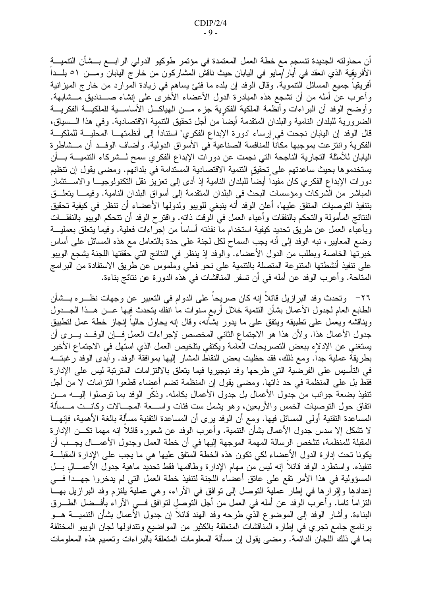أن محاولته الجديدة نتسجم مع خطة العمل المعتمدة في مؤتمر طوكيو الدولي الرابـــع بـــشأن التتميـــة الأفريقية الذي انعقد في أيار/مايو في اليابان حيث ناقش المشاركون من خارج اليابان ومـــن ٥١ بلـــدا أفريقيا جميع المسائل التتموية. وقال الوفد إن بلده ما فتيٍّ يساهم في زيادة الموارد من خارج الميزانية وأعرب عن أمله من أن نشجع هذه المبادرة الدول الأعضاء الأخرى على إنشاء صـــناديق مـــشابهة. وأوضح الوفد أن البراءات وأنظمة الملكية الفكرية جزء مـــن الهياكـــل الأساســـية للملكيـــة الفكريــــة الضرورية للبلدان النامية والبلدان المتقدمة أيضاً من أجل تحقيق النتمية الاقتصادية. وفي هذا الــسياق، قال الوفد إن اليابان نجحت في إرساء "دورة الإبداع الفكري" استناداً إلى أنظمتهـــا المحليـــة للملكيـــة الفكرية وانتزعت بموجبها مكانا للمنافسة الصناعية في الأسواق الدولية. وأضاف الوفــد أن مـــشاطرة اليابان للأمثلة التجارية الناجحة التي نجمت عن دورات الإبداع الفكري سمح لـــشركاء التنميــــة بـــأن يستخدموها بحيث ساعدتهم على تحقيق التتمية الاقتصادية المستدامة في بلدانهم. ومضىي يقول إن تتظيم دورات الإبداع الفكري كان مفيدا أيضا للبلدان النامية إذ أدى إلى تعزيز نقل التكنولوجيـــا والاســــتثمار المباشر من الشركات ومؤسسات البحث في البلدان المتقدمة إلى أسواق البلدان النامية. وفيمـــا يتعلـــق بتنفيذ التوصيات المتفق عليها، أعلن الوفد أنه ينبغي للويبو ولدولها الأعضاء أن تنظر في كيفية تحقيق النتائج المأمولة والتحكم بالنفقات وأعباء العمل في الوقت ذاته. واقتر ح الوفد أن نتحكم الويبو بالنفقـــات وبأعباء العمل عن طريق تحديد كيفية استخدام ما نفذته أساسا من اِجر اءات فعلية. وفيما يتعلق بعمليـــة وضع المعايير ، نبه الوفد إلى أنه يجب السماح لكل لجنة على حدة بالتعامل مع هذه المسائل على أساس خبرتها الخاصة وبطلب من الدول الأعضاء. والوفد إذ ينظر في النتائج التي حققتها اللجنة يشجع الويبو على نتفيذ أنشطتها المنتوعة المتصلة بالنتمية على نحو فعلي وملموس عن طريق الاستفادة من البرامج المتاحة. وأعرب الوفد عن أمله في أن تسفر المناقشات في هذه الدورة عن نتائج بناءة.

٢٦– وتحدث وفد البر ازيل قائلا إنه كان صريحا على الدوام في التعبير عن وجهات نظـــره بـــشأن الطابع العام لجدول الأعمال بشأن النتمية خلال أربع سنوات ما انفك يتحدث فيها عـــن هـــذا الجـــدول ويناقشه ويعمل على نطبيقه ويتفق على ما يدور بشأنه، وقال إنه يحاول حاليا إنجاز خطة عمل لنطبيق جدول الأعمال هذا. ولأن هذا هو الاجتماع الثانبي المخصص لإجراءات العمل فـــإن الوفـــد يــــرى أن يستغني عن الإدلاء ببعض التصريحات العامة ويكتفي بتلخيص العمل الذي استهل في الاجتماع الأخير بطريقة عملية جدًا. ومع ذلك، فقد حظيت بعض النقاط المشار إليها بموافقة الوفد. وأبدى الوفد رغبتـــه في التأسيس على الفرضية التي طرحها وفد نيجيريا فيما يتعلق بالالتزامات المترتبة ليس على الإدارة فقط بل على المنظمة في حد ذاتها. ومضـي يقول إن المنظمة تضم أعضـاء قطعوا النّزامات لا من أجل نتفيذ بضعة جوانب من جدول الأعمال بل جدول الأعمال بكامله. وذكر الوفد بما نوصلوا إليــــه مـــن اتفاق حول النوصيات الخمس والأربعين، وهو يشمل ست فئات واســـعة المجـــالات وكانـــت مـــسألة المساعدة النقنية أولى المسائل فيها. ومع أن الوفد يرى أن المساعدة النقنية مسألة بالغة الأهمية، فإنهــا لا نشكل إلا سدس جدول الأعمال بشأن التنمية. وأعرب الوفد عن شعوره قائلا إنه مهما نكـــن الإدارة المقبلة للمنظمة، تتلخص الرسالة المهمة الموجهة إليها في أن خطة العمل وجدول الأعمـــال يجـــب أن يكونا تحت إدارة الدول الأعضاء لكي تكون هذه الخطة المتفق عليها هي ما يجب على الإدارة المقبلـــة تنفيذه. واستطرد الوفد قائلا إنه ليس من مهام الإدارة وطاقمها فقط تحديد ماهية جدول الأعمـــال بـــل المسؤولية في هذا الأمر نقع على عاتق أعضاء اللجنة لنتفيذ خطة العمل التي لم يدخروا جهــدا فـــي إعدادها وإقرارِها في إطار عملية النوصل إلى نوافق في الأراء، وهي عملية يلتزم وفد البرازيل بهــَا النَّز اما ناما. وأعرب الوفد عن أمله في العمل من أجل النوصل لنوافق فـــي الأراء بأفـــضل الطــــرق البناءة. وأشار الوفد إلى الموضوع الذي طرحه وفد الهند قائلا إن جدول الأعمال بشأن التتميــــة هــــو برنامج جامع نجري في إطاره المناقشات المتعلقة بالكثير من المواضيع ونتداولها لجان الويبو المختلفة بما في ذلك اللجان الدائمة. ومضبي يقول إن مسألة المعلومات المتعلقة بالبر اءات وتعميم هذه المعلومات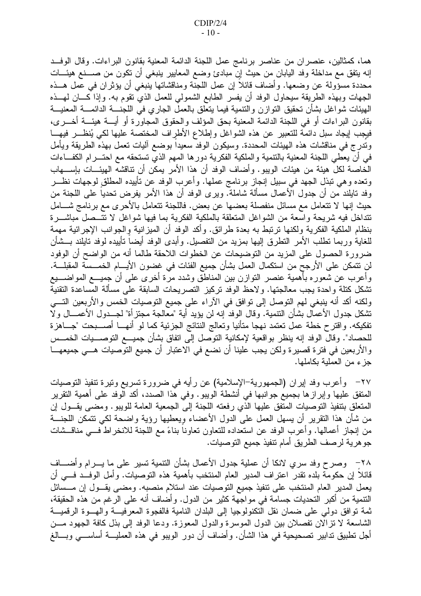هما، كمثالين، عنصران من عناصر برنامج عمل اللجنة الدائمة المعنية بقانون البراءات. وقال الوفــد إنه يتفق مع مداخلة وفد اليابان من حيث إن مبادئ وضع المعايير ينبغي أن نكون من صــــنع هيئــــات محددة مسؤولة عن وضعها. وأضاف قائلا إن عمل اللجنة ومناقشاتها ينبغي أن يؤثران في عمل هــذه الجهات وبهذه الطريقة سيحاول الوفد أن يفسر الطابع الشمولي للعمل الذي نقوم به. وإذا كـــان لمهـــذه المهيئات شواغل بشأن تحقيق النوازن والنتمية فيما يتعلق بالعمل الجاري في اللجنــــة الدائمــــة المعنيــــة بقانون البر اءات أو في اللجنة الدائمة المعنية بحق المؤلف والحقوق المجاورة أو أيسة هيئسة أخسر ي، فيجب ليجاد سبل دائمة للتعبير عن هذه الشواغل وإطلاع الأطراف المختصة عليها لكي يُنظـــر فيهـــا وندرج في مناقشات هذه الهيئات المحددة. وسيكون الوفد سعيدا بوضع أليات نعمل بهذه الطريقة ويأمل في أن يعطي اللجنة المعنية بالنتمية والملكية الفكرية دورها المهم الذي تستحقه مع احتـــرام الكفـــاءات الخاصة لكل هيئة من هيئات الويبو. وأضاف الوفد أن هذا الأمر يمكن أن تناقشه الهيئـــات بإســــهاب ونعده وهي نبذل الجهد في سبيل إنجاز برنامج عملها. وأعرب الوفد عن نأييده المطلق لوجهات نظـــر وفد تايلند من أن جدول الأعمال مسألة شاملة. ويرى الوفد أن هذا الأمر يفرض تحدياً على اللجنة من حيث إنها لا نتعامل مع مسائل منفصلة بعضها عن بعض. فاللجنة نتعامل بالأحرى مع برنامج شــــامل نتداخل فيه شريحة واسعة من الشواغل المتعلقة بالملكية الفكرية بما فيها شواغل لا تتسصل مباشـــرة بنظام الملكية الفكرية ولكنها ترتبط به بعدة طرائق. وأكد الوفد أن المبز انية والجوانب الإجرائية مهمة للغاية وربما نطلب الأمر النطرق إليها بمزيد من النفصيل. وأبدى الوفد أيضاً نأييده لوفد نايلند بـــشأن ضرورة الحصول على المزيد من التوضيحات عن الخطوات اللاحقة طالما أنه من الواضح أن الوفود لن نتمكن على الأرجح من استكمال العمل بشأن جميع الفئات في غضون الأيــــام الخمـــسة المقبلـــة. وأعرب عن شعوره بأهمية عنصر النوازن بين المناطق وشدد مرة أخرى علىي أن جميــــع المواضــــيع تشكل كتلة واحدة يجب معالجتها. و لاحظ الوفد تركيز التصر يحات السابقة على مسألة المساعدة التقنية ولكنه أكد أنه ينبغي لهم التوصل إلى توافق في الأراء على جميع التوصيات الخمس والأربعين التسي نشكل جدول الأعمال بشأن النتمية. وقال الوفد إنه لن يؤيد أية "معالجة مجتزأة" لجـــدول الأعمـــال ولا نفكيكه. واقترح خطة عمل نعتمد نهجا متأنيا وتعالج النتائج الجزئية كما لو أنهـــا أصــــبحت "جــــاهزة للحصاد". وقال الوفد إنه ينظر بواقعية لإمكانية التوصل إلى اتفاق بشأن جميـــع التوصــــيات الخمـــس والأربعين في فترة قصيرة ولكن يجب علينا أن نضع في الاعتبار أن جميع التوصيات هـــي جميعهـــا جز ء من العملية بكاملها.

٢٧– وأعرب وفد إيران (الجمهورية–الإسلامية) عن رأيه في ضرورة تسريع ونيرة تنفيذ التوصيات المتفق عليها وإبرازها بجميع جوانبها في أنشطة الويبو. وفي هذا الصدد، أكد الوفد على أهمية التقرير المتعلِّق بتنفيذ التوصيات المتفق عليها الذي رفعته اللجنة إلى الجمعية العامة للويبو. ومضىي يقــول إن من شأن هذا النقرير أن يسهل العمل على الدول الأعضاء وِيعطيها رؤية واضحة لكي نتمكن اللجنـــة من إنجاز أعمالها. وأعرب الوفد عن استعداده للتعاون تعاونا بناءً مع اللجنة للانخراط فـــي مناقـــشات جوهرية لرصف الطريق أمام نتفيذ جميع التوصيات.

٢٨– وصرح وفد سرى لانكا أن عملية جدول الأعمال بشأن النتمية تسير على ما يـــرام وأضــــاف قائلا إن حكومة بلده نقدر اعتراف المدير العام المنتخب بأهمية هذه التوصيات. وأمل الوفد فسي أن يعمل المدير العام المنتخب على تنفيذ جميع التوصيات عند استلام منصبه. ومضى يقـول إن مــسائل النتمية من أكبر التحديات جسامة في مواجهة كثير من الدول. وأضاف أنه على الرغم من هذه الحقيقة، ثمة توافق دولي على ضمان نقل التكنولوجيا إلى البلدان النامية فالفجوة المعرفيــة والهــوة الرقميــة الشاسعة لا نزالان نفصلان بين الدول الموسرة والدول المعوزة. ودعا الوفد إلى بذل كافة الجهود مـــن أجل نطبيق ندابير نصحيحية في هذا الشأن. وأضاف أن دور الويبو في هذه العمليـــة أساســــي وبــــالـغ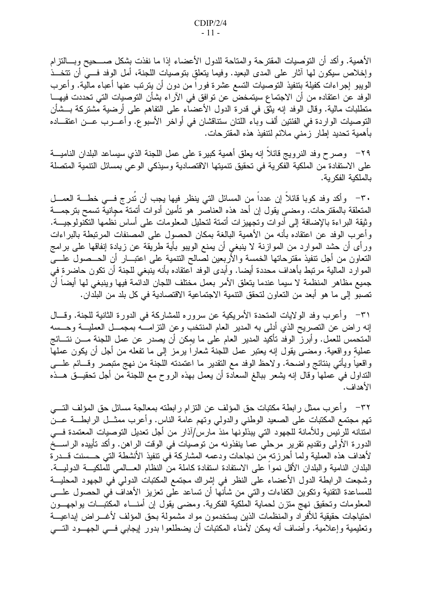الأهمية. وأكد أن التوصيات المقترحة والمتاحة للدول الأعضاء إذا ما نفذت بشكل صـــحيح وبـــالتزام وإخلاص سيكون لها أثار على المدى البعيد. وفيما يتعلق بتوصيات اللجنة، أمل الوفد فـــي أن تتخـــذ الويبو إجراءات كفيلة بنتفيذ التوصيات التسع عشرة فوراً من دون أن يترتب عنها أعباء مالية. وأعرب الوفد عن اعتقاده من أن الاجتماع سيتمخض عن توافق في الآراء بشأن التوصيات التي تحددت فيهـــا منطلبات مالية. وقال الوفد إنه يثق في قدرة الدول الأعضاء على التفاهم على أرضية مشتركة بـــشأن النوصيات الواردة في الفئتين ألف وباء اللتان ستناقشان في أواخر الأسبوع. وأعـــرب عـــن اعتقـــاده بأهمية تحديد إطار زمني ملائم لتنفيذ هذه المقترحات.

٢٩– وصرح وفد النرويج قائلاً إنه يعلق أهمية كبيرة على عمل اللجنة الذي سيساعد البلدان الناميـــة على الاستفادة من الملكية الفكرية في تحقيق تتميتها الاقتصادية وسيذكي الوعي بمسائل التتمية المتصلة بالملكية الفكر ية.

٣٠- وأكد وفد كوبا قائلاً إن عدداً من المسائل التبي ينظر فيها يجب أن نُدرج فـــي خطـــة العمـــل المتعلقة بالمقترحات. ومضىي يقول إن أحد هذه العناصَّر هو تأمين أدوات أتمتة مجانيةٌ تسمح بترجمـــة وثيقة البراءة بالإضافة إلى أدوات وتجهيزات أتمتة لتحليل المعلومات على أساس نُظمها التكُّنولوجيـــة. وأعرب الوفد عن اعتقاده بأنه من الأهمية البالغة بمكان الحصول على المصنفات المرتبطة بالبراءات ور أي أن حشد الموارد من الموازنة لا ينبغي أن يمنع الويبو بأية طريقة عن زيادة إنفاقها على برامج النعاون من أجل نتفيذ مقترحاتها الخمسة والأربعين لصالح النتمية على اعتبـــار أن الـصــصول علــــي الموارد المالية مرتبط بأهداف محددة أيضا. وأبدى الوفد اعتقاده بأنه ينبغي للجنة أن تكون حاضرة في جميع مظاهر المنظمة لا سيما عندما يتعلق الأمر بعمل مختلف اللجان الدائمة فيها وينبغي لها أيضا أن تصبو إلى ما هو أبعد من التعاون لتحقق النتمية الاجتماعية الاقتصادية في كل بلد من البلدان.

٣١– وأعرب وفد الولايات المتحدة الأمريكية عن سروره للمشاركة في الدورة الثانية للجنة. وقـــال إنه راض عن النصريح الذي أدلمي به المدير العام المنتخب وعن النزامــــه بمجمـــل العمليــــة وحـــسه المتحمس للعمل. وأبرز الوفد تأكيد المدير العام على ما يمكن أن يصدر عن عمل اللجنة مـــن نتـــائج عملية وواقعية. ومضـي يقول إنه يعتبر عمل اللجنة شعارًا برمز إلـي ما تفعله من أجل أن يكون عملها واقعيا ويأتني بنتائج واضحة. ولاحظ الوفد مع التقدير ما اعتمدته اللجنة من نهج متبصر وقـــائم علــــي النداول في عملها وقال إنه يشعر ببالغ السعادة أن يعمل بهذه الروح مع اللجنة من أجل تحقيـــق هـــذه الأهداف.

٣٢– وأعرب ممثل رابطة مكتبات حق المؤلف عن النزام رابطته بمعالجة مسائل حق المؤلف النسي تهم مجتمع المكتبات على الصعيد الوطنبي والدولمي وتهم عامة الناس. وأعرب ممثـــل الرابطـــة عـــن امتنانه للرئيس وللأمانة للجهود التبي يبذلونها منذ مارس/أذار من أجل تعديل التوصيات المعتمدة فسي الدورة الأولى وتقديم نقرير مرحلي عما ينفذونه من نوصيات في الوقت الراهن. وأكد نأييده الراســـخ لأهداف هذه العملية ولما أحرزته من نجاحات ودعمه المشاركة في تنفيذ الأنشطة التي حـــسنت قـــدرة البلدان النامية والبلدان الأقل نموا على الاستفادة استفادة كاملة من النظام العـــالمـي للملكيـــة الدوليـــة. وشجعت الرابطة الدول الأعضاء على النظر في إشراك مجتمع المكتبات الدولي في الجهود المحليـــة للمساعدة النقنية ونكوين الكفاءات والتبي من شأنها أن نساعد على نعزيز الأهداف في الحصول علــــي المعلومات وتحقيق نهج منزن لحماية الملكية الفكرية. ومضىي يقول إن أمنـــاء المكتبـــات يواجهـــون احتياجات حقيقية للأفراد والمنظمات الذين يستخدمون مواد مشمولة بحق المؤلف لأغـــراض إبداعيــــة وتعليمية وإعلامية. وأضاف أنه يمكن لأمناء المكتبات أن يضطلعوا بدور إيجابي فسي الجهسود التسي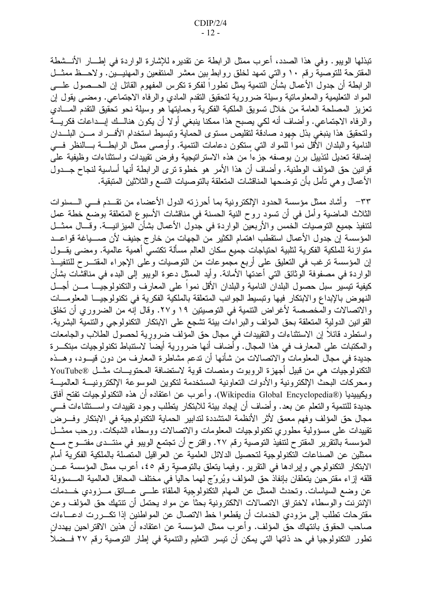تبذلها الويبو . وفي هذا الصدد، أعرب ممثل الرابطة عن تقديره للإشارة الواردة في إطسار الأنـــشطة المقترحة للتوصية رقم ١٠ والتي تمهد لخلق روابط بين معشر المنتفعين والمهنيـــين. ولاحـــظ ممثـــل الرابطة أن جدول الأعمال بشأن النتمية يمثل نطورا لفكرة نكرس المفهوم القائل إن الحـــصـول علــــي المواد النعليمية والمعلوماتية وسيلة ضرورية لتحقيق النقدم المادي والرفاه الاجتماعي. ومضىي يقول إن تعزيز المصلحة العامة من خلال تسويق الملكية الفكرية وحمايتها هو وسيلة نحو تحقيق التقدم المسادي والرفاه الاجتماعي. وأضاف أنه لكي يصبح هذا ممكنا ينبغي أولا أن يكون هنالــك إبـــداعات فكريـــة ولتحقيق هذا ينبغي بذل جهود صادقة لتقليص مستوى الحماية وتبسيط استخدام الأفسراد مسن البلسدان النامية والبلدان الأقل نموا للمواد التبي ستكون دعامات النتمية. وأوصبي ممثل الرابطـــة بـــالنظر فــــي إضافة تعديل لتذييل برن بوصفه جزءا من هذه الاستراتيجية وفرض تقييدات واستثناءات وظيفية على قوانين حق المؤلف الوطنية. وأضاف أن هذا الأمر هو خطوة نرى الرابطة أنها أساسية لنجاح جــدول الأعمال وهي نأمل بأن توضحها المناقشات المتعلقة بالتوصيات التسع والثلاثين المتبقية.

٣٣– وأشاد ممثل مؤسسة الحدود الإلكترونية بما أحرزته الدول الأعضاء من تقــدم فـــى الـــسنوات الثلاث الماضية وأمل في أن نسود روح النية الحسنة في مناقشات الأسبوع المتعلقة بوضع خطة عمل لتنفيذ جميع التوصيات الخمس والأربعين الواردة في جدول الأعمال بشأن الميزانيـــة. وقـــال ممثـــل المؤسسة إن جدول الأعمال استقطب اهتمام الكثير من الجهات من خارج جنيف لأن صــــياغة قواعـــد منوازنة للملكية الفكرية لنلبية احتياجات جميع سكان العالم مسألة نكتسى أهمية عالمية. ومضى يقــول إن المؤسسة ترغب في التعليق على أربع مجموعات من التوصيات وعلى الإجراء المقتـــرح للتتفيـــذ الو ار دة في مصفوفة الوثائق التي أعدتها الأمانة. وأيد الممثل دعوة الويبو إلى البدء في مناقشات بشأن كيفية نتيسير سبل حصول البلدان النامية والبلدان الأقل نمواً على المعارف والتكنولوجيـــا مـــن أجـــل النهوض بالإبداع والابتكار فيها ونبسيط الجوانب المتعلقة بالملكية الفكرية في تكنولوجيـــا المعلومـــات والاتصالات والمخصصة لأغراض النتمية في التوصيتين ١٩ و٢٧. وقال إنه من الضروري أن تخلق القوانين الدولية المتعلقة بحق المؤلف والبراءات بيئة تشجع على الابتكار التكنولوجي والتنمية البشرية. واستطرد قائلا إن الاستثناءات والتقييدات في مجال حق المؤلف ضرورية لحصول الطلاب والجامعات و المكتبات على المعار ف في هذا المجال. و أضاف أنها ضر ورية أيضا لاستنباط تكنولوجيات مبتكـــر ة جديدة في مجال المعلومات والاتصالات من شأنها أن ندعم مشاطرة المعارف من دون قيـــود، وهـــذه النكنولوجيات هي من قبيل أجهزة الروبوت ومنصات قوية لاستضافة المحتويـــات مثـــل @YouTube ومحركات البحث الإلكترونية والأدوات التعاونية المستخدمة لتكوين الموسوعة الإلكترونيسة العالميسة ويكيبيديا (@Wikipedia Global Encyclopedia). وأعرب عن اعتقاده أن هذه النكنولوجيات نفتح أفاق جديدة للتتمية والتعلم عن بعد. وأضاف أن إيجاد بيئة للابتكار يتطلب وجود تقييدات واســـتثناءات فــــي مجال حق المؤلف وفهم معمق لأثر الأنظمة المتشددة لتدابير الحماية التكنولوجية في الابتكار وفسرض تقييدات على مسؤولية مطوري نكنولوجيات المعلومات والاتصالات ووسطاء الشبكات. ورحب ممثـــل المؤسسة بالنقرير المقترح لتنفيذ التوصية رقم ٢٧. واقترح أن تجتمع الويبو في منتــدى مفتـــوح مــــع ممثلين عن الصناعات التكنولوجية لتحصيل الدلائل العلمية عن العراقيل المتصلة بالملكية الفكرية أمام الابتكار التكنولوجي وإيرادها في التقرير . وفيما يتعلق بالتوصية رقم ٤٥، أعرب ممثل المؤسسة عـــن قلقه إزاء مقترحين يتعلقان بإنفاذ حق المؤلف ويُروِّج لهما حاليا في مختلف المحافل العالمية المــسؤولة عن وضع السياسات. وتحدث الممثل عن المهام النكنولوجية الملقاة علـــي عـــانق مـــزودي خــــدمات الإنترنت والوسطاء لاختراق الاتصالات الالكترونية بحثا عن مواد يحتمل أن تنتهك حق المؤلف وعن مقترحات تطلب إلى مزودي الخدمات أن يقطعوا خط الاتصال عن المواطنين إذا تكـــررت ادعــــاءات صاحب الحقوق بانتهاك حق المؤلف. وأعرب ممثل المؤسسة عن اعتقاده أن هذين الاقتراحين يهددان تطور التكنولوجيا في حد ذاتها التي يمكن أن نيسر التعليم والنتمية في إطار التوصية رقم ٢٧ فــضلا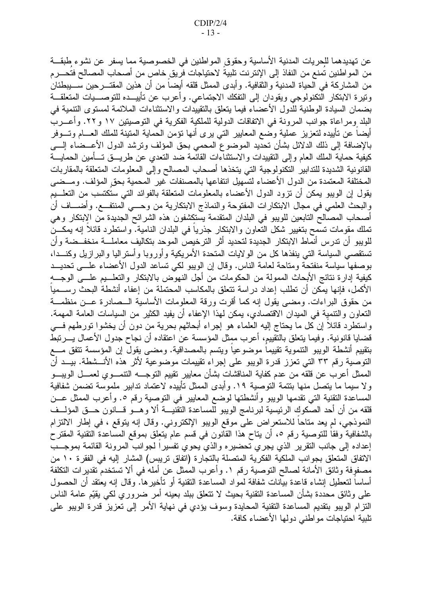عن تهديدهما للحريات المدنية الأساسية وحقوق المواطنين في الخصوصية مما يسفر عن نشوء طبقـــة من المواطنين تمنع من النفاذ إلى الإنترنت تلبية لاحتياجات فريق خاص من أصحاب المصالح فتحـــرم من المشاركة في الحياة المدنية والثقافية. وأبدى الممثل قلقه أيضا من أن هذين المقتـــرحين ســــيبطئان ونيرة الابتكار التكنولوجي ويقودان إلى التفكك الاجتماعي. وأعرب عن تأييـــده للتوصــــيات المتعلقـــة بضمان السيادة الوطنية للدول الأعضاء فيما يتعلق بالتقييدات والاستثناءات الملائمة لمستوى التنمية في البلد ومر اعاة جو انب المر ونة في الاتفاقات الدولية للملكية الفكرية في التوصيتين ١٧ و ٢٢. و أعـــر ب أيضا عن تأييده لتعزيز عملية وضع المعايير التي يرى أنها نؤمن الحماية المتينة للملك العـــام وتـــوفر بالإضافة إلى ذلك الدلائل بشأن تحديد الموضوع المحمى بحق المؤلف وترشد الدول الأعــضاء إلـــي كبغية حماية الملك العام وإلى النقيبدات والاستثناءات القائمة ضد التعدي عن طريـــق تـــأمين الحمايــــة القانونية الشديدة للتدابير النكنولوجية التي يتخذها أصحاب المصالح وإلى المعلومات المتعلقة بالمقاربات المختلفة المعتمدة من الدول الأعضاء لتسهيل انتفاعها بالمصنفات غير المحمية بحق المؤلف. ومــضبي يقول إن الويبو يمكن أن تزود الدول الأعضاء بالمعلومات المتعلقة بالفوائد التي ستكتسب من التعلـــيم والبحث العلمي في مجال الابتكارات المفتوحة والنماذج الابتكارية من وحـــي المنتفـــع. وأضــــاف أن أصـحاب المصـالـح النابعين للويبو في البلدان المنقدمة يستكشفون هذه الشرائح الجديدة من الابتكار وهي نملك مقومات نسمح بتغيير شكل النعاون والابتكار جذريا في البلدان النامية. واستطرد قائلاً إنه يمكـــن للويبو أن تدرس أنماط الابتكار الجديدة لتحديد أثر الترخيص الموحد بتكاليف معاملــــة منخفـــضـة وأن تستقصبي السياسة التبي ينفذها كل من الولايات المتحدة الأمريكية وأوروبا وأستراليا والبرازيل وكنـــدا، بوصفها سياسة منفتحة ومتاحة لعامة الناس. وقال إن الويبو لكي نساعد الدول الأعضاء علـــي تحديـــد كيفية إدارة نتائج الأبحاث الممولة من الحكومات من أجل النهوض بالابتكار والتعلــيم علـــي الوجـــه الأكمل، فإنها يمكن أن تطلب إعداد در اسة تتعلق بالمكاسب المحتملة من إعفاء أنشطة البحث ر ســـمياً من حقوق البر إءات. ومضبي يقول إنه كما أقرت ورقة المعلومات الأساسية الـــصادرة عـــن منظمـــة النعاون والننمية في الميدان الاقتصادي، يمكن لهذا الإعفاء أن يفيد الكثير من السياسات العامة المهمة. واستطرد قائلاً إن كل ما يحتاج إليه العلماء هو إجراء أبحاثهم بحرية من دون أن يخشوا تورطهم في قضايا قانونية. وفيما يتعلق بالنقييم، أعرب ممِثل المؤسسة عن اعتقاده أن نجاح جدول الأعمال يــــرتبط بتقييم أنشطة الويبو النتموية نقييماً موضوعياً ويتسم بالمصداقية. ومضـى يقول إن المؤسسة تتفق مـــع التوصية رقم ٣٣ التي تعزز قدرة الويبو على إجراء تقييمات موضوعية لأثر هذه الأنـــشطة. بيـــد أن الممثل أعرب عن قلقه من عدم كفاية المناقشات بشأن معايير تقييم التوجــــه التنمــــوي لعمــــل الويبــــو ولا سيما ما يتصل منها بنتمة التوصية ١٩. وأبدى الممثل تأييده لاعتماد تدابير ملموسة تضمن شفافية المساعدة النقنية التي تقدمها الويبو وأنشطتها لوضع المعايير في التوصية رقم ٥. وأعرب الممثل عـــن قلقه من أن أحد الصكوك الرئيسية لبرنامج الويبو للمساعدة التقنيـــة ألا وهـــو قـــانون حـــق المؤلـــف النموذجي، لم يعد متاحاً للاستعراض علىَّ موقع الويبو الإلكتروني. وقال إنه يتوقع ، في إطار الالتزام بالشفافية وفقاً للتوصية رقم ٥، أن يتاح هذا القانون في قسم عام يتعلق بموقع المساعدة التقنية المقتر ح إعداده إلى جانب النقرير الذي يجري تحضيره والذي يحوي تفسيرا لجوانب المرونة القائمة بموجــب الاتفاق المتعلق بجوانب الملكية الفكرية المتصلة بالتجارة (اتفاق تريبس) المشار إليه في الفقرة ١٠ من مصفوفة وثائق الأمانة لصالح التوصية رقم ١. وأعرب الممثل عن أمله في ألا تستخدم تقديرات التكلفة أساسا لتعطيل إنشاء قاعدة بيانات شفافة لمواد المساعدة النقنية أو تأخيرها. وقال إنه يعتقد أن الحصول على وثائق محددة بشأن المساعدة النقنية بحيث لا نتعلق ببلد بعينه أمر ضروري لكي يقيّم عامة الناس النزام الويبو بنقديم المساعدة النقنية المحايدة وسوف يؤدي في نهاية الأمر إلى تعزيز قدرة الويبو على نلبية احتياجات مواطني دولها الأعضاء كافة.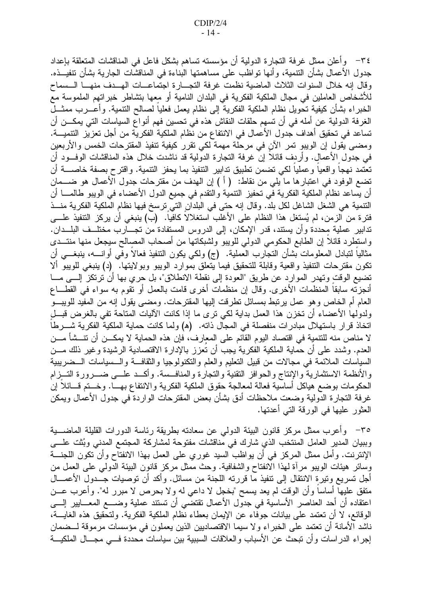٣٤ – وأعلن ممثل غرفة التجارة الدولية أن مؤسسته تساهم بشكل فاعل في المناقشات المتعلقة بإعداد جدول الأعمال بشأن النتمية، وأنها نواظب على مساهمتها البناءة في المناقشات الجارية بشأن نتفيـــذه. وقال إنه خلال السنوات الثلاث الماضية نظمت غرفة التجسارة اجتماعسات الهسدف منهسا السسماح للأشخاص العاملين في مجال الملكية الفكرية في البلدان النامية أو معها بتشاطر خبر اتهم الملموسة مع الخبراء بشأن كيفية نحويل نظام الملكية الفكرية إلى نظام يعمل فعليا لصالح النتمية. وأعــــرب ممثــــل الغرفة الدولية عن أمله في أن تسهم حلقات النقاش هذه في تحسين فهم أنواع السياسات التي يمكـــن أن تساعد في تحقيق أهداف جدول الأعمال في الانتفاع من نظام الملكية الفكرية من أجل تعزيز التتميـــة. ومضيي يقول إن الويبو نمر الأنِ في مرحلة مهمة لكي نقرر كيفية نتفيذ المقترحات الخمس والأربعين في جدول الأعمال. وأردف قائلا إن غرفة النجارة الدولية قد ناشدت خلال هذه المناقشات الوفـــود أن تعتمد نـهجا واقعيا وعمليا لكـي تضمن تطبيق تدابير التتفيذ بما يحفز التتمية. واقترح بصفة خاصــــة أن تضع الوفود في اعتبار ها ما يلي من نقاط: ( أ ) إن الهدف من مقترحات جدول الأعمال هو ضــــمان أن يساعد نظام الملكية الفكرية في تحفيز النتمية والنقدم في جميع الدول الأعضاء في الويبو طالمــــا أن النتمية هي الشغل الشاغل لكل بلد. وقال إنه حتى في البلدان التي نرسخ فيها نظام الملكية الفكرية منــذ فترة من الزمن، لم يُستغل هذا النظام على الأغلب استغلالا كافيا. (ب) ينبغي أن يركز التتفيذ علـــي تدابير عملية محددة وأن يستند، قدر الإمكان، إلى الدروس المستفادة من تجـــارب مختلــف البلـــدان. واستطرد قائلاً إن الطابع الحكومي الدولي للويبو ولشبكاتها من أصحاب المصالح سيجعل منها منتــدى مثاليا لتبادل المعلومات بشأن النجارب العملية. (ج) ولكي يكون النتفيذ فعالا وفي أوانــــه، ينبغــــي أن نكون مقترحات النتفيذ واقعية وقابلة للتحقيق فيما يتعلق بموارد الويبو وبولايتها. (د) ينبغي للويبو ألا تضيع الوقت وتهدر الموارد عن طريق "العودة إلى نقطة الانطلاق"، بل حري بها أن ترتكز إلسي مـــا أنجزتُه سابقاً المنظمات الأخرى. وقال إن منظمات أخرى قامت بالعمل أو نقوم به سواء في القطـــاع العام أم الخاص وهو عمل برنبط بمسائل نطرقت إليها المقترحات. ومضىي يقول إنه من المفيد للويبـــو ولدولها الأعضاء أن تخزن هذا العمل بداية لكي نرى ما إذا كانت الآليات المتاحة تفي بالغرض قبـــل اتخاذ قرار باستهلال مبادرات منفصلة في المجال ذاته. (a) ولما كانت حماية الملكية الفكرية شـــرطاً لا مناص منه للتنمية في اقتصاد اليوم القائم على المعارف، فإن هذه الحماية لا يمكـــن أن تنـــشأ مـــن العدم. وشدد على أن حماية الملكية الفكرية يجب أن تُعزز بالإدارة الاقتصادية الرشيدة وغير ذلك مـــن السياسات الملائمة في مجالات من قبيل التعليم والعلم والنكنولوجيا والثقافة والسسياسات السضريبية والأنظمة الاستثمارية والإنتاج والحوافز التقنية والتجارة والمنافسة. وأكــد علـــى ضـــرورة التـــزام الحكومات بوضع هياكل أساسية فعالة لمعالجة حقوق الملكية الفكرية والانتفاع بهـــا. وخـــتم قــــائلا إن غرفة التجارة الدُّولية وضعت ملاحظات أدق بشأن بعض المقترحات الواردة في جدول الأعمال ويمكن العثور عليها في الورقة التي أعدتها.

٣٥– وأعرب ممثل مركز قانون البيئة الدولمي عن سعادته بطريقة رئاسة الدورات القليلة الماضــــية وببيان المدير العامل المنتخب الذي شارك في مناقشات مفتوحة لمشاركة المجتمع المدنى وبُثت علسى الإنترنت. وأمل ممثل المركز في أن يواظب السيد غوري على العمل بهذا الانفتاح وأن نكون اللجنــــة وسائر هيئات الويبو مراة لـهذا الانفتاح والشفافية. وحث ممثل مركز قانون البيئة الدولـي علـي العمل من أجل تسريع وتيرةٍ الانتقال إلى تنفيذ ما قررته اللجنة من مسائل. وأكد أن توصيات جـُـدول الأعمـــال منفق عليها أساساً وأن الوقت لم يعد يسمح "بخجل لا داعي له ولا بحرص لا مبرر له". وأعرب عـــن اعتقاده أن أحد العناصر الأساسية في جدول الأعمال تقتضي أن نستند عملية وضــــع المعــــابير إلــــي الوقائع، لا أن تعتمد على بيانات جوفاء عن الإيمان بعطاء نظام الملكية الفكرية. ولتحقيق هذه الغايــــة، ناشد الأمانة أن تعتمد على الخبراء ولا سيما الاقتصاديين الذين يعملون في مؤسسات مرموقة لـــضمان إجراء الدر اسات وأن تبحث عن الأسباب والعلاقات السببية بين سياسات محددة فسى مجسال الملكيسة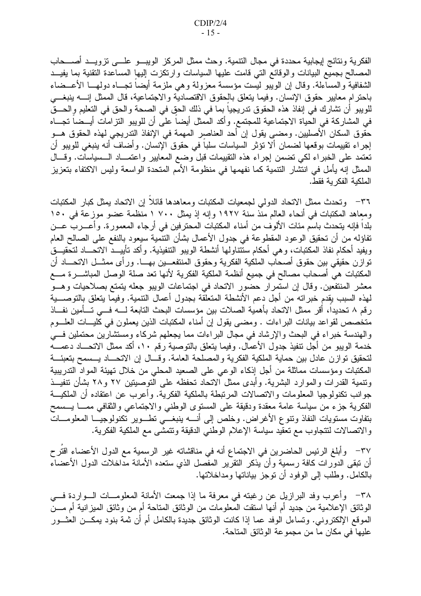الفكرية ونتائج إيجابية محددة في مجال التتمية. وحث ممثل المركز الويبسو علسي تزويسد أصسحاب المصالح بجميع البيانات والوقائع التي قامت عليها السياسات وارتكزت إليها المساعدة التقنية بما يفيــد الشفافية والمساءلة. وقال إن الويبو ليست مؤسسة معزولة وهي ملزمة أيضا نجـــاه دولهـــا الأعـــضاء باحترام معايير حقوق الإنسان. وفيما يتعلق بالحقوق الاقتصادية والاجتماعية، قال الممثل إنسه ينبغسي للويبو أن نشارك في إنفاذ هذه الحقوق ندريجيا بما في ذلك الحق في الصحة والحق في النعليم والحـــق في المشاركة في الحياة الاجتماعية للمجتمع. وأكد الممثل أيضاً على أن للويبو النز امات أيــضـاً تجـــاه حقوق السكان الأصليين. ومضـى يقول إن أحد العناصرِ المـهمة في الإنفاذ الندريجي لـهذه الحقوق هـــو إجراء تقييمات بوقعها لضمان ألا نؤثر السياسات سلبا في حقوق الإنسان. وأضاف أنه ينبغي للويبو أن تعتمد على الخبراء لكي نضمن إجراء هذه التقييمات قبل وضع المعايير واعتمــاد الــسياسات. وقـــال الممثل إنه يأمل في انتشار التنمية كما نفهمها في منظومة الأمم المتحدة الواسعة وليس الاكتفاء بتعزيز الملكية الفكر ية فقط.

٣٦– وتحدث ممثل الاتحاد الدولي لجمعيات المكتبات ومعاهدها قائلا إن الاتحاد يمثل كبار المكتبات ومعاهد المكتبات في أنحاء العالم منذ سنة ١٩٢٧ وإنه إذ يمثل ٧٠٠ ١ منظمة عضو موزعة في ١٥٠ بلدا فإنه يتحدث باسم مئات الألوف من أمناء المكتبات المحترفين في أرجاء المعمورة. وأعـــرب عـــن نفاؤله من أن تحقيق الوعود المقطوعة في جدول الأعمال بشأن النتمية سيعود بالنفع على الصالح العام ويفيد أحكام نفاذ المكتبات، وهي أحكام ستتناولها أنشطة الويبو التنفيذية. وأكد تأييـــد الاتحــــاد لتحقيـــق توازن حقيقي بين حقوق أصحاب الملكية الفكرية وحقوق المنتفعــين بهـــا. ورأى ممثـــل الاتحـــاد أن المكتبات هيّ أصحاب مصالح في جميع أنظمة الملكية الفكرية لأنها تعد صلة الوصل المباشــــرة مــــع معشر المنتفعين. وقال إن استمرار حضور الاتحاد في اجتماعات الويبو جعله يتمتع بصلاحيات وهـو لهذه السبب يقدم خبراته من أجل دعم الأنشطة المتعلقة بجدول أعمال التتمية. وفيما يتعلق بالتوصــــية رِ قم ٨ تحديداً، أقر ممثل الاتحاد بأهمية الصلات بين مؤسسات البحث التابعة لـــــه فــــى تـــأمين نفـــاذ متخصص لقواعد بيانات البراءات . ومضبي يقول إن أمناء المكتبات الذين يعملون في كليـــات العلـــوم والهندسة خبراء في البحث والإرشاد في مجال البراءات مما يجعلهم شركاء ومستشارين محتملين في خدمة الويبو من أجل نتفيذ جدول الأعمال. وفيما يتعلق بالتوصية رقم ١٠، أكد ممثل الاتحـــاد دعمــــه لتحقيق نوازن عادل بين حماية الملكية الفكرية والمصلحة العامة. وقــال إن الاتحــاد يـــسمح بتعبئـــة المكتبات ومؤسسات مماثلة من أجل إذكاء الوعبي على الصعيد المحلي من خلال نهيئة المواد التدريبية وتنمية القدرات والموارد البشرية. وأبدى ممثل الاتحاد تحفظه على التوصيتين ٢٧ و٢٨ بشأن تنفيــذ جوانب تكنولوجيا المعلومات والاتصالات المرتبطة بالملكية الفكرية. وأعرب عن اعتقاده أن الملكيـــة الفكرية جزء من سياسة عامة معقدة ودقيقة على المسنوى الوطني والاجتماعي والثقافي ممسا يسسمح بتفاوت مستويات النفاذ ونتوع الأغراض. وخلص إلىي أنـــــه ينبغــــي نطــــوير نكنولوجيــــا المعلومــــات والانصالات لنتجاوب مع نعقيد سياسة الإعلام الوطنبي الدقيقة ونتمشى مع الملكية الفكرية.

٣٧– وأبلغ الرئيس الحاضرين في الاجتماع أنه في مناقشاته غير الرسمية مع الدول الأعضاء اقتر ح أن نتبقى الدورات كافة رسمية وأن يذكر النقرير المفصل الذي ستعده الأمانة مداخلات الدول الأعضاء بالكامل. وطلب إلى الوفود أن نوجز بياناتها ومداخلاتها.

٣٨– وأعرب وفد البرازيل عن رغبته في معرفة ما إذا جمعت الأمانة المعلومـــات الـــواردة فــــي الوثائق الإعلامية من جديد أم أنها استقت المعلومات من الوثائق المتاحة أم من وثائق الميز انية أم مـــن الموقع الإلكتروني. وتساءل الوفد عما إذا كانت الوثائق جديدة بالكامل أم أن ثمة بنود يمكـــن العثـــور عليها في مكان ما من مجموعة الوثائق المتاحة.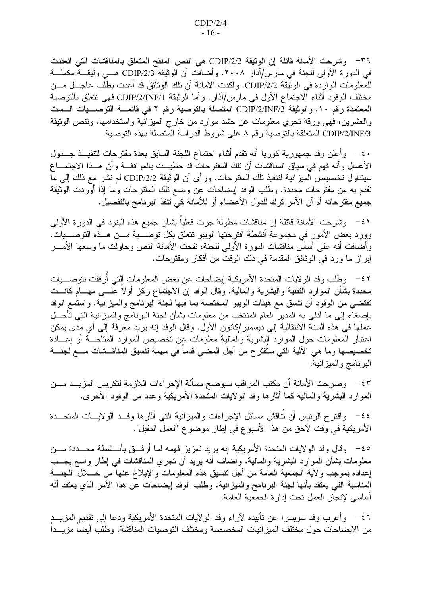٣٩ - وشرحت الأمانة قائلة إن الوثيقة CDIP/2/2 هي النص المنقح المتعلق بالمناقشات التي انعقدت في الدورة الأولى للجنة في مارس/آذار ٢٠٠٨. وأضافت أن الوثيقة CDIP/2/3 هـــي وثيقـــة مكملـــة للمُعلومات الواردة في الوثَّيقة CDIP/2/2. وأكدت الأمانة أن تلك الوثائق قد أعدت بطلَّب عاجـــل مـــن مختلف الوفود أثناء الاجتماع الأول في مارس/آذار . وأما الوثيقة CDIP/2/INF/1 فهي نتعلق بالتوصية المعتمدة رقم ١٠. والوثيقة CDIP/2/INF/2 المتصلة بالتوصية رقم ٢ في قائمــة التوصــيات الــست والعشرين، فهي ورقة نحوي معلومات عن حشد موارد من خارج الميزانية واستخدامها. ونتص الوثيقة CDIP/2/INF/3 المتعلقة بالتوصية رقم ٨ على شروط الدراسة المتصلة بهذه التوصية.

· ٤- وأعلن وفد جمهورية كوريا أنه تقدم أثناء اجتماع اللجنة السابق بعدة مقترحات لتتفيــذ جـــدول الأعمال و أنه فهم في سياق المناقشات أن تلك المقترحات قد حظيــت بالمو افقـــة و أن هـــذا الاجتمـــاع سيتناول تخصيص الميزانية لتتفيذ تلك المقترحات. ورأى أن الوثيقة CDIP/2/2 لم تشر مع ذلك إلى ما نقدم به من مقترحات محددة. وطلب الوفد إيضاحات عن وضع نلك المقترحات وما إذا أوردت الوثيقة جميع مقترحاته أم أن الأمر ترك للدول الأعضاء أو للأمانة كي تنفذ البرنامج بالتفصيل.

٤١– وشرحت الأمانة قائلة إن مناقشات مطولة جرت فعلياً بشأن جميع هذه البنود في الدورة الأولى وورد بعض الأمور في مجموعة أنشطة اقترحتها الويبو نتعلق بكل توصـــية مـــن هـــذه التوصــــيات. وأضافت أنه على أساس مناقشات الدورة الأولى للجنة، نقحت الأمانة النص وحاولت ما وسعها الأمــــر إبراز ما ورد في الوثائق المقدمة في ذلك الوقت من أفكار ومقترحات.

٤٢ – وطلب وفد الولايات المتحدة الأمريكية إيضاحات عن بعض المعلومات التي أُرفقت بتوصــــيات محددة بشأن الموارد النقنية والبشرية والمالية. وقال الوفد إن الاجتماع ركز أولاً عُلـــي مهـــام كانـــت تقتضـى من الوفود أن نتسق مـع هيئات الويبو المختصـة بمـا فيها لـجنة البرنـامج والميز انيـة. واستمـع الوفد بإصغاء إلى ما أدلمي به المدير العام المنتخب من معلومات بشأن لجنة البرنامج والمبزانية التي تأجـــل عملها في هذه السنة الانتقالية إلى ديسمبر/كانون الأول. وقال الوفد إنه يريد معرفة إلى أي مدى يمكن اعتبار المعلومات حول الموارد البشرية والمالية معلومات عن تخصيص الموارد المتاحــــة أو إعــــادة تخصيصها وما هي الألية التي ستقترح من أجل المضبي قدما في مهمة نتسيق المناقـــشات مــــع لـجنــــة البرنامج والميزانية.

٤٣ - وصرحت الأمانة أن مكتب المراقب سيوضح مسألة الإجراءات اللازمة لتكريس المزيــد مـــن الموارد البشرية والمالية كما أثارها وفد الولايات المتَّحدة الأمريكية وعدد من الوفود الأخرى.

٤٤– واقترح الرئيس أن نُتاقش مسائل الإجراءات والمميزانية التي أثارها وفــد الولايـــات المتحـــدة الأمريكية في وَّقت لاحق من هذا الأسبوع في إطار موضوع "العمل المقبل".

٤٥– وقال وفد الولايات المتحدة الأمريكية إنه يريد تعزيز فهمه لما أرفــق بأنـــشطة محـــددة مـــن معلومات بشأن الموارد البشرية والمالية. وأضاف أنه بريد أن نجري المناقشات في إطار واسع يجـــب إعداده بموجب ولاية الجمعية العامة من أجل نتسيق هذه المعلومات والإبلاغ عنها من خـــلال اللجنـــة المناسبة التي يعتقد بأنها لجنة البرنامج والميزانية. وطلب الوفد ايضاحات عن هذا الأمر الذي يعتقد أنه أساسي لإنجاز العمل تحت إدارة الجمعية العامة.

٤٦ -- وأعرب وفد سويسرا عن تأييده لآراء وفد الولايات المتحدة الأمريكية ودعا إلى تقديم المزيــد من الإيضاحات حول مختلف الميز انيات المخصصة ومختلف التوصيات المناقشة. وطلب أيضا مز يسدا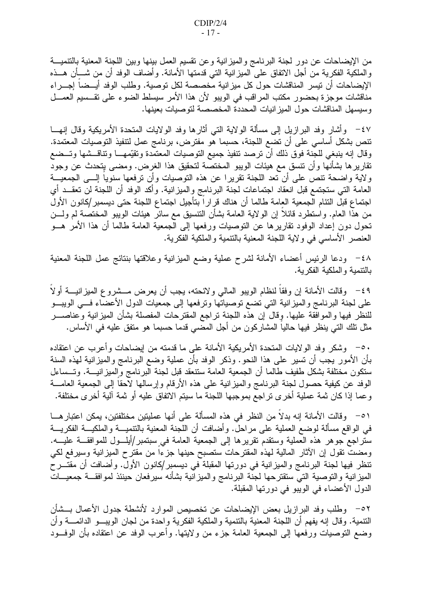من الإيضاحات عن دور لجنة البرنامج والميزانية وعن تقسيم العمل بينها وبين اللجنة المعنية بالتنميـــة والملكية الفكرية من أجل الاتفاق على الميزانية التي قدمتها الأمانة. وأضاف الوفد أن من شــــأن هـــذه الإيضاحات أن نيسر المناقشات حول كل ميزانية مخصصة لكل توصية. وطلب الوفد أيــضاً إجـــراء مناقشات موجزة بحضور مكتب المراقب في الويبو لأن هذا الأمر سيسلط الضوء على نقـــسيم العمـــل وسيسهل المناقشات حول الميزانيات المحددة المخصصة لتوصيات بعينها.

٤٧ - وأشار وفد البرازيل إلى مسألة الولاية التي أثارها وفد الولايات المتحدة الأمريكية وقال إنهــا تتص بشكل أساسي على أن تضـع اللجنة، حسبما هو مفترض، برنـامج عمل لتتفيذ التوصيات المعتمدة. وقال إنه ينبغي للجنة فوق ذلك أن نرصد تنفيذ جميع التوصيات المعتمدة ونقيِّمهـــا وتناقـــشها وتـــضع تقارير ها بشأنها وأن نتسق مع هيئات الويبو المختصة لتحقيق هذا الغرض. ومضبى يتحدث عن وجود ولاية واضحة نتص على أن تعد اللجنة تقريرا عن هذه التوصيات وأن ترفعها سنوياً إلـــى الجمعيـــة العامة التـي ستجتمع قبل انعقاد اجتماعات لـجنة البرنـامـج والميزانية. وأكد الوفد أن اللـجنة لن تعقـــد أي اجتماع قبل التئام الجمعية العامة طالما أن هناك قراراً بتأجيل اجتماع اللجنة حتى ديسمبر/كانون الأول من هذا العام. واستطرد قائلاً إن الولاية العامة بشأن النتسيق مع سائر هيئات الويبو المختصة لم ولـــن نحول دون إعداد الوفود نقاريرها عن النوصيات ورفعها إلى الجمعية العامة طالما أن هذا الأمر هـــو العنصر الأساسي في ولاية اللجنة المعنية بالنتمية والملكية الفكرية.

٤٨ - ودعا الرئيس أعضاء الأمانة لشرح عملية وضع الميزانية وعلاقتها بنتائج عمل اللجنة المعنية بالنتمية والملكية الفكرية.

٤٩ - وقالت الأمانة إن وفقاً لنظام الويبو المالي ولائحته، يجب أن يعرض مـــشروع الميزانيـــة أولاً علـى لـجنة البرنـامج والمميزانية التـي تضـع توصـياتـها وترفعها إلـى جمعيات الدول الأعضـّاء فـــى الويبـــو للنظر فيها والموافقة عليها. وقال إن هذه اللجنة نراجع المقترحات المفصلة بشأن الميزانية وعناصــــر مثل نلك التي ينظر فيها حاليا المشاركون من أجل المضبي قدما حسبما هو متفق عليه في الأساس.

٥٠ - وشكر وفد الولايات المتحدة الأمريكية الأمانة على ما قدمته من ايضاحات وأعرب عن اعتقاده بأن الأمور يجب أن تسير على هذا النحو . وذكر الوفد بأن عملية وضع البرنامج والميزانية لهذه السنة ستكون مختلفة بشكل طفيف طالما أن الجمعية العامة ستنعقد قبل لجنة البرنامج والمبز انيــــة. وتـــساءل الوفد عن كيفية حصول لجنة البرنامج والميزانية على هذه الأرقام وإرسالها لاحقا إلى الجمعية العامــــة وعما إذا كان ثمة عملية أخرى نراجع بموجبها اللجنة ما سيتم الاتفاق عليه أو ثمة آلية أخرى مختلفة.

٥١ – وقالت الأمانة إنه بدلاً من النظر في هذه المسألة على أنها عمليتين مختلفتين، يمكن اعتبار هـــا في الواقع مسألة لوضع العملية على مراحل. وأضافت أن اللجنة المعنية بالنتميـــة والملكيـــة الفكريـــة سنراجع جوهر هذه العملية وستقدم نقريرها إلى الجمعية العامة في سبتمبر/أيلــول للموافقـــة عليـــه. ومضت نقول إن الأثار المالية لهذه المقترحات ستصبح حينها جزءا من مقترح الميزانية وسيرفع لكي نتظر فيها لجنة البرنامج والميزانية في دورتها المقبلة في ديسمبر/كانون الأول. وأضافت أن مقتـــر ح المبز انية والنوصية التي ستقترحها لجنة البرنامج والميزانية بشأنه سيرفعان حينئذ لموافقـــة جمعيـــات الدول الأعضاء في الويبو في دورتها المقبلة.

٥٢– وطلب وفد البرازيل بعض الإيضاحات عن تخصيص الموارد لأنشطة جدول الأعمال بـــشأن النتمية. وقال إنه يفهم أن اللجنة المعنية بالنتمية والملكية الفكرية واحدة من لجان الويبـــو الدائمــــة وأن وضع النوصيات ورفعها إلىي الجمعية العامة جزء من ولايتها. وأعرب الوفد عن اعتقاده بأن الوفـــود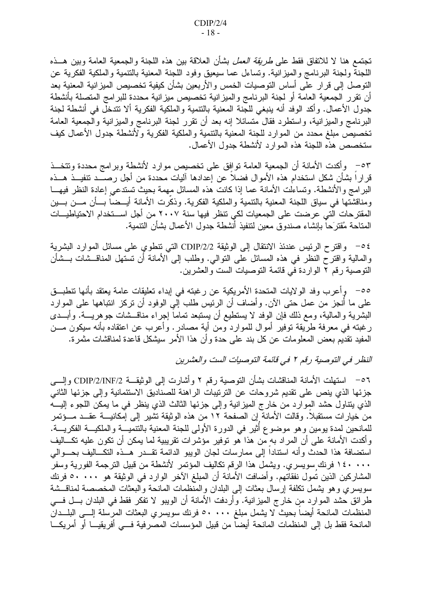تجتمع هنا لا للاتفاق فقط عل*ى طريقة العمل* بشأن العلاقة بين هذه اللجنة والجمعية العامة وبين هـــذه اللجنة ولجنة البرنامج والميزانية. وتساءل عما سيعيق وفود اللجنة المعنية بالتنمية والملكية الفكرية عن التوصل إلى قرار على أساس التوصيات الخمس والأربعين بشأن كيفية تخصيص الميز انية المعنية بعد أن نقرر الجمعية العامة أو لجنة البرنامج والميزانية تخصيص ميزانية محددة للبرامج المتصلة بأنشطة جدول الأعمال. وأكد الوفد أنه ينبغي للجنة المعنية بالنتمية والملكية الفكرية ألا نتدخل في أنشطة لجنة البرنامج والميزانية، واستطرد فقال متسائلا إنه بعد أن نقرر لـجنة البرنامج والميزانية والـجمعية الـعامة تخصيص مبلغ محدد من الموارد للجنة المعنية بالنتمية والملكية الفكرية ولأنشطة جدول الأعمال كيف ستخصص هذه اللجنة هذه الموارد لأنشطة جدول الأعمال.

٥٣ - وأكدت الأمانة أن الجمعية العامة نوافق على تخصيص موارد لأنشطة وبرامج محددة وتتخــذ قراراً بشأن شكل استخدام هذه الأموال فضلاً عن إعدادها آليات محددة من أجل رصـــد نتفيـــذ هـــذه البر امج والأنشطة. وتساءلت الأمانة عما إذا كانت هذه المسائل مهمة بحيث تستدعى إعادة النظر فيهـــا ومناقشتها في سياق اللجنة المعنية بالنتمية والملكية الفكرية. وذكرت الأمانة أيـــضا بـــأن مـــن بـــين المقترحات التي عرضت على الجمعيات لكي نتظر فيها سنة ٢٠٠٧ من أجل اســـتخدام الاحتياطيـــات المتاحة مُقترَحا بإنشاء صندوق معين لتنفيذ أنشطة جدول الأعمال بشأن التنمية.

0٤ - واقترح الرئيس عندئذ الانتقال إلى الوثيقة CDIP/2/2 التي تنطوي على مسائل الموارد البشرية والمالية واقترح النظر في هذه المسائل على التوالي. وطلب إلى الأمانة أن تستهل المناقـــشات بـــشأن النوصية رقم ٢ الواردة في قائمة النوصيات الست والعشرين.

٥٥– وأعرب وفد الولايات المتحدة الأمريكية عن رغبته في إبداء تعليقات عامة يعتقد بأنها تنطبــق على ما أنجز من عمل حتى الآن. وأضاف أن الرئيس طلب إلى الوفود أن تركز انتباهها على الموارد البشرية والمالية، ومع ذلك فإن الوفد لا يستطيع أن يستبعد تماماً إجراء مناقـــشات جوهريــــة. وأبـــدى رغبته في معرفة طريقة توفير أموال للموارد ومن أية مصادر . وأعرب عن اعتقاده بأنه سيكون مـــن المفيد نقديم بعض المعلومات عن كل بند على حدة وأن هذا الأمر سيشكل قاعدة لمناقشات مثمرة.

النظر في التوصية رقم ٢ في قائمة التوصيات الست والعشرين

٥٦ – استهلت الأمانة المناقشات بشأن النوصية رقم ٢ وأشارت إلى الوثيقـــة CDIP/2/INF/2 وإلــــى جزئها الذي ينص على تقديم شروحات عن الترتيبات الراهنة للصناديق الاستئمانية وإلى جزئها الثاني الذي يتناول حشد الموارد من خارج الميزانية وإلى جزئها الثالث الذي ينظر في ما يمكن اللجوء إليــــه من خيار ات مستقبلا. وقالت الأمانة إن الصفحة ١٢ من هذه الوثيقة تشير إلى إمكانيــــة عقـــد مــــؤتمر للمانحين لمدة يومين وهو موضوع أثير في الدورة الأولى للجنة المعنية بالنتميــــة والملكيــــة الفكريــــة. وأكدت الأمانة على أن المراد به من هذا هو توفير مؤشرات تقريبية لما يمكن أن تكون عليه تكـــاليف استضافة هذا الحدث وأنه استنادا إلى ممارسات لجان الويبو الدائمة تقــدر هــذه التكــاليف بحـــوالي ١٤٠ ١٤٠ فرنك سويسري. ويشمل هذا الرقم تكاليف المؤتمر الأنشطة من قبيل الترجمة الفورية وسفر المشاركين الذين تُمول نفقاتهم. وأضافت الأمانة أن المبلغ الآخر الوارد في الوثيقة هو ٥٠٠٠٠ فرنك سويسري وهو يشمل نكلفة إرسال بعثات إلىي البلدان والمنظمات المانحة والبعثات المخصصة لمناقسشة طرائق حشد الموارد من خارج الميزانية. وأردفت الأمانة أن الويبو لا تفكر فقط في البلدان بـــل فـــي المنظمات المانحة أيضاً بحيث لا يشمل مبلغ ٥٠٠٠٠ فرنك سويسري البعثات المرسلة إلـــى البلـــدان المانحة فقط بل إلى المنظمات المانحة أيضا من قبيل المؤسسات المصرفية فـــى أفريقيـــا أو أمريكـــا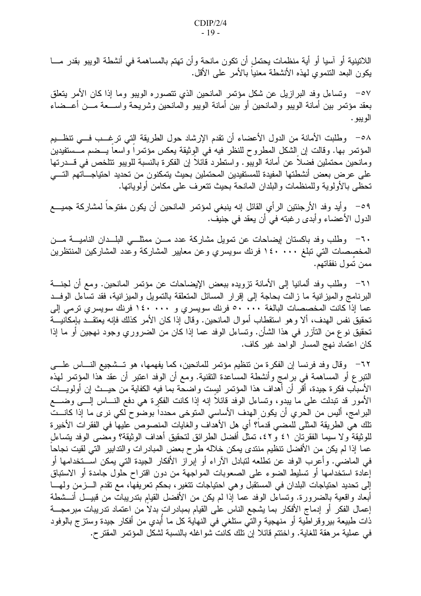اللاتينية أو آسيا أو أية منظمات يحتمل أن تكون مانحة وأن تهتم بالمساهمة في أنشطة الويبو بقدر مـــا يكون البعد التتموي لمهذه الأنشطة معنياً بالأمر على الأقل.

٥٧– وتساءل وفد البرازيل عن شكل مؤتمر المانحين الذي تتصوره الويبو وما إذا كان الأمر يتعلق بعقد مؤتمر بين أمانة الويبو والمانحين أو بين أمانة الويبو والمانحين وشريحة واســـعة مـــن أعـــضاء الويبو .

٥٨- وطلبت الأمانة من الدول الأعضاء أن تقدم الإرشاد حول الطريقة التي ترغــب فــي تنظــيم المؤتمر بها. وقالت إن الشكل المطروح للنظر فيه في الوثيقة يعكس مؤتمراً واسعاً يـــضم مـــستفيدين ومانحين محتملين فضلا عن أمانة الويبو . واستطرد قائلا إن الفكرة بالنسبة للويبو تتلخص في قـــدرتها على عرض بعض أنشطتها المفيدة للمستفيدين المحتملين بحيث يتمكنون من تحديد احتياجــــاتهم التــــي تحظى بالأولوية وللمنظمات والبلدان المانحة بحيث تتعرف على مكامن أولوياتها.

٥٩– وأيد وفد الأرجنتين الرأي القائل إنه ينبغي لمؤتمر المانحين أن يكون مفتوحاً لمشاركة جميـــع الدول الأعضاء وأبدى رغبته في أن يعقد في جنيف.

٦٠– وطلب وفد باكستان لِبضاحات عن تمويل مشاركة عدد مـــن ممثلـــي البلـــدان الناميــــة مـــن المخصصات التي تبلغ ١٤٠ ١٤٠ فرنك سويسري وعن معايير المشاركة وعدد المشاركين المنتظرين ممن تمول نفقاتهم.

٦١– وطلب وفد ألمانيا إلى الأمانة تزويده ببعض الإيضاحات عن مؤتمر المانحين. ومع أن لجنـــة البرنامج والمبزانية ما زالت بحاجة إلى إقرار المسائل المتعلقة بالتمويل والمبزانية، فقد تساءل الوفــد عما إذا كانت المخصصات البالغة ٥٠٠٠٠ فرنك سويسري و ١٤٠٠٠٠ فرنك سويسري نرمي إلى تحقيق نفس الهدف، ألا وهو استقطاب أموال المانحين. وقال إذا كان الأمر كذلك فإنه يعتقــد بإمكانيـــة تحقيق نو ع من النآزر في هذا الشأن. وتساءل الوفد عما إذا كان من الضروري وجود نهجين أو ما إذا كان اعتماد نهج المسار الواحد غير كاف.

٦٢– وقال وفد فرنسا إن الفكرة من تنظيم مؤتمر للمانحين، كما يفهمها، هو تــشجيع النـــاس علــــى النبرع أو المساهمة في برامج وأنشطة المساعدة النقنية. ومع أن الوفد اعتبر أن عقد هذا المؤتمر لمهذه الأسباب فكرة جيدة، أقر أن أهداف هذا المؤتمر ليست واضحة بما فيه الكفاية من حيـــث إن أولويــــات الأمور قد نبدلت على ما يبدو، ونساءل الوفد قائلاً إنه إذا كانت الفكرِة هي دفع النــــاس إلــــى وضــــع البرامج، أليس من الحرى أن يكون الهدف الأساسي المتوخي محدداً بوضوح لكي نرى ما إذا كانــت نلك هي الطريقة المثلي للمضـي قدما؟ أي هل الأهداف والغايات المنصـوص عليها في الفقرات الأخيرة للوثيقة ولا سيما الفقرتان ٤١ و٤٢، تمثِّل أفضل الطرائق لتحقيق أهداف الوثيقة؟ ومضىي الوفد يتساءل عما إذا لم يكن من الأفضل تنظيم منتدى يمكن خلاله طرح بعض المبادرات والتدابير التي لقيت نجاحاً في الماضيي. وأعرب الوفد عن تطلعه لتبادل الآراء أو إبراز الأفكار الجيدة التي يمكن اســـتخدامها أو إعادة استخدامها أو نسليط الضوء على الصعوبات المواجهة من دون اقتراح حلول جامدة أو الاستباق إلى تحديد احتياجات البلدان في المستقبل وهي احتياجات نتغير ، بحكم تعريفها، مع تقدم الـــزمن ولمهـــا أبعاد واقعية بالضرورة. ونساءل الوفد عما إذا لم يكن من الأفضل القيام بندريبات من قبيـــل أنـــشطة إعمال الفكر أو إدماج الأفكار بما يشجع الناس على القيام بمبادرات بدلاً من اعتماد تدريبات مبرمجــــة ذات طبيعة بيروقر اطية أو منهجية والتي ستلغى في النهاية كل ما أبدي من أفكار جيدة وستز ج بالوفود في عملية مر هقة للغاية. واختتم قائلاً إنّ تلك كانت شواغله بالنسبة لشكل المؤتمر المقترح.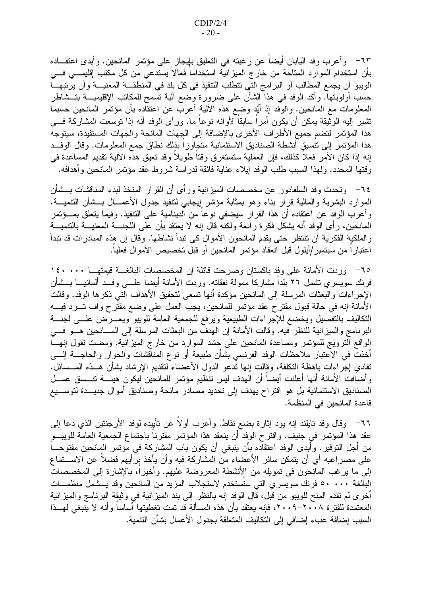٦٣– وأعرب وفد اليابان أيضـاً عن رغبته في التعليق بإيجاز ِعلـى مؤتمر المانحين. وأبدى اعتقـــاده بأن استخدام الموارد المتاحة من خارج الميزانية استخداما فعالا يستدعى من كل مكتب إقليمــــي فــــي الويبو أن يجمع المطالب أو البرامج التي نتطلب التنفيذ في كل بلد في المنطقـــة المعنيـــة وأن يرتبهـــا حسب أولويتها. وأكد الوفد فـي هذا الشأن علـي ضـرورة وضـع ألية تسمح للمكاتب الإقليميــــة بتـــشاطر المعلومات مع المانحين. والوَّفد إذ أَيَّدٍ وضبِع هذه الأليةٍ أعرب عن اعتقاده بأن مؤتمر المانحين حسبما نشير إليه الوثيقة يمكن أن يكون أمراً سابقاً لأوانه نوعاً ما. ورأى الوفد أنه إذا نوسعت المشاركة فـــي هذا المؤتمر لتضم جميع الأطراف الأخرى بالإضافة إلى الجهات المانحة والجهات المستفيدة، سيتوجه هذا المؤتمر إلى نتسيقِ أنشطة الصناديق الاستئمانية متجاوزاً بذلك نطاق جمع المعلومات. وقال الوفــد إنه إذا كان الأمر فعلا كذلك، فإن العملية ستستغرق وقتا طويلا وقد تعيق هذه الآلية تقديم المساعدة في وقتها المحدد. ولهذا السبب طلب الوفد إيلاء عناية فائقة لدراسة شروط عقد مؤتمر المانحين وأهدافه.

٦٤− وتحدث وفد السلفادور عن مخصصات الميزانية ور أي أن القرار المتخذ لبدء المناقشات بـــشأن الموارد البشرية والمالية قرار بناء وهو بمثابة مؤشر إيجابي لتنفيذ جدول الأعمـــال بـــشأن التنميـــة. وأعرب الوفد عن اعتقاده أن هذا القرار سيضفى نوعاً من الدينامية على التنفيذ. وفيما يتعلق بمـــؤتمر المانحين، رأى الوفد أنه يشكل فكرة رائعة ولكنه قال إنه لا يعتقد بأن على اللجنــــة المعنيــــة بالتنميـــة والملكية الفكرية أن نتنظر حتى يقدم المانحون الأموال كي نبدأ نشاطها. وقال إن هذه المبادرات قد نبدأ اعتبارًا من سبتمبر/أيلول قبل انعقاد مؤتمر المانحين أو قبل تخصيص الأموال فعليا.

٦٥– وردت الأمانة على وفد باكستان وصرحت قائلة إن المخصصاتِ البالغـــة قيمتهـــا ١٤٠ ١٤٠ فرنك سويسر ي تشمل ٢٦ بلدا مشاركا ممولة نفقاته. وردت الأمانة أيضا علــــى وفـــد ألمانيــــا بـــشأن الإجراءات والبعثات المرسلة إلى المانحين مؤكدة أنها نسعى لتحقيق الأهداف التي ذكرها الوفد. وقالت الأمانة إنه في حالة قبول مقترح عقد مؤتمر للمانحين، يجب العمل على وضع مقترح واف تسرد فيــــه النكاليف بالتفصيل ويخضع للإجراءات الطبيعية ويرفع للجمعية العامة للويبو ويعسرض علسى لجنسة البرنامج والميزانية للنظر ُّفيه. وقالت الأمانة إن الـهدفَّ من البعثات المرسلة إلى المـــانحين هـــو فـــي الواقع النزويج للمؤتمر ومساعدة المانحين على حشد الموارد من خارج الميزانية. ومضت تقول إنهــا أخذت في الاعتبار ملاحظات الوفد الفرنسي بشأن طبيعة أو نوع المناقشات والحوار والحاجــــة إلــــي نفادي إجراءات باهظة النكلفة، وقالت إنها ندعو الدول الأعضاء لنقديم الإرشاد بشأن هـــذه المـــسائل. وأضافت الأمانة أنها أعلنت أيضآ أن الهدف ليس نتظيم مؤتمر للمانحين ليكون هيئـــة تنـــسق عمـــل الصناديق الاستئمانية بل هو اقتراح يهدف إلى تحديد مصادر مانحة وصناديق أموال جديــدة لتوســـيع قاعدة المانحين في المنظمة.

٦٦– وقال وفد نايلند إنه يود إثارة بضع نقاط. وأعرب أولا عن نأييده لوفد الأرجنتين الذي دعا إلى عقد هذا المؤتمر في جنيف. واقترح الوفد أن ينعقد هذا المؤتمر مقترنا باجتماع الجمعية العامة للويبـــو من أجل النوفير . وأبدى الوفد اعتقاده بأن ينبغي أن يكون باب المشاركة في مؤتمر المانحين مفتوحـــا على مصراعيه أي أن يتمكن سائر الأعضاء من المشاركة فيه وأن يأخذ برأيهم فضلا عن الاســـتماع إلى ما يرغب المانحون في تمويله من الِأنشطة المعروضة عليهم. وأخيرا، بالإشارة إلى المخصصات البالغة ٥٠٠٠٠ فرنك سويسري التي ستستخدم لاستجلاب المزيد من المانحين وقد يـــشمل منظمـــات أخر ي لم نقدم المنح للويبو من قبل، قال الوفد إنه بالنظر إلى بند الميز انية في وثيقة البرنامج والميز انية المعتمدة للفترة ٢٠٠٨-٢٠٠٩، فإنه يعتقد بأن هذه المسألة قد تمت تغطيتها أساسا وأنه لا ينبغي لمهــذا السبب إضافة عبء إضافي إلى التكاليف المتعلقة بجدول الأعمال بشأن التتمية.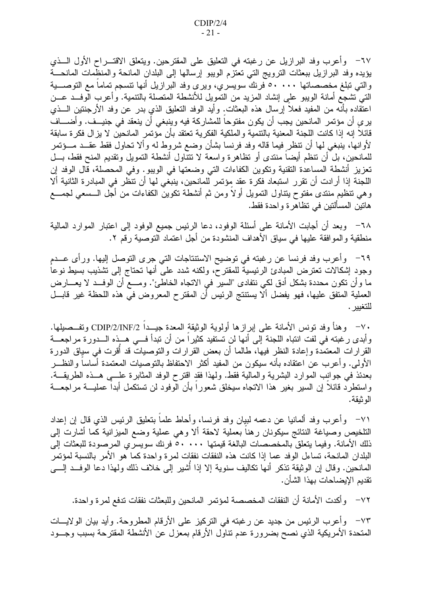٦٧- وأعرب وفد البرازيل عن رغبته في التعليق على المقترحين. ويتعلق الاقتـــراح الأول الـــذي يؤيده وفد البرازيل ببعثات الترويج التي تعتزم الويبو إرسالها إلى البلدان المانحة والمنظمات المانحــة والتي تبلغ مخصصاتها ٥٠٠٠٠ فرنك سويسري، ويرى وفد البرازيل أنها نتسجع تماما مع التوصـــية التـَّى نشجع أمانـة الويبو علـى إنشاد المزيد من النمويل للأنشطـة المنصلـة بالنتميـة. وأعرب الوفـــد عـــن اعتقاده بأنه من المفيد فعلا إرسال هذه البعثات. وأيد الوفد التعليق الذي بدر عن وفد الأرجنتين الـــذي ير ِي أن مؤتمر ِ المانحين يجب أن يكون مفتوحاً للمشاركة فيه وينبغي أن ينعقد في جنيــف. و أضــــاف قالَكً إنه إذا كانت اللجنة المعنية بالتنمية والملكية الفكرية تعتقد بأن مؤتمر المانحين لا يزال فكرة سابقة لأوانها، ينبغي لمها أن نتظر فيما قاله وفد فرنسا بشأن وضع شروط له وألا نحاول فقط عقــد مـــؤتمر للمانحين، بل أن نتظم أيضاً منتدى أو نظاهرة واسعة لا نتتاول أنشطة التمويل ونقديم المنح فقط، بـــل تعزيز أنشطة المساعدة التقنية وتكوين الكفاءات التي وضعتها في الويبو. وفي المحصلة، قال الوفد إن اللجنة إذا أر ادت أن نقرر استبعاد فكرة عقد مؤتمر للمانحين، ينبغي لها أن نتظر في المبادرة الثانية ألا و هي نتظيم منتدى مفتوح يتناول التمويل أولاً ومن ثم أنشطة نكوين الكفاءات من أجل الـــسعى لـجمــــع هانين المسألتين في تظاهرة واحدة فقط.

٦٨– وبعد أن أجابت الأمانة على أسئلة الوفود، دعا الرئيس جميع الوفود إلى اعتبار الموارد المالية منطقية والموافقة عليها في سياق الأهداف المنشودة من أجل اعتماد التوصية رقم ٢.

٦٩– وأعرب وفد فرنسا عن رغبته في توضيح الاستنتاجات التي جرى التوصل إليها. ورأى عـــدم وجود إشكالات تعترض المبادئ الرئيسية للمقترح، ولكنه شدد على أنها تحتاج إلى نشذيب بسيط نوعاً ما وأن نكون محددة بشكل أدق لكي نتفادى "السير في الاتجاه الخاطئ". ومـــع أن الوفــد لا يعـــارض العملية المتفق عليها، فهو يفضل ألا يستنتج الرئيس أن المقترح المعروض في هذه اللحظة غير قابـــل للتغبير .

· ٧- وهنأ وفد نونس الأمانة على إبرازها أولوية الوثيقة المعدة جيــدا CDIP/2/INF/2 وتفــصليلها. وأبدى رغبته في لفت انتباه اللجنة إلى أنها لن تستفيد كثيراً من أن نبدأ فـــي هـــذه الـــدورة مراجعـــة القرارات المعتمدة وإعادة النظر فيها، طالما أن بعض القرارات والتوصيات قد أقرت في سياق الدورة الأولى. وأعرب عن اعتقاده بأنه سيكون من المفيد أكثر الاحتفاظ بالنوصيات المعتمدة أساسا والنظـــر بعدئذ في جوانب الموارد البشرية والمالية فقط. ولهذا فقد اقترح الوفد المثابرة علـــي هـــذه الطريقـــة. واستطرد قائلا إن السير بغير هذا الاتجاه سيخلق شعورا بأن الوفود لن تستكمل أبدا عمليـــة مراجعـــة الو ثبقة.

٧١− وأعرب وفد ألمانيا عن دعمه لبيان وفد فرنسا، وأحاط علما بنعليق الرئيس الذي قال إن إعداد النلخيص وصبياغة النتائج سيكونان رهناً بعملية لاحقة ألا وهي عملية وضع المبزانية كما أشارت إلىي ذلك الأمانة. وفيما يتعلق بالمخصصات البالغة قيمتها ٥٠٠٠٠ فرنك سويسري المرصودة للبعثات إلى البلدان المانحة، تساءل الوفد عما إذا كانت هذه النفقات نفقات لمرة واحدة كما هو الأمر بالنسبة لمؤتمر المانحين. وقال إن الوثيقة تذكر أنها تكاليف سنوية إلا إذا أشير إلى خلاف ذلك ولهذا دعا الوفــد إلـــي نقديم الإيضاحات بهذا الشأن.

٧٢– وأكدت الأمانة أن النفقات المخصصة لمؤتمر المانحين وللبعثات نفقات تدفع لمرة واحدة.

٧٣– وأعرب الرئيس من جديد عن رغبته في التركيز على الأرقام المطروحة. وأيد بيان الولايـــات المتحدة الأمريكية الذي نصح بضرورة عدم تناول الأرقام بمعزل عن الأنشطة المقترحة بسبب وجـــود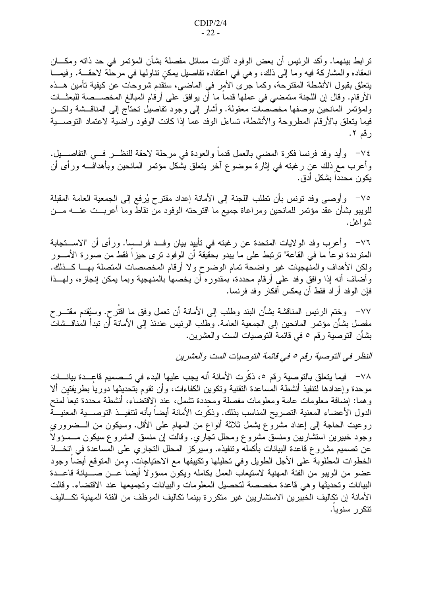ترابط بينهما. وأكد الرئيس أن بعض الوفود أثارت مسائل مفصلة بشأن المؤتمر في حد ذاته ومكـــان انعقاده والمشاركة فيه وما إلى ذلك، وهي في اعتقاده نفاصيل يمكن نتاولها في مرحلة لاحقـــة. وفيمـــا يتعلق بقبول الأنشطة المقترحة، وكما جرى الأمر في الماضي، ستُقدم شروحات عن كيفية تأمين هــذه الأرقام. وقال إن اللجنة ستمضي في عملها قدماً ما أن يوافق على أرقام المبالغ المخصـــصـة للبعثـــات ولمؤتمر المانحين بوصفها مخصصات معقولة. وأشار إلى وجود تفاصيل تحتاج إلىي المناقسشة ولكـــن فيما يتعلق بالأرقام المطروحة والأنشطة، تساءل الوفد عما إذا كانت الوفود راضية لاعتماد التوصــــية رقم ۲.

٧٤– وأيد وفد فرنسا فكرة المضبي بالعمل قدما والعودة في مرحلة لاحقة للنظـــر فـــي التفاصــــيل. وأعرب مع ذلك عن رغبته في إثارة موضوع أخر يتعلق بشكل مؤتمر المانحين وبأهدافـــه ورأى أن يكون محددا بشكل أدق.

٧٥– وأوصبي وفد نونس بأن نطلب اللجنة إلى الأمانة إعداد مقترح يُرفع إلى الجمعية العامة المقبلة للويبو بشأن عقد مؤتمر للمانحين ومراعاة جميع ما اقترحته الوفود من نقاط وما أعربــت عنــــه مـــن شواغل.

٧٦— وأعرب وفد الولايات المتحدة عن رغبته في تأييد بيان وفــد فرنــسا. ورأى أن "الاســـتجابة المتر ددة نوعاً ما في القاعة" ترتبط على ما يبدو بحقيقة أن الوفود ترى حيزاً فقط من صورة الأمـــور ولكن الأهداف والمنهجيات غير واضحة تمام الوضوح ولا أرقام المخصصات المتصلة بهـــا كـــذلك. وأضاف أنه إذا وافق وفد على أرقام محددة، بمقدوره أن يخصها بالمنهجية وبما يمكن إنجازه، ولمهــذا فإن الو فد أر اد فقط أن يعكس أفكار و فد فر نسا.

٧٧– وختم الرئيس المناقشة بشأن البند وطلب إلى الأمانة أن تعمل وفق ما اقتُرح. وسيُقدم مقتـــرح مفصل بشأن مؤتمر المانحين إلى الجمعية العامة. وطلب الرئيس عندئذ إلى الأمانة أن تبدأ المناقــشات بشأن النوصية رقم ٥ في قائمة النوصيات الست والعشرين.

النظر في التوصية رقم ٥ في قائمة التوصيات الست والعشرين

٧٨ – فيما يتعلق بالتوصية رقم ٥، ذكَّرت الأمانة أنه يجب عليها البدء في تــصميم قاعـــدة بيانـــات موحدة وإعدادها لنتفيذ أنشطة المساعدة النقنية ونكوين الكفاءات، وأن نقوم بتحديثها دورياً بطريقتين ألا وهما: إضافة معلومات عامة ومعلومات مفصلة ومحددة نشمل، عند الاقتضاء، أنشطة محددة تبعاً لمنح الدول الأعضاء المعنية التصريح المناسب بذلك. وذكَّرت الأمانة أيضاً بأنه لتنفيــذ التوصـــية المعنيـــة روعيت الحاجة إلى إعداد مشروع بشمل ثلاثة أنواع من المهام على الأقل. وسيكون من الــضروري وجود خبيرين استشاريين ومنسق مشروع ومحلل تجاري. وقالت إن منسق المشروع سيكون مـــسؤولا عن نصميم مشروع قاعدة البيانات بأكمله ونتفيذه. وسيركز المحلل النجاري على المساعدة في اتخـــاذ الخطوات المطلوبة على الأجل الطويل وفي تحليلها وتكييفها مع الاحتياجات. ومن المتوقع أيضا وجود عضو من الويبو من الفئة المهنية لاستيعاب العمل بكامله ويكون مسؤولا أيضا عـــن صــــيانـة قاعــــدة البيانات وتحديثها وهي قاعدة مخصصة لتحصيل المعلومات والبيانات وتجميعها عند الاقتضاء. وقالت الأمانة إن تكاليف الخبيرين الاستشاريين غير متكررة بينما تكاليف الموظف من الفئة المهنية تكـــاليف نتكرر سنوبا.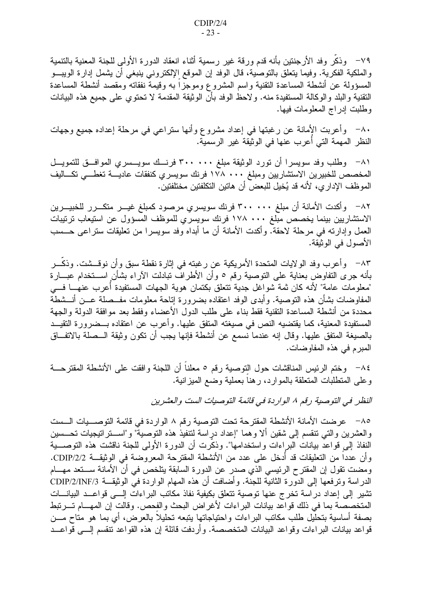٧٩– وذكَّر وفد الأرجنتين بأنه قدم ورقة غير رسمية أثناء انعقاد الدورة الأولى للجنة المعنية بالتنمية والملكية الفكرية. وفيما يتعلق بالتوصية، قال الوفد إن الموقع الإلكتروني ينبغي أن يشمل إدارة الويبـــو المسؤولة عن أنشطة المساعدة التقنية واسم المشروع وموجزا به وقيمة نفقاته ومقصد أنشطة المساعدة النقنية والبلد والوكالة المستفيدة منه. ولاحظ الوفد بأن الوثيقة المقدمة لا تحتوي على جميع هذه البيانات وطلبت إدراج المعلومات فيها.

٨٠– وأعربت الأمانة عن رغبتها في إعداد مشروع وأنها ستراعى في مرحلة إعداده جميع وجهات النظر المهمة التي أعرب عنها في الوثيقة غير الرسمية.

٨١− وطلب وفد سويسرا أن نورد الوثيقة مبلغ ٣٠٠ · ٣٠٠ فرنــك سويـــسري الموافـــق للتمويـــل المخصص للخبيرين الاستشاريين ومبلغ ١٧٨ ٠٠٠ فرنك سويسرى كنفقات عاديسة تغطسي تكساليف الموظف الإدار ي، لأنه قد يُخيل للبعض أن هاتين التكلفتين مختلفتين.

٨٢– وأكدت الأمانة أن مبلغ ٣٠٠ ٣٠٠ فرنك سويسري مرصود كمبلغ غيـــر متكـــرر للخبيـــرين الاستشاريين بينما يخصص مبلغ ١٧٨ ٠٠٠ فرنك سويسري للموظف المسؤول عن استيعاب ترتيبات العمل وإدارته في مرحلة لاحقةً. وأكدت الأمانة أن ما أبداه وفد سويسرا من تعليقات ستراعى حـــسب الأصول في الوثيقة.

٨٣ - وأعرب وفد الولايات المتحدة الأمريكية عن رغبته في إثارة نقطة سبق وأن نوقـــشت. وذكـــر بأنه جرى التفاوض بعناية على التوصية رقم ٥ وأن الأطراف نبادلت الآراء بشأن اســـتخدام عبـــارة "معلومات عامة" لأنه كان ثمة شواغل جدية نتعلق بكتمان هوية الجهات المستفيدة أعرب عنهـــا فـــي المفاوضات بشأن هذه التوصية. وأبدى الوفد اعتقاده بضرورة إتاحة معلومات مفــصلة عـــن أنـــشطة محددة من أنشطة المساعدة النقنية فقط بناء على طلب الدول الأعضاء وفقط بعد موافقة الدولة والجهة المستفيدة المعنية، كما يقتضيه النص في صيغته المتفق عليها. وأعرب عن اعتقاده بـــضرورة التقيـــد بالصيغة المتفق عليها. وقال إنه عندما نسمع عن أنشطة فإنها يجب أن نكون وثيقة الـــصلة بالاتفـــاق المبرم في هذه المفاوضات.

٨٤– وختم الرئيس المناقشات حول التوصية رقم ٥ معلنا أن اللجنة وافقت على الأنشطة المقترحـــة وعلى المنطلبات المنعلقة بالموارد، رهنا بعملية وضع الميزانية.

النظر في التوصية رقم ٨ الواردة في قائمة التوصيات الست والعشرين

٨٥– عرضت الأمانة الأنشطة المقترحة تحت التوصية رقم ٨ الواردة في قائمة التوصـــيات الـــست والعشرين والتبي نتقسم إلىي شقين ألا وهما "إعداد دراسة لتنفيذ هذه التوصية" و"اســـنرانتيجيات تحـــسين النفاذ إلى قواعد بيانات البراءات واستخدامها". وذكرت أن الدورة الأولى للجنة ناقشت هذه التوصــــية وأن عدداً من التعليقات قد أدخل على عدد من الأنشطة المقترحة المعروضة في الوثيقـــة CDIP/2/2. ومضت نقول إن المقترح الرئيسي الذي صدر عن الدورة السابقة يتلخص في أن الأمانة ســـتعد مهـــام الدراسة ونرفعها إلى الدورة الثانية للجنة. وأضافت أن هذه المهام الواردة في الوثيقـــة CDIP/2/INF/3 تشير إلى إعداد دراسة تخرج عنها توصية تتعلق بكيفية نفاذ مكاتب البراءات إلـــى قواعــد البيانـــات المتخصصة بما في ذلك قواعد بيانات البراءات لأغراض البحث والفحص. وقالت إن المهـــام تــــرتبط بصفة أساسية بتحليل طلب مكاتب البر اءات واحتياجاتها يتبعه تحليلا بالعرض، أي بما هو متاح مـــن قواعد بيانات البراءات وقواعد البيانات المتخصصة. وأردفت قائلة إن هذه القواعد تنقسم إلـــي قواعـــد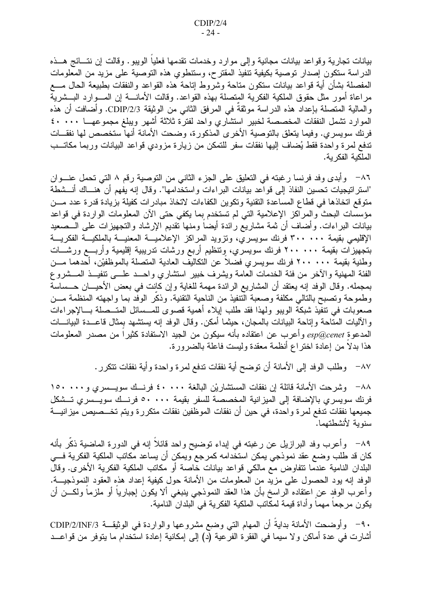بيانات تجارية وقواعد بيانات مجانية وإلى موارد وخدمات تقدمها فعلياً الويبو. وقالت إن نتسائج هسذه الدراسة ستكون إصدار نوصية بكيفية تنفيذ المقترح، وستنطوي هذه التوصية على مزيد من المعلومات المفصلة بشأن أية قواعد بيانات ستكون متاحة وشروط إتاحة هذه القواعد والنفقات بطبيعة الحال مسع مراعاة أمور مثل حقوق الملكية الفكرية المتصلة بهذه القواعد. وقالت الأمانــــة إن المــــوارد البـــشرية والمالية المتصلة بإعداد هذه الدراسة موثقة في المرفق الثاني من الوثيقة CDIP/2/3. وأضافت أن هذه الموارد نشمل النفقات المخصصة لخبير استشاري واحد لفترة ثلاثة أشهر ويبلغ مجموعهـــا ٤٠٠٠٠ ٤٠ فرنك سويسري. وفيما يتعلق بالتوصية الأخرى المذكورة، وضحت الأمانة أنها ستخصص لها نفقـــات تدفع لمرة واحدة فقط يُضاف إليها نفقات سفر للتمكن من زيارة مزودي قواعد البيانات وربما مكاتــب الملكية الفكر ية.

٨٦- وأبدى وفد فرنسا رغبته في التعليق على الجزء الثاني من التوصية رقم ٨ التي تحمل عنـــوان "استراتيجيات تحسين النفاذ إلى قواعد بيانات البراءات واستخدامها". وقال إنه يفهم أن هنـــاك أنـــشطة متوقع اتخاذها في قطاع المساعدة التقنية وتكوين الكفاءات لاتخاذ مبادرات كفيلة بزيادة قدرة عدد مـــن مؤسسات البحث والمراكز الإعلامية التي لم تستخدم بما يكفي حتى الآن المعلومات الواردة في قواعد بيانات البراءات. وأضاف أن ثمة مشاريع رائدة أيضا ومنها نقديم الإرشاد والنجهيزات على الـــصعيد الإقليمي بقيمة ٣٠٠ ٠٠٠ فرنك سويسري، ونزويد المراكز الإعلاميــة المعنيــة بالملكيــة الفكريـــة بتجهيزات بقيمة ٢٠٠ ٠٠٠ فرنك سويسري، وتنظيم أربع ورشات تدريبية إقليمية وأربـــع ورشـــات وطنية بقيمة ٢٠٠ ٠٠٠ فرنك سويسري فضلاً عن النكاليف العادية المتصلة بالموظفيْن، أحدهما مـــن الفئة المهنية والأخر من فئة الخدمات العامة ويشرف خبير استشاري واحــد علـــي نتفيــذ المـــشروع بمجمله. وقال الوفد إنه يعتقد أن المشاريع الرائدة مهمة للغاية وإن كانت في بعض الأحيـــان حـــساسة وطموحة وتصبح بالنالي مكلفة وصعبة التتفيذ من الناحية التقنية. وذكَّر الوفَّد بما واجهته المنظمة مـــن صعوبات في تنفيذ شبكة الويبو ولهذا فقد طلب إيلاء أهمية قصوى للمــسائل المتــصلة بـــالإجراءات والآليات المتَّاحة وإتاحة البيانات بالمجان، حيثما أمكن. وقال الوفد إنه يستشهد بمثال قاعــدة البيانـــات المدعوة esp@cenet وأعرب عن اعتقاده بأنه سيكون من الجيد الاستفادة كثيرا من مصدر المعلومات هذا بدلاً من إعادة اختراع أنظمة معقدة وليست فاعلة بالضرورة.

٨٧ - وطلب الوفد إلى الأمانة أن توضح أية نفقات ندفع لمرة واحدة وأية نفقات نتكرر .

٨٨– وشرحت الأمانة قائلة إن نفقات المستشاريْن البالغة ٤٠٠٠٠ فرنسك سويسسري و١٥٠٠٠٠ فرنك سويسري بالإضافة إلى الميزانية المخصصة للسفر بقيمة ٥٠ ٠٠٠ فرنسك سويسسري تسشكل جميعها نفقات تدفع لمرة واحدة، في حين أن نفقات الموظفين نفقات متكررة ويتم تخـــصيص ميز انيــــة سنوية لأنشطتهما.

٨٩– وأعرب وفد البرازيل عن رغبته في إبداء نوضيح واحد قائلا إنه في الدورة الماضية ذكر بأنه كان قد طلب وضع عقد نموذجي يمكن استخدامه كمرجع ويمكن أن يساعد مكاتب الملكية الفكرية فــــى البلدان النامية عندما نتفاوض مع مالكي قواعد بيانات خاصة أو مكاتب الملكية الفكرية الأخرى. وقال الوفد إنه يود الحصول على مزيد من المعلومات من الأمانة حول كيفية إعداد هذه العقود النموذجيـــة. وأعرب الوفد عن اعتقاده الراسخ بأن هذا العقد النموذجي ينبغي ألا يكون إجبارياً أو ملزماً ولكـــن أن يكون مرجعاً مهماً وأداة قيمة لمكاتب الملكية الفكرية في البلدان النامية.

+ 9− وأوضحت الأمانة بداية أن المهام التي وضبع مشروعها والواردة في الوثيقـــة CDIP/2/INF/3 أشارت في عدة أماكن و لا سيما في الفقر ة الفر عية (د) إلى إمكانية إعادة استخدام ما يتوفر من قواعــد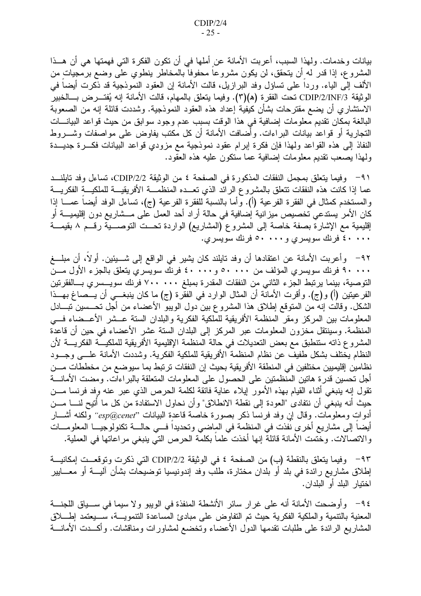بيانات وخدمات. ولهذا السبب، أعربت الأمانة عن أملها في أن نكون الفكرة التي فهمتها هي أن هــذا المشروع، إذا قدر له أن يتحقق، لن يكون مشروعا محفوفا بالمخاطر ينطوي على وضع برمجيات من الألف إلى الياء. وردا على تساؤل وفد البرازيل، قالت الأمانة إن العقود النموذجية قد ذكرت أيضا في الوثيقة CDIP/2/INF/3 تحت الفقرة (ه)(٣). وفيما يتعلق بالمهام، قالت الأمانة إنه يُفتـــرض بــــالخبير الاستشار ي أن يضع مقترحات بشأن كيفية إعداد هذه العقود النموذجية. وشددت قائلة إنه من الصعوبة البالغة بمكان تقديم معلومات إضافية في هذا الوقت بسبب عدم وجود سوابق من حيث قواعد البيانـــات النجارية أو قواعد بيانات البراءات. وأُضافت الأمانة أن كل مكتب يفاوض على مواصفات وشـــروط النفاذ إلى هذه القواعد ولهذا فإن فكرة إبرام عقود نموذجية مع مزودي قواعد البيانات فكـــرة جديـــدة ولهذا يصعب نقديم معلومات إضافية عما سنكون عليه هذه العقود.

11− وفيما يتعلق بمجمل النفقات المذكورة في الصفحة ٤ من الوثيقة CDIP/2/2، تساءل وفد تايلنــد عما إذا كانت هذه النفقات نتعلق بالمشروع الرائد الذي تعـــده المنظمـــة الأفريقيــــة للملكيـــة الفكريــــة والمستخدم كمثال في الفقرة الفرعية (أ). وأما بالنسبة للفقرة الفرعية (ج)، تساءل الوفد أيضاً عمـــا إذا كان الأمر يستدعي تخصيص ميز انية إضافية في حالة أر اد أحد العمل على مـــشاريع دون إقليميــــة أو إقليمية مع الإشارة بصفة خاصة إلى المشروع (المشاريع) الواردة تحــت التوصـــية رقــم ٨ بقيمـــة ۰۰۰ ۶۰ فرنك سويسري و ۰۰۰ ۵۰ فرنك سويسري.

٩٢– وأعربت الأمانة عن اعتقادها أن وفد تايلند كان يشير في الواقع إلى شـــيئين. أولا، أن مبلـــغ ٩٠٠٠٠ فرنك سويسري المؤلف من ٥٠٠٠٠ و٤٠٠٠٠ فرنك سويسري يتعلق بالجزء الأول مـــن التوصية، بينما يرتبط الجزء الثاني من النفقات المقدر ة بمبلغ ٧٠٠ ٢٠٠ فرنك سويـــسر ي بـــالفقر تين الفرعيتين (أ) و(ج). وأقرت الأمانَّة أن المثال الوارد في الفقَّرة (ج) ما كان ينبغـــي أن يـــصـاغ بهـــذا الشكل. وقالت إنه من المتوقع إطلاق هذا المشروع بين دول الويبو الأعضاء من أجل تحـــسين تبــــادل المعلومات بين المركز ومقر المنظمة الأفريقية للملكية الفكرية والبلدان السنة عـــشر الأعـــضـاء فـــي المنظمة. وسينتقل مخزون المعلومات عبر المركز إلى البلدان الستة عشر الأعضاء في حين أن قاعدة المشروع ذاته ستنطبق مع بعض التعديلات في حالة المنظمة الإقليمية الأفريقية للملكيــــة الفكريــــة لأن النظام يختلف بشكل طفيف عن نظام المنظمة الأفريقية للملكية الفكرية. وشددت الأمانة علـــي وجـــود نظامين إقليميين مختلفين في المنطقة الأفريقية بحيث إن النفقات ترتبط بما سيوضع من مخططات مـــن أجل تحسين قدر ة هاتين المنظمتين على الحصول على المعلومات المتعلقة بالبر اءات. ومضت الأمانــــة تقول إنه ينبغي أثناء القيام بهذه الأمور إيلاء عناية فائقة لكلمة الحرص الذي عبر عنه وفد فرنسا مـــن حيث أنه ينبغي أن نتفادى "العودة إلى نقطة الانطلاق" وأن نحاول الاستفادة من كل ما أتيح لنــــا مــــن أدوات ومعلومات. وقال إن وفد فرنسا ذكر بصورة خاصة قاعدة البيانات ''esp@cenet'' ولكنه أشـــار أيضا إلى مشاريع أخرى نفذت في المنظمة في الماضي وتحديداً فـــي حالـــة تكنولوجيـــا المعلومـــات والاتصالات. وختمت الأمانة قائلة إنها أخذت علماً بكلمة الحرص التي ينبغي مراعاتها في العملية.

٩٣- وفيما يتعلق بالنقطة (ب) من الصفحة ٤ في الوثيقة 2/2/CDIP التي ذكرت وتوقعــت إمكانيـــة إطلاق مشاريع رائدة في بلد أو بلدان مختارة، طلب وفد إندونيسيا نوضيحات بشأن أليــــة أو معــــايير اختبار البلد أو البلدان.

٩٤– وأوضحت الأمانة أنه على غرار سائر الأنشطة المنفذة في الويبو ولا سيما في ســـياق اللجنـــة المعنية بالنتمية والملكية الفكرية حيث تم التفاوض على مبادئ المساعدة النتمويــة، ســيعتمد إطـــلاق المشاريع الرائدة على طلبات نقدمها الدول الأعضاء وتخضع لمشاورات ومناقشات. وأكــدت الأمانــــة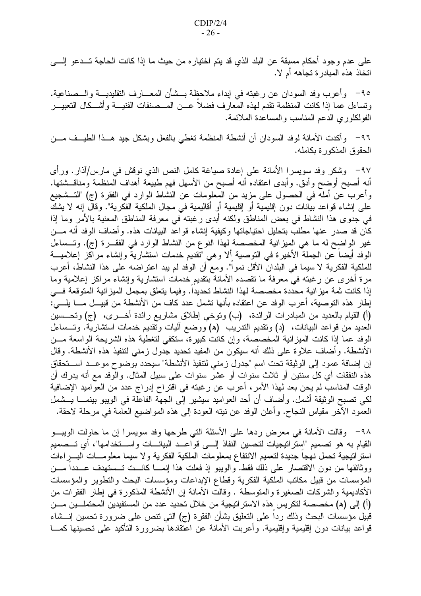على عدم وجود أحكام مسبقة عن البلد الذي قد يتم اختيار ه من حيث ما إذا كانت الحاجة تـــدعو إلــــي اتخاذ هذه المبادر ة تجاهه أم لا.

٩٥- وأعرب وفد السودان عن رغبته في إبداء ملاحظة بـــشأن المعـــارف النقليديــــة والـــصناعية. ونساءل عما إذا كانت المنظمة نقدم لهذه المعارف فضلاً عــن المــصنفات الفنيـــة وأشـــكال النعبيـــر الفولكلوري الدعم المناسب والمساعدة الملائمة.

٩٦– وأكدت الأمانة لوفد السودان أن أنشطة المنظمة نغطي بالفعل وبشكل جيد هــذا الطيــف مـــن الحقوق المذكور ة بكامله.

٩٧– وشكر وفد سويسرا الأمانة على إعادة صياغة كامل النص الذي نوقش في مارس/آذار . ورأى أنه أصبح أوضح وأدق. وأبدى اعتقاده أنه أصبح من الأسهل فهم طبيعة أهداف المنظمة ومناقـــشتها. وأعرب عن أمله في الحصول على مزيد من المعلومات عن النشاط الوارد في الفقرة (ج) "التـــشجيع على إنشاء قواعد بيانات دون إقليمية أو إقليمية أو أقاليمية في مجال الملكية الفكرية". وقال إنه لا يشكّ في جدوى هذا النشاط في بعض المناطق ولكنه أبدى رغبته في معرفة المناطق المعنية بالأمر وما إذا كان قد صدر عنها مطلب بتحليل احتياجاتها وكيفية إنشاء قواعد البيانات هذه. وأضاف الوفد أنه مـــن غير الواضح له ما هي الميزانية المخصصة لهذا النوع من النشاط الوارد في الفقـــرة (ج). وتـــساءل الوفْد أيضاً عن الجملة الأخيرة في التوصية ألا وهي "تقديم خدمات استشارية وإنشاء مراكز إعلاميـــة للملكية الفكرية لا سيما في البلدان الأقل نموا". ومع أن الوفد لم يبد اعتراضه على هذا النشاط، أعرب مرة أخرى عن رغبته في معرفة ما نقصده الأمانة بتقديم خدمات استشارية وإنشاء مراكز إعلامية وما إذا كانت ثمة ميز انية محددة مخصصة لهذا النشاط تحديداً. وفيما يتعلق بمجمل الميز انية المتوقعة فسي إطار هذه التوصية، أعرب الوفد عن اعتقاده بأنها تشمل عدد كاف من الأنشطة من قبيـــل مــــا يلــــي: (أ) القيام بالعديد من المبادرات الرائدة، (ب) ونوخي إطلاق مشاريع رائدة أخــــري، (ج) وتحــــسين العديد من قواعد البيانات، (د) ونقديم الندريب (۵) ووضع أليات ونقديم خدمات استشارية. وتـــساءل الوفد عما إذا كانت الميزانية المخصصة، وإن كانت كبيرة، ستكفي لتغطية هذه الشريحة الواسعة مـــن الأنشطة. وأضاف علاوة على ذلك أنه سيكون من المفيد تحديد جدول زمني لتنفيذ هذه الأنشطة. وقال إن إضافة عمود إلى الوثيقة تحت اسم "جدول زمني لتتفيذ الأنشطة" سيحدد بوضوح موعــد اســـتحقاق هذه النفقات أي كل سنتين أو ثلاث سنوات أو عشر سنوات على سبيل المثال. والوفد مع أنه يدرك أن الوقت المناسب لم يحن بعد لهذا الأمر، أعرب عن رغبته في اقتراح إدراج عدد من العواميد الإضافية لكي تصبح الوثيقة أشمل. وأضاف أن أحد العواميد سيشير إلى الجهة الفاعلة في الويبو بينمـــا يـــشمل العمود الآخر مقياس النجاح. وأعلن الوفد عن نيته العودة إلى هذه المواضيع العامة في مرحلة لاحقة.

٩٨– وقالت الأمانة في معرض ردها على الأسئلة التي طرحها وفد سويسرا إن ما حاولت الويبـــو القيام به هو تصميم "استراتيجيات لتحسين النفاذ إلـــي قواعـــد البيانــــات واســـتخدامها"، أي تـــصميم استر اتيجية تحمل نهجاً جديدة لتعميم الانتفاع بمعلومات الملكية الفكرية ولا سيما معلومـــات البــــراءات ووثائقها من دون الاقتصار على ذلك فقط. والويبو إذ فعلت هذا إنمـــا كانـــت تـــستهدف عـــددا مـــن المؤسسات من قبيل مكانب الملكية الفكرية وقطاع الإبداعات ومؤسسات البحث والنطوير والمؤسسات الأكاديمية والشركات الصغيرة والمتوسطة . وقالت الأمانة إن الأنشطة المذكورة في إطار الفقرات من (أ) إلى (ﻫ) مخصصة لتكريس هذه الاستر اتيجية من خلال تحديد عدد من المستفيدين المحتملـــين مـــن قبيل مؤسسات البحث وذلك رداً على التعليق بشأن الفقرة (ج) التي نتص على ضرورة تحسين إنـــشاء قواعد بيانات دون إقليمية وإقليمية. وأعربت الأمانة عن اعتقادها بضرورة التأكيد على تحسينها كمـــا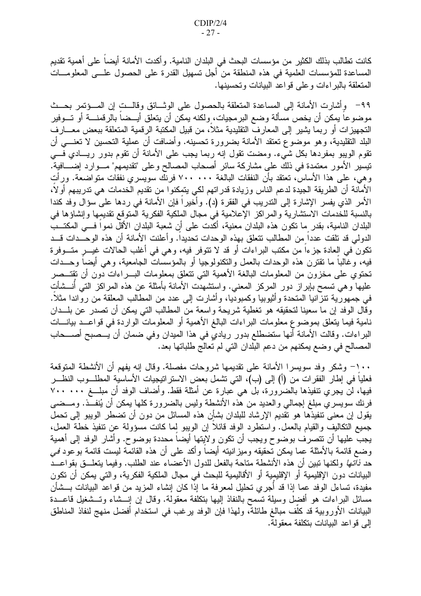كانت نطالب بذلك الكثير من مؤسسات البحث في البلدان النامية. وأكدت الأمانة أيضاً على أهمية نقديم المساعدة للمؤسسات العلمية في هذه المنطقة من أجل تسهيل القدرة على الحصول علـــي المعلومـــات المتعلقة بالبراءات وعلى قواعد البيانات وتحسينها.

٩٩– وأشارت الأمانة إلى المساعدة المتعلقة بالحصول على الوثـــائق وقالــت إن المـــؤتمر بحـــث موضوعا يمكن أن يخص مسألة وضع البرمجيات، ولكنه يمكن أن يتعلق أيـــضا بالرقمنــــة أو تــــوفير التجهيزات أو ربما يشير إلى المعارف التقليدية مثلاً، من قبيل المكتبة الرقمية المتعلقة ببعض معـــارف البلد التقليدية، وهو موضوع تعتقد الأمانة بضرورة تحسينه. وأضافت أن عملية التحسين لا تعنـــي أن نقوم الويبو بمفردها بكل شيء. ومضت نقول إنه ربما يجب على الأمانة أن نقوم بدور ريـــادي فـــي نيسير الأمور معتمدة في ذلك على مشاركة سائر أصحاب المصالح وعلى "تقديمهم" مـــوارد إضــــافية. وهي، على هذا الأساس، تعتقد بأن النفقات البالغة ٧٠٠ . ٧٠٠ فرنك سويسري نفقات متواضعة. ورأت الأمانة أن الطريقة الجيدة لدعم الناس وزيادة قدراتهم لكي يتمكنوا من تقديم الخدمات هي تدريبهم أولا، الأمر الذي يفسر الإشارة إلى الندريب في الفقرة (د). وأخيراً فإن الأمانة في ردها على سؤال وفد كندا بالنسبة للخدمات الاستشارية والمراكز الإعلامية في مجال الملكية الفكرية المتوقع تقديمها وإنشاؤها في البلدان النامية، بقدر ما نكون هذه البلدان معنية، أكدت على أن شعبة البلدان الأقل نموا فـــي المكتـــب الدولي قد تلقت عدداً من المطالب تتعلق بهذه الوحدات تحديداً. وأعلنت الأمانة أن هذه الوحــدات قـــد تكون في العادة جزءا من مكتب البراءات أو قد لا تتوفر فيه، وهي في أغلب الحالات غيـــر متـــوفرة فيه، وغالبًا ما نقترن هذه الوحدات بالعمل والتكنولوجيا أو بالمؤسسات الجامعية، وهي أيضا وحــدات تحتوي على مخزون من المعلومات البالغة الأهمية التي تتعلق بمعلومات البـــراءات دون أن تقتـــصر عليها وهي تسمح بإبراز دور المركز المعنى. واستشهدت الأمانة بأمثلة عن هذه المراكز التبي أنـــشأت في جمهورية نتزانيا المتحدة وأثيوبيا وكمبوديا، وأشارت إلى عدد من المطالب المعلقة من رواندا مثلاً. وقال الوفد إن ما سعينا لتحقيقه هو تغطية شريحة واسعة من المطالب التي يمكن أن تصدر عن بلـــدان نامية فيما يتعلق بموضوع معلومات البراءات البالغ الأهمية أو المعلومات الواردة في قواعــد بيانـــات البراءات. وقالت الأمانة أنها ستضطلع بدور ريادي في هذا الميدان وفي ضمان أن يـــصبح أصــــحاب المصـالـح في وضـع يمكنـهم من دعم البلدان التـي لم تعالـج طلباتها بـعد.

١٠٠– وشكر وفد سويسرا الأمانة على تقديمها شروحات مفصلة. وقال إنه يفهم أن الأنشطة المتوقعة فعلياً في إطار الفقرات من (أ) إلى (ب)، التي نشمل بعض الاستر انيجيات الأساسية المطلـــوب النظــــر فيها، لن يجري نتفيذها بالضرورة، بل هي عبارة عن أمثلة فقط. وأضاف الوفد أن مبلـــغ ٧٠٠ ٧٠٠ فرنك سويسري مبلغ إجمالـي والعديد من هذه الأنشطة وليس بالضرورة كلـها يمكن أن يُنفــذ. ومـــضـي يقول إن معنى تنفيذها هو تقديم الإرشاد للبلدان بشأن هذه المسائل من دون أن تضطر الويبو إلى تحمل جميع التكاليف والقيام بالعمل. واستطرد الوفد قائلا إن الويبو لما كانت مسؤولة عن نتفيذ خطة العمل، يجب عليها أن نتصرف بوضوح ويجب أن نكون ولايِتها أيضاً محددة بوضوح. وأشار الوفد إلىي أهمية وضع قائمة بالأمثلة عما يمكن تحقيقه وميزانيته أيضاً وأكد على أن هذه القائمة ليست قائمة بوعود فـي حد *ذاتها و*لكنها نبين أن هذه الأنشطة متاحة بالفعل للدول الأعضاء عند الطلب. وفيما يتعلـــق بقواعـــد البيانات دون الإقليمية أو الإقليمِية أو الأقاليمية للبحث في مجال الملكية الفكرية، والتي يمكن أن تكون مفيدة، تساءل الوفد عما إذا قد أُجري تحليل لمعرفة ما إذا كان إنشاء المزيد من قواعد البيانات بـــشأن مسائل البراءات هو أفضل وسيلة نسمح بالنفاذ إليها بتكلفة معقولة. وقال إن إنـــشاء وتـــشغيل قاعـــدة البيانات الأوروبية قد كلُّف مبالغ طائلة، ولهذا فإن الوفد يرغب في استخدام أفضل منهج لنفاذ المناطق إلى قو اعد البيانات بتكلفة معقولة.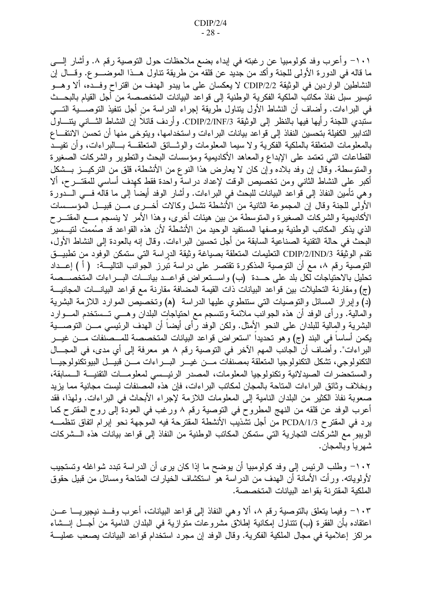١٠١– وأعرب وفد كولومبيا عن رغبته في إبداء بضع ملاحظات حول التوصية رقم ٨. وأشار إلـــي ما قاله في الدورة الأولى للجنة وأكد من جديد عن قلقه من طريقة نتاول هـــذا الموضــــو ع. وقــــال إن النشاطين الواردين في الوثيقة CDIP/2/2 لا يعكسان على ما يبدو الهدف من اقتراح وفــده، ألا وهـــو تيسير سبل نفاذ مكاتب الملكية الفكرية الوطنية إلى قواعد البيانات المتخصصة من أجل القيام بالبحـــث في البراءات. وأضاف أن النشاط الأول يتناول طريقة إجراء الدراسة من أجل تنفيذ التوصـــية النــــي ستبدى اللجنة رأيها فيها بالنظر إلى الوثيقة CDIP/2/INF/3. وأردف قائلاً إن النشاط الثـــاني يتنـــاول الندابير الكفيلة بتحسين النفاذ إلى قواعد بيانات البراءات واستخدامها، ويتوخى منها أن تحسن الانتفـــاع بالمعلومات المتعلقة بالملكية الفكرية ولا سيما المعلومات والوثـــائق المتعلقـــة بـــالبراءات، وأن نفيـــد القطاعات التي تعتمد على الإبداع والمعاهد الأكاديمية ومؤسسات البحث والتطوير والشركات الصغيرة والمنوسطة. وقال إن وفد بلاده وإن كان لا يعارض هذا النوع من الأنشطة، قلق من التركيـــز بـــشكل أكبر ِ علي النشاط الثاني ومن تخصيص الوقت لإعداد در اسة و احدة فقط كهدف أساسي للمقتـــر ح، ألا وهي تأمين النفاذ إلى قواعد البيانات للبحث في البراءات. وأشار الوفد أيضاً إلى ما قاله فـــى الــــدورة الأولى للجنة وقال إن المجموعة الثانية من الأنشطة نشمل وكالات أخـــرى مـــن قبيـــل المؤســـسات الأكاديمية والشركات الصغيرة والمنوسطة من بين هيئات أخرى، وهذا الأمر لا ينسجم مـــع المقتـــر ح الذي يذكر المكاتب الوطنية بوصفها المستفيد الوحيد من الأنشطة لأن هذه القواعد قد صُممت لتيــسير البحث في حالة النقنية الصناعية السابقة من أجل تحسين البراءات. وقال إنه بالعودة إلى النشاط الأول، نقدم الوثيقة CDIP/2/IND/3 التعليمات المتعلقة بصياغة وثيقة الدراسة التي ستمكن الوفود من تطبيــق التوصية رقم ٨، مع أن التوصية المذكورة تقتصر على دراسة تبرز الجوانب التاليـــة: ( أ ) إعـــداد تحليل بالاحتياجات لكل بلد على حــدة (ب) واســتعراض فواعــد بيانـــات البـــراءات المتخصـــصة (ج) ومقارنة التحليلات بين قواعد البيانات ذات القيمة المضافة مقارنة مع قواعد البيانـــات المجانيـــة (د) وإبراز المسائل والتوصيات التي ستنطوي عليها الدراسة (a) وتخصيص الموارد اللازمة البشرية والمالية. ورأى الوفد أن هذه الجوانب ملائمة ونتسجم مع احتياجات البلدان وهـــي تـــستخدم المــــوارد البشرية والمالية للبلدان على النحو الأمثل. ولكن الوفد رأى أيضاً أن الهدف الرئيسي مـــن التوصــــية يكمن أساسا في البند (ج) وهو تحديدا "استعراض قواعد البيانات المتخصصة للمـــصنفات مـــن غيـــر البراءات". وأضاف أن الجانب المهم الآخر في النوصية رقم ٨ هو معرفة إلى أي مدى، في المجـــال النكنولوجي، تشكل التكنولوجيا المتعلقة بمصنفات مسن غيس البسراءات مسن قبيسل البيوتكنولوجيسا والمستحضرات الصبدلانية وتكنولوجيا المعلومات، المصدر الرئيــسى لمعلومــات التقنيـــة الــسابقة، وبخلاف وثائق البراءات المتاحة بالمجان لمكاتب البراءات، فإن هذه المصنفات ليست مجانية مما يزيد صعوبة نفاذ الكثير من البلدان النامية إلى المعلومات اللازمة لإجراء الأبحاث في البراءات. ولهذا، فقد أعرب الوفد عن قلقه من النهج المطروح في النوصية رقم ٨ ورغب في العودة إلى روح المقترح كما يرد في المقتر ح PCDA/1/3 من أجل تشذيب الأنشطة المقترحة فيه الموجهة نحو إبرام اتفاق تنظمــــه الويبو مع الشركات التجارية التي ستمكن المكاتب الوطنية من النفاذ إلى قواعد بيانات هذه الـــشركات شهريا وبالمجان.

١٠٢– وطلب الرئيس إلى وفد كولومبيا أن يوضح ما إذا كان يرى أن الدراسة تبدد شواغله وتستجيب لأولوياته. ورأت الأمانة أن الهدف من الدراسة هو استكشاف الخيارات المتاحة ومسائل من قبيل حقوق الملكية المقترنة بقواعد البيانات المتخصصة.

١٠٣- وفيما يتعلق بالتوصية رقم ٨، ألا وهي النفاذ إلى قواعد البيانات، أعرب وفــد نيجيريـــا عـــن اعتقاده بأن الفقرة (ب) نتتاول إمكانية إطلاق مشروعات متوازية في البلدان النامية من أجـــل إنـــشاء مراكز إعلامية في مجال الملكية الفكرية. وقال الوفد إن مجرد استخدام قواعد البيانات يصعب عمليـــة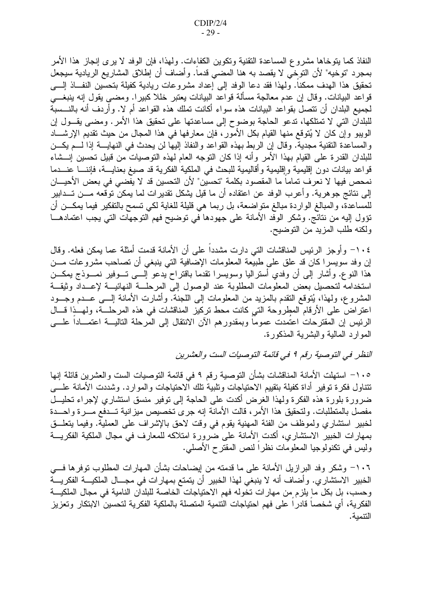النفاذ كما يتوخاها مشروع المساعدة التقنية وتكوين الكفاءات. ولهذا، فإن الوفد لا يرى إنجاز هذا الأمر بمجرد "توخيه" لأن التوخي لا يقصد به هنا المضبي قدما. وأضاف أن إطلاق المشاريع الريادية سيجعل تحقيق هذا الهدف ممكنا. ولهذا فقد دعا الوفد إلى إعداد مشروعات ريادية كفيلة بتحسين النفاذ إلـــى قواعد البيانات. وقال إن عدم معالجة مسألة قواعد البيانات يعتبر خللا كبيرا. ومضىي يقول إنه ينبغـــي لجميع البلدان أن نتصل بقواعد البيانات هذه سواء أكانت نملك هذه القواعد أم لا. وأردف أنه بالنـــسبة للبلدان التي لا تمتلكها، تدعو الحاجة بوضوح إلى مساعدتها على تحقيق هذا الأمر . ومضىي يقــول إن الويبو وإن كان لا يُتوقع منها القيام بكل الأمور، فإن معارفها في هذا المجال من حيث تقديم الإرشـــاد والمساعدة النقنية مجدية. وقال إن الربط بهذه القواعد والنفاذ إليها لن يحدث في النهايــــة إذا لــــم يكــــن للبلدان القدرة على القيام بهذا الأمر وأنه إذا كان التوجه العام لهذه التوصيات من قبيل تحسين إنـــشاء قواعد بيانات دون إقليمية وإقليمية وأقاليمية للبحث في الملكية الفكرية قد صيغ بعنايـــة، فإننــــا عنــــدما نمحص فيها لا نعرف تماما ما المقصود بكلمة "تحسين" لأن التحسين قد لا يفضي في بعض الأحيـــان إلى نتائج جوهرية. وأعرب الوفد عن اعتقاده أن ما قيل يشكل تقديرات لما يمكن توقعه مـــن تـــدابير للمساعدة، والمبالغ الواردة مبالغ متواضعة، بل ربما هي قليلة للغاية لكي تسمح بالتفكير فيما يمكـــن أن نؤول إليه من نتائج. وشكر الوفد الأمانة على جهودها في توضيح فهم التوجهات التي يجب اعتمادهـــا ولكنه طلب المزيد من التوضيح.

١٠٤– وأوجز الرئيس المناقشات التبي دارت مشددا على أن الأمانة قدمت أمثلة عما يمكن فعله. وقال إن وفد سويسرًا كان قد علق على طبيعة المعلومات الإضافية التي ينبغي أن تصاحب مشروعات مـــن هذا النوع. وأشار إلى أن وفدي أستر اليا وسويسر ا تقدما باقتراح يدعو إلــــى تـــوفير نمـــوذج يمكـــن استخدامه لتحصيل بعض المعلومات المطلوبة عند الوصول إلى المرحلة النهائيـــة لإعـــداد وثيقـــة المشروع، ولـهذا، يُتوقع النقدم بالمزيد من المعلومات إلى اللـجنة. وأشارت الأمانـة إلـــي عـــدم وجـــود اعتراض على الأرقام المطروحة التي كانت محط تركيز المناقشات في هذه المرحلـــة، ولمهــذا قـــال الرئيس إن المقترحات اعتمدت عموما وبمقدور هم الآن الانتقال إلى المرحلة التاليــــة اعتمــــادا علــــي المو ار د المالية و البشر بـة المذكور ة.

النظر في التوصية رقم ٩ في قائمة التوصيات الست والعشرين

١٠٥– استهلت الأمانة المناقشات بشأن التوصية رقم ٩ في قائمة التوصيات الست والعشرين قائلة إنها تتناول فكرة توفير أداة كفيلة بتقييم الاحتياجات وتلبية تلك الاحتياجات والموارد. وشددت الأمانة علـــي ضرورة بلورة هذه الفكرة ولمهذا الغرض أكدت على الحاجة إلى توفير منسق استشاري لإجراء تحليـــل مفصل بالمتطلبات. ولتحقيق هذا الأمر، قالت الأمانة إنه جرى تخصيص ميزانية تـــدفع مــــرة واحــــدة لخبير استشاري ولموظف من الفئة المهنية يقوم في وقت لاحق بالإشراف على العملية. وفيما يتعلَّــق بمهارات الخبير الاستشاري، أكدت الأمانة على ضرورة امتلاكه للمعارف في مجال الملكية الفكريـــة وليس في نكنولوجيا المعلومات نظرا لنص المقترح الأصلبي.

١٠٦– وشكر وفد البر ازيل الأمانة على ما قدمته من ايضاحات بشأن المهار ات المطلوب توفر ها فـــي الخبير الاستشاري. وأضاف أنه لا ينبغي لهذا الخبير أن يتمتع بمهارات في مجـــال الملكيــــة الفكريــــة وحسب، بل بكل ما يلزم من مهارات تخوله فهم الاحتياجات الخاصة للبلدان النامية في مجال الملكيـــة الفكرية، أي شخصا قادر ا على فهم احتياجات النتمية المتصلة بالملكية الفكرية لتحسين الابتكار وتعزيز النتمية.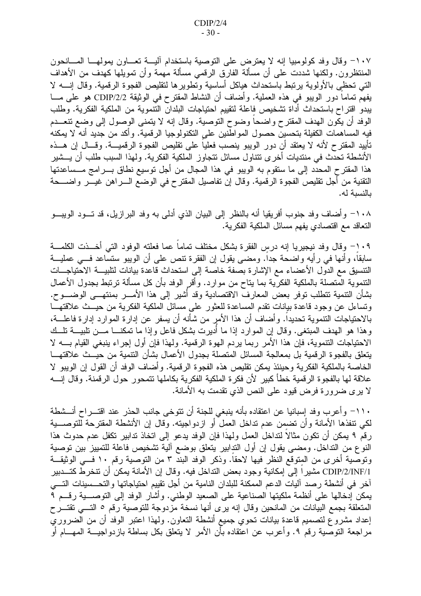١٠٧- وقال وفد كولومبيا إنه لا يعترض على التوصية باستخدام أليسة تعساون يمولهــا المسانحون المنتظرون. ولكنها شددت على أن مسألة الفارق الرقمي مسألة مهمة وأن تمويلها كهدف من الأهداف التي تحظي بالأولوية يرتبط باستحداث هياكل أساسية وتطوير ها لتقليص الفجوة الرقمية. وقال إنسه لا يفهم تماما دور الويبو في هذه العملية. وأضاف أن النشاط المقترح في الوثيقة CDIP/2/2 هو على مـــا يبدو اقتراح باستحداث أداة نشخيص فاعلة لتقييم احتياجات البلدان التنموية من الملكية الفكرية. وطلب الوفد أن يكون الهدف المقترح واضحا وضوح التوصية. وقال إنه لا يتمنى الوصول إلى وضع تنعــدم فيه المساهمات الكفيلة بتحسين حصول المواطنين على التكنولوجيا الرقمية. وأكد من جديد أنه لا يمكنه تأييد المقترح لأنه لا يعتقد أن دور الويبو ينصب فعلياً على نقليص الفجوة الرقميـــة. وقـــال إن هـــذه الأنشطة تحدث في منتديات أخر ي تتناول مسائل تتجاوز الملكية الفكرية. ولهذا السبب طلب أن يـــشير هذا المقترح المحدد إلى ما ستقوم به الويبو في هذا المجال من أجل توسيع نطاق بـــرامج مـــساعدتها النقنية من أجل نقليص الفجوة الرقمية. وقال إن تفاصيل المقترح في الوضع الــــراهن غيــــر واضـــــحة بالنسبة له.

١٠٨– وأضاف وفد جنوب أفريقيا أنه بالنظر إلى البيان الذي أدلى به وفد البرازيل، قد تـــود الويبـــو التعاقد مع اقتصـادي يفهم مسائل الملكية الفكرية.

١٠٩– وقال وفد نيجيريا إنه درس الفقرة بشكل مختلف تماما عما فعلته الوفود التبي أخـــذت الكلمـــة سابقًا، وأنها في رأيه واضحة جدًا. ومضي يقول إن الفقرة نتص على أن الويبو ستساعد فـــي عمليـــة التتسيق مع الدول الأعضاء مع الإشارة بصفة خاصة إلى استحداث قاعدة بيانات لتلبيـــة الاحتياجــــات النتموية المتصلة بالملكية الفكرية بما يتاح من موارد. وأقر الوفد بأن كل مسألة ترتبط بجدول الأعمال بشأن النتمية نتطلب نوفر بعض المعارف الاقتصادية وقد أشير إلى هذا الأمــــر بمنتهــــى الوضــــوح. وتساءل عن وجود قاعدة بيانات تقدم المساعدة للعثور على مسائل الملكية الفكرية من حيــث علاقتهـــا بالاحتياجات النتموية تحديداً. وأضاف أن هذا الأمر من شأنه أن يسفر عن إدارة الموارد إدارة فاعلــــة، وهذا هو الهدف المبتغي. وقال إن الموارد إذا ما أديرت بشكل فاعل وإذا ما تمكنـــا مـــن تلبيـــة تلـــك الاحتياجات التتموية، فإن هذا الأمر ربما يردم الهوة الرقمية. ولهذا فإن أول إجراء ينبغي القيام بــــــه لا يتعلق بالفجوة الرقمية بل بمعالجة المسائل المتصلة بجدول الأعمال بشأن التتمية من حيــث علاقتهـــا الخاصة بالملكية الفكرية وحينئذ يمكن تقليص هذه الفجوة الرقمية. وأضاف الوفد أن القول إن الويبو لا علاقة لها بالفجوة الرقمية خطأ كبير لأن فكرة الملكية الفكرية بكاملها تتمحور حول الرقمنة. وقال إنسه لا يرى ضرورة فرض قيود على النص الذي نقدمت به الأمانة.

١١٠– وأعرب وفد إسبانيا عن اعتقاده بأنه ينبغي للجنة أن تتوخى جانب الحذر عند اقتـــراح أنـــشطة لكي نتفذها الأمانة وأن تضمن عدم نداخل العمل أو ازدواجيته. وقال إن الأنشطة المقترحة للتوصــــية رقم ٩ يمكن أن تكون مثالا لتداخل العمل ولهذا فإن الوفد يدعو إلى اتخاذ تدابير تكفل عدم حدوث هذا النو ع من التداخل. ومضـي يقول إن أول التدابير يتعلق بوضـع آلية تشخيص فاعلة للتمييز بين توصية وتوصية أخرى من المتوقع النظر فيها لاحقا. وذكر الوفد البند ٣ من التوصية رقم ١٠ فــي الوثيقـــة CDIP/2/INF/1 مشيرًا إلى إمكانية وجود بعض التداخل فيه. وقال إن الأمانة يمكن أن تنخرط كتـــدبير آخر في أنشطة رصد أليات الدعم الممكنة للبلدان النامية من أجل تقييم احتياجاتها والتحـــسينات التـــي يمكن إدخالها على أنظمة ملكيتها الصناعية على الصعيد الوطني. وأشار الوفد إلى التوصــــية رقـــم ٩ المتعلقة بجمع البيانات من المانحين وقال إنه يرى أنها نسخة مزدوجة للتوصية رقم ٥ التـــي تقتـــر ح إعداد مشروع لتصميم قاعدة بيانات نحوي جميع أنشطة النعاون. ولهذا اعتبر الوفد أن من الضروري مراجعة التوصية رقم ٩. وأعرب عن اعتقاده بأن الأمر لا يتعلق بكل بساطة بازدواجيـــة المهـــام أو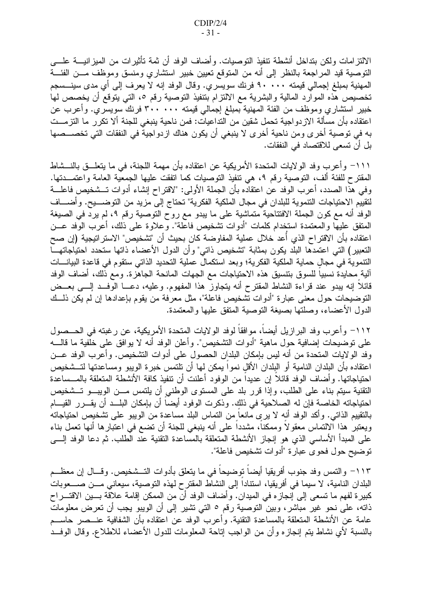الالتزامات ولكن بتداخل أنشطة تنفيذ التوصيات. وأضاف الوفد أن ثمة تأثيرات من الميزانيـــة علــــى النوصية قيد المراجعة بالنظر إلى أنه من المتوقع تعيين خبير استشاري ومنسق وموظف مـــن الفئـــة المهنية بمبلغ إجمالي قيمته ٩٠٠٠٠ فرنك سويسري. وقال الوفد إنه لا يعرف إلى أي مدى سينـــسجم تخصيص هذه الموارد المالية والبشرية مع الالتزام بتنفيذ التوصية رقم ٥، التي يتوقع أن يخصص لها خبير استشاري وموظف من الفئة المهنية بمبلغ إجمالي قيمته ٣٠٠ ٠٠٠ فرنك سويسري. وأعرب عن اعتقاده بأن مسألة الازدواجية تحمل شقين من التداعيات: فمن ناحية ينبغي للجنة ألا تكرر ما التزمـــت به في توصية أخر ى ومن ناحية أخر ى لا ينبغي أن يكون هناك ازدواجية في النفقات التي تخصـــصـها بل أن تسعى للاقتصاد في النفقات.

111 - وأعرب وفد الولايات المتحدة الأمريكية عن اعتقاده بأن مهمة اللجنة، في ما يتعلـــق بالنـــشاط المقترح للفئة ألف، التوصية رقم ٩، هي نتفيذ التوصيات كما انفقت عليها الجمعية العامة واعتمــدتها. وفي هذا الصدد، أعرب الوفد عن اعتقاده بأن الجملة الأولى: "لاقتراح إنشاء أدوات تـــشخيص فاعلــــة لتقييم الاحتياجات التتموية للبلدان في مجال الملكية الفكرية" تحتاج إلى مزيد من التوضــــيح. وأضــــاف الوفد أنه مع كون الجملة الافتتاحية متماشية على ما يبدو مع روح التوصية رقم ٩، لم يرد في الصيغة المتفق عليها والمعتمدة استخدام كلمات "أدوات نشخيص فاعلة". وعلاوة على ذلك، أعرب الوفد عـــن اعتقاده بأن الاقتر اح الذي أعد خلال عملية المفاوضة كان بحيث أن "تشخيص" الاستر اتيجية (إن صح النعبير) التي اعتمدها البلد يكون بمثابة "تشخيص ذاتي" وأن الدول الأعضاء ذاتها ستحدد احتياجاتهـــا النتموية في مجال حماية الملكية الفكرية؛ وبعد استكمال عملية التحديد الذاتي ستقوم في قاعدة البيانـــات آلية محايدة نسبيا للسوق بنتسيق هذه الاحتياجات مع الجهات المانحة الجاهز ة. ومع ذلك، أضاف الوفد قائلاً إنه يبدو عند قراءة النشاط المقترح أنه يتجاوز هذا المفهوم. وعليه، دعـــا الوفــد إلــــى بعــض التوضيحات حول معنى عبارة "أدوات تشخيص فاعلة"، مثل معرفة من يقوم بإعدادها إن لم يكن ذلــك الدول الأعضاء، وصلتها بصيغة التوصية المتفق عليها والمعتمدة.

١١٢– وأعرب وفد البرازيل أيضاً، موافقاً لوفد الولايات المتحدة الأمريكية، عن رغبته في الحـــصول على نوضيحات إضافية حول ماهية "أدوات النشخيص". وأعلن الوفد أنه لا يوافق على خلفية ما قالــــه وفد الولايات المتحدة من أنه ليس بإمكان البلدان الحصول على أدوات التشخيص. وأعرب الوفد عـــن اعتقاده بأن البلدان النامية أو البلدان الأقل نموا يمكن لها أن تلتمس خبرة الويبو ومساعدتها لتـــشخيص احتياجاتها. وأضاف الوفد قائلاً إن عديداً من الوفود أعلنت أن تتفيذ كافة الأنشطة المتعلقة بالمـــساعدة النقنية سيتم بناء على الطلب، وإذا قرر بلد على المستوى الوطني أن يلتمس مـــن الويبـــو تـــشخيص احتياجاته الخاصــة فإن لـه الصـلاحيـة فـي ذلك. وذكرت الوفود أيضـا أن بـإمكان البلـــد أن يقــــرر القيــــام بالنقييم الذاتي. وأكد الوفد أنه لا يرى مانعا من النماس البلد مساعدة من الويبو على نشخيص احتياجاته ويعتبر هذا الالتماس معقولا وممكنا، مشددا على أنه ينبغي للجنة أن نضع في اعتبارها أنها نعمل بناء على المبدأ الأساسي الذي هو إنجاز الأنشطة المتعلقة بالمساعدة التقنية عنَّد الْطلب. ثم دعا الوفد إلــــى نوضيح حول فحوي عبارة "أدوات نشخيص فاعلة".

١١٣– والنمس وفد جنوب أفريقيا أيضاً توضيحاً في ما يتعلق بأدوات التـــشخيص. وقـــال إن معظـــم البلدان النامية، لا سيما في أفريقيا، استنادا إلى النشاط المقترح لـهذه النوصية، سيعانـي مـــن صــــعوبات كبيرة لفهم ما تسعى إلى إنجازه في الميدان. وأضاف الوفد أن من الممكن إقامة علاقة بـــين الاقتـــراح ذاته، على نحو غير مباشر، وبين التوصية رقم ٥ التي تشير إلى أن الويبو يجب أن تعرض معلومات عامة عن الأنشطة المتعلقة بالمساعدة التقنية. وأعرب الوفد عن اعتقاده بأن الشفافية عنـــصـر حاســـم بالنسبة لأي نشاط يتم إنجازه وأن من الواجب إتاحة المعلومات للدول الأعضاء للاطلاع. وقال الوفــد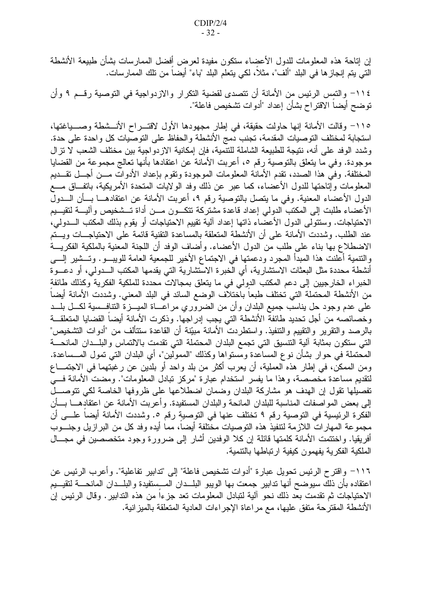إن إتاحة هذه المعلومات للدول الأعضاء ستكون مفيدة لعرض أفضل الممارسات بشأن طبيعة الأنشطة التي يتم إنجاز ها في البلد "ألف"، مثلا، لكي يتعلم البلد "باء" أيضا من تلك الممارسات.

١١٤– والنَّمس الرئيس من الأمانة أن نتصدى لقضية النكر ار والازدواجية في التوصية رقـــم ٩ وأن توضح أيضاً الاقتراح بشأن إعداد "أدوات تشخيص فاعلة".

١١٥– وقالت الأمانة إنها حاولت حقيقة، في إطار مجهودها الأول لاقتـــراح الأنـــشطة وصــــياغتها، استجابة لمختلف التوصيات المقدمة، تجنب دمج الأنشطة والحفاظ على التوصيات كل واحدة على حدة. وشدد الوفد على أنه، نتيجة للطبيعة الشاملة للتنمية، فإن إمكانية الازدواجية بين مختلف الشعب لا تز ال موجودة. وفي ما يتعلَّق بالتوصية رقم ٥، أعربت الأمانة عن اعتقادها بأنها تعالج مجموعة من القضايا المختلفة. وفي هذا الصدد، نقدم الأمانة المعلومات الموجودة ونقوم بإعداد الأدوات مـــن أجـــل نقـــديم المعلومات وإتاحتها للدول الأعضاء، كما عبر عن ذلك وفد الولايات المتحدة الأمريكية، باتفــاق مـــع الدول الأعضاء المعنية. وفي ما يتصل بالتوصية رقم ٩، أعربت الأمانة عن اعتقادهـــا بـــأن الــــدول الأعضاء طلبت إلى المكتب الدولي إعداد قاعدة مشتركة تتكــون مـــن أداة تـــشخيص وآليـــة لتقيـــيم الاحتياجات. وستتولى الدول الأعضاء ذاتها إعداد آلية تقييم الاحتياجات أو يقوم بذلك المكتب الـــدولي، عند الطلب. وشددت الأمانة على أن الأنشطة المتعلقة بالمساعدة النقنية قائمة على الاحتياجـــات ويـــتم الاضطلاع بها بناء على طلب من الدول الأعضاء. وأضاف الوفد أن اللجنة المعنية بالملكية الفكريسة والتنمية أعلنت هذا المبدأ المجرد ودعمتها في الاجتماع الأخير للجمعية العامة للويبـــو. وتـــشير إلــــي أنشطة محددة مثل البعثات الاستشارية، أي الَّخبرة الاسَّتشارية التي يقدمها المكتب الـــدولي، أو دعـــوة الخبراء الخارجيين إلى دعم المكتب الدولي في ما يتعلق بمجالات محددة للملكية الفكرية وكذلك طائفة من الأنشطة المحتملة التي تختلف طبعا باختلاف الوضع السائد في البلد المعنى. وشددت الأمانة أيضا على عدم وجود حل بناسب جميع البلدان وأن من الضروري مراعـــاة الميـــزة النتـافــسية لكـــل بلـــد وخصائصه من أجل تحديد طائفة الأنشطة التي يجب إدراجها. وذكرت الأمانة أيضا القضايا المتعلقـــة بالرصد والنقرير والتقييم والتنفيذ. واستطردت الأمانة مبيّنة أن القاعدة ستتألف من "أدوات التشخيص" التبي ستكون بمثابة ألية التنسيق التبي تجمع البلدان المحتملة التبي نقدمت بالالتماس والبلــدان المانحـــة المحتملة في حوار بشأن نو ع المساعدة ومستواها وكذلك "الممولين"، أي البلدان التي تمول المـــساعدة. ومن الممكن، في إطار هذه العملية، أن يعرب أكثر من بلد واحد أو بلدين عن رغبتهما في الاجتمـــاع لتقديم مساعدة مخصصة، وهذا ما يفسر استخدام عبارة "مركز تبادل المعلومات". ومضت الأمانة فسي تفصيلها تقول إن الهدف هو مشاركة البلدان وضمان اضطلاعها على ظروفها الخاصة لكي نتوصـــل إلى بعض المواصفات المناسبة للبلدان المانحة والبلدان المستفيدة. وأعربت الأمانة عن اعتقادهـــا بـــأن الفكرة الرئيسية في التوصية رقم ٩ تختلف عنها في التوصيةٍ رقم ٥. وشددت الأمانة أيضا علـــى أن مجموعة المهارات اللازمة لتتفيذ هذه التوصيات مختلفة أيضا، مما أيده وفد كل من البرازيل وجنـــوب أفريقيا. واختتمت الأمانة كلمتها قائلة إن كلا الوفدين أشار إلى ضرورة وجود متخصصين في مجـــال الملكية الفكرية يفهمون كيفية ارتباطها بالتنمية.

١١٦– واقترح الرئيس تحويل عبارة "أدوات تشخيص فاعلة" إلى "تدابير تفاعلية". وأعرب الرئيس عن اعتقاده بأن ذلك سيوضح أنها ندابير جمعت بها الويبو البلـــدان المـــستفيدة والبلـــدان المانحــــة لتقيـــيم الاحتياجات ثم تقدمت بعد ذلك نحو ألية لتبادل المعلومات تعد جزءا من هذه التدابير . وقال الرئيس إن الأنشطة المقترحة متفق عليها، مع مر اعاة الإجر اءات العادية المتعلقة بالميز انية.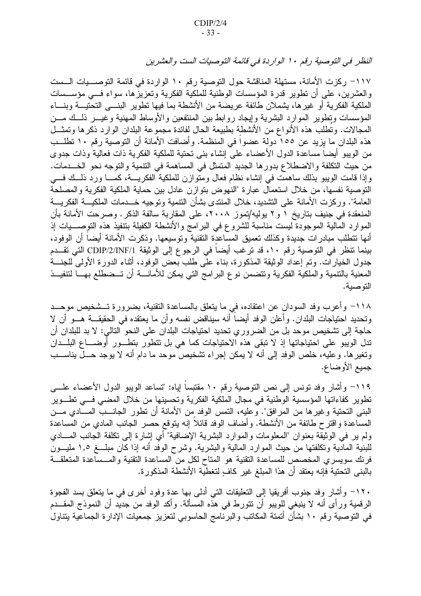النظر في التوصية رقم ١٠ الواردة في قائمة التوصيات الست والعشرين

١١٧– ركزت الأمانة، مستهلة المناقشة حول التوصية رقم ١٠ الواردة في قائمة التوصـــيات الـــست و العشر بن، على أن نطوير ٍ قدرة المؤسسات الوطنية للملكية الفكرية ونعزيز ها، سواء فــــى مؤســـسات الملكية الفكرية أو غيرها، يشملان طائفة عريضة من الأنشطة بما فيها تطوير البنسي التحتيـــة وبنــــاء المؤسسات وتطوير الموارد البشرية وإيجاد روابط بين المنتفعين والأوساط المهنية وغيـــر ذلـــك مـــن المجالات. وتُطلب هذه الأنواع من الأنشطةِ بطبيعة الحال لفائدة مجموعة البلدان الوارد ذكرها وتمثـــل هذه البلدان ما يزيد عن ١٥٥ دولة عضوا في المنظمة. وأضافت الأمانة أن التوصية رقم ١٠ تطلــب من الويبو أيضاً مساعدة الدول الأعضاء علىٌ إنشاء بني تحتية للملكية الفكرية ذات فعالية وذات جدوى من حيث التكلفة والاضطلاع بدور ها الجديد المتمثل في المساهمة في التتمية والتوجه نحو الخـــدمات. وإذا قامت الويبو بذلك ساهمت في إنشاء نظام فعال ومتوازن للملكية الفكريـــة، كمـــا ورد ذلـــك فـــي التوصية نفسها، من خلال استعمال عبارة "النهوض بتوازن عادل بين حماية الملكية الفكرية والمصلحة العامة". وركزت الأمانة على التشديد، خلال المنتدى بشأن النتمية ونوجيه خـــدمات الملكيـــة الفكريــــة المنعقدة في جنيف بتاريخ ١ و ٢ يوليه/تموز ٢٠٠٨، على المقاربة سالفة الذكر . وصرحت الأمانة بأن الموارد المالية الموجودة ليست مناسبة للشروع في البرامج والأنشطة الكفيلة بتنفيذ هذه التوصــــيات إذ أنها نتطلب مبادرات جديدة وكذلك تعميق المساعدة التقنية وتوسيعها. وذكرت الأمانة أيضاً أن الوفود، بينما نتظر في التوصية رقم ١٠، قد ترغب أيضا في الرجوع إلى الوثيقة CDIP/2/INF/1 التي تقــدم جدول الخيارات. وتم إعداد الوثيقة المذكورة، بناء علَّى طلب بعض الوفود، أثناء الدورة الأولى للجنـــة المعنية بالتنمية والملكية الفكرية وتتضمن نوع البر امج التبي يمكن للأمانسة أن تسضطلع بهسا لتنفيــذ التوصية.

11۸ - وأعرب وفد السودان عن اعتقاده، في ما يتعلق بالمساعدة التقنية، بضرورة تـــشخيص موحـــد وتحديد احتياجات البلدان. وأعلن الوفد أيضاً أنه سيناقض نفسه وأن ما يعتقده في الحقيقـــة هـــو أن لا حاجة إلى تشخيص موحد بل من الضروري تحديد احتياجات البلدان على النحو التالي: لا بد للبلدان أن تدل الويبو على احتياجاتها إذ لا تبقى هذه الاحتياجات كما هي بل تتطور بتطـــور أوضــــاع البلـــدان وتغيرها. وعليه، خلص الوفد إلى أنه لا يمكن إجراء تشخيص موحد ما دام أنه لا يوجد حـــل يناســـب جميع الأوضاع.

1١٩– وأشار وفد نونس إلى نص التوصية رقم ١٠ مقتبسا إياه: "تساعد الويبو الدول الأعضاء علـــي تطوير كفاءاتها المؤسسية الوطنية في مجال الملكية الفكرية وتحسينها من خلال المضيي فسي تطــوير البنبي التحتية وغير ها من المرافق". وعليه، التمس الوفد من الأمانة أن تطور الجانـــب المــــادي مـــن المساعدة واقترح طائفة من الأنشطة. وأضاف الوفد قائلا إنه يتوقع حصر الجانب المادي من المساعدة ولم ير في الوثيقة بعنوان "المعلومات والموارد البشرية الإضافية" أي إشارة إلى تكلفة الجانب المسادي للبنية المادية وتكلفتها من حيث الموارد المالية والبشرية. وشرح الوفد أنه إذا كان مبلـــغ ١,٥ مليـــون فرنك سويسري المخصص للمساعدة التقنية هو المتاح لكل من المساعدة التقنية والمــساعدة المتعلقـــة بالبني التحتية فإنه يعتقد أن هذا المبلغ غير كافٍ لتغطية الأنشطة المذكورة.

١٢٠– وأشار وفد جنوب أفريقيا إلى التعليقات التي أدلي بها عدة وفود أخرى في ما يتعلق بسد الفجوة الرقمية ورأى أنه لا ينبغي للويبو أن نتورط في هذه المسألة. وأكد الوفد من جديد أن النموذج المقــدم في النوصية رقم ١٠ بشأن أتمتة المكاتب والبرنامج الحاسوبي لتعزيز جمعيات الإدارة الجماعية يتناول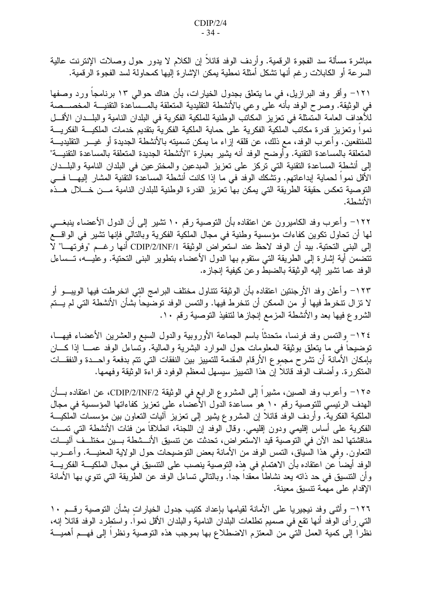مباشرة مسألة سد الفجوة الرقمية. وأردف الوفد قائلاً إن الكلام لا يدور حول وصلات الإنترنت عالية السرعة أو الكابلات رغم أنها نشكل أمثلة نمطية يمكن الإشارة إليها كمحاولة لسد الفجوة الرقمية.

١٢١– وأقر وفد البرازيل، في ما يتعلق بجدول الخيارات، بأن هناك حوالي ١٣ برنامجا ورد وصفها في الوثيقة. وصرح الوفد بأنه على وعي بالأنشطة النقليدية المتعلقة بالمـــساعدة التقنيـــة المخصـــصة للأهداف العامة المتمثلة في تعزيز المكاتب الوطنية للملكية الفكرية في البلدان النامية والبلــدان الأقـــل نمواً وتعزيز قدرة مكاتب الملكية الفكرية على حماية الملكية الفكرية بتقديم خدمات الملكيــــة الفكريــــة للمنتفعين. وأعرب الوفد، مع ذلك، عن قلقه إزاء ما يمكن تسميته بالأنشطة الجديدة أو غيـــر التقليديـــة المتعلقة بالمساعدة التقنية. وأوضح الوفد أنه يشير بعبارة "الأنشطة الجديدة المتعلقة بالمساعدة التقنيـــة" إلى أنشطة المساعدة النقنية التي نركز على نعزيز المبدعين والمخترعين في البلدان النامية والبلــدان الأقل نمواً لحماية إبداعاتهم. وتشكك الوفد في ما إذا كانت أنشطة المساعدة التقنية المشار إليهـــا فـــي التوصية تعكس حقيقة الطريقة التي يمكن بها تعزيز القدرة الوطنية للبلدان النامية مــن خـــلال هـــذه الأنشطة.

١٢٢– وأعرب وفد الكاميرون عن اعتقاده بأن التوصية رقم ١٠ تشير إلى أن الدول الأعضاء ينبغـــي لمها أن تحاول تكوين كفاءات مؤسسية وطنية في مجال الملكية الفكرية وبالتالي فإنها تشير في الواقـــع إلى البني التحتية. بيد أن الوفد لاحظ عند استعراض الوثيقة CDIP/2/INF/1 أنها رغسم "وفرتهـــا" لا تتضمن أية إشارة إلى الطريقة التي ستقوم بها الدول الأعضاء بتطوير البنبي التحتية. وعليـــه، تـــساءل الوفد عما تشير إليه الوثيقة بالضبط وعن كيفية إنجازه.

١٢٣– وأعلن وفد الأرجنتين اعتقاده بأن الوثيقة تتناول مختلف البرامج التي انخرطت فيها الويبـــو أو لا نزال نتخرط فيها أو من الممكن أن نتخرط فيها. والنمس الوفد نوضيحاً بشأن الأنشطة التي لم يـــتم الشروع فيها بعد والأنشطة المزمع إنجازها لتتفيذ التوصية رقم ١٠.

١٢٤– وِالنَّمس وفد فرنسا، منحدثاً باسم الجماعة الأوروبية والدول السبع والعشرين الأعضاء فيهـــا، نوضيحاً في ما يتعلق بوثيقة المعلومات حول الموارد البشرية والمالية. وتساءل الوفد عمـــا إذا كــــان بإمكان الأمانة أن نشرح مجموع الأرقام المقدمة للتمييز بين النفقات التي نتم بدفعة واحــدة والنفقـــات المتكررة. وأضاف الوفد قائلا إن هذا التمييز سيسهل لمعظم الوفود قراءة الوثيقة وفهمها.

١٢٥– وأعرب وفد الصين، مشيراً إلى المشروع الرابع في الوثيقة CDIP/2/INF/2، عن اعتقاده بـــأن الهدف الرئيسي للتوصية رقم ١٠ هو مساعدة الدول الأعضاء على تعزيز كفاءاتها المؤسسية في مجال الملكية الفكرية. وأردف الوفد قائلا إن المشروع يشير إلى تعزيز أليات التعاون بين مؤسسات الملكيـــة الفكرية على أساس إقليمي ودون إقليمي. وقال الوفد إن اللجنة، انطلاقا من فئات الأنشطة التي تمــت مناقشتها لحد الآن في التوصية قيد الاستعراض، تحدثت عن تتسيق الأنـــشطة بـــين مختلــف آليـــات النعاون. وفي هذا السياق، النَّمس الوفد من الأمانة بعض النوضيحات حول الولاية المعنيـــة. وأعــــرب الوفد أيضـاً عن اعتقاده بأن الاهتمام في هِذه النوصية ينصب على النتسيق في مجال الملكيــــة الفكريــــة وأن التتسيق في حد ذاته يعد نشاطاً معقداً جداً. وبالتالي تساءل الوفد عن الطريقة التي نتوى بها الأمانة الإقدام على مهمة تتسيق معينة.

١٢٦– وأثنى وفد نيجيريا على الأمانة لقيامها بإعداد كتيب جدول الخيارات بشأن التوصية رقــم ١٠ النتي رأى الوفد أنها نقع في صميم نطلعات البلدان النامية والبلدان الأقل نموا. واستطرد الوفد قائلا إنه، نظرًا إلى كمية العمل التي من المعتزم الاضطلاع بها بموجب هذه التوصية ونظرًا إلى فهــم أهميـــة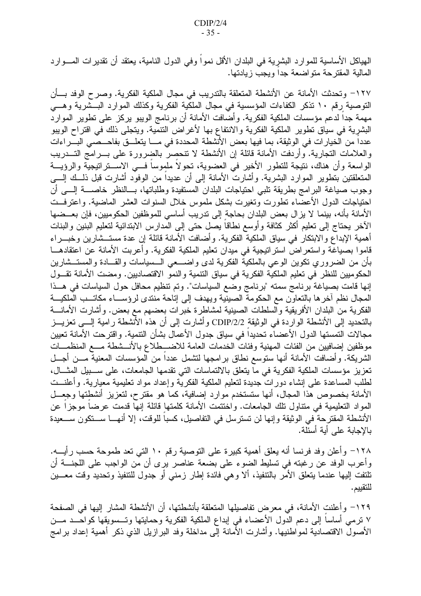الهياكل الأساسية للموارد البشرية في البلدان الأقل نمواً وفي الدول النامية، يعتقد أن تقديرات المــــوارد المالية المقترحة متواضعة جدا ويجب زيادتها.

١٢٧– وتحدثت الأمانة عن الأنشطة المتعلقة بالتدريب في مجال الملكية الفكرية. وصر ح الوفد بـــأن التوصية رقم ١٠ نذكر الكفاءات المؤسسية في مجال الملكية الفكرية وكذلك الموارد البــشرية وهـــي مهمة جدا لدعم مؤسسات الملكية الفكرية. وأضافت الأمانة أن برنامج الويبو يركز على نطوير الموارد البشرية في سياق تطوير الملكية الفكرية والانتفاع بها لأغراض التنمية. ويتجلى ذلك في اقتراح الويبو عدداً من الَّخيار ات في الوثيقة، بما فيها بعض الأنشطة المحددة في مـــا يتعلـــق بفاحـــصـي البــــراءات والعلامات النجارية. وأردفت الأمانة قائلة إن الأنشطة لا تنحصر بالضرورة على بـــرامج التـــدريب الواسعة وأن هناك، نتيجة للتطور الأخير في العضوية، تحولا ملموسا فـــي الاســـتر اتيجية والرؤيـــة المتعلقتين بتطوير الموارد البشرية. وأشارتٌ الأمانة إلى أن عديداً من الوفوَّد أشارت قبل ذلــك إلـــي وجوب صياغة البرامج بطريقة تلبي احتياجات البلدان المستفيدة وطلباتها، بـــالنظر خاصــــة إلــــي أن احتياجات الدول الأعضاء تطورت وتغيرت بشكل ملموس خلال السنوات العشر الماضية. واعترفــت الأمانة بأنه، بينما لا يزال بعض البلدان بحاجة إلى تدريب أساسي للموظفين الحكوميين، فإن بعــضها الأخر يحتاج إلىي تعليم أكثر كثافة وأوسع نطاقا يصل حتى إلىي المدارس الابتدائية لتعليم البنين والبنات أهمية الإبداع والابتكار في سياق الملكية الفكرية. وأضافت الأمانة قائلة إن عدة مستــشارين وخبـــراء قاموا بصياغة واستعراض استراتيجية في ميدان تعليم الملكية الفكرية. وأعربت الأمانة عن اعتقادهـــا بأن من الضروري نكوين الوعي بالملكية الفكرية لدى واضـــعي الـــسياسات والقـــادة والمستــشارين الحكوميين للنظر في تعليم الملكية الفكرية في سياق التنمية والنمو الاقتصاديين. ومضت الأمانة تقــول إنها قامت بصياغة برنامج سمته "برنامج وضع السياسات". وتم تتظيم محافل حول السياسات في هــذا المجال نظم أخرها بالنعاون مع الحكومة الصينية ويهدف إلى إناحة منندى لرؤســاء مكانـــب الملكيـــة الفكرية من البلدان الأفريقية والسلطات الصينية لمشاطرة خبرات بعضهم مع بعض. وأشارت الأمانــــة بالتحديد إلى الأنشطة الواردة في الوثيقة CDIP/2/2 وأشارت إلى أن هذه الأنشطة رامية إلـــي تعزيـــز مجالات التمستها الدول الأعضاء تحديدا في سياق جدول الأعمال بشأن التنمية. واقترحت الأمانة تعيين موظفين إضافيين من الفئات المهنية وفئات الخدمات العامة للاضـــطلاع بالأنـــشطة مــــع المنظمـــات الشريكة. وأضافت الأمانة أنها ستوسع نطاق برامجها لتشمل عددا من المؤسسات المعنية مـــن أجـــل تعزيز مؤسسات الملكية الفكرية في ما يتعلق بالالتماسات التي تقدمها الجامعات، على سـبيل المثــال، لطلب المساعدة على إنشاء دورات جديدة لتعليم الملكية الفكرية وإعداد مواد تعليمية معيارية. وأعلنــت الأمانة بخصوص هذا المجال، أنها ستستخدم موارد إضافية، كما هو مقترح، لتعزيز أنشطتها وجعل المواد التعليمية في متناول تلك الجامعات. واختتمت الأمانة كلمتها قائلة إنها قدمت عرضاً موجزاً عن الأنشطة المقترحة في الوثيقة وإنها لن تسترسل في التفاصيل، كسبا للوقت، إلا أنهـــا ســـتكون ســـعيدة بالاجابة على أبة أسئلة.

١٢٨– وأعلن وفد فرنسا أنه يعلق أهمية كبيرة على النوصية رقم ١٠ التي تعد طموحة حسب رأيــــه. وأعرب الوفد عن رغبته في تسليط الضوء على بضعة عناصر يرى أن من الواجب على اللجنــــة أن تلتفت إليها عندما يتعلق الأمر بالتتفيذ، ألا وهي فائدة إطار زمني أو جدول للتتفيذ وتحديد وقت معـــين للتقييم.

١٢٩– وأعلنت الأمانة، في معرض تفاصيلها المتعلقة بأنشطتها، أن الأنشطة المشار إليها في الصفحة ٧ نرمي أساسا إلى دعم الدول الأعضاء في إبداع الملكية الفكرية وحمايتها وتـــسويقها كواحـــد مـــن الأصول الاقتصادية لمواطنيها. وأشارت الأمانة إلى مداخلة وفد البرازيل الذي ذكر أهمية إعداد برامج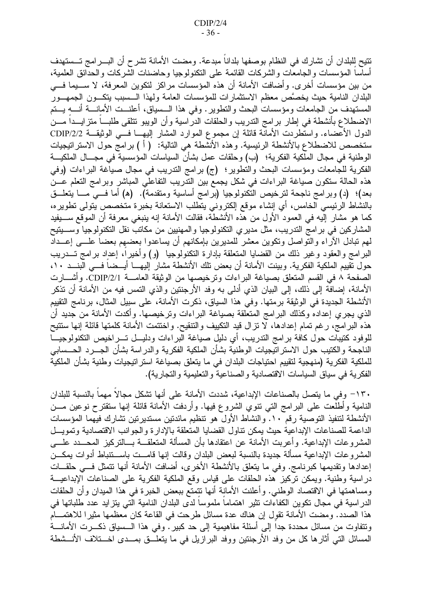تتيح للبلدان أن نشارك في النظام بوصفها بلداناً مبدعة. ومضت الأمانة نشرح أن البـــرامج تـــستهدف أساسا المؤسسات والجامعات والشركات القائمة على النكنولوجيا وحاضنات الشركات والحدائق العلمية، من بين مؤسسات أخر ي. وأضافت الأمانة أن هذه المؤسسات مر اكز لتكوين المعرفة، لا ســــيما فــــي البلدان النامية حيث يخصَّص معظم الاستثمارات للمؤسسات العامة ولمهذا السسبب يتكسون الجمهسور المستهدف من الجامعات ومؤسسات البحث والنطوير . وفي هذا الـــسياق، أعلنـــت الأمانــــة أنــــه يـــتم الاضطلاع بأنشطة في إطار برامج التدريب والحلقات الدراسية وأن الويبو نتلقى طلب منتزايــدا مـــن الدول الأعضاء. واستطردت الأمانّة قائلة إن مجموع الموارد المشار إليهـــا فـــي الوثيقـــة CDIP/2/2 ستخصص للاضطلاع بالأنشطة الرئيسية. وهذه الأنشطة هي النالية: ( أ ) برامج حول الاستراتيجيات الوطنية في مجال الملكية الفكرية؛ (ب) وحلقات عمل بشأن السياسات المؤسسية في مجـــال الملكيـــة الفكرية للجامعات ومؤسسات البحث والنطوير؛ (ج) برامج الندريب في مجال صياغة البراءات (وفي هذه الحالة سنكون صياغة البراءات في شكل يجمع بين الندريب النفاعلي المباشر وبرامج النعلم عـــن بعد)؛ (د) وبر امج ناجحة لترخيص النكنولوجيا (بر امج أساسية ومنقدمة). (ه) أما فـــي مــــا يتعلـــق بالنشاط الرئيسي الخامس، أي إنشاء موقع إلكتروني يتطلب الاستعانة بخبرة متخصص يتولى تطويره، كما هو مشار ٳليه في العمود الأول من هذه الأنشطة، فقالت الأمانة إنه ينبغي معرفة أن الموقع ســـيفيد المشاركين في برامج التدريب، مثل مديري التكنولوجيا والمهنيين من مكاتب نقل التكنولوجيا وســـيتيح لمهم تبادل الأراء والنواصل ونكوين معشر للمديرين بإمكانهم أن يساعدوا بعضبهم بعضا علـــي إعـــداد البرامج والعقود وغير ذلك من القضايا المتعلقة بإدارة النكنولوجيا ۖ (و) وأخيرا، إعداد برامج تـــدريب حول نقييم الملكية الفكرية. وبينت الأمانة أن بعض نلك الأنشطة مشار إليهـــا أيـــضـاً فـــى البنـــد ١٠، الصفحة ٨ في القسم المتعلق بصياغة البراءات وترخيصها من الوثيقة العامـــة CDIP/2/1. وأشـــارت الأمانة، إضافة إلى ذلك، إلى البيان الذي أدلى به وفد الأرجنتين والذي التمس فيه من الأمانة أن تذكر الأنشطة الجديدة في الوثيقة برمتها. وفي هذا السياق، ذكرت الأمانة، على سبيل المثال، برنامج التقييم الذي يجرى إعداده وكذلك البرامج المتعلقة بصياغة البراءات ونرخيصها. وأكدت الأمانة من جديد أن هذه البرامج، رغم تمام إعدادها، لا تزال قيد التكييف والتنقيح. واختتمت الأمانة كلمتها قائلة إنها ستتيح للوفود كتيبات حول كافة برامج الندريب، أي دليل صياغة البراءات ودليـــل تــــراخيص التكنولوجيـــا الناجحة والكتيب حول الاستراتيجيات الوطنية بشأن الملكية الفكرية والدراسة بشأن الجـــرد الحـــسابـي للملكية الفكرية (منهجية لتقييم احتياجات البلدان في ما يتعلق بصياغة استر اتيجيات وطنية بشأن الملكية الفكرية في سياق السياسات الاقتصادية والصناعية والتعليمية والتجارية).

١٣٠– وفي ما يتصل بالصناعات الإبداعية، شددت الأمانة على أنها تشكل مجالاً مهماً بالنسبة للبلدان النامية وأطلعت على البرامج التي نتوى الشروع فيها. وأردفت الأمانة قائلة إنها ستقترح نوعين مـــن الأنشطة لتتفيذ التوصية رقم ١٠. والنشاط الأول هو نتظيم مائدتين مستدير تين تشارك فيهما المؤسسات الداعمة للصناعات الإبداعية حيث يمكن نتاول القضايا المتعلقة بالإدارة والجوانب الاقتصادية وتمويــل المشروعات الإبداعية. وأعربت الأمانة عن اعتقادها بأن المسألة المتعلقـــة بـــالتركيز المحـــدد علــــي المشروعات الإبداعية مسألة جديدة بالنسبة لبعض البلدان وقالت إنها قامـــت باســـتنباط أدوات يمكـــن إعدادها ونقديمها كبرنامج. وفي ما يتعلق بالأنشطة الأخرى، أضافت الأمانة أنها نتمثل فسي حلقــات دراسية وطنية. ويمكن نركيز هذه الحلقات على قياس وقع الملكية الفكرية على الصناعات الإبداعيـــة ومساهمتها في الاقتصاد الوطني. وأعلنت الأمانة أنها نتمتع ببعض الخبرة في هذا الميدان وأن الحلقات الدر اسية في مجال تكوين الكفاءات تثير اهتماما ملموسا لدى البلدان النامية التي يتزايد عدد طلباتها في هذا الصدد. ومضت الأمانة تقوِل إن هناك عدة مسائل طرحت في القاعة كان معظمها مثيرا للاهتمـــام ونتفاوت من مسائل محددة جدا إلى أسئلة مفاهيمية إلى حد كبير . وفي هذا الـــسياق ذكـــرت الأمانــــة المسائل التبي أثارها كل من وفد الأرجنتين ووفد البرازيل في ما يتعلـــق بمـــدى اخـــتلاف الأنـــشطة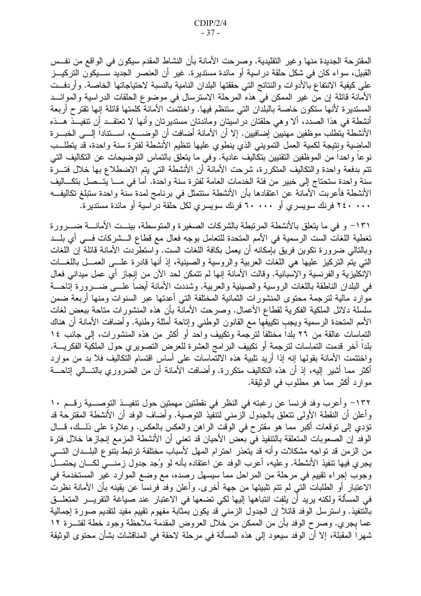المقترحة الجديدة منها وغير التقليدية. وصرحت الأمانة بأن النشاط المقدم سيكون في الواقع من نفــس القبيل، سواء كان في شكل حلقة دراسية أو مائدة مستديرة. غير أن العنصر الجديد ســـيكون التركيـــز على كيفية الانتفاع بالأدوات والنتائج التي حققتها البلدان النامية بالنسبة لاحتياجاتها الخاصة. وأردفــت الأمانة قائلة إن من غير الممكن في هذه المرحلة الاسترسال في موضوع الحلقات الدراسية والموائـــد المستديرة لأنها ستكون خاصة بالبلدان التبي ستنظم فيها. واختتمت الأمانة كلمتها قائلة إنها نقترح أربعة أنشطة في هذا الصدد، ألا وهي حلقتان دراسيتان ومائدتان مستديرتان وأنها لا تعتقـــد أن نتفيـــذّ هـــذه الأنشطة يتطلب موظفين مهنيين إضافيين. إلا أن الأمانة أضافت أن الوضــــع، اســـتتاداً إلــــى الخبــــرة الماضِية ونِنيجة لكمية العمل النمويني الذي ينطوي عليها نتظيم الأنشطة لفترة سنة واحدة، قد ينطلــب نوعا واحدا من الموظفين التقنيين بتكاليف عادية. وفي ما يتعلق بالتماس التوضيحات عن التكاليف التي نتم بدفعة واحدة والنكاليف المنكررة، شرحت الأمانة أن الأنشطة التبي يتم الاضطلاع بها خلال فتـــرة سنة واحدة ستحتاج إلى خبير من فئة الخدمات العامة لفترة سنة واحدة. أما في مـــا يتـــصل بتكـــاليف الأنشطة فأعربت الأمانة عن اعتقادها بأن الأنشطة ستتمثل في برنامج لمدة سنة واحدة ستبلغ تكاليف ۲٤٠ ٠٠٠ فر نك سويسر ي أو ٦٠٠٠٠ فر نك سويسر ي لكل حلقة در اسية أو مائدة مستدير ة.

١٣١– و في ما يتعلق بالأنشطة المرتبطة بالشركات الصغيرة والمتوسطة، بينــت الأمانـــة ضـــرورة تغطية اللغات الست الرسمية في الأمم المتحدة للتعامل بوجه فعال مع قطاع الـــشركات فـــي أي بلـــد وبالتالي ضرورة تكوين فريق بإمكانه أن يعمل بكافة اللغات الست. واستطردت الأمانة قائلة إن اللغات التي يتَّم التركيز عليها هي اللغات العربية والروسية والصينية، إذ أنها قادرة علـــي العمـــل باللغـــات الإنكليزية والفرنسية والإسبانية. وقالت الأمانة إنها لم نتمكن لحد الآن من إنجاز أي عمل ميداني فعال في البلدان الناطقة باللغات الروسية والصينية والعربية. وشددت الأمانة أيضاً علـــي ضـــرورة إتاحـــة موارد مالية لترجمة محتوى المنشورات الثمانية المختلفة التي أعدتها عبر السنوات ومنها أربعة ضمن سلسلة دلائل الملكية الفكرية لقطاع الأعمال. وصرحت الأمانة بأن هذه المنشورات متاحة ببعض لغات الأمم المتحدة الرسمية ويجب نكييفها مع القانون الوطنبي وإناحة أمثلة وطنية. وأضافت الأمانة أن هناك النماسات عالقة من ٢٦ بلداً مختلفاً لترجَّمة وتكييف واحد أو أكثر من هذه المنشورات، إلى جانب ١٤ بلدا آخر قدمت التماسات لترجمة أو تكييف البر امج العشرة للعرض التصويري حول الملكية الفكريــــة. واختتمت الأمانة بقولها إنه إذا أريد نلبية هذه الالتَّماسات على أساس اقتسام التكاليف فلا بد من موارد أكثر مما أشير إليه، إذ أن هذه التكاليف متكررة. وأضافت الأمانة أن من الضروري بالتـــالـي إتاحــــة موارد أكثر مما هو مطلوب في الوثيقة.

١٣٢– وأعرب وفد فرنسا عن رغبته في النظر في نقطتين مهمتين حول تتفيــذ التوصـــية رقـــم ١٠ وأعلن أن النقطة الأولى نتعلق بالجدول الزمني لتنفيذ التوصية. وأضاف الوفد أن الأنشطة المقترحة قد نؤدي إلى نوقعات أكبر مما هو مقترح في الوقت الراهن والعكس بالعكس. وعلاوة على ذلـــك، قـــال الوفد إن الصعوبات المتعلقة بالتنفيذ في بعض الأحيان قد تعني أن الأنشطة المزمع إنجازها خلال فترة من الزمن قد نواجه مشكلات وأنه قد يتعذر احترام المهل لأسباب مختلفة نرتبط بتنوع البلـــدان النــــي يجري فيها نتفيذ الأنشطة. وعليه، أعرب الوفد عن اعتقاده بأنه لو وُجد جدول زمنــــيّ لكـــان يحتمـــلّ وجوب إجراء نقييم في مرحلة من المراحل مما سيسهل رصده، مع وضع الموارد غير المستخدمة في الاعتبار أو الطلبات التبي لم نتم تلبيتها من جهة أخرى. وأعلن وفد فرنسا عن يقينه بأن الأمانة نظرت في المسألة ولكنه يريد أن يلفِت انتباهها إليها لكي تضعها في الاعتبار عند صياغة التقريـــر المتعلـــق بالنتفيذ. واسترسل الوفد قائلا إن الجدول الزمني قد يكون بمثابة مفهوم نقييم مفيد لنقديم صورة إجمالية عما يِجري. وصرح الوفد بأن من الممكن من خلال العروض المقدمة ملاحظة وجود خطة لفتـــرة ١٢ شهراً المقبَّلة، إلا أنَّ الوفد سيعود إلى هذه المسألة في مرحلة لاحقة في المناقشات بشأن محتوى الوثيقة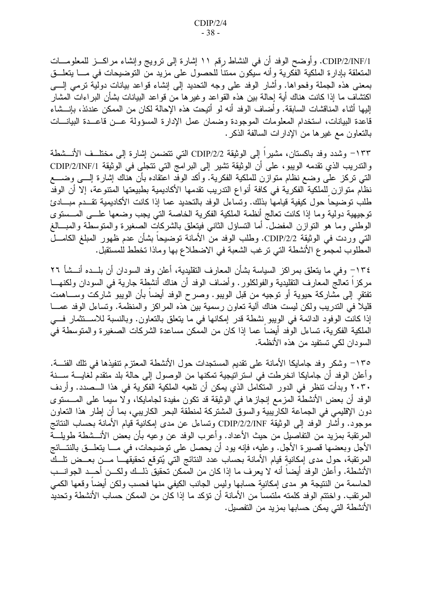CDIP/2/INF/1. وأوضح الوفد أن في النشاط رقم ١١ إشارة إلى نزويج وإنشاء مراكـــز للمعلومـــات المتعلقة بإدارة الملكية الفكرية وأنه سيكون ممتنا للحصول على مزيد من التوضيحات في مــــا يتعلــــق بمعنى هذه الجملة وفحواها. وأشار الوفد على وجه التحديد إلى إنشاء قواعد بيانات دولية نرمى إلــــى اكتشاف ما إذا كانت هناك أية إحالة بين هذه القواعد وغيرها من قواعد البيانات بشأن البراءات المشار إليها أثناء المناقشات السابقة. وأضاف الوفد أنه لو أتيحت هذه الإحالة لكان من الممكن عندئذ، بإنـــشاء قاعدة البيانات، استخدام المعلومات الموجودة وضمان عمل الإدارة المسؤولة عــن قاعــدة البيانـــات بالتعاون مع غير ها من الإدار ات السالفة الذكر .

١٣٣– وشدد وفد باكستان، مشيراً إلى الوثيقة 2/2/DIP التي تتضمن إشارة إلى مختلــف الأنـــشطة والندريب الذي نقدمه الويبو ، على أن الوثيقة تشير إلى البرامج التي تتجلَّى في الوثيقة CDIP/2/INF/1 النبي نزكز على وضع نظام متوازن للملكية الفكرية. وأكد الوفد اعتقاده بأن هناك إشارة إلـــي وضــــع نظام متوازن للملكية الفكرية في كافة أنواع التدريب تقدمها الأكاديمية بطبيعتها المتنوعة، إلا أن الوفد طلب نوضيحا حول كيفية قيامها بذلك. ونساءل الوفد بالتحديد عما إذا كانت الأكاديمية نقـــدم مبــــادئ توجيهية دولية وما إذا كانت تعالج أنظمة الملكية الفكرية الخاصة التبي يجب وضعها علـــي المـــستوى الوطنـى ومـا هو النوازن المفضلّ. أمـا النساؤل الثانـي فيتعلق بالشركات الصـغيرة والمنوسطة والمبـــالـغ التي وردت في الوثيقة CDIP/2/2. وطلب الوفد من الأمانة توضيحاً بشأن عدم ظهور المبلغ الكامـــل المطلوب لمجموع الأنشطة التي ترغب الشعبة في الاضطلاع بها وماذا تخطط للمستقبل.

١٣٤- وفي ما يتعلق بمراكز السياسة بشأن المعارف التقليدية، أعلن وفد السودان أن بلــده أنــشأ ٢٦ مركز اً تعالج المعارف النقليدية والفولكلور . وأضاف الوفد أن هناك أنشطة جارية في السودان ولكنهـــا تفتقر إلى مشاركة حيوية أو نوجيه من قبل الويبو. وصرح الوفد أيضا بأن الويبو شاركت وســـاهمت قليلًا في الندريب ولكن ليست هناك ألية تعاون رسمية بين هذه المراكز والمنظمة. وتساءل الوفد عمـــا إذا كانت الوفود الدائمة في الويبو نشطة قدر إمكانها في ما يتعلق بالتعاون. وبالنسبة للاســـتثمار فـــي الملكية الفكرية، تساءل الوفد أيضاً عما إذا كان من الممكن مساعدة الشركات الصغيرة والمتوسطة في السودان لكي تستفيد من هذه الأنظمة.

١٣٥– وشكر وفد جامايكا الأمانة على تقديم المستجدات حول الأنشطة المعتزم تتفيذها في تلك الفئــــة. وأعلن الوفد أن جامايكا انخرطت في استراتيجية تمكنها من الوصول إلى حالة بلد متقدم لغايــــة ســــنة ٢٠٣٠ وبدأت نتظر في الدور المتكامل الذي يمكن أن نلعبه الملكية الفكرية في هذا الـــصدد. وأردف الوفد أن بعض الأنشطة المزمع إنجازها في الوثيقة قد نكون مفيدة لجامايكا، ولا سيما على المـــستوى دون الإقليمي في الجماعة الكاريبية والسوق المشتركة لمنطقة البحر الكاريبي، بما أن إطار هذا التعاون موجود. وأشار الوفد إلى الوثيقة CDIP/2/2/INF وتساءل عن مدى إمكانية قيام الأمانة بحساب النتائج المرنقبة بمزيد من التفاصيل من حيث الأعداد. وأعرب الوفد عن وعيه بأن بعض الأنـــشطة طويلــــة الأجل وبعضها قصيرة الأجل. وعليه، فإنه يود أن يحصل على توضيحات، في مـــا يتعلـــق بالنتــــائج المرنقبة، حول مدى إمكانية قيام الأمانة بحساب عدد النتائج التي يُتوقع تحقيقهـــا مـــن بعـــض تلـــك الأنشطة. وأعلن الوفد أيضا أنه لا يعرف ما إذا كان من الممكن تحقيق ذلــك ولكـــن أحـــد الجوانـــب الحاسمة من النتيجة هو مدى إمكانية حسابها وليس الجانب الكيفي منها فحسب ولكن أيضا وقعها الكمي المرتقب. واختتم الوفد كلمته ملتمساً من الأمانة أن تؤكد ما إذا كان من الممكن حساب الأنشطة وتحديد الأنشطة التي يمكن حسابها بمزيد من التفصيل.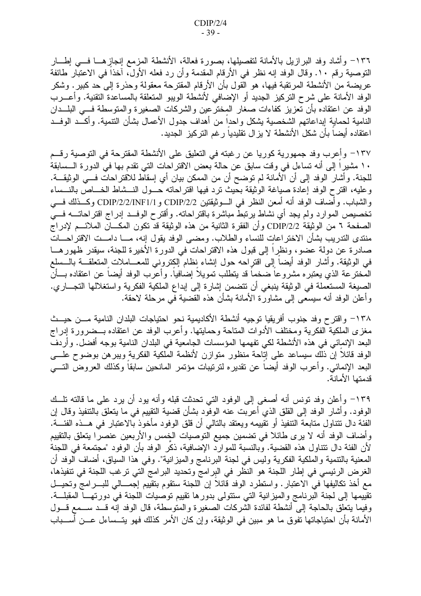١٣٦– وأشاد وفد البرازيل بالأمانة لتفصيلها، بصورة فعالة، الأنشطة المزمع إنجازهــا فـــي إطـــار النوصية رقم ١٠. وقال الوفد إنه نظر في الأرقام المقدمة وأن رد فعله الأول، آخذا في الاعتبار طائفة عريضة من الأنشطة المربقبة فيها، هو القول بأن الأرقام المقترحة معقولة وحذرة إلى حد كبير . وشكر الوفد الأمانة على شرح التركيز الجديد أو الإضافي لأنشطة الويبو المتعلقة بالمساعدة التقنية. وأعـــرب الوفد عن اعتقاده بأن تعزيز كفاءات صغار المخترعين والشركات الصغيرة والمتوسطة فسي البلـــدان النامية لحماية إبداعاتهم الشخصية يشكل واحدا من أهداف جدول الأعمال بشأن التنمية. وأكـــد الوفـــد اعتقاده أيضاً بأن شكل الأنشطة لا يزال تقليديا رغم التركيز الجديد.

١٣٧– وأعرب وفد جمهورية كوريا عن رغبته في التعليق على الأنشطة المقترحة في التوصية رقـــم ١٠ مشيرا إلى أنه تساءل في وقت سابق عن حالة بعض الاقتراحات التي تقدم بها في الدور ة الـــسابقة للجنة. وأشار الوفد إلى أن الأمانة لم توضح أن من الممكن بيان أي إسقاط للاقتراحات فـــى الوثيقـــة. وعليه، اقترح الوفد إعادة صياغة الوثيقة بحيث ترد فيها اقتراحاته حسول النسشاط الخساص بالنسساء والشباب. وأضاف الوفد أنه أمعن النظر في الـــوثيقتين CDIP/2/2 وCDIP/2/2/INF1/1 وكـــذلك فــــي تخصيص الموارد ولم يجد أي نشاط يرتبط مباشرة باقتراحاته. وأقترح الوف1 إدراج اقتراحاتــــه فــــي الصفحة ٦ من الوثيقة CDIP/2/2 وأن الفقرة الثانية من هذه الوثيقة قد تكون المكــــان الملائـــم لإدراج منتدى التدريب بشأن الاختر اعات للنساء والطلاب. ومضبى الوفد يقول إنه، مـــا دامـــت الاقتر احـــات صادرة عن دولة عضو، ونظرًا إلى قبول هذه الاقتراحات في الدورة الأخيرة للجنة، سيقدر ظهورهـــا في الوثيقة. وأشار الوفد أيضاً إلى اقترِاحه حول إنشاء نظام إلكِتروني للمعـــاملات المتعلقـــة بالـــسلع المخترعة الذي يعتبر ه مشروعا ضخما قد يتطلب تمويلا إضافيا. وأعرب الوفد أيضا عن اعتقاده بـــأن الصيغة المستعملة في الوثيقة ينبغي أن تتضمن إشارة إلى إبداع الملكية الفكرية واستغلالها التجـــاري. وأعلن الوفد أنه سيسعى إلى مشاورة الأمانة بشأن هذه القضية في مرحلة لاحقة.

١٣٨– واقترح وفد جنوب أفريقيا توجيه أنشطة الأكاديمية نحو احتياجات البلدان النامية مـــن حيـــث مغزى الملكية الفكرية ومختلف الأدوات المتلحة وحمايتها. وأعرب الوفد عن اعتقاده بــضرورة إدراج البعد الإنمائي في هذه الأنشطة لكي تفهمها المؤسسات الجامعية في البلدان النامية بوجه أفضل. وأردف الوفد قائلا إن ذلك سيساعد على إناحة منظور منوازن لأنظمة الملكية الفكرية ويبرهن بوضوح علـــي البعد الإنمائـي. وأعرب الوفد أيضـا عن نقديره لنرتيبات مؤتمر المانحين سابقا وكذلك العروض النــــي قدمتها الأمانة.

١٣٩– وأعلن وفد تونس أنه أصغى إلى الوفود التي تحدثت قبله وأنه يود أن يرد على ما قالته تلــك الوفود. وأشار الوفد إلى القلق الذي أعربت عنه الوفود بشأن قضية التقييم في ما يتعلق بالتنفيذ وقال إن الفئة دال نتتاول متابعة النتفيذ أو نقييمه ويعتقد بالنالي أن قلق الوفود مأخوذ بالاعتبار في هـــذه الفئـــة. وأضاف الوفد أنه لا يرى طائلا في نضمين جميع النوصيات الخِمس والأربعين عنصرا ينعلق بالنقييم لأن الفئة دال تتناول هذه القضية. وبالنسبة للموارد الإضافية، ذكر الوفد بأن الوفود "مجتمعة في اللجنة المعنية بالتنمية والملكية الفكرية وليس في لجنة البرنامج والميزانية". وفي هذا السياق، أضاف الوفد أن الغرض الرئيسي في إطار اللجنة هو النظر في البرامج وتحديد البرامج التي ترغب اللجنة في تتفيذها، مع أخذ تكاليفها في الاعتبار . واستطرد الوفد قائلا إن اللجنة ستقوم بتقييم إجمـــالـي للبــــرامج وتحيـــل تقييمها إلى لجنة البرنامج والميزانية التي ستتولى بدورها تقييم توصيات اللجنة في دورتهــا المقبلـــة. وفيما يتعلق بالحاجة إلى أنشطة لفائدة الشركات الصغيرة والمتوسطة، قال الوفد إنه قـــد ســـمع قـــول الأمانة بأن احتياجاتها تفوق ما هو مبين في الوثيقة، وإن كان الأمر كذلك فهو يتـــساءل عـــن أســــباب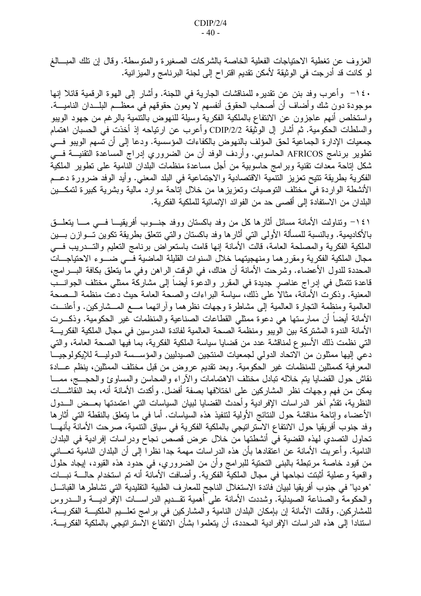العزوف عن تغطية الاحتياجات الفعلية الخاصة بالشركات الصغيرة والمتوسطة. وقال إن تلك المبسالغ لو كانت قد أدرجت في الوثيقة لأمكن تقديم اقتراح إلى لجنة البرنامج والميزانية.

١٤٠ - وأعرب وفد بنن عن نقديره للمناقشات الجارية في اللجنة. وأشار إلى الهوة الرقمية قائلا إنها موجودة دون شك وأضاف أن أصحاب الحقوق أنفسهم لا يعون حقوقهم في معظــم البلـــدان الناميــــة. واستخلص أنهم عاجزون عن الانتفاع بالملكية الفكرية وسيلة للنهوض بالتنمية بالرغم من جهود الويبو والسلطات الحكومية. ثم أشار إل الوثيقة CDIP/2/2 وأعرب عن ارتياحه إذ أخذت في الحسبان اهتمام جمعيات الإدارة الجماعية لحق المؤلف بالنهوض بالكفاءات المؤسسية. ودعا إلىي أن تسهم الويبو فسي تطوير برنامج AFRICOS الحاسوبي. وأردف الوفد أن من الضروري إدراج المساعدة التقنيـــة فـــي شكل إتاحة معدات تقنية وبر امج حاسوبية من أجل مساعدة منظمات البلدان النامية على تطوير الملكية الفكرية بطريقة تتيح تعزيز التتمُّية الاقتصادية والاجتماعية في البلد المعني. وأيد الوفد ضرورة دعــم الأنشطة الواردة في مختلف التوصيات وتعزيزها من خلال إتاحة موارد مالية وبشرية كبيرة لتمكـــين البلدان من الاستفادة إلى أقصى حد من الفوائد الإنمائية للملكية الفكرية.

١٤١– ونتاولت الأمانة مسائل أثارها كل من وفد باكستان ووفد جنسوب أفريقيسا فسي مسا يتعلسق بالأكاديمية. وبالنسبة للمسألة الأولىي التبي أثارها وفد باكستان والتبي نتعلق بطريقة نكوين تـــوازن بــــين الملكية الفكرية والمصلحة العامة، قالت الأمانة إنها قامت باستعراض برنامج التعليم والتسدريب في مجال الملكية الفكرية ومقرر هما ومنهجيتهما خلال السنوات القليلة الماضية فسي ضسوء الاحتياجسات المحددة للدول الأعضاء. وشرحت الأمانة أن هناك، في الوقت ِالراهن وفي ما يتعلق بكافة البــــرامج، قاعدة نتمثَّل في إدراج عناصر جديدة في المقرر والدعوة أيضا إلى مشاركة ممثَّلي مختلف الجوانــب المعنية. وذكرت الأمانة، مثالا على ذلك، سياسة البراءات والصحة العامة حيث دعت منظمة الـــصحة العالمية ومنظمة التجارة العالمية إلىي مشاطرة وجهات نظرهما وأرائهما مـــع المـــشاركين. وأعلنـــت الأمانة أيضا أن ممارستها هي دعوة ممثلي القطاعات الصناعية والمنظمات غير الحكومية. وذكـــرت الأمانة الندوة المشتركة بين الويبو ومنظمة الصحة العالمية لفائدة المدرسين في مجال الملكية الفكريـــة التي نظمت ذلك الأسبو ع لمناقشة عدد من قضايا سياسة الملكية الفكرية، بما فيها الصحة العامة، والتي دعى إليها ممثلون من الاتحاد الدولي لجمعيات المنتجين الصيدليين والمؤسسة الدوليــة للإيكولوجيــا المعرفية كممثلين للمنظمات غير الحكومية. وبعد تقديم عروض من قبل مختلف الممثلين، ينظم عـــادة نقاش حول القضايا يتم خلاله تبادل مختلف الاهتمامات والأراء والمحاسن والمساوئ والحجـــج، ممـــا يمكن من فهم وجهات نظر المشاركين على اختلافها بصفة أفضل. وأكدت الأمانة أنه، بعد النقاشـــات النظرية، تقدَّم آخر الدراسات الإفرادية وأحدث القضايا لبيان السياسات التي اعتمدتها بعــض الـــدول الأعضاء وإتاحة مناقشة حول النتائج الأولية لتتفيذ هذه السياسات. أما في ما يتعلق بالنقطة التبي أثارها وفد جنوب أفريقيا حول الانتفاع الاستر اتيجي بالملكية الفكرية في سياق التنمية، صرحت الأمانة بأنهـــا تحاول التصدي لهذه القضية في أنشطتها من خلال عرض قصص نجاح ودراسات إفرادية في البلدان النامية. وأعربت الأمانة عن اعتقادها بأن هذه الدراسات مهمة جدا نظرا إلىي أن البلدان النامية تعـــانـي من قيود خاصة مرتبطة بالبني التحتية للبرامج وأن من الضروري، في حدود هذه القيود، إيجاد حلول واقعية وعملية أثبتت نجاحها في مجال الملكية الفكرية. وأضافت الأمانة أنه تم استخدام حالــــة نبــــات "هوديا" في جنوب أفريقيا لبيان فائدة الاستغلال الناجح للمعارف الطبية التقليدية التي تشاطرها القبائـــل والحكومة والصناعة الصيدلية. وشددت الأمانة على أهمية تقـــديم الدراســـات الإفراديــــة والــــدروس للمشارِكين. وقالت الأمانة إن بإمكان البلدان النامية والمشاركين في بر امج تعلـــيم الملكيـــة الفكريــــة، استنادا إلى هذه الدر اسات الإفرادية المحددة، أن يتعلموا بشأن الانتفاع الاستر اتيجي بالملكية الفكريــــة.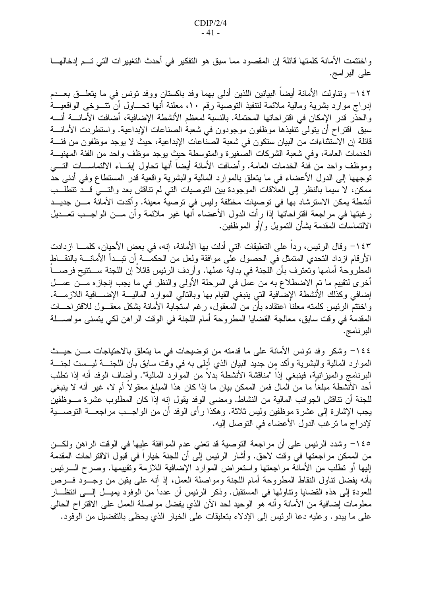واختتمت الأمانة كلمتها قائلة إن المقصود مما سبق هو التفكير في أحدث التغييرات التي تـــم إدخالهــــا على البر امج.

١٤٢ وتناولت الأمانة أيضاً البيانين اللذين أدلى بهما وفد باكستان ووفد تونس في ما يتعلـــق بعـــدم إدراج موارد بشرية ومالية ملائمة لتنفيذ النوصية رقم ١٠، معلنة أنها تحــاول أن نتـــوخي الواقعيـــة والحذر قدر الإمكان في اقتراحاتها المحتملة. بالنسبة لمعظم الأنشطة الإضافية، أضافت الأمانــــة أنــــه سبق اقتراح أن يتولى تنفيذها موظفون موجودون في شعبة الصناعات الإبداعية. واستطردت الأمانــــة قائلة إن الاستثناءات من البيان ستكون في شعبة الصناعات الإبداعية، حيث لا يوجد موظفون من فئـــة الخدمات العامة، وفي شعبة الشركات الصغيرة والمنوسطة حيث بوجد موظف واحد من الفئة المهنيـــة وموظف واحد من فئة الخدمات العامة. وأضافت الأمانة أيضا أنها تحاول إبقــاء الالتماســات التــــى نوجهها إلى الدول الأعضاء في ما يتعلق بالموارد المالية والبشرية واقعية قدر المستطاع وفي أدنبي حد ممكن، لا سيما بالنظر إلى العلاقات الموجودة بين النوصيات التي لم تناقش بعد والتسى قــد تتطلــب أنشطة يمكن الاسترشاد بها في نوصيات مختلفة وليس في نوصية معينة. وأكدت الأمانة مـــن جديـــد رغبتها في مراجعة اقتراحاتها إذا رأت الدول الأعضاء أنها غير ملائمة وأن مـــن الواجـــب تعـــديل الالتماسات المقدمة بشأن النمويل و/أو الموظفين.

١٤٣ - وقال الرئيس، رداً على التعليقات التي أدلت بها الأمانة، إنه، في بعض الأحيان، كلمـــا ازدادت الأرقام ازداد النحدي المتمثل في الحصول على موافقة ولعل من الحكمَّـــة أن نبـــدأ الأمانــــة بالنقـــاط المطروحة أمامها وتعترف بأن اللجنة في بداية عملها. وأردف الرئيس قائلاً إن اللجنة ســـتتيح فرصــــاً أخر ي لتقييم ما تم الاضطلاع به من عمل في المرحلة الأولى والنظر في ما يجب إنجاز ه مـــن عمـــل إضافي وكذلك الأنشطة الإضافية التي ينبغي القيام بها وبالتالي الموارد الماليـــة الإضــــافية اللازمـــة. واختتم الرئيس كلمته معلنا اعتقاده بأن من المعقول، رغم استجابة الأمانة بشكل معقـــول للاقتراحــــات المقدمة في وقت سابق، معالجة القضايا المطروحة أمام اللجنة في الوقت الراهن لكي يتسنى مواصــــلة البرنامج.

١٤٤ - وشكر وفد تونس الأمانة على ما قدمته من توضيحات في ما يتعلق بالاحتياجات مـــن حيـــث الموارد المالية والبشرية وأكد مِن جديد البيان الذي أدلى به في وقت سابق بأن اللجنــــة ليـــست لجنــــة البرنامج والميزانية، فينبغي إذا "مناقشة الأنشطة بدلا من الموارد المالية". وأضاف الوفد أنه إذا تطلب أحد الأنشطة مبلغاً ما من المال فمن الممكن بيان ما إذا كان هذا المبلغ معقولاً أم لا، غير أنه لا ينبغي للجنة أن نتاقش الجوانب المالية من النشاط. ومضىي الوفد يقول إنه إذا كان المطلوب عشرة مـــوظفين يجب الإشارة إلى عشرة موظفين وليس ثلاثة. وهكذا رأى الوفد أن من الواجـــب مراجعـــة التوصــــية لإدراج ما نرغب الدول الأعضاء في التوصل إليه.

١٤٥– وشدد الرئيس على أن مراجعة التوصية قد تعني عدم الموافقة عليها في الوقت الراهن ولكـــن من الممكن مراجعتها في وقت لاحق. وأشار الرئيس إلى أن للجنة خياراً في قبول الاقتراحات المقدمة إليها أو نطلب من الأمانة مراجعتها واستعراض الموارد الإضافية اللازمة وتقييمها. وصرح الــــرئيس بأنه يفضل نتاول النقاط المطروحة أمام اللجنة ومواصلة العمل، إذ أنه على يقين من وجـــود فــــرص للعودة إلى هذه القضايا ونتاولها في المستقبل. وذكر الرئيس أن عددا من الوفود يميـــل إلــــي انتظــــار معلومات إضافية من الأمانة وأنه هو الوحيد لحد الآن الذي يفضل مواصلة العمل على الاقتراح الحالي على ما يبدو . وعليه دعا الرئيس إلى الإدلاء بتعليقات على الخيار الذي يحظى بالتفضيل من الوفود.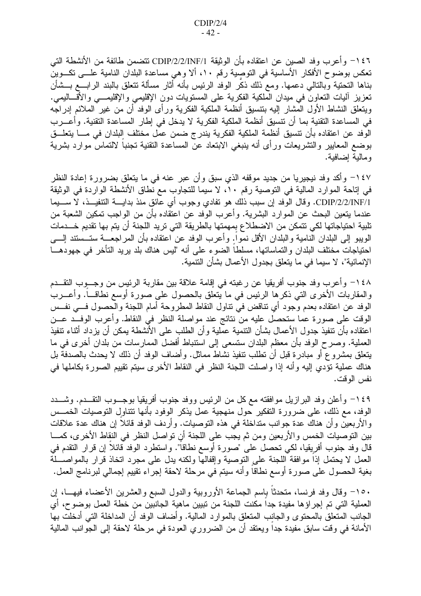١٤٦ - وأعرب وفد الصين عن اعتقاده بأن الوثيقة CDIP/2/2/INF/1 تتضمن طائفة من الأنشطة التي تعكس بوضوح الأفكار الأساسية في التوصية رقم ١٠، ألا وهي مساعدة البلدان النامية علـــي تكـــوين بناها النحتية وبالتالي دعمها. ومع ذلك ذكَّر الوفد الرئيس بأنه أثار مسألة نتعلق بالبند الرابـــع بـــشأن تعزيز أليات النعاون في ميدان الملكية الفكرية على المستويات دون الإقليمي والإقليمـــي والأقـــاليمي. ويتعلق النشاط الأول المشار إليه بنتسيق أنظمة الملكية الفكرية ورأى الوفد أن من غير الملائم إدراجه في المساعدة النقنية بما أن نتسيق أنظمة الملكية الفكرية لا يدخل في إطار المساعدة النقنية. وأعــــرب الوفد عن اعتقاده بأن نتسيق أنظمة الملكية الفكرية يندر ج ضمن عمل مختلف البلدان في مــــا يتعلـــق بوضع المعايير والتشريعات ورأى أنه ينبغي الابتعاد عن المساعدة التقنية تجنبا لالتماس موارد بشرية و مالية إضافية.

١٤٧– وأكد وفد نيجيريا من جديد موقفه الذي سبق وأن عبر عنه في ما يتعلق بضرورة إعادة النظر في إتاحة الموارد المالية في التوصية رقم ١٠، لا سيما للتجاوب مع نطاق الأنشطة الواردة في الوثيقة CDIP/2/2/INF/1. وقال الوفد إن سبب ذلك هو نفادي وجوب أي عائق منذ بدايــــة التنفيـــذ، لا ســــيما عندما يتعين البحث عن الموارد البشرية. وأعرب الوفد عن اعتقاده بأن من الواجب تمكين الشعبة من تلبية احتياجاتها لكي تتمكن من الاضطلاع بمهمتها بالطريقة التي تريد اللجنة أن يتم بها تقديم خـــدمات الويبو إلى البلدان النامية والبلدان الأقل نمواً. وأعرب الوفد عن اعتقاده بأن المراجعـــة ستـــستند إلــــي احتياجات مختلف البلدان والتماساتها، مسلطا الضوء على أنه "ليس هناك بلد يريد التأخر في جهودهـــا الإنمائية"، لا سيما في ما يتعلق بجدول الأعمال بشأن التنمية.

١٤٨ - وأعرب وفد جنوب أفريقيا عن رغبته في إقامة علاقة بين مقاربة الرئيس من وجـــوب التقـــدم والمقاربات الأخرى التبي ذكرها الرئيس في ما يتعلق بالحصول على صورة أوسع نطاقـــا. وأعــــرب الوفد عن اعتقاده بعدم وجود أي نتاقض في نتاول النقاط المطروحة أمام اللجنة والحصول فسي نفــس الوقت على صورة عما ستحصل عليه من نتائج عند مواصلة النظر في النقاط. وأعرب الوفــد عـــن اعتقاده بأن نتفيذ جدول الأعمال بشأن التتمية عمّلية وأن الطلب على الأنشطة يمكن أن يزداد أثناء تتفيذ العملية. وصرح الوفد بأن معظم البلدان ستسعى إلى استنباط أفضل الممارسات من بلدان أخرى في ما يتعلَّق بمشروع أو مبادرة قبل أن تطلب نتفيذ نشاط مماثل. وأضاف الوفد أن ذلك لا يحدث بالصدفة بل هناك عملية نؤدي إليه وأنه إذا واصلت اللجنة النظر في النقاط الأخرى سيتم تقييم الصورة بكاملها في نفس الوقت.

١٤٩– وأعلن وفد البرازيل موافقته مع كل من الرئيس ووفد جنوب أفريقيا بوجـــوب التقـــدم. وشــــدد الوفد، مع ذلك، على ضرورة التفكير حول منهجية عمل يذكر الوفود بأنها تتناول التوصيات الخمـــس والأربعين وأن هناك عدة جوانب منداخلة في هذه النوصيات. وأردف الوفد قائلا إن هناك عدة علاقات بين النوصيات الخمس والأربعين ومن ثم يجب على اللجنة أنٍ تواصل النظر في النقاط الأخرى، كمـــا قال وفد جنوب أفريقيا، لكي تحصل على "صورة أوسع نطاقا". واستطرد الوفد قائلا إن قرار النقدم في العمل لا يحتمل إذا موافقة اللجنة على التوصية وإقفالها ولكنه يدل على مجرد انخاذ قرار بالمواصـــلة بغية الحصول على صورة أوسع نطاقاً وأنه سيتم في مرحلة لاحقة إجراء تقييم إجمالي لبرنامج العمل.

١٥٠– وقال وفد فرنسا، متحدثاً باسم الجماعة الأوروبية والدول السبع والعشرين الأعضاء فيهـــا، إن العملية التي تم إجراؤها مفيدة جدا مكنت اللجنة من تبيين ماهية الجانبين من خطة العمل بوضوح، أي الجانب المنعلق بالمحتوى والجانب المتعلق بالموارد المالية. وأضاف الوفد أن المداخلة التي أدخلت بها الأمانة في وقت سابق مفيدة جدا ويعتقد أن من الضروري العودة في مرحلة لاحقة إلى الجوانب المالية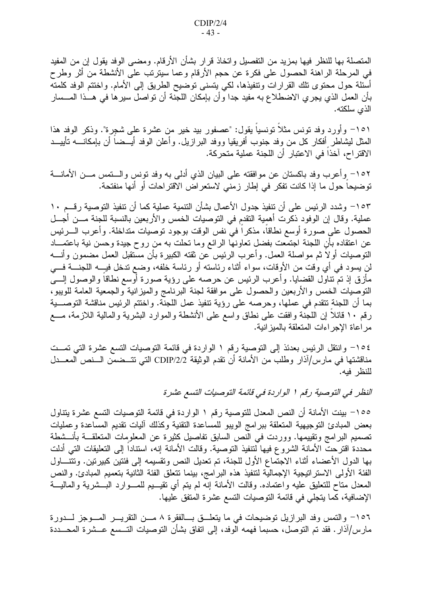المتصلة بها للنظر فيها بمزيد من التفصيل واتخاذ قرار بشأن الأرقام. ومضىي الوفد يقول إن من المفيد في المرحلة الراهنة الحصول على فكرة عن حجم الأرقام وعما سيترنب على الأنشطة من أثر وطرح أسئلة حول محتوى تلك القرارات وتتفيذها، لكي يتسنى توضيح الطريق إلى الأمام. واختتم الوفد كلمته بأن العمل الذي يجر ي الاضطلاع به مفيد جدا و أن بإمكان اللجنة أن تواصل سير ها في هـــذا المـــسار الذي سلكته.

١٥١– وأورد وفد تونس مثلاً تونسياً يقول: "عصفور بيد خير من عشرة على شجرة". وذكر الوفد هذا المثل ليشاطر أفكار كل من وفد جنوب أفريقيا ووفد البرازيل. وأعلن الوفد أيـــضـاً أن بإمكانـــــه تأييــــد الاقتراح، آخذاً في الاعتبار أن اللجنة عملية متحركة.

١٥٢– وأعرب وفد باكستان عن موافقته على البيان الذي أدلبي به وفد تونس والـــنمس مـــن الأمانــــة توضيحاً حول ما إذا كانت تفكر في إطار زمني لاستعراض الاقتراحات أو أنها منفتحة.

١٥٣- وشدد الرئيس على أن نتفيذ جدول الأعمال بشأن التنمية عملية كما أن نتفيذ التوصية رقسم ١٠ عملية. وقال إن الوفود ذكرت أهمية النقدم في التوصيات الخمس والأربعين بالنسبة للجنة مـــن أجـــل الحصول على صورة أوسع نطاقاً، مذكراً في نفس الوقت بوجود توصيات متداخلة. وأعرب الــــرئيس عن اعتقاده بأن اللجنة اجتمعت بفضل تعاونها الرائع وما تحلت به من روح جيدة وحسن نية باعتمـــاد النوصيات أولاً ثم مواصلة العمل. وأعرب الرئيس عن ثقته الكبيرة بأن مستقبل العمل مضمون وأنسه لن يسود في أي وقت من الأوقات، سواء أثناء رئاسته أو رئاسة خلفه، وضع ندخل فيــــه اللجنــــة فــــي مأزق إذ تم نتاول القضايا. وأعرب الرئيس عن حرصه على رؤية صورة أوسع نطاقاً والوصول إلــــى النوصيات الخمس والأربعين والحصول على موافقة لجنة البرنامج والميزانية والجمعية العامة للويبو، بما أن اللجنة تتقدم في عملها، وحرصه على رؤية تنفيذ عمل اللجنة. واختتم الرئيس مناقشة التوصـــية رقع ١٠ قائلاً إن اللجنة وافقت على نطاق واسع على الأنشطة والموارد البشرية والمالية اللازمة، مـــع مر اعاة الإجر اءات المتعلقة بالميز انية.

١٥٤– وانتقل الرئيس بعدئذ إلى التوصية رقم ١ الواردة في قائمة التوصيات التسع عشرة التي تمــت مناقشتها في مارس/أذار وطلب من الأمانة أن تقدم الوثيقة CDIP/2/2 التي تتـــضمن الـــنص المعـــدل للنظر فيه.

النظر في التوصية رقم ١ الواردة في قائمة التوصيات التسع عشرة

١٥٥– بينت الأمانة أن النص المعدل للتوصية رقم ١ الواردة في قائمة التوصيات التسع عشرة يتناول بعض المبادئ النوجيهية المتعلقة ببرامج الويبو للمساعدة النقنية وكذلك أليات نقديم المساعدة وعمليات تصميم البرامج وتقييمها. ووردت في النص السابق تفاصيل كثيرة عن المعلومات المتعلقـــة بأنـــشطة محددة اقترحت الأمانة الشروع فيها لتتفيذ التوصية. وقالت الأمانة إنه، استناداً إلى التعليقات التي أدلت بـها الدول الأعضـاء أثنـاء الاجتماع الأول للجنة، تم تـعديل النص وتقسيمه إلـى فئتين كبير تين. وتتنــــاول الفئة الأولى الاستراتيجية الإجمالية لتتفيذ هذه البرامج، بينما تتعلق الفئة الثانية بتعميم المبادئ. والنص المعدل متاح للتعليق عليه واعتماده. وقالت الأمانة إنه لم يتم أي تقيـــبم للمـــوارد البـــشرية والماليـــة الإضافية، كما يتجلَّى في قائمة التوصيات التسع عشرة المتفق عليها.

١٥٦- والنمس وفد البرازيل نوضيحات في ما يتعلـــق بـــالفقرة ٨ مـــن التقريـــر المـــوجز لــــدورة مارِس/آذار . فقد تم التوصل، حسبما فهمه الوفد، إلى اتفاق بشأن التوصيات التـــسع عـــشرة المحـــددة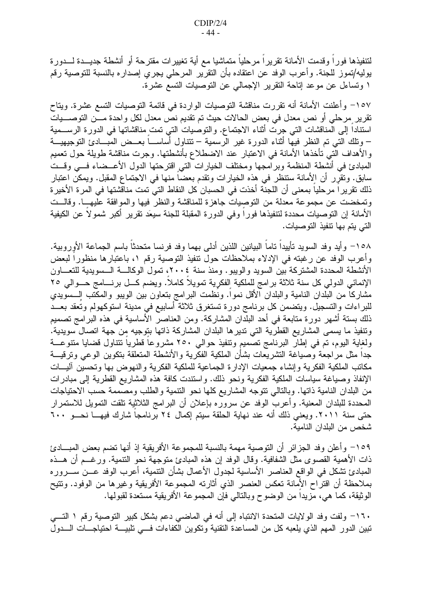لنتفيذها فوراً وقدمت الأمانة نقريراً مرحلياً متماشيا مع أية تغييرات مقترحة أو أنشطة جديـــدة لــــدورة يوليه/نموز للجنة. وأعرب الوفد عن اعتقاده بأن النقرير المرحلي يجري إصداره بالنسبة للتوصية رقم ١ وتساءل عن موعد إناحة النقرير الإجمالي عن النوصيات النسع عشرة.

١٥٧– وأعلنت الأمانة أنه نقررت مناقشة التوصيات الواردة في قائمة التوصيات التسع عشرة. ويتاح تقرير مرحلي أو نص معدل في بعض الحالات حيث تم تقديم نص معدل لكل واحدة مـــن التوصــــيات استناداً إلى المناقشات التي جرت أثناء الاجتماع. والتوصيات التي تمت مناقشاتها في الدورة الرســـمية – وتلك التبي تم النظر فيها أثناء الدورة غير الرسمية – تتناول أساســـاً بعـــض المبـــادئ التوجيهيـــة والأهداف الَّتـي تأخذها الأمانة في الاعتبار عند الاضطلاع بأنشطتها. وجرت مناقشة طويلة حول تعميم المبادئ في أنشطة المنظمة وبرامجها ومختلف الخيارات التي اقترحتها الدول الأعــضاء فـــي وقــت سابق. ونقرر أن الأمانة ستنظر في هذه الخيارات ونقدم بعضـاً منـها فـي الاجتماع المقبل. ويمكن اعتبار ذلك تقريراً مرحلياً بمعنى أن اللجنَّة أخذت في الحسبان كل النقاط التي تمت مناقشتها في المرة الأخيرة وتمخضت عن مجموعة معدلة من التوصيات جاهزة للمناقشة والنظر فيها والموافقة عليهــا. وقالــت الأمانة إن التوصيات محددة لتتفيذها فوراً وفي الدورة المقبلة للجنة سيعَد تقرير أكبر شمولاً عن الكيفية التي يتم بها تتفيذ التوصيات.

١٥٨– وأيد وفد السويد تأييداً تاماً البيانين اللذين أدلى بهما وفد فرنسا متحدثاً باسم الجماعة الأوروبية. وأعرب الوفد عن رغبته في الإدلاء بملاحظات حول نتفيذ التوصية رقم ١، باعتبارها منظورا لبعض الأنشطة المحددة المشتركة بين السويد والويبو . ومنذ سنة ٢٠٠٤، تمول الوكالـــة الـــسويدية للتعـــاون الإنمائي الدولي كل سنة ثلاثة بر امج للملكية الفكرية تمويلا كاملا. ويضم كـــل برنــــامج حـــوالي ٢٥ مشاركا من البلدان النامية والبلدان الأقل نموا. ونظمت البرامج بتعاون بين الويبو والمكتب الـــسويدي للبراءات والتسجيل. ويتضمن كل برنامج دورة تستغرق ثلاثة أسابيع في مدينة استوكهولم وتُعقد بعــد ذلك بستة أشهر دورة متابعة في أحد البلدان المشاركة. ومن العناصر الأساسية في هذه البرامج تصميم وتنفيذ ما يسمى المشاريع القطرية التي تديرها البلدان المشاركة ذاتها بتوجيه من جهة اتصال سويدية. ولغاية اليوم، تم في إطار البرنامج تصميم ونتفيذ حوالبي ٢٥٠ مشروعًا قطريًا تتتاول قضايا متنوعـــة جدا مثل مراجعة وصياغة التشريعات بشأن الملكية الفكرية والأنشطة المتعلقة بتكوين الوعى ونرقيـــة مكانب الملكية الفكرية وإنشاء جمعيات الإدارة الجماعية للملكية الفكرية والنهوض بها وتحسين أليسات الإنفاذ وصباغة سياسات الملكية الفكرية ونحو ذلك. واستندت كافة هذه المشاريع القطرية إلى مبادرات من البلدان النامية ذاتها. وبالتالي نتوجه المشاريع كلها نحو النتمية والطلب ومصممة حسب الاحتياجات المحددة للبلدان المعنية. وأعرب الوفد عن سروره بإعلان أن البرامج الثلاثية نلقت النمويل للاستمرار حتى سنة ٢٠١١. ويعني ذلك أنه عند نهاية الحلقة سيتم إكمال ٢٤ برنامجا شارك فيهـــا نحـــو ٦٠٠ شخص من البلدان النامية.

١٥٩– وأعلن وفد الجزائر أن التوصية مهمة بالنسبة للمجموعة الأفريقية إذ أنها تضم بعض المبـــادئ ذات الأهمية القصوى مثل الشفافية. وقال الوفد إن هذه المبادئ متوجهة نحو التنمية. ورغـــم أن هـــذه المبادئ نشكل في الواقع العناصر الأساسية لجدول الأعمال بشأن الننمية، أعرب الوفد عـــن ســـروره بملاحظة أن اقتراح الأمانة تعكس العنصر الذي أثارته المجموعة الأفريقية وغيرها من الوفود. وتتيح الوثيقة، كما هي، مزيداً من الوضوح وبالنالي فإن المجموعة الأفريقية مستعدة لقبولها.

١٦٠– ولفت وفد الولايات المتحدة الانتباه إلى أنه في الماضي دعم بشكل كبير التوصية رقم ١ التـــي تبين الدور المهم الذي يلعبه كل من المساعدة التقنية وتكوين الكفاءات فسي تلبيسة احتياجسات السدول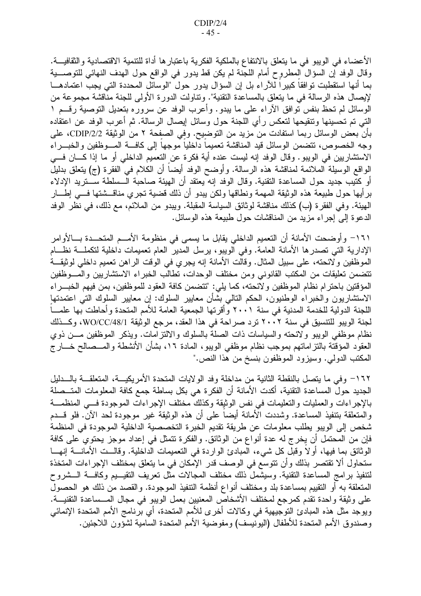الأعضاء في الويبو في ما يتعلق بالانتفاع بالملكية الفكرية باعتبار ها أداة للتتمية الاقتصادية والثقافيـــة. وقال الوفد إن السؤال المطروح أمام اللجنة لم يكن قط يدور في الواقع حول الهدف النهائي للتوصــــية بما أنها استقطبت توافقا كبيرا للأراء بل إن السؤال يدور حول "الوسائل المحددة التي يجب اعتمادهـــا لإيصال هذه الرسالة في ما يتعلق بالمساعدة التقنية". ونتاولت الدورة الأولى للجنة مناقشة مجموعة من الوسائل لم تحظ بنفس توافق الأراء على ما يبدو . وأعرب الوفد عن سروره بتعديل التوصية رقـــم ١ التـَّى تم تـحسينـها ونتقيحـها لتعكس رأي اللـجنـة حول وسائل إيصـال الرسالـة. ثم أعرب الوفد عن اعتقاده بأن بعض الوسائل ربما استفادت من مزيد من التوضيح. وفِي الصفِحة ٢ من الوثيقة CDIP/2/2، على وجه الخصوص، نتضمن الوسائل قيد المناقشة تعميما داخليا موجها إلىي كافسة المسوظفين والخبسراء الاستشاريين في الويبو. وقال الوفد إنه ليست عنده أية فكرة عن التعميم الداخلي أو ما إذا كـــان فـــي الواقع الوسيلة الملائمة لمناقشة هذه الرسالة. وأوضح الوفد أيضا أن الكلام في الفقرة (ج) يتعلق بدليل أو كتيب جديد حول المساعدة التقنية. وقال الوفد إنه يعتقد أن الهيئة صاحبة الــسلطة ســـتريد الإدلاء برأيها حول طبيعة هذه الوثيقة المهمة ونطاقها ولكن يبدو أن ذلك قضية تجري مناقـــشتها فـــي إطـــار الـهيئة. وفي الفقرة (ب) كذلك مناقشة لوثائق السياسة المقبلة. ويبدو من الملائم، مع ذلك، في نظر الوفد الدعوة إلى إجراء مزيد من المناقشات حول طبيعة هذه الوسائل.

1٦١– وأوضحت الأمانة أن التعميم الداخلي يقابل ما يسمى في منظومة الأمـــم المتحـــدة بــــالأوامر الإدارية التبي تصدرها الأمانة العامة. وفي الويبو، يرسل المدير العام تعميمات داخلية لتكملـــة نظـــام الموظفين ولائحته، على سبيل المثال. وقالت الأمانة إنه يجرى في الوقت الراهن تعميم داخلي لوثيقة تتضمن تعليقات من المكتب القانوني ومن مختلف الوحدات، تطالب الخبراء الاستشاريين والمسوظفين المؤقتين باحترام نظام الموظفين ولائحته، كما يلي: "تتضمن كافة العقود للموظفين، بمن فيهم الخبـــراء الاستشاريون والخبراء الوطنيون، الحكم التالي بشأن معايير السلوك: إن معايير السلوك التي اعتمدتها اللجنة الدولية للخدمة المدنية في سنة ٢٠٠١ وأقرتها الجمعية العامة للأمم المتحدة وأحاطت بها علمـــا لجنة الويبو للتنسيق في سنة ٢٠٠٢ ترد صراحة في هذا العقد، مرجع الوثيقة WO/CC/48/1، وكـذلك نظام موظفى الويبو ولائحته والسياسات ذات الصلة بالسلوك والالتزامات. ويذكر الموظفين مــن ذوي العقود المؤقتة بالنزاماتهم بموجب نظام موظفي الويبو، المادة ١٦، بشأن الأنشطة والمـــصالح خـــار ج المكتب الدولمي. وسيزود الموظفون بنسخ من هذا النص."

1٦٢– وفي ما يتصل بالنقطة الثانية من مداخلة وفد الولايات المتحدة الأمريكيـــة، المتعلقـــة بالـــدليل الجديد حول المساعدة النقنية، أكدت الأمانة أن الفكرة هي بكل بساطة جمع كافة المعلومات المتــصلة بالإجراءات والعمليات والنعليمات في نفس الوثيقة وكذلك مختلف الإجراءات الموجودة فسى المنظمـــة والمتعلقة بتنفيذ المساعدة. وشددت الأمانة أيضا على أن هذه الوثيقة غير موجودة لحد الآن. فلو قـــدم شخص إلى الويبو يطلب معلومات عن طريقة تقديم الخبرة التخصصية الداخلية الموجودة في المنظمة فإن من المحتمل أن يخرج له عدة أنواع من الوثائق. والفكرة تتمثَّل في إعداد موجز يحتوي على كافة الوثائق بما فيها، أولا وقبل كل شيء، المبادئ الواردة في التعميمات الداخلية. وقالــت الأمانــــة إنهـــا ستحاول ألا تقتصر بذلك وأن تتوسع في الوصف قدر الإمكان في ما يتعلق بمختلف الإجراءات المتخذة لنتفيذ برامج المساعدة النقنية. وسيشمل ذلك مختلف المجالات مثل تعريف النقيـــيم وكافـــة الـــشروح المتعلقة به أو التقييم بمساعدة بلد ومختلف أنواع أنظمة التنفيذ الموجودة. والقصد من ذلك هو الحصول على وثيقة واحدة نقدم كمرجع لمختلف الأشخاص المعنيين بعمل الويبو في مجال المـــساعدة النقنيـــة. ويوجد مثل هذه المبادئ النوجيهية في وكالات أخرى للأمم المتحدة، أي برنامج الأمم المتحدة الإنمائي وصندوق الأمم المتحدة للأطفال (اليونيسف) ومفوضية الأمم المتحدة السامية لشوّون اللاجئين.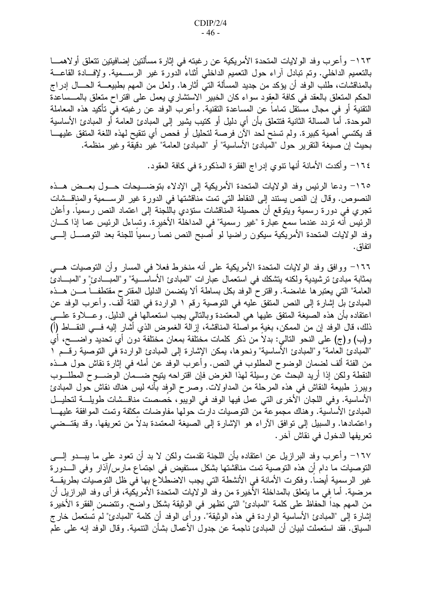١٦٣– وأعرب وفد الولايات المتحدة الأمريكية عن رغبته في إثارة مسألتين إضافيتين تتعلق أولاهمـــا بالنعميم الداخلي. وتم نبادل أراء حول النعميم الداخلي أنثاء الدورة غير الرســـمية. ولإفـــادة القاعـــة بالمناقشات، طلب الوفد أن يؤكد من جديد المسألة التي أثار ها. ولعل من المهم بطبيعــــة الحــــال إدراج الحكم المتعلق بالعقد في كافة العقود سواء كان الخبير الاستشاري يعمل على اقتراح متعلق بالمـــساعدة النقنية أو في مجال مستقل تماما عن المساعدة النقنية. وأعرب الوفد عن رغبته في تأكيد هذه المعاملة الموحدة. أما المسالة الثانية فتتعلق بأن أي دليل أو كتيب يشير إلى المبادئ العامة أو المبادئ الأساسية قد يكتسى أهمية كبيرة. ولم تسنح لحد الآن فرصة لتحليل أو فحص أي تنقيح لـهذه اللغة المتفق عليهـــا بحيث إن صيغة التقرير حول "المبادئ الأساسية" أو "المبادئ العامة" غير دقيقة وغير منظمة.

١٦٤– وأكدت الأمانة أنها نتوى إدراج الفقر ة المذكور ة في كافة العقود.

١٦٥– ودعا الرئيس وفد الولايات المتحدة الأمريكية إلى الإدلاء بتوضـــيحات حـــول بعـــض هـــذه النصوص. وقال إن النص يستند إلى النقاط التي تمت مناقشتها في الدورة غير الرســمية والمناقــشات تجري في دورة رسمية ويتوقع أن حصيلة المناقشات ستؤدي باللجنة إلى اعتماد النص رسمياً. وأعلن الرئيس أنَّه تردد عندما سمع عَّبارة "غير رسمية" في المداخلَة الأخيرِة. وتسِاءل الرئيس عما إذا كـــان وفد الولايات المتحدة الأمريكية سيكون راضيا لو أصبح النص نصا رسميا للجنة بعد التوصــــل إلــــي اتفاق .

١٦٦- ووافق وفد الولايات المتحدة الأمريكية على أنه منخرط فعلا في المسار وأن التوصيات هــي بمثابة مبادئ نرشيدية ولكنه يتشكك في استعمال عبارات "المبادئ الأساســـية" و"المبـــادئ" و"المبـــادئ العامة" التي يعتبر ها غامضة. واقترح الوفد بكل بساطة ألا يتضمن الدليل المقترح مقتطف ً مـــن هـــذه المبادئ بل إشارة إلى النص المتفق عليه في التوصية رقم ١ الواردة في الفئة ألف. وأعرب الوفد عن اعتقاده بأن هذه الصيغة المتفق عليها هي المعتمدة وبالنالبي يجب استعمالها في الدليل. وعــــلاوة علــــي ذلك، قال الوفد إن من الممكن، بغيةٍ مواصلة المناقشة، إزآلة الغموض الذي أشار إليه فـــي النقـــاط (أ) و(ب) و(ج) على النحو النالبي: بدلا من ذكر كلمات مختلفة بمعان مختلفة دون أي تحديد واضــــح، أي "المبادئ العامة" و"المبادئ الأساسية" ونحوها، يمكن الإشارة إلى المبادئ الواردة في التوصية رقـــم ١ من الفئة ألف لضمان الوضوح المطلوب في النص. وأعرب الوفد عن أمله في إثارة نقاش حول هــذه النقطة ولكن إذا أريد البحث عن وسيلة لهذا الغرض فإن اقتراحه يتيح ضـــمان الوضـــوح المطلـــوب ويبرز طبيعة النقاش في هذه المرحلة من المداولات. وصرح الوفد بأنه ليس هناك نقاش حول المبادئ الأساسية. وفي اللجان الأخر ى التي عمل فيها الوفد في الويبو ، خصصت مناقـــشات طويلــــة لتحليـــل المبادئ الأساسية. وهناك مجموعة من النوصيات دارت حولها مفاوضات مكثفة ونمت الموافقة عليهـــا واعتمادها. والسبيل إلى نوافق الأراء هو الإشارة إلى الصيغة المعتمدة بدلا من تعريفها. وقد يقتــضي تعريفها الدخول في نقاش أخر .

١٦٧– وأعرب وفد البرازيل عن اعتقاده بأن اللجنة تقدمت ولكن لا بد أن تعود على ما يبـــدو إلــــي التوصيات ما دام أن هذه التوصية تمت مناقشتها بشكل مستفيض في اجتماع مارس/آذار وفي الـــدورة غير الرسمية أيضا. وفكرت الأمانة في الأنشطة التي يجب الاضطلاع بها في ظل التوصيات بطريقـــة مرصية. أما في ما يتعلق بالمداخلة الأخيرة من وفد الولايات المتحدة الأمريكية، فرأى وفد البرازيل أن من المهم جداً الحفاظ على كلمة "المبادئ" التي تظهر في الوثيقة بشكل واضح. وتتضمن الفقرة الأخيرة إشارة إلى "المبادئ الأساسية الواردة في هذه الوثيقة". ورأى الوفد أن كلمة "المبادئ" لم تُستعمل خارج السياق. فقد استعملت لبيان أن المبادئ ناجمة عن جدول الأعمال بشأن التنمية. وقال الوفد إنه على علم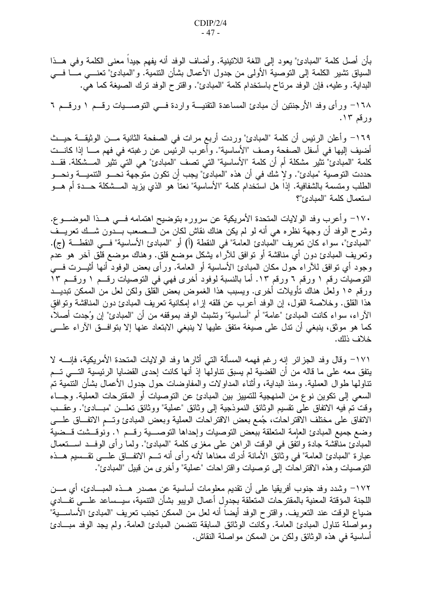بأن أصل كلمة "المبادئ" يعود إلى اللغة اللاتينية. وأضاف الوفد أنه يفهم جيداً معنى الكلمة وفي هــذا السياق نشير الكلمة إلى التوصية الأولى من جدول الأعمال بشأن التنمية. و"المبادئ" نعنـــي مــــا فـــي البداية. وعليه، فإن الوفد مرتاح باستخدام كلمة "المبادئ". واقترح الوفد نزك الصيغة كما هي.

١٦٨– ورأى وفد الأرجنتين أن مبادئ المساعدة النقنيـــة واردة فـــي التوصـــيات رقـــم ١ ورقـــم ٦ ورقم ١٣.

١٦٩– وأعلن الرئيس أن كلمة "المبادئ" وردت أربع مرات في الصفحة الثانية مــن الوثيقـــة حيــث أضيف إليها في أسفل الصفحة وصف "الأساسية". وأعرب الرئيس عن رغبته في فهم مـــا إذا كانـــت كلمة "المبادئ" تثير مشكلة أم أن كلمة "الأساسية" التي تصف "المبادئ" هي التي تثير المـــشكلة. فقـــد حددت النوصية "مبادئ". و لا شك في أن هذه "المبادئ" يجب أن تكون متوجهة نحـــو التنميـــة ونحـــو الطلب ومتسمة بالشفافية. إذاً هل استخدام كلمة "الأساسية" نعتاً هو الذي يزيد المـــشكلة حـــدة أم هـــو استعمال كلمة "المبادئ"؟

١٧٠– وأعرب وفد الولايات المتحدة الأمريكية عن سروره بتوضيح اهتمامه فـــي هــذا الموضـــو ع. وشرح الوفد أن وجهة نظره هي أنه لو لم يكن هناك نقاش لكان من الـــصعب بـــدون شـــك تعريـــف "المبادئ"، سواء كان تعريف "المبادئ العامة" في النقطة (أ) أو "المبادئ الأساسية" فـــي النقطـــة (ج). وتعريف المبادئ دون أي مناقشة أو توافق للأراء يشكل موضع قلق. وهناك موضع قلق آخر هو عدم وجود أي نوافق للأراء حول مكان المبادئ الأساسية أو العامة. ورأى بعض الوفود أنها أُثيـــرت فــــي التوصيات رقم ١ ورقم ٦ ورقم ١٣. أما بالنسبة لوفود أخرى فهي في التوصيات رقــم ١ ورقــم ١٣ ورقع ١٥ ولعل هناك تأويلات أخرى. ويسبب هذا الغموض بعض القلق ولكن لعل من الممكن تبديــد هذا القلق. وخلاصة القول، إن الوفد أعرب عن قلقه إزاء إمكانية تعريف المبادئ دون المناقشة وتوافق الآراء، سواء كانت المبادئ "عامة" أم "أساسية" ونتثبث الوفد بموقفه من أن "المبادئ" إن وُجدت أصلاً، كما هو موثق، ينبغي أن تدل على صيغة متفق عليها لا ينبغي الابتعاد عنها إلا بتوافـــق الآراء علــــي خلاف ذلك.

١٧١– وقال وفد الجزائر إنه رغم فهمه المسألة التي أثارها وفد الولايات المتحدة الأمريكية، فإنـــــه لا يتفق معه على ما قاله من أن القضية لم يسبق نتاولها إذ أنها كانت إحدى القضايا الرئيسية التـــي تـــم تناولها طوال العملية. ومنذ البداية، وأثناء المداولات والمفاوضات حول جدول الأعمال بشأن النتمية تم السعى إلى تكوين نو ع من المنهجية للتمييز بين المبادئ عن التوصيات أو المقترحات العملية. وجـــاء وقت نم فيه الاتفاق على نقسيم الوثائق النموذجية إلى وثائق "عملية" ووثائق نعلـــن "مبـــادئ". وعقـــب الاتفاق على مختلف الاقتراحات، جُمع بعض الاقتراحات العملية وبعض المبادئ وتسم الاتفاق علسى وضع جميع المبادئ العامة المتعلقة ببعض التوصيات وإحداها التوصـــية رقـــم ١. ونُوقــشت قــضية المبادئ مناقشة جادة واتفق في الوقت الراهن على مغزى كلمة "المبادئ". ولما رأى الوفــد اســـتعمال عبارة "للمبادئ العامة" في وثائق الأمانة أدرك معناها لأنه رأى أنه تــم الاتفــاق علـــي تقـــسيم هـــذه النوصيات و هذه الاقتراحات إلى توصيات واقتراحات "عملية" وأخرى من قبيل "المبادئ".

١٧٢– وشدد وفد جنوب أفريقيا على أن نقديم معلومات أساسية عن مصدر هـــذه المبــــادئ، أي مـــن اللجنة المؤقتة المعنية بالمقترحات المتعلقة بجدول أعمال الويبو بشأن التتمية، سيــساعد علـــي تفـــادي ضياع الوقت عند التعريف. واقترح الوفد أيضاً أنه لعل من الممكن تجنب تعريف "المبادئ الأساســـية" ومواصلة نتاول المبادئ العامة. وكانت الوثائق السابقة نتضمن المبادئ العامة. ولم يجد الوفد مبــادئ أساسية في هذه الوثائق ولكن من الممكن مواصلة النقاش.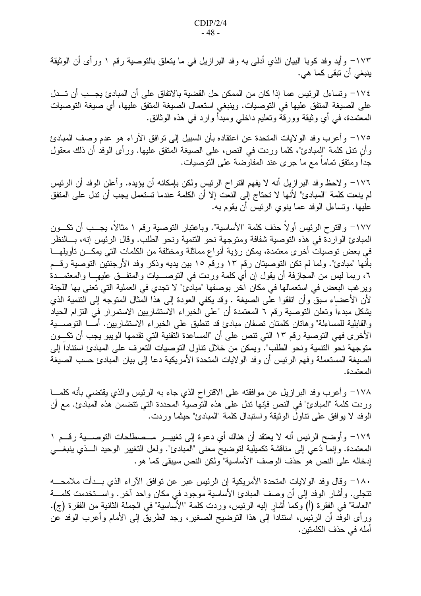١٧٣– وأيد وفد كوبا البيان الذي أدلى به وفد البرازيل في ما يتعلق بالتوصية رقم ١ ورأى أن الوثيقة ينبغي أن تبقى كما هي.

١٧٤– وتساءل الرئيس عما إذا كان من الممكن حل القضية بالاتفاق على أن المبادئ يجـــب أن تـــدل على الصيغة المتفق عليها في التوصيات. وينبغي استعمال الصيغة المتفق عليها، أي صيغة التوصيات المعتمدة، فـي أي وثيقة وورقة وتعليم داخلـي ومبدأ وارد فـي هذه الوثائق.

١٧٥– وأعرب وفد الولايات المتحدة عن اعتقاده بأن السبيل إلى توافق الآراء هو عدم وصف المبادئ و أن ندل كلمة "المبادئ"، كلما وردت في النص، على الصبغة المتفق عليها. ور أي الوفد أن ذلك معقول جدا ومتفق تماما مع ما جرى عند المفاوضة على التوصيات.

١٧٦– ولاحظ وفد البرازيل أنه لا يفهم اقتراح الرئيس ولكن بإمكانه أن يؤيده. وأعلن الوفد أن الرئيس لم ينعت كلمة "المبادئ" لأنها لا تحتاج إلى النعت إلا أن الكلمة عندما تستعمل يجب أن تدل على المتفق عليها. وتساءل الوفد عما ينوي الرئيس أن يقوم به.

١٧٧– وإقترح الرئيس أولاً حذف كلمة "الأساسية". وباعتبار التوصية رقم ١ مثالاً، يجــب أن تكــون المبادئ الواردة في هذه التوصية شفافة ومتوجهة نحو التتمية ونحو الطلب. وقال الرئيس إنه، بـــالنظر في بعض توصيات أخرى معتمدة، يمكن رؤية أنواع مماثلة ومختلفة من الكلمات التي يمكـــن تأويلهــــا بأنها "مبادئ". ولما لم تكن التوصيتان رقم ١٣ ورقم ١٥ بين يديه وذكر وفد الأرجنتين التوصية رقـــم ٢، ربما ليس من المجازفة أن يقول إن أي كلمة وردت في التوصـــيات والمتفــق عليهـــا والمعتمـــدة ويرغب البعض في استعمالها في مكان آخر بوصفها "مبادئ" لا تجدي في العملية التي تُعنى بها اللجنة لأن الأعضاء سبقٌ وأن اتفقوا على الصبغة . وقد يكفي العودة إلى هذا المثال المتوجهُ إلى التنمية الذي يشكل مبدءا وتعلن التوصية رقم ٦ المعتمدة أن "على الخبراء الاستشاريين الاستمرار في التزام الحياد والقابلية للمساءلة" وهاتان كلمتان تصفان مبادئ قد نتطبق على الخبراء الاستشاريين. أمـــا التوصــــية الأخر ي فهي التوصية رقم ١٣ التي نتص على أن "المساعدة التقنية التي تقدمها الويبو يجب أن تكـــون متوجهة نحو التتمية ونحو الطلب". ويمكن من خلال نتاول التوصيات التعرف على المبادئ استنادا إلى الصبغة المستعملة وفهم الرئيس أن وفد الولايات المتحدة الأمريكية دعا إلى بيان المبادئ حسب الصبغة المعتمدة.

١٧٨– وأعرب وفد البرازيل عن موافقته على الاقتراح الذي جاء به الرئيس والذي يقتضي بأنه كلمـــا وردت كلمة "المبادئ" في النص فإنها ندل على هذه التوصية المحددة التي نتضمن هذه المبادئ. مع أن الوفد لا يوافق على نناول الوثيقة واستبدال كلمة "المبادئ" حيثما وردت.

١٧٩– وأوضح الرئيس أنه لا يعتقد أن هناك أي دعوة إلى تغييـــر مـــصطلحات التوصــــية رقـــم ١ المعتمدة. وإنما دُعي إلى مناقشة تكميلية لتوضيح معنى "المبادئ". ولعل التغيير الوحيد الــذي ينبغـــي إدخاله على النص هو حذف الوصف "الأساسية" ولكن النص سيبقى كما هو.

١٨٠– وقال وفد الو لايات المتحدة الأمر يكية إن الرئيس عبر عن تو افق الآر اء الذي بـــدأت ملامحــــه نتجلى. وأشار الوفد إلى أن وصف المبادئ الأساسية موجود في مكان واحد آخر . واســــتخدمت كلمــــة "العامة" في الفقرة (أ) وكما أشار إليه الرئيس، وردت كلمة "الأساسية" في الجملة الثانية من الفقرة (ج). ور أى الوفَّد أن الرئيس، استناداً إلى هذا النوضيح الصغير، وجد الطريقَ إلى الأمام وأعرب الوفد عن أمله في حذف الكلمتين.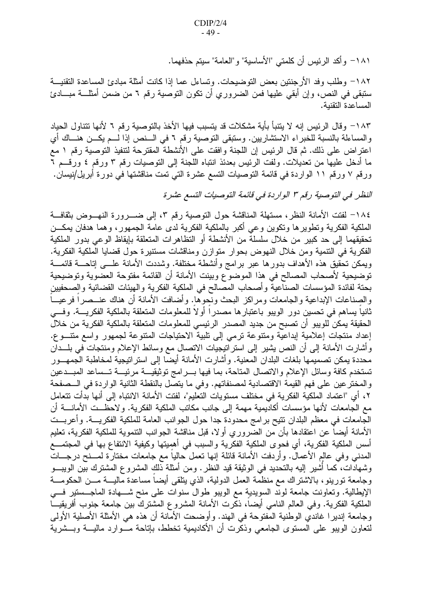١٨١– وأكد الرئيس أن كلمتي "الأساسية" و"العامة" سيتم حذفهما.

١٨٢– وطلب وفد الأرجنتين بعض التوضيحات. وتساءل عما إذا كانت أمثلة مبادئ المساعدة التقنيـــة ستبقى في النص، وإن أبقى عليها فمن الضروري أن تكون التوصية رقم ٦ من ضمن أمثلــــة مبـــــادئ المساعدة التقنية.

١٨٣– وقال الرئيس إنه لا يتنبأ بأية مشكلات قد يتسبب فيها الأخذ بالتوصية رقم ٦ لأنها تتناول الحياد والمساءلة بالنسبة للخبراء الاستشاريين. وسنبقى النوصية رقم ٦ في الــنص إذا لـــم يكـــن هنـــاك أي اعتراض على ذلك. ثم قال الرئيس إن اللجنة وافقت على الأنشطة المقترحة لتنفيذ التوصية رقم ١ مع ما أدخل عليها من تعديلات. ولفت الرئيس بعدئذ انتباه اللجنة إلى التوصيات رقم ٣ ورقم ٤ ورقـــم ٦ ورقم ٧ ورقم ١١ الواردة في قائمة التوصيات التسع عشرة التي تمت مناقشتها في دورة أبريل/نيسان.

النظر في التوصية رقم ٣ الواردة في قائمة التوصيات التسع عشرة

١٨٤– لفتت الأمانة النظر، مستهلة المناقشة حول التوصية رقم ٣، إلى ضــــرورة النهـــوض بثقافـــة الملكية الفكرية وتطوير ها وتكوين وعي أكبر بالملكية الفكرية لدى عامة الجمهور ، وهما هدفان يمكـــن تحقيقهما إلى حد كبير من خلال سلسلةٌ من الأنشطة أو التظاهرات المتعلقة بإيقاظ الوعي بدور الملكية الفكرية في التنمية ومن خلال النهوض بحوار منوازن ومناقشات مستنيرة حول قضايا الملكية الفكرية. ويمكن تحقيق هذه الأهداف بدورها عبر برامج وأنشطة مختلفة. وشددت الأمانة علـــى إتاحـــة قائمـــة توضيحية لأصحاب المصالح في هذا الموضوّع وبينت الأمانة أن القائمة مفتوحة العضوية وتوضيحية بحتة لفائدة المؤسسات الصناعية وأصحاب المصالح في الملكية الفكرية والهيئات القضائية والصحفيين والصناعات الإبداعية والجامعات ومراكز البحث ونَّحوها. وأضافت الأمانة أن هناك عنـــصراً فرعيـــاً ثانياً يساهم في نحسين دور الويبو باعتبارها مصدراً أولاً للمعلومات المتعلقة بالملكية الفكريــــة. وفـــي الحقيقة يمكن للويبو أن تصبح من جديد المصدر الرئيسي للمعلومات المتعلقة بالملكية الفكرية من خلال إعداد منتجات إعلامية إبداعية ومتنوعة ترمى إلى تلبية الاحتياجات المتنوعة لجمهور واسع متنوع. وأشارت الأمانة إلى أن النص يشير إلى استراتيجيات الاتصال مع وسائط الإعلام ومنتجات في بلـــدان محددة يمكن تصميمها بلغات البلدان المعنية. وأشارت الأمانة أيضا إلى استر اتيجية لمخاطبة الجمهـــور تستخدم كافة وسائل الإعلام والاتصال المتاحة، بما فيها بـــرامج توثيقيـــة مرئيـــة تـــساعد المبـــدعين والمختر عين على فهم القيمة الاقتصادية لمصنفاتهم. وفي ما يتصل بالنقطة الثانية الواردة في الـــصفحة ٢، أي "اعتماد الملكية الفكرية في مختلف مستويات التعليم"، لفتت الأمانة الانتباه إلى أنها بدأت تتعامل مع الجامعات لأنها مؤسسات أكاديمية مهمة إلى جانب مكاتب الملكية الفكرية. ولاحظــت الأمانــــة أن الجامعات في معظم البلدان نتيح برامج محدودة جدا حول الجوانب العامة للملكية الفكريــــة. وأعربـــت الأمانة أيضاً عن اعتقادها بأن من الضروري أولا، قبل مناقشة الجوانب التنموية للملكية الفكرية، تعليم أسس الملكية الفكرية، أي فحوى الملكية الفكرية والسبب في أهمِيتها وكيفية الانتفاع بها في المجتمـــع المدنـي وفي عالم الأعمال. وأردفت الأمانـة قائلـة إنـها تعمل حالياً مـع جامعات مختارة لمـــنح درجـــات وشهادات، كما أشير إليه بالتحديد في الوثيقة قيد النظر . ومن أمثلة ذلك المشروع المشترك بين الويبـــو وجامعة نورينو، بالاشتراك مع منظمة العمل الدولية، الذي يتلقى أيضا مساعدة ماليـــة مـــن الحكومـــة الإيطالية. وتعاونت جامعة لوند السويدية مع الويبو طوال سنوات على منح شـــهادة الماجــستير فـــي الملكية الفكرية. وفي العالم النامي أيضاً، ذكرت الأمانة المشروع المشترك بين جامعة جنوب أفريقيـــا وجامعة إندير ا غاندي الوطنية المُفتوحة في الهند. وأوضحت الأمَّانة أن هذه هي الأمثلة الأصلية الأولى لنعاون الويبو على المستوى الجامعي وذكَّرت أن الأكاديمية نخطط، بإناحة مــوارد ماليـــة وبـــشرية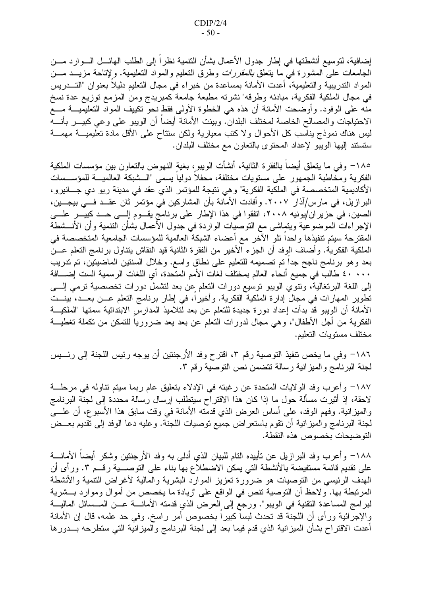إضافية، لتوسيع أنشطتها في إطار جدول الأعمال بشأن التنمية نظراً إلى الطلب الهائـــل الـــوارد مـــن الجامعات على المشورة في ما يتعلق *بالمقررات* وطرق التعليم والمواد التعليمية. ولإتاحة مزيـــد مـــن المواد الندريبية والتعليمية، أعدت الأمانة بمساعدة من خبراء في مجال التعليم دليلا بعنوان "التـــدريس في مجال الملكية الفكرية، مبادئه وطرقه" نشرته مطبعة جامعة كمبريدج ومن المزمع توزيع عدة نسخ منه على الوفود. وأوضحت الأمانة أن هذه هي الخطوة الأولى فقط نحو تكييف المواد التعليميـــة مــــع الاحتياجات والمصالح الخاصة لمختلف البلدان. وبينت الأمانة أيضاً أن الويبو على وعي كبيـــر بأنــــه ليس هناك نموذج بناسب كل الأحوال ولاكتب معيارية ولكن ستتاح على الأقل مادة تعليميــــة مـهمــــة ستستند إليها الويبو لإعداد المحتوى بالتعاون مع مختلف البلدان.

١٨٥– وفي ما يتعلق أيضاً بالفقرة الثانية، أنشأت الويبو، بغية النهوض بالتعاون بين مؤسسات الملكية الفكرية ومخاطبة الجمهور على مستويات مختلفة، محفلاً دولياً يسمى "الـــشبكة العالميــــة للمؤســـسات الأكاديمية المتخصصة في الملكية الفكرية" و هي نتيجة للمؤتمر الذي عقد في مدينة ريو دي جــــانيرو ، البر ازيل، في مارس/آذار ٢٠٠٧. وأفادت الأمانة بأن المشاركين في مؤتمر ثان عقــد فــي بيجــين، الصين، في حزير ان/يونيه ٢٠٠٨، اتفقوا في هذا الإطار على برنامج يقــوم إلـــي حــد كبيـــر علــــي الإجراءات الموضوعية ويتماشى مع النوصيات الواردة في جدول الأعمال بشأن النتمية وأن الأنـــشطة المقترحة سيتم تتفيذها واحداً تلو الآخر مع أعضاء الشبكة العالمية للمؤسسات الجامعية المتخصصة في الملكية الفكرية. وأضاف الوفد أن الجزء الأخير من الفقرة الثانية قيد النقاش يتناول برنامج النعلم عـــن بعد وهو برنامج ناجح جدا تم تصميمه للتعليم على نطاق واسع. وخلال السنتين الماضيتين، تم تدريب ٤٠ ٤٠ طالب في جميع أنحاء العالم بمختلف لغات الأمم المتحدة، أي اللغات الرسمية الست إضــــافة إلى اللغة البرنغالية، ونتوي الويبو نوسيع دورات النعلم عن بعد لنشمل دورات نخصصية نرمي إلـــي نطوير المهارات في مجال إدارة الملكية الفكرية. وأخيراً، في إطار برنامج النعلم عــن بعــد، بينــت الأمانة أن الويبو قد بدأت إعداد دورة جديدة للتعلم عن بعد لتلاميذ المدارس الابتدائية سمتها "الملكيـــة الفكرية من أجل الأطفال"، وهي مجال لدورات النعلم عن بعد يعد ضروريا للنمكن من نكملة نغطيـــة مختلف مستويات التعليم.

١٨٦– وفي ما يخص نتفيذ التوصية رقم ٣، اقترح وفد الأرجنتين أن يوجه رئيس اللجنة إلى رئـــيس لجنة البرنامج والميزانية رسالة تتضمن نص التوصية رقم ٣.

١٨٧– وأعرب وفد الولايات المتحدة عن رغبته في الإدلاء بتعليق عام ربما سيتم نتاوله في مرحلـــة لاحقة، إذ أثيرت مسألة حول ما إذا كان هذا الاقتراح سيتطلب إرسال رسالة محددة إلى لجنة البرنامج والمميز انية. وفهم الوفد، على أساس الـعرض الذي قدمته الأمانة فـي وقت سابق هذا الأسبوع، أن علــــي لجنة البرنامج والمبز انية أن نقوم باستعراض جميع توصيات اللجنة. وعليه دعا الوفد إلى نقديم بعــض التو ضيحات بخصوص هذه النقطة.

١٨٨– وأعرب وفد البرازيل عن تأييده التام للبيان الذي أدلمي به وفد الأرجنتين وشكر أيضاً الأمانــــة على نقديم قائمة مستفيضة بالأنشطة التي يمكن الاضطلاع بها بناء على التوصــــية رقـــم ٣. ورأى أن الهدف الرئيسي من النوصيات هو ضرورة نعزيز الموارد البشرية والمالية لأغراض النتمية والأنشطة المرتبطة بها. ولاحظ أن النوصية نتص في الواقع على "زيادة ما يخصص من أموال وموارد بـــشرية لبرامج المساعدة النقنية في الويبو". ورجع إلى العرض الذي قدمته الأمانــــة عـــن المـــسائل الماليـــة والإجرائية ورأى أن اللجنة قد تحدث لبسا كبيرًا بخصوص أمر راسخ. وفي حد علمه، قال إن الأمانة أعدت الاقتراح بشأن المبزانية الذي قدم فيما بعد إلى لجنة البرنامج والمبزانية التي ستطرحه بـــدورها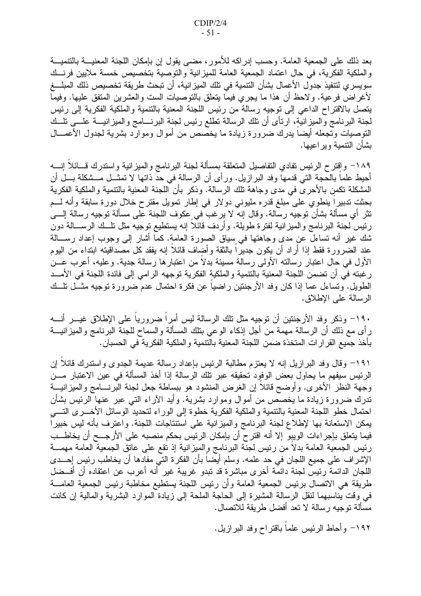بعد ذلك على الجمعية العامة. وحسب إدراكه للأمور، مضي يقول إن بإمكان اللجنة المعنيـــة بالتنميـــة و الملكية الفكرية، في حال اعتماد الجمعية العامة للميز انية و التوصية بتخصيص خمسة ملايين فرنسك سويسر ي لتنفيذ جدول الأعمال بشأن التتمية في تلك الميز انية، أن تبحث طريقة تخصيص ذلك المبلـــغ لأغر اض فرعية. ولاحظ أن هذا ما يجرى فيما يتعلق بالتوصيات الست والعشرين المتفق عليها. وفيما يتصل بالاقتراح الداعي إلى توجيه رسالة من رئيس اللجنة المعنية بالتنمية والملكية الفكرية إلى رئيس لـجنة البرنـامـج والمـيز انية، ارتـأى أن نلك الرسالـة نطلـع رئيس لـجنـة البرنـــــامـج والمـيز انيــــة علــــي نلـــك النوصيات وتجعله أيضا يدرك ضرورة زيادة ما يخصص من أموال وموارد بشرية لجدول الأعمـــال بشأن التتمية وبر اعيها.

١٨٩– واقترح الرئيس تفادي التفاصيل المتعلقة بمسألة لجنة البرنامج والميزانية واستدرك قسائلا إنسه أحيط علماً بالحجة التي قدمها وفد البرازيل. ورأى أن الرسالة في حد ذاتها لا تمثـــل مـــشكلة بـــل أن المشكلة نكمن بالأحرى في مدى وجاهة نلك الرسالة. وذكر بأن اللجنة المعنية بالنتمية والملكية الفكرية بحثت تدبيرًا ينطوي على مبلغ قدره مليوني دولار في إطار تمويل مقترح خلال دورة سابقة وأنه لـــم تثر أي مسألة بشأن توجيه رسالة. وقال إنه لا يرغب في عكوف اللجنة على مسألة توجيه رسالة إلـــي رئيس لجنة البرنامج والمبزانية لفترة طويلة. وأردف قائلا إنه يستطيع نوجيه مثل تلسك الرسسالة دون شك غيرٍ أنه تساءل عن مدى وجاهتها في سياق الصورة العامة. كما أشار إلى وجوب إعداد رســـالة عند الضرورة فقط إذا أراد أن يكون جديرا بالنقة وأضاف قائلا إنه يفقد كل مصداقيته ابتداء من اليوم الأول في حال اعتبار رسالته الأولى رسالة مسيئة بدلاً من اعتبارها رسالة جدية. وعليه، أعرب عـــن ر غبته في أن تضمن اللجنة المعنية بالتنمية والملكية الفكرية توجهه الرامي إلى فائدة اللجنة في الأمـــد الطويل. وتساءل عما إذا كان وفد الأرجنتين راضياً عن فكرة احتمال عدم ضرورة توجيه مثـــل تلـــك الرسالة على الإطلاق.

١٩٠– وذكر وفد الأرجنتين أن توجيه مثل تلك الرسالة ليس أمرا ضروريا على الإطلاق غيـــر أنــــه ر أي مع ذلك أن الرسالة مهمة من أجل إذكاء الوعبي بتلك المسألة والسماح للجنة البرنامج والمبز انيـــة بأخذ جميع القر ار ات المتخذة ضمن اللجنة المعنية بالنتمية والملكية الفكرية في الحسبان.

١٩١– وقال وفد البرازيل إنه لا يعتزم مطالبة الرئيس بإعداد رسالة عديمة الجدوى واستدرك قائلا إن الرئيس سيفهم ما يحاول بعض الوفود تحقيقه عبر تلك الرسالة إذا أخذ المسألة في عين الاعتبار مـــن وجهة النظر الأخرى. وأوضح قائلا إن الغرض المنشود هو ببساطة جعل لجنة البرنــــامج والمبز انيــــة ندرك ضرورة زيادة ما يخصص من أموال وموارد بشرية. وأيد الآراء التـي عبر عنها الرئيس بشأن احتمال خطو اللجنة المعنية بالنتمية والملكية الفكرية خطوة إلىي الوراء لتحديد الوسائل الأخـــرى التــــي يمكن الاستعانة بها لإطلاع لجنة البرنامج والميزانية على استنتاجات اللجنة. واعترف بأنه ليس خبيرا فيما يتعلق بإجراءات الويبو إلا أنه اقتر ح أن بإمكان الرئيس بحكم منصبه على الأرجـــح أن يخاطـــب رئيس الجمعية العامة بدلا من رئيس لجنة البرنامج والميزانية إذ نقع على عانق الجمعية العامة مهمـــة الإشراف على جميع اللجان في حد علمه. وسلم أيضاً بأن الفكرة التيّ مفادها أن يخاطب رئيس إحـــدى اللجان الدائمة رئيس لجنة دائمة أخرى مباشرة قد نبدو غريبة غير أنه أعرب عن اعتقاده أن أفــضل طريقة هي الاتصال برئيس الجمعية العامة وأن رئيس اللجنة يستطيع مخاطبة رئيس الجمعية العامــــة في وقت يناسبهما لنقل الرسالة المشيرة إلى الحاجة الملحة إلى زيادة الموارد البشرية والمالية إن كانت مسَأَلَة نوجيه رسالة لا تعد أفضل طريقة للاتصال.

١٩٢– وأحاط الرئيس علماً باقتراح وفد البر از پل.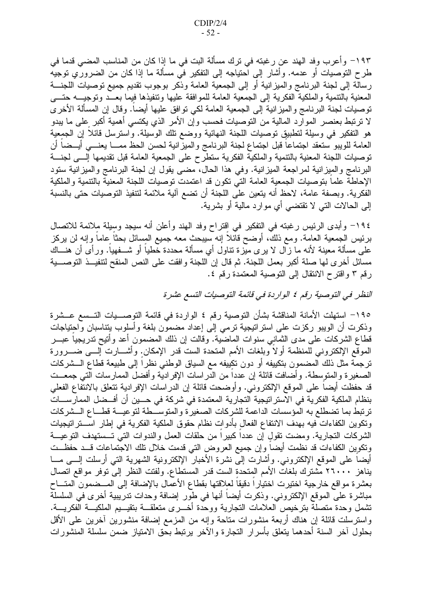١٩٣– وأعرب وفد الهند عن رغبته في ترك مسألة البت في ما إذا كان من المناسب المضي قدما في طرح النوصيات أو عدمه. وأشار إلى احتياجه إلى التفكير في مسألة ما إذا كان من الضروري توجيه رسالة إلى لجنة البرنامج والميزانية أو إلى الجمعية العامة وذكر بوجوب تقديم جميع توصيات اللجنـــة المعنية بالتنمية والملكية الفكرية إلى الجمعية العامة للموافقة عليها وتنفيذها فيما بعــد ونوجيـــه حتـــي توصيات لجنة البرنامج والميزانية إلى الجمعية العامة لكي توافق عليها أيضا. وقال إن المسألة الأخرى لا نرتبط بعنصر الموارد المالية من النوصيات فحسب وإن الأمر الذي يكتسي أهمية أكبر على ما يبدو هو التفكير في وسيلة لتطبيق توصيات اللجنة النهائية ووضع نلك الوسيلة. واسترسل قائلا إن الجمعية العامة للويبو ستعقد اجتماعا قبل اجتماع لجنة البرنامج والميزانية لحسن الحظ ممـــا يعنـــي أيـــضا أن توصيات اللجنة المعنية بالتنمية والملكية الفكرية ستطرح على الجمعية العامة قبل تقديمها إلسي لجنسة البرنامج والميزانية لمراجعة الميزانية. وفي هذا الحال، مضى يقول إن لجنة البرنامج والميزانية ستود الإحاطة علما بنوصيات الجمعية العامة التبي نكون قد اعتمدت نوصيات اللجنة المعنية بالتنمية والملكية الفكرية. وبصفة عامة، لاحظ أنه يتعين على اللجنة أن تضع آلية ملائمة لتنفيذ التوصيات حتى بالنسبة إلىي الحالات التبي لا نقتضبي أي موارد مالية أو بشرية.

١٩٤– وأبدى الرئيس رغبته في التفكير في إقتراح وفد الهند وأعلن أنه سيجد وسيلة ملائمة للاتصال برئيس الجمعية العامة. ومع ذلك، أوضح قائلاً إنه سيبحث معه جميع المسائل بحثاً عاماً وإنه لن يركز على مسألة معينة لأنه ما زال لا يرى ميزة تناول أي مسألة محددة خطيا أو شـــفهيا. ورأى أن هنـــاك مسائل أخرى لها صلة أكبر بعمل اللجنة. ثم قال إن اللجنة وافقت على النص المنقح لتنفيــذ التوصـــية رِقِمِ ٣ وَإِقْتَرِ حِ الانتقالِ إِلَى النَّوْصِيةِ المعتمدةِ رِقِمٍ ٤.

## النظر في التوصية رقم ٤ الواردة في قائمة التوصيات التسع عشرة

١٩٥– استهلت الأمانة المناقشة بشأن التوصية رقم ٤ الواردة في قائمة التوصـــيات التــسع عــشرة وذكرت أن الويبو ركزت على استراتيجية ترمى إلى إعداد مضمون بلغة وأسلوب يتناسبان واحتياجات قطاع الشركات على مدى الثماني سنوات الماضية. وقالت إن ذلك المضمون أعد وأتيح ندريجيا عبـــر الموقع الإلكتروني للمنظمة أولاً وبلغات الأمم المتحدة الست قدر الإمكان. وأشـــارت إلـــي ضــــرورة ترجمة مثل ذلك المضمون بتكييفه أو دون تكييفه مع السياق الوطنبي نظرا إلىي طبيعة قطاع الـــشركات الصغيرة والمتوسطة. وأضافت قائلة إن عددا من الدراسات الإفرادية وأفضل الممارسات التي جمعــت قد حفظت أيضـاً علـى الموقـع الإلكترونـي. وأوضـحت قائلة إن الدراسات الإفرادية تتعلق بالانتفاع الفعلـي بنظام الملكية الفكرية في الاستر اتيجية التجارية المعتمدة في شركة في حـــين أن أفـــضل الممارســـات ترتبط بما تضطلع به المؤسسات الداعمة للشركات الصغيرة والمتوســطة لتوعيـــة قطـــاع الـــشركات وتكوين الكفاءات فيه بهدف الانتفاع الفعال بأدوات نظام حقوق الملكية الفكرية في إطار اســـتراتيجيات الشركات التجارية. ومضت تقولٍ إن عددا كبيراً من حلقات العمل والندوات التي تــستهدف التوعيـــة ونكوين الكفاءات قد نظمت أيضا وإن جميع العروض التبي قدمت خلال نلك الاجتماعات قـــد حفظـــت أيضا على الموقع الإلكتروني. وأشارت إلى نشرة الأخبار الإلكترونية الشهرية التي أرسلت إلـــي مـــا يناهز ٢٦٠٠٠ مشترك بلغات الأمم المِتحدةِ الست قدر المستطاع. ولفتت النظر إلى توفر مواقع اتصال بعشرة مواقع خارجية اختيرت اختيارا دقيقا لعلاقتها بقطاع الأعمال بالإضافة إلىي المسضمون المتساح مباشرة على الموقع الإلكتروني. وذكرت أيضاً أنها في طور إضافة وحدات ندريبية أخرى في السلسلة تشمل وحدة متصلة بترخيص العلامات التجارية ووحدة أخـــرى متعلقـــة بتقيـــيم الملكيـــة الفكريــــة. واسترسلت قائلة إن هناك أربعة منشورات متاحة وإنه من المزمع إضافة منشورين آخرين على الأقل بحلول آخر السنة أحدهما يتعلق بأسرار التجارة والآخر برنبط بحق الامتياز ضمن سلسلة المنشورات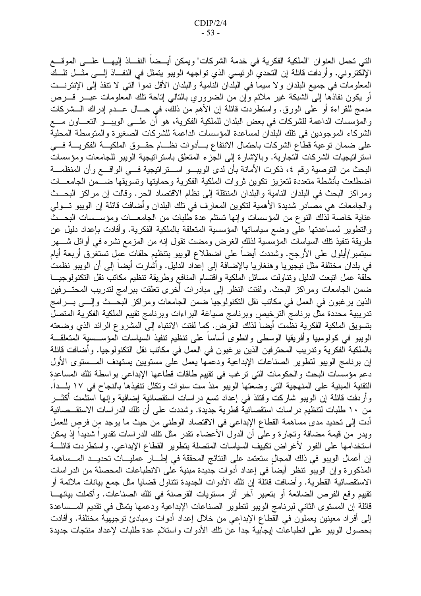التي تحمل العنوان "الملكية الفكرية في خدمة الشركات" ويمكن أيــضـاً النفـــاذ إليهـــا علــــي الموقــــع الإلكتروني. وأردفت قائلة إن النحدي الرئيسي الذي نواجهه الويبو يتمثل في النفـــاذ إلــــي مثـــل نلـــك المعلومات في جميع البلدان ولا سيما في البلدان النامية والبلدان الأقل نموا التي لا نتفذ إلى الإنترنـــت أو يكون نفاذها إلى الشبكة غير ملائم وإن من الضروري بالنالـي إناحة تلك المعلومات عبـــر قــــرص مدمج للقراءة أو على الورق. واستطردت قائلة إن الأهم من ذلك، في حـــال عـــدم إدراك الـــشركات والمؤسسات الداعمة للشركات في بعض البلدان للملكية الفكرية، هو أن علـــي الويبـــو التعــــاون مــــع الشركاء الموجودين في نلك البلدان لمساعدة المؤسسات الداعمة للشركات الصغيرة والمتوسطة المحلية على ضمان توعية قطاع الشركات باحتمال الانتفاع بسأدوات نظسام حقسوق الملكيسة الفكريسة فسي استر اتيجيات الشركات التجارية. وبالإشارة إلى الجزء المتعلق باستر اتيجية الويبو للجامعات ومؤسسات البحث من التوصية رقم ٤، ذكرت الأمانة بأن لدى الويبـــو اســـتراتيجية فـــي الواقــــع وأن المنظمـــة اضطلعت بأنشطة متعددة لتعزيز تكوين ثروات الملكية الفكرية وحمايتها وتسويقها ضسمن الجامعسات ومراكز البحث في البلدان النامية والبلدان المنتقلة إلى نظام الاقتصاد الحر. وقالت إن مراكز البحــث والجامعات هي مصادر شديدة الأهمية لتكوين المعارف في نلك البلدان وأضافت قائلة إن الويبو تسولي عناية خاصة لذلك النوع من المؤسسات وإنها تستلم عدة طلبات من الجامعــات ومؤســسات البحــث والتطوير لمساعدتها على وضع سياساتها المؤسسية المتعلقة بالملكية الفكرية. وأفادت بإعداد دليل عن طريقة نتفيذ نلك السياسات المؤسسية لذلك الغرض ومضت نقول إنه من المزمع نشره في أوائل شــــهر سبتمبر/أيلول على الأرجح. وشددت أيضا على اضطلاع الويبو بتنظيم حلقات عمل تستغرق أربعة أيام في بلدان مختلفة مثل نيجيريا وهنغاريا بالإضافة إلى إعداد الدليل. وأشارت أيضا إلى أن الويبو نظمت حلقة عمل انبعت الدليل ونناولت مسائل الملكية واقتسام المنافع وطريقة ننظيم مكانب نقل النكنولوجيــا ضمن الجامعات ومراكز البحث. ولفتت النظر إلى مبادرات أخرى تعلقت ببرامج لتدريب المحتـــرفين الذين يرغبون في العمل في مكاتب نقل النكنولوجيا ضمن الجامعات ومراكز البحــث وإلـــي بـــرامج تدريبية محددة مثل برنامج الترخيص وبرنامج صياغة البراءات وبرنامج نقييم الملكية الفكرية المتصل بتسويق الملكية الفكرية نظمت أيضا لذلك الغرض. كما لفتت الانتباه إلى المشروع الرائد الذي وضعته الويبو في كولومبيا وأفريقيا الوسطى وانطوى أساساً على نتظيم نتفيذ السياسات المؤســـسية المتعلقـــة بالملكية الفكرية وتدريب المحترفين الذين يرغبون في العمل في مكاتب نقل التكنولوجيا. وأضافت قائلة إن برنامج الويبو لتطوير الصناعات الإبداعية ودعمها يعمل على مستويين يستهدف المــستوى الأول دعم مؤسسات البحث والحكومات التي نرغب في نقيبم طاقات قطاعها الإبداعي بواسطة نلك المساعدة التقنية المبنية على المنهجية التي وضعتها الويبو منذ ست سنوات وتكلل تتفيذها بالنجاح في ١٧ بلــدا. وأردفت قائلة إن الويبو شاركت وقتئذ في إعداد تسع دراسات استقصائية إضافية وإنها استلمت أكثـــر من ١٠ طلبات لتنظيم در اسات استقصائية قطرية جديدة. وشددت على أن تلك الدر اسات الاستقـــصـائية أدت إلى تحديد مدى مساهمة القطاع الإبداعي في الاقتصاد الوطني من حيث ما يوجد مِن فرصٍ للعمل ويدر من قيمة مضافة وتجارة وعلى أن الدول الأعضاء تقدر مثل تلك الدراسات تقديرا شديدا إذ يمكن استخدامها على الفور لأغراض نكييف السياسات المتصلة بتطوير القطاع الإبداعي. واستطردت قائلـــة إن أعمال الويبو في ذلك المجال ستعتمد على النتائج المحققة في إطــــار عمليــــات تحديـــد المــــساهمة المذكور ة وإن الويبو نتظر أيضا في إعداد أدوات جديدة مبنية على الانطباعات المحصلة من الدراسات الاستقصائية القطرية. وأضافت قائلة إن تلك الأدوات الجديدة تتناول قضايا مثل جمع بيانات ملائمة أو تقييم وقع الفرص الضائعة أو بتعبير آخر أثر مستويات القرصنة في تلك الصناعات. وأكملت بيانهـــا قائلة إن المستوى الثاني لبرنامج الويبو لتطوير الصناعات الإبداعية ودعمها يتمثل في تقديم المــساعدة إلى أفراد معينين يعملون في القطاع الإبداعي من خلال إعداد أدوات ومبادئ نوجيهية مختلفة. وأفادت بحصول الويبو على انطباعات إيجابية جدا عن نلك الأدوات واستلام عدة طلبات لإعداد منتجات جديدة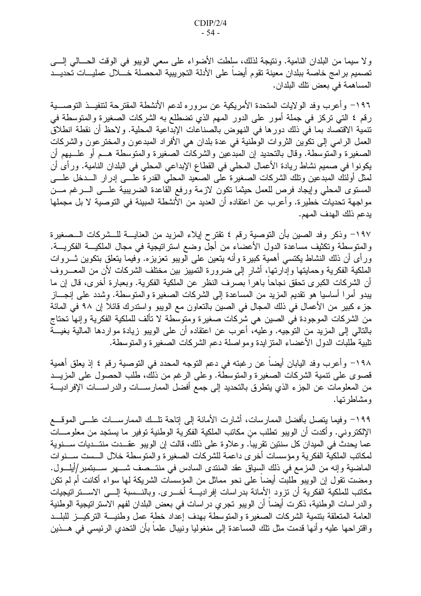ولا سيما من البلدان النامية. ونتيجة لذلك، سلطت الأضواء على سعي الويبو في الوقت الحـــالي إلــــي تصميم برامج خاصة ببلدان معينة تقوم أيضا على الأدلة التجريبية المحصلة خــــلال عمليـــات تحديـــد المساهمة في بعض تلك البلدان.

١٩٦– وأعرب وفد الولايات المتحدة الأمريكية عن سروره لدعم الأنشطة المقترحة لتنفيــذ التوصـــية رقم ٤ التي نركز في جملة أمور على الدور المهم الذي تضطلع به الشركات الصغيرة والمتوسطة في تنمية الاقتصاد بما في ذلك دورها في النهوض بالصناعات الإبداعية المحلية. ولاحظ أن نقطة انطلاق العمل الرامي إلى نكوين الثروات الوطنية في عدة بلدان هي الأفراد المبدعون والمختر عون والشركات الصغيرة والمنوسطة. وقال بالنحديد إن المبدعين والشركات الصغيرة والمنوسطة هــم أو علــــبيهم أن يكونوا في صميم نشاط ريادة الأعمال المحلي في القطاع الإبداعي المحلي في البلدان النامية. ورأى أن لمثل أولئك المبدعين ونلك الشركات الصغيرة على الصعيد المحلي القدرة علسى إدرار السدخل علسى المستوى المحلبي وإيجاد فرص للعمل حيثما نكون لازمة ورفع القاعدة الضريبية علـــي الـــرغم مـــن مواجهة تحديات خطيرة. وأعرب عن اعتقاده أن العديد من الأنشطة المبينة في التوصية لا بل مجملها يدعم ذلك الهدف المهم.

١٩٧– وذكر وفد الصين بأن التوصية رقم ٤ تقترح إيلاء المزيد من العنايـــة للـــشركات الـــصغيرة و المتوسطة وتكثيف مساعدة الدول الأعضاء من أجل وضع استر اتيجية في مجال الملكيـــة الفكريــــة. ور أي أن ذلك النشاط يكتسي أهمية كبيرة وأنه يتعين على الويبو تعزيزه. وفيما يتعلق بتكوين ثـــروات الملكية الفكرية وحمايتها وإدارتها، أشار إلى ضرورة التمييز بين مختلف الشركات لأن من المعـــروف أن الشركات الكبر ي تحقق نجاحا باهر ا بصرف النظر ٍ عن الملكية الفكرية. وبعبار ة أخر ي، قال إن ما يبدو أمرًا أساسيا هو نقديم المزيد من المساعدة إلى الشركات الصغيرة والمتوسطة. وِشدد على إنجـــاز جزء كبير من الأعمال في ذلك المجال في الصين بالتعاون مع الويبو واستدرك قائلا إن ٩٨ في المائة من الشركات الموجودة في الصين هي شركات صغيرة ومتوسطة لا تألف للملكية الفكرية وإنها تحتاج بالتالي إلى المزيد من التوجيه. وعليه، أعرب عن اعتقاده أن على الويبو زيادة مواردها المالية بغيـــة تلبية طلبات الدول الأعضاء المنز ايدة ومواصلة دعم الشركات الصغيرة والمنوسطة.

١٩٨– وأعرب وفد اليابان أيضا عن رغبته في دعم التوجه المحدد في التوصية رقم ٤ إذ يعلق أهمية قصوى على نتمية الشركات الصغيرة والمتوسطة. وعلى الرغم من ذلك، طلب الحصول على المزيــد من المعلومات عن الجزء الذي يتطرق بالتحديد إلى جمع أفضل الممارســـات والدراســـات الإفراديــــة ومشاطرتها.

١٩٩– وفيما يتصل بأفضل الممارسات، أشارت الأمانة إلى إتاحة تلــك الممارســـات علـــى الموقـــع الإلكتروني. وأكدت أن الويبو تطلب من مكاتب الملكية الفكرية الوطنية توفير ما يستجد من معلومـــات عما يحدث في الميدان كل سنتين تقريبا. وعلاوة على ذلك، قالت إن الويبو عقـــدت منتـــديات ســـنوية لمكاتب الملكية الفكرية ومؤسسات أخرى داعمة للشركات الصغيرة والمتوسطة خلال السست ســنوات الماضية وإنه من المزمع في ذلك السياق عقد المنتدى السادس في منتـــصف شــــهر ســـبتمبر/أيلـــول. ومضت نقول إن الويبو طلبت أيضا على نحو مماثل من المؤسسات الشريكة لها سواء أكانت أم لم نكن مكاتب للملكية الفكرية أن تزود الأمانة بدراسات إفراديسة أخسري. وبالنسسبة إلسي الاسستراتيجيات والدراسات الوطنية، ذكرت أيضاً أن الويبو تجري دراسات في بعض البلدان لفهم الاستراتيجية الوطنية العامة المتعلقة بتنمية الشركات الصغيرة والمتوسطة بهدف إعداد خطة عمل وطنيسة التركيبز للبلب واقتراحها عليه وأنها قدمت مثل نلك المساعدة إلى منغوليا ونيبال علما بأن النحدي الرئيسي في هـــذين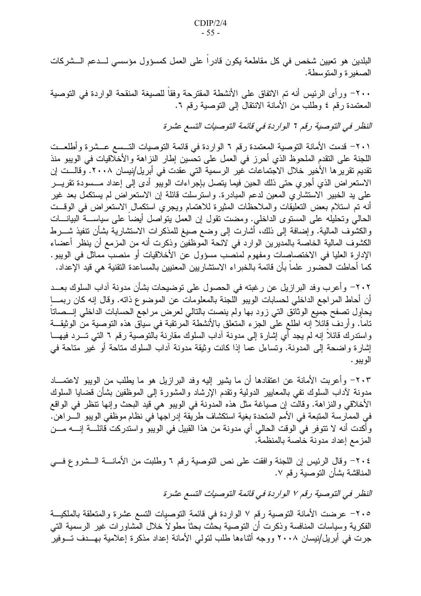البلدين هو تعيين شخص في كل مقاطعة يكون قادراً على العمل كمسؤول مؤسسي لـــدعم الـــشركات الصغير ة و المنو سطة.

٢٠٠ - ور أي الرئيس أنه تم الاتفاق على الأنشطة المقترحة وفقاً للصيغة المنقحة الواردة في التوصية المعتمدة رقم ٤ وطلب من الأمانة الانتقال إلى التوصية رقم ٦.

النظر في التوصية رقم 1 الواردة في قائمة التوصيات التسع عشرة

٢٠١– قدمت الأمانة التوصية المعتمدة رقم ٦ الواردة في قائمة التوصيات التــسع عــشرة وأطلعــت اللجنة على النقدم الملحوظ الذي أحرز في العمل على تحسين إطار النزاهة والأخلاقيات في الويبو منذ تقديم تقرير ها الأخير خلال الاجتماعات غير الرسمية التي عقدت في أبريل/نيسان ٢٠٠٨. وقالــت إن الاستعر اض الذي أجرى حتى ذلك الحين فيما يتصل بإجر اءات الويبو أدى إلى إعداد مـــسودة تقريـــر على يد الخبير الاستشاري المعين لدعم المبادرة. واسترسلت قائلة إن الاستعراض لم يستكمل بعد غير أنه نم استلام بعض النعليقات والملاحظات المثيرة للاهتمام ويجرى استكمال الاستعراض في الوقــت الحالي وتحليله على المستوى الداخلي. ومضت نقول إن العمل يتواصل أيضاً على سياســـة البيانــــات والكشوف المالية. وإضافة إلى ذلك، أشارت إلى وضع صيغ للمذكرات الاستشارية بشأن نتفيذ شـــرط الكشوف المالية الخاصة بالمديرين الوارد في لائحة الموظفين وذكرت أنه من المزمع أن ينظر أعضاء الإدارة العليا في الاختصاصات ومفهوم لمنصب مسؤول عن الأخلاقيات أو منصب مماثل في الويبو. كما أحاطت الحصور ِ علماً بأن قائمة بالخبر اء الاستشار بين المعنيين بالمساعدة التقنية هي قيد الإعداد.

٢٠٢– وأعرب وفد البرازيل عن رغبته في الحصول على توضيحات بشأن مدونة آداب السلوك بعــد أن أحاط المراجع الداخلي لحسابات الويبو اللجنة بالمعلومات عن الموضوع ذاته. وقال إنه كان ربمـــا يحاول نصفح جميع الوثائق التبي زود بها ولم ينصت بالنالي لعرض مراجع الحسابات الداخلي إنسصانا تاماً. وأردف قائلاً إنه اطلع على الجزء المتعلق بالأنشطة المرتقبة في سياق هذه التوصية من الوثيقـــة واستدرك قائلا إنه لم يجد أي إشارة إلى مدونة أداب السلوك مقارنة بالنوصية رقم ٦ التي تـــرد فيهـــا إشارة واضحة إلى المدونة. ونساءل عما إذا كانت وثيقة مدونة أداب السلوك متاحة أو غير متاحة في الو پيو .

٢٠٣- وأعربت الأمانة عن اعتقادها أن ما يشير إليه وفد البرازيل هو ما يطلب من الويبو لاعتمـــاد مدونة لأداب السلوك تفي بالمعايير الدولية ونقدم الإرشاد والمشورة إلىي الموظفين بشأن قضايا السلوك الأخلاقي والنزاهة. وقالت إن صياغة مثل هذه المدونة في الويبو هي قيد البحث وإنها نتظر في الواقع في الممارسة المتبعة في الأمم المتحدة بغية استكشاف طريقة إدراجها في نظام موظفي الويبو الــــراهن. وأكدت أنه لا نتوفر في الوقت الحالي أي مدونة من هذا القبيل في الويبو واستدركت قائلــــة إنـــــه مــــن المزمع إعداد مدونة خاصة بالمنظمة.

٢٠٤- وقال الرئيس إن اللجنة وافقت على نص التوصية رقم ٦ وطلبت من الأمانــــة الـــشروع فــــي المناقشة بشأن التوصية رقم ٧.

النظر في التوصية رقم ٧ الواردة في قائمة التوصيات التسع عشرة

٢٠٥– عرضت الأمانة التوصية رقم ٧ الواردة في قائمة التوصيات التسع عشرة والمتعلقة بالملكيـــة الفكرية وسياسات المنافسة وذكرت أن التوصية بحثت بحثاً مطولاً خلال المشاورات غير الرسمية التي جرت في أبريل/نيسان ٢٠٠٨ ووجه أثناءها طلب لتولي الأمانة إعداد مذكرة إعلامية بهــدف تــوفير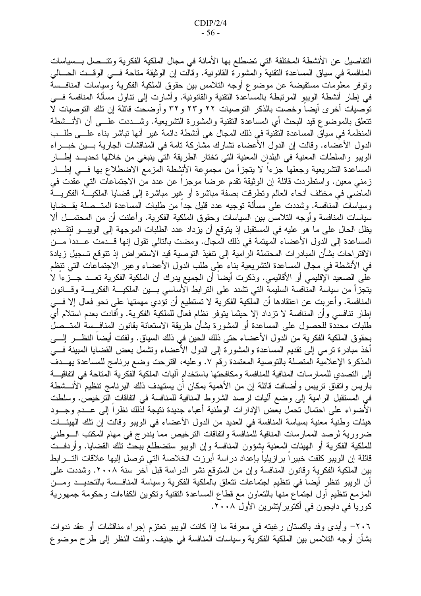التفاصيل عن الأنشطة المختلفة التي تضطلع بها الأمانة في مجال الملكية الفكرية وتتـــصل بـــسياسات المنافسة في سياق المساعدة النقنية والمشورة القانونية. وقالت إن الوثيقة متاحة فسي الوقــت الحـــالي ونوفر معلومات مستفيضة عن موضوع أوجه التلامس بين حقوق الملكية الفكرية وسياسات المنافسة في إطار أنشطة الويبو المرتبطة بالمساعدة النقنية والقانونية. وأشارت إلى نتاول مسألة المنافسة فـــي توصيات أخرى أيضا وخصت بالذكر التوصيات ٢٢ و٢٣ و ٣٢ وأوضحت قائلة إن تلك التوصيات لا نتعلَّق بالموضوع قيد البحث أي المساعدة التقنية والمشورة التشريعية. وشـــددت علـــي أن الأنـــشطة المنظمة في سياق المساعدة النقنية في ذلك المجال هي أنشطة دائمة غير أنها تباشر بناء علـــي طلـــب الدول الأعضاء. وقالت إن الدول الأعضاء نشارك مشاركة نامة في المناقشات الجارية بـــين خبـــراء الويبو والسلطات المعنية في البلدان المعنية التي تختار الطريقة التي ينبغي من خلالها تحديــد إطـــار المساعدة النشريعية وجعلها جزءا لا يتجزأ من مجموعة الأنشطة المزمع الاضطلاع بها فسي إطسار زمني معين. واستطردت قائلة إن الوثيقة تقدم عرضا موجزًا عن عدد من الاجتماعات التي عقدت في الماضيي في مختلف أنحاء العالم وتطرقت بصفة مباشرة أو غير مباشرة إلى قضايا الملكيـــة الفكريـــة وسياسات المنافسة. وشددت على مسألة توجيه عدد قليل جدا من طلبات المساعدة المتـــصلة بقـــضايا سياسات المنافسة وأوجه النلامس بين السياسات وحقوق الملكية الفكرية. وأعلنت أن من المحتمـــل ألا يظل الحال على ما هو عليه في المستقبل إذ يتوقع أن يزداد عدد الطلبات الموجهة إلى الويبـــو لتقـــديم المساعدة إلى الدول الأعضاء المهتمة في ذلك المجال. ومضت بالتالي تقول إنها قـــدمت عـــددا مـــن الاقتراحات بشأن المبادرات المحتملة الرامية إلى نتفيذ التوصية قيد الاستعراض إذ نتوقع تسجيل زيادة في الأنشطة في مجال المساعدة التشريعية بناء على طلب الدول الأعضاء وعبر الاجتماعات التي نتظم على الصعيد الإقليمي أو الأقاليمي. وذكرت أيضاً أن الجميع يدرك أن الملكية الفكرية تعــد جـــزءاً لا يتجزأ من سياسة المنافسة السليمة التبي تشدد على النرابط الأساسي بسين الملكيسة الفكريسة وقسانون المنافسة. وأعربت عن اعتقادها أن المُلكية الفكرية لا تستطيع أن تَؤدي مهمتها على نحو فعال إلا فـــي إطار نتافسي وأن المنافسة لا نزداد إلا حيثما يتوفر نظام فعال للملكية الفكرية. وأفادت بعدم استلام أي طلبات محددة للحصول على المساعدة أو المشورة بشأن طريقة الاستعانة بقانون المنافسة المتــصل بحقوق الملكية الفكرية من الدول الأعضاء حتى ذلك الحين في ذلك السياق. ولفتت أيضا النظـــر إلــــي أخذ مبادرة نرمي إلى نقديم المساعدة والمشورة إلى الدول الأعضاء ونشمل بعض القضايا المبينة فسي المذكرة الإعلامية المتصلة بالتوصية المعتمدة رقم ٧. وعليه، اقترحت وضع برنامج للمساعدة يهــدف إلى النصدي للممارسات المنافية للمنافسة ومكافحتها باستخدام اليات الملكية الفكرية المتاحة في اتفاقيـــة باريس واتفاق تريبس وأضافت قائلة إن من الأهمية بمكان أن يستهدف ذلك البرنامج تنظيم الأنـــشطة في المستقبل الرامية إلى وضع أليات لرصد الشروط المنافية للمنافسة في اتفاقات الترخيص. وسلطت الأضواء على احتمال تحمل بعض الإدارات الوطنية أعباء جديدة نتيجة لذلك نظرا إلى عــدم وجــود هيئات وطنية معنية بسياسة المنافسة في العديد من الدول الأعضاء في الويبو وقالت إن نلك الهيئـــات ضرورية لرصد الممارسات المنافية للمنافسة واتفاقات الترخيص مما يندرج في مهام المكتب السوطني للملكية الفكرية أو الهيئات المعنية بشؤون المنافسة وإن الويبو ستضطلع ببحث نلك القضايا. وأردفــت قائلة إن الويبو كلفت خبيرا برازيليا بإعداد دراسة أبرزت الخلاصة التي توصل إليها علاقات التـــرابط بين الملكية الفكرية وقانون المنافسة وإن من المتوقع نشر الدراسة قبل أخر سنة ٢٠٠٨. وشددت على أن الويبو نتظر أيضا في نتظيم اجتماعات نتعلق بالملكية الفكرية وسياسة المنافسسة بالتحديــد ومـــن المزمع نتظيم أول اجتماع منها بالنعاون مع قطاع المساعدة النقنية ونكوين الكفاءات وحكومة جمهورية كوريا في دايجون في أكتوبر/تشرين الأول ٢٠٠٨.

٢٠٦- وأبدى وفد باكستان رغبته في معرفة ما إذا كانت الويبو تعتزم إجراء مناقشات أو عقد ندوات بشأن أوجه التلامس بين الملكية الفكرية وسياسات المنافسة في جنيف. ولفت النظر إلى طرح موضوع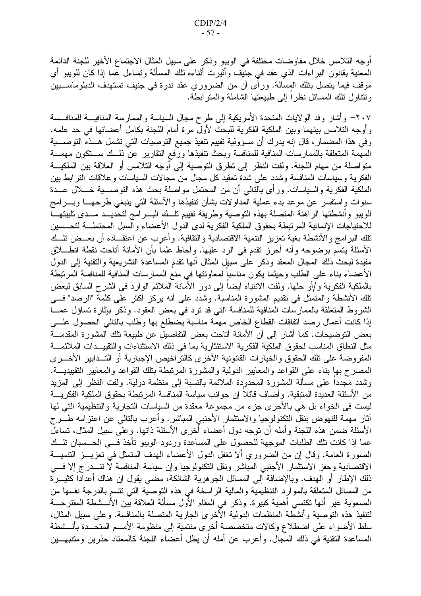أوجه التلامس خلال مفاوضات مختلفة في الويبو وذكر على سبيل المثال الاجتماع الأخير للجنة الدائمة المعنية بقانون البراءات الذي عقد في جنيف وأثيرت أثناءه نلك المسألة ونساءل عما إذا كان للويبو أي موقف فيما يتصل بتلك المسألة. ورأى أن من الضروري عقد ندوة في جنيف تستهدف الدبلوماســـيين ونتتاول تلك المسائل نظر ا إلى طبيعتها الشاملة والمتر ابطة.

٢٠٧– وأشار وفد الولايات المتحدة الأمريكية إلى طرح مجال السياسة والممارسة المنافيـــة للمنافـــسة وأوجه النلامس بينهما وبين الملكية الفكرية للبحث لأولَّ مرة أمام اللجنة بكامل أعضائها في حد علمه. وفي هذا المضمار، قال إنه يدرك أن مسؤولية تقييم نتفيذ جميع التوصيات التي تشمل هـــذه التوصــــية المهمة المتعلقة بالممارسات المنافية للمنافسة وبحث نتفيذها ورفع النقارير عن ذلسك سستكون مهمسة متو اصلة من مهام اللجنة. ولفت النظر إلى نطر ق التوصية إلى أوجه التلامس أو العلاقة بين الملكيـــة الفكرية وسياسات المنافسة وشدد على شدة تعقيد كل مجال من مجالات السياسات وعلاقات النز ابط بين الملكية الفكرية والسياسات. ورأى بالنالبي أن من المحتمل مواصلة بحث هذه النوصــــية خــــلال عـــدة سنوات واستفسر عن موعد بدء عملية المداولات بشأن نتفيذها والأسئلة التبي ينبغي طرحهـــا وبــــرامج الويبو وأنشطتها الراهنة المتصلة بهذه التوصية وطريقة تقييم تلط البسرامج لتحديسد مسدى تلبيتهسا للاحتياجات الإنمائية المرتبطة بحقوق الملكية الفكرية لدى الدول الأعضاء والسبل المحتملــــة لتحـــسين تلك البر امج والأنشطة بغية تعزيز النتمية الاقتصادية والثقافية. وأعرب عن اعتقــاده أن بعــض نلــك الأسئلة بتسم بوضوحه وأنه أحرز نقدم في الرد عليها. وأحاط علما بأن الأمانة أناحت نقطة انطـــلاق مفيدة لبحث ذلك المجال المعقد وذكر على سبيل المثال أنها نقدم المساعدة التشريعية والتقنية إلى الدول الأعضاء بناء على الطلب وحيثما يكون مناسبا لمعاونتها في منع الممارسات المنافية للمنافسة المرتبطة بالملكية الفكرية و/أو حلها. ولفت الانتباه أيضاً إلى دور الأمانة الملائم الوارد في الشرح السابق لبعض تلك الأنشطة والمتمثِّل في تقديم المشورة المناسبة. وشدد على أنه يركز أكثر على كلمة "الرصد" فـــي الشروط المتعلقة بالممارسات المنافية للمنافسة التي قد نرد في بعض العقود. وذكر بإثارة تساؤل عمــا إذا كانت أعمال رصد اتفاقات القطاع الخاص مهمة مناسبة يضطلع بها وطلب بالتالي الحصول علسي بعض التوضيحات. كما أشار إلى أن الأمانة أتاحت بعض التفاصيل عن طبيعة تلك المشورة المقدمـــة مثل النطاق المناسب لحقوق الملكية الفكرية الاستئثارية بما في ذلك الاستثناءات والتقييــدات الملائمـــة المفروضة على نلك الحقوق والخيارات القانونية الأخرى كالنراخيص الإجبارية أو التـــدابير الأخـــرى المصرح بها بناء على القواعد والمعايير الدولية والمشورة المرتبطة بتلك القواعد والمعايير التقييديـــة. وشدد مجددا على مسألة المشورة المحدودة الملائمة بالنسبة إلى منظمة دولية. ولفت النظر إلى المزيد من الأسئلة العديدة المتبقية. وأضاف قائلا إن جوانب سياسة المنافسة المرتبطة بحقوق الملكية الفكريــــة ليست في الخواء بل هي بالأحرى جزء من مجموعة معقدة من السياسات التجارية والتنظيمية التي لها أثار مهمَّة للنهوض بنقل النكنولوجيا والاستثمار الأجنبي المباشر. وأعرب بالنالي عن اعتزامه طـــرح الأسئلة ضمن هذه اللجنة وأمله أن نوجه دول أعضاء أخرى الأسئلة ذاتها. وعلى سبيل المثال، تساءل عما إذا كانت تلك الطلبات الموجهة للحصول على المساعدة وردود الويبو تأخذ فـــي الحـــسبان نلـــك الصورة العامة. وقال إن من الضروري ألا تغفل الدول الأعضاء الهدف المتمثل في تعزيـــز التتميـــة الاقتصادية وحفز الاستثمار الأجنبي المباشر ونقل التكنولوجيا وإن سياسة المنافسة لا تتـــدرج إلا فـــي ذلك الإطار أو الـهدف. وبالإضافة إلـي المسائل الـجوهرية الشائكة، مضـي يقول إن هناك أعدادا كثيـــرة من المسائل المتعلقة بالموارد التنظيمية والمالية الراسخة في هذه التوصية التي نتسم بالدرجة نفسها من الصعوبة غير أنها تكتسي أهمية كبيرة. وذكر في المقام الأول مسألة العلاقة بين الأنـــشطة المقترحـــة لتنفيذ هذه النوصية وأنشطة المنظمات الدولية الأخرى الجارية المتصلة بالمنافسة. وعلى سبيل المثال، سلط الأضواء على اضطلاع وكالات متخصصة أخرى منتمية إلى منظومة الأمــم المتحــدة بأنــشطة المساعدة التقنية في ذلك المجال. وأعرب عن أمله أن يظل أعضاء اللجنة كالمعتاد حذرين ومتنبهــين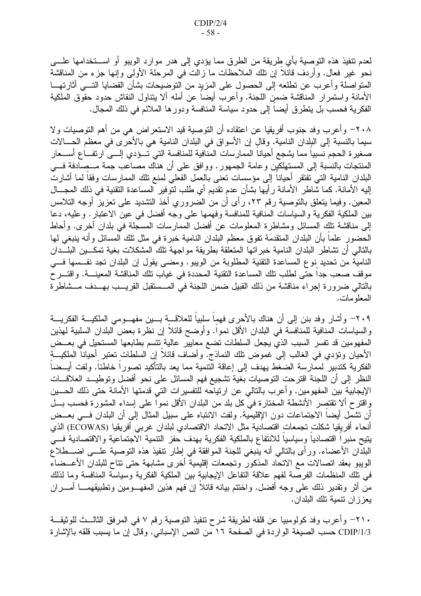لعدم نتفيذ هذه التوصية بأي طريقة من الطرق مما يؤدي إلى هدر موارد الويبو أو اســـتخدامها علــــي نحو غير فعال. وأردف قائلا إن نلك الملاحظات ما زالت في المرحلة الأولى وإنها جزء من المناقشة المتواصلة وأعرب عن نطلعه إلى الحصول على المزيد من النوضيحات بشأن القضايا التسى أثارتهـــا الأمانة واستمرار المناقشة ضمن اللجنة. وأعرب أيضا عن أمله ألا يتناول النقاش حدود حقوق الملكية الفكرية فحسب بل يتطرق أيضا إلى حدود سياسة المنافسة ودورها الملائم في ذلك المجال.

٢٠٨– وأعرب وفد جنوب أفريقيا عن اعتقاده أن التوصية قيد الاستعراض هي من أهم التوصيات ولا سيما بالنسبة إلى البلدان النامية. وقال إن الأسواق في البلدان النامية هي بالأحرى في معظم الـمـــالات صغيرة الحجم نسبيا مما يشجع أحيانا الممارسات المنافية للمنافسة التي تسؤدي إلسي ارتفساع أسسعار المنتجات بالنسبة إلى المستهلكين وعامة الجمهور . ووافق على أن هناك مصاعب جمة مـــصادفة فـــي البلدان النامية التبي نفتقر أحياناً إلى مؤسسات نعني بالعمل الفعلي لمنع نلك الممارسات وفقاً لما أشارت إليه الأمانة. كما شاطر الأمانة رأيها بشأن عدم تقديم أي طلب لتوفير المساعدة النقنية في ذلك المجـــال المعين. وفيما يتعلق بالتوصية رقم ٢٣، رأى أن من الضروري أخذ التشديد على تعزيز أوجه التلامس بين الملكية الفكرية والسياسات المنافية للمنافسة وفهمها على وجه أفضل في عين الاعتبار . وعليه، دعا إلى مناقشة نلك المسائل ومشاطرة المعلومات عن أفضل الممارسات المسجلة في بلدان أخرى. وأحاط الحضور علماً بأن البلدان المتقدمة تفوق معظم البلدان النامية خبرة في مثل تلك المسائل و أنه ينبغي لها بالتالي أن تشاطر البلدان النامية خبراتها المتعلقة بطريقة مواجهة تلك المشكلات بغية تمكـــين البلـــدان النامية من تحديد نوع المساعدة النقنية المطلوبة من الويبو. ومضى يقول إن البلدان تجد نفسمها في موقف صعب جدا حتى لطلب تلك المساعدة التقنية المحددة في غياب تلك المناقشة المعينــــة. واقتـــر ح بالتالي ضرورة إجراء مناقشة من ذلك القبيل ضمن اللجنة في المــستقبل القريـــب بهـــدف مـــشاطرة المعلو مات.

٢٠٩– وأشار وفد بنن إلى أن هناك بالأحرى فهما سلبيا للعلاقـــة بـــين مفهـــومي الملكيـــة الفكريـــة والسياسات المنافية للمنافسة في البلدان الأقل نموا. وأوضح قائلا إن نظرة بعض البلدان السلبية لـهذين المفهومين قد تفسر السبب الذي يجعل السلطات تضع معايير عالية نتسم بطابعها المستحيل في بعــض الأحيان ونؤدي في الغالب إلى غموض نلك النماذج. وأضاف قائلا إن السلطات نعتبر أحيانا الملكيـــة الفكرية كتدبير لممارسة الضغط يهدف إلى إعاقة النتمية مما يعد بالتأكيد تصورا خاطئا. ولفت أيــضا النظر إلى أن اللجنة اقترحت التوصيات بغية تشجيع فهم المسائل على نحو أفضل وتوطيــد العلاقـــات الإيجابية بين المفهومين. وأعرب بالنالي عن ارتياحه للتفسير ات التي قدمتها الأمانة حتى ذلك الحــــين واقترح ألا تقتصر الأنشطة المختارة في كل بلد من البلدان الأقل نموا على إسداء المشورة فحسب بـــل أن تشمل أيضا الاجتماعات دون الإقليمية. ولفت الانتباه على سبيل المثال إلى أن البلدان فـــي بعــض أنحاء أفريقيا شكلت تجمعات اقتصادية مثل الاتحاد الاقتصادي لبلدان غربي أفريقيا (ECOWAS) الذي يتيح منبرا اقتصاديا وسياسيا للانتفاع بالملكية الفكرية بهدف حفز التنمية الاجتماعية والاقتصادية فسي البلدان الأعضاء. ورأى بالنالـي أنه ينبغي للـجنة الموافقة فـي إطـار نتفيذ هذه النوصية علـــي اضـــطلاع الويبو بعقد اتصالات مع الاتحاد المذكور وتجمعات إقليمية أخرى مشابهة حتى تتاح للبلدان الأعـــضاء في تلك المنظمات الفرصة لفهم علاقة النفاعل الإيجابية بين الملكية الفكرية وسياسة المنافسة وما لذلك من أثر ونقدير ذلك على وجه أفضل. واختتم بيانه قائلا إن فهم هذين المفهـــومين ونطبيقهمـــا أمــــران يعز ز ان نتمية نلك البلدان.

٢١٠– وأعرب وفد كولومبيا عن قلقه لطريقة شرح تنفيذ النوصية رقم ٧ في المرفق الثالــث للوثيقـــة CDIP/1/3 حسب الصيغة الواردة في الصفحة ١٦ من النص الإسباني. وقال إن ما يسبب قلقه بالإشارة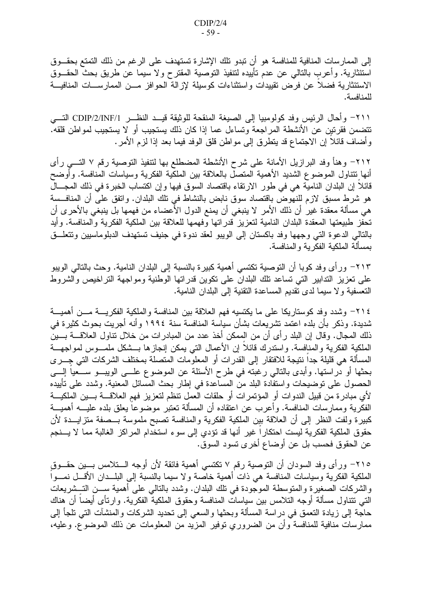إلى الممارسات المنافية للمنافسة هو أن تبدو تلك الإشارة تستهدف على الرغم من ذلك التمتع بحقـــوق استئثارية. وأعربِ بالنالي عن عدم نأبيده لنتفيذ النوصية المقترح ولا سيما عن طريق بحث الحقـــوق الاستئثارية فضلا عن فرض نقييدات واستثناءات كوسيلة لإزالة الحوافز مــن الممارســـات المنافيـــة للمنافسة.

٢١١– وأحال الرئيس وفد كولومبيا إلى الصيغة المنقحة للوثيقة قيــد النظـــر CDIP/2/INF/1 التـــي تتضمن فقرتين عن الأنشطة المر اجعة وتساءل عما إذا كان ذلك يستجيب أو لا يستجيب لمواطن قلقه. وأضاف قائلا إن الاجتماع قد يتطرق إلى مواطن قلق الوفد فيما بعد إذا لزم الأمر .

٢١٢– وهنأ وفد البرازيل الأمانة على شرح الأنشطة المضطلع بها لتنفيذ التوصية رقم ٧ التـــي رأى أنها نتتاول الموضوع الشديد الأهمية المتصل بالعلاقة بين الملكية الفكرية وسياسات المنافسة. وأوضح قائلاً إن البلدان النامية هي في طور الارتقاء باقتصاد السوق فيها وإن اكتساب الخبرة في ذلك المجـــال هو شرط مسبق لازم للنهوض باقتصاد سوق نابض بالنشاط في نلك البلدان. واتفق على أن المنافسة هي مسألة معقدة غير أن ذلك الأمر لا ينبغي أن يمنع الدول الأعضاء من فهمها بل ينبغي بالأحرى أن تحفز طبيعتها المعقدة البلدان النامية لتعزيز قدراتها وفهمها للعلاقة بين الملكية الفكرية والمنافسة. وأيد بالتالي الدعوة التي وجهها وفد باكستان إلى الويبو لعقد ندوة في جنيف تستهدف الدبلوماسيين وتتعلَّــق بمسألة الملكية الفكر ية والمنافسة.

٢١٣– ور أي وفد كوبا أن التوصية تكتسي أهمية كبيرة بالنسبة إلى البلدان النامية. وحث بالتالي الويبو على نعزيز الندابير التبي نساعد نلك البلدان على نكوين قدراتها الوطنية ومواجهة النراخيص والشروط التعسفية و لا سيما لدى تقديم المساعدة التقنية إلى البلدان النامية.

٢١٤– وشدد وفد كوستاريكا على ما يكتسيه فهم العلاقة بين المنافسة والملكية الفكريــــة مـــن أهميــــة شديدة. وذكر بأن بلده اعتمد تشريعات بشأن سياسة المنافسة سنة ١٩٩٤ وأنه أجريت بحوث كثيرة في ذلك المجال. وقال إن البلد ر أي أن من الممكن أخذ عدد من المبادر ات من خلال نتاول العلاقــــة بــــين الملكية الفكرية والمنافسة. واستدرك قائلاً إن الأعمال التي يمكن إنجازها بـــشكل ملمـــوس لمواجهـــة المسألة هي قليلة جدا نتيجة للافتقار إلى القدرات أو المعلومات المتصلة بمختلف الشركات التي جـــرى بحثها أو دراستها. وأبدى بالتالـي رغبته فـي طرح الأسئلة عن الموضوع علـــي الويبـــو ســـعيا الِــــي الحصول على نوضيحات واستفادة البلد من المساعدة في إطار بحث المسائل المعنية. وشدد على تأييده لأي مبادرة من قبيل الندوات أو المؤتمرات أو حلقات العمل تنظم لتعزيز فهم العلاقــــة بــــين الملكيــــة الفكرية وممارسات المنافسة. وأعرب عن اعتقاده أن المسألة نعتبر موضوعا يعلق بلده عليــــه أهميــــة كبيرة ولفت النظر إلىي أن العلاقة بين الملكية الفكرية والمنافسة تصبح ملموسة بـــصفة متزايـــدة لأن حقوق الملكية الفكرية ليست احتكاراً غير أنها قد تؤدي إلى سوء استخدام المراكز الغالبة مما لا يـــنجم عن الحقوق فحسب بل عن أوضاع أخرى نسود السوق.

٢١٥– ورأى وفد السودان أن التوصية رقم ٧ تكتسى أهمية فائقة لأن أوجه الــتلامس بــين حقــوق الملكية الفكرية وسياسات المنافسة هي ذات أهمية خاصة ولا سيما بالنسبة إلى البلــدان الأقـــل نمـــواً والشركات الصغيرة والمتوسطة الموجودة في نلك البلدان. وشدد بالنالبي على أهمية ســـن التــِـشريعات التي تتناول مسألة أوجه التلامس بين سياسات المنافسة وحقوق الملكية الفكرية. وارتأى أيضاً أن هناك حاجة إلىي زيادة النعمق في دراسة المسألة وبحثها والسعى إلىي تحديد الشركات والمنشآت النبي نلجأ إلىي ممارسات منافية للمنافسة وأن من الضروري توفير المزيد من المعلومات عن ذلك الموضوع. وعليه،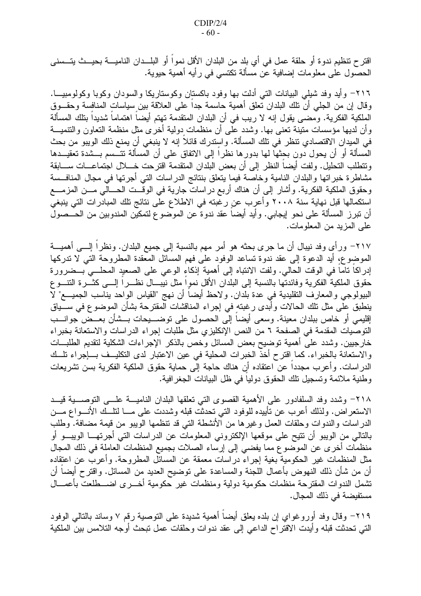اقتر ح تتظيم ندو ة أو حلقة عمل في أي بلد من البلدان الأقل نمواً أو البلـــدان الناميــــة بحيـــث يتـــسنـي الحصول على معلومات إضافية عن مسألة تكتسى في رأيه أهمية حيوية.

٢١٦– وأيد وفد شيلي البيانات التي أدلت بها وفود باكستان وكوستاريكا والسودان وكوبا وكولومبيـــا. وقال إن من الجلي أن نلك البلدان نعلق أهمية حاسمة جدا على العلاقة بين سياسات المنافسة وحقـــوق الملكية الفكرية. ومضـى يقول إنه لا ريب فـى أن البلدان المتقدمة تـهتم أيضـا اهتمـاما شديدا بتلك المسألة وأن لديها مؤسسات متينة تعني بها. وشدد علَّمي أن منظمات دولية أخرى مثل منظمة النعاون والنتميـــة في الميدان الاقتصادي تنظر في تلك المسألة. واستدرك قائلاً إنه لا ينبغي أن يمنع ذلك الويبو من بحث الْمَسْأَلَة أَو أن يحول دون بحِثْهَا لها بدورها نظراً إلى الاتفاق على أن الْمسألة تتـَّـسم بـــشدة تعقيـــدها وتتطلب التحليل. ولفت أيضا النظر إلى أن بعض البلدان المتقدمة اقترحت خـــلال اجتماعـــات ســــابقة مشاطرة خبراتها والبلدان النامية وخاصة فيما يتعلق بنتائج الدراسات التبي أجرتها في مجال المنافسة وحقوق الملكية الفكرية. وأشار إلى أن هناك أربع دراسات جارية في الوقـــت الـصـــالـي مـــن المزمــــع استكمالها قبل نهاية سنة ٢٠٠٨ وأعرب عن رغبته في الاطلاع على نتائج تلك المبادرات التي ينبغي أن نبرز المسألة على نحو إيجابي. وأيد أيضاً عقد ندوةً عن الموصّوع لتمكيّن المندوبين من الـحــصول علمي المزيد من المعلومات.

٢١٧– ور أي وفد نيبال أن ما جرى بحثه هو أمر مهم بالنسبة إلى جميع البلدان. ونظر أ إلـــى أهميـــة الموضوع، أيد الدعوة إلى عقد ندوة تساعد الوفود على فهم المسائل المعقدة المطروحة التي لا ندركها إدراكاً ناماً في الوقت الحالي. ولفت الانتباه إلى أهمية إذكاء الوعي على الصعيد المحلـــي بـــضرورة حقوق الملكية الفكرية وفائدتها بالنسبة إلى البلدان الأقل نمواً مثل نيبسال نظـــراً إلــــى كثـــرة التتـــوع البيولوجي والمعارف النقليدية في عدة بلدان. ولاحظ أيضا أن نهج "القياس الواحد يناسب الجميــــع" لا ينطبق على مثل نلك الحالات وأبدى رغبته في إجراء المناقشات المقترحة بشأن الموضوع في ســـياق إقليمي أو خاص ببلدان معينة. وسعى أيضا إلى الحصول على نوضــــيحات بـــشأن بعـــض جوانـــب التوصيات المقدمة في الصفحة ٦ من النص الإنكليزي مثل طلبات إجراء الدراسات والاستعانة بخبراء خارجيين. وشدد على أهمية نوضيح بعض المسائل وخص بالذكر الإجراءات الشكلية لتقديم الطلبـــات والاستعانة بالخبراء. كما اقترح أخذ الخبرات المحلية في عين الاعتبار لدى التكليــف بـــإجراء نلـــك الدر اسات. وأعرب مجددا عن اعتقاده أن هناك حاجة إلى حماية حقوق الملكية الفكرية بسن نشريعات وطنية ملائمة وتسجيل نلك الحقوق دولياً في ظل البيانات الجغر افية.

٢١٨– وشدد وفد السلفادور على الأهمية القصوى التي تعلقها البلدان الناميــــة علــــي التوصــــية قيـــد الاستعراض. ولذلك أعرب عن تأييده للوفود التي تحدثت قبله وشددت على مـــا لتلــك الأنـــواع مـــن الدراسات والندوات وحلقات العمل وغيرها من الأنشطة التي قد نتظمها الويبو من قيمة مضافة. وطلب بالتالي من الويبو أن نتيح على موقعها الإلكتروني المعلومات عن الدراسات التي أجرتهـــا الويبـــو أو منظمات أخر ي عن الموضوع مما يفضيي إلى إرساء الصلات بجميع المنظمات العاملة في ذلك المجال مثل المنظمات غير الحكومية بغية إجراء دراسات معمقة عن المسائل المطروحة. وأعرب عن اعتقاده أن من شأن ذلك النـهوض بأعمال اللـجنة والمساعدة علـى نوضيح الـعديد من المسائل. واقترح أيضـا أن نتثمل الندوات المقترحة منظمات حكومية دولية ومنظمات غير حكومية أخـــرى اضــــطلعت بأعمــــال مستفيضة في ذلك المجال.

٢١٩– وقال وفد أوروغواي إن بلده يعلق أيضا أهمية شديدة على التوصية رقم ٧ وساند بالتالي الوفود التي تحدثت قبله وأيدت الاقتراح الداعي إلى عقد ندوات وحلقات عمل تبحث أوجه التلامس بين الملكية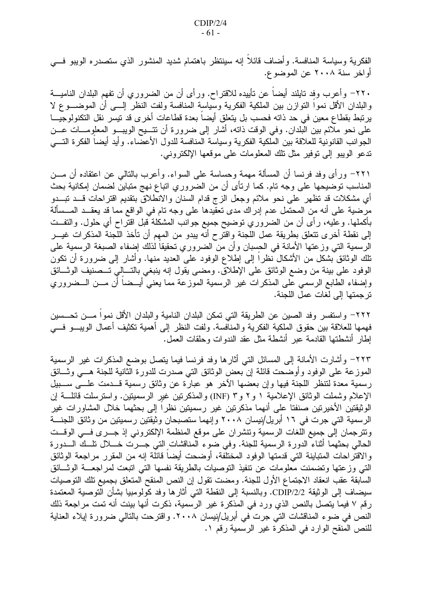الفكرية وسياسة المنافسة. وأضاف قائلاً إنه سينتظر باهتمام شديد المنشور الذي ستصدره الويبو فـــي أواخر سنة ٢٠٠٨ عن الموضوع.

٢٢٠- وأعرب وفد تايلند أيضاً عن تأييده للاقتراح. ورأى أن من الضروري أن تفهم البلدان الناميـــة والبلدان الأقل نمواً النوازن بين الملكية الفكرية وسياسة المنافسة ولفت النظر إلـــي أن الموضـــوع لا يرنبط بقطاع معين في حد ذاته فحسب بل يتعلق أيضا بعدة قطاعات أخرى قد نيسر نقل التكنولوجيـــا على نحو ملائم بين البلدان. وفي الوقت ذاته، أشار إلى ضرورة أن تتـــيح الويبـــو المعلومـــات عـــن الجوانب القانونية للعلاقة بين الملكية الفكرية وسياسة المنافسة للدول الأعصاء. وأيد أيضاً الفكرة النسبي ندعو الويبو إلى نوفير مثل نلك المعلومات على موقعها الإلكتروني.

٢٢١– ورأى وفد فرنسا أن المسألة مهمة وحساسة على السواء. وأعرب بالنالي عن اعتقاده أن مـــن المناسب توضيحها على وجه تام. كما ارتأى أن من الضروري اتباع نهج متباين لضمان إمكانية بحث أي مشكلات قد تظهر على نحو ملائم وجعل الزج قدام السنان والانطلاق بتقديم اقتراحات قـــد تبـــدو مرضية على أنه من المحتمل عدم إدراك مدى تعقيدها على وجه تام في الواقع مما قد يعقــد المــسألة بأكملها. وعليه، رأى أن من الضروري نوضيح جميع جوانب المشكلة قبل اقتراح أي حلول. والتفــت إلى نقطة أخرى نتعلق بطريقة عمل اللجنة واقترح أنه يبدو من المهم أن تأخذ اللجنة المذكرات غيـــر الرسمية التي وزعتها الأمانة في الحسبان وأن من الضروري تحقيقاً لذلك إضفاء الصبغة الرسمية على تلك الوثائق بشكل من الأشكال نظراً إلى إطلاع الوفود على العديد منها. وأشار إلى ضرورة أن تكون الوفود على بينة من وضع الوثائق على الإطلاق. ومضى يقول إنه ينبغي بالتسالي تسصنيف الوثسائق وإضفاء الطابع الرسمي على المذكرات غير الرسمية الموزعة مما يعني أيـــضا أن مـــن الـــضروري نز جمتها إلى لغات عمل اللجنة.

٢٢٢– واستفسر وفد الصين عن الطريقة التي تمكن البلدان النامية والبلدان الأقل نموا مـــن تحـــسين فهمها للعلاقة بين حقوق الملكية الفكرية والمنافسة. ولفت النظر إلى أهمية تكثيف أعمال الويبـــو فــــي إطار أنشطتها القادمة عبر أنشطة مثل عقد الندوات وحلقات العمل.

٢٢٣– وأشارت الأمانة إلى المسائل التي أثارها وفد فرنسا فيما يتصل بوضع المذكرات غير الرسمية الموزعة على الوفود وأوضحت قائلة إن بعض الوثائق التي صدرت للدورة الثانية للجنة هـــي وثـــائق رسمية معدة لتنظر اللجنة فيها وإن بعضها الآخر هو عبارة عن وثائق رسمية قــدمت علـــي ســـبيل الإعلام وشملت الوثائق الإعلامية ١ و٢ و٣ (INF) والمذكرتين غير الرسميتين. واسترسلت قائلة إن الوثيقتين الأخيرتين صنفتا على أنهما مذكرتين غير رسميتين نظرا إلى بحثهما خلال المشاورات غير الرسمية التي جرت في ١٦ أبريل/نيسان ٢٠٠٨ وإنهما ستصبحان وثيقتين رسميتين من وثائق اللجنــــة ونترجمان إلى جميع اللغات الرسمية ونتشران على موقع المنظمة الإلكتروني إذ جــرى فـــي الوقــت الحالي بحثهما أثناء الدورة الرسمية للجنة. وفي ضوء المناقشات التي جـــرت خــــلال نلـــك الــــدورة والاقتراحات المتباينة التي قدمتها الوفود المختلفة، أوضحت أيضاً قائلَّة إنه من المقرر مراجعة الوثائق التبي وزعتها وتضمنت معلومات عن نتفيذ التوصيات بالطريقة نفسها التبي اتبعت لمراجعـــة الوثـــائق السابقة عقب انعقاد الاجتماع الأول للجنة. ومضت نقول إن النص المنقح المتعلق بجميع نلك النوصيات سيضاف إلى الوثيقة CDIP/2/2. وبالنسبة إلى النقطة التي أثارها وفد كولومبيا بشأن التوصية المعتمدة رقم ٧ فيما يتصل بالنص الذي ورد في المذكرة غير الرسمية، ذكرت أنها بينت أنه تمت مراجعة ذلك النص في ضوء المناقشات التي جرت في أبريل/نيسان ٢٠٠٨. واقترحت بالتالي ضرورة إيلاء العناية للنص المنقح الوارد في المذكرة غير الرسمية رقم ١.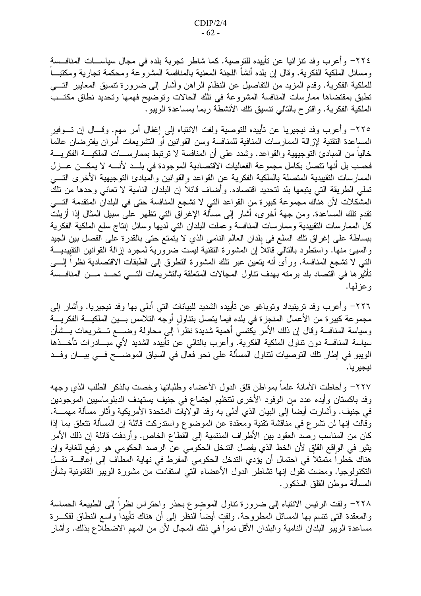٢٢٤– وأعرب وفد تتزانيا عن تأييده للتوصية. كما شاطر تجربة بلده في مجال سياســـات المنافــسة ومسائل الملكية الفكرية. وقال إن بلده أنشأ اللجنة المعنية بالمنافسة المشروعة ومحكمة تجارية ومكتبـــا للملكية الفكرية. وقدم المزيد من النفاصيل عن النظام الراهن وأشار إلى ضرورة نتسبق المعايير التــــي تطبق بمقتضاها ممارسات المنافسة المشروعة في نلك الحالات وتوضيح فهمها وتحديد نطاق مكتــب الملكية الفكرية. واقترح بالتالي نتسيق تلك الأنشطة ربما بمساعدة الويبو.

٢٢٥– وأعرب وفد نيجيريا عن تأييده للتوصية ولفت الانتباه إلى إغفال أمر مهم. وقــال إن تـــوفيرِ المساعدة التقنية لإزالة الممارسات المنافية للمنافسة وسن القوانين أو التشريعات أمران يفترضان عالماً خاليا من المبادئ النوجيهية والقواعد. وشدد على أن المنافسة لا نرنبط بممارســـات الملكيـــة الفكريــــة فحسب بل أنها تتصل بكامل مجموعة الفعاليات الاقتصادية الموجودة في بلــد لأنـــه لا يمكـــن عـــز ل الممارسات النقييدية المتصلة بالملكية الفكرية عن القواعد والقوانين والمبادئ النوجيهية الأخرى التسي تملَّى الطريقة التي يتبعها بلد لتحديد اقتصاده. وأضاف قائلًا إن البلدان النامية لا تعانى وحدها من تلك المشكلات لأن هناك مجموعة كبيرة من القواعد التي لا تشجع المنافسة حتى في البلدان المتقدمة التسي تقدم تلك المساعدة. ومن جهة أخرى، أشار إلى مسألة الإغراق التي تظهر على سبيل المثال إذا أزيلت كل الممارسات التقييدية وممارسات المنافسة وعملت البلدان التبى لديها وسائل إنتاج سلع الملكية الفكرية ببساطة على إغراق تلك السلع في بلدان العالم النامي الذي لا يتمتع حتى بالقدرة على الفصل بين الجيد والسبيئ منها. واستطرد بالنالي قائلا إن المشورة النقنية ليست ضرورية لمجرد إزالة القوانين التقييديـــة التي لا تشجع المنافسة. ورأى أنه يتعين عبر نلك المشورة النطرق إلى الطبقات الاقتصادية نظراً إلــــي تأثير ها في اقتصاد بلد برمته بهدف نتاول المجالات المتعلقة بالتشريعات التسى تحسد مسن المنافسية وعزلـها.

٢٢٦– وأعرب وفد ترينيداد وتوباغو عن تأييده الشديد للبيانات التي أدلى بها وفد نيجيريا. وأشار إلى مجموعة كبيرة من الأعمال المنجزة في بلده فيما يتصل بتناول أوجه التلامس بسين الملكيسة الفكريسة وسياسة المنافسة وقال إن ذلك الأمر يكتسي أهمية شديدة نظرا إلىي محاولة وضــــع تـــشريعات بـــشأن سياسة المنافسة دون نتاول الملكية الفكرية. وأعرب بالنالي عن نأييده الشديد لأي مبـــادرات نأخـــذها الويبو في إطار نلك النوصيات لنتاول المسألة على نحو فعال في السياق الموضـــح فـــي بيـــان وفـــد نيجير يا.

٢٢٧– وأحاطت الأمانة علماً بمواطن قلق الدول الأعضاء وطلباتها وخصت بالذكر الطلب الذي وجهه وفد باكستان وأيده عدد منٍ الوفود الأخرى لتنظيم اجتماع في جنيف يستهدف الدبلوماسيين الموجودين في جنيف. وأشارت أيضا إلى البيان الذي أدلـي بـه وفد الولايات المتحدة الأمريكية وأثار مسألة مـهمـــة. وقالت إنها لن نشرع في مناقشة نقنية ومعقدة عن الموضوع واستدركت قائلة إن المسألة نتعلق بما إذا كان من المناسب رصد العقود بين الأطراف المنتمية إلى القطاع الخاص. وأردفت قائلة إن ذلك الأمر يثير في الواقع القلق لأن الخط الذي يفصل الندخل الحكومي عن الرصد الحكومي هو رفيع للغاية وإن هناك خطر ا متمثلا في احتمال أن يؤدي التدخل الحكومي المفرط في نهاية المطاف إلى إعاقـــة نقـــل النكنولوجيا. ومضت تُقول إنها تشاطر الدول الأعضاء الَّتي استفادت من مشورة الويبو القانونية بشأن المسألة موطن القلق المذكور .

٢٢٨– ولفت الرئيس الانتباه إلى ضرورة نتاول الموضوع بحذر واحتراس نظرا إلى الطبيعة الحساسة والمعقدة التبي تتسم بها المسائل المطروحة. ولفت أيضاً النُّظر إلى أن هناك تأييداً واسع النطاق لفكـــرة مساعدة الويبو البلدان النامية والبلدان الأقل نموا في ذلك المجال لأن من المهم الاضطلاع بذلك. وأشار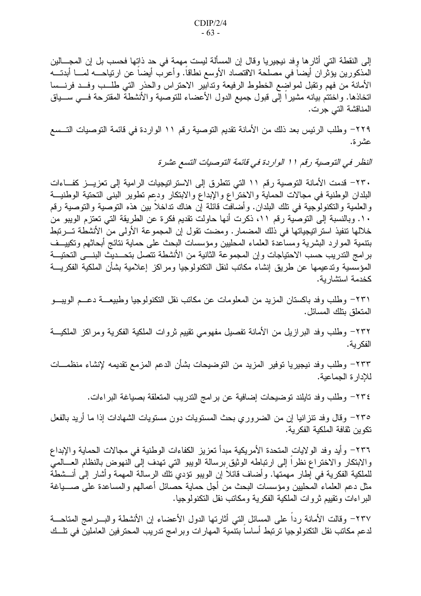إلى النقطــة التـي أثار ها وفد نيجيريـا وقال إن المسألـة ليست مـهمـة فـي حد ذاتـها فحسب بل إن المـجــــالين المذكورين يؤثران أيضا في مصلحة الاقتصاد الأوسع نطاقا. وأعرب أيضا عن ارتياحــــه لمــــا أبدتــــه الأمانة من فهم ونقبل لمواضع الخطوط الرفيعة وندابير الاحتراس والحذر التبي طلــب وفــد فرنـــسا اتخاذها. واختتم بيانه مشيرا إلى قبول جميع الدول الأعضاء للتوصية والأنشطة المقترحة فسي سسياق المناقشة التي جرت.

٢٢٩– وطلب الرئيس بعد ذلك من الأمانة تقديم التوصية رقم ١١ الواردة في قائمة التوصيات التــسع عشر ة.

النظر في التوصية رقم ١١ الواردة في قائمة التوصيات التسع عشرة

٢٣٠– قدمت الأمانة التوصية رقم ١١ التي تتطرق إلى الاستر اتيجيات الرامية إلى تعزيــز كفـــاءات البلدان الوطنية في مجالات الحماية والاختراع والإبداع والابتكار ودعم تطوير البنى التحتية الوطنيــة و العلمية و النكنولوجية في تلك البلدان. و أضافَت قائلة أن هناك نداخلاً بين هذه التوصية و التوصية رقم ١٠. وبالنسبة إلى التوصية رقم ١١، ذكرت أنها حاولت تقديم فكرة عن الطريقة التي تعتزم الويبو من خلالها نتفيذ استراتيجياتها في ذلك المضمار . ومضت نقول إن المجموعة الأولى من الأنشطة تـــرتبط بتنمية الموارد البشرية ومساعدة العلماء المحليين ومؤسسات البحث على حماية نتائج أبحاثهم وتكييسف برامج التدريب حسب الاحتياجات وإن المجموعة الثانية من الأنشطة تتصل بتحـــديث البنــــي التحتيـــة المؤسسية وندعيمها عن طريق إنشاء مكاتب لنقل التكنولوجيا ومراكز إعلامية بشأن الملكية الفكريسة كخدمة استشار بة.

٢٣١ - وطلب وفد باكستان المزيد من المعلومات عن مكاتب نقل التكنولوجيا وطبيعــــة دعـــم الويبـــو المتعلق بتلك المسائل.

٢٣٢– وطلب وفد البرازيل من الأمانة تفصيل مفهومي نقييم ثروات الملكية الفكرية ومراكز الملكيـــة الفكر ية.

٢٣٣– وطلب وفد نيجيريا توفير المزيد من التوضيحات بشأن الدعم المزمع تقديمه لإنشاء منظمـــات للإدارة الجماعية.

٢٣٤– وطلب وفد تايلند توضيحات إضافية عن برامج التدريب المتعلقة بصياغة البراءات.

٢٣٥– وقال وفد نتز انيا إن من الضروري بحث المستويات دون مستويات الشهادات إذا ما أريد بالفعل تكو بن ثقافة الملكبة الفكر بة.

٢٣٦– وأيد وفد الولايات المتحدة الأمريكية مبدأ تعزيز الكفاءات الوطنية في مجالات الحماية والإبداع والابتكار والاختراع نظراً إلى ارتباطه الوثيق برسالة الويبو التي تهدف إلى النهوض بالنظام العـــالمـي للملكية الفكرية في إطار مهمتها. وأضاف قائلا إن الويبو نؤدي نلك الرسالة المهمة وأشار إلى أنـــشطة مثل دعم العلماء المحليين ومؤسسات البحث من أجل حماية حصائل أعمالهم والمساعدة على صـــــياغة البر اءات وتقييم ثروات الملكية الفكرية ومكاتب نقل التكنولوجيا.

٢٣٧– وقالت الأمانة رداً على المسائل التي أثارتها الدول الأعضاء إن الأنشطة والبـــرامج المتاحـــة لدعم مكاتب نقل التكنولوجيا ترتبط أساساً بنتَّمية المهارات وبرامج تدريب المحترفين العاملين في تلــك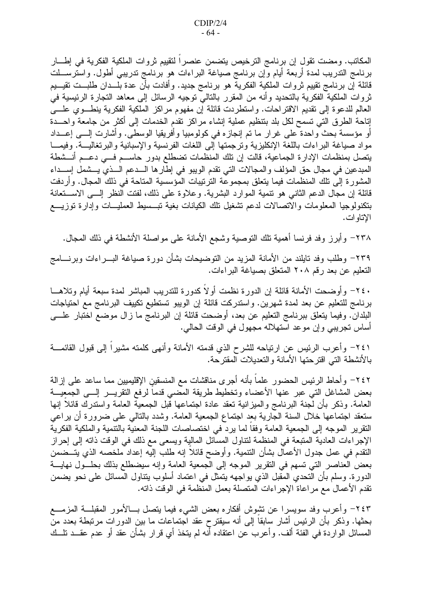المكاتب. ومضت نقول إن برنامج الترخيص يتضمن عنصراً لتقييم ثروات الملكية الفكرية في إطـــار برنامج التدريب لمدة أربعة أيام وإن برنامج صياغة البراءات هو برنامج تدريبي أطول. واسترســـلت قائلة إن برنامج تقييم ثروات الملكية الفكرية هو برنامج جديد. وأفادت بأن عدة بلــدان طلبــت تقيـــيم ثروات الملكية الفكرية بالتحديد وأنه من المقرر بالنالي نوجيه الرسائل إلى معاهد التجارة الرئيسية في العالم للدعوة إلى نقديم الاقتراحات. واستطردت قائلة إن مفهوم مراكز الملكية الفكرية ينطـــوي علــــي إناحة الطرق التي تسمح لكل بلد بتنظيم عملية إنشاء مراكز نقدم الخدمات إلىي أكثر من جامعة واحـــدة أو مؤسسة بحث واحدة على غرار ما تم إنجازه في كولومبيا وأفريقيا الوسطى. وأشارت إلـــي إعـــداد مواد صياغة البراءات باللغة الإنكليزية ونرجمتها إلى اللغات الفرنسية والإسبانية والبرنغاليــة. وفيمـــا يتصل بمنظمات الإدارة الجماعية، قالت إن تلك المنظمات تضطلع بدور حاســـم فـــي دعـــم أنـــشطة المبدعين في مجال حق المؤلف والمجالات التي تقدم الويبو في إطارها الـــدعم الـــذي يـــشمل إســـداء المشورة إلى تلك المنظمات فيما يتعلق بمجموعة الترتيبات المؤسسية المتاحة في ذلك المجال. وأردفت قائلة إن مجال الدعم الثانبي هو نتمية الموارد البشرية. وعلاوة على ذلك، لفتت النظر إلـــي الاســـنعانة بتكنولوجيا المعلومات والاتصالات لدعم تشغيل نلك الكيانات بغية تبسسيط العمليسات وإدارة توزيسع الإتاوات.

٢٣٨– وأبرز وفد فرنسا أهمية تلك التوصية وشجع الأمانة على مواصلة الأنشطة في ذلك المجال.

٢٣٩– وطلب وفد تايلند من الأمانة المزيد من التوضيحات بشأن دورة صياغة البـــراءات وبرنــــامج التعليم عن بعد رقم ٢٠٨ المتعلق بصياغة البراءات.

٤٠- و أو ضبحت الأمانة قائلة إن الدور ة نظمت أو لاَ كدور ة للتدريب المباشر ۖ لمدة سبعة أيام و تلاهـــا برنامج للتعليم عن بعد لمدة شهرين. واستدركت قائلة إن الويبو تستطيع تكييف البرنامج مع احتياجات البلدان. وفيما يتعلق ببرنامج التعليم عن بعد، أوضحت قائلة إن البرنامج ما زال موضع اختبار علــــي أساس تجريبي وإن موعد استهلاله مجهول في الوقت الحالي.

٢٤١– وأعرب الرئيس عن ارتياحه للشرح الذي قدمته الأمانة وأنهى كلمته مشيرا إلى قبول القائمـــة بالأنشطة التي اقتر حتها الأمانة والتعديلات المقتر حة.

٢٤٢– وأحاط الرئيس الحضور علما بأنه أجرى مناقشات مع المنسقين الإقليميين مما ساعد على إزالة بعض المشاغل التبي عبر عنها الأعضاء وتخطيط طريقة المضبي قدماً لرفع التقريـــر إلــــي الـجمعيـــة العامة. وذكر بأن لجنة البرنامج والميزانية نعقد عادة اجتماعها قبل الجمعية العامة واستدرك قائلا إنها ستعقد اجتماعها خلال السنة الجارية بعد اجتماع الجمعية العامة. وشدد بالتالي على ضرورة أن يراعي النقرير الموجه إلى الجمعية العامة وفقا لما يرد في اختصاصات اللجنة المعنية بالنتمية والملكية الفكرية الإجراءات العادية المتبعة في المنظمة لتناول المسائل المالية ويسعى مع ذلك في الوقت ذاته إلى إحراز النقدم في عمل جدول الأعمال بشأن التنمية. وأوضح قائلا إنه طلب إليه إعداد ملخصه الذي يتــضمن بعض العناصر التي تسهم في النقرير الموجه إلى الجمعية العامة وإنه سيضطلع بذلك بحلـول نهايـــة الدورة. وسلم بأن التحدي المقبل الذي يواجهه يتمثل في اعتماد أسلوب يتناول المسائل على نحو يضمن تقدم الأعمال مع مراعاة الإجراءات المتصلة بعمل المنظمة في الوقت ذاته.

٢٤٣– وأعرب وفد سويسرا عن تشوش أفكاره بعض الشيء فيما يتصل بـــالأمور المقبلــــة المزمــــع بحثها. وذكر بأن الرئيس أشار سابقا إلى أنه سيقترح عقد اجتماعات ما بين الدورات مرتبطة بعدد من المسائل الواردة في الفئة ألف. وأعرب عن اعتقاده أنه لم يتخذ أي قرار بشأن عقد أو عدم عقـــد تلـــك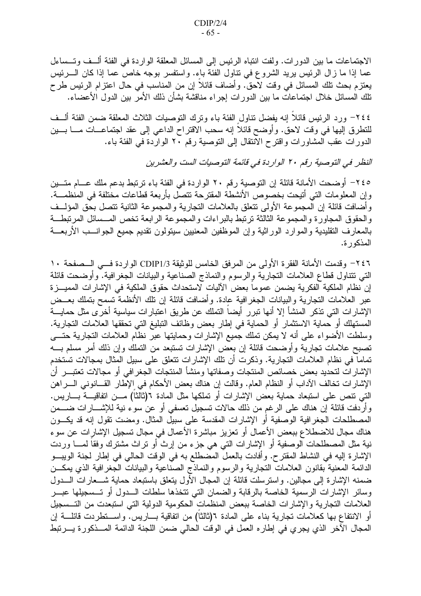الاجتماعات ما بين الدور ات. ولفت انتباه الرئيس إلى المسائل المعلقة الواردة في الفئة ألــف وتــساءل عما إذا ما زال الرئيس يريد الشروع في نتاول الفئة باء. واستفسر بوجه خاص عما إذا كان الــــرئيس يعتزم بحث تلك المسائل في وقت لاحق. وأضاف قائلا إن من المناسب في حال اعتزام الرئيس طرح نلك المسائل خلال اجتماعات ما بين الدورات إجراء مناقشة بشأن ذلك الأمر بين الدول الأعضاء.

٢٤٤- ورد الرئيس قائلاً إنه يفضل نناول الفئة باء ونرك النوصيات الثلاث المعلقة ضمن الفئة ألسف للنطرق إليها في وقت لاحق. وأوضح قائلا إنه سحب الاقتراح الداعي إلى عقد اجتماعـــات مــــا بــــين الدورات عقب المشاورات واقترح الانتقال إلى التوصية رقم ٢٠ الواردة في الفئة باء.

النظر في التوصية رقم ٢٠ الواردة في قائمة التوصيات الست والعشرين

٢٤٥– أوضحت الأمانة قائلة إن التوصية رقم ٢٠ الواردة في الفئة باء ترتبط بدعم ملك عـــام متـــين وإن المعلومات التي أتيحت بخصوص الأنشطة المقترحة تتصل بأربعة قطاعات مختلفة في المنظمـــة. و أضافت قائلة إن المجموعة الأولى نتعلق بالعلامات التجارية والمجموعة الثانية تتصل بحق المؤلسف والحقوق المجاورة والمجموعة الثالثة ترتبط بالبر اءات والمجموعة الرابعة تخص المسسائل المرتبطة بالمعارف التقليدية والموارد الوراثية وإن الموظفين المعنيين سيتولون نقديم جميع الجوانــب الأربعـــة المذكور ة.

٢٤٦ - وقدمت الأمانة الفقر ة الأولى من المر فق الخامس للوثيقة CDIP1/3 الواردة فـــى الـــصفحة ١٠ التبي نتتاول قطاع العلامات التجارية والرسوم والنماذج الصناعية والبيانات الجغرافية. وأوضحت قائلة إن نظام الملكية الفكرية يضمن عموماً بعض الأليات لاستحداث حقوق الملكية في الإشارات المميـــزة عبر العلامات التجارية والبيانات الجغرافية عادة. وأضافت قائلة إن تلك الأنظمة تسمح بتملك بعــض الإشارات التي تذكر المنشأ إلا أنها نبرر أيضاً التملك عن طريق اعتبارات سياسية أخرى مثل حمايــــة المستهلك أو حماية الاستثمار أو الحماية في إطار بعض وظائف التبليغ التي تحققها العلامات التجارية. وسلطت الأضواء على أنه لا يمكن تملك جميع الإشارات وحمايتها عبر نظام العلامات التجارية حتــــي تصبح علامات تجارية وأوضحت قائلة إن بعض الإشارات تستبعد من التملك وإن ذلك أمر مسلم بــــه تماما في نظام العلامات التجارية. وذكرت أن تلك الإشارات تتعلق على سبيل المثال بمجالات تستخدم الإشارات لتحديد بعض خصائص المنتجات وصفاتها ومنشأ المنتجات الجغرافي أو مجالات تعتبـــر أن الإشارات تخالف الأداب أو النظام العام. وقالت إن هناك بعض الأحكام في الإطار القـــانونـي الــــراهن التبي نتص على استبعاد حماية بعض الإشارات أو تملكها مثل المادة ٦(ثالثاً) مـــن اتفاقيـــة بــــاريس. وأردفت قائلة إن هناك على الرغم من ذلك حالات تسجيل تعسفي أو عن سوء نية للإشــــارات ضـــــمن المصطلحات الجغرافية الوصفية أو الإشارات المقدسة على سبيل المثال. ومضت نقول إنه قد يكـــون هناك مجال للاضطلاع ببعض الأعمال أو تعزيز مباشرة الأعمال في مجال تسجيل الإشارات عن سوء نية مثل المصطلحات الوصفية أو الإشارات التبي هي جزء من إرث أو نراث مشترك وفقا لمــــا وردت الإشارة إليه في النشاط المقترح. وأفادت بالعمل المضطلع به في الوقت الحالي في إطار لجنة الويبـــو الدائمة المعنية بقانون العلامات النجارية والرسوم والنماذج الصناعية والبيانات الجغرافية الذي يمكــن ضمنه الإشارة إلى مجالين. واسترسلت قائلة إن المجال الأول يتعلق باستبعاد حماية شـــعارات الــــدول وسائر الإشارات الرسمية الخاصة بالرقابة والضمان التي تتخذها سلطات السدول أو تسسجيلها عبسر العلامات التجارية والإشارات الخاصة ببعض المنظمات الحكومية الدولية التبي استبعدت من التــسجيل أو الانتفاع بها كعلامات تجارية بناء على المادة ٦(ثالثا) من اتفاقية بـــاريس. واســـنطردت قائلــــة إن المجال الآخر الذي يجري في إطاره العمل في الوقت الحالي ضمن اللجنة الدائمة المــذكورة يـــرتبط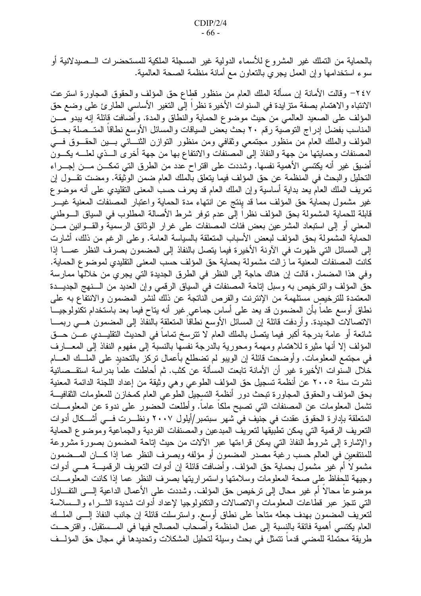بالحماية من التملك غير المشروع للأسماء الدولية غير المسجلة الملكية للمستحضرات الـــصيدلانية أو سوء استخدامها وإن العمل يجري بالنعاون مع أمانة منظمة الصحة العالمية.

٢٤٧– وقالت الأمانة إن مسألة الملك العام من منظور قطاع حق المؤلف والحقوق المجاورة استرعت الانتباه والاهتمام بصفة متزايدة في السنوات الأخيرة نظراً إلى النغير الأساسي الطارئ على وضع حق المؤلف على الصعيد العالمي من حيث موضوع الحماية والنطاق والمدة. وأضافت قائلة إنه يبدو مـــن المناسب بفضل إدراج التوصية رقم ٢٠ بحث بعض السياقات والمسائل الأوسع نطاقاً المتــصلة بحــق المؤلف والملك العام من منظور مجتمعي وثقافي ومن منظور التوازن الثنسائي بسين الحقسوق فسي المصنفات وحمايتها من جهة والنفاذ إلىي المصنفات والانتفاع بها من جهة أخرى السذي لعلسه يكسون أضيق غير أنه يكتسى الأهمية نفسها. وشددت على اقتراح عدد من الطرق التي تمكـــن مـــن إجـــراء التحليل والبحث في المنظمة عن حق المؤلف فيما يتعلق بالملك العام ضمن الوثيقة. ومضت تقـول إن تعريف الملك العام يعد بداية أساسية وإن الملك العام قد يعرف حسب المعنىي التقليدي على أنه موضوع غير مشمول بحماية حق المؤلف مما قد ينتج عن انتهاء مدة الحماية واعتبار المصنفات المعنية غيـــر قابلة للحماية المشمولة بحق المؤلف نظراً إلى عدم نوفر شرط الأصالة المطلوب في السياق الـــوطني المعنىي أو إلىي استبعاد المشرعين بعض فئات المصنفات على غرار الوثائق الرسمية والقـــوانين مـــن الحماية المشمولة بحق المؤلف لبعض الأسباب المتعلقة بالسياسة العامة. وعلى الرغم من ذلك، أشارت إلى المسائل التي ظهرت في الأونة الأخيرة فيما يتصل بالنفاذ إلى المضمون بصرف النظر عمـــا إذا كانت المصنفات المعنية ما زالت مشمولة بحماية حق المؤلف حسب المعنى التقليدي لموضوع الحماية. وفي هذا المضمار، قالت إن هناك حاجة إلى النظر في الطرق الجديدة التي يجري من خلالها ممارسة حق المؤلف والترخيص به وسبل إناحة المصنفات في السياق الرقمي وإن العديد من السنهج الجديسدة المعتمدة للترخيص مستلهمة من الإنترنت والفرص الناتجة عن ذلك لنشر المضمون والانتفاع به على نطاق أوسع علماً بأن المضمون قد يعد على أساس جماعى غير أنه يتاح فيما بعد باستخدام تكنولوجيـــا الاتصالات الجديدة. وأردفت قائلة إن المسائل الأوسع نطاقا المتعلقة بالنفاذ إلى المضمون هـــي ربمــــا شائعة أو عامة بدرجة أكبر فيما يتصل بالملك العام لا تترسخ تماما في الحديث التقليـــدي عـــن حـــق المؤلف إلا أنها مثيرة للاهتمام ومهمة ومحورية بالدرجة نفسها بالنسبة إلى مفهوم النفاذ إلى المعـــارف في مجتمع المعلومات. وأوضحت قائلة إن الويبو لم تضطلع بأعمال تركز بالتحديد على الملــك العـــام خلال السنوات الأخيرة غير أن الأمانة تابعت المسألة عن كثب. ثم أحاطت علما بدراسة استقـــصائية نشرت سنة ٢٠٠٥ عن أنظمة تسجيل حق المؤلف الطوعي وهي وثيقة من إعداد اللجنة الدائمة المعنية بحق المؤلف والحقوق المجاورة تبحث دور أنظمة التسجيل الطوعى العام كمخازن للمعلومات الثقافيـــة تشمل المعلومات عن المصنفات التي تصبح ملكا عاما. وأطلعت الحضور على ندوة عن المعلومـــات المتعلقة بإدارة الحقوق عقدت في جنيف في شهر سبتمبر/أيلول ٢٠٠٧ ونظـــرت فـــي أشـــكال أدوات النعريف الرقمية التي يمكن تطبيقها لتعريف المبدعين والمصنفات الفردية والجماعية وموضوع الحماية والإشارة إلى شروط النفاذ التبي يمكن قراءتها عبر الألات من حيث إتاحة المضمون بصورة مشروعة للمنتفعين في العالم حسب رغبة مصدر المضمون أو مؤلفه وبصرف النظر عما إذا كـــان المـــضمون مشمولاً أم غير مشمول بحماية حق المؤلف. وأضافت قائلة إن أدوات النعريف الرقميــــة هــــى أدوات وجيهة للحفاظ على صحة المعلومات وسلامتها واستمراريتها بصرف النظر عما إذا كانت المعلومسات موضوعا محالا أم غير محال إلى نرخيص حق المؤلف. وشددت على الأعمال الداعية إلــــى النفـــاؤل التبي ننجز عبر قطاعات المعلومات والاتصالات والتكنولوجيا لإعداد أدوات شديدة الثسراء والسملاسة لنعريف المضمون بهدف جعله متاحا على نطاق أوسع. واسترسلت قائلة إن جانب النفاذ إلـــي الملـــك العام يكتسي أهمية فائقة بالنسبة إلى عمل المنظمة وأصحاب المصالح فيها في المـــستقبل. واقترحـــت طريقة محتملة للمضبي قدما نتمثل في بحث وسيلة لتحليل المشكلات وتحديدها في مجال حق المؤلسف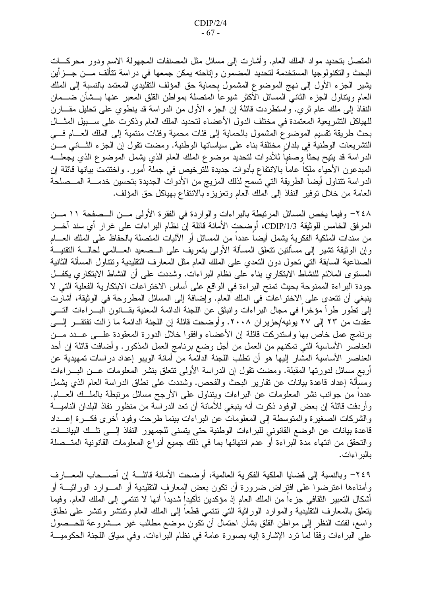المتصل بتحديد مواد الملك العام. وأشارت إلى مسائل مثل المصنفات المجهولة الاسم ودور محركـــات البحث والتكنولوجيا المستخدمة لتحديد المضمون وإتاحته يمكن جمعها في دراسة نتألف مـــن جـــز أين يشير الجزء الأول إلى نهج الموضوع المشمول بحماية حق المؤلف النقليدي المعتمد بالنسبة إلى الملك العام ويتناول الجزء الثانبي المسائل الأكثر شيوعا المنصلة بمواطن القلق المعبر عنها بـــشأن ضــــمان النفاذ إلى ملك عام ثري. واستطردت قائلة إن الجزء الأول من الدراسة قد ينطوي على تحليل مقـــارن للهياكل التشريعية المعتمدة في مختلف الدول الأعضاء لتحديد الملك العام وذكرت على ســـبيل المثـــال بحث طريقة نقسيم الموضوع المشمول بالحماية إلى فئات محمية وفئات منتمية إلى الملك العسام فسي التشريعات الوطنية في بلدانِ مختلفة بناء على سياساتها الوطنية. ومضت تقول إن الجزء الثـــانـي مــــن الدراسة قد يتيح بحثًا وصفيا للأدوات لتحديد موضوع الملك العام الذي يشمل الموضوع الذي يجعلـــه المبدعون الأحياء ملكا عاما بالانتفاع بأدوات جديدة للترخيص في جملة أمور . واختتمت بيانها قائلة إن الدراسة نتناول أيضاً الطريقة التي تسمح لذلك المزيج من الأدوات الجديدة بتحسين خدمــــة المـــصلحة العامة من خلال نوفير النفاذ إلى الملك العام ونعزيزه بالانتفاع بهياكل حق المؤلف.

٢٤٨– وفيما يخص المسائل المرتبطة بالبر اءات والواردة في الفقرة الأولى مـــن الـــصفحة ١١ مـــن المرفق الخامس للوثيقة CDIP/1/3، أوضحت الأمانة قائلة إن نظام البر اءات على غر ار أي سند آخـــر من سندات الملكية الفكرية يشمل أيضـاً عدداً من المسائل أو الآليات المتصلة بالحفاظ على الملك العـــام وإن الوثيقة نشير إلى مسألنين نتعلق المسألة الأولى بنعريف على الــصعيد العـــالمـي لحالــــة النقنيـــة الصناعية السابقة التبي تحول دون التعدي على الملك العام مثل المعارف النقليدية وتتناول المسألة الثانية المستوى الملائم للنشاط الابتكار ي بناء على نظام البر اءات. وشددت على أن النشاط الابتكار ي يكفــل جودة البراءة الممنوحة بحيث تمنح البراءة في الواقع على أساس الاختراعات الابتكارية الفعلية التي لا ينبغي أن نتعدى على الاختر اعات في الملك العام. وإضافة إلى المسائل المطروحة في الوثيقة، أشارت إلى نطور طرأ مؤخرا في مجال البراءات وانبثق عن اللجنة الدائمة المعنية بقـــانون البــــراءات التــــي عقدت من ٢٣ إلى ٢٧ يونيه/حزير ان ٢٠٠٨. وأوضحت قائلة إن اللجنة الدائمة ما ز الت تفتقـــر إلــــي برنامج عمل خاص بها واستدركت قائلة إن الأعضاء وافقوا خلال الدورة المعقودة علـــي عـــدد مـــن العناصر الأساسية التي تمكنهم من العمل من أجل وضع برنامج العمل المذكور . وأضافت قائلة إن أحد العناصر الأساسية المشار إليها هو أن نطلب اللجنة الدائمة من أمانة الويبو إعداد دراسات تمهيدية عن أربع مسائل لدورتها المقبلة. ومضت نقول إن الدراسة الأولى نتعلق بنشر المعلومات عـــن البــــراءات ومسألة إعداد قاعدة بيانات عن نقارير البحث والفحص. وشددت على نطاق الدراسة العام الذي يشمل عددا من جوانب نشر المعلومات عن البراءات وينتاول على الأرجح مسائل مرتبطة بالملــك العـــام. وأردفت قائلة إن بعض الوفود ذكرت أنه ينبغي للأمانة أن تعد الدراسة من منظور نفاذ البلدان الناميـــة والشركات الصغيرة والمنوسطة إلى المعلومات عن البراءات بينما طرحت وفود أخرى فكسرة إعسداد قاعدة بيانات عن الوضع القانوني للبراءات الوطنية حتى يتسنى للجمهور النفاذ إلــي تلــك البيانـــات والنحقق من انتهاء مدة البراءة أو عدم انتهائها بما في ذلك جميع أنواع المعلومات القانونية المتــصلة بالبر اءات.

٢٤٩– وبالنسبة إلى قضايا الملكية الفكرية العالمية، أوضحت الأمانة قائلـــة إن أصــــحاب المعـــارف وأمناءها اعترضوا على افتراض ضرورة أن نكون بعض المعارف النقليدية أو المـــوارد الوراثيــــة أو أشكال التعبير الثقافي جزءا من الملك العام إذ مؤكدين تأكيدا شديدا أنها لا تتتمى إلى الملك العام. وفيما يتعلق بالمعارف التقليدية والموارد الوراثية التبي نتنمى قطعا إلى الملك العام ونتنشر ونتشر على نطاق واسع، لفتت النظر إلى مواطن القلق بشأن احتمال أن نكون موضع مطالب غير مـــشروعة للـحــصول على البراءات وفقًا لما نزد الإشارة إليه بصورة عامة في نظام البراءات. وفي سياق اللجنة الحكوميـــة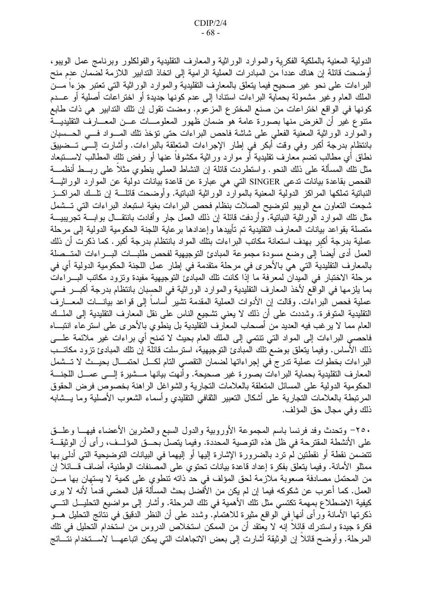الدولية المعنية بالملكية الفكرية والموارد الوراثية والمعارف التقليدية والفولكلور وبرنامج عمل الويبو، أوضحت قائلة إن هناك عددا من المبادر ات العملية الرامية إلى اتخاذ التدابير اللازمة لضمان عدم منح البراءات على نحو غير صحيح فيما يتعلق بالمعارف النقليدية والموارد الوراثية التي تعتبر جزءا مـــن الملك العام وغير مشمولة بحماية البراءات استنادا إلى عدم كونها جديدة أو اختراعات أصلية أو عـــدم كونها في الواقع اختراعات من صنع المخترع المزعوم. ومضت نقول إن تلك التدابير هي ذات طابع منتوع غير أن الغرض منها بصورة عامة هو ضمان ظهور المعلومـــات عـــن المعـــارف التقليديـــة والموارد الوراثية المعنية الفعلى على شاشة فاحص البراءات حتى نؤخذ نلك المسواد فسى الحسسبان بانتظام بدرجة أكبر وفي وقت أبكر في إطار الإجراءات المتعلقة بالبراءات. وأشارت إلـــّي تـــضييق نطاق أي مطالب نضم معارف نقليدية أو موارد وراثية مكشوفاً عنها أو رفض نلك المطالب لاســــتبعاد مثل نلك المسألة على ذلك النحو . واستطردت قائلة إن النشاط العملي بنطوى مثلا على ربـــط أنظمـــة الفحص بقاعدة بيانات ندعى SINGER التي هي عبارة عن قاعدة بيانات دولية عن الموارد الوراثيـــة النباتية تملكها المراكز الدولية المعنية بالموارد الوراثية النباتية. وأوضحت قائلـــة إن تلــك المراكـــز شجعت التعاون مع الويبو لتوضيح الصلات بنظام فحص البراءات بغية استبعاد البراءات التي تـــشمل مثل نلك الموارد الوراثية النباتية. وأردفت قائلة إن ذلك العمل جار وأفادت باننقـــال بوابــــة نجريبيــــة متصلة بقواعد بيانات المعارف التقليدية تم تأييدها وإعدادها بر عاية اللجنة الحكومية الدولية إلى مرحلة عملية بدرجة أكبر بهدف استعانة مكاتب البراءات بتلك المواد بانتظام بدرجة أكبر . كما ذكرت أن ذلك العمل أدى أيضا إلى وضع مسودة مجموعة المبادئ النوجيهية لفحص طلبـــات البــــراءات المتـــصلة بالمعارف النقليدية التي هي بالأحرى في مرحلة منقدمة في إطار عمل اللجنة الحكومية الدولية أي في مرحلة الاختبار في الميدان لمعرفة ما إذا كانت تلك المبادئ التوجيهية مفيدة ونزود مكاتب البـــراءات بما يلزمها في الواقع لأخذ المعارف النقليدية والموارد الوراثية في الحسبان بانتظام بدرجة أكبـــر فـــي عملية فحص البراءات. وقالت إن الأدوات العملية المقدمة نشير أساساً إلى قواعد بيانـــات المعـــارفٌ النقليدية المتوفرة. وشددت على أن ذلك لا يعني تشجيع الناس على نقل المعارف النقليدية إلى الملـــك العام مما لا يرغب فيه العديد من أصحاب المعارف النقليدية بل ينطوى بالأحرى على استرعاء انتبـــاه فاحصبي البراءات إلى المواد التي تنتمي إلى الملك العام بحيث لا تمنح أي براءات غير ملائمة علـــي ذلك الأساس. وفيما يتعلق بوضع نلك المبادئ النوجيهية، استرسلت قائلة إن نلك المبادئ نزود مكانـــب البراءات بخطوات عملية تدرج في إجراءاتها لضمان التقصبي التام لكـــل احتمـــال بحيـــث لا تـــشمل المعارف التقليدية بحماية البراءات بصورة غير صحيحة. وأنهت بيانها مـــشيرة إلــــي عمـــل اللـجنــــة الحكومية الدولية على المسائل المتعلقة بالعلامات التجارية والشواغل الراهنة بخصوص فرض الحقوق المرتبطة بالعلامات النجارية على أشكال النعبير الثقافي النقليدي وأسماء الشعوب الأصلية وما يـــشابه ذلك وفي مجال حق المؤلف.

٢٥٠– ونحدث وفد فرنسا باسم المجموعة الأوروبية والدول السبع والعشرين الأعضاء فيهـــا وعلـــق على الأنشطة المقترحة في ظل هذه التوصية المحددة. وفيما يتصل بحـــق المؤلـــف، رأى أن الوثيقـــة نتضَّمن نقطة أو نقطتين لمَّ ترد بالضرورة الإشارة إليها أو إليهما في البيانات التوضيحية التي أدلى بها ممثلو الأمانة. وفيما يتعلَّق بفكرة إعداد قاعدة بيانات تحتوي على المصنفات الوطنية، أضاف قـــائلا إن من المحتمل مصادفة صعوبة ملازمة لحق المؤلف في حد ذاته تتطوي على كمية لا يستهان بها مــن العمل. كما أعرب عن شكوكه فيما إن لم يكن من الأفضل بحث المسألة قبل المضبي قدما لأنه لا ير ي كيفية الاضطلاع بمهمة تكتسي مثل نلك الأهمية في نلك المرحلة. وأشار إلى مواضيع التحليـــل النــــي ذكرتها الأمانة ورأى أنها في الواقع مثيرة للاهتمام. وشدد على أن النظر الدقيق في نتائج التحليل هـــو فكرة جيدة واستدرك قائلا إنه لا يعتقد أن من الممكن استخلاص الدروس من استخدام التحليل في تلك المرحلة. وأوضح قائلًا إن الوثيقة أشارت إلى بعض الانجاهات التي يمكن انباعهـــا لاســـنخدام نتـــائج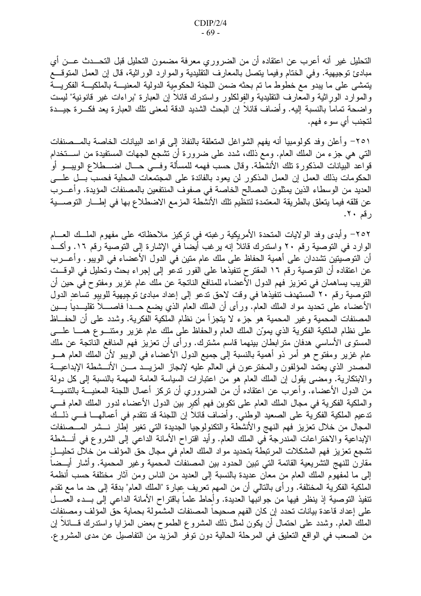التحليل غير أنه أعرب عن اعتقاده أن من الضروري معرفة مضمون التحليل قبل التحـــدث عـــن أي مبادئ نوجيهية. وفي الختام وفيما يتصل بالمعارف النقليدية والموارد الوراثية، قال إن العمل المتوقـــع يتمشى على ما يبدو مع خطوط ما تم بحثه ضمن اللجنة الحكومية الدولية المعنيـــة بالملكيـــة الفكريـــة والموارد الوراثية والمعارف التقليدية والفولكلور واستدرك قائلا إن العبارة "براءات غير قانونية" ليست واضحة تماما بالنسبة إليه. وأضاف قائلا إن البحث الشديد الدقة لمعنى نلك العبارة يعد فكـــرة جيـــدة لتجنب أي سو ء فهم.

٢٥١– وأعلن وفد كولومبيا أنه يفهم الشواغل المتعلقة بالنفاذ إلى قواعد البيانات الخاصة بالمـــصنفات التبي هي جزء من الملك العام. ومع ذلك، شدد علي ضرورة أن تشجع الجهات المستفيدة من اســـتخدام قواعد البيانات المذكورة تلك الأنشطة. وقال حسب فهمه للمسألة وفـــ حــال اضـــطلاع الويبـــو أو الحكومات بذلك العمل إن العمل المذكور لن يعود بالفائدة على المجتمعات المحلية فحسب بـــل علــــى العديد من الوسطاء الذين يمثلون المصالح الخاصة في صفوف المنتفعين بالمصنفات المؤيدة. وأعـــرب عن قلقه فيما يتعلق بالطريقة المعتمدة لتنظيم تلك الأنشطة المزمع الاضطلاع بها في إطـــار التوصــــية رقم ۲۰.

٢٥٢– وأبدى وفد الولايات المتحدة الأمريكية رغبته في تركيز ملاحظاته على مفهوم الملــك العـــام الوارد في التوصية رقم ٢٠ واستدرك قائلا إنه يرغب أيضا في الإشارة إلى التوصية رقم ١٦. وأكــد أن النوصيتين نشددان على أهمية الحفاظ على ملك عام متين في الدول الأعضاء في الويبو . وأعـــرب عن اعتقاده أن التوصية رقم ١٦ المقترح تتفيذها على الفور تدعو إلى إجراء بحث وتحليل في الوقــت القريب يساهمان في تعزيز فهم الدول الأعضاء للمنافع الناتجة عن ملك عام غزير ومفتوح في حين أن التوصية رقم ٢٠ المستهدف نتفيذها في وقت لاحق ندعو إلى إعداد مبادئ توجيهية للويبو نساعد الدول الأعضاء على تحديد مواد الملك العام. ورأى أن الملك العام الذي يضع حــدا فاصــــلا تقليـــديا بـــين المصنفات المحمية وغير المحمية هو جزء لا يتجزأ من نظام الملكية الفكرية. وشدد على أن الحفــاظ على نظام الملكية الفكرية الذي يموّن الملك العام والحفاظ على ملك عام غزير ومتنـــوع همــــا علــــي المستوى الأساسى هدفان مترابطان بينهما قاسم مشترك. ورأى أن تعزيز فهم المنافع الناتجة عن ملك عام غزير ومفتوح هو أمر ذو أهمية بالنسبة إلى جميع الدول الأعضاء في الويبو لأن الملك العام هـــو المصدر الذي يعتمد المؤلفون والمخترعون في العالم عليه لإنجاز المزيــد مـــن الأنـــشطة الإبداعيـــة والابتكارية. ومضـى يقول إن الملك العام هو من اعتبارات السياسة العامة المهمة بالنسبة إلى كل دولة من الدول الأعضاء. وأعرب عن اعتقاده أن من الضروري أن نركز أعمال اللجنة المعنيــــة بالتنميـــة والملكية الفكرية في مجال الملك العام على نكوين فهم أكبر بين الدول الأعضاء لدور الملك العام فـــي تدعيم الملكية الفكرية على الصعيد الوطني. وأضاف قائلا إن اللجنة قد تتقدم في أعمالهـــا فـــي ذلـــك المجال من خلال نعزيز فهم النهج والأنشطة والتكنولوجيا الجديدة التبي نغير إطار نسشر المسصنفات الإبداعية والاختراعات المندرجة في الملك العام. وأيد اقتراح الأمانة الداعبي إلىي الشروع في أنـــشطة تشجع تعزيز فهم المشكلات المرتبطة بتحديد مواد الملك العام في مجال حق المؤلف من خلال تحليـل مقارن للنهج التشريعية القائمة التي نبين الحدود بين المصنفات المحمية وغير المحمية. وأشار أيــضا إلى ما لمفهوم الملك العام من معان عديدة بالنسبة إلى العديد من الناس ومن آثار مختلفة حسب أنظمة الملكية الفكرية المختلفة. ورأى بالتالي أن من المهم تعريف عبارة "الملك العام" بدقة إلى حد ما مع تقدم نتفيذ التوصية إذ ينظر فيها من جوانبها العديدة. وأحاط علما باقتراح الأمانة الداعبي إلى بـــدء العمـــل على إعداد قاعدة بيانات تحدد إن كان الفهم صحيحا المصنفات المشمولة بحماية حق المؤلف ومصنفات الملك العام. وشدد على احتمال أن يكون لمثل ذلك المشروع الطموح بعض المزايا واستدرك قـــائلا إن من الصعب في الواقع التعليق في المرحلة الحالية دون توفر المزيد من التفاصيل عن مدى المشروع.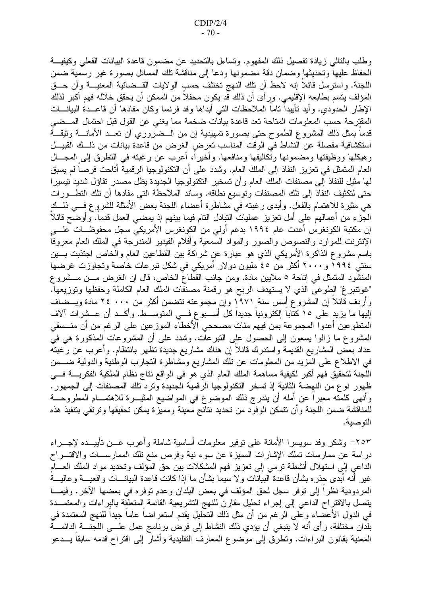وطلب بالتالي زيادة تفصيل ذلك المفهوم. ونساءل بالتحديد عن مضمون قاعدة البيانات الفعلي وكيفيـــة الحفاظ عليها وتحديثها وضمان دقة مضمونها ودعا إلى مناقشة نلك المسائل بصورة غير رسمية ضمن اللجنة. واسترسل قائلاً إنه لاحظ أن نلك النهج نختلف حسب الولايات القــضائية المعنيـــة وأن حـــق المؤلف يتسم بطابعه الإقليمي. ور أي أن ذلك قد يكون محفلا من الممكن أن يحقق خلاله فهم أكبر لذلك الإطار الحدودي. وأيد تأييدا تاما الملاحظات التي أبداها وفد فرنسا وكان مفادها أن قاعـــدة البيانــــات المقترحة حسب المعلومات المتاحة تعد قاعدة بيانات ضخمة مما يغنى عن القول قبل احتمال المسضى قدما بمثل ذلك المشروع الطموح حتى بصورة تمهيدية إن من الـــضروري أن تعـــد الأمانــــة وثيقـــة استكشافية مفصلة عن النشاط في الوقت المناسب تعرض الغرض من قاعدة بيانات من ذلـك القبيــل وهيكلها ووظيفتها ومضمونها ونكاليفها ومنافعها. وأخيرًا، أعرب عن رغبته في النطرق إلى المجـــال العام المتمثل في تعزيز النفاذ إلى الملك العام. وشدد على أن التكنولوجيا الرقمية أتاحت فرصا لم يسبق لـها مثيل للنفاذ إلـى مصنفات الملك الـعام وأن تسخير التكنولوجيا الـجديدة يظل مصدر تفاؤل شديد نيسير ا حتى لنكثيف النفاذ إلى نلك المصنفات ونوسيع نطاقه. وساند الملاحظة التي مفادها أن نلك النطـــورات هي مثيرة للاهتمام بالفعل. وأبدى رغبته في مشاطرة أعضاء اللجنة بعض الأمثلة للشروع فـــي ذلـــك الجزء من أعمالهم على أمل تعزيز عمليات النبادل النام فيما بينهم إذ يمضـي العمل قدما. وأوضـح قائلا إن مكتبة الكونغرس أعدت عام ١٩٩٤ بدعم أولى من الكونغرس الأمريكي سجل محفوظـــات علــــي الإنترنت للموارد والنصوص والصور والمواد السمعية وأفلام الفيديو المندرجة في الملك العام معروفا باسم مشروع الذاكرة الأمريكي الذي هو عبارة عن شراكة بين القطاعين العام والخاص اجتذبت بسين سنتی ١٩٩٤ و ٢٠٠٠ أكثر من ٤٥ مليون دولار أمريكي في شكل تبرعات خاصة وتجاوزت غرضها المنشود المتمثل في إتاحة ٥ ملايين مادة. ومن جانب القطاع الخاص، قال إن الغرض مـــن مـــشروع "غونتبرغ" الطوعي الذي لا يستهدف الربح هو رقمنة مصنفات الملك العام الكاملة وحفظها وتوزيعها. وأردف قَائلاً إن الْمَشروع أسس سنة ١٩٧١ وإن مجموعته تتضمن أكثر من ٢٠٠ ٢٤ مادة ويـــضاف إليها ما يزيد على ١٥ كتاباً إلكترونياً جديداً كل أســـبوع فـــي المتوســـط. وأكـــد أن عـــشرات آلاف المتطوعين أعدوا المجموعة بمن فيهم مئات مصححي الأخطاء الموزعين على الرغم من أن منسسقى المشروع ما زالوا بسعون إلى الحصول على النبرعات. وشدد على أن المشروعات المذكورة هي في عداد بعض المشاريع القديمة واستدرك قائلا إن هناك مشاريع جديدة نظهر بانتظام. وأعرب عن رغبته في الاطلاع على المزيد من المعلومات عن نلك المشاريع ومشاطرة التجارب الوطنية والدولية ضـــمن اللجنة لتحقيق فهم أكبر لكيفية مساهمة الملك العام الذي هو في الواقع نتاج نظام الملكية الفكريــــة فـــي ظهور نوع من النهضة الثانية إذ تسخر التكنولوجيا الرقمية الجديدة وترد تلك المصنفات إلى الجمهور . وأنهى كلمته معبراً عن أمله أن يندرج ذلك الموضوع في المواضيع المثيـــرة للاهتمــــام المطروحـــة للمناقشة ضمن اللجنة وأن نتمكن الوفود من نحديد نتائج معينة ومميزة يمكن نحقيقها وترتقي بتنفيذ هذه التو صبة.

٢٥٣– وشكر وفد سويسرا الأمانة على نوفير معلومات أساسية شاملة وأعرب عـــن نأييـــده لإجــــراء دراسة عن ممارسات نملك الإشارات المميزة عن سوء نية وفرص منع نلك الممارســـات والاقتــــراح الداعبي إلىي استهلال أنشطة نرمي إلىي تعزيز فهم المشكلات بين حق المؤلف وتحديد مواد الملك العسام غير أنه أبدى حذره بشأن قاعدة البيانات ولا سيما بشأن ما إذا كانت قاعدة البيانـــات واقعيـــة وعاليـــة المردودية نظرا إلى نوفر سجل لحق المؤلف في بعض البلدان وعدم توفره في بعضها الآخر . وفيمـــا يتصل بالاقتراح الداعبي إلىي إجراء نحليل مقارن للنهج التشريعية القائمة المتعلقة بالبراءات والمعتمــدة في الدول الأعضاء وعلى الرغم من أن مثل ذلك التحليل يقدم استعراضا عاما جيدا للنهج المعتمدة في بلدان مختلفة، ر أى أنه لا ينبغي أن يؤدي ذلك النشاط إلى فرض برنامج عمل علـــى اللجنــــة الدائمــــة المعنية بقانون البراءات. ونطرق إلى موضوع المعارف النقليدية وأشار إلى اقتراح قدمه سابقا يـــدعو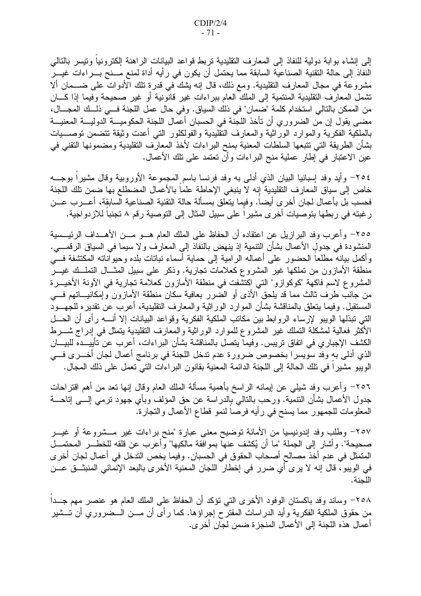إلى إنشاء بوابة دولية للنفاذ إلى المعارف النقليدية نربط قواعد البيانات الراهنة إلكترونياً ونيسر بالنالي النفاذ إلى حالة التقنية الصناعية السابقة مما يحتمل أن يكون في رأيه أداة لمنع مــنح بـــراءات غيـــر مشروعة في مجال المعارف النقليدية. ومع ذلك، قال إنه يشك في قدرة تلك الأدوات على ضـــمان ألا تشمل المعارف النقليدية المنتمية إلى الملك العام ببر اءات غير قانونية أو غير صحيحة وفيما إذا كـــان من الممكن بالتالي استخدام كلمة "ضمان" في ذلك السياق. وفي حال عمل اللجنة فـــي ذلــك المجـــال، مضبي يقول إن من الضرور ي أن تأخذ اللجنة في الحسبان أعمال اللجنة الحكوميـــة الدوليـــة المعنيـــة بالملكية الفكرية والموارد الوراثية والمعارف النقليدية والفولكلور التبي أعدت وثيقة نتضمن نوصـــيات بشأن الطريقة التي نتبعها السلطات المعنية بمنح البراءات لأخذ المعارف النقليدية ومضمونها النقنى في عين الاعتبار في إطار عملية منح البراءات وأن نعتمد على نلك الأعمال.

٢٥٤– وأيد وفد إسبانيا البيان الذي أدلى به وفد فرنسا باسم المجموعة الأوروبية وقال مشيراً بوجـــه خاص إلى سياق المعارف التقليدية إنه لا ينبغي الإحاطة علما بالأعمال المضطلع بها ضمن نلك اللجنة فحسب بل بأعمال لجان أخرى أيضا. وفيما يتعلق بمسألة حالة التقنية الصناعية السابقة، أعـــرب عـــن ر غبته في ربطها بتوصيات أخرى مشيراً على سبيل المثال إلى التوصية رقم ٨ تجنباً للازدواجية.

٢٥٥– وأعرب وفد البرازيل عن اعتقاده أن الحفاظ على الملك العام هـــو مـــن الأهـــداف الرئيـــسية المنشودة في جدولِ الأعمال بشأن التنمية إذ ينهض بالنفاذ إلى المعارف ولا سيما في السياق الرقمـــي. وأكمل بيانهٌ مطلعاً الحضور على أعماله الرامية إلى حماية أسماء نباتات بلده وحيواناته المكتشفة فـــي منطقة الأمازون من تملكها غير المشروع كعلامات تجارية. وذكر على سبيل المثـــال التملـــك غيـــر المشروع لاسم فاكهة "كوكوازو" التبي اكتشفت في منطقة الأمازون كعلامة تجارية في الآونة الأخيـــرة من جانب طرف ثالث مما قد يلحق الأذى أو الضرر بعافية سكان منطقة الأمازون وإمكانيـــاتهم فــــى المستقبل. وفيما يتعلق بالمناقشة بشأن الموار د الور اثية والمعار ف التقليدية، أعر ب عن تقدير ه للجهـــو د التبي نبذلها الويبو لإرساء الروابط بين مكاتب الملكية الفكرية وقواعد البيانات إلا أنــــه رأى أن الحـــل الأكثر فعالية لمشكلة النملك غير المشروع للموارد الوراثية والمعارف التقليدية يتمثل في إدراج شـــرط الكشف الإجبار ي في اتفاق تريبس. وفيما يتصل بالمناقشة بشأن البر اءات، أعرب عن تأييـــده للبيـــان الذي أدلى به وفد سويسرا بخصوص ضرورة عدم ندخل اللجنة في برنامج أعمال لجان أخـــرى فـــي الويبو مشيرًا في تلك الحالة إلى اللجنة الدائمة المعنية بقانون البراءات التي تعمل على ذلك المجال.

٢٥٦– وأعرب وفد شيلي عن إيمانه الراسخ بأهمية مسألة الملك العام وقال إنها نعد من أهم اقتراحات جدول الأعمال بشأن النتمية. ورحب بالنالـي بِالدراسة عن حق المؤلف وبأي جهود نرمـي إلــــي إنـاحــــة المعلومات للجمهور مما يسنح في رأيه فرصا لنمو قطاع الأعمال والتجارة.

٢٥٧– وطلب وفد إندونيسيا من الأمانة توضيح معنى عبارة "منح براءات غير مـــشروعة أو غيـــر صحيحة". وأشار إلى الجملة "ما أن يُكشف عنها بموافقة مالكيها" وأعرب عن قلقه للخطـــر المحتمـــل المتمثل في عدم أخذ مصالح أصحاب الحقوق في الحسبان. وفيما يخص التدخل في أعمال لجان أخر ي في الويبو، قال إنه لا يرى أي ضرر في إخطار اللجان المعنية الأخرى بالبعد الإنمائي المنبثــق عـــن اللجنة.

٢٥٨– وساند وفد باكستان الوفود الأخرى التي تؤكد أن الحفاظ على الملك العام هو عنصر مهم جــداً من حقوق الملكية الفكرية وأيد الدراسات المقترح إجراؤها. كما رأى أن مـــن الـــضروري أن تـــشير أعمال هذه اللجنة إلى الأعمال المنجزة ضمن لجان أخر ي.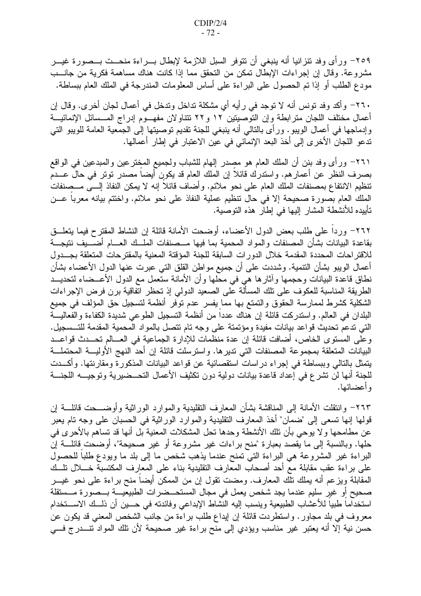٢٥٩- ورأى وفد نتزانيا أنه ينبغي أن نتوفر السبل اللازمة لإبطال بسراءة منحست بسصورة غيسر مشروعة. وقال إن إجراءات الإبطال تمكن من التحقق مما إذا كانت هناك مساهمة فكرية من جانـــب مودع الطلب أو إذا تم الحصول على البراءة على أساس المعلومات المندرجة في الملك العام ببساطة.

٢٦٠- وأكد وفد تونس أنه لا توجد في رأيه أي مشكلة تداخل وتدخل في أعمال لجان أخرى. وقال إن أعمال مختلف اللجان متر ابطة وإن التوصيتين ١٢ و٢٢ نتناولان مفهـــوم إدراج المـــسائل الإنمائيـــة وإدماجها في أعمال الويبو . ورأى بالتالي أنه ينبغي للجنة نقديم توصيتها إلى الجمعية العامة للويبو التي تدعو اللجان الأخر ي إلى أخذ البعد الإنمائي في عين الاعتبار في إطار أعمالها.

٢٦١– ورأى وفد بنن أن الملك العام هو مصدر إلهام للشباب ولجميع المخِترعين والمبدعين في الواقع بصرف النظر عن أعمارهم. واستدرك قائلاً إن الملك العام قد يكونِ أيضاً مصدر نوتر في حال عـــدم تنظيم الانتفاع بمصنفات الملك العام على نحو ملائم. وأضاف قائلا إنه لا يمكن النفاذ إلـــي مـــصنفات الملك العام بصورة صحيحة إلا في حال نتظيم عملية النفاذ على نحو ملائم. واختتم بيانه معربا عـــن تأييده للأنشطة المشار إليها في إطار هذه التوصية.

٢٦٢– ورداً على طلب بعض الدول الأعضاء، أوضحت الأمانة قائلة إن النشاط المقترح فيما يتعلَّــق بقاعدة البيانات بشأن المصنفات والمواد المحمية بما فيها مــصنفات الملــك العـــام أضــــيف نتيجـــة للاقتر احات المحددة المقدمة خلال الدورات السابقة للجنة المؤقتة المعنية بالمقترحات المتعلقة بجسدول أعمال الويبو بشأن النتمية. وشددت على أن جميع مواطن القلق التي عبرت عنها الدول الأعضاء بشأن نطاق قاعدة البيانات وحجمها وأثارها هي في محلها وأن الأمانة ستعمل مع الدول الأعــضاء لتحديــد الطرِّيقة المناسبة للعكوف على نلك المسألَّة على الصعيد الدولي إذ تحظر اتَّفاقية برن فرض الإجراءات الشكلية كشرط لممارسة الحقوق والتمتع بها مما يفسر عدم توفر أنظمة لتسجيل حق المؤلف في جميع البلدان في العالم. واستدركت قائلة إن هناك عدداً من أنظمة التسجيل الطوعي شديدة الكفاءة والفعاليـــة التي ندعم نحديث قواعد بيانات مفيدة ومؤتمتة على وجه نام نتصل بالمواد المحمية المقدمة للتــسجيل. وعلى المستوى الخاص، أضافت قائلة إن عدة منظمات للإدارة الجماعية في العـــالم تحـــدث قواعـــد البيانات المتعلقة بمجموعة المصنفات التي تدير ها. واسترسلت قائلة إن أحد النهج الأوليــــة المحتملــــة يتمثَّل بالتالي وببساطة في إجراء دراسات استقصائية عن قواعد البيانات المذكورة ومقارنتها. وأكـــدت للجنة أنها لن تشرع في إعداد قاعدة بيانات دولية دون نكثيف الأعمال التحــضيرية وتوجيـــه اللجنـــة و أعضائها.

٢٦٣– وانتقلت الأمانة إلى المناقشة بشأن المعارف التقليدية والموارد الوراثية وأوضـــحت قائلـــة إن قولها إنها تسعى إلى "ضمان" أخذ المعارف النقليدية والموارد الوراثية في الحسبان على وجه نام يعبر عن مطامحها ولا يوحى بأن تلك الأنشطة وحدها تحل المشكلات المعنية بل أنها قد تساهم بالأحرى في حلها. وبالنسبة إلى ما يقصد بعبارة "منح براءات غير مشروعة أو غير صحيحة"، أوضحت قائلــــة إن البراءة غير المشروعة هي البراءة التي تمنح عندما يذهب شخص ما إلى بلد ما ويودع طلبا للحصول على براءة عقب مقابلة مع أحد أصحاب المعارف التقليدية بناء على المعارف المكتسبة خــــلال نلـــك المقابلة ويزعم أنه يملك نلك المعارف. ومضت نقول إن من الممكن أيضا منح براءة على نحو غيـــر صحيح أو غير سليم عندما يجد شخص يعمل في مجال المستحــضرات الطبيعيــــة بـــصورة مـــستقلة استخداماً طبياً للأعشاب الطبيعية وينسب إليه النشاط الإبداعي وفائدته في حـــين أن ذلـــك الاســـتخدام معروف في بلد مجاور . واستطردت قائلة إن إيداع طلب براءة من جانب الشخص المعنى قد يكون عن حسن نية إلّا أنه يعتبر غير مناسب ويؤدي إلى منّح براءة غير صحيحة لأن تلك المواد تنـــدرج فـــي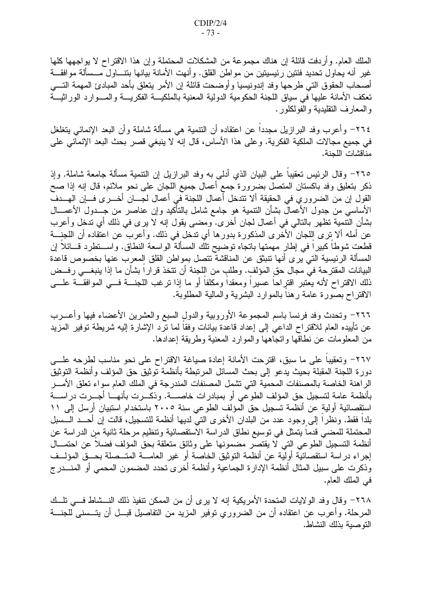الملك العام. وأردفت قائلة إن هناك مجموعة من المشكلات المحتملة وإن هذا الاقتراح لا يواجهها كلها غير أنه يحاول تحديد فئتين رئيسيتين من مواطن القلق. وأنهت الأمانة بيانها بتتـــاول مـــسألة موافقـــة أصحاب الحقوق التي طرحها وفد إندونيسيا وأوضحت قائلة إن الأمر يتعلق بأحد المبادئ المهمة التسى تعكف الأمانة عليها في سياق اللجنة الحكومية الدولية المعنية بالملكيـــة الفكريــــة والمــــوارد الوراثيـــة والمعارف النقليدية والفولكلور.

٢٦٤– وأعرب وفد البرازيل مجدداً عن اعتقاده أن النتمية هي مسألة شاملة وأن البعد الإنمائي يتغلغل في جميع مجالات الملكية الفكرية. وعلى هذا الأساس، قال إنه لا ينبغي قصر بحث البعد الإنمائي على مناقشات اللحنة.

٢٦٥– وقال الرئيس تعقيباً على البيان الذي أدلمي به وفد البرازيل إن التنمية مسألة جامعة شاملة. وإذ ذكر بتعليق وفد باكستان المتصل بضرورة جمع أعمال جميع اللجان علىي نحو ملائم، قال إنه إذا صح القول إن من الضروري في الحقيقة ألا تتدخل أعمال اللجنة في أعمال لجـــان أخـــرى فـــإن المهـــدف الأساسي من جدول الأعمالُ بشأن النتمية هو جامع شامل بالتأكيد وإن عناصر من جـــدول الأعمـــال بشأن التنمية تظهر بالتالي في أعمال لجان أخرى. ومضى يقول إنه لا يرى في ذلك أي تدخل وأعرب عن أمله ألا نرى اللجان الأخرى المذكورة بدورها أي ندخل في ذلك. وأعرب عن اعتقاده أن اللجنــــة قطعت شوطاً كبيراً في إطار ٍ مهمتها باتجاه توضيح تلك المسألة الواسعة النطاق. واســـتطرد قـــائلاً إن المسألة الرئيسية التي يرى أنها نتبثق عن المناقشة نتصل بمواطن القلق المعرب عنها بخصوص قاعدة البيانات المقترحة في مجال حق المؤلف. وطلب من اللجنة أن تتخذ قر ار اُ بشأن ما إذا ينبغـــي رفــض ذلك الاقتراح لأنه يعتبر اقتراحا عسيرا ومعقدا ومكلفا أو ما إذا ترغب اللجنسة فسى الموافقسة علسى الاقتراح بصورة عامة رهنا بالموارد البشرية والمالية المطلوبة.

٢٦٦– وتحدث وفد فرنسا باسم المجموعة الأوروبية والدول السبع والعشرين الأعضاء فيها وأعـــرب عن نأييده العام للاقتراح الداعي إلى إعداد قاعدة بيانات وفقا لما نرد الإشارة إليه شريطة توفير المزيد من المعلومات عن نطاقها وانجاهها والموارد المعنية وطريقة إعدادها.

٢٦٧– وتعقيبا على ما سبق، اقترحت الأمانة إعادة صياغة الاقتراح على نحو مناسب لطرحه علـــي دورة اللجنة المقبلة بحيث يدعو إلى بحث المسائل المرتبطة بأنظمة توثيق حق المؤلف وأنظمة التوثيق الراهنة الخاصة بالمصنفات المحمية التي نشمل المصنفات المندرجة في الملك العام سواء تعلق الأمـــر بأنظمة عامة لتسجيل حق المؤلف الطوعي أو بمبادرات خاصــــة. وذكـــرت بأنهـــا أجـــرت دراســــة استقصائية أولية عن أنظمة تسجيل حق المؤلف الطوعي سنة ٢٠٠٥ باستخدام استبيان أرسل إلى ١١ بلداً فقط. ونظراً إلى وجود عدد من البلدان الأخرى التي لديها أنظمة للتسجيل، قالت إن أحـــد الــــسبل المحتملة للمضبي قدماً يتمثِّل في نوسيع نطاق الدراسة الاستقصائية وتنظيم مرحلة ثانية من الدراسة عن أنظمة التسجيل الطوعي التي لا يقتصر مضمونها على وثائق متعلقة بحق المؤلف فضلا عن احتمـــال إجراء دراسة استقصائية أولية عن أنظمة التوثيق الخاصة أو غير العامــــة المتـــصلة بحـــق المؤلـــف وذكرت على سبيل المثال أنظمة الإدارة الجماعية وأنظمة أخرى تحدد المضمون المحمى أو المنـــدرج في الملك العام.

٢٦٨– وقال وفد الولايات المتحدة الأمريكية إنه لا يرى أن من الممكن تتفيذ ذلك النـــشاط فـــي تلــك المرحلة. وأعرب عن اعتقاده أن من الضروري توفير المزيد من التفاصيل قبـــل أن يتـــسنى للـجنــــة التوصية بذلك النشاط.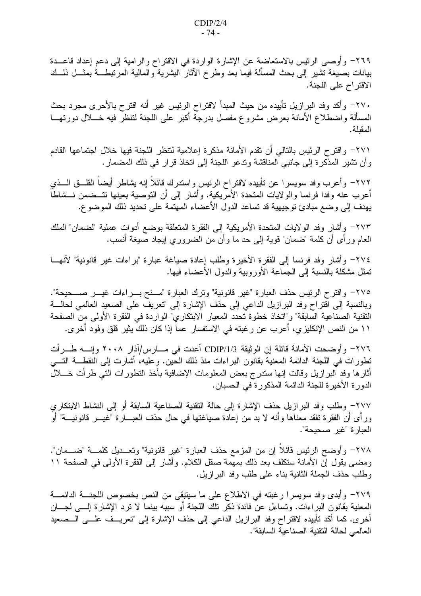٢٦٩– وأوصبي الرئيس بالاستعاضة عن الإشارة الواردة في الاقتراح والرامية إلى دعم إعداد قاعـــدة بيانات بصيغة تشير إلىي بحث المسألة فيما بعد وطرح الأثار البشرية والمالية المرتبطـــة بمثـــل ذلـــك الاقتراح على اللجنة.

٢٧٠– وأكد وفد البرازيل تأييده من حيث المبدأ لاقتراح الرئيس غير أنه اقترح بالأحرى مجرد بحث المسألة واضطلاع الأمانة بعرض مشروع مفصل بدرجة أكبر على اللجنة لنتظر فيه خـــلال دورتهـــا المقلة.

٢٧١– واقترح الرئيس بالتالي أن تقدم الأمانة مذكرة إعلامية لتنظر اللجنة فيها خلال اجتماعها القادم وأن نشير المذكرة إلى جانبي المناقشة وندعو اللجنة إلى انخاذ قرار في ذلك المضمار .

٢٧٢ - و أعر ب و فد سويسر ١ عن تأييده لاقتر اح الر ئيس و استدر ك قائلاً إنه يشاطر أيضناً القلـــق الـــذي أعرب عنه وفدا فرنسا والولايات المتحدة الأمريكية. وأشار إلى أن التوصية بعينها نتـــضمن نـــشاطاً يهدف إلى وضع مبادئ توجيهية قد تساعد الدول الأعضاء المهتمة على تحديد ذلك الموضوع.

٢٧٣– وأشار وفد الولايات المتحدة الأمريكية إلى الفقرة المتعلقة بوضع أدوات عملية "لضمان" الملك العام ورأى أن كلمة "ضمان" قوية إلى حد ما وأن من الضروري إيجاد صيغة أنسب.

٢٧٤ - وأشار وفد فرنسا إلى الفقر ة الأخير ة وطلب إعادة صبياغة عبار ة "بر اءات غير قانونية" لأنهــا تمثِّل مشكلة بالنسبة إلى الجماعة الأوروبية والدول الأعضاء فيها.

٢٧٥– واقترح الرئيس حذف العبارة "غير قانونية" وترك العبارة "مسنح بسراءات غيس صسحيحة". وبالنسبة إلى اقتراح وفد البرازيل الداعبي إلى حذف الإشارة إلى "تعريف على الصعيد العالمي لحالـــة التقنية الصناعية السابقة" و"اتخاذ خطوة تحدد المعيار الابتكاري" الواردة في الفقرة الأولى من الصفحة ١١ من النص الإنكليزي، أعرب عن رغبته في الاستفسار عما إذا كان ذلك يثير قلق وفود أخر ي.

٢٧٦– وأوضحت الأمانة قائلة إن الوثيقة CDIP/1/3 أعدت في مـــارس/آذار ٢٠٠٨ وإنــــه طــــرأت تطورات في اللجنة الدائمة المعنية بقانون البراءات منذ ذلك الحين. وعليه، أشارت إلى النقطـــة التــــي أثارها وفد البرازيل وقالت إنها ستدرج بعض المعلومات الإضافية بأخذ النطورات التبى طرأت خــــلل الدور ة الأخير ة للجنة الدائمة المذكور ة في الحسبان.

٢٧٧– وطلب وفد البر ازيل حذف الإشارة إلى حالة التقنية الصناعية السابقة أو إلى النشاط الابتكار ي ور أي أن الفقرة تفقد معناها وأنه لا بد من إعادة صياغتها في حال حذف العبـــارة "غيـــر قانونيـــة" أو العبار ة "غير صحيحة".

٢٧٨– وأوضح الرئيس قائلا إن من المزمع حذف العبارة "غير قانونية" وتعـــديل كلمـــة "ضـــمان". ومضىي يقول إن الأمانة ستكلف بعد ذلك بمهمة صقل الكلام. وأشار إلى الفقرة الأولى في الصفحة ١١ وطلب حذف الجملة الثانية بناء على طلب وفد البرازيل.

٢٧٩– وأبدى وفد سويسرا رغبته في الاطلاع على ما سيتبقى من النص بخصوص اللجنــــة الدائمــــة المعنية بقانون البراءات. ونساءل عنَّ فائدة ذكر نلك اللجنة أو سببه بينما لا نرد الإشارة إلــــي لجـــان أخرى. كما أكد تأييده لاقتراح وفد البرازيل الداعبي إلى حذف الإشارة إلى "تعريــف علـــي الـــصعيد العالمي لحالة التقنية الصناعية السابقة".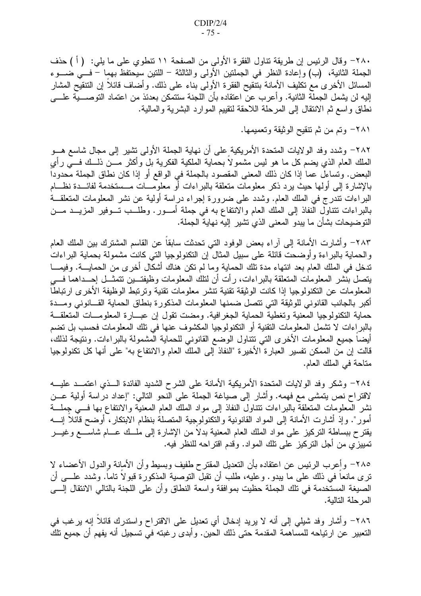٢٨٠- وقال الرئيس إن طريقة نتاول الفقرة الأولى من الصفحة ١١ نتطوي على ما يلي: ( أ ) حذف الجملة الثانية، (ب) وإعادة النظر في الجملتين الأولى والثالثة – اللتين سيحتفظ بهما – فـــي ضـــوء المسائل الأخرى مع تكليف الأمانة بتتقيح الفقرة الأولى بناء على ذلك. وأضاف قائلا إن التتقيح المشار إليه لن يشمل الجملة الثانية. وأعرب عن اعتقاده بأن اللجنة ستتمكن بعدئذ من اعتماد التوصــــية علــــي نطاق واسع ثم الانتقال إلى المرحلة اللاحقة لتقييم الموارد البشرية والمالية.

## ٢٨١– وتم من ثم نتقيح الوثيقة وتعميمها.

٢٨٢– وشدد وفد الولايات المتحدة الأمريكية على أن نهاية الجملة الأولى نتثبير إلى مجال شاسع هـــو الملك العام الذي يضم كل ما هو ليس مشمولا بحماية الملكية الفكرية بل وأكثر مـــن ذلـــك فـــي رأي البعض. ونساءل عما إذا كان ذلك المعنى المقصود بالجملة في الواقع أو إذا كان نطاق الجملة محدودا بالإشارة إلى أولها حيث يرد ذكر معلومات متعلقة بالبراءات أو معلومـــات مـــستخدمة لفائـــدة نظـــام البراءات نتدرج في الملك العام. وشدد على ضرورة إجراء دراسة أولية عن نشر المعلومات المتعلقــة بالبراءات نتتاول النفاذ إلى الملك العام والانتفاع به في جملة أمــور . وطلــب تــوفير المزيـــد مـــن التوضيحات بشأن ما يبدو المعنى الذي تشير إليه نهاية الجملة.

٢٨٣– وأشارت الأمانة إلى آراء بعض الوفود التي نحدثت سابقاً عن القاسم المشترك بين الملك العام والحماية بالبراءة وأوضحت قائلة على سبيل المثال إن النكنولوجيا التي كانت مشمولة بحماية البراءات تدخل في الملك العام بعد انتهاء مدة تلك الحماية وما لم تكن هناك أشكال أخر ي من الحمايــــة. وفيمــــا يتصل بنَّشر المعلومات المتعلقة بالبراءات، رأت أن لنلك المعلومات وظيفتـــين نتمثـــل إحــــداهما فــــي المعلومات عن التكنولوجيا إذا كانت الوثيقة تقنية تتشر معلومات تقنية وترتبط الوظيفة الأخرى ارتباطاً أكبر بالجانب القانوني للوثيقة التي تتصل ضمنها المعلومات المذكورة بنطاق الحماية القــانوني ومــدة حماية التكنولوجيا المعنية وتغطية الحماية الجغرافية. ومضت نقول إن عبـــارة المعلومـــات المتعلقـــة بالبراءات لا نشمل المعلومات النقنية أو النكنولوجيا المكشوف عنها في نلك المعلومات فحسب بل نضم أيضا جميع المعلومات الأخرى التبي نتناول الوضع القانوني للحماية المشمولة بالبراءات. ونتيجة لذلك، قالت إن من الممكن تفسير العبارة الأخيرة "النفاذ إلى الملك العام والانتفاع به" على أنها كل تكنولوجيا متاحة في الملك العام.

٢٨٤– وشكر وفد الولايات المتحدة الأمريكية الأمانة على الشرح الشديد الفائدة الـــذي اعتمـــد عليــــه لاقتراح نص يتمشى مع فهمه. وأشار إلى صياغة الجملة على النحو التالي: "إعداد دراسة أولية عـــن نشر المعلومات المتعلقة بالبراءات نتتاول النفاذ إلى مواد الملك العام المعنية والانتفاع بها فسى جملة أمور". وإذ أشارت الأمانة إلى المواد القانونية والنكنولوجية المتصلة بنظام الابتكار، أوضح قائلا إنــــه يقترح ببساطة النركيز على مواد الملك العام المعنية بدلا من الإشارة إلى ملَّــك عـــام شاســــع وغيــــر تمييزي من أجل النركيز على نلك المواد. وقدم اقتراحه للنظر فيه.

٢٨٥– وأعرب الرئيس عن اعتقاده بأن النعديل المقترح طفيف وبسيط وأن الأمانة والدول الأعضاء لا نزي مانعاً في ذلك علي ما يبدو. وعليه، طلب أن نقبل التوصية المذكورة قبولاً ناماً. وشدد علـــي أن الصيغة المستخدمة في نلك الجملة حظيت بموافقة واسعة النطاق وأن على اللجنة بالتالي الانتقال إلـــي المر حلة التالية.

٢٨٦– وأشار وفد شيلي إلى أنه لا يريد إدخال أي تعديل على الاقتراح واستدرك قائلا إنه يرغب في التعبير عن ارتياحه للمساهمة المقدمة حتى ذلك الحين. وأبدى ر غبته في تسجيل أنه يفهم أن جميع تلك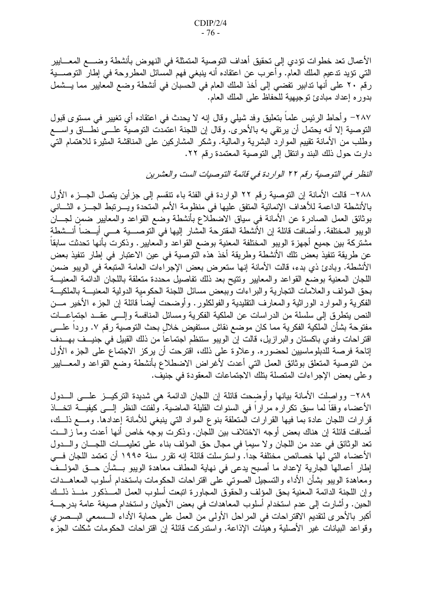الأعمال تعد خطوات تؤدي إلى تحقيق أهداف التوصية المتمثلة في النهوض بأنشطة وضــــع المعــــايير التي نؤيد تدعيم الملك العام. وأعرب عن اعتقاده أنه ينبغي فهم المسائل المطروحة في إطار التوصــــية رقم ٢٠ على أنها تدابير تفضي إلى أخذ الملك العام في الحسبان في أنشطة وضع المعايير مما يـــشمل بدور ه إعداد مبادئ نو جيهية للحفاظ على الملك العام.

٢٨٧– وأحاط الرئيس علماً بتعليق وفد شيلي وقال إنه لا يحدث في اعتقاده أي تغيير في مستوى قبول النوصية إلا أنه يحتمل أن يرتقي به بالأحرى. وقال إن اللجنة اعتمدت التوصية علـــي نطـــاق واســــع وطلب من الأمانة نقييم الموارد البشرية والمالية. وشكر المشاركين على المناقشة المثيرة للاهتمام التبي دارت حول ذلك البند وانتقل إلى التوصية المعتمدة رقم ٢٢.

النظر في التوصية رقم ٢٢ الواردة في قائمة التوصيات الست والعشرين

٢٨٨– قالت الأمانة إن التوصية رقم ٢٢ الواردة في الفئة باء تتقسم إلى جز أين يتصل الجـــز ء الأول بالأنشطة الداعمة للأهداف الإنمائية المتفق عليها في منظومة الأمم المتحدة ويـــرتبط الجـــزء الثـــانـي بوثائق العمل الصادرة عن الأمانة في سياق الاضطلاع بأنشطة وضع القواعد والمعايير ضمن لجـــان الويبو المختلفة. وأضافت قائلة إن الأُنشطة المقترحة المشار إليها في التوصــــية هـــي أيـــضاً أنـــشطة مشتركة بين جميع أجهزة الويبو المختلفة المعنية بوضع القواعد والمعايير وذكرت بأنها تحدثت سابقا عن طريقة تتفيذ بعض تلك الأنشطة وطريقة أخذ هذه التوصية في عين الاعتبار في إطار تتفيذ بعض الأنشطة. وبادئ ذي بدء، قالت الأمانة إنها ستعرض بعض الإجراءات العامة المتبعة في الويبو ضمن اللجان المعنية بوضع القواعد والمعابير ونتيح بعد ذلك نفاصيل محددة متعلقة باللجان الدائمة المعنيـــة بحق المؤلف والعلامات التجارية والبراءات وببعض مسائل اللجنة الحكومية الدولية المعنيـــة بالملكيـــة الفكرية والموارد الوراثية والمعارف النقليدية والفولكلور . وأوضحت أيضاً قائلة إن الجزء الأخير مـــن النص يتطرق إلى سلسلة من الدراسات عن الملكية الفكرية ومسائل المنافسة وإلــي عقــد اجتماعـــات مفتوحة بشأن الملكية الفكرية مما كان موضع نقاش مستفيض خلالٍ بحث التوصية رقم ٧. وردا علــــي اقتراحات وفدي باكستان والبرازيل، قالت إن الويبو ستنظم اجتماعا من ذلك القبيل في جنيــف بهـــدف إتاحة فرصة للدبلوماسيين لحضوره. وعلاوة على ذلك، اقترحت أن يركز الاجتماع على الجزء الأول من النوصية المتعلق بوثائق العمل التي أعدت لأغراض الاضطلاع بأنشطة وضع القواعد والمعـــابير وعلى بعض الإجراءات المتصلة بتلك الاجتماعات المعقودة في جنيف.

٢٨٩– وواصلت الأمانة بيانها وأوضحت قائلة إن اللجان الدائمة هي شديدة التركيــز علـــي الـــدول الأعضاء وفقًا لما سبق نكراره مرارًا في السنوات القليلة الماضية. ولفتت النظر إلـــي كيفيـــة اتخـــاذ قرارات اللجان عادة بما فيها القرارات المتعلقة بنوع المواد التبي ينبغي للأمانة إعدادها. ومـــع ذلـــك، أضافت قائلة إن هناك بعض أوجه الاختلاف بين اللجان. وذكرت بوجه خاص أنها أعدت وما زالــت تعد الوثائق في عدد من اللجان ولا سيما في مجال حق المؤلف بناء على تعليمـــات اللجـــان والــــدول الأعضاء التي لها خصائص مختلفة جداً. واسترسلت قائلة إنه تقرر سنة ١٩٩٥ أن تعتمد اللجان فـــي إطار أعمالها الجارية لإعداد ما أصبح يدعى في نهاية المطاف معاهدة الويبو بـــشأن حـــق المؤلـــف ومعاهدة الويبو بشأن الأداء والتسجيل الصوتبي علىي اقتراحات الحكومات باستخدام أسلوب المعاهـــدات وإن اللجنة الدائمة المعنية بحق المؤلف والحقوق المجاورة اتبعت أسلوب العمل المسذكور منسذ ذلسك الحين. وأشارت إلى عدم استخدام أسلوب المعاهدات في بعض الأحيان واستخدام صيغة عامة بدرجـــة أكبر بالأحرى لنقديم الاقتراحات في المراحل الأولى من العمل على حماية الأداء الـــسمعي البـــصري وقواعد البيانات غير الأصلية وهيئات الإذاعة. واستدركت قائلة إن اقتراحات الحكومات شكلت الجزء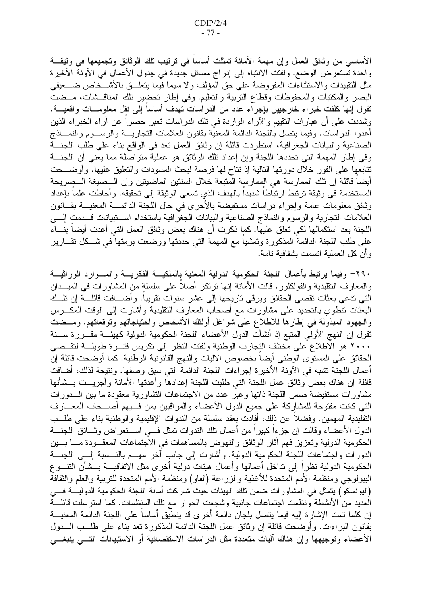الأساسي من وثائق العمل وإن مهمة الأمانة تمثلت أساساً في نرتيب نلك الوثائق وتجميعها في وثيقـــة واحدة تستعرض الوضع. ولفتت الانتباه إلى إدراج مسائل جديدة في جدول الأعمال في الأونة الأخيرة مثل التقييدات والاستثناءات المفروضة على حق المؤلف ولا سيما فيما يتعلـــق بالأشـــخاص ضــــعيفي البصر والمكتبات والمحفوظات وقطاع النزبية والتعليم. وفي إطار نحضير نلك المناقـــشات، مـــضت نقول إنها كلفت خبراء خارجيين بإجراء عدد من الدراسات تهدف أساسا إلى نقل معلومـــات واقعيـــة. وشددت على أن عبارات النقيبم والأراء الواردة في تلك الدراسات تعبر حصرا عن أراء الخبراء الذين أعدوا الدراسات. وفيما يتصل باللجنة الدائمة المعنية بقانون العلامات النجاريــــة والرســـوم والنمــــاذج الصناعية والبيانات الجغرافية، استطردت قائلة إن وثائق العمل تعد في الواقع بناء على طلب اللجنـــة وفي إطار المهمة التي تحددها اللجنة وإن إعداد نلك الوثائق هو عملية متواصلة مما يعني أن اللجنـــة تتابعها على الفور خلال دورتها النالية إذ نتاح لها فرصة لبحث المسودات والنعليق عليها. وأوضـــحت أيضا قائلة إن تلك الممارسة هي الممارسة المتبعة خلال السنتين الماضيتين وإن الـــصيغة الـــصريحة المستخدمة في وثيقة ترتبط ارتباطا شديدا بالهدف الذي تسعى الوثيقة إلى تحقيقه. وأحاطت علما بإعداد وثائق معلومات عامة وإجراء دراسات مستفيضة بالأحرى في حال اللجنة الدائمـــة المعنيـــة بقـــانون العلامات النجارية والرسوم والنماذج الصناعية والبيانات الجغرافية باستخدام استنبيانات قسدمت إلسي اللجنة بعد استكمالها لكي تعلق عليها. كماٍ ذكرت أن هناك بعض وثائق العمل التي أعدت أيضا بنـــاء على طلب اللجنة الدائمة المذكورة وتمشيا مع المهمة التي حددتها ووضعت برمتها في شــكل تقـــارير و أن كل العملية اتسمت بشفافية تامة.

٢٩٠– وفيما يرتبط بأعمال اللجنة الحكومية الدولية المعنية بالملكيـــة الفكريــــة والمـــوارد الوراثيـــة والمعارف النقليدية والفولكلور، قالت الأمانة إنها نرتكز أصلاً على سلسلة من المشاورات في الميـــدان التي ندعى بعثات نقصـي الـحقائق ويرقى تاريخها إلى عشر سنوات نقريباً. وأضــــافت قائلــــة إن نلـــك البعثات نتطوى بالتحديد على مشاورات مع أصحاب المعارف التقليدية وأشارت إلىي الوقت المكـــرس والجهود المبذولة في إطارها للاطلاع على شواغل أولئك الأشخاص واحتياجاتهم وتوقعاتهم. ومـــضت تقول إن النهج الأولى المتبع إذ أنشأت الدول الأعضاء اللجنة الحكومية الدولية كهيئـــة مقـــررة ســـنة ٢٠٠٠ هو الاطلاع على مختلف التجارب الوطنية ولفتت النظر إلى نكريس فتسرة طويلسة لتقسصي الحقائق على المستوى الوطني أيضا بخصوص الآليات والنهج القانونية الوطنية. كما أوضحت قائلة إن أعمال اللجنة تشبه في الآونة الأخيرة إجراءات اللجنة الدائمة التي سبق وصفها. ونتيجة لذلك، أضافت قائلة إن هناك بعض وثائق عمل اللجنة التبي طلبت اللجنة إعدادها وأعدتها الأمانة وأجريــت بـــشأنها مشاورات مستفيضة ضمن اللجنة ذاتها وعبر عدد من الاجتماعات التشاورية معقودة ما بين الـــدورات التبي كانت مفتوحة للمشاركة على جميع الدول الأعضاء والمراقبين بمن فسيهم أصسحاب المعسارف التقليدية المهمين. وفضلاً عن ذلك، أفادت بعقد سلسلة من الندوات الإقليمية والوطنية بناء على طلـــب الدول الأعضاء وقالت إن جزءا كبيرا من أعمال نلك الندوات نمثل فسي اســـنعر اض ونسـائق اللجنــــة الحكومية الدولية وتعزيز فهم أثار الوثائق والنهوض بالمساهمات في الاجتماعات المعقــودة مـــا بـــين الدورات واجتماعات اللجنة الحكومية الدولية. وأشارت إلى جانب آخر مهـــم بالنـــسبة إلـــي اللجنــــة الحكومية الدولية نظراً إلى نداخل أعمالها وأعمال هيئات دولية أخرى مثل الاتفاقيـــة بـــشأن النتــــوع البيولوجي ومنظمة الأمم المتحدة للأغذية والزراعة (الفاو) ومنظمة الأمم المتحدة للتربية والعلم والثقافة (اليونسكو ) يتمثِّل في المشاور ات ضمن نلك الهيئات حيث شاركت أمانة اللجنة الحكومية الدوليــــة فــــي العديد من الأنشطة ونظمت اجتماعات جانبية وشجعت الحوار مع نلك المنظمات. كما استرسلت قائلـــة إن كلما نمت الإشار ة إليه فيما يتصل بلجان دائمة أخرى قد ينطبق أساسا على اللجنة الدائمة المعنيـــة بقانون البراءات. وأوضحت قائلة إن وثائق عمل اللجنة الدائمة المذكورة تعد بناء على طلــب الـــدول الأعضاء ونوجيهها وإن هناك أليات منعددة مثل الدراسات الاستقصائية أو الاستبيانات التسى ينبغسى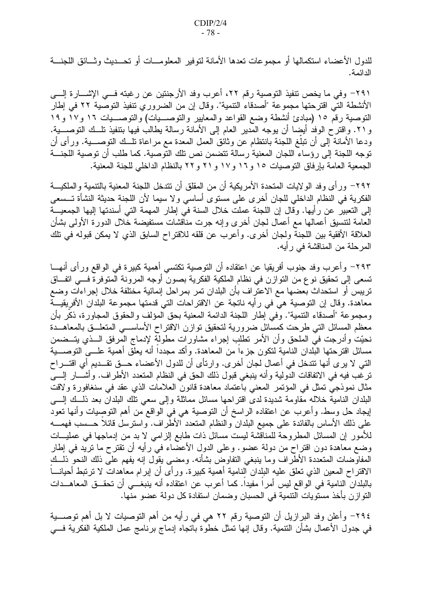للدول الأعضاء استكمالها أو مجموعات تعدها الأمانة لتوفير المعلومـــات أو تحـــديث وثـــائق اللجنــــة الدائمة.

٢٩١– وفي ما يخص تنفيذ التوصية رقم ٢٢، أعرب وفد الأرجنتين عن رغبته فــي الإشـــارة إلـــي الأنشطة التي اقترحتها مجموعة "أصدقاء التنمية". وقال إن من الضروري تتفيذ التوصية ٢٢ في إطار النَّوصية رقم ١٥ (مبادئ أنشطة وضع القواعد والمعايير والتوصـــيات) والتوصـــيات ١٢ و١٧ و ١٩ و ٢١. واقترح الوفد أيضا أن يوجه المدير العام إلى الأمانة رسالة يطالب فيها بتنفيذ تلَّــك التوصـــية. ودعا الأمانة إلى أن تبلغ اللجنة بانتظام عن وثائق العمل المعدة مع مراعاة نلـــك التوصــــية. ورأى أن توجه اللجنة إلى رؤساء اللجان المعنية رسالة تتضمن نص تلك التوصية. كما طلب أن توصية اللجنـــة الجمعية العامة بإر فاق التوصيات ١٥ و ١٦ و ١٧ و ٢١ و ٢٢ بالنظام الداخلي للجنة المعنية.

٢٩٢– ور أي وفد الولايات المتحدة الأمريكية أن من المقلق أن تتدخل اللجنة المعنية بالتتمية والملكيـــة الفكرية في النظام الداخلي للجان أخرى على مستوى أساسي ولا سيما لأن اللجنة حديثة النشأة تـــسعى إلى التعبير عن رأيها. وقال إن اللجنة عملت خلال السنة في إطار المهمة التي أسندتها إليها الجمعيـــة العامة لتتسيق أعمالها مع أعمال لجان أخرى وإنه جرت مناّقشات مستفيضة خُلال الدورة الأولى بشأن العلاقة الأفقية بين اللجنة ولجان أخرى. وأعرب عن قلقه للاقتراح السابق الذي لا يمكن قبوله في تلك المر حلة من المناقشة في ر أيه.

٢٩٣– وأعرب وفد جنوب أفريقيا عن اعتقاده أن النوصية تكتسي أهمية كبيرة في الواقع ورأى أنهـــا تسعى إلى تحقيق نوع من التوازن في نظام الملكية الفكرية بصون أوجه المرونة المتوفرة فسي اتفــاق تريبس أو استحداث بعضها مع الاعتراف بأن البلدان تمر بمراحل إنمائية مختلفة خلال إجراءات وضع معاهدة. وقال إن التوصية هي في رأيه ناتجة عن الاقتراحات التي قدمتها مجموعة البلدان الأفريقيـــة ومجموعة "أصدقاء النتمية". وفي إطار اللجنة الدائمة المعنية بحق المؤلف والحقوق المجاورة، ذكَّر بأن معظم المسائل التبي طرحت كمسائل ضرورية لنحقيق نوازن الاقتراح الأساســـي المتعلـــق بالمعاهـــدة نحيّت وأدرجت فيّ الملحق وأن الأمر نطلب إجراء مشاورات مطولّة لإدماج المّرفق الـــذي يتـــضمن مسائل اقترحتها البلدان النامية لتكون جزءاً من المعاهدة. وأكد مجدداً أنه يعلق أهمية علـــي التوصــــية التي لا يرى أنها تتدخل في أعمال لجان أخرى. وارتأى أن للدول الأعضاء حــق تقــديم أي اقتـــراح ترغب فيه في الاتفاقات الدولية وأنه ينبغي قبول ذلك الحق في النظام المتعدد الأطراف. وأشـــار إلــــي مثال نموذجي تمثل في المؤتمر المعني بأعتماد معاهدة قانون العلامات الذي عقد في سنغافورة ولاقت البلدان النامية خلاله مقاومة شديدة لدى اقتراحها مسائل مماثلة وإلى سعى نلك البلدان بعد ذلــك إلـــي إيجاد حل وسط. وأعرب عن اعتقاده الراسخ أن النوصية هي في الواقع من أهم النوصيات وأنـها نـعود على ذلك الأساس بالفائدة على جميع البلدان والنظام المتعدد الأطراف. واسترسل قائلاً حـــسب فهمــــه للأمور إن المسائل المطروحة للمناقشة ليست مسائل ذات طابع إلزامي لا بد من إدماجها في عمليـــات وضع معاهدة دون اقتراح من دولة عضو . وعلى الدول الأعضاء في رأيه أن نقترح ما نريد في إطار المفاوضات المتعددة الأطراف وما ينبغي التفاوض بشأنه. ومضبي يقول إنه يفهم على ذلك النحو ذلــك الاقتراح المعين الذي تعلق عليه البلدان النامية أهمية كبيرة. ورأى أن إبرام معاهدات لا نرتبط أحيانــــا بالبلدان النامية في الواقع ليس أمرٍا مفيدا. كما أعرب عن اعتقاده أنه ينبغـــي أن تحقـــق المعاهـــدات النوازن بأخذ مستويات النتمية في الحسبان وضمان استفادة كل دولة عضو منها.

٢٩٤– وأعلن وفد البرازيل أن التوصية رقم ٢٢ هي في رأيه من أهم التوصيات لا بل أهم توصــــية في جدول الأعمال بشأن النتمية. وقال إنها تمثل خطوة باتجاه إدماج برنامج عمل الملكية الفكرية فـــي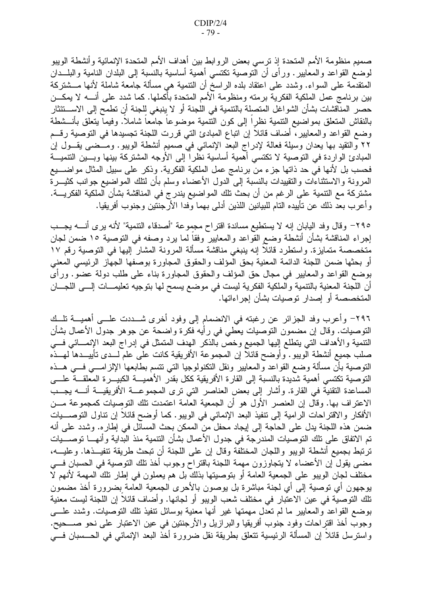صميم منظومة الأمم المتحدة إذ نرسى بعض الروابط بين أهداف الأمم المتحدة الإنمائية وأنشطة الويبو لوضع القواعد والمعايير . ورأى أن النوصية نكتسى أهمية أساسية بالنسبة إلىي البلدان النامية والبلـــدان المتقدمة على السواء. وشدد على اعتقاد بلده الراسخ أن النتمية هي مسألة جامعة شاملة لأنها مـــشتركة بين برنامج عمل الملكية الفكرية برمته ومنظومة الأمم المتحدة بأكملها. كما شدد على أنــــه لا يمكـــن حصر المناقشات بشأن الشواغل المتصلة بالتنمية في اللجنة أو لا ينبغي للجنة أن تطمح إلى الاســـتئثار بالنقاش المتعلق بمواضيع النتمية نظرٍاً إلى كون النتمية موضوعاً جامعاً شاملاً. وفيماً يتعلق بأنـــشطة وضع القواعد والمعايير ، أضاف قائلا إن انباع المبادئ التي قررت اللجنة تجسيدها في التوصية رقــم ٢٢ والنقيد بها يعدان وسيلة فعالة لإدراج البعد الإنمائي في صميم أنشطة الويبو. ومــضـى يقــول إن المبادئ الواردة في التوصية لا تكتسي أهمية أساسية نظراً إلى الأوجه المشتركة بينها وبسين التتميـــة فحسب بل لأنها في حد ذاتها جزء من برنامج عمل الملكية الفكرية. وذكر على سبيل المثال مواضــــيع المرونة والاستثناءات والنقيبدات بالنسبة إلى الدول الأعضاء وسلم بأن لنلك المواضيع جوانب كثيـــرة مشتركة مع التتمية على الرغم من أن بحث تلك المواضيع يندر ج في المناقشة بشأن الملكية الفكريــــة. وأعرب بعد ذلك عن تأييده النام للبيانين اللذين أدلمي بهما وفدا الأرجنتين وجنوب أفريقيا.

٢٩٥– وقال وفد اليابان إنه لا يستطيع مساندة اقتراح مجموعة "أصدقاء التتمية" لأنه يرى أنــــه يجـــب إجراء المناقشة بشأن أنشطة وضع القواعد والمعايير وفقا لما يرد وصفه في التوصية ١٥ ضمن لجان متخصصة متمايزة. واستطرد قائلا إنه ينبغي مناقشة مسألة المرونة المشار إليها في التوصية رقم ١٧ أو بحثها ضمن اللجنة الدائمة المعنية بحق المؤلف والحقوق المجاورة بوصفها الجهاز الرئيسي المعنى بوضع القواعد والمعايير في مجال حق المؤلف والحقوق المجاورة بناء على طلب دولة عضوٌ. ورأى أن اللجنة المعنية بالتنمية والملكية الفكرية ليست في موضع يسمح لها بتوجيه تعليمـــات إلـــي اللجـــان المتخصصة أو إصدار توصيات بشأن إجراءاتها.

٢٩٦– وأعرب وفد الجزائر عن رغبته في الانضمام إلى وفود أخرى شـــددت علـــي أهميـــة نلـــك النوصيات. وقال إن مضمون النوصيات يعطي في رأيه فكرة واضحة عن جوهر جدول الأعمال بشأن التنمية والأهداف التي يتطلع إليها الجميع وخص بالذكر الهدف المتمثل في إدراج البعد الإنمـــائي فـــي صلب جميع أنشطة الويبو . وأوضح قائلا إن المجموعة الأفريقية كانت على علم لـــدى تأييـــدها لـهـــذه النوصية بأن مسألة وضع القواعد والمعايير ونقل التكنولوجيا التبي نتسم بطابعها الإلزامـــي فـــي هـــذه التوصية تكتسى أهمية شديدة بالنسبة إلى القارة الأفريقية ككل بقدر الأهميـــة الكبيـــرة المعلقـــة علــــى المساعدة النقنية في القارة. وأشار إلى بعض العناصر التي نرى المجموعـــة الأفريقيـــة أنــــه يجـــب الاعتراف بها. وقال إن العنصر الأول هو أن الجمعية العامة اعتمدت تلك التوصيات كمجموعة مــن الأفكار والاقتراحات الرامية إلى نتفيذ البعد الإنمائي في الويبو . كما أوضح قائلا إن نتاول النوصـــيات ضمن هذه اللجنة يدل على الحاجة إلى إيجاد محفل من الممكن بحث المسائل في إطار ه. وشدد على أنه تم الاتفاق على تلك التوصيات المندرجة في جدول الأعمال بشأن النتمية منذ البداية وأنهــــا توصــــيات ترتبط بجميع أنشطة الويبو واللجان المختلفة وقال إن على اللجنة أن تبحث طريقة تتفيــذها. وعليـــه، مضـى يقول إن الأعضـاء لا يتجاوزون مـهمة اللجنة باقتراح وجوب أخذ نلك التوصية في الحسبان فـــي مختلف لجان الويبو على الجمعية العامة أو بتوصيتها بذلك بل هم يعملون في إطار نلك المهمة لأنهم لا يوجهون أي نوصية إلى أي لجنة مباشرة بل يوصون بالأحرى الجمعية العامة بضرورة أخذ مضمون تلك التوصية في عين الاعتبار في مختلف شعب الويبو أو لجانها. وأضاف قائلا إن اللجنة ليست معنية بوضع القواعد والمعايير ما لم تعدل مهمتها غير أنها معنية بوسائل نتفيذ نلك التوصيات. وشدد علــــي وجوب أخذ اقتراحات وفود جنوب أفريقيا والبرازيل والأرجنتين في عين الاعتبار على نحو صـــحيح. واسترسل قائلا إن المسألة الرئيسية نتعلق بطريقة نقل ضرورة أخذ البعد الإنمائي في الحـــسبان فـــي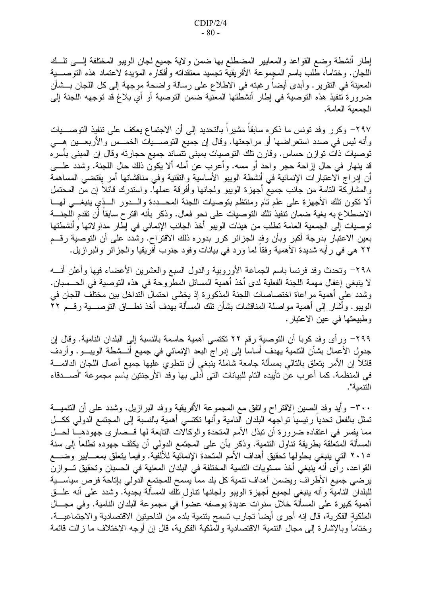إطار أنشطة وضع القواعد والمعابير المضطلع بها ضمن ولاية جميع لجان الويبو المختلفة إلـــي نلـــك اللجان. وختاما، طلب باسم المجموعة الأفريقية تجسيد معتقداته وأفكاره المؤيدة لاعتماد هذه التوصــــية المعينة في النقرير . وأبدى أيضا رغبته في الاطلاع على رسالة واضحة موجهة إلى كل اللجان بـــشأن ضرورة تنفيذ هذه التوصية في إطار أنشطتها المعنية ضمن التوصية أو أي بلاغ قد توجهه اللجنة إلى الجمعية العامة.

٢٩٧– وكرر وفد تونس ما ذكره سابقاً مشيراً بالتحديد إلى أن الاجتماع يعكف على تنفيذ التوصـــيات وأنه ليس في صدد استعراضها أو مراجعتها. وقال إن جميع التوصـــيات الخمـــس والأربعـــين هـــي نوصيات ذات نوازن حساس. وقارن نلك النوصيات بمبنى نتساند جميع حجارته وقال إن المبنى بأسره قد ينهار في حال إزاحة حجر واحد أو مسه. وأعرب عن أمله ألا يكون ذلك حال اللجنة. وشدد علـــي أن إدراج الاعتبارات الإنمائية في أنشطة الويبو الأساسية والنقنية وفي مناقشاتها أمر يقتضى المساهمة والمشاركة النامة من جانب جميع أجهزة الويبو ولجانها وأفرقة عملها. واستدرك قائلا إن من المحتمل ألا نكون نلك الأجهزة على علم نام ومنتظم بتوصيات اللجنة المحـــددة والـــدور الـــذي ينبغـــي لهـــا الاضطلاع به بغية ضمان نتفيذ تلك التوصيات على نحو فعال. وذكر بأنه اقترح سابقاً أن تقدم اللجنـــة توصيات إلى الجمعية العامة نطلب من هيئات الويبو أخذ الجانب الإنمائي في إطار مداولاتها وأنشطتها بعين الاعتبار بدرجة أكبر وبأن وفد الجزائر كرر بدوره ذلك الاقتراح. وشدد على أن التوصية رقـــم ٢٢ هي في رأيه شديدة الأهمية وفقا لما ورد في بيانات وفود جنوب أفريقيا والجزائر والبرازيل.

٢٩٨– وتحدث وفد فرنسا باسم الجماعة الأوروبية والدول السبع والعشرين الأعضاء فيها وأعلن أنسه لا ينبغي إغفال مهمة اللجنة الفعلية لدى أخذ أهمية المسائل المطروحة في هذه التوصية في الحـــسبان. وشدد على أهمية مراعاة اختصاصات اللجنة المذكورة إذ يخشى احتمال التداخل بين مختلف اللجان في الويبو. وأشار إلى أهمية مواصلة المناقشات بشأن نلك المسألة بهدف أخذ نطـــاق التوصــــية رقـــم ٢٢ وطبيعتها في عين الاعتبار .

٢٩٩– ورأى وفد كوبا أن النوصية رقم ٢٢ نكتسى أهمية حاسمة بالنسبة إلى البلدان النامية. وقال إن جدول الأعمال بشأن التتمية يهدف أساسا إلى إدراج البعد الإنمائي في جميع أنـــشطة الويبـــو . وأردف قائلا إن الأمر يتعلق بالتالي بمسألة جامعة شاملة ينبغي أن تنطوي عليها جميع أعمال اللجان الدائمـــة في المنظمة. كما أعرب عن تأييده التام للبيانات التي أدلى بها وفد الأرجنتين باسم مجموعة "أصــــدقاء النتمية".

٣٠٠- وأيد وفد الصين الاقتراح واتفق مع المجموعة الأفريقية ووفد البرازيل. وشدد على أن التنميـــة تمثل بالفعل تحديا رئيسيا نواجهه البلدان النامية وأنها نكتسى أهمية بالنسبة إلى المجتمع الدولمي ككـــل مما يفسر في اعتقاده ضرورة أن نبذل الأمم المتحدة والوكالات النابعة لمها قـــصارى جهودهـــا لحـــل المسألة المتعلقة بطريقة نتاول النتمية. وذكر بأن على المجتمع الدولي أن يكثف جهوده نطلعا إلى سنة ٢٠١٥ التي ينبغي بحلولها تحقيق أهداف الأمم المتحدة الإنمائية للألفية. وفيما يتعلق بمعـــايير وضــــع القواعد، رأى أنه ينبغي أخذ مستويات النتمية المختلفة في البلدان المعنية في الحسبان وتحقيق تـــوازن يرضيي جميع الأطراف ويضمن أهداف نتمية كل بلد مما يسمح للمجتمع الدولي بإتاحة فرص سياســـية للبلدان النامية وأنه ينبغي لجميع أجهزة الويبو ولجانها نناول نلك المسألة بجدية. وشدد على أنه علـــق أهمية كبيرة على المسألة خلال سنوات عديدة بوصفه عضواً في مجموعة البلدان النامية. وفي مجـــال الملكية الفكرية، قال إنه أجر ي أيضا تجارب تسمح بتنمية بلده من الناحيتين الاقتصادية والاجتماعيـــة. وختاما وبالإشارة إلى مجال التتمية الاقتصادية والملكية الفكرية، قال إن أوجه الاختلاف ما زالت قائمة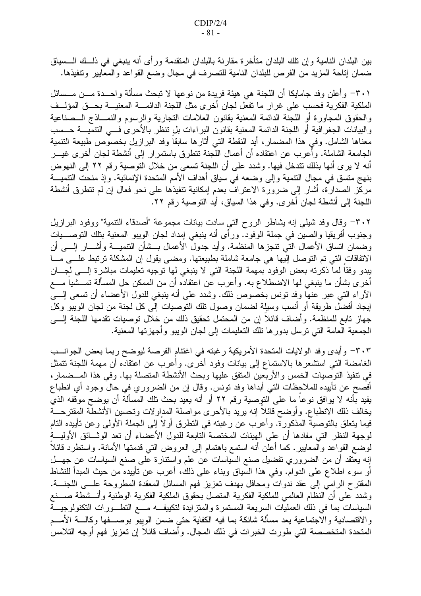بين البلدان النامية وإن تلك البلدان متأخرة مقارنة بالبلدان المتقدمة ورأى أنه ينبغي في ذلــك الـــسياق ضمان إتاحة المزيد من الفرص للبلدان النامية للتصرف في مجال وضع القواعد والمعايير ونتفيذها.

٣٠١– وأعلن وفد جامايكا أن اللجنة هي هيئة فريدة من نوعها لا نبحث مسألة واحـــدة مـــن مـــسائل الملكية الفكرية فحسب على غرار ما تفعل لجان أخرى مثل اللجنة الدائمـــة المعنيـــة بحـــق المؤلـــف والحقوق المجاورة أو اللجنة الدائمة المعنية بقانون العلامات النجارية والرسوم والنمساذج السصناعية والبيانات الجغر افية أو اللجنة الدائمة المعنية بقانون البر اءات بل نتظر بالأحرى فسى التنميسة حسسب معناها الشامل. وفي هذا المضمار، أيد النقطة التي أثارها سابقا وفد البرازيل بخصوص طبيعة التنمية الجامعة الشاملة. وأعرب عن اعتقاده أن أعمال اللجنة نتطرق باستمرار إلى أنشطة لجان أخرى غيـــر أنه لا يرى أنها بذلك نتدخل فيها. وشدد على أن اللجنة تسعى من خلال التوصية رقم ٢٢ إلى النهوض بنهج متسق في مجال النتمية وإلى وضعه في سياق أهداف الأمم المتحدة الإنمائية. وإذ منحت التتميـــة مركز الصدارة، أشار إلى ضرورة الاعتراف بعدم إمكانية تنفيذها على نحو فعال إن لم نتطرق أنشطة اللجنة إلى أنشطة لجان أخرى. وفي هذا السياق، أيد التوصية رقم ٢٢.

٣٠٢– وقال وفد شيلبي إنه يشاطر الروح التبي سادت بيانات مجموعة "أصدقاء التتمية" ووفود البرازيل وجنوب أفريقيا والصين في جملة الوفود. ورأى أنه ينبغي إمداد لجان الويبو المعنية بتلك النوصـــيات وضمان اتساق الأعمال التي نتجزها المنظمة. وأيد جدول الأعمال بـــشأن التتميـــة وأشـــار إلــــي أن الاتفاقات التي تم التوصل إليها هي جامعة شاملة بطبيعتها. ومضى يقول إن المشكلة ترتبط علـــي مـــا يبدو وفقاً لما ذكرته بعض الوفود بمهمة اللجنة التي لا ينبغي لها توجيه تعليمات مباشرة إلـــي لجـــان أخرى بشأن ما ينبغي لمها الاضطلاع به. وأعرب عن اعتقاده أن من الممكن حل المسألة نمـــشيا مــــع الأراء التي عبر عنها وفد تونس بخصوص ذلك. وشدد على أنه ينبغي للدول الأعضاء أن تسعى إلـــي إيجاد أفضل طريقة أو أنسب وسيلة لضمان وصول نلك التوصيات إلى كل لجنة من لجان الويبو وكل جهاز تابع للمنظمة. وأضاف قائلاً إن من المحتمل تحقيق ذلك من خلال توصيات تقدمها اللجنة إلـــي الجمعية العامة التي ترسل بدورها نلك التعليمات إلى لجان الويبو وأجهزتها المعنية.

٣٠٣- وأبدى وفد الولايات المتحدة الأمريكية رغبته في اغتتام الفرصة ليوضح ربما بعض الجوانــب الغامضة التبي استشعرها بالاستماع إلى بيانات وفود أخرى. وأعرب عن اعتقاده أن مهمة اللجنة تتمثل في نتفيذ التوصيات الخمس والأربعين المتفق عليها وبحث الأنشطة المتصلة بها. وفي هذا المـــضمار ، أفصح عن تأييده للملاحظات التي أبداها وفد تونس. وقال إن من الضروري في حال وجود أي انطباع يفيد بأنه لا يوافق نوعا ما على النوِصية رقم ٢٢ أو أنه يعيد بحث تلك المسألة أن يوضح موقفه الذي يخالف ذلك الانطباع. وأوضح قائلاً إنه يريد بالأحرى مواصلة المداولات وتحسين الأنشطة المقترحـــة فيما يتعلق بالنوصية المذكورة. وأعرب عن رغبته في النطرق أولا إلى الجملة الأولى وعن تأييده التام لوجهة النظر التبي مفادها أن على الهيئات المختصة التابعة للدول الأعضاء أن تعد الوثـــائق الأوليـــة لوضع القواعد والمعايير . كما أعلن أنه استمع باهتمام إلى العروض التبي قدمتها الأمانة. واستطرد قائلاً إنه يعتقد أن من الضروري تفضيل صنع السياسات عن علم واستنارة على صنع السياسات عن جهـــل أو سوء اطلاع على الدوام. وفي هذا السياق وبناء على ذلك، أعرب عن نأييده من حيث المبدأ للنشاط المقترح الرامي إلى عقد ندوات ومحافل بهدف تعزيز فهم المسائل المعقدة المطروحة علـــي اللـجنــــة. وشدد على أن النظام العالمي للملكية الفكرية المتصل بحقوق الملكية الفكرية الوطنية وأنــشطة صـــنع السياسات بما في ذلك العمليات السريعة المستمرة والمنزايدة لتكييف مسع التطـورات التكنولوجيـــة والاقتصادية والاجتماعية يعد مسألة شائكة بما فيه الكفاية حتى ضمن الويبو بوصـــفها وكالــــة الأمـــم المتحدة المتخصصة التي طورت الخبرات في ذلك المجال. وأضاف قائلاً إن تعزيز فهم أوجه التلامس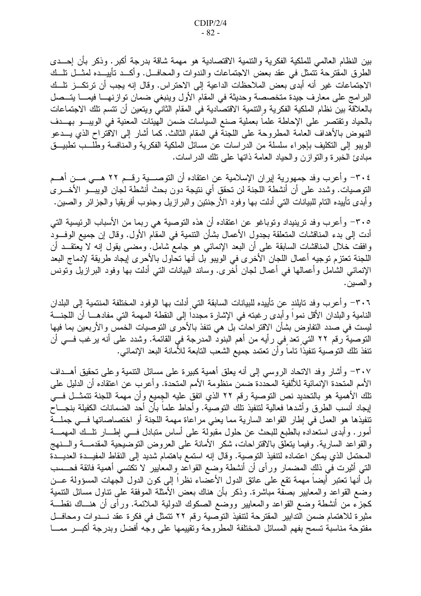بين النظام العالمي للملكية الفكرية والتنمية الاقتصادية هو مهمة شاقة بدرجة أكبر . وذكر بأن إحــدى الطرق المقترحة تتمثَّل في عقد بعض الاجتماعات والندوات والمحافـــل. وأكـــد تأييـــده لمثـــل نلـــك الاجتماعات غير أنه أبدى بعض الملاحظات الداعية إلى الاحتراس. وقال إنه يجب أن ترتكــز تلــك البرامج على معارف جيدة متخصصة وحديثة في المقام الأول وينبغي ضمان توازنهـــا فيمـــا يتـــصل بالعلاقة بين نظام الملكية الفكرية والنتمية الاقتصادية في المقام الثاني ويتعين أن نتسم نلك الاجتماعات بالحياد وتقتصر على الإحاطة علما بعملية صنع السياسات ضمن الهيئات المعنية في الويبــو بهــدف النهوض بالأهداف العامة المطروحة على اللجنة في المقام الثالث. كما أشار إلى الاقْتراح الذي يـــدعو الويبو إلى التكليف بإجراء سلسلة من الدراسات عن مسائل الملكية الفكرية والمنافسة وطلــب نطبيـــق مبادئ الخبرة والنوازن والحياد العامة ذاتها على نلك الدر اسات.

٢٠٤– وأعرب وفد جمهورية إيران الإسلامية عن اعتقاده أن النوصـــية رقـــم ٢٢ هـــي مـــن أهـــم التوصيات. وشدد على أن أنشطة اللجنة لن تحقق أي نتيجة دون بحث أنشطة لجان الويبـــو الأخــــري وأبدى تأييده التام للبيانات التبي أدلت بها وفود الأرجنتين والبرازيل وجنوب أفريقيا والجزائر والصين.

٣٠٥– وأعرب وفد ترينيداد وتوباغو عن اعتقاده أن هذه التوصية هي ربما من الأسباب الرئيسية التي أدت إلى بدء المناقشات المتعلقة بجدول الأعمال بشأن النتمية في المقام الأول. وقال إن جميع الوفـــود وِ افقت خلال المناقشات السابقة على أن البعد الإنمائي هو جامع شامل. ومضبي يقول إنه لا يعتقــد أن اللجنة تعتز م توجيه أعمال اللجان الأخرى في الويبو بل أنها تحاول بالأحرى إيجاد طريقة لإدماج البعد الإنمائي الشامل وأعمالها في أعمال لجان أخرى. وساند البيانات التي أدلت بها وفود البرازيل وتونس و الصين .

٣٠٦– وأعرب وفد تايلند عن تأييده للبيانات السابقة التي أدلت بها الوفود المختلفة المنتمية إلى البلدان النامية والبلدان الأقل نمواً وأبدى رغبته في الإشارة مجدداً إلى النقطة المهمة التي مفادهـــا أن اللجنـــة ليست في صدد النفاوض بشأن الاقتراحات بل هي نتفذ بالأحرى النوصيات الخمس والأربعين بما فيها التوصية رقم ٢٢ التي تعد في رأيه من أهم البنود المدرجة في القائمة. وشدد على أنه يرغب فـــي أن نتفذ نلك النوصية نتفيذاً ناماً وأن نعتمد جميع الشعب النابعة للأمانة البعد الإنمائي.

٢٠٧– وأشار وفد الاتحاد الروسي إلىي أنه يعلق أهمية كبيرة على مسائل النتمية وعلى تحقيق أهــداف الأمم المتحدة الإنمائية للألفية المحددة ضمن منظومة الأمم المتحدة. وأعرب عن اعتقاده أن الدليل على نلك الأهمية هو بالتحديد نص التوصية رقم ٢٢ الذي اتفق عليه الجميع وأن مهمة اللجنة تتمثَّـــل فـــي إيجاد أنسب الطرق وأشدها فعالية لنتفيذ نلك النوصية. وأحاط علماً بأنَّ أحد الضمانات الكفيلة بنجـــاحٌ نتفيذها هو العمل في إطار القواعد السارية مما يعني مراعاة مهمة اللجنة أو اختصاصاتها فسي جملة أمور . وأبدى استعداده بالطبع للبحث عن حلول مقبولة على أساس متبادل فسى إطسار نلسك المهمسة والقواعد السارية. وفيما يتعلق بالاقتراحات، شكر الأمانة على العروض التوضيحية المقدمـــة والـــنـهج المحتمل الذي يمكن اعتماده لتتفيذ التوصية. وقال إنه استمع باهتمام شديد إلى النقاط المفيــدة العديــدة التي أُثيرت في ذلك المضمار ورأى أن أنشطة وضع القواعد والمعايير لا تكتسي أهمية فائقة فحـــسب بل أنها نعتبر أيضا مهمة نقع على عاتق الدول الأعضاء نظرًا إلى كون الدول الجهات المسؤولة عـــن وضع القواعد والمعايير بصفة مباشرة. وذكر بأن هناك بعض الأمثلة الموفقة على نناول مسائل النتمية كجزء من أنشطة وضع القواعد والمعايير ووضع الصكوك الدولية الملائمة. ورأى أن هنـــاك نقطـــة مثيرة للاهتمام ضمن التدابير المقترحة لتتفيذ التوصية رقم ٢٢ تتمثل في فكرة عقد نسدوات ومحافــل مفتوحة مناسبة تسمح بفهم المسائل المختلفة المطروحة وتقييمها على وجه أفضل وبدرجة أكبـــر ممــــا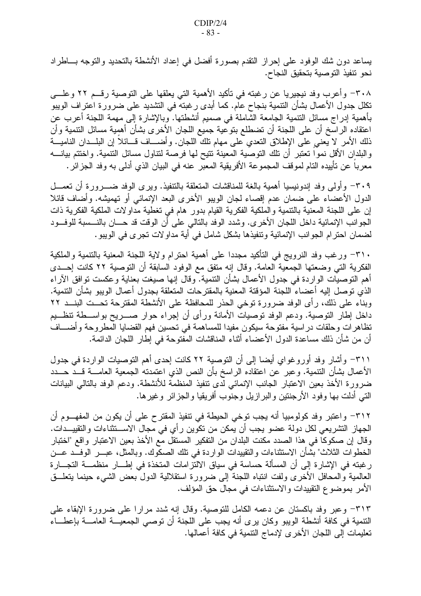يساعد دون شك الوفود على إحراز النقدم بصورة أفضل في إعداد الأنشطة بالنحديد والنوجه بـــاطراد نحو نتفيذ التوصية بتحقيق النجاح.

٣٠٨– وأعرب وفد نيجيريا عن رغبته في تأكيد الأهمية التي يعلقها على التوصية رقــم ٢٢ وعلـــي نكلل جدول الأعمال بشأن النتمية بنجاح عام. كما أبدى رغبته في التشديد على ضرورة اعتراف الويبو بأهمية إدراج مسائل النتمية الجامعة الشاملة في صميم أنشطتها. وبالإشارة إلى مهمة اللجنة أعرب عن اعتقاده الراسخ أن على اللجنة أن تضطلع بتوعية جميع اللجان الأخرى بشأن أهمية مسائل التتمية وأن ذلك الأمر لا يعني على الإطلاق النعدي على مهام نلك اللجان. وأضــــاف قـــائلا إن البلـــدان الناميـــة والبلدان الأقل نموا تعتبر أن تلك النوصية المعينة تتيح لها فرصة لتناول مسائل التنمية. واختتم بيانــــه معربا عن تأييده التام لموقف المجموعة الأفريقية المعبر عنه في البيان الذي أدلى به وفد الجز ائر .

٣٠٩- وأولى وفد إندونيسيا أهمية بالغة للمناقشات المتعلقة بالتتفيذ. ويرى الوفد ضـــرورة أن تعمـــل الدول الأعضاء على ضمان عدم إقصاء لجان الويبو الأخرى البعد الإنمائي أو تهميشه. وأضاف قائلا إن على اللجنة المعنية بالنتمية والملكية الفكرية القيام بدور هام في تغطية مداولات الملكية الفكرية ذات الجوانب الإنمائية داخل اللجان الأخرى. وشدد الوفد بالنالي على أن الوقت قد حــــان بالنــــسبة للوفـــود لضمان احترام الجوانب الإنمائية وتنفيذها بشكل شامل في أية مداولات تجرى في الويبو.

٣١٠- ورغب وفد النرويج في التأكيد مجددا على أهمية احترام ولاية اللجنة المعنية بالتنمية والملكية الفكرية التي وضعتها الجمعية العامة. وقال إنه متفق مع الوفود السابقة أن التوصية ٢٢ كانت إحــدى أهم التوصيات الواردة في جدول الأعمال بشأن التتمية. وقال إنها صيغت بعناية وعكست توافق الآراء الذي توصل إليه أعضاء اللجنة المؤقتة المعنية بالمقترحات المتعلقة بجدول أعمال الويبو بشأن التتمية. وبناء على ذلك، رأى الوفد ضرورة توخي الحذر للمحافظة على الأنشطة المقترحة تحــت البنـــد ٢٢ داخل إطار التوصية. ودعم الوفد نوصيات الأمانة ورأى أن إجراء حوار صـــريح بواســطة نتظــيم تظاهرات وحلقات دراسية مفتوحة سيكون مفيدا للمساهمة في تحسين فهم القضايا المطروحة وأضــــاف أن من شأن ذلك مساعدة الدول الأعضاء أثناء المناقشات المفتوحة في إطار اللجان الدائمة.

٣١١– وأشار وفد أوروغواي أيضا إلىي أن النوصية ٢٢ كانت إحدى أهم النوصيات الواردة في جدول الأعمال بشأن التنمية. وعبر عن اعتقاده الراسخ بأن النص الذي اعتمدته الجمعية العامــــة قـــد حـــدد ضرورة الأخذ بعين الاعتبار الجانب الإنمائي لدى تنفيذ المنظمة للأنشطة. ودعم الوفد بالتالي البيانات التبي أدلت بها وفود الأرجنتين والبرازيل وجنوب أفريقيا والجزائر وغيرها.

٣١٢– واعتبر وفد كولومبيا أنه يجب توخي الحيطة في تتفيذ المقترح على أن يكون من المفهـــوم أن الجهاز النشريعي لكل دولة عضو يجب أن يمكن من نكوين ر أي في مجال الاســـنثناءات والنقييـــدات. وقال إن صكوكا في هذا الصدد مكنت البلدان من التفكير المستقل مع الأخذ بعين الاعتبار واقع "اختبار الخطوات الثلاث" بشأن الاستثناءات والنقييدات الواردة في نلك الصكوك. وبالمثل، عبـــر الوفـــد عـــن رغبته في الإشارة إلى أن المسألة حساسة في سياق الالتزامات المتخذة في إطـــار منظمـــة التجـــارة العالمية والمحافل الأخرى ولفت انتباه اللجنة إلى ضرورة استقلالية الدول بعض الشيء حينما يتعلـــق الأمر بموضوع النقييدات والاستثناءات في مجال حق المؤلف.

٣١٣– وعبر وفد باكستان عن دعمه الكامل للتوصية. وقال إنه شدد مرارا على ضرورة الإبقاء على النتمية في كافة أنشطة الويبو وكان يرى أنه يجب على اللجنة أن توصبي الجمعيـــة العامــــة بإعطــــاء تعليمات إلى اللجان الأخرى لإدماج التنمية في كافة أعمالها.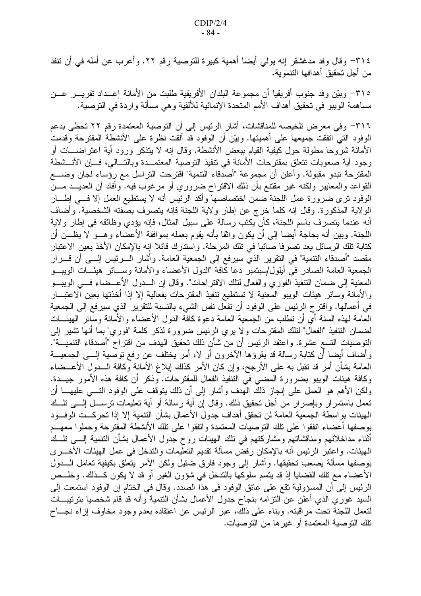٢١٤– وقال وفد مدغشقر إنه يولى أيضا أهمية كبيرة للتوصية رقم ٢٢. وأعرب عن أمله في أن نتفذ من أجل تحقيق أهدافها التنموية.

٣١٥- وبيّن وفد جنوب أفريقيا أن مجموعة البلدان الأفريقية طلبت من الأمانة إعــداد تقريـــر عـــن مساهمة الويبو في تحقيق أهداف الأمم المتحدة الإنمائية للألفية وهي مسألة واردة في التوصية.

٣١٦– وفي معرض تلخيصه للمناقشات، أشار الرئيس إلى أن التوصية المعتمدة رقم ٢٢ تحظي بدعم الوفود التي اتفقت جميعها على أهميتها. وبيّن أن الوفود قد ألقت نظرة على الأنشطة المقترحة وقدمت الأمانة شروحا مطولة حول كيفية القيام ببعض الأنشطة. وقال إنه لا يتذكر ورود أية اعتراضـــات أو وجود أية صعوبات نتعلق بمقترحات الأمانة في تنفيذ التوصية المعتمــدة وبالتـــالي، فـــإن الأنـــشطة المقترحة تبدو مقبولة. وأعلن أن مجموعة "أصدقاء التنمية" اقترحت التراسل مع رؤساء لجان وضــــع القواعد والمعايير ولكنه غير مقتنع بأن ذلك الاقتراح ضروري أو مرغوب فيه. وأفاد أن العديـــد مـــن الوفود نزى ضرورة عمل اللجنة ضمن اختصاصها وأكد الرئيس أنه لا يستطيع العمل إلا فسي إطسار الولاية المذكورة. وقال إنه كلما خرج عن إطار ولاية اللجنة فإنه يتصرف بصَّفته الشخصية. وأضاف أنه عندما يتصرف باسم اللجنة، كأن يكتب رسالة على سبيل المثال، فإنه يؤدي وظائفه في إطار ولاية اللجنة. وبين أنه بحاجة أيضا إلى أن يكون واثقا بأنه يقوم بعمله بموافقة الأعضاء وهـــو لا يظـــن أن كتابة تلك الرسائل يعد تصرفا صائبا في تلك المرحلة. واستدرك قائلا إنه بالإمكان الأخذ بعين الاعتبار مقصد "أصدقاء النتمية" في النقرير الذي سيرفع إلى الجمعية العامة. وأشار الـــرئيس إلـــي أن قــــرار الجمعية العامة الصادر في أيلول/سبتمبر دعا كافة "الدول الأعضاء والأمانة وســائر هيئـــات الويبـــو المعنية إلى ضمان التنفيذ الفوري والفعال لتلك الاقتر احات". وقال إن السدول الأعسضاء فسى الويبسو والأمانة وسائر هيئات الويبو المعنية لا تستطيع نتفيذ المقترحات بفعالية إلا إذا أخذتها بعين الاعتبـــار في أعمالها. واقترح الرئيس على الوفود أن تفعل نفس الشيء بالنسبة للنقرير الذي سيرفع إلى الجمعية العامة لهذه السنة أي أن نطلب من الجمعية العامة دعوة كافة الدول الأعضاء والأمانة وسائر الهيئـــات لضمان التنفيذ "الفعال" لنلك المقترحات ولا يرى الرئيس ضرورة لذكر كلمة "فورى" بما أنها نتثبير إلى التوصيات التسع عشرة. واعتقد الرئيس أن من شأن ذلك تحقيق الهدف من اقتراح "أصدقاء التتميـــة". وأضاف أيضا أن كتابة رسالة قد يقرؤها الآخرون أو لا، أمر يختلف عن رفع توصِّية إلـــي الجمعيـــة العامة بشأن أمر قد نقبل به على الأرجح، وإن كان الأمر كذلك إبلاغ الأمانة وكافة الـــدول الأعـــضاء وكافة هيئات الويبو بضرورة المضبي في التنفيذ الفعال للمقترحات. وذكر أن كافة هذه الأمور جيـــدة. ولكن الأهم هو العمل على إنجاز ذلك الهدف وأشار إلى أن ذلك يتوقف على الوفود التــــى عليهــــا أن تعمل باستمرار وبإصرار من أجل تحقيق ذلك. وقال إن أية رسالة أو أية تعليمات ترســـل إلــــي تلـــك الهيئات بو اسطة الجمعية العامة لن تحقق أهداف جدول الأعمال بشأن التتمية إلا إذا تحر كــت الوفــود بوصفها أعضاء اتفقوا على نلك النوصيات المعتمدة واتفقوا على نلك الأنشطة المقترحة وحملوا معهــم أثناء مداخلاتهم ومناقشاتهم ومشاركتهم في نلك الهيئات روح جدول الأعمال بشأن النتمية إلـــي نلـــك الـهيئات. واعتبر الرئيس أنه بالإمكان رفض مسألة نقديم النعليمات والندخل فـي عمل الـهيئات الأخــــري بوصفها مسألة يصعب تحقيقها. وأشار إلى وجود فارق ضئيل ولكن الأمر يتعلق بكيفية تعامل الــــدول الأعضاء مع تلك القضايا إذ قد يتسم سلوكها بالتدخل في شؤون الغير أو قد لا يكون كــذلك. وخلـــص الرئيس إلى أن المسؤولية تقع على عاتق الوفود في هذا الصدد. وقال في الختام إن الوفود استمعت إلى السيد غوري الذي أعلن عن النز امه بنجاح جدول الأعمال بشأن الننمية وأنه قد قام شخصيا بنرنيبـــات لتعمل اللجنة تحت مراقبته. وبناء على ذلك، عبر الرئيس عن اعتقاده بعدم وجود مخاوف إزاء نجــاح تلك النوصية المعتمدة أو غير ها من النوصيات.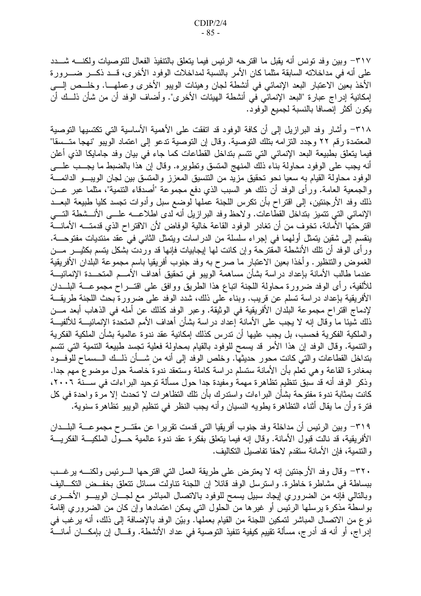٣١٧– وبين وفد تونس أنه يقبل ما اقترحه الرئيس فيما يتعلق بالتنفيذ الفعال للتوصيات ولكنسه شسدد على أنه في مداخلاته السابقة مثلما كان الأمر بالنسبة لمداخلات الوفود الأخرى، قــد ذكــر ضـــرورة الأخذ بعين الاعتبار البعد الإنمائي في أنشطة لجان وهيئات الويبو الأخرى وعملهـــا. وخلـــص إلــــي إمكانية إدراج عبارة "البعد الإنمائي في أنشطة الهيئات الأخرى". وأضاف الوفد أن من شأن ذلــك أن يكون أكثر إنصافا بالنسبة لجميع الوفود.

٣١٨ - وأشار وفد البرازيل إلى أن كافة الوفود قد اتفقت على الأهمية الأساسية التي تكتسيها التوصية المعتمدة رقم ٢٢ وجدد التزامه بتلك التوصية. وقال إن التوصية تدعو إلى اعتماد الويبو "نهجا متــسقا" فيما يتعلق بطبيعة البعد الإنمائي التي تتسم بتداخل القطاعات كما جاء في بيان وفد جامايكا الذي أعلن أنه يجب على الوفود محاولة بناء ذلك المنهج المتسق وتطوير ه. وقال إن هذا بالضبط ما يجــب علــــى الوفود محاولة القيام به سعيا نحو تحقيق مزيد من النتسيق المعزز والمتسق بين لجان الويبــو الدائمـــة والجمعية العامة. ورأى الوفد أن ذلك هو السبب الذي دفع مجموعة "أصدقاء التنمية"، مثلما عبر عـــن ذلك وفد الأرجنتين، إلى اقتراح بأن نكرس اللجنة عملها لوضع سبل وأدوات تجسد كليا طبيعة البعــد الإنمائي التي نتميز بتداخل القطاعات. ولاحظ وفد البر ازيل أنه لدى اطلاعـــه علـــي الأنـــشطة التـــي اقترحتها الأمانة، تخوف من أن تغادر الوفود القاعة خالية الوفاض لأن الاقتراح الذي قدمتــــه الأمانــــة ينقسم إلى شقين يتمثّل أولهما في إجراء سلسلة من الدراسات ويتمثّل الثاني في عقد منتديات مفتوحـــة. ور أي الوفد أن نلك الأنشطة المقترحة وإن كانت لمها إيجابيات فإنها قد وردت بشكل يتسم بكثيـــر مـــن الغموض والتنظير . وأخذا بعين الاعتبار ما صرح به وفد جنوب أفريقيا باسم مجموعة البلدان الأفريقية عندما طالب الأمانة بإعداد در اسة بشأن مساهمة الويبو في تحقيق أهداف الأمـــم المتحـــدة الإنمائيـــة للألفية، رأى الوفد ضرورة محاولة اللجنة اتباع هذا الطريق ووافق على اقتـــراح مجموعـــة البلـــدان الأفريقية بإعداد دراسة تسلم عن قريب. وبناء على ذلك، شدد الوفد على ضرورة بحث اللجنة طريقـــة لإدماج اقتراح مجموعة البلدان الأفريقية في الوثيقة. وعبر الوفد كذلك عن أمله في الذهاب أبعد مـــن ذلك شيئا ما وقال إنه لا يجب على الأمانة إعداد دراسة بشأن أهداف الأمم المتحدة الإنمائيــــة للألفيـــة والملكية الفكرية فحسب، بل يجب عليها أن تدرس كذلك إمكانية عقد ندوة عالمية بشأن الملكية الفكرية والتنمية. وقال الوفد إن هذا الأمر قد يسمح للوفود بالقيام بمحاولة فعلية تجسد طبيعة النتمية التي نتسم بتداخل القطاعات والتبي كانت محور حديثها. وخلص الوفد إلى أنه من شـــأن ذلــك الـــسماح للوفـــود بمغادرة القاعة وهي نعلم بأن الأمانة ستسلم دراسة كاملة وسنعقد ندوة خاصة حول موضوع مهم جدا. وذكر الوفد أنه قد سبق تنظيم تظاهرة مهمة ومفيدة جدا حول مسألة توحيد البراءات في ســـنة ٢٠٠٦، كانت بمثابة ندوة مفتوحة بشأن البراءات واستدرك بأن نلك النظاهرات لا نحدث إلا مرة واحدة في كل فترة وأن ما يقال أثناء التظاهرة يطويه النسيان وأنه يجب النظر في نتظيم الويبو تظاهرة سنوية.

٣١٩– وبين الرئيس أن مداخلة وفد جنوب أفريقيا التي قدمت نقريرا عن مقتـــر ح مجموعــــة البلـــدان الأفريقية، قد نالت قبول الأمانة. وقال إنه فيما يتعلق بفكرة عقد ندوة عالمية حـــول الملكيــــة الفكريــــة والنتمية، فإن الأمانة سنقدم لاحقا تفاصيل التكاليف.

٣٢٠- وقال وفد الأرجنتين إنه لا يعترض على طريقة العمل التي اقترحها الـــرئيس ولكنــــه يرغـــب ببساطة في مشاطرة خاطرة. واسترسل الوفد قائلا إن اللجنة نتاولت مسائل نتعلق بخفــض التكـــاليف وبالتالي فإنه من الضروري إيجاد سبيل يسمح للوفود بالاتصال المباشر مع لجـــان الويبـــو الأخـــري بواسطة مذكرة يرسلها الرئيس أو غيرها من الحلول التبي يمكن اعتمادها وإن كان من الضروري إقامة نو ع من الاتصال المباشر لتمكين اللجنة من القيام بعملها. وبيّن الوفد بالإضافة إلى ذلك، أنه يرغب في إدراج، أو أنه قد أدرج، مسألة تقييم كيفية تتفيذ التوصية في عداد الأنشطة. وقـــال إن بإمكـــان أمانــــة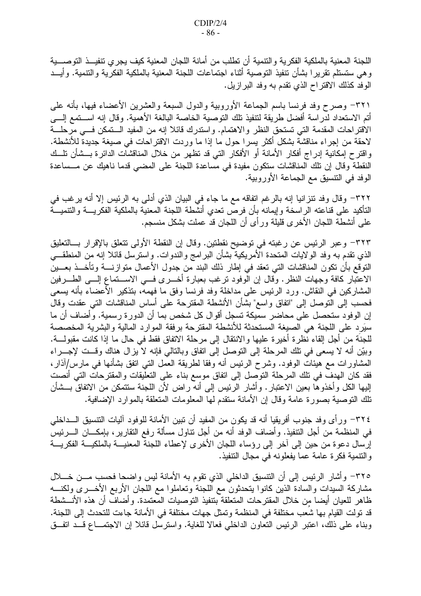اللجنة المعنية بالملكية الفكرية والنتمية أن تطلب من أمانة اللجان المعنية كيف يجرى تتفيــذ التوصــــية و هي ستستلم تقريرًا بشأن نتفيذ التوصية أثناء اجتماعات اللجنة المعنية بالملكية الفكرية والتنمية. وأيـــد الوفد كذلك الاقتراح الذي نقدم به وفد البر إزيل.

٣٢١– وصرح وفد فرنسا باسم الجماعة الأوروبية والدول السبعة والعشرين الأعضاء فيها، بأنه على أتم الاستعداد لدر اسة أفضل طريقة لنتفيذ تلك التوصية الخاصة البالغة الأهمية. وقال إنه اســـتمع إلــــي الاقتراحات المقدمة التي تستحق النظر والاهتمام. واستدرك قائلا إنه من المفيد الـتمكن فسي مرحلـــة لاحقة من إجراء مناقشة بشكل أكثر يسرا حول ما إذا ما وردت الاقتراحات في صيغة جديدة للأنشطة. واقترح إمكانية إدراج أفكار الأمانة أو الأفكار التبي قد تظهر من خلال المناقشات الدائرة بـــشأن تلـــك النقطة وقال إن تلك المناقشات ستكون مفيدة في مساعدة اللجنة على المضبي قدما ناهيك عن مــساعدة الوفد في النتسيق مع الجماعة الأوروبية.

٣٢٢– وقال وفد تنز انيا إنه بالرغم اتفاقه مع ما جاء في البيان الذي أدلى به الرئيس إلا أنه يرغب في التأكيد على قناعته الراسخة وإيمانه بأن فرص تعدي أنشطة اللجنة المعنية بالملكية الفكريــــة والتتميـــة على أنشطة اللجان الأخرى قليلة ورأى أن اللجان قد عملت بشكل منسجم.

٢٢٣– وعبر الرئيس عن رغبته في توضيح نقطتين. وقال إن النقطة الأولى تتعلق بالإقرار بـــالتعليق الذي نقدم به وفد الولايات المتحدة الأمريكية بشأن البرامج والندوات. واسترسل قائلا إنه من المنطقي النوقع بأن نكون المناقشات النبي نعقد في إطار ذلك البند من جدول الأعمال متوازنــــة وتأخــــذ بعــــين الاعتبار كافة وجهات النظر . وقال إن الوفود نرغب بعبارة أخـــرى فـــى الاســـتماع إلـــى الطـــرفين المشاركين في النقاش. ورد الرئيس على مداخلة وفد فرنسا وفق ما فهمه، بتذكير الأعضاء بأنه يسعى فحسب إلى النوصل إلى "انفاق واسع" بشأن الأنشطة المقترحة على أساس المناقشات التبي عقدت وقال إن الوفود ستحصل على محاضر سميكة تسجل أقوال كل شخص بما أن الدورة رسمية. وأضاف أن ما سيَرد على اللجنة هي الصيغة المستحدثة للأنشطة المقترحة برفقة الموارد المالية والبشرية المخصصة للجنَّة من أجل إلقاء نظرة أخيرة عليها والانتقال إلى مرحلة الاتفاق فقط في حال ما إذا كانت مقبولـــة. وبيّن أنه لا يسعى في تلك المرحلة إلى التوصل إلى اتفاق وبالتالي فإنه لا يزال هناك وقــت لإجـــراء المشاورات مع هيئات الوفود. وشرح الرئيس أنه وفقا لطريقة العمل التبي اتفق بشأنها في مارس/آذار ، فقد كان الهدف في نلك المرحلة التوصل إلى اتفاق موسع بناء على التعليقات والمقترحات التي أنصت إليها الكل وأخذوها بعين الاعتبار . وأشار الرئيس إلى أنه راض لأن اللجنة ستتمكن من الاتفاق بـــشأن تلك النوصية بصورة عامة وقال إن الأمانة ستقدم لـها المعلومات المنعلقة بالموارد الإضافية.

٣٢٤– ورأى وفد جنوب أفريقيا أنه قد يكون من المفيد أن نبين الأمانة للوفود آليات التتسيق الـــداخلي في المنظمة من أجل التنفيذ. وأضـاف الوفد أنـه من أجل نتـاول مسألـة رفـع التقارير ، بـإمكـــان الــــرئيس إرسال دعوة من حين إلى آخر إلى رؤساء اللجان الأخرى لإعطاء اللجنة المعنيـــة بالملكيـــة الفكريـــة والنتمية فكرة عامة عما يفعلونه في مجال النتفيذ.

٣٢٥– وأشار الرئيس إلى أن التنسيق الداخلي الذي نقوم به الأمانة ليس واضحا فحسب مـــن خـــلال مشاركة السيدات والسادة الذين كانوا يتحدثون مع اللجنة وتعاملوا مع اللجان الأربع الأخـــرى ولكنــــه ظاهر للعيان أيضا من خلال المقترحات المتعلقة بتنفيذ التوصيات المعتمدة. وأضاف أن هذه الأنـــشطة قد تولت القيام بها شُعب مختلفة في المنظمة وتمثل جهات مختلفة في الأمانة جاءت للتحدث إلى اللجنة. وبناء على ذلك، اعتبر الرئيس التعاون الداخلي فعالا للغاية. واسترسل قائلا إن الاجتمــاع قــد اتفــق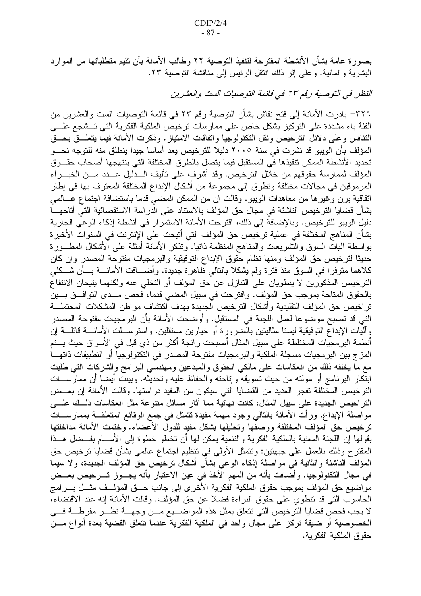بصورة عامة بشأن الأنشطة المقترحة لتتفيذ التوصية ٢٢ وطالب الأمانة بأن تقيم متطلباتها من الموارد البشرية والمالية. وعلى إثر ذلك انتقل الرئيس إلى مناقشة النوصية ٢٣.

النظر في التوصية رقم ٢٣ في قائمة التوصيات الست والعشرين

٣٢٦– بادرت الأمانة إلى فتح نقاش بشأن التوصية رقم ٢٣ في قائمة التوصيات الست والعشرين من الفئة باء مشددة على التركيز بشكل خاص على ممارسات ترخيص الملكية الفكرية التي تـــشجع علــــي النتافس وعلى دلائل النرخيص ونقل النكنولوجيا وانفاقات الامتياز . وذكرت الأمانة فيمًا يتعلـــقّ بحـــق المؤلف بأن الويبو قد نشرت في سنة ٢٠٠٥ دليلا للترخيص يعد أساسا جيدا ينطلق منه للتوجه نحسو تحديد الأنشطة الممكن تنفيذها في المستقبل فيما يتصل بالطرق المختلفة التي ينتهجها أصحاب حقـــوق المؤلف لممارسة حقوقهم من خلال الترخيص. وقد أشرف على تأليف الـــدليل عـــدد مـــن الخبـــراء المرموقين في مجالات مختلفة وتطرق إلى مجموعة من أشكال الإبداع المختلفة المعترف بها في إطار اتفاقية برن وغيرها من معاهدات الويبو. وقالت إن من الممكن المضبي قدما باستضافة اجتماع عـــالمبي بشأن قضايا الترخيص الناشئة في مجال حق المؤلف بالاستناد على الدراسة الاستقصائية التي أتاحهـــا دليل الويبو للترخيص. وبالإضافة إلى ذلك، اقترحت الأمانة الاستمرار في أنشطة إذكاء الوعي الجارية بشأن المناهج المختلفة في عملية ترخيص حق المؤلف التي أتيحت على الإنترنت في السنوات الأخير ة بواسطة أليات السوق والتشريعات والمناهج المنظمة ذاتيا. ونذكر الأمانة أمثلة على الأشكال المطــورة حديثا لترخيص حق المؤلف ومنها نظام حقوق الإبداع التوفيقية والبرمجيات مفتوحة المصدر وإن كان كلاهما متوفرًا في السوق منذ فترة ولم يشكلا بالتالي ظاهرة جديدة. وأضــــافت الأمانــــة بـــأن شـــكلي الترخيص المذكورين لا ينطويان على التنازل عن حق المؤلف أو التخلي عنه ولكنهما يتيحان الانتفاع بالحقوق المتاحة بموجب حق المؤلف. واقترحت في سبيل المضى قدما، فحص مــدى التوافــق بـــين تراخيص حق المؤلف التقليدية وأشكال الترخيص الجديدة بهدف اكتشاف مواطن المشكلات المحتملـــة التي قد تصبح موضوعا لعمل اللجنة في المستقبل. وأوضحت الأمانة بأن البرمجيات مفتوحة المصدر وآليات الإبداع التوفيقية ليستا مثاليتين بالضرورة أو خيارين مستقلين. واسترســـلت الأمانــــة قائلــــة إن أنظمة البر مجيات المختلطة على سبيل المثال أصبحت رائجة أكثر من ذي قبل في الأسواق حيث يستم المزج بين البرمجيات مسجلة الملكية والبرمجيات مفتوحة المصدر في التكنولوجيا أو التطبيقات ذاتهـــا مع ما يخلفه ذلك من انعكاسات على مالكي الحقوق والمبدعين ومهندسي البر امج والشركات التي طلبت ابتكار البرنامج أو مولته من حيث تسويقه وإتاحته والحفاظ عليه وتحديثه. وبينت أيضا أن ممارســـات الترخيص المختلفة تفجر العديد من القضايا التي سيكون من المفيد در استها. وقالت الأمانة إن بعــض التر اخيص الجديدة على سبيل المثال، كانت نهائية مما أثار مسائل متنوعة مثل انعكاسات ذلـــك علــــى مواصلة الإبداع. ورأت الأمانة بالنالي وجود مهمة مفيدة تتمثَّل في جمع الوقائع المتعلَّقـــة بممارســـات ترخيص حق المؤلف المختلفة ووصفها وتحليلها بشكل مفيد للدول الأعضاء. وختمت الأمانة مداخلتها بقولها إن اللجنة المعنية بالملكية الفكرية والنتمية يمكن لها أن تخطو خطوة إلى الأمسام بفــضل هــذا المقترح وذلك بالعمل على جبهتين: وتتمثَّل الأولىي في نتظيم اجتماع عالمي بشأن قضايا نرخيص حق المؤلف الناشئة والثانية في مواصلة إذكاء الوعي بشأن أشكال نرخيص حق المؤلف الجديدة، ولا سيما في مجال التكنولوجيا. وأضافت بأنه من المهم الأخذ في عين الاعتبار بأنه يجـــوز تـــرخيص بعـــض مواضيع حق المؤلف بموجب حقوق الملكية الفكرية الأخرى إلى جانب حــق المؤلــف مثــل بـــرامج الحاسوب التي قد نتطوي على حقوق البراءة فضلا عن حق المؤلف. وقالت الأمانة إنه عند الاقتضاء، لا يجب فحص قضايا الترخيص التي تتعلق بمثل هذه المواضـــيع مـــن وجهـــة نظـــر مفرطـــة فـــي الخصوصية أو ضيقة تركز على مجال واحد في الملكية الفكرية عندما نتعلق القضية بعدة أنواع مـــن حقو ق الملكية الفكر ية.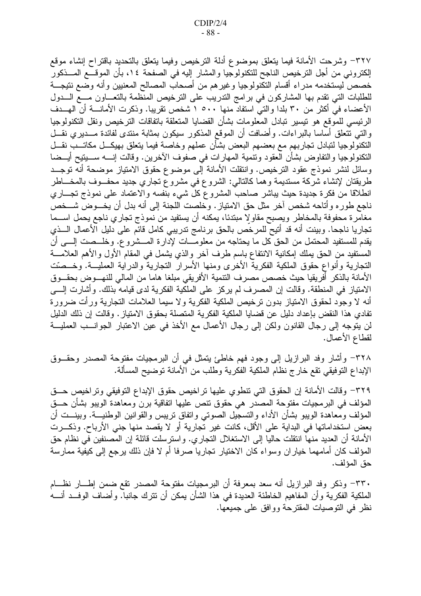٣٢٧– وشرحت الأمانة فيما يتعلق بموضوع أدلة الترخيص وفيما يتعلق بالتحديد باقتراح إنشاء موقع الكتروني من أجل الترخيص الناجح للتكنولوجيا والمشار إليه في الصفحة ١٤، بأن الموقـــع المـــذكور خصص ليستخدمه مدراء أقسام التكنولوجيا وغيرهم من أصحاب المصالح المعنيين وأنه وضع نتيجـــة للطلبات التي تقدم بها المشاركون في برامج التدريب على الترخيص المنظمة بالتعـــاون مــــع الــــدول الأعضاء في أكثر من ٣٠ بلدا والتي استفاد منها ٥٠٠ ١ شخص تقريبا. وذكرت الأمانــــة أن الـهـــدف الرئيسي للموقع هو نيسير نبادل المعلومات بشأن القضايا المتعلقة باتفاقات الترخيص ونقل التكنولوجيا والتي نتعلق أساسا بالبراءات. وأضافت أن الموقع المذكور سيكون بمثابة منتدى لفائدة مـــديري نقـــل النكنولوجيا لتبادل تجاربهم مع بعضهم البعض بشأن عملهم وخاصة فيما يتعلق بهيكـــل مكاتـــب نقـــل التكنولوجيا والتفاوض بشأن العقود ونتمية المهارات في صفوف الآخرين. وقالت إنــــه ســــيتيح أيـــضا وسائل لنشر نموذج عقود الترخيص. وانتقلت الأمانة إلى موضوع حقوق الامتياز موضحة أنه نوجــد طريقتان لإنشاء شركة مستديمة وهما كالنتالي: الشروع في مشروع تجاري جديد محفــوف بالمخـــاطر انطلاقا من فكرة جديدة حيث يباشر صاحب المشروع كل شيء بنفسه والاعتماد على نموذج تجـــاري ناجع طوره وأناحه شخص آخر مثل حق الامتياز . وخلصت اللجنة إلى أنه بدل أن يخـــوض شـــخص مغامرة محفوفة بالمخاطر ويصبح مقاولا مبتدئا، يمكنه أن يستفيد من نموذج تجاري ناجع يحمل اســـما تجاريا ناجحا. وبينت أنه قد أُتيح للمرخِّص بالحق برنامج تدريبي كامل قائم على دليل الأعمال الـــذي يقدم للمستفيد المحتمل من الحق كل ما يحتاجه من معلومـــات لإدارة المـــشروع. وخلـــصت إلــــي أن المستفيد من الحق يملك إمكانية الانتفاع باسم طرف آخر والذي يشمل في المقام الأول والأهم العلامــــة التجارية وأنواع حقوق الملكية الفكرية الأخرى ومنها الأسرار التجارية والدراية العمليـــة. وخـــصّت الأمانة بالذكر أفريقيا حيث خصص مصرف التتمية الأفريقي مبلغا هاما من المالي للنهـــوض بحقـــوق الامتياز في المنطقة. وقالت إن المصرف لم يركز على الملكية الفكرية لدى قيامه بذلك. وأشارت إلـــي أنه لا وجود لحقوق الامتياز بدون نرخيص الملكية الفكرية ولا سيما العلامات التجارية ورأت ضرورة تفادي هذا النقض بإعداد دليل عن قضايا الملكية الفكرية المتصلة بحقوق الامتياز . وقالت إن ذلك الدليل لن يتوجه إلى رجال القانون ولكن إلى رجال الأعمال مع الأخذ في عين الاعتبار الجوانـــب العمليـــة لقطاع الأعمال.

٣٢٨– وأشار وفد البرازيل إلى وجود فهم خاطئ يتمثل في أن البرمجيات مفتوحة المصدر وحقــوق الإبداع التوفيقي نقع خارج نظام الملكية الفكرية وطلب من الأمانة توضيح المسألة.

٣٢٩– وقالت الأمانة إن الحقوق التي تنطوي عليها تراخيص حقوق الإبداع التوفيقي وتراخيص حــق المؤلف في البرمجيات مفتوحة المصدر هي حقوق نتص عليها انفاقية برن ومعاهدة الويبو بشأن حـــق المؤلف ومعاهدة الويبو بشأن الأداء والتسجيل الصوتى وانفاق نريبس والقوانين الوطنيـــة. وبينـــت أن بعض استخداماتها في البداية على الأقل، كانت غير تجارية أو لا يقصد منها جنبي الأرباح. وذكـــرت الأمانة أن العديد منها انتقلت حاليا إلى الاستغلال التجاري. واسترسلت قائلة إن المصنفين في نظام حق المؤلف كان أمامهما خياران وسواء كان الاختيار تجاريا صرفا أم لا فإن ذلك يرجع إلى كيفية ممارسة حق المؤلف.

٣٣٠- وذكر وفد البرازيل أنه سعد بمعرفة أن البرمجيات مفتوحة المصدر نقع ضمن إطـــار نظـــام الملكية الفكرية وأن المفاهيم الخاطئة العديدة في هذا الشأن يمكن أن نترك جانبا. وأضاف الوفــد أنــــه نظر في التوصيات المقترحة ووافق على جميعها.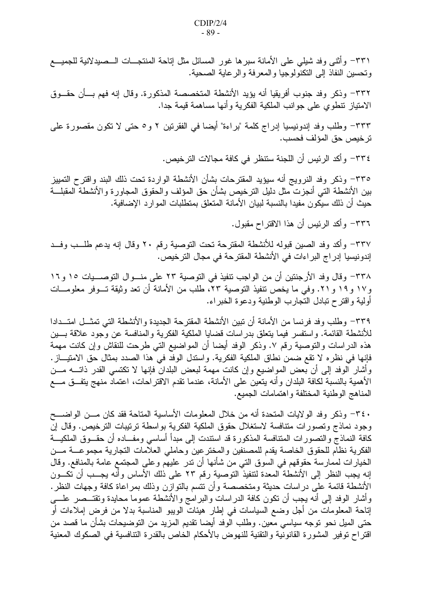٣٣١– وأثنـي وفد شيلـي علـي الأمانـة سبر ها غور المسائل مثل إنـاحـة المنتجـــات الـــصبيدلانية للجميـــع وتحسين النفاذ إلى النكنولوجيا والمعرفة والرعاية الصحية.

٣٣٢- وذكر وفد جنوب أفريقيا أنه بؤيد الأنشطة المتخصصة المذكورة. وقال إنه فهم بــأن حقــوق الامتياز نتطوي على جوانب الملكية الفكرية وأنها مساهمة قيمة جدا.

٣٣٣– وطلب وفد إندونيسيا إدراج كلمة "براءة" أيضا في الفقرنين ٢ و٥ حتى لا نكون مقصورة على تر خيص حق المؤلف فحسب.

٣٣٤– وأكد الرئيس أن اللجنة ستنظر في كافة مجالات الترخيص.

٣٣٥– وذكر وفد النرويج أنه سيؤيد المقترحات بشأن الأنشطة الواردة تحت ذلك البند واقترح التمييز بين الأنشطة التي أنجزت مثل دليل الترخيص بشأن حق المؤلف والحقوق المجاورة والأنشطة المقبلـــة حيث أن ذلك سيكون مفيدا بالنسبة لبيان الأمانة المتعلق بمتطلبات الموارد الإضافية.

٣٣٦- وأكد الرئيس أن هذا الاقتراح مقبول.

٣٣٧– وأكد وفد الصين قبوله للأنشطة المقترحة تحت التوصية رقم ٢٠ وقال إنه يدعم طلــب وفــد إندونيسيا إدراج البراءات في الأنشطة المقترحة في مجال الترخيص.

٣٣٨- وقال وفد الأرجنتين أن من الواجب نتفيذ في التوصية ٢٣ على منسوال التوصسيات ١٥ و١٦ و١٧ و١٩ و ٢١. وفي ما يخص تنفيذ التوصية ٢٣، طلب من الأمانة أن تعد وثيقة تسوفر معلومــات أولية واقترح تبادل التجارب الوطنية ودعوة الخبراء.

٣٣٩– وطلب وفد فرنسا من الأمانة أن تبين الأنشطة المقترحة الجديدة والأنشطة التي تمثـــل امتـــدادا للأنشطة القائمة. واستفسر فيما يتعلق بدراسات قضايا الملكية الفكرية والمنافسة عن وجود علاقة بـــين هذه الدراسات والنوصية رقم ٧. وذكر الوفد أيضا أن المواضيع التي طرحت للنقاش وإن كانت مهمة فإنها في نظره لا تقع ضمن نطاق الملكية الفكرية. واستدل الوفد في هذا الصدد بمثال حق الامتيـــاز . وأشار الوفد إلى أن بعض المواضيع وإن كانت مهمة لبعض البلدان فإنها لا نكتسى القدر ذاتــــه مــــن الأهمية بالنسبة لكافة البلدان وأنه يتعين على الأمانة، عندما نقدم الاقتراحات، اعتماد منهج يتفــق مـــع المناهج الوطنية المختلفة واهتمامات الجميع.

٤٠٣- وذكر وفد الولايات المتحدة أنه من خلال المعلومات الأساسية المتاحة فقد كان مـــن الواضــــح وجود نماذج وتصورات متنافسة لاستغلال حقوق الملكية الفكرية بواسطة نرتيبات النرخيص. وقال إن كافة النماذج والتصورات المتنافسة المذكورة قد استندت إلى مبدأ أساسى ومفــاده أن حقــوق الملكيـــة الفكرية نظام للحقوق الخاصة يقدم للمصنفين والمخترعين وحاملي العلامات التجارية مجموعـــة مـــن الخيارات لممارسة حقوقهم في السوق التي من شأنها أن ندر عليهم وعلى المجتمع عامة بالمنافع. وقال إنه يجب النظر إلى الأنشطة المعدة لنتفيذ التوصية رقم ٢٣ على ذلك الأساس وأنه يجــب أن نكــون الأنشطة قائمة على دراسات حديثة ومتخصصة وأن نتسم بالنوازن وذلك بمراعاة كافة وجهات النظر . وأشار الوفد إلى أنه يجب أن نكون كافة الدراسات والبرامج والأنشطة عموما محايدة ونقتــصر علــــي إتاحة المعلومات من أجل وضع السياسات في إطار هيئات الويبو المناسبة بدلا من فرض إملاءات أو حتى الميل نحو توجه سياسي معين. وطلب الوفد أيضا تقديم المزيد من التوضيحات بشأن ما قصد من اقتراح توفير المشورة القانونية والتقنية للنهوض بالأحكام الخاص بالقدرة التنافسية في الصكوك المعنية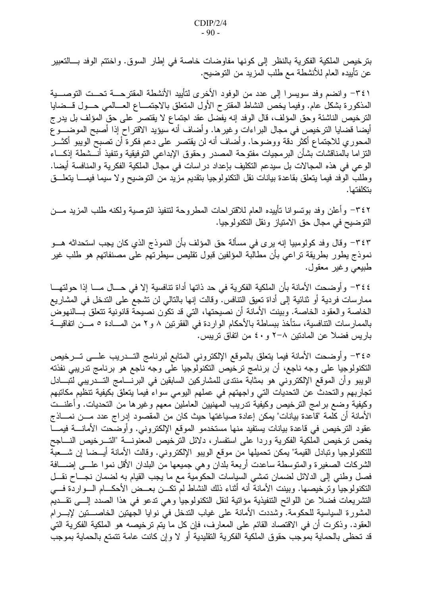بترخيص الملكية الفكرية بالنظر إلى كونها مفاوضات خاصة في إطار السوق. واختتم الوفد بسالتعبير عن تأييده العام للأنشطة مع طلب المزيد من التوضيح.

٣٤١- وإنضم وفد سويسرا إلى عدد من الوفود الأخرى لتأييد الأنشطة المقترحـــة تحــت التوصـــية المذكورة بشكل عام. وفيما يخص النشاط المقترح الأول المتعلق بالاجتمـــاع العـــالمي حـــول قـــضايا الترخيص الناشئة وحق المؤلف، قال الوفد إنه يفضل عقد اجتماع لا يقتصر على حق المؤلف بل يدرج أيضا قضايا الترخيص في مجال البراءات وغيرها. وأضاف أنه سيؤيد الاقتراح إذا أصبح الموضـــوع المحوري للاجتماع أكثر دقة ووضوحا. وأضاف أنه لن يقتصر على دعم فكرة أن تصبح الويبو أكثـــر النزاما بالمناقشات بشأن البرمجيات مفتوحة المصدر وحقوق الإبداعى التوفيقية وتنفيذ أنـــشطة إذكـــاء الوعي في هذه المجالات بل سيدعم التكليف بإعداد در اسات في مجال الملكية الفكرية والمنافسة أيضا. وطلب الوفد فيما يتعلق بقاعدة بيانات نقل النكنولوجيا بتقديم مزيد من التوضيح ولا سيما فيمـــا يتعلـــق بتكلفتها.

٢٤٢– وأعلن وفد بوتسوانا تأييده العام للاقتراحات المطروحة لتنفيذ التوصية ولكنه طلب المزيد مـــن التوضيح في مجال حق الامتياز ونقل التكنولوجيا.

٤٣٣– وقال وفد كولومبيا إنه يرى في مسألة حق المؤلف بأن النموذج الذي كان يجب استحداثه هـــو نموذج يطور بطريقة تراعى بأن مطالبة المؤلفين قبول نقليص سيطرتهم على مصنفاتهم هو طلب غير طبيعي وغير معقول.

٢٤٤- وأوضحت الأمانة بأن الملكية الفكرية في حد ذاتها أداة تتافسية إلا في حــال مـــا إذا حولتهـــا ممارسات فردية أو ثنائية إلى أداة تعيق الننافس. وقالت إنها بالتالي لن تشجع على التدخل في المشاريع الخاصة والعقود الخاصة. وبينت الأمانة أن نصيحتها، التي قد تكون نصيحة قانونية تتعلق بـــالنهوض بالممارسات التنافسية، ستأخذ ببساطة بالأحكام الواردة في الفقرتين ٨ و ٢ من المسادة ٥ مـــن اتفاقيـــة باريس فضلا عن المادتين ٨–٢ و ٤٠ من اتفاق تريبس.

٢٤٥– وأوضحت الأمانة فيما يتعلق بالموقع الإلكتروني المتابع لبرنامج التـــدريب علــــي تــــرخيص النكنولوجيا على وجه ناجع، أن برنامج ترخيص النكنولوجيا على وجه ناجع هو برنامج تدريبي نفذته الويبو وأن الموقع الإلكتروني هو بمثابة منتدى للمشاركين السابقين في البرنسامج التسدريبي لتبــادل تجاربهم والتحدث عن التحديات التي واجهتهم في عملهم اليومي سواء فيما يتعلق بكيفية تنظيم مكاتبهم وكيفية وضع برامج الترخيص وكيفية تدريب المهنيين العاملين معهم وغيرها من التحديات. وأعلنـــت الأمانة أن كلمة "قاعدة بيانات" يمكن إعادة صياغتها حيث كان من المقصود إدراج عدد مــن نمــاذج عقود الترخيص في قاعدة بيانات يستفيد منها مستخدمو الموقع الإلكتروني. وأوضحت الأمانــــة فيمــــا يخص نرخيص الملكية الفكرية وردا على استفسار، دلائل النرخيص المعنونسة "التسرخيص النساجح للنكنولوجيا ونبادل القيمة" يمكن تحميلها من موقع الويبو الإلكتروني. وقالت الأمانة أيـــضا إن شــــعبة الشركات الصغيرة والمنوسطة ساعدت أربعة بلدآن وهي جميعها من البلدان الأقل نموا علــــى إضــــافة فصل وطني إلى الدلائل لضمان تمشي السياسات الحكومية مع ما يجب القيام به لضمان نجساح نقل النكنولوجيا ونرخيصها. وبينت الأمانة أنه أثناء ذلك النشاط لم نكـــن بعـــض الأحكـــام الـــواردة فــــي التشريعات فضلا عن اللوائح التنفيذية مؤاتية لنقل التكنولوجيا وهي تدعو في هذا الصدد إلـــي تقـــديم المشورة السياسية للحكومة. وشددت الأمانة على غياب الندخل في نوايا الجهتين الخاصــــنين لإبــــرام العقود. وذكرت أن في الاقتصاد القائم على المعارف، فإن كل ما يتم ترخيصه هو الملكية الفكرية التي قد تحظى بالحماية بموجب حقوق الملكية الفكرية التقليدية أو لا وإن كانت عامة تتمتع بالحماية بموجب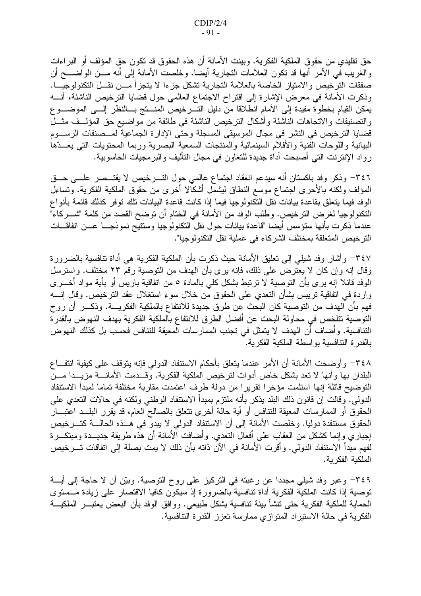حق تقليدي من حقوق الملكية الفكرية. وبينت الأمانة أن هذه الحقوق قد تكون حق المؤلف أو البراءات والغريب في الأمر أنها قد تكون العلامات التجارية أيضا. وخلصت الأمانة إلى أنه مـــن الواضــــح أن صفقات الترخيص والامتياز الخاصة بالعلامة التجارية تشكل جزءا لا يتجزأ مـــن نقـــل التكنولوجيـــا. وذكرت الأمانة في معرض الإشارة إلى اقتراح الاجتماع العالمي حول قضايا الترخيص الناشئة، أنــــه يمكن القيام بخطوة مفيدة إلى الأمام انطلاقا من دليل التــــرخيص المنــــنج بــــالنظر إلـــــي الموضـــــو ع والتصنيفات والاتجاهات الناشئة وأشكال الترخيص الناشئة في طائفة من مواضيع حق المؤلــف مثـــل قضايا الترخيص في النشر في مجال الموسيقى المسجلة وحتى الإدارة الجماعية لمــصنفات الرســـوم البيانية واللوحات الفنية والأفلام السينمائية والمنتجات السمعية البصرية وربما المحتويات التبي يعـــدّها رواد الإنترنت التي أصبحت أداة جديدة للتعاون في مجال التأليف والبر مجيات الحاسوبية.

٢٤٦– وذكر وفد باكستان أنه سيدعم انعقاد اجتماع عالمي حول التسرخيص لا يقتــصـر علـــي حـــق المؤلف ولكنه بالأحرى اجتماع موسع النطاق ليشمل أشكالا أخرى من حقوق الملكية الفكرية. وتساءل الوفد فيما يتعلق بقاعدة بيانات نقل التكنولوجيا فيما إذا كانت قاعدة البيانات تلك نوفر كذلك قائمة بأنواع التكنولوجيا لغرض الترخيص. وطلب الوفد من الأمانة في الختام أن توضح القصد من كلمة "شـــركاء" عندما ذكرت بأنها ستؤسس أيضا "قاعدة بيانات حول نقل النكنولوجيا وستتيح نموذجـــا عـــن اتفاقــــات الترخيص المتعلقة بمختلف الشركاء في عملية نقل التكنولوجيا".

٢٤٧– وأشار وفد شبلي إلى تعليق الأمانة حيث ذكرت بأن الملكية الفكرية هي أداة تنافسية بالضرورة وقال إنه وإن كان لا يعترض على ذلك، فإنه يرى بأن الهدف من التوصية رقم ٢٣ مختلف. واسترسل الوفد قائلا إنه ير ي بأن التوصية لا ترتبط بشكل كلي بالمادة ٥ من اتفاقية باريس أو بأية مواد أخـــر ي واردة في اتفاقية تريبس بشأن التعدي على الحقوق من خلال سوء استغلال عقد الترخيص. وقال إنــــه فهم بأن الهدف من التوصية كان البحث عن طرق جديدة للانتفاع بالملكية الفكريــــة. وذكــــر أن روح التوصية تتلخص في محاولة البحث عن أفضل الطرق للانتفاع بالملكية الفكرية بهدف النهوض بالقدرة التنافسية. وأضـاف أن الـهدف لا يتمثّل في تجنب الممارسات المعيقة للتنافس فحسب بل كذلك النـهوض بالقدر ة النتافسية بو اسطة الملكية الفكر ية.

٣٤٨– وأوضحت الأمانة أن الأمر عندما يتعلق بأحكام الاستنفاد الدولي فإنه يتوقف على كيفية انتفــاع البلدان بها وأنها لا تعد بشكل خاص أدوات لترخيص الملكية الفكرية. وقـــدمت الأمانــــة مزيـــدا مـــن التوضيح قائلة إنها استلمت مؤخرا تقريرا من دولة طرف اعتمدت مقاربة مختلفة تماما لمبدأ الاستنفاد الدولمي. وقالت إن قانون ذلك البلد يذكر بأنه ملتزم بمبدأ الاستنفاد الوطنبي ولكنه في حالات النعدي علمي الحقوق أو الممارسات المعيقة للتنافس أو أية حالة أخرى نتعلق بالصالح العام، قد يقرر البلـــد اعتبـــار الحقوق مستنفدة دوليا. وخلصت الأمانة إلى أن الاستنفاد الدولي لا يبدو في هــذه الحالـــة كتـــرخيص إجباري وإنما كشكل من العقاب على أفعال النعدي. وأضافت الأمانة أن هذه طريقة جديـــدة ومبتكـــرة لفهم مبدأ الاستنفاد الدولي. وأقرت الأمانة في الآن ذاته بأن ذلك لا يمت بصلة إلى اتفاقات تـــرخيص الملكية الفكر ية.

٣٤٩– وعبر وفد شيلي مجددا عن رغبته في التركيز على روح التوصية. وبيّن أن لا حاجة إلى أيـــة توصية إذا كانت الملكية الفكرية أداة تنافسية بالضرورة إذ سيكون كافيا الاقتصار على زيادة مــستوى الحماية للملكية الفكرية حتى نتشأ بيئة نتافسية بشكل طبيعي. ووافق الوفد بأن البعض يعتبـــر الملكيـــة الفكرية في حالة الاستير اد المنوازي ممارسة تعزز القدرة التنافسية.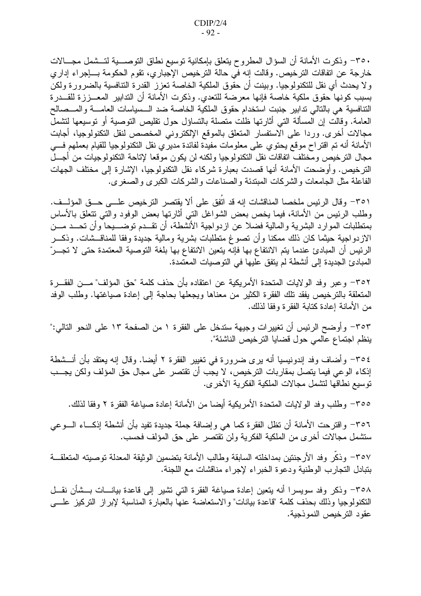٣٥٠- وذكرت الأمانة أن السؤال المطروح يتعلق بإمكانية توسيع نطاق التوصـــية لتــشمل مجـــالات خارجة عن اتفاقات الترخيص. وقالت إنه في حالة الترخيص الإجباري، تقوم الحكومة بـــإجراء إداري ولا يحدث أي نقل للتكنولوجيا. وبينت أن حقُّوق الملكية الخاصة تعزز القدرة التنافسية بالضرورة ولكن بسبب كونها حقوق ملكية خاصة فإنها معرضة للتعدي. وذكرت الأمانة أن التدابير المعـــززة للقـــدرة النتافسية هي بالتالي ندابير جنبت استخدام حقوق الملكية الخاصة ضد الـــسياسات العامــــة والمـــصـالح العامة. وقالت إن المسألة التي أثارتها ظلت متصلة بالتساؤل حول نقليص التوصية أو توسيعها لتشمل مجالات أخرى. وردا على الاستفسار المتعلق بالموقع الإلكتروني المخصص لنقل التكنولوجيا، أجابت الأمانة أنه نم اقتراح موقع يحتوي على معلومات مفيدة لفائدة مديري نقل التكنولوجيا للقيام بعملهم فسي مجال الترخيص ومختلف اتفاقات نقل التكنولوجيا ولكنه لن يكون موقعا لإتاحة التكنولوجيات من أجـــل النرخيص. وأوضحت الأمانة أنها قصدت بعبارة شركاء نقل التكنولوجيا، الإشارة إلى مختلف الجهات الفاعلة مثل الجامعات والشركات المبتدئة والصناعات والشركات الكبرى والصغرى.

٣٥١– وقال الرئيس ملخصا المناقشات إنه قد اتُفِق على ألا يقتصر الترخيص علـــي حـــق المؤلـــف. وطلب الرئيس من الأمانة، فيما يخص بعض الشواغل التي أثارتها بعض الوفود والتي تتعلق بالأساس بمنطلبات الموارد البشرية والمالية فضلا عن ازدواجية الأنشطة، أن نقــدم نوضــــيحا وأن نحـــد مـــن الازدواجية حيثما كان ذلك ممكنا وأن تصوغ متطلبات بشرية ومالية جديدة وفقا للمناقـــشات. وذكـــر الرئيس أن المبادئ عندما يتم الانتفاع بها فإنه يتعين الانتفاع بها بلغة التوصية المعتمدة حتى لا تجـــرّ المبادئ الجديدة إلى أنشطة لم يتفق عليها في التوصيات المعتمدة.

٣٥٢– و عبر وفد الو لايات المتحدة الأمر يكية عن اعتقاده بأن حذف كلمة "حق المؤلف" مـــن الفقـــر ة المتعلقة بالترخيص يفقد نلك الفقرة الكثير من معناها ويجعلها بحاجة إلى إعادة صباغتها. وطلب الوفد من الأمانة اعادة كتابة الفقر ة وفقا لذلك.

٣٥٣– وأوضح الرئيس أن تغييرات وجيهة ستدخل على الفقرة ١ من الصفحة ١٣ على النحو التالي:" ينظم اجتماع عالمي حول قضايا الترخيص الناشئة".

٣٥٤– وأضاف وفد إندونيسيا أنه يرى ضرورة في تغيير الفقرة ٢ أيضا. وقال إنه يعتقد بأن أنـــشطة إذكاء الوعي فيما يتصل بمقاربات الترخيص، لا يجب أن تقتصر على مجال حق المؤلف ولكن يجـــب نوسيع نطاقها لتشمل مجالات الملكية الفكرية الأخر ي.

٣٥٥– وطلب وفد الولايات المتحدة الأمريكية أيضا من الأمانة إعادة صياغة الفقرة ٢ وفقا لذلك.

٣٥٦– واقترحت الأمانة أن نظل الفقرة كما هي وإضافة جملة جديدة نفيد بأن أنشطة إذكـــاء الـــوعي ستشمل مجالات أخرى من الملكية الفكرية ولن تقتصر على حق المؤلف فحسب.

٣٥٧– وذكر وفد الأر جنتين بمداخلته السابقة و طالب الأمانة بتضمين الو ثيقة المعدلة توصيته المتعلقـــة بتبادل التجارب الوطنية ودعوة الخبراء لإجراء مناقشات مع اللجنة.

٣٥٨– وذكر وفد سويسرا أنه يتعين إعادة صياغة الفقرة التبي تشير إلىي قاعدة بيانـــات بـــشأن نقـــل النكنولوجيا وذلك بحذف كلمة "قاعدة بيانات" والاستعاضة عنها بالعبارة المناسبة لإبراز النركيز علسى عقود الترخيص النموذجية.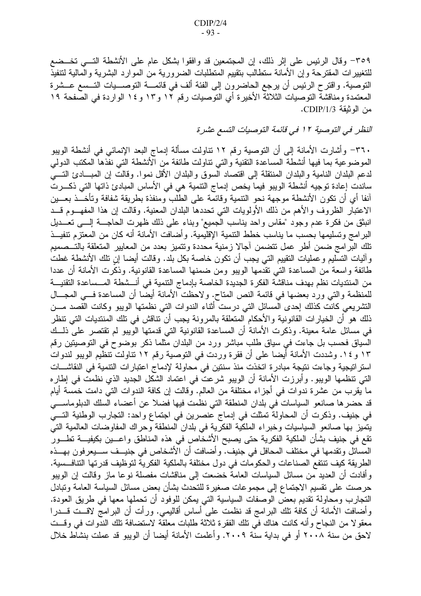٣٥٩- وقال الرئيس على إثر ذلك، إن المجتمعين قد وافقوا بشكل عام على الأنشطة التـــي تخـــضع للتغييرات المقترحة وإن الأمانة ستطالب بتقييم المتطلبات الضرورية من الموارد البشرية والمالية لتنفيذ النوصية. واقترح الرئيس أن يرجع الحاضرون إلى الفئة ألف في قائمــــة التوصــــيات التـــسع عـــشرة المعتمدة ومناقشة التوصيات الثلاثة الأخير ة أي التوصيات رقم ١٢ و١٣ و ١٤ الواردة في الصفحة ١٩ من الوثيقة CDIP/1/3.

النظر في التوصية ١٢ في قائمة التوصيات التسع عشرة

٣٦٠– وأشارت الأمانة إلى أن التوصية رقم ١٢ نناولت مسألة إدماج البعد الإنمائي في أنشطة الويبو الموضوعية بما فيها أنشطة المساعدة النقنية والتي نتاولت طائفة من الأنشطة التي نفذها المكتب الدولمي لدعم البلدان النامية والبلدان المنتقلة إلى اقتصاد السوق والبلدان الأقل نموا. وقالت إن المبـــادئ التـــي ساندت إعادة توجيه أنشطة الويبو فيما يخص إدماج النتمية هي في الأساس المبادئ ذاتها التي ذكـــرت أنفا أي أن نكون الأنشطة موجهة نحو النتمية وقائمة على الطلب ومنفذة بطريقة شفافة وتأخـــذ بعـــين الاعتبار الظروف والأهم من ذلك الأولويات التي تحددها البلدان المعنية. وقالت إن هذا المفهـــوم قـــد انبثق من فكرة عدم وجود "مقاس واحد يناسب الجميع" وبناء على ذلك ظهرت الحاجـــة إلــــى تعـــديل البرامج وتسليمها بحسب ما يناسب خطط النتمية الإقليمية. وأضافت الأمانة أنه كان من المعتزم تنفيــذ تلك البر امج ضمن أطر عمل نتضمن آجالا زمنية محددة ونتميز بعدد من المعايير المتعلقة بالتــصميم وأليات التسليم وعمليات التقييم التي يجب أن تكون خاصة بكل بلد. وقالت أيضا إن تلك الأنشطة غطت طائفة واسعة من المساعدة التي نقدمها الويبو ومن ضمنها المساعدة القانونية. وذكَّرت الأمانة أن عددا من المنتديات نظم بهدف مناقشة الفكر ة الجديدة الخاصة بإدماج النتمية في أنـــشطة المـــساعدة النقنيـــة للمنظمة والتي ورد بعضها في قائمة النص المناح. ولاحظت الأمانة أيضا أن المساعدة فسي المجـــال التشريعي كانت كذلك إحدى المسائل التي درست أثناء الندوات التي نظمتها الويبو وكانت القصد مـــن ذلك هو أن الخيارات القانونية والأحكام المتعلقة بالمرونة يجب أن تناقش في تلك المنتديات التي تنظر في مسائل عامة معينة. وذكرت الأمانة أن المساعدة القانونية التي قدمتها الويبو لم تقتصر على ذلـــك السياق فحسب بل جاءت في سياق طلب مباشر ورد من البلدان مثلما ذكر بوضوح في التوصيتين رقم ١٣ و ١٤. وشددت الأمانة أيضا على أن فقرة وردت في التوصية رقم ١٢ تناولت تنظيم الويبو لندوات استر اتيجية وجاءت نتيجة مبادرة اتخذت منذ سنتين في محاولة لإدماج اعتبارات التنمية في النقاشـــات التي نتظمها الويبو. وأبرزت الأمانة أن الويبو شرعت في اعتماد الشكل الجديد الذي نظمت في إطاره ما يقرب من عشرة ندوات في أجزاء مختلفة من العالم. وقالت إن كافة الندوات التي دامت خمسة أيام قد حضر ها صانعو السياسات في بلدان المنطقة التي نظمت فيها فضلا عن أعضاء السلك الدبلوماســـي في جنيف. وذكرت أن المحاولة تمثلت في إدماج عنصرين في اجتماع واحد: التجارب الوطنية التـــي يتميز بها صانعو السياسيات وخبراء الملكية الفكرية في بلدان المنطقة وحراك المفاوضات العالمية التي نقع في جنيف بشأن الملكية الفكرية حتى يصبح الأشخاص في هذه المناطق واعـــين بكيفيـــة تطـــور المسائل ونقدمها في مختلف المحافل في جنيف. وأضافت أن الأشخاص في جنيــف ســـيعرفون بهـــذه الطريقة كيف تنتفع الصناعات والحكومات في دول مختلفة بالملكية الفكرية لتوظيف قدرتها التتافسية. و أفادت أن العديد من مسائل السياسات العامة خضعت إلى مناقشات مفصلة نوعا ماز وقالت إن الويبو حرصت على نقسيم الاجتماع إلى مجموعات صغيرة للتحدث بشأن بعض مسائل السياسة العامة ونبادل التجارب ومحاولة تقديم بعض الوصفات السياسية التي يمكن للوفود أن تحملها معها في طريق العودة. وأضافت الأمانة أن كافة نلك البرامج قد نظمت على أساس أقاليمي. ورأت أن البرامج لاقــت قـــدرا معقولا من النجاح وأنه كانت هناك في تلك الفقرة ثلاثة طلبات معلقة لاستضافة تلك الندوات في وقــت لاحق من سنة ٢٠٠٨ أو في بداية سنة ٢٠٠٩. وأعلمت الأمانة أيضا أن الويبو قد عملت بنشاط خلال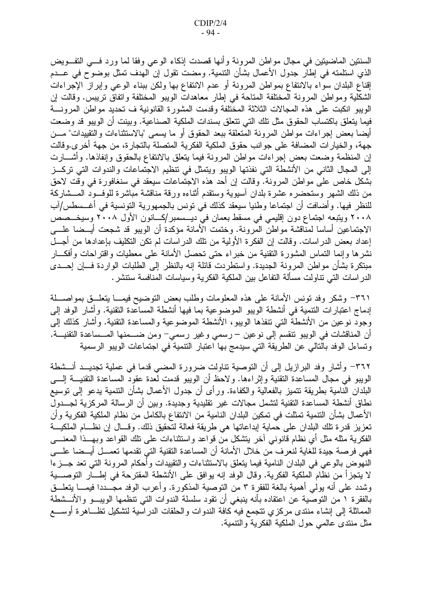السنتين الماضيتين في مجال مواطن المرونة وأنها قصدت إذكاء الوعي وفقا لما ورد فسي التفــويض الذي استلمته في إطار جدول الأعمال بشأن التنمية. ومضت تقول إن الهدف تمثّل بوضوح في عـــدم إقناع البلدان سواء بالانتفاع بمواطن المرونة أو عدم الانتفاع بها ولكن ببناء الوعبي وإبراز الإجراءات الشكلية ومواطن المرونة المختلفة المتاحة في إطار معاهدات الويبو المختلفة واتفاق تريبس. وقالت إن الويبو انكبت على هذه المجالات الثلاثة المختلفة وقدمت المشورة القانونية ف تحديد مواطن المرونة فيما يتعلَّق باكتساب الحقوق مثل تلك التي تتعلَّق بسندات الملكية الصناعية. وبينت أن الويبو قد وضعت أيضا بعض إجراءات مواطن المرونة المتعلقة ببعد الحقوق أو ما يسمى "بالاستثناءات والتقييدات" مـــن جهة، و الخيار ات المضافة على جو انب حقوق الملكية الفكر ية المتصلة بالتجار ة، من جهة أخر ي.و قالت إن المنظمة وضعت بعض إجراءات مواطن المرونة فيما يتعلق بالانتفاع بالحقوق وإنفاذها. وأشـــارت إلى المجال الثاني من الأنشطة التي نفذتها الويبو ويتمثل في نتظيم الاجتماعات والندوات التي تركــز بشكل خاص على مواطن المرونة. وقالت إن أحد هذه الاجتماعات سيعقد في سنغافورة في وقت لاحق من ذلك الشهر وستحضره عشرة بلدان أسيوية وستقدم أثناءه ورقة مناقشة مباشرة للوفــود المـــشاركة للنظر فيها. وأضافت أن اجتماعا وطنيا سيعقد كذلك في تونس بالجمهورية التونسية في أغـــسطس/آب ٢٠٠٨ ويتبعه اجتماع دون إقليمي في مسقط بعمان في ديـــسمبر/كـــانون الأول ٢٠٠٨ وسيخـــصص الاجتماعين أساسا لمناقشة مواطن المرونة. وختمت الأمانة مؤكدة أن الويبو قد شجعت أيــضـا علــــى إعداد بعض الدراسات. وقالت إن الفكرة الأولية من نلك الدراسات لم نكن النكليف بإعدادها من أجـــل نشرها وإنما النماس المشورة النقنية من خبراء حتى نحصل الأمانة على معطيات واقتراحات وأفكـــار مبتكرة بشأن مواطن المرونة الجديدة. واستطردت قائلة إنه بالنظر إلى الطلبات الواردة فـــان إحـــدى الدر اسات التي نتاولت مسألة النفاعل بين الملكية الفكرية وسياسات المنافسة ستتشر .

٣٦١– وشكر وفد نونس الأمانة على هذه المعلومات وطلب بعض النوضيح فيمـــا يتعلـــق بمواصــــلة إدماج اعتبارات النتمية في أنشطة الويبو الموضوعية بما فيها أنشطة المساعدة النقنية. وأشار الوفد إلى وجود نوعين من الأنشطة التبي نتفذها الويبو، الأنشطة الموضوعية والمساعدة التقنية. وأشار كذلك إلىي أن المناقشات في الويبو نتقسم إلى نوعين – رسمي وغير رسمي– ومن ضـــمنها المـــساعدة النقنيـــة. ونساءل الوفد بالنالي عن الطريقة التي سيدمج بها اعتبار النتمية في اجتماعات الويبو الرسمية

٣٦٢– وأشار وفد البرازيل إلى أن التوصية تناولت ضرورة المضبي قدما في عملية تجديــد أنـــشطة الويبو في مجال المساعدة النقنية وإثراءها. ولاحظ أن الويبو قدمت لعدة عقود المساعدة النقنيـــة إلــــي البلدان النامية بطريقة نتميز بالفعالية والكفاءة. ورأى أن جدول الأعمال بشأن التنمية يدعو إلى نوسيع نطاق أنشطة المساعدة النقنية لتشمل مجالات غير نقليدية وجديدة. وبين أن الرسالة المركزية لجـــدول الأعمال بشأن التنمية تمثلت في تمكين البلدان النامية من الانتفاع بالكامل من نظام الملكية الفكرية وأن تعزيز قدرة تلك البلدان على حماية إبداعاتها هي طريقة فعالة لتحقيق ذلك. وقـــال إن نظـــام الملكيـــة الفكرية مثله مثل أي نظام قانونبي أخر يتشكل من قواعد واستثناءات على نلك القواعد وبهـــذا المعنــــي فهي فرصة جيدة للغاية لنعرف من خلال الأمانة أن المساعدة النقنية التي تقدمها تعمـــل أيـــضـا علــــي النـهوض بـالوعـى فـي البلدان النـامية فيمـا يتعلق بـالاستثنـاءات والنقييدات وأحكام المرونـة التـي تعد جـــز ءا لا يتجزأ من نظام الملكية الفكرية. وقال الوفد إنه يوافق على الأنشطة المقترحة في إطـــار التوصــــية وشدد على أنه يولمي أهمية بالغة للفقرة ٣ من النوصية المذكورة. وأعرب الوفد مجـــددا فيمــــا يتعلـــق بالفقرة ١ من التوصية عن اعتقاده بأنه ينبغي أن تقود سلسلة الندوات التي تنظمها الويبـــو والأنـــشطة المماثلة إلى إنشاء منتدى مركزي نتجمع فيه كافة الندوات والحلقات الدراسية لنشكيل نظــاهرة أوســـع مثل منتدى عالمي حول الملكية الفكرية والتتمية.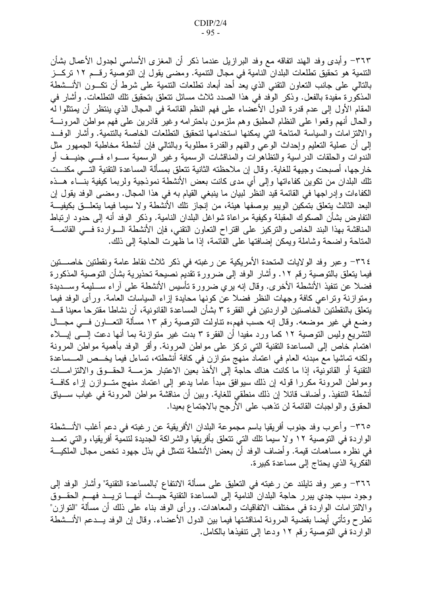٣٦٣– وأبدى وفد الهند اتفاقه مع وفد البرازيل عندما ذكر أن المغزى الأساسى لجدول الأعمال بشأن التنمية هو تحقيق تطلعات البلدان النامية في مجال التنمية. ومضىي يقول إن النوصية رقــم ١٢ تركـــز بالنالبي على جانب النعاون النقنبي الذي يعد أحد أبعاد نطلعات النتمية على شرط أن نكـــون الأنـــشطة المذكور ة مفيدة بالفعل. وذكر الوفد في هذا الصدد ثلاث مسائل تتعلق بتحقيق تلك التطلعات. وأشار في المقام الأول إلى عدم قدرة الدول الأعضاء على فهم النظم القائمة في المجال الذي ينتظر أن يمتثلوا له والحال أنهم وقعوا علىي النظام المطبق وهم ملزمون باحترامه وغير قادرين علىي فهم مواطن المرونــــة والالتزامات والسياسة المتاحة التبي يمكنها استخدامها لتحقيق التطلعات الخاصة بالتنمية. وأشار الوفــد إلىي أن عملية التعليم وإحداث الوعبي والفهم والقدرة مطلوبة وبالنالبي فإن أنشطة مخاطبة الجمهور مثل الندوات والحلقات الدراسية والتظاهرات والمناقشات الرسمية وغير الرسمية ســـواء فـــي جنيـــف أو خارجها، أصبحت وجيهة للغاية. وقال إن ملاحظته الثانية نتعلق بمسألة المساعدة النقنية التسي مكنــت نلك البلدان من نكوين كفاءاتها وإلى أي مدى كانت بعض الأنشطة نموذجية ولربما كيفية بنـــاء هـــذه الكفاءات وإدراجها في القائمة قيد النظر لبيان ما ينبغي القيام به في هذا المجال. ومضى الوفد يقول إن البعد الثالث يتعلق بتمكين الويبو بوصفها هيئة، من إنجاز نلك الأنشطة ولا سيما فيما يتعلـــق بكيفيـــة التفاوض بشأن الصكوك المقبلة وكيفية مراعاة شواغل البلدان النامية. وذكر الوفد أنه إلىي حدود ارتباط المناقشة بهذا البند الخاص والنركيز على اقتراح التعاون التقني، فإن الأنشطة الـواردة فــي القائمـــة المتاحة واضحة وشاملة ويمكن إضافتها على القائمة، إذا ما ظهرت الحاجة إلى ذلك.

٣٦٤– وعبر وفد الولايات المتحدة الأمريكية عن رغبته في ذكر ثلاث نقاط عامة ونقطتين خاصــــتين فيما يتعلق بالتوصية رقم ١٢. وأشار الوفد إلى ضرورة تقديم نصيحة تحذيرية بشأن التوصية المذكورة فضلا عن نتفيذ الأنشطة الأخرى. وقال إنه يرى ضرورة تأسيس الأنشطة على آراء ســـليمة وســـديدة ومتوازنة وتراعى كافة وجهات النظر فضلا عن كونها محايدة إزاء السياسات العامة. ورأى الوفد فيما يتعلق بالنقطتين الخاصنين الواردنين في الفقرة ٣ بشأن المساعدة القانونية، أن نشاطا مقترحا معينا قـــد وضع في غير موضعه. وقال إنه حسب فهم،ه نتاولت التوصية رقم ١٣ مسألة التعـــاون فـــي مجـــال التشريع وليس التوصية ١٢ كما ورد مفيدا أن الفقرة ٣ بدت غير متوازنة بما أنها دعت إلـــي إيــــلاء اهتمام خاص إلىي المساعدة النقنية التبي نركز علىي مواطن المرونة. وأقر الوفد بأهمية مواطن المرونة ولكنه تماشيا مع مبدئه العام في اعتماد منهج متوازن في كافة أنشطته، تساءل فيما يخـــص المـــساعدة النقنية أو القانونية، إذا ما كانت هناك حاجة إلى الأخذ بعين الاعتبار حزمــــة الحقـــوق والالتزامــــات ومواطن المرونة مكررًا قوله إن ذلك سيوافق مبدأ عاماً يدعو إلى اعتماد منهج متـــوازن إزاء كافـــة أنشطة التنفيذ. وأضاف قائلا إن ذلك منطقي للغاية. وبين أن مناقشة مواطن المرونة في غياب ســــياق الحقوق والواجبات القائمة لن نذهب على الأرجح بالاجتماع بعيدا.

٣٦٥– وأعرب وفد جنوب أفريقيا باسم مجموعة البلدان الأفريقية عن رغبته في دعم أغلب الأنـــشطة الواردة في التوصية ١٢ ولا سيما تلك التي تتعلق بأفريقيا والشراكة الجديدة لتنمية أفريقيا، والتي تعــد في نظره مساهمات قيمة. وأضاف الوفد أن بعض الأنشطة نتمثل في بذل جهود تخص مجال الملكيـــة الفكرية الذي يحتاج إلى مساعدة كبيرة.

٣٦٦- وعبر وفد تايلند عن رغبته في التعليق على مسألة الانتفاع "بالمساعدة التقنية" وأشار الوفد إلى وجود سبب جدي يبرر حاجة البلدان النامية إلى المساعدة التقنية حيــث أنهـــا تريـــد فهـــم الحقـــوق والالتزامات الواردة في مختلف الاتفاقيات والمعاهدات. ورأى الوفد بناء على ذلك أن مسألة "التوازن" تطرح وتأتي أيضا بقضية المرونة لمناقشتها فيما بين الدول الأعضاء. وقال إن الوفد يـــدعم الأنـــشطة الواردة في التوصية رقم ١٢ ودعا إلى تتفيذها بالكامل.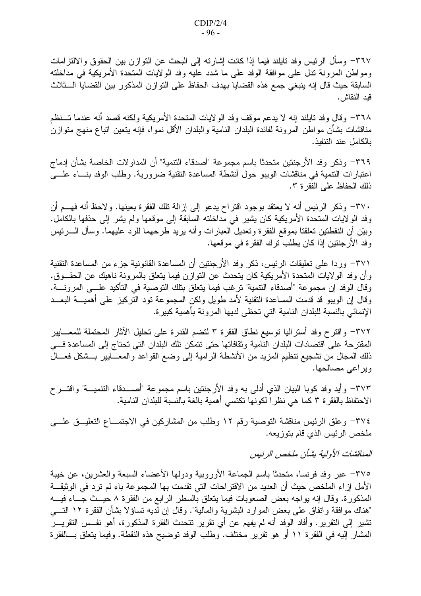٣٦٧– وسأل الرئيس وفد تايلند فيما إذا كانت إشارته إلى البحث عن التوازن بين الحقوق والالتزامات ومواطن المرونة ندل على موافقة الوفد على ما شدد عليه وفد الولايات المتحدة الأمريكية في مداخلته السابقة حيث قال إنه ينبغي جمع هذه القضايا بهدف الحفاظ على التوازن المذكور بين القضايا الـــثلاث قبد النقاش.

٣٦٨– وقال وفد تايلند إنه لا يدعم موقف وفد الولايات المتحدة الأمريكية ولكنه قصد أنه عندما تــنظم مناقشات بشأن مواطن المرونة لفائدة البلدان النامية والبلدان الأقل نموا، فإنه يتعين اتباع منهج متوازن بالكامل عند التنفيذ.

٣٦٩– وذكر وفد الأرجنتين متحدثا باسم مجموعة "أصدقاء التتمية" أن المداولات الخاصة بشأن إدماج اعتبارات التتمية في مناقشات الويبو حول أنشطة المساعدة التقنية ضرورية. وطلب الوفد بنساء علسي ذلك الحفاظ على الفقر ة ٣.

٣٧٠- وذكر الرئيس أنه لا يعتقد بوجود اقتراح يدعو إلى إزالة تلك الفقرة بعينها. ولاحظ أنه فهــم أن وفد الولايات المتحدة الأمريكية كان يشير في مداخلته السابقة إلى موقعها ولم يشر إلى حذفها بالكامل. وبيّن أن النقطتين تعلقتا بموقع الفقرة وتعديل العبارات وأنه يريد طرحهما للرد عليهما. وسأل الــــرئيس وفد الأرجنتين إذا كان يطلب ترك الفقرة في موقعها.

٣٧١– وردا على تعليقات الرئيس، ذكر وفد الأرجنتين أن المساعدة القانونية جزء من المساعدة التقنية وأن وفد الولايات المتحدة الأمريكية كان يتحدث عن النوازن فيما يتعلق بالمرونة ناهيك عن الحقـــوق. وقال الوفد إن مجموعة "أصدقاء التتمية" ترغب فيما يتعلق بتلك التوصية في التأكيد علـــي المرونــــة. وقال إن الويبو قد قدمت المساعدة النقنية لأمد طويل ولكن المجموعة تود التَّركيز على أهميـــة البعـــد الإنمائي بالنسبة للبلدان النامية التي تحظى لديها المرونة بأهمية كبيرة.

٣٧٢– واقترح وفد أستراليا نوسيع نطاق الفقرة ٣ لتضم القدرة على تحليل الآثار المحتملة للمعـــايير المقترحة على اقتصادات البلدان النامية وثقافاتها حتى نتمكن نلك البلدان التي تحتاج إلى المساعدة فسي ذلك المجال من تشجيع نتظيم المزيد من الأنشطة الرامية إلى وضع القواعد والمعـــايير بـــشكل فعـــال ويراعي مصالحها.

٣٧٣– وأيد وفد كوبا البيان الذي أدلمي به وفد الأرجنتين باسم مجموعة "أصــــدقاء التنميــــة" واقتـــر ح الاحتفاظ بالفقرة ٣ كما هي نظرا لكونها تكتسى أهمية بالغة بالنسبة للبلدان النامية.

٣٧٤- وعلق الرئيس مناقشة التوصية رقم ١٢ وطلب من المشاركين في الاجتمــاع التعليــق علـــى ملخص الرئيس الذي قام بتوزيعه.

المناقشات الأولية بشأن ملخص الرئيس

٣٧٥– عبر وفد فرنسا، متحدثًا باسم الجماعة الأوروبية ودولها الأعضاء السبعة والعشرين، عن خيبة الأمل إزاء الملخص حيث أن العديد من الاقتراحات التي تقدمت بها المجموعة باء لم ترد في الوثيقـــة المذكورة. وقال إنه يواجه بعض الصعوبات فيما يتعلق بالسطر الرابع من الفقرة ٨ حيــث جـــاء فيــــه "هناك موافقة وانفاق على بعض الموارد البشرية والمالية". وقال إن لديه تساؤلا بشأن الفقرة ١٢ النـــي تشير إلى التقرير . وأفاد الوفد أنه لم يفهم عن أي تقرير تتحدث الفقرة المذكورة، أهو نفــس التقريـــر المشار إليه في الفقرة ١١ أو هو تقرير مختلف. وطلب الوفد توضيح هذه النقطة. وفيما يتعلق بـــالفقرة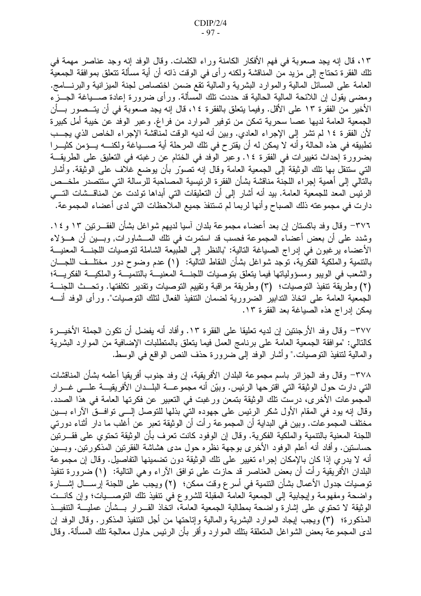١٣، قال إنه يجد صعوبة في فهم الأفكار الكامنة وراء الكلمات. وقال الوفد إنه وجد عناصر مهمة في تلك الفقرة تحتاج إلى مزيد من المناقشة ولكنه رأى في الوقت ذاته أن أية مسألة تتعلق بموافقة الجمعية العامة على المسائل المالية والموارد البشرية والمالية نقع ضمن اختصاص لجنة المبزانية والبرنسامج. ومضـي يقول إن اللائحة المالية الحالية قد حددت تلك المسألة. ورأى ضرورة إعادة صـــياغة الجـــزء الأخير من الفقرة ١٣ على الأقل. وفيما يتعلق بالفقرة ١٤، قال إنه يجد صعوبة في أن يتــصور بـــأن الجمعية العامة لديها عصـا سحرية تمكن من توفير الموارد من فراغ. وعبر الوفد عن خيبة أمل كبيرة لأن الفقرة ١٤ لم نشر إلى الإجراء العادي. وبين أنه لديه الوقت لمناقشة الإجراء الخاص الذي يجـــب تطبيقه في هذه الحالة وأنه لا يمكن له أن يقترح في تلك المرحلة أية صـــياغة ولكنــــه يـــؤمن كثيـــرا بضرورة إحداث تغييرات في الفقرة ١٤. وعبر الوفد في الختام عن رغبته في التعليق على الطريقة التـَّى ستتقل بـها تلك الوثيقة إلـِّي الـجمعية الـعامـة وقال إنـه تصوَّر بأن يوضـع غلاف علـي الوثيقة. وأشار بالتالي إلى أهمية إجراء اللجنة مناقشة بشأن الفقرة الرئيسية المصاحبة للرسالة التي ستتصدر ملخـــص الرئيس المعد للجمعية العامة. بيد أنه أشار إلى أن التعليقات التي أبداها تولدت عن المناقــشات التـــي دارت في مجموعته ذلك الصباح وأنها لربما لم تستنفذ جميع الملاحظات التي لدى أعضاء المجموعة.

٣٧٦– وقال وفد باكستان إن بعد أعضاء مجموعة بلدان آسيا لديهم شواغل بشأن الفقـــرتين ١٣ و ١٤. وشدد على أن بعض أعضاء المجموعة فحسب قد استمرت في نلك المـــشاورات, وبـــين أن هـــؤلاء الأعضاء يرغبون في إدراج الصياغة التالية: "بالنظر إلى الطبيعة الشاملة لنوصيات اللجنـــة المعنيـــة بالتنمية والملكية الفكرية، توجد شواغل بشأن النقاط التالية: (١) عدم وضوح دور مختلــف اللجـــان والشعب في الويبو ومسؤولياتها فيما يتعلق بتوصيات اللجنسة المعنيسة بالتتميسة والملكيسة الفكريسة؛ (٢) وطريقة نتفيذ التوصيات؛ (٣) وطريقة مراقبة وتقييم التوصيات وتقدير تكلفتها. وتحــث اللجنـــة الجمعية العامة على اتخاذ التدابير الضرورية لضمان التنفيذ الفعال لتلك التوصيات". ورأى الوفد أنــــه يمكن إدراج هذه الصياغة بعد الفقرة ١٣.

٣٧٧ - وقال وفد الأرجنتين إن لديه تعليقا على الفقرة ١٣. وأفاد أنه يفضل أن تكون الجملة الأخيـــرة كالنالبي: "موافقة الجمعية العامة على برنامج العمل فيما يتعلق بالمنطلبات الإضافية من الموارد البشرية والمالية لنتفيذ التوصيات." وأشار الوفد إلى ضرورة حذف النص الواقع في الوسط.

٣٧٨– وقال وفد الجزائر باسم مجموعة البلدان الأفريقية، إن وفد جنوب أفريقيا أعلمه بشأن المناقشات التي دارت حول الوثيقة التي اقترحها الرئيس. وبيّن أنه مجموعــــة البلــــدان الأفريقيــــة علــــي غــــرار المجموعات الأخرى، درست نلك الوثيقة بتمعن ورغبت في التعبير عن فكرتها العامة في هذا الصدد. وقال إنه يود في المقام الأول شكر الرئيس على جهوده التي بذلها للتوصل إلـــي توافـــق الأراء بـــين مختلف المجموعات. وبين في البداية أن المجموعة ر أت أن الوثيقة تعبر عن أغلب ما دار أثناء دورتي اللجنة المعنية بالتنمية والملكية الفكرية. وقال إن الوفود كانت نعرف بأن الوثيقة نحتوي على فقـــرتين حساستين. وأفاد أنه أعلم الوفود الأخرى بوجهة نظره حول مدى هشاشة الفقرنين المذكورنين. وبـــين أنه لا يدري إذا كان بالإمكان إجراء تغيير على تلك الوثيقة دون تضمينها التفاصيل. وقال إن مجموعة البلدان الأفريقية رأت أن بعض العناصر قد حازت على توافق الآراء وهي التالية: (١) ضرورة تنفيذ توصيات جدول الأعمال بشأن التتمية في أسر ع وقت ممكن؛ (٢) ويجب على اللجنة إرســـال إشــــار ة واضحة ومفهومة وإيجابية إلى الجمعية العامة المقبلة للشروع في نتفيذ تلك التوصـــيات؛ وإن كانـــت الوثيقة لا تحتوي على إشارة واضحة بمطالبة الجمعية العامة، اتخاذ القـــرار بـــشأن عمليـــة التنفيـــذ المذكورة؛ (٣) ويجب إيجاد الموارد البشرية والمالية وإناحتها من أجل النتفيذ المذكور. وقال الوفد إن لدى المجموعة بعض الشواغل المتعلقة بتلك الموارد وأقر بأن الرئيس حاول معالجة تلك المسألة. وقال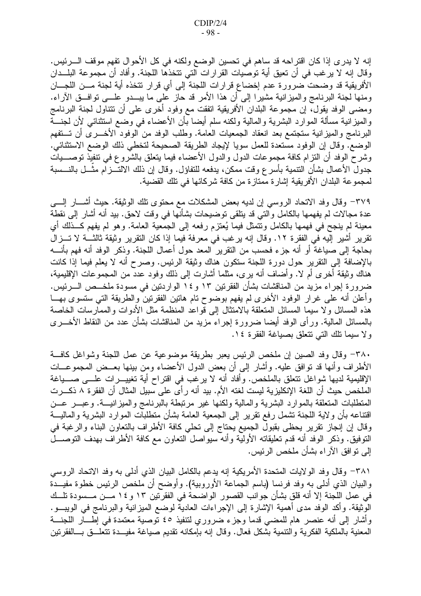إنه لا يدري إذا كان اقتراحه قد ساهم في تحسين الوضع ولكنه في كل الأحوال تفهم موقف الـــرئيس. وقال إنه لا يرغب في أن تعيق أية توصيات القرارات التي تتخذها اللجنة. وأفاد أن مجموعة البلـــدان الأفريقية قد وضحت ضرورة عدم إخضاع قرارات اللجنة إلى أي قرار نتخذه أية لجنة مــن اللجـــان ومنها لجنة البرنامج والميزانية مشيرًا إلى أن هذا الأمر قد حاز على ما يبـــدو علـــي توافـــق الأراء. ومضـي الوفد يقول، إن مجموعة البلدان الأفريقية اتفقت مـع وفود أخرى علـي أن نتنـاول لـجنة البرنـامـج والمبزانية مسألة الموارد البشرية والمالية ولكنه سلم أيضا بأن الأعضاء في وضع استثنائي لأن لجنـــة البرنامج والميزانية ستجتمع بعد انعقاد الجمعيات العامة. وطلب الوفد من الوفود الأخـــرى أن تـــتفهم الوضع. وقال إن الوفود مستعدة للعمل سويا لإيجاد الطريقة الصحيحة لتخطى ذلك الوضع الاستثنائي. وشرح الوفد أن النزام كافة مجموعات الدول والدول الأعضاء فيما يتعلق بالشروع في تنفيذ نوصـــيات جدول الأعمال بشأن النتمية بأسر ع وقت ممكن، يدفعه للتفاؤل. وقال إن ذلك الالتـــزام مثـــل بالنـــسبة لمجموعة البلدان الأفريقية إشار ة ممتاز ة من كافة شر كائها في تلك القضية.

٣٧٩– وقال وفد الاتحاد الروسي إن لديه بعض المشكلات مع محتوى نلك الوثيقة. حيث أشــــار إلــــي عدة مجالات لم يفهمها بالكامل والتي قد يتلقى توضيحات بشأنها في وقت لاحق. بيد أنه أشار إلى نقطة معينة لم ينجح في فهمها بالكامل ونتمثَّل فيما يُعتزم رفعه إلى الجمعية العامة. وهو لم يفهم كــذلك أي تقرير أشير إليه في الفقرة ١٢. وقال إنه يرغب في معرفة فيما إذا كان النقرير وثيقة ثالثــــة لا تـــزال بحاجة إلى صياغةٌ أو أنه جزء فحسب من النقرير المعد حول أعمال اللجنة. وذكر الوفد أنه فهم بأنــــه بالإضافة إلى النقرير حول دورة اللجنة ستكون هناك وثيقة الرئيس. وصرح أنه لا يعلم فيما إذا كانت هناك وثيقة أخرى أم لا. وأضاف أنه يرى، مثلما أشارت إلى ذلك وفود عددٌ من المجموعات الإقليمية، ضرورة إجراء مزيد من المناقشات بشأن الفقرنين ١٣ و ١٤ الواردنين في مسودة ملخــص الـــرئيس. وأعلن أنه على غرار الوفود الأخرى لم يفهم بوضوح نام هانين الفقرنين والطريقة التي ستسوى بهـــا هذه المسائل ولا سيما المسائل المتعلقة بالامتثال إلى قواعد المنظمة مثل الأدوات والممارسات الخاصة بالمسائل المالية. ورأى الوفد أيضا ضرورة إجراء مزيد من المناقشات بشأن عدد من النقاط الأخـــرى ولا سيما نلك التي نتعلق بصياغة الفقرة ١٤.

٣٨٠- وقال وفد الصين إن ملخص الرئيس يعبر بطريقة موضوعية عن عمل اللجنة وشواغل كافة الأطراف وأنها قد نوافق عليه. وأشار إلى أن بعض الدول الأعضاء ومن بينها بعــض المجموعـــات الإقليمية لديها شواغل نتعلق بالملخص. وأفاد أنه لا يرغب في اقتراح أية تغييـــرات علــــي صـــــياغة الملخص حيث أن اللغة الإنكليزية ليست لغته الأم. بيد أنه ر أي على سبيل المثال أن الفقرة ٨ ذكـــرت المنطلبات المنعلقة بالموارد البشرية والمالية ولكنها غير مرنبطة بالبرنامج والمبزانيـــة. وعبـــر عـــن اقتناعه بأن ولاية اللجنة نشمل رفع نقرير إلى الجمعية العامة بشأن منطلبآت الموارد البشرية والماليـــة وقال إن إنجاز نقرير يحظى بقبول الجميع يحتاج إلى تحلي كافة الأطراف بالنعاون البناء والرغبة في النوفيق. وذكر الوفد أنه قدم تعليقاته الأولية وأنه سيواصل النعاون مع كافة الأطراف بهدف النوصـــل إلىي نوافق الأراء بشأن ملخص الرئيس.

٣٨١– وقال وفد الولايات المتحدة الأمريكية إنه يدعم بالكامل البيان الذي أدلمي به وفد الاتحاد الروسي والبيان الذي أدلمي به وفد فرنسا (باسم الجماعة الأوروبية). وأوضح أن ملخص الرئيس خطوة مفيـــدة في عمل اللجنة إلا أنه قلق بشأن جوانب القصور الواضحة في الفقرنين ١٣ و ١٤ مـــن مـــسودة تلـــك الوثيقة. وأكد الوفد مدى أهمية الإشارة إلى الإجراءات العادية لوضع الميزانية والبرنامج في الويبـــو . وأشار إلى أنه عنصر هام للمضبي قدما وجزء ضروري لنتفيذ ٤٥ نوصية معتمدة في إطـــار اللجنــــة المعنية بالملكية الفكرية والتنمية بشكل فعال. وقال إنه بإمكانه تقديم صياغة مفيــدة تتعلـــق بـــالفقرتين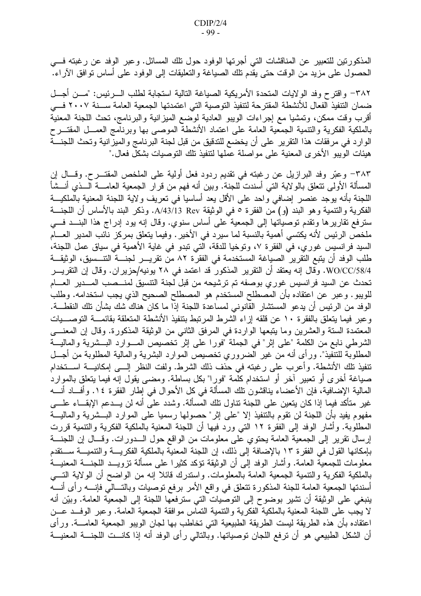المذكورتين للتعبير عن المناقشات التي أجرتها الوفود حول نلك المسائل. وعبر الوفد عن رغبته فسي الحصول على مزيد من الوقت حتى يقدم نلك الصياغة والتعليقات إلى الوفود على أساس توافق الآراء.

٣٨٢– واقترح وفد الولايات المتحدة الأمريكية الصياغة التالية استجابة لطلب السرئيس: "مسن أجسل ضمان التنفيذ الفعال للأنشطة المقترحة لتنفيذ التوصية التي اعتمدتها الجمعية العامة ســـنة ٢٠٠٧ فـــي أقرب وقت ممكن، وتمشيا مع إجراءات الويبو العادية لوضع الميزانية والبرنامج، تحث اللجنة المعنية بالملكية الفكرية والنتمية الجمعية العامة على اعتماد الأنشطة الموصبي بها وبرنامج العمـــل المقتـــرح الوارد في مرفقات هذا النقرير على أن يخضع للتدقيق من قبل لجنة البرنامج والميزانية وتحث اللجنــــة هيئات الويبو الأخرى المعنية على مواصلة عملها لنتفيذ نلك النوصيات بشكل فعال."

٣٨٣- وعبَّر وفد البرازيل عن رغبته في نقديم ردود فعل أولية على الملخص المقتـــرح. وقـــال إن المسألة الأولى نتعلق بالولاية التي أسندت للجنة. وبين أنه فهم من قرار الجمعية العامــــة الــــذي أنـــشأ اللجنة بأنه يوجد عنصر إضافي واحد على الأقل يعد أساسيا في نعريف ولاية اللجنة المعنية بالملكيـــة الفكرية والتتمية وهو البند (و) من الفقرة 0 في الوثيقة A/43/13 Rev. وذكر البند بالأساس أن اللجنة سترفع تقاريرها وتقدم توصياتها إلى الجمعية على أساس سنوى. وقال إنه يود إدراج هذا البنــد فـــي ملخص الرئيس لأنه يكتسى أهمية بالنسبة لما سيرد في الأخير . وفيما يتعلق بمركز نائب المدير العسام السيد فرانسيس غوري، في الفقرة ٧، وتوخيا للدقة، التي تبدو في غاية الأهمية في سياق عمل اللجنة، طلب الوفد أن يتبع التقرير الصياغة المستخدمة في الفقرة ٨٢ من تقريـــر لجنـــة التنــسيق، الوثيقـــة WO/CC/58/4. وقال إنه يعتقد أن التقرير المذكور قد اعتمد في ٢٨ يونيه/حزير ان. وقال إن التقريـــر تحدث عن السيد فرانسيس غوري بوصفه تم ترشيحه من قبل لجنة التنسيق لمنسصب المسدير العسام للويبو . وعبر عن اعتقاده بأن المصطلح المستخدم هو المصطلح الصحيح الذي يجب استخدامه. وطلب الوفد من الرئيس أن يدعو المستشار القانوني لمساعدة اللجنة إذا ما كان هناك شك بشأن تلك النقطـــة. وعبر فيما يتعلق بالفقرة ١٠ عن قلقه إزاء الشرط المرتبط بتنفيذ الأنشطة المتعلقة بقائمـــة التوصـــيات المعتمدة الستة والعشرين وما يتبعها الواردة في المرفق الثاني من الوثيقة المذكورة. وقال إن المعنسي الشرطي نابع من الكلمة "على إثر" في الجملة "فورًا على إثر تخصيص المـوارد البــشرية والماليـــة المطلوبة للتنفيذ". ورأى أنه من غير الضروري تخصيص الموارد البشرية والمالية المطلوبة من أجـــل تنفيذ تلك الأنشطة. وأعرب على رغبته في حذف ذلك الشرط. ولفت النظر إلـــي إمكانيـــة اســـتخدام صياغة أخرى أو تعبير أخر أو استخدام كلمة "فورا" بكل بساطة. ومضىي يقول إنه فيما يتعلق بالموارد المالية الإضافية، فإن الأعضاء يناقشون تلك المسألة في كل الأحوال في إطار الفقرة ١٤. وأفـــاد أنــــه غير متأكد فيما إذا كان يتعين على اللجنة تناول نلك المسألة. وشدد على أنه لن يـــدعم الإبقـــاء علــــي مفهوم يفيد بأن اللجنة لن نقوم بالنتفيذ إلا "على إثر" حصولها رسميا على الموارد البـــشرية والماليـــة المطلوبة. وأشار الوفد إلى الفقرة ١٢ التي ورد فيها أن اللجنة المعنية بالملكية الفكرية والتتمية قررت إرسال نقرير إلى الجمعية العامة يحتوي على معلومات من الواقع حول السدورات. وقسال إن اللجنسة بإمكانها القول في الفقرة ١٣ بالإضافة إلى ذلك، إن اللجنة المعنية بالملكية الفكريــــة والتتميـــة ســـتقدم معلومات للجمعية العامة. وأشار الوفد إلى أن الوثيقة نؤكد كثيرًا على مسألة نزويــد اللجنـــة المعنيـــة بالملكية الفكرية والتتمية الجمعية العامة بالمعلومات. واستدرك قائلا إنه من الواضح أن الولاية التـــي أسندتها الجمعية العامة للجنة المذكورة نتعلق في واقع الأمر برفع توصيات وبالنسالي فإنسه رأى أنسه ينبغي على الوثيقة أن نشير بوضوح إلى النوصيات التي سترفعها اللجنة إلى الجمعية العامة. وبيّن أنه لا يجب على اللجنة المعنية بالملكية الفكرية والنتمية النماس موافقة الجمعية العامة. وعبر الوفــد عــن اعتقاده بأن هذه الطريقة ليست الطريقة الطبيعية التي تخاطب بها لجان الويبو الجمعية العامــــة. ورأى أن الشكل الطبيعي هو أن نرفع اللجان نوصياتها. وبالنالي رأى الوفد أنه إذا كانـــت اللجنـــة المعنيـــة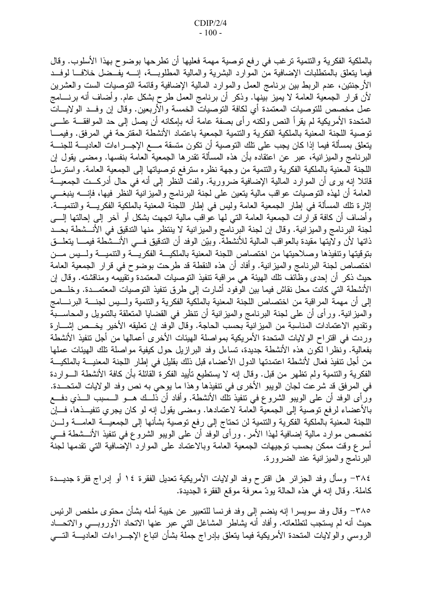بالملكية الفكرية والتنمية ترغب في رفع توصية مهمة فعليها أن نطرحها بوضوح بهذا الأسلوب. وقال فيما يتعلق بالمتطلبات الإضافية من الموارد البشرية والمالية المطلوبسة، إنسه يفسضل خلاف الوفـد الأرجنتين، عدم الربط بين برنامج العمل والموارد المالية الإضافية وقائمة التوصيات الست والعشرين لأن قرار الجمعية العامة لا يميز بينها. وذكر أن برنامج العمل طرح بشكل عام. وأضاف أنه برنــــامج عمل مخصص للتوصيات المعتمدة أي لكافة التوصيات الخمسة والأربعين. وقال إن وفــد الولايـــات المتحدة الأمريكية لم يقرأ النص ولكنه رأى بصفة عامة أنه بإمكانه أن يصل إلى حد الموافقـــة علــــى توصية اللجنة المعنية بالملكية الفكرية والتتمية الجمعية باعتماد الأنشطة المقترحة في المرفق. وفيمـــا يتعلق بمسألة فيما إذا كان يجب على تلك النوصية أن تكون متسقة مـــع الإجـــراءات العاديــــة للجنــــة البرنامج والميزانية، عبر عن اعتقاده بأن هذه المسألة نقدرها الجمعية العامة بنفسها. ومضـى يقول إن اللجنة المعنية بالملكية الفكرية والنتمية من وجهة نظره سترفع توصياتها إلى الجمعية العامة. واسترسل قائلا إنه يرى أن الموارد المالية الإضافية ضرورية. ولفت النظر إلى أنه في حال أدركــت الجمعيـــة العامة أن لهذه التوصيات عواقب مالية يتعين على لجنة البرنامج والميزانية النظر فيها، فإنسه ينبغي إثار ة تلك المسألة في إطار الجمعية العامة وليس في إطار اللجنة المعنية بالملكية الفكريــــة والتنميـــة. وأضاف أن كافة قرارات الجمعية العامة النبي لها عواقب مالية انجهت بشكل أو آخر إلىي إحالتها إلــــي لجنة البرنامج والميز انية. وقال إن لجنة البرنامج والميز انية لا ينتظر منها التدقيق في الأنـــشطة بحـــد ذاتها لأن ولايتها مقيدة بالعواقب المالية للأنشطة. وبيّن الوفد أن الندقيق فسي الأنـــشطة فيمـــا يتعلـــق بتوقيتها ونتفيذها وصلاحيتها من اختصاص اللجنة المعنية بالملكيـــة الفكريـــة والتنميـــة ولـــيس مـــن اختصاص لجنة البرنامج والميزانية. وأفاد أن هذه النقطة قد طرحت بوضوح في قرار الجمعية العامة حيث ذكر أن إحدى وظائف تلك الهيئة هي مراقبة تنفيذ التوصيات المعتمدة وتقييمه ومناقشته. وقال إن الأنشطة التي كانت محل نقاش فيما بين الوفود أشارت إلى طرق نتفيذ التوصيات المعتمــدة. وخلــص إلى أن مهمة المر اقبة من اختصاص اللجنة المعنية بالملكية الفكرية والتنمية ولسيس لجنسة البرنسامج والميز انية. ورأى أن على لجنة البرنامج والميز انية أن نتظر في القضايا المتعلقة بالتمويل والمحاســبة وتقديم الاعتمادات المناسبة من الميزانية بحسب الحاجة. وقال الوفد إن تعليقه الأخير يخــص إشـــار ة وردت في اقتراح الولايات المتحدة الأمريكية بمواصلة الهيئات الأخرى أعمالها من أجل تتفيذ الأنشطة بفعالية. ونظرًا لكون هذه الأنشطة جديدة، تساءل وفد البرازيل حول كيفية مواصلة تلك الهيئات عملها من أجل تتفيذ فعال لأنشطة اعتمدتها الدول الأعضاء قبل ذلك بقليل في إطار اللجنة المعنيـــة بالملكيـــة الفكرية والتنمية ولم تظهر من قبل. وقال إنه لا يستطيع تأييد الفكرة القائلة بأن كافة الأنشطة الـــواردة في المرفق قد شرعت لجان الويبو الأخرى في تنفيذها وهذا ما يوحي به نص وفد الولايات المتحـــدة. ورأى الوفد أن على الويبو الشروع في تنفيذ تلك الأنشطة. وأفاد أن ذلــك هـــو الـــسبب الـــذي دفـــع بالأعضاء لرفع توصية إلى الجمعية العامة لاعتمادها. ومضىي يقول إنه لو كان يجري تتفيــذها، فـــإن اللجنة المعنية بالملكية الفكرية والنتمية لن تحتاج إلى رفع نوصية بشأنها إلى الجمعيـــة العامـــة ولـــن تخصص موارد مالية إضافية لهذا الأمر . ورأى الوفد أن على الويبو الشروع في تنفيذ الأنـــشطة فـــي أسرع وقت ممكن بحسب نوجيهات الجمعية العامة وبالاعتماد على الموارد الإضافية التي نقدمها لجنة البرنامج والميزانية عند الضرورة.

٣٨٤– وسأل وفد الجزائر هل اقترح وفد الولايات الأمريكية تعديل الفقرة ١٤ أو إدراج فقرة جديــدة كاملة. وقال إنه في هذه الحالة يودّ معرفة موقع الفقرة الجديدة.

٣٨٥– وقال وفد سويسرا إنه ينضم إلى وفد فرنسا للتعبير عن خيبة أمله بشأن محتوى ملخص الرئيس حيث أنه لم يستجب لتطلعاته. وأفادٌ أنه يشاطر المشاغل التي عبر عنها الاتحاد الأوروبـــي والاتحـــاد الروسي والولايات المتحدة الأمريكية فيما يتعلق بإدراج جملة بشأن انباع الإجـــراءات العاديــــة النــــي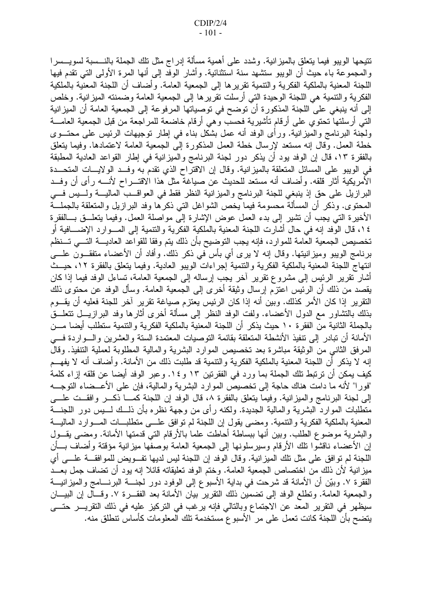تتيحها الويبو فيما يتعلق بالميزانية. وشدد على أهمية مسألة إدراج مثل تلك الجملة بالنسسبة لسويسسرا والمجموعة باء حيث أن الويبو ستشهد سنة استثنائية. وأشار الوفد إلى أنها المرة الأولى التي تقدم فيها اللجنة المعنية بالملكية الفكرية والنتمية نقريرها إلى الجمعية العامة. وأضاف أن اللجنة المعنية بالملكية الفكرية والتنمية هي اللجنة الوحيدة التي أرسلت نقريرها إلى الجمعية العامة وضمنته الميزانية. وخلص إلى أنه ينبغي على اللجنة المذكورة أن توضح في توصياتها المرفوعة إلى الجمعية العامة أن الميزانية النبي أرسلتها تحتوي على أرقام تأشيرية فحسب وهي أرقام خاضعة للمراجعة من قبل الجمعية العامــــة ولجنة البرنامج والميزانية. ورأى الوفد أنه عمل بشكل بناء في إطار توجيهات الرئيس على محتـــوى خطة العمل. وقال إنه مستعد لإرسال خطة العمل المذكورة إلى الجمعية العامة لاعتمادها. وفيما يتعلق بالفقرة ١٣، قال إن الوفد يود أن يذكر دور لجنة البرنامج والميزانية في إطار القواعد العادية المطبقة في الويبو على المسائل المتعلقة بالميزانية. وقال إن الاقتراح الذي تقدم به وفــد الولايـــات المتحـــدة الأمريكية أثار قلقه. وأضاف أنه مستعد للحديث عن صياغة مثل هذا الاقتـــراح لأنــــه رأى أن وفـــد البرازيل على حق إذ ينبغي للجنة البرنامج والميزانية النظر فقط في العواقــب الماليـــة ولـــيس فـــي المحتوى. وذكر أن المسألة محسومة فيما يخص الشواغل التي ذكرها وفد البرازيل والمتعلقة بالجملـــة الأخيرة التـي يـجب أن نشير إلـي بدء العمل عوض الإشارة إلـي مواصلة العمل. وفيما يتعلـــق بــــالفقرة ٤ ١، قال الوفد إنه في حال أشارت اللجنة المعنية بالملكية الفكرية والنتمية إلى المسوارد الإضسافية أو تخصيص الجمعية العامة للموارد، فإنه يجب التوضيح بأن ذلك يتم وفقا للقواعد العاديـــة التـــي تـــنظم برنامج الويبو وميزانيتها. وقال إنه لا يرى أي بأس في ذكر ذلك. وأفاد أن الأعضاء متفقـــون علــــي انتهاج اللجنة المعنية بالملكية الفكرية والنتمية إجراءات الويبو العادية. وفيما يتعلق بالفقرة ١٢، حيــث أشار نقرير الرئيس إلى مشروع نقرير آخر يجب إرساله إلى الجمعية العامة، تساءل الوفد فيما إذا كان يقصد من ذلك أن الرئيس اعتزم إرسال وثيقة أخرى إلى الجمعية العامة. وسأل الوفد عن محتوى ذلك النقرير إذا كان الأمر كذلك. وبين أنه إذا كان الرئيس يعتزم صياغة نقرير آخر للجنة فعليه أن يقـــوم بذلك بالنشاور مع الدول الأعضاء. ولفت الوفد النظر إلى مسألة أخرى أثارها وفد البرازيـــل نتعلـــق بالجملة الثانية من الفقرة ١٠ حيث يذكر أن اللجنة المعنية بالملكية الفكرية والنتمية ستطلب أيضا مــن الأمانة أن نبادر إلى نتفيذ الأنشطة المتعلقة بقائمة التوصيات المعتمدة الستة والعشرين والسواردة فسي المرفق الثانـي من الوثيقة مباشرة بعد تخصيص الموارد البشرية والمالية المطلوبة لعملية التنفيذ. وقال إنه لا يذكر أن اللجنة المعنية بالملكية الفكرية والتنمية قد طلبت ذلك من الأمانة. وأضاف أنه لا يفهــم كيف يمكن أن ترتبط تلك الجملة بما ورد في الفقرتين ١٣ و ١٤. وعبر الوفد أيضا عن قلقه إزاء كلمة "فورا" لأنه ما دامت هناك حاجة إلى تخصيص الموارد البشرية والمالية، فإن على الأعـــضاء النوجــــه إلى لجنة البر نامج و الميز انية. وفيما يتعلق بالفقر ة ٨، قال الوفد إن اللجنة كمـــا ذكــر وافقــت علـــى منطلبات الموارد البشرية والمالية الجديدة. ولكنه رأى من وجهة نظره بأن ذلـــك لــــيس دور اللـجنــــة المعنية بالملكية الفكرية والتنمية. ومضيى يقول إن اللجنة لم نوافق علـــي منطلبـــات المــــوارد الماليـــة والبشرية موضوع الطلب. وبين أنها ببساطة أحاطت علما بالأرقام التي قدمتها الأمانة. ومضىي يقــول إن الأعضاء ناقشوا تلك الأرقام وسيرسلونها إلى الجمعية العامة بوصفها ميزانية مؤقتة وأضاف بـــأن اللجنة لم توافق على مثل تلك الميز انية. وقال الوفد إن اللجنة ليس لديها تفـــويض للموافقـــة علــــي أي ميز انية لأن ذلك من اختصاص الجمعية العامة. وختم الوفد تعليقاته قائلا إنه يود أن تضاف جمل بعــد الْفَقَرَة ٧. وبَيِّن أن الأمانة قد شرحت في بداية الأسبوع إلى الوفود دور لجنــــة البرنــــامج والميزانيـــة والجمعية العامة. ونطلع الوفد إلى نضمين ذلك النقرير بيان الأمانة بعد الفقـــرة ٧. وقـــال إن البيـــان سيظهر في التقرير المعد عن الاجتماع وبالتالي فإنه يرغب في التركيز عليه في ذلك التقريـــر حتــــي يتضح بأن اللجنة كانت تعمل على مر الأسبو ع مستخدمة تلك المعلومات كأساس تنطلق منه.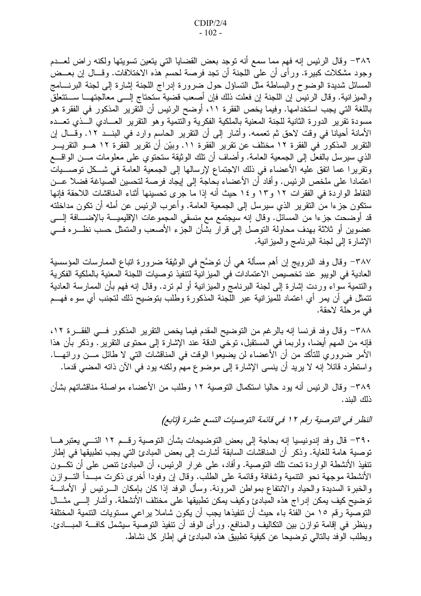٣٨٦– وقال الرئيس إنه فهم مما سمع أنه توجد بعض القضايا التي يتعين تسويتها ولكنه راض لعـــدم وجود مشكلات كبيرة. ورأى أن على اللجنة أن تجد فرصة لحسم هذه الاختلافات. وقـــال إن بعـــض المسائل شديدة الوضوح والبساطة مثل التساؤل حول ضرورة إدراج اللجنة إشارة إلىي لجنة البرنسامج والميز انية. وقال الرئيس إن اللجنة إن فعلت ذلك فإن أصعب قضية ستحتاج إلـــي معالجتهـــا ســـتتعلق باللغة التي يجب استخدامها. وفيما يخص الفقرة ١١، أوضح الرئيس أن التقرير المذكور في الفقرة هو مسودة نقرير الدورة الثانية للجنة المعنية بالملكية الفكرية والنتمية وهو النقرير العـــادي الـــذي تعـــده الأمانة أحيانا في وقت لاحق ثم تعممه. وأشار إلى أن النقرير الحاسم وارد في البنــد ١٢. وقــال إن التقرير المذكور في الفقرة ١٢ مختلف عن تقرير الفقرة ١١. وبيّن أن تقرير الفقرة ١٢ هـــو التقريـــر الذي سيرسل بالفعل إلى الجمعية العامة. وأضاف أن نلك الوثيقة ستحتوي على معلومات مـــن الواقــــع ونقريرًا عما اتفق عليه الأعضاء في ذلك الاجتماع لإرسالها إلى الجمعية العامة في شــكل توصـــيات اعتمادا على ملخص الرئيس. وأفاد أن الأعضاء بحاجة إلى إيجاد فرصة لتحسين الصياغة فضلا عـــن النقاط الواردة في الفقرات ١٢ و١٣ و ١٤ حيث أنه إذا ما جرى تحسينها أثناء المناقشات اللاحقة فإنها ستكون جزءا من النقرير الذي سيرسل إلى الجمعية العامة. وأعرب الرئيس عن أمله أن تكون مداخلته قد أوضحت جزءا من المسائل. وقال إنه سيجتمع مع منسقي المجموعات الإقليميـــة بالإضــــافة إلــــى عضوين أو ثلاثة بهدف محاولة التوصل إلى قرار بشأن الجزء الأصعب والمتمثل حسب نظـــره فــــى الإشارة إلى لجنة البرنامج والميزانية.

٣٨٧– وقال وفد النرويج إن أهم مسألة هي أن توضَّح في الوثيقة ضرورة اتباع الممارسات المؤسسية العادية في الويبو عند تخصيص الاعتمادات في الميز انية لتنفيذ توصيات اللجنة المعنية بالملكية الفكرية والنتمية سواء وردت إشارة إلىي لجنة البرنامج والميزانية أو لم نرد. وقال إنه فهم بأن الممارسة العادية تتمثَّل في أن يمر أي اعتماد للميزانية عبر اللجنة المذكورة وطلب بتوضيح ذلك لتجنب أي سوء فهـــم في مرحلة لاحقة.

٣٨٨- وقال وفد فرنسا إنه بالرغم من النوضيح المقدم فيما يخص النقرير المذكور فسي الفقـــرة ١٢، فإنه من الممم أيضا، ولربما في المستقبل، توخي الدقة عند الإشارة إلى محتوى التقرير . وذكر بأن هذا الأمر ضروري للتأكد من أن الأعضاء لن يضيعوا الوقت في المناقشات التي لا طائل مـــن ورائهـــا. واستطرد قائلًا إنه لا يريد أن ينسى الإشارة إلى موضوع مهم ولكنه يود في الآن ذاته المضيي قدما.

٣٨٩– وقال الرئيس أنه يود حاليا استكمال التوصية ١٢ وطلب من الأعضاء مواصلة مناقشاتهم بشأن ذلك البند.

النظر في التوصية رقم ١٢ في قائمة التوصيات التسع عشرة (تابع)

٣٩٠– قال وفد إندونيسيا إنه بحاجة إلى بعض التوضيحات بشأن التوصية رقــم ١٢ التـــى يعتبر هـــا توصية هامة للغاية. وذكر أن المناقشات السابقة أشارت إلى بعض المبادئ التي يجب تطبيقها في إطار نتفيذ الأنشطة الواردة تحت نلك التوصية. وأفاد، على غرار الرئيس، أن المبادئ تنص على أن نكــون الأنشطة موجهة نحو التنمية وشفافة وقائمة على الطلب. وقال إن وفودا أخرى ذكرت مبــدأ التـــوازن والخبرة السديدة والحياد والانتفاع بمواطن المرونة. وسأل الوفد إذا كان بإمكان الــــرئيس أو الأمانــــة توضيح كيف يمكن إدراج هذه المبادئ وكيف يمكن تطبيقها على مختلف الأنشطة. وأشار إلـــي مثـــال التوصية رقم ١٥ من الفئة باء حيث أن تنفيذها يجب أن يكون شاملا يراعي مستويات التتمية المختلفة وينظر في إقامة توازن بين التكاليف والمنافع. ورأى الوفد أن نتفيذ التوصية سيشمل كافـــة المبــــادئ. ويطلب الوفد بالنالي توضيحا عن كيفية تطبيق هذه المبادئ في إطار كل نشاط.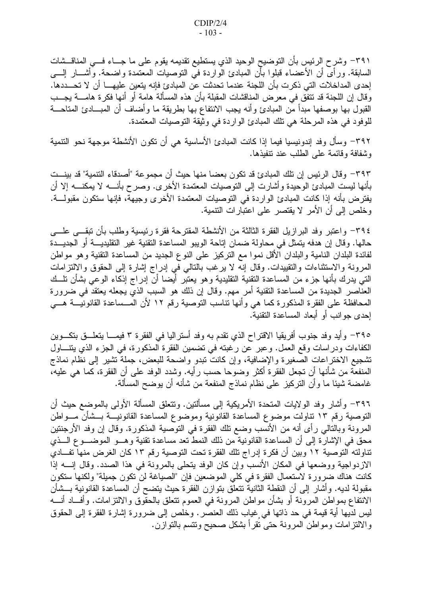٣٩١– وشرح الرئيس بأن التوضيح الوحيد الذي يستطيع تقديمه يقوم على ما جـــاء فـــي المناقـــشات السابقة. ورأى أن الأعضاء قبلوا بأن المبادئ الواردة في النوصيات المعتمدة واضحة. وأشـــار إلــــي إحدى المداخلات التي ذكرت بأن اللجنة عندما تحدثت عن المبادئ فإنه يتعين عليهــــا أن لا تحــــددها. وقال إن اللجنة قد تتفق في معرض المناقشات المقبلة بأن هذه المسألة هامة أو أنها فكرة هامــــة يجـــب القبول بها بوصفها مبدأ من المبادئ وأنه يجب الانتفاع بها بطريقة ما وأضاف أن المبـــادئ المتاحـــة للوفود في هذه المرحلة هي تلك المبادئ الواردة في وثيقة التوصيات المعتمدة.

٣٩٢– وسأل وفد إندونيسيا فيما إذا كانت المبادئ الأساسية هي أن نكون الأنشطة موجهة نحو النتمية وشفافة وقائمة على الطلب عند نتفيذها.

٣٩٣ – وقال الرئيس إن تلك المبادئ قد تكون بعضا منها حيث أن مجموعة "أصدقاء التنمية" قد بينـــت بأنها ليست المبادئ الوحيدة وأشارت إلى النوصيات المعتمدة الأخرى. وصرح بأنــــه لا يمكنــــه إلا أن يفترض بأنه إذا كانت المبادئ الواردة في التوصيات المعتمدة الأخرى وجيهة، فإنها ستكون مقبولـــة. وخلص إلى أن الأمر لا يقتصر على اعتبار ات التنمية.

٣٩٤– واعتبر وفد البرازيل الفقرة الثالثة من الأنشطة المقترحة فقرة رئيسية وطلب بأن تبقـــي علــــي حالها. وقال إن هدفه يتمثل في محاولة ضمان إتاحة الويبو المساعدة التقنية غير التقليديــــة أو الجديـــدة لفائدة البلدان النامية والبلدان الأقل نموا مع التركيز على النوع الجديد من المساعدة التقنية وهو مواطن المرونة والاستثناءات والنقييدات. وقال إنه لا يرغب بالنالمي في إدراج إشارة إلى الحقوق والالتزامات التـي يدرك بأنـها جزء من المساعدة النقنية النقليدية وهو يعتبر أيضـا أن إدراج إذكاء الوعـي بشأن نلــك العنَّاصر الجديدة من المساعدة التقنية أمر مهم. وقال إن ذلك هو السبب الذي يجعله يعتقدٌ في ضرورة المحافظة على الفقرة المذكورة كما هي وأنها نتاسب التوصية رقم ١٢ لأن المــساعدة القانونيـــة هـــي إحدى جو انب أو أبعاد المساعدة التقنية.

٣٩٥– وأيد وفد جنوب أفريقيا الاقتراح الذي نقدم به وفد أستراليا في الفقرة ٣ فيمـــا يتعلـــق بتكـــوين الكفاءات ودراسات وقع العمل. وعبر عن رغبته في تضمين الفقرة المذكورة، في الجزء الذي يتنـــاول تشجيع الاختراعات الصغيرة والإضافية، وإن كانت نبدو واضحة للبعض، جملة نشير إلى نظام نماذج المنفعة من شأنها أن تجعل الفقرة أكثر وضوحا حسب رأيه. وشدد الوفد على أن الفقرة، كما هي عليه، غامضة شيئا ما وأن النركيز على نظام نماذج المنفعة من شأنه أن يوضح المسألة.

٣٩٦– وأشار وفد الولايات المتحدة الأمريكية إلى مسألتين. وتتعلق المسألة الأولى بالموضع حيث أن النوصية رقم ١٣ نتاولت موضوع المساعدة القانونية وموضوع المساعدة القانونيـــة بـــشأن مـــواطن المرونة وبالتالي رأى أنه من الأنسب وضع نلك الفقرة في التوصية المذكورة. وقال إن وفد الأرجنتين محق في الإشارة إلى أن المساعدة القانونية من ذلك النمط تعد مساعدة تقنية وهـــو الموضــــو ع الـــذي تناولته التوصية ١٢ وبين أن فكرة إدراج تلك الفقرة تحت التوصية رقم ١٣ كان الغرض منها تفـــادي الازدواجية ووضعها في المكان الأنسب وإن كان الوفد يتحلى بالمرونة في هذا الصدد. وقال إنسه إذا كانت هناك ضرورة لاستعمال الفقرة في كلي الموضعين فإن "الصياغة لن تكون جميلة" ولكنها ستكون مقبولة لديه. وأشار إلى أن النقطة الثانية تتعلق بتوازن الفقرة حيث يتضح أن المساعدة القانونية بـــشأن الانتفاع بمواطن المرونة أو بشأن مواطن المرونة في العموم نتعلق بالحقوق والالتزامات. وأفـــاد أنــــه ليس لديها أية قيمة في حد ذاتها في غياب ذلك العنصر . وخلص إلى ضرورة إشارة الفقرة إلى الحقوق والالنز امات ومواطن المرونة حتى نقرأ بشكل صحيح ونتسم بالنوازن.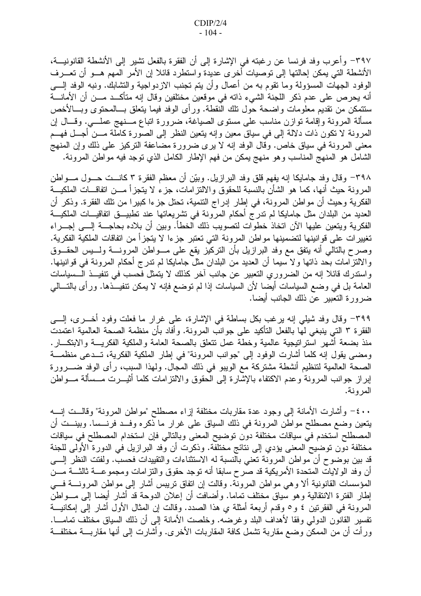٣٩٧– وأعرب وفد فرنسا عن رغبته في الإشارة إلى أن الفقرة بالفعل تشير إلى الأنشطة القانونيـــة، الأنشطة التي يمكن إحالتها إلى توصيات أخرى عديدة واستطرد قائلا إن الأمر المهم هـــو أن تعــــرف الوفود الجهات المسؤولة وما نقوم به من أعمال وأن يتم تجنب الازدواجية والتشابك. ونبه الوفد إلــــي أنه يحرص على عدم ذكر اللجنة الشيء ذاته في موقعين مختلفين وقال إنه متأكــد مـــن أن الأمانــــة ستتمكن من نقديم معلومات واضحة حول نلك النقطة. ورأى الوفد فيما يتعلق بـــالمحتوى وبـــالأخص مسألة المرونة وإقامة توازن مناسب على مستوى الصياغة، ضرورة اتباع مـــنهج عملـــي. وقـــال إن المرونة لا نكون ذات دلالة إلى في سياق معين وإنه يتعين النظر إلى الصورة كاملة مـــن أجـــل فهـــم معنى المرونة في سياق خاص. وقال الوفد إنه لا يرى ضرورة مضاعفة التركيز على ذلك وإن المنهج الشامل هو المنهج المناسب وهو منهج يمكن من فهم الإطار الكامل الذي نوجد فيه مواطن المرونة.

٣٩٨– وقال وفد جامايكا إنه يفهم قلق وفد البرازيل. وبيّن أن معظم الفقرة ٣ كانــت حـــول مـــواطن المرونة حيث أنها، كما هو الشأن بالنسبة للحقوق والالتزامات، جزء لا يتجزأ مـــن اتفاقـــات الملكيـــة الفكرية وحيث أن مواطن المرونة، في إطار إدراج التنمية، تحتل جزءا كبيرا من تلك الفقرة. وذكر أن العديد من البلدان مثل جامايكا لم ندرج أحكام المرونة في تشريعاتها عند نطبيـــق اتفاقيــــات الملكيـــة الفكرية ويتعين عليها الآن اتخاذ خطوات لتصويب ذلك الخطأ. وبين أن بلاده بحاجـــة إلـــي إجـــراء تغييرات على قوانينها لتضمينها مواطن المرونة التي تعتبر جزءا لا يتجزأ من اتفاقات الملكية الفكرية. وصرح بالنتالي أنه يتفق مع وفد البرازيل بأن النركيز يقع على مـــواطن المرونــــة ولــــيس الحقـــوق والالتزامات بحد ذاتها ولا سيما أن العديد من البلدان مثل جامايكا لم تدرج أحكام المرونة في قوانينها. واستدرك قائلا إنه من الضروري التعبير عن جانب آخر كذلك لا يتمثّل فحسب في تنفيــذ الــسياسات العامة بل في وضع السياسات أيضا لأن السياسات إذا لم توضع فإنه لا يمكن تنفيــذها. ورأى بالتـــالـي ضرورة التعبير عن ذلك الجانب أيضا.

٣٩٩– وقال وفد شيلبي إنه برغب بكل بساطة في الإشارة، على غرار ما فعلت وفود أخــــرى، إلــــي الفقرة ٣ التـي ينبغـي لـها بالفعل التأكيد علـي جوانب المرونـة. وأفاد بـأن منظمـة الصـحـة الـعالميـة اعتمدت منذ بضعة أشهر استراتيجية عالمية وخطة عمل نتعلق بالصحة العامة والملكية الفكريـــة والابتكـــار . ومضى يقول إنه كلما أشارت الوفود إلى "جوانب المرونة" في إطار الملكية الفكرية، تــدعى منظمـــة الصحة العالمية لتتظيم أنشطة مشتركة مع الويبو في ذلك المجال. ولهذا السبب، ر أي الوفد ضــــرورة إبراز جوانب المرونة وعدم الاكتفاء بالإشارة إلىي الحقوق والالتزامات كلما أثيـــرت مـــسألة مــــواطن المر ونة.

٤٠٠ - وأشارت الأمانة إلى وجود عدة مقاربات مختلفة إزاء مصطلح "مواطن المرونة" وقالــت إنـــه يتعين وضع مصطلح مواطن المرونة في ذلك السياق على غرار ما ذكره وفــد فرنـــسا. وبينـــت أن المصطلح استخدم في سياقات مختلفة دون نوضيح المعنى وبالتالي فإن استخدام المصطلح في سياقات مختلفة دون نوضيح المعنى يؤدي إلى نتائج مختلفة. وذكرت أن وفد البرازيل في الدورة الأولى للجنة قد بين بوضوح أن مواطن المرونة تعني بالنسبة له الاستثناءات والتقييدات فحسب. ولفتت النظر إلــــي أن وفد الولايات المتحدة الأمريكية قد صرح سابقا أنه نوجد حقوق والنز امات ومجموعـــة ثالثــــة مـــن المؤسسات القانونية ألا وهي مواطن المرونة. وقالت إن اتفاق نريبس أشار إلى مواطن المرونــــة فــــي إطار الفترة الانتقالية وهو سياق مختلف تماما. وأضافت أن إعلان الدوحة قد أشار أيضا إلى مـــواطن المرونة في الفقرنين ٤ و ٥ وقدم أربعة أمثلة ي هذا الصدد. وقالت إن المثال الأول أشار إلى إمكانيـــة تفسير القانون الدولي وفقا لأهداف البلد وغرضه. وخلصت الأمانة إلى أن ذلك السياق مختلف تمامـــا. ور أت أن من الممكن وضع مقاربة نشمل كافة المقاربات الأخرى. وأشارت إلى أنها مقاربـــة مختلفـــة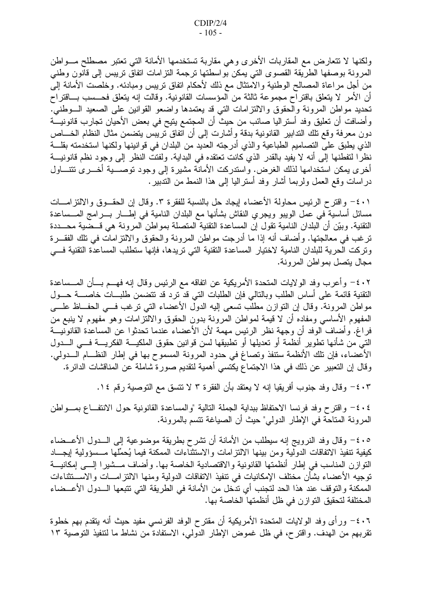ولكنها لا نتعارض مع المقاربات الأخرى وهي مقاربة نستخدمها الأمانة التي نعتبر مصطلح مـــواطن المرونة بوصفها الطريقة القصوى التي يمكن بواسطتها نرجمة النزامات اتفاق نريبس إلىي قانون وطنبي من أجل مراعاة المصـالح الوطنية والامتثال مـع ذلك لأحكام اتفاق نريبس ومبادئه. وخلصت الأمانـة إلـي أن الأمر لا يتعلق باقتراح مجموعة ثالثة من المؤسسات القانونية. وقالت إنه يتعلق فحـــسب بــــاقتراح تحديد مواطن المرونة والحقوق والالتزامات التبي قد يعتمدها واضعو القوانين على الصعيد السوطنبي. وأضافت أن تعليق وفد أستراليا صائب من حيث أن المجتمع يتيح في بعض الأحيان تجارب قانونيـــة دون معرفة وقع نلك الندابير القانونية بدقة وأشارت إلى أن انفاق نريبس يتضمن مثال النظام الخـــاص الذي يطبق علىّ النصاميم الطباعية والذي أدرجته العديد من البلدان في قوانينها ولكنها استخدمته بقلـــة نظرًا لتفطنها إلى أنه لا يفيد بالقدر الذي كانت تعتقده في البداية. ولفتت النظر إلى وجود نظم قانونيـــة أخرى يمكن استخدامها لذلك الغرض. واستدركت الأمانة مشيرة إلىي وجود نوصـــية أخـــرى نتتــــاول در اسات وقع العمل ولربما أشار وفد أستر اليا إلى هذا النمط من التدبير .

٤٠١ - واقترح الرئيس محاولة الأعضاء إيجاد حل بالنسبة للفقرة ٣. وقال إن الحقــوق والالتزامـــات مسائل أساسية في عمل الويبو ويجري النقاش بشأنها مع البلدان النامية في إطـــار بــــرامج المــــساعدة النقنية. وبيّن أن البلدان النامية نقول إن المساعدة النقنية المتصلة بمواطن المرونة هي قــضية محـــددة ترغب في معالجتها. وأضاف أنه إذا ما أدرجت مواطن المرونة والحقوق والالتزامات في تلك الفقـــرة ونركت الحرية للبلدان النامية لاختيار المساعدة التقنية التي نريدها، فإنها ستطلب المساعدة التقنية فسي مجال يتصل بمو اطن المر ونة.

٤٠٢ - وأعرب وفد الولايات المتحدة الأمريكية عن اتفاقه مع الرئيس وقال إنه فهـــم بـــأن المـــساعدة النقنية قائمة على أساس الطلب وبالنالي فإن الطلبات التي قد نزد قد نتضمن طلبـــات خاصـــــة حـــول مواطن المرونة. وقال إن النوازن مطلب نسعى إليه الدول الأعضاء النبي نرغب فـــي الـحفـــاظ علــــي المفهوم الأساسبي ومفاده أن لا قيمة لمواطن المرونة بدون الحقوق والالتزامات وهو مفهوم لا ينبع من فراغ. وأضاف الوفد أن وجهة نظر الرئيس مهمة لأن الأعضاء عندما تحدثوا عن المساعدة القانونيـــة التي من شأنها نطوير أنظمة أو تعديلها أو نطبيقها لسن قوانين حقوق الملكيـــة الفكريــــة فــــى الــــدول الأعضاء، فإن نلك الأنظمة ستنفذ وتصاغ في حدود المرونة المسموح بها في إطار النظــام الـــدولي. وقال إن التعبير عن ذلك في هذا الاجتماع يكتسى أهمية لتقديم صورة شاملة عن المناقشات الدائرة.

٤٠٣ - وقال وفد جنوب أفريقيا إنه لا يعتقد بأن الفقرة ٣ لا تتسق مع التوصية رقم ١٤.

٤٠٤ - واقترح وفد فرنسا الاحتفاظ ببداية الجملة التالية "والمساعدة القانونية حول الانتفــاع بمـــواطن المرونة المتاحة في الإطار الدولي" حيث أن الصياغة تتسم بالمرونة.

١٠٥÷ وقال وفد النرويج إنه سيطلب من الأمانة أن تشرح بطريقة موضوعية إلىي الـــدول الأعـــضاء كيفية تنفيذ الاتفاقات الدولية ومن بينها الالتزامات والاستثناءات الممكنة فيما يُحمِّلها مـــسؤولية إيجـــاد النَّوازن المناسب في إطار أنظمتها القانونية والاقتصادية الخاصة بها. وأضاف مـــشيرا إلــــي إمكانيـــة توجيه الأعضاء بشأن مختلف الإمكانيات في تنفيذ الاتفاقات الدولية ومنها الالتز امـــات والاســـتثناءات الممكنة والتوقف عند هذا الحد لتجنب أي تدخل من الأمانة في الطريقة التي تتبعها الـــدول الأعـــضاء المختلفة لتحقيق التوازن في ظل أنظمتها الخاصبة بها.

٤٠٦ - ورأى وفد الولايات المتحدة الأمريكية أن مقترح الوفد الفرنسي مفيد حيث أنه يتقدم بهم خطوة تقربهم من الـهدف. واقترح، في ظل غموض الإطار الدولي، الاستفادة من نشاط ما لتتفيذ التوصية ١٣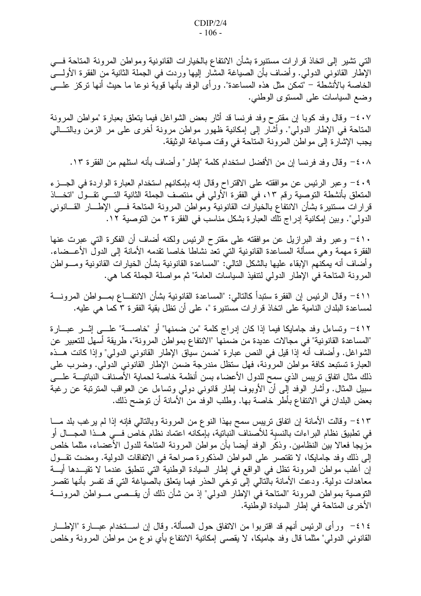التي تشير إلى اتخاذ قرارات مستنيرة بشأن الانتفاع بالخيارات القانونية ومواطن المرونة المتاحة فسي الإطار القانوني الدولي. وأضاف بأن الصياغة المشار إليها وردت في الجملة الثانية من الفقرة الأولـــي الخاصة بالأنشطة – "تمكن مثل هذه المساعدة". ورأى الوفد بأنها قوية نوعا ما حيث أنها نركز علـــي وضع السياسات على المستوى الوطنبي.

٤٠٧ - وقال وفد كوبا إن مقترح وفد فرنسا قد أثار بعض الشواغل فيما يتعلق بعبارة "مواطن المرونة المتاحة في الإطار الدولي". وأشار إلى إمكانية ظهور مواطن مرونة أخرى على مر الزمن وبالتـــالـي يجب الإشارة إلى مواطن المرونة المتاحة في وقت صياغة الوثيقة.

٤٠٨ = وقال وفد فرنسا إن من الأفضل استخدام كلمة "إطار" وأضاف بأنه استلهم من الفقرة ١٣.

٤٠٩ و عبر الرئيس عن موافقته على الاقتراح وقال إنه بإمكانهم استخدام العبارة الواردة في الجــزء المتعلق بأنشطة التوصية رقم ١٣، في الفقرة الأولى في منتصف الجملة الثانية التـــي تقـــول "اتخـــاذ قرارات مستنيرة بشأن الانتفاع بالخيارات القانونية ومواطن المرونة المتاحة فسى الإطسار القسانونى الدولي". وبين إمكانية إدراج تلك العبارة بشكل مناسب في الفقرة ٣ من التوصية ١٢.

٤١٠ - وعبر وفد البرازيل عن موافقته على مقترح الرئيس ولكنه أضاف أن الفكرة التي عبرت عنها الفقرة مهمة وهي مسألة المساعدة القانونية التي نعد نشاطا خاصا نقدمه الأمانة إلى الدول الأعــضاء. و أضباف أنه يمكنهم الإبقاء عليها بالشكل التالي: "المساعدة القانونية بشأن الخيار ات القانونية ومسو اطن المرونة المتاحة في الإطار الدولي لتتفيذ السياسات العامة" ثم مواصلة الجملة كما هي.

٤١١ - وقال الرئيس إن الفقرة ستبدأ كالتالي: "المساعدة القانونية بشأن الانتفــاع بمـــواطن المرونــــة لمساعدة البلدان النامية على اتخاذ قرارات مستنيرة "، على أن تظل بقية الفقرة ٣ كما هي عليه.

٤١٢- وتساءل وفد جامايكا فيما إذا كان إدراج كلمة "من ضمنها" أو "خاصــــة" علــــى إثـــر عبـــارة "المساعدة القانونية" في مجالات عديدة من ضمنها "الانتفاع بمواطن المرونة"، طريقة أسهل للتعبير عن الشواغل. وأضاف أنه إذا قيل في النص عبارة "ضمن سياق الإطار القانوني الدولي" وإذا كانت هــذه العبارة تستبعد كافة مواطن المرونة، فهل ستظل مندرجة ضمن الإطار القانوني الدولي. وضرب على ذلك مثال اتفاق تريبس الذي سمح للدول الأعضاء بسن أنظمة خاصة لحماية الأصناف النباتيـــة علــــى سبيل المثال. وأشار الوفد إلى أن الأوبوف إطار قانوني دولي ونساءل عن العواقب المترنبة عن رغبة بعض البلدان في الانتفاع بأطر خاصة بها. وطلب الوفد من الأمانة أن توضح ذلك.

٤١٣ - وقالت الأمانة إن اتفاق تريبس سمح بهذا النوع من المرونة وبالتالي فإنه إذا لم يرغب بلد مـــا في نطبيق نظام البر اءات بالنسبة للأصناف النباتية، بإمكانه اعتماد نظام خاص فـــي هـــذا المجـــال أو مزيجا فعالا بين النظامين. وذكر الوفد أيضا بأن مواطن المرونة المتاحة للدول الأعضاء، مثلما خلص إلى ذلك وفد جامايكا، لا تقتصر على المواطن المذكورة صراحة في الاتفاقات الدولية. ومضت تقـول إن أغلب مواطن المرونة نظل في الواقع في إطار السيادة الوطنية التي نتطبق عندما لا تقيــدها أيـــة معاهدات دولية. ودعت الأمانة بالنالـي إلـي نوخـي الـحذر فيما يتعلق بالصياغة التـي قد تفسر بأنـها نقصـر النوصية بمواطن المرونة "المتاحة في الإطار الدولي" إذ من شأن ذلك أن يقــصـي مـــواطن المرونــــة الأخرى المتاحة في إطار السيادة الوطنية.

١٤- ورأى الرئيس أنهم قد اقتربوا من الاتفاق حول المسألة. وقال إن اســـتخدام عبـــارة "الإطــــار القانونـي الدولـي" مثلما قال وفد جاميكا، لا يقصـي إمكانية الانتفاع بأي نو ع من مواطن المرونـة وخلص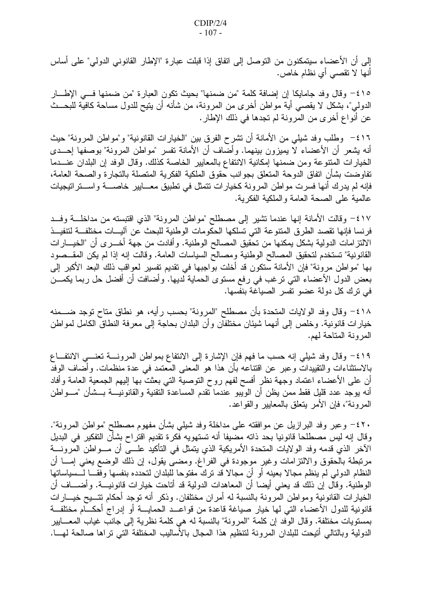إلى أن الأعضاء سيتمكنون من النوصل إلى انفاق إذا قبلت عبارة "الإطار القانونـي الدولـي" علـي أساس أنها لا تقصبي أي نظام خاص.

١٥٪ - وقال وفد جامايكا إن إضافة كلمة "من ضمنها" بحيث نكون العبارة "من ضمنها فـــي الإطــــار الدولمي"، بشكل لا يقصـي أيـة مواطن أخرى من المرونـة، من شأنـه أن يتيح للدول مساحـة كـافيـة للبحـــث عن أنواع أخر ي من المرونة لم تجدها في ذلك الإطار .

٤١٦ - وطلب وفد شيلي من الأمانة أن تشرح الفرق بين "الخيارات القانونية" و"مواطن المرونة" حيث أنه بشعر أن الأعضاء لا يميزون بينهما. وأضاف أن الأمانة تفسر "مواطن المرونة" بوصفها إحــدى الخيارات المنتوعة ومن ضمنها إمكانية الانتفاع بالمعايير الخاصة كذلك. وقال الوفد إن البلدان عنـــدما تفاوضت بشأن اتفاق الدوحة المتعلق بجوانب حقوق الملكية الفكرية المتصلة بالتجارة والصحة العامة، فإنه لم يدرك أنها فسرت مواطن المرونة كخيارات تتمثل في تطبيق معـــايير خاصــــة واســـتراتيجيات عالمية على الصحة العامة والملكية الفكرية.

٤١٧ - وقالت الأمانة إنها عندما نشير إلى مصطلح "مواطن المرونة" الذي اقتبسته من مداخلـــة وفـــد فرنسا فإنها تقصد الطرق المتنوعة التي تسلكها الحكومات الوطنية للبحث عن آليسات مختلفـــة لتتفيـــذ الالتز امات الدولية بشكل يمكنها من تحقيق المصالح الوطنية. و أفادت من جهة أخــــر ي أن "الخيــــار ات القانونية" تستخدم لتحقيق المصالح الوطنية ومصالح السياسات العامة. وقالت إنه إذا لم يكن المقــصود بها "مواطن مرونة" فإن الأمانة ستكون قد أخلت بواجبها في تقديم تفسير لعواقب ذلك البعد الأكبر إلى بعض الدول الأعضاء التي نرغب في رفع مستوى الحماية لديها. وأضافت أن أفضل حل ربما يكمـــن في ترك كل دولة عضو تفسر الصياغة بنفسها.

٤١٨ - وقال وفد الولايات المتحدة بأن مصطلح "المرونة" بحسب رأيه، هو نطاق متاح توجد ضــــمنه خيارات قانونية. وخلص إلى أنهما شيئان مختلفان وأن البلدان بحاجة إلى معرفة النطاق الكامل لمواطن المرونة المتاحة لهم.

٤١٩- وقال وفد شيلبي إنه حسب ما فهم فإن الإشارة إلى الانتفاع بمواطن المرونــــة تعنــــي الانتفـــاع بالاستثناءات والنقييدات وعبر عن اقتناعه بأن هذا هو المعنى المعتمد في عدة منظمات. وأضاف الوفد أن على الأعضاء اعتماد وجهة نظر أفسح لفهم روح النوصية التـي بعثت بـها إليهم الـجمعية العامة وأفاد أنه يوجد عدد قليل فقط ممن يظن أن الويبو عندما نقدم المساعدة النقنية والقانونيــــة بـــشأن "مــــواطن المرونة"، فإن الأمر يتعلق بالمعايير والقواعد.

٤٢٠ - وعبر وفد البرازيل عن موافقته على مداخلة وفد شيلي بشأن مفهوم مصطلح "مواطن المرونة". وقال إنه ليس مصطلحا قانونيا بحد ذاته مضيفا أنه تستهويه فكرة تقديم اقتراح بشأن التفكير في البديل الآخر الذي قدمه وفد الولايات المتحدة الأمريكية الذي يتمثل في التأكيد علـــي أن مـــواطن المرونــــة مرنبطة بالحقوق والالتزامات وغير موجودة في الفراغ. ومضـي يقول، إن ذلك الوضـع يعنـي إمــــا أن النظام الدولي لم ينظم مجالا بعينه أو أن مجالا قد ترك مفتوحا للبلدان لتحدده بنفسها وفقـــا لــــسياساتها الوطنية. وقال إن ذلك قد يعني أيضا أن المعاهدات الدولية قد أتاحت خيارات قانونيـــة. وأضــــاف أن الخيارات القانونية ومواطن المّرونة بالنسبة له أمران مختلفان. وذكر أنه توجد أحكام تتـــيح خيـــارات قانونية للدول الأعضاء التي لها خيار صياغة قاعدة من قواعــد الحمايـــة أو إدراج أحكـــام مختلفـــة بمستويات مختلفة. وقال الوفد إن كلمة "المرونة" بالنسبة له هي كلمة نظرية إلى جانب غياب المعـــايير الدولية وبالتالي أنيحت للبلدان المرونة لتنظيم هذا المجال بالأساليب المختلفة التي نراها صالحة لهسا.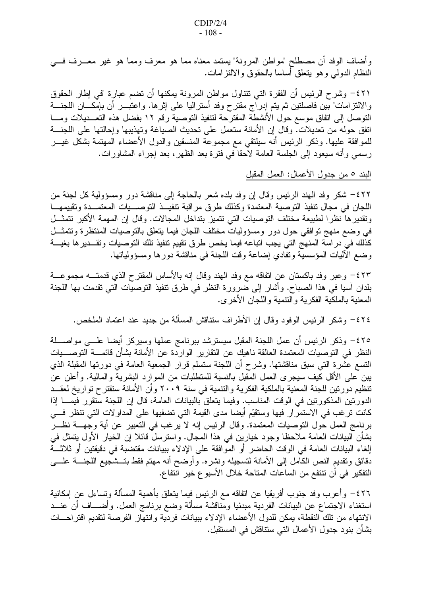وأضاف الوفد أن مصطلح "مواطن المرونة" يستمد معناه مما هو معرف ومما هو غير معـــرف فــــي النظام الدولمي وهو ينعلق أساسا بالحقوق والالنتز امات.

٤٢١ - وشرح الرئيس أن الفقرة التي تتناول مواطن المرونة يمكنها أن تضم عبارة "في إطار الحقوق والالتزامات" بين فاصلنين ثم يتم إدراج مقترح وفد أستراليا على إثرها. واعتبـــر أن بإمكـــان اللجنـــة التوصل إلى اتفاق موسع حول الأنشطة المقترحة لتنفيذ التوصية رقم ١٢ بفضل هذه التعــديلات ومـــا اتفق حوله من تعديلات. وقال إن الأمانة ستعمل على تحديث الصياغة وتهذيبها وإحالتها على اللجنـــة للموافقة عليها. وذكر الرئيس أنه سيلتقى مع مجموعة المنسقين والدول الأعضاء المهتمة بشكل غيـــر رسمي وأنه سيعود إلىي الجلسة العامة لاحقا في فترة بعد الظهر ، بعد إجراء المشاورات.

البند ٥ من جدول الأعمال: العمل المقبل

٤٢٢ - شكر وفد الهند الرئيس وقال إن وفد بلده شعر بالحاجة إلى مناقشة دور ومسؤولية كل لجنة من اللجان في مجال نتفيذ التوصية المعتمدة وكذلك طرق مراقبة نتفيــذ التوصـــيات المعتمــدة وتقييمهـــا ونقدير ها نظرًا لطبيعة مختلف التوصيات التي تتميز بتداخل المجالات. وقال إن المهمة الأكبر تتمثَّــل في وضع منهج توافقي حول دور ومسؤولياتٌ مختلف اللجان فيما يتعلق بالتوصيات المنتظرة ونتمثـــل كذلك في در اسة المنهج التي يجب اتباعه فيما يخص طرق نقييم نتفيذ تلك التوصيات وتقــدير ها بغيـــة وضع الآليات المؤسسية وتفادي إضاعة وقت اللجنة في مناقشة دورها ومسؤولياتها.

٤٢٣ - وعبر وفد باكستان عن انفاقه مع وفد الهند وقال إنه بالأساس المقترح الذي قدمتـــه مجموعـــة بلدان آسيا في هذا الصباح. وأشار إلى ضرورة النظر في طرق نتفيذ النوصيات التي نقدمت بها اللجنة المعنية بالملكية الفكر ية و التنمية و اللجان الأخر ي.

٢٤٢ - وشكر الرئيس الوفود وقال إن الأطراف ستناقش المسألة من جديد عند اعتماد الملخص.

٤٢٥– وذكر الرئيس أن عمل اللجنة المقبل سيسترشد ببرنامج عملها وسيركز أيضا علـــي مواصــــلة النظر في التوصيات المعتمدة العالقة ناهيك عن التقارير الواردة عن الأمانة بشأن قائمــــة التوصــــيات التسع عشرة التـي سبق مناقشتها. وشرح أن اللجنة ستسلم قرار الـجمعية العامة فـي دورتـها المقبلة الذي بين على الأقل كيف سيجرى العمل المقبل بالنسبة للمتطلبات من الموارد البشرية والمالية. وأعلن عن تنظيم دورتين للجنة المعنية بالملكية الفكرية والتنمية في سنة ٢٠٠٩ وأن الأمانة ستقتر ح تواريخ لعقــد الدورنين المذكورتين في الوقت المناسب. وفيما يتعلق بالبيانات العامة، قال إن اللجنة ستقرر فيمـــا إذا كانت ترغب في الاستمرار فيها وستقيِّم أيضا مدى القيمة التي تضفيها على المداولات التي تنظر فـــي برنامج العمل حول النوصيات المعتمدة. وقال الرئيس إنه لا يرغب في التعبير عن أية وجهــــة نظـــر بشأن البيانات العامة ملاحظا وجود خيارين في هذا المجال. واسترسل قائلا إن الخيار الأول يتمثل في إلغاء البيانات العامة في الوقت الحاضر أو الموافقة على الإدلاء ببيانات مقتضبة في دقيقتين أو ثلاثـــة دقائق ونقديم النص الكامل إلى الأمانة لتسجيله ونشره. وأوضح أنه مهتم فقط بتـــشجيع اللجنــــة علــــي التفكير في أن تتتفع من الساعات المتاحة خلال الأسبو ع خير انتفاع.

٤٢٦ - وأعرب وفد جنوب أفريقيا عن انفاقه مع الرئيس فيما يتعلق بأهمية المسألة وتساءل عن إمكانية استغناء الاجتماع عن البيانات الفردية مبدئيا ومناقشة مسألة وضع برنامج العمل. وأضــــاف أن عنـــد الانتهاء من تلك النقطة، يمكن للدول الأعضاء الإدلاء ببيانات فردية وإنتهاز الفرصة لتقديم اقتراحــات بشأن بنود جدول الأعمال التي ستناقش في المستقبل.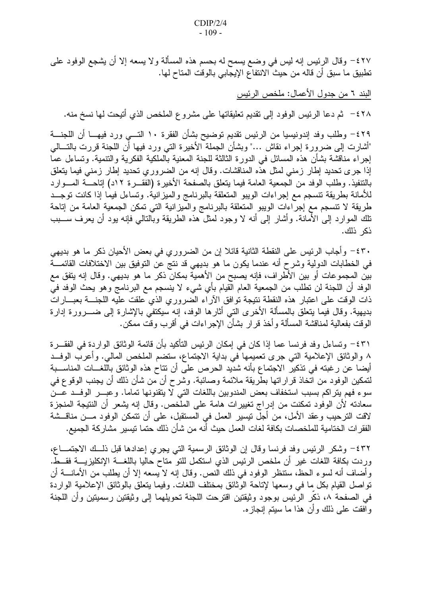٤٢٧ - وقال الرئيس إنه ليس في وضع يسمح له بحسم هذه المسألة ولا يسعه إلا أن يشجع الوفود على تطبيق ما سبق أن قاله من حيث الانتفاع الإيجابي بالوقت المتاح لها.

البند ٦ من جدول الأعمال: ملخص الرئيس

٤٢٨ - ثم دعا الرئيس الوفود إلى نقديم تعليقاتها على مشروع الملخص الذي أتيحت لها نسخ منه.

٤٢٩– وطلب وفد إندونيسيا من الرئيس تقديم توضيح بشأن الفقرة ١٠ التـــي ورد فيهـــا أن اللجنــــة "أشارت إلى ضرورة إجراء نقاش …" وبشأن الجملة الأخيرة التـى ورد فيها أن اللجنة قررت بالتـــالـى إجراء مناقشة بشأن هذه المسائل في الدورة الثالثة للجنة المعنية بالملكية الفكرية والتتمية. وتساءل عما إذا جرى تحديد إطار زمني لمثل هذه المناقشات. وقال إنه من الضروري تحديد إطار زمني فيما يتعلق بالنتفيذ. وطلب الوفد من الجمعية العامة فيما يتعلق بالصفحة الأخير ة (الفقـــر ة ١٢د) إتاحــــة المــــوار د للأمانة بطريقة نتسجم مع إجراءات الويبو المتعلقة بالبرنامج والمبزانية. ونساءل فيما إذا كانت نوجــد طريقة لا تتسجم مع إجرَّاءات الويبو المتعلقة بالبرنامج والمِّيزانية التي تمكن الجمعية العامة من إتاحة تلك الموارد إلى الأمانة. وأشار إلى أنه لا وجود لمثل هذه الطريقة وبالنالي فإنه يود أن يعرف ســـبب ذكر ذلك.

٤٣٠ - وأجاب الرئيس على النقطة الثانية قائلا إن من الضروري في بعض الأحيان ذكر ما هو بديهي في الخطابات الدولية وشرح أنه عندما يكون ما هو بديهي قد نتج عن التوفيق بين الاختلافات القائمـــة بين المجموعات أو بين الأطّراف، فإنه يصبح من الأهمية بمكانّ ذكر ما هو بديهي. وقال إنه يتفق مع الوفد أن اللجنة لن نطلب من الجمعية العام القيام بأي شيء لا ينسجم مع البرنامج وهو يحث الوفد في ذات الوقت على اعتبار هذه النقطة نتيجة توافق الآراء الصروري الذي علقت عليه اللجنــــة بعبـــاراتٌ بديهية. وقال فيما يتعلق بالمسألة الأخرى التبي أثارها الوفد، إنه سيكتفي بالإشارة إلىي ضــــرورة إدارة الوقت بفعالية لمناقشة المسألة وأخذ قرار بشأن الإجراءات في أقرب وقت ممكن.

٤٣١ - وتساءل وفد فرنسا عما إذا كان في إمكان الرئيس التأكيد بأن قائمة الوثائق الواردة في الفقـــرة ٨ والوثائق الإعلامية التبي جرى تعميمها في بداية الاجتماع، ستضم الملخص المالبي. وأعرب الوفــد أيضا عن رغبته في تذكير الاجتماع بأنه شديد الحرص على أن تتاح هذه الوثائق باللغـــات المناســـبة لنمكين الوفود من اتخاذ قراراتها بطريقة ملائمة وصائبة. وشرح أن من شأن ذلك أن يجنب الوقوع في سوء فهم يتراكم بسبب استخفاف بعض المندوبين باللغات التبي لا يتقنونها تماما. وعبـــر الوفـــد عـــن سعادته لأن الوفود تمكنت من إدراج تغييرات هامة على الملخص. وقال إنه يشعر أن النتيجة المنجزة لاقت الترحيب وعقد الأمل، من أجل نيسير العمل في المستقبل، على أن نتمكن الوفود مـــن مناقـــشة الفقر ات الختامية للملخصات بكافة لغات العمل حيث أنه من شأن ذلك حتما نيسير مشاركة الجميع.

٤٣٢- وشكر الرئيس وفد فرنسا وقال إن الوثائق الرسمية التي يجري إعدادها قبل ذلــك الاجتمـــاع، ورِ دت بكافة اللغات غيرٍ أن ملخص الرئيس الذي استكمل للتو متاح حاليا باللغـــة الإنكليزيــــة فقـــط. وأضاف أنه لسوء الحظ، ستنظر الوفود في ذلك النص. وقال إنه لا يسعه إلا أن يطلب من الأمانــــة أن تواصل القيام بكل ما في وسعها لإتاحة الوثائق بمختلف اللغات. وفيما يتعلق بالوثائق الإعلامية الواردة في الصفحة ٨، ذكر الرئيس بوجود وثيقتين اقترحت اللجنة تحويلهما إلى وثيقتين رسميتين وأن اللجنة و افقت علمي ذلك و أن هذا ما سبتم إنجاز ه.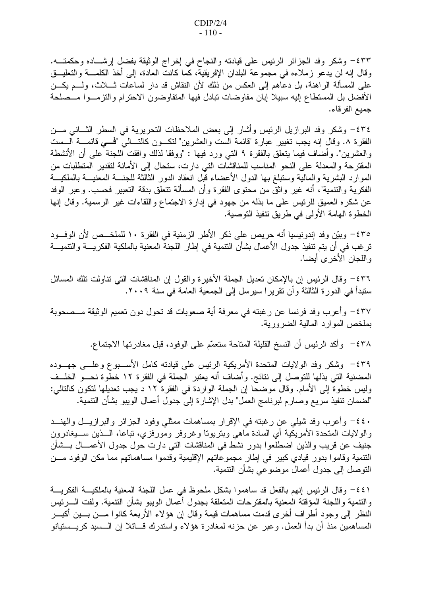٤٣٣ - وشكر وفد الجزائر الرئيس على قيادته والنجاح في إخراج الوثيقة بفضل إرشـــاده وحكمتـــه. وقال إنه لن يدعو زملاءه في مجموعة البلدان الإفريقية، كما كانت العادة، إلى أخذ الكلمــــة والنعليـــق علي المسألة الراهنة، بل دعاهم إلى العكس من ذلك لأن النقاش قد دار لساعات ثــــلاث، ولــــم يكــــن الأفضل بل المستطاع إليه سبيلا إبان مفاوضات نبادل فيها المتفاوضون الاحترام والتزمـــوا مـــصلحة جميع الفرقاء.

٢٤- وشكر وفد البرازيل الرئيس وأشار إلى بعض الملاحظات التحريرية في السطر الثـــاني مـــن الفقرة ٨. وقال إنه يجب نغيير عبارة "قائمة الست والعشرين" لتكــون كالتـــالى "فحـى قائمـــة الـــست والعشرين". وأضاف فيما يتعلق بالفقرة ٩ التي ورد فيها : "ووفقا لذلك وافقت اللجنة علمي أن الأنشطة المقترحة والمعدلة على النحو المناسب للمناقشات التي دارت، ستحال إلى الأمانة لتقدير المتطلبات من الموارد البشرية والمالية وستبلغ بها الدول الأعضاء قبل انعقاد الدور الثالثة للجنسة المعنيسة بالملكيسة الفكرية والنتمية"، أنه غير واثق من محتوى الفقرة وأن المسألة تتعلق بدقة التعبير فحسب. وعبر الوفد عن شكره العميق للرئيس على ما بذله من جهود في إدارة الاجتماع واللقاءات غير الرسمية. وقال إنها الخطوة الهامة الأولى في طريق نتفيذ التوصية.

٤٣٥ - وبيّن وفد إندونيسيا أنه حريص على ذكر الأطر الزمنية في الفقرة ١٠ للملخــص لأن الوفــود ترغب في أن يتم تتفيذ جدول الأعمال بشأن النتمية في إطار اللجنة المعنية بالملكية الفكريــــة والنتميـــة واللجان الأخرى أيضا.

٤٣٦ - وقال الرئيس إن بالإمكان تعديل الجملة الأخيرة والقول إن المناقشات التي تناولت تلك المسائل ستبدأ في الدورة الثالثة وأن تقريرا سيرسل إلى الجمعية العامة في سنة ٢٠٠٩.

٤٣٧- وأعرب وفد فرنسا عن رغبته في معرفة أية صعوبات قد تحول دون تعميم الوثيقة مـــصحوبة بملخص الموارد المالية الضرورية.

٤٣٨ - وأكد الرئيس أن النسخ القليلة المتاحة ستعمَّم على الوفود، قبل مغادرتها الاجتماع.

٤٣٩ - وشكر وفد الولايات المتحدة الأمريكية الرئيس على قيادته كامل الأســـبوع وعلــــى جهـــوده المضنية التي بذلها للتوصل إلى نتائج. وأضاف أنه يعتبر الجملة في الفقرة ١٢ خطوة نحـــو الخلــف وليس خطوة إلى الأمام. وقال موضحا إن الجملة الواردة في الفقرة ١٢ د يجب تعديلها لتكون كالتالي: "لضمان نتفيذ سريع وصارم لبرنامج العمل" بدل الإشارة إلى جدول أعمال الويبو بشأن النتمية.

٤٤٠ - وأعرب وفد شيلي عن رغبته في الإقرار بمساهمات ممثلي وفود الجزائر والبرازيـــل والهنـــد والولايات المتحدة الأمريكية أي السادة ماهي وبتريونا وغروفر ومورفزي، تباعا، الـــذين ســــيغادرون جنيف عن قريب والذين اضطلعوا بدور نشط في المناقشات التي دارت حول جدول الأعمـــال بـــشأن النتمية وقاموا بدور قيادي كبير في إطار مجموعاتهم الإقليمية وقدموا مساهماتهم مما مكن الوفود مـــن النوصل إلى جدول أعمال موضوعي بشأن النتمية.

٤٤١ - وقال الرئيس إنهم بالفعل قد ساهموا بشكل ملحوظ في عمل اللجنة المعنية بالملكيـــة الفكريـــة والتنمية واللجنة المؤقتة المعنية بالمقترحات المتعلقة بجدول أعمال الويبو بشأن التنمية. ولفت الــــرئيس النظر إلىي وجود أطراف أخرى قدمت مساهمات قيمة وقال إن هؤلاء الأربعة كانوا مـــن بـــين أكبـــر المساهمين منذ أن بدأ العمل. وعبر ٍ عن حزنه لمغادرة هؤلاء واستدرك قـــائلا اِن الـــسيد كريـــستيانو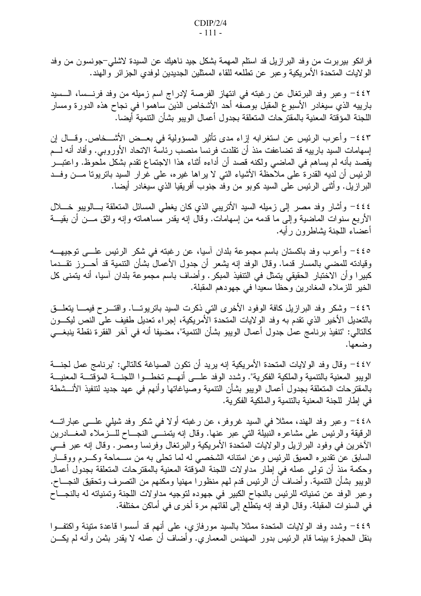فرانكو بيربرت من وفد البرازيل قد استلم المهمة بشكل جيد ناهيك عن السيدة لاشلـي–جونسون من وفد الولايات المتحدة الأمريكية وعبر عن تطلعه للقاء الممثلين الجديدين لوفدي الجزائر والهند.

٤٤٢ و عبر وفد البر تغال عن رغبته في انتهاز الفرصة لإدراج اسم زميله من وفد فرنسما، السسيد بارييه الذي سيغادر الأسبوع المقبل بوصفه أحد الأشخاص الذين ساهموا في نجاح هذه الدورة ومسار اللجنة المؤقتة المعنية بالمقترحات المتعلقة بجدول أعمال الويبو بشأن التتمية أيضا.

٤٤٣ - وأعرب الرئيس عن استغرابه إزاء مدى تأثير المسؤولية في بعــض الأشـــخاص. وقـــال إن إسهامات السيد بارييه قد تضاعفت منذ أن تقلدت فرنسا منصب رئاسة الاتحاد الأوروبي. وأفاد أنه لـــم يقصد بأنه لم يساهم في الماضـي ولكنه قصد أن أداءه أثناء هذا الاجتماع تقدم بشكل ملحوظ. واعتبـــر الرئيس أن لديه القدرة على ملاحظة الأشياء التي لا يراها غيره، على غرار السيد باتريوتا مـــن وفـــد البرازيل. وأنْنسي الرئيس على السيد كوبو من وفد جنوب أفريقيا الذي سيغادر أيضا.

٤٤٤ - وأشار وفد مصر إلى زميله السيد الأتريبي الذي كان يغطي المسائل المتعلقة بسالويبو خـــلال الأربع سنوات الماضية وإلى ما قدمه من إسهامات. وقال إنه يقدر مساهماته وإنه واثق مـــن أن بقيـــة أعضاء اللجنة بشاطرون ر أيه.

٤٤٥= وأعرب وفد باكستان باسم مجموعة بلدان أسيا، عن رغبته في شكر الرئيس علـــي توجيهـــه وقيادته للمضبي بالمسار قدما. وقال الوفد إنه يشعر أن جدول الأعمال بشأن التتمية قد أحـــرز تقـــدما كبيرا وأن الاختبار الحقيقي يتمثّل في التنفيذ المبكر . وأضاف باسم مجموعة بلدان آسيا، أنه يتمنى كل الخير للزملاء المغادرين وحظا سعيدا في جهودهم المقبلة.

٤٤٦- وشكر وفد البرازيل كافة الوفود الأخرى التي ذكرت السيد بانريوتـــا. واقتـــرح فيمـــا يتعلـــق بالنعديل الأخير الذي نقدم به وفد الولايات المتحدة الأمريكية، إجراء نعديل طفيف على النص ليكـــون كالتالي: "تنفيذ برنامج عمل جدول أعمال الويبو بشأن التنمية"، مضبفا أنه في آخر الفقرة نقطة ينبغـــي وضعها.

٤٤٧ - وقال وفد الولايات المتحدة الأمريكية إنه يريد أن نكون الصياغة كالتالي: "برنامج عمل لجنــــة الويبو المعنية بالتنمية والملكية الفكرية". وشدد الوفد علـــي أنهـــم تخطـــوا اللجنــــة الموقتـــة المعنيـــة بالمقترحات المتعلقة بجدول أعمال الويبو بشأن النتمية وصياغاتها وأنهم في عهد جديد لتنفيذ الأنـــشطة في إطار للجنة المعنية بالنتمية والملكية الفكرية.

٤٤٨– وعبر وفد الهند، ممثلاً في السيد غروفر، عن رغبته أولاً في شكر وفد شيلبي علـــي عباراتــــه الرقيقة والرئيس على مشاعره النبيلة التبي عبر عنها. وقال إنه يتمنسى النجـــاح للـــزملاء المغـــادرين الأخرين في وفود البرازيل والولايات المُتحدة الأمريكية والبرنغال وفرنسا ومصر . وقال إنه عبر فسي السابق عن نقديره العميق للرئيس وعن امتنانه الشخصبي له لما تحلي به من ســماحة وكـــرم ووقـــار وحكمة منذ أن نولمي عمله في إطار مداولات اللجنة الموّقتة المعنية بالمقترحات المتعلقة بجدول أعمال الويبو بشأن النتمية. وأضافٌ أن الرئيس قدم لهم منظورا مهنيا ومكنهم من التصرف وتحقيق النجـــاح. وعبر الوفد عن تمنياته للرئيس بالنجاح الكبير في جهوده لتوجيه مداولات اللجنة وتمنياته له بالنجــاح في السنوات المقبلة. وقال الوفد إنه يتطلع إلى لقائهم مرة أخرى في أماكن مختلفة.

٤٤٩ - وشدد وفد الولايات المتحدة ممثلا بالسيد مورفازي، على أنهم قد أسسوا قاعدة متينة واكتفـوا بنقل الحجارة بينما قام الرئيس بدور المهندس المعماري. وأضاف أن عمله لا يقدر بثمن وأنه لم يكـــن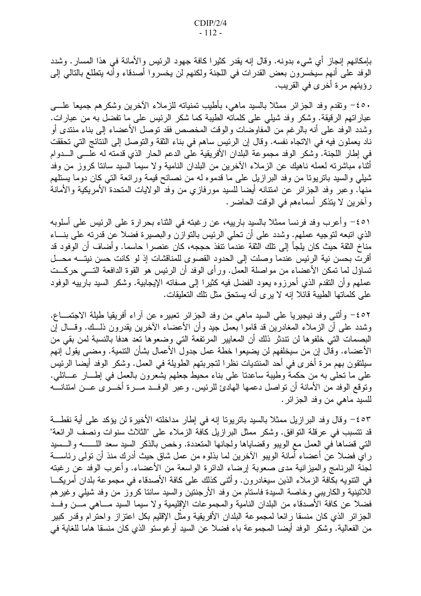بإمكانهم إنجاز أي شيء بدونه. وقال إنه يقدر كثيرًا كافة جهود الرئيس والأمانة في هذا المسار . وشدد الوفد على أنهم سيخسرون بعض القدرات في اللجنة ولكنهم لن يخسروا أصدقاء وأنه يتطلع بالتالي إلىي ر ؤيتهم مر ة أخر ي في القريب.

٤٥٠- ونقدم وفد الـجزائر ممثلا بالسيد ماهي، بأطيب تمنياته للزملاء الأخرين وشكرهم جميعا علــــي عبار اتهم الرقيقة. وشكر وفد شيلي على كلماته الطيبة كما شكر الرئيس على ما تفضل به من عبارات. وشدد الوفد على أنه بالرغم من المفاوضات والوقت المخصص فقد نوصل الأعضاء إلىي بناء منتدى أو ناد يعملون فيه في الاتجاه نفسه. وقال إن الرئيس ساهم في بناء الثقة والنوصل إلى النتائج التي تحققت في إطار اللجنة. وشكر الوفد مجموعة البلدان الأفريقية على الدعم الحار الذي قدمته له علـــي الـــدوام أثناء مباشرته لعمله ناهيك عن الزملاء الأخرين من البلدان النامية ولا سيما السيد سانتا كروز من وفد شيلبي والسيد بانريونا من وفد البرازيل علي ما قدموه له من نصائح قيمة ورائعة التبي كان دوما يستلهم منها. وعبر وفد الجزائر عن امتنانه أيضا للسيد مورفازي من وفد الولايات المتحدة الأمريكية والأمانة وأخرين لا يتذكر أسماءهم في الوقت الحاضر .

٤٥١ - وأعرب وفد فرنسا ممثلاً بالسيد بارييه، عن رغبته في الثناء بحرارة على الرئيس على أسلوبه الذي اتبعه لتوجيه عملهم. وشدد على أن تحلَّى الرئيس بالتوازن والبصيرة فضلاً عن قدرته على بنـــاء مناخ الثقة حيث كان يلجأ إلى تلك الثقة عندما تنفذ حججه، كان عنصر ا حاسما. و أضاف أن الوفود قد أقرت بحسن نية الرئيس عندما وصلت إلى الحدود القصوى للمناقشات إذ لو كانت حسن نيتـــه محـــل تساؤل لما تمكن الأعضاء من مواصلة العمل. ورأى الوفد أن الرئيس هو القوة الدافعة التـــي حركــت عملهم وأن النقدم الذي أحرزوه يعود الفضل فيه كثير ا إلى صفاته الإيجابية. وشكر السيد بارييه الوفود على كلماتها الطيبة قائلا إنه لا ير ي أنه يستحق مثل تلك التعليقات.

٤٥٢– وأنثني وفد نيجيريا على السيد ماهي من وفد الجزائر تعبيره عن أراء أفريقيا طيلة الاجتمـــاع. وشدد على أن الزملاء المغادرين قد قاموا بعمل جيد وأن الأعضاء الأخرين يقدرون ذلـــك. وقـــال إن البصمات التي خلفوها لن نتدثر ذلك أن المعايير المرتفعة التي وضعوها تعد هدفا بالنسبة لمن بقي من الأعضاء. وقال إن من سيخلفهم لن يضيعوا خطة عمل جدول الأعمال بشأن التنمية. ومضىي يقول إنهم سيلتقون بهم مرة أخر ي في أحد المنتديات نظر ا لتجربتهم الطويلة في العمل. وشكر الوفد أيضا الرئيس على ما نحلي به من حكمة وطيبة ساعدنا على بناء محيط جعلهم يشعرون بالعمل في إطـــار عـــائلـي. ونوقع الوفد من الأمانة أن نواصل دعمها الهادئ للرئيس. وعبر الوفــد مـــرة أخـــرى عـــن امتنانــــه للسيد ماهي من وفد الجزائر .

٤٥٣- وقال وفد البرازيل ممثلا بالسيد بانريونا إنه في إطار مداخلته الأخيرة لن يؤكد على أية نقطـــة قد تتسبب في عرفلة التوافق. وشكر ممثل البرازيل كافة الزملاء على "الثلاث سنوات ونصف الرائعة" التي قضاها في العمل مع الويبو وقضاياها ولجانها المتعددة. وخص بالذكر السيد سعد اللــــــــه والــــسيد ر اي فضلا عن أعضاء أمانة الويبو الآخرين لما بذلوه من عمل شاق حيث أدرك منذ أن تولى رئاســـة لجنة البرنامج والمبز انية مدى صعوبة إرضاء الدائرة الواسعة من الأعضاء. وأعرب الوفد عن رغبته في النتويه بكافة الزملاء الذين سيغادرون. وأنثني كذلك على كافة الأصدقاء في مجموعة بلدان أمريكـــا اللانتينية والكاريبي وخاصة السيدة فاستام من وفد الأرجنتين والسيد سانتا كروز من وفد شيلي وغيرهم فضلا عن كافة الأصدقاء من البلدان النامية والمجموعات الإقليمية ولا سيما السيد مـــاهي مـــن وفـــد الجزائر الذي كان منسقا رائعا لمجموعة البلدان الأفريقية ومثل الإقليم بكل اعتزاز واحترام وقدر كبير من الفعالية. وشكر الوفد أيضا المجموعة باء فضلا عن السيد أوغوستو الذي كان منسقا هاما للغاية في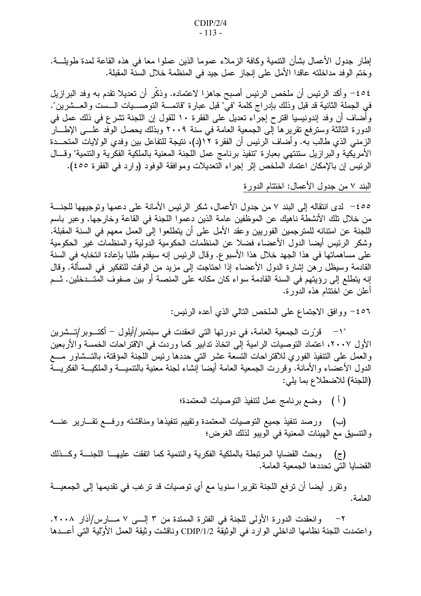إطار جدول الأعمال بشأن النتمية وكافة الزملاء عموما الذين عملوا معا في هذه القاعة لمدة طويلــــة. وختم الوفد مداخلته عاقدا الأمل على إنجاز عمل جيد في المنظمة خلال السنة المقبلة.

٤٥٤– وأكد الرئيس أن ملخص الرئيس أصبح جاهزا لاعتماده. وذكَّر أن تعديلا تقدم به وفد البرازيل في الجملة الثانية قد قبل وذلك بإدراج كلمة "في" قبل عبارة "قائمــــة التوصــــيات الـــست والعـــشرين". وأضاف أن وفد إندونيسيا اقتر ح إجراء تعديل على الفقرة ١٠ للقول إن اللجنة تشر ع في ذلك عمل في الدورة الثالثة وسترفع تقريرها آلِي الجمعية العامة في سنة ٢٠٠٩ وبذلك يحصل الوفد علـــي الإطــــار الزمني الذي طالب به. وأضاف الرئيس أن الفقرة ١٢(د)، نتيجة للتفاعل بين وفدي الولايات المتحـــدة الأمريكية والبرازيل ستتنهى بعبارة "تنفيذ برنامج عمل اللجنة المعنية بالملكية الفكرية والتنمية" وقـــال الرئيس إن بالإمكان اعتماد الملخص إثر إجراء التعديلات وموافقة الوفود (وارد في الفقرة ٤٥٥).

البند ٧ من جدول الأعمال: اختتام الدورة

٤٥٥ - لدى انتقاله إلى البند ٧ من جدول الأعمال، شكر الرئيس الأمانة على دعمها وتوجيهها للجنسة من خلال تلك الأنشطة ناهيك عن الموظفين عامة الذين دعموا اللجنة في القاعة وخارجها. وعبر باسم اللجنة عن امتنانه للمترجمين الفوريين وعقد الأمل على أن يتطلعوا إلى العمل معهم في السنة المقبلة. وشكر الرئيس أيضا الدول الأعضاء فضلا عن المنظمات الحكومية الدولية والمنظمات غير الحكومية على مساهماتها في هذا الجهد خلال هذا الأسبوع. وقال الرئيس إنه سيقدم طلبا بإعادة انتخابه في السنة القادمة وسيظل ر هن إشارة الدول الأعضاء إذا احتاجت إلى مزيد من الوقت للتفكير في المسألة. وقال إنه يتطلع إلى رؤيتهم في السنة القادمة سواء كان مكانه على المنصة أو بين صفوف المتــدخلين. ثــم أعلن عن اختتام هذه الدور ة.

٤٥٦ - ووافق الاجتماع على الملخص النالبي الذي أعده الرئيس:

قرّرت الجمعية العامة، في دورتها التي انعقدت في سبتمبر/أيلول – أكتـــوبر/تـــشرين  $-1"$ الأول ٢٠٠٧، اعتماد النوصيات الرامية إلى اتخاذ ندابير كما وردت في الاقتراحات الخمسة والأربعين والعمل على النتفيذ الفوري للاقتراحات التسعة عشر التبي حددها رئيس اللجنة المؤقتة، بالتــشاور مـــع الدول الأعضاء والأمانة. وقررت الجمعية العامة أيضا إنشاء لجنة معنية بالنتميـــة والملكيـــة الفكريـــة (اللجنة) للاضطلاع بما يلي:

( أ ) وضع برنامج عمل لنتفيذ التوصيات المعتمدة؛

(ب) ورصد تنفيذ جميع التوصيات المعتمدة وتقييم تنفيذها ومناقشته ورفع تقـــارير عنــــه والتتسيق مع الهيئات المعنية في الويبو لذلك الغرض؛

(ج) وبحث القضايا المرتبطة بالملكية الفكرية والنتمية كما اتفقت عليهـــا اللجنـــة وكـــذلك القضايا التي تحددها الجمعية العامة.

ونقرر أيضا أن ترفع اللجنة تقريرا سنويا مع أي توصيات قد ترغب في تقديمها إلى الجمعيـــة العامة.

وانعقدت الدورة الأولى للجنة في الفترة الممتدة من ٣ إلـــي ٧ مــــارس/أذار ٢٠٠٨.  $-\tau$ واعتمدت اللجنة نظامها الداخلي الوارد في الوثيقة CDIP/1/2 وناقشت وثيقة العمل الأولية التي أعــدها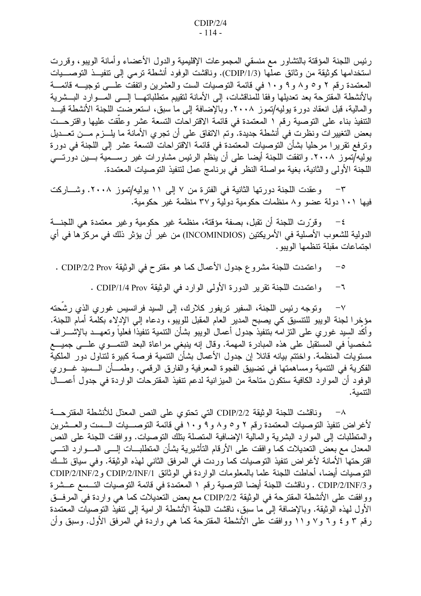رئيس اللجنة المؤقتة بالتشاور مع منسقى المجموعات الإقليمية والدول الأعضاء وأمانة الويبو، وقررت استخدامها كوثيقة من وثائق عملها (CDIP/1/3). وناقشت الوفود أنشطة ترمي إلىي تنفيــذ النوصـــيات المعتمدة رقع ٢ و ٥ و ٨ و ٩ و ١٠ في قائمة التوصيات الست والعشرين واتفقت علمي توجيسه قائمـــة بالأنشطة المقترحة بعد تعديلها وفقا للمناقشات، إلى الأمانة لتقييم متطلباتهـــا إلــــى المـــوارد البـــشرية والمالية، قبل انعقاد دورة يوليه/تموز ٢٠٠٨. وبالإضافة إلى ما سبق، استعرضت اللجنة الأنشطة قيــد النتفيذ بناء على التوصية رقم ١ المعتمدة في قائمة الاقتراحات التسعة عشر وعلَّقت عليها واقترحت بعض التغييرات ونظرت في أنشطة جديدة. وتم الاتفاق على أن تجري الأمانة ما يلـــزم مـــن تعـــديل وترفع نقريرًا مرحلياً بشأن التوصيات المعتمدة في قائمة الاقتراحات التسعة عشر إلى اللجنة في دورة يوليه/تموز ٢٠٠٨. واتفقت اللجنة أيضا على أن ينظم الرئيس مشاورات غير رســـمية بـــين دورتـــي اللجنة الأولى والثانية، بغية مواصلة النظر في برنامج عمل لتتفيذ التوصيات المعتمدة.

٣– وعقدت اللجنة دورتها الثانية في الفترة من ٧ إلى ١١ يوليه/تموز ٢٠٠٨. وشـــاركت فيها ١٠١ دولة عضو و٨ منظمات حكومية دولية و٣٧ منظمة غير حكومية.

٤– وقرَّرت اللجنة أن تقبل، بصفة مؤقتة، منظمة غير حكومية وغير معتمدة هي اللجنـــة الدولية للشعوب الأصلية في الأمريكتين (INCOMINDIOS) من غير أن يؤثر ذلك في مركز ها في أي اجتماعات مقبلة نتظمها الوبيو .

- واعتمدت اللجنة مشروع جدول الأعمال كما هو مقترح في الوثيقة CDIP/2/2 Prov .  $-\circ$ 
	- واعتمدت اللجنة تقرير الدورة الأولى الوارد في الوثيقة CDIP/1/4 Prov .  $-7$

ونوجه رئيس اللجنة، السفير تريفور كلارك، إلى السيد فرانسيس غوري الذي رشحته  $-\mathsf{V}$ مؤخرا لجنة الويبو للتتسيق كي يصبح المدير العام المقبل للويبو، ودعاه إلى الإدلاء بكلمة أمام اللجنة. وأكد السبد غورى على النز امه بتنفيذ جدول أعمال الويبو بشأن النتمية تنفيذاً فعلياً وتعهــد بالإشـــراف شخصيا في المستقبل على هذه المبادرة المهمة. وقال إنه ينبغي مراعاة البعد التنمـوي علــي جميـــع مستويات المنظمة. واختتم بيانه قائلا إن جدول الأعمال بشأن النتمية فرصة كبيرة لنتاول دور الملكية الفكرية في النتمية ومساهمتها في تضييق الفجوة المعرفية والفارق الرقمي. وطمـــأن الـــسيد غـــوري الوفود أن الموارد الكافية ستكون متاحة من الميزانية لدعم نتفيذ المقترحات الواردة في جدول أعمـــال النتمبة.

٨– وناقشت اللجنة الوثيقة CDIP/2/2 التي تحتوى على النص المعدّل للأنشطة المقترحـــة لأغراض نتفيذ التوصيات المعتمدة رقم ٢ و٥ و٨ و٩ و١٠ في قائمة التوصـــيات الـــست والعـــشرين والمتطلبات إلى الموارد البشرية والمالية الإضافية المتصلة بتلك التوصيات. ووافقت اللجنة على النص المعدل مع بعض النعديلات كما وافقت على الأرقام النأشيرية بشأن المنطلبـــات إلــــى المــــوارد النـــــى اقترحتها الأمانة لأغراض تنفيذ التوصيات كما وردت في المرفق الثاني لهذه الوثيقة. وفي سياق تلـــك النوصيات أيضا، أحاطت اللجنة علما بالمعلومات الواردة في الوثائق CDIP/2/INF/1 وCDIP/2/INF/2 و CDIP/2/INF/3 . وناقشت اللجنة أيضا التوصية رقم ١ المعتمدة في قائمة التوصيات التسمع عــشرة ووافقت على الأنشطة المقترحة في الوثيقة CDIP/2/2 مع بعض التعديلات كما هي واردة في المرفــق الأول لهذه الوثيقة. وبالإضافة إلى ما سبق، ناقشت اللجنة الأنشطة الرامية إلى نتفيذ التوصيات المعتمدة رقم ٣ و ٤ و ٦ و ٧ و ١١ ووافقت على الأنشطة المقترحة كما هي واردة في المرفق الأول. وسبق وأن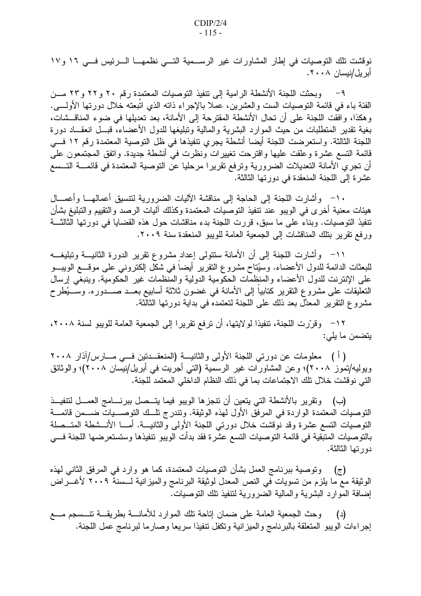نوقشت تلك التوصيات في إطار المشاورات غير الرســمية التـــي نظمهـــا الـــرئيس فـــي ١٦ و١٧ أبر يل/نيسان ٢٠٠٨.

٩- وبحثت اللجنة الأنشطة الرامية إلى نتفيذ التوصيات المعتمدة رقم ٢٠ و ٢٢ و ٢٣ مـــن الفئة باء في قائمة التوصيات الست والعشرين، عملا بالإجراء ذاته الذي اتبعته خلال دورتها الأولـــي. وهكذا، وافقت اللجنة على أن تحال الأنشطة المقترحة إلى الأمانة، بعد تعديلها في ضوء المناقــشات، بغية نقدير المتطلبات من حيث الموارد البشرية والمالية وتبليغها للدول الأعضاء، قبــل انعقــاد دورة اللجنة الثالثة. واستعرضت اللجنة أيضا أنشطة يجري نتفيذها في ظل التوصية المعتمدة رقم ١٢ فــي قائمة النسع عشرة وعلقت عليها واقترحت تغييرات ونظرت في أنشطة جديدة. واتفق المجتمعون على أن تجرى الأمانة التعديلات الضرورية وترفع تقريرا مرحليا عن التوصية المعتمدة في قائمـــة التـــسع عشرة إلى اللجنة المنعقدة في دورتها الثالثة.

١٠− وأشارت اللجنة إلىي الحاجة إلى مناقشة الآليات الضرورية لنتسبق أعمالهـــا وأعمـــال هيئات معنية أخرى في الويبو عند تنفيذ التوصيات المعتمدة وكذلك آليات الرصد والتقييم والتبليغ بشأن نتفيذ التوصيات. وبناء على ما سبق، قررت اللجنة بدء مناقشات حول هذه القضايا في دورتها الثالثـــة ورفع تقرير بتلك المناقشات إلى الجمعية العامة للويبو المنعقدة سنة ٢٠٠٩.

١١– وأشارت اللجنة إلى أن الأمانة ستتولى إعداد مشروع تقرير الدورة الثانيـــة وتبليغـــه للبعثات الدائمة للدول الأعضاء. وسيُتاح مشروع النقرير أيضاً في شكل الكتروني على موقـــع الويبـــو على الإنترنت للدول الأعضاء والمنظمَّات الحكَّومية الدولية والمنظمات غير الحكومية. وينبغي إرسال النعلُّبقاتُ على مشروع النقرير كتابياً إلى الأمانة في غضون ثلاثة أسابيع بعـــد صــــدوره. وســــيُطرح مشروع النقرير المعدَّل بعد ذلك على اللجنة لتعتمده في بداية دورتها الثالثة.

١٢– وقرَّرت اللجنة، نتفيذا لولايتها، أن ترفع تقريرا إلى الجمعية العامة للويبو لسنة ٢٠٠٨، يتضمن ما يلي:

( أ ) معلومات عن دورتي اللجنة الأولى والثانيـــة (المنعقـــدتين فـــي مــــارس/آذار ٢٠٠٨ ويوليه/تموز ٢٠٠٨)؛ وعن المشاورات غير الرسمية (التي أجريت في أبريل/نيسان ٢٠٠٨)؛ والوثائق التي نوقشت خلال تلك الاجتماعات بما في ذلك النظام الداخلي المعتمد للجنة.

(ب) وتقرير بالأنشطة التي يتعين أن تنجزها الويبو فيما يتــصل ببرنــــامج العمـــل لتتفيـــذ التوصيات المعتمدة الواردة في المرفق الأول لهذه الوثيقة. وتتدرج تلَّــك التوصـــيات ضـــمن قائمـــة النوصيات النسع عشرة وقد نوقشت خلال دورتي اللجنة الأولى والثانيـــة. أمـــا الأنـــشطة المتـــصلة بالنوصيات المتبقية في قائمة النوصيات التسع عشرة فقد بدأت الويبو نتفيذها وستستعرضها اللجنة فسي دور تها الثالثة.

(ج) وتوصية ببرنامج العمل بشأن التوصيات المعتمدة، كما هو وارد في المرفق الثاني لهذه الوثيقة مع ما يلزم من تسويات في النص المعدل لوثيقة البرنامج والميزانية لـــسنة ٢٠٠٩ لأغـــراض إضـافة الموارد البشرية والمـالية الصرورية لنتفيذ نلك النوصـيات.

(د) وحث الجمعية العامة على ضمان إناحة نلك الموارد للأمانـــة بطريقــة تتــسجم مـــع إجراءات الويبو المتعلقة بالبرنامج والميزانية وتكفل تنفيذا سريعا وصارما لبرنامج عمل اللجنة.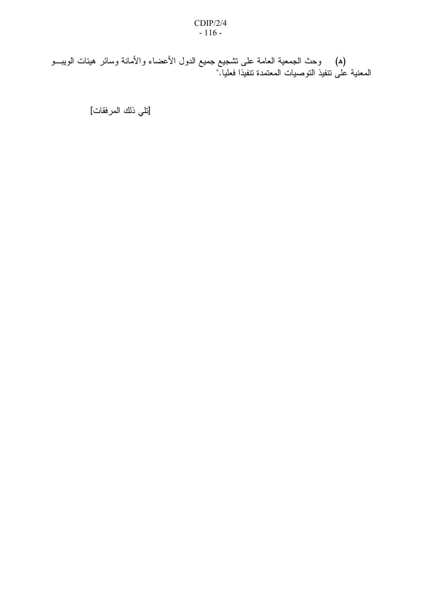(ه) وحث الجمعية العامة على تشجيع جميع الدول الأعضـاء والأمانـة وسائر هيئات الويبـــو<br>المعنية علـي تنفيذ التوصـيات المعتمدة تنفيذا فعليا."

[تلي ذلك المرفقات]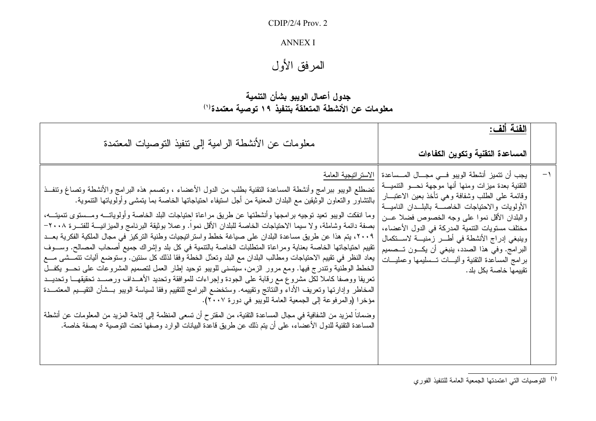## CDIP/2/4 Prov.  $2$

# **ANNEX I**

# المرفق الأول

# جدول أعمال الويبو بشأن التنمية<br>معلومات عن الأنشطة المتعلقة بتنفيذ ١٩ توصية معتمدة'''

|                                                                                                                                                                                                                                                                                                                                                                                                                                                                                                                                                                                                                                                                                                                                                                                                                                                                                                                                                                                                                                                                                                                                                                                                                                                                                                                                                                                                                                                                                                                                   | الفئة ألف:                                                                                                                                                                                                                                                                                                                                                                                                                                                                                                         |      |
|-----------------------------------------------------------------------------------------------------------------------------------------------------------------------------------------------------------------------------------------------------------------------------------------------------------------------------------------------------------------------------------------------------------------------------------------------------------------------------------------------------------------------------------------------------------------------------------------------------------------------------------------------------------------------------------------------------------------------------------------------------------------------------------------------------------------------------------------------------------------------------------------------------------------------------------------------------------------------------------------------------------------------------------------------------------------------------------------------------------------------------------------------------------------------------------------------------------------------------------------------------------------------------------------------------------------------------------------------------------------------------------------------------------------------------------------------------------------------------------------------------------------------------------|--------------------------------------------------------------------------------------------------------------------------------------------------------------------------------------------------------------------------------------------------------------------------------------------------------------------------------------------------------------------------------------------------------------------------------------------------------------------------------------------------------------------|------|
| معلومات عن الأنشطة الرامية إلى نتفيذ التوصيات المعتمدة                                                                                                                                                                                                                                                                                                                                                                                                                                                                                                                                                                                                                                                                                                                                                                                                                                                                                                                                                                                                                                                                                                                                                                                                                                                                                                                                                                                                                                                                            | المساعدة التقنية وتكوين الكفاءات                                                                                                                                                                                                                                                                                                                                                                                                                                                                                   |      |
| الاستر اتيجية العامة<br>تضطلع الويبو ببرامج وأنشطة المساعدة التقنية بطلب من الدول الأعضاء ، وتصمم هذه البرامج والأنشطة وتصاغ وتنفــذ<br>بالتشاور والنعاون الوثيقين مع البلدان المعنية من أجل استيفاء احتياجاتها الخاصة بما يتمشى وأولوياتها التنموية.<br>وما انفكت الويبو تعيد توجيه برامجها وأنشطتها عن طريق مراعاة احتياجات البلد الخاصة وأولوياتـــه ومـــستوى تتميتـــه،<br>بصفة دائمة وشاملة، ولا سيما الاحتياجات الخاصة للبلدان الأقل نموا. وعملا بوثيقة البرنامج والميزانيـــة للفتـــرة ٢٠٠٨–<br>٢٠٠٢، يتم هذا عن طريق مساعدة البلدان على صياغة خطط واستر انيجيات وطنية التركيز في مجال الملكية الفكرية بعــد<br>نقييم احتياجاتها الخاصة بعناية ومراعاة المتطلبات الخاصة بالتنمية في كل بلد وإشراك جميع أصحاب المصالح. وســـوف<br>يعاد النظر في نقييم الاحتياجات ومطالب البلدان مع البلد وتعدَّل الخطة وفقا لذلك كل سنتين. وستوضع أليات نتمـــشي مـــع<br>الخطط الوطنية ونتدرج فيها. ومع مرور الزمن، سيتسنى للويبو نوحيد إطار العمل لتصميم المشروعات على نحــو يكفــل<br>تعريفا ووصفا كاملا لكل مشروع مع رقابة على الجودة وإجراءات للموافقة وتحديد الأهــداف ورصـــد تحقيقهـــا وتحديــد<br>المخاطر وإدارتها وتعريف الأداء والنتائج وتقييمه. وستخضع البرامج للتقييم وفقا لسياسة الويبو بـــشأن التقيـــيم المعتمـــدة<br>مؤخرا (والمرفوعة إلى الجمعية العامة للويبو في دورة ٢٠٠٧).<br>وضمانا لمزيد من الشفافية في مجال المساعدة التقنية، من المقترح أن تسعى المنظمة إلى إناحة المزيد من المعلومات عن أنشطة<br>المساعدة التقنية للدول الأعضاء، على أن يتم ذلك عن طريق قاعدة البيانات الوارد وصفها تحت التوصية ٥ بصفة خاصة. | يجب أن نتميز أنشطة الويبو فـــي مجـــال المـــساعدة<br>النقنية بعدة ميزات ومنها أنها موجهة نحـــو النتميـــة<br>وقائمة على الطلب وشفافة وهي نأخذ بعين الاعتبـــار<br>الأولويات والاحتياجات الخاصسة بالبلسدان الناميسة<br>والبلدان الأقل نموا على وجه الخصوص فضلا عـــن<br>مختلف مستويات التنمية المدركة في الدول الأعضاء،<br>وينبغي إدراج الأنشطة في أطـــر زمنيـــة لاســـنكمال<br>البرامج. وفي هذا الصدد، ينبغي أن يكـــون تـــصميم<br>برامج المساعدة التقنية وأليسات تسسليمها وعمليسات<br>تقييمها خاصة بكل بلد. | $-1$ |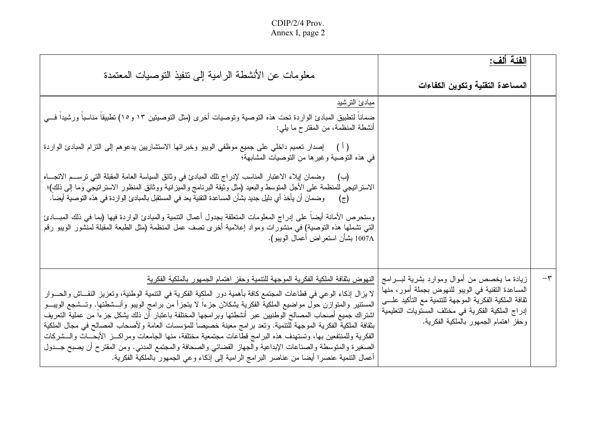| معلومات عن الأنشطة الرامية إلى تنفيذ التوصيات المعتمدة                                                                                                                                                                                                                                                                                                                                                                                                                                                                                                                                                                                                                                                                                                                                                                                                                                                | الفئة ألف:<br>المساعدة التقنية وتكوين الكفاءات                                                                                                                                                                                                                |         |
|-------------------------------------------------------------------------------------------------------------------------------------------------------------------------------------------------------------------------------------------------------------------------------------------------------------------------------------------------------------------------------------------------------------------------------------------------------------------------------------------------------------------------------------------------------------------------------------------------------------------------------------------------------------------------------------------------------------------------------------------------------------------------------------------------------------------------------------------------------------------------------------------------------|---------------------------------------------------------------------------------------------------------------------------------------------------------------------------------------------------------------------------------------------------------------|---------|
| مبادئ الترشيد<br>ضماناً لتطبيق المبادئ الواردة تحت هذه التوصية وتوصيات أخرى (مثل التوصيتين ١٣ و١٥) تطبيقا مناسبا ورشيدا فـــي<br>أنشطة المنظمة، من المقترح ما يلي:                                                                                                                                                                                                                                                                                                                                                                                                                                                                                                                                                                                                                                                                                                                                    |                                                                                                                                                                                                                                                               |         |
| ( أ )     إصدار تعميم داخلي على جميع موظفي الويبو وخبرائها الاستشاريين يدعوهم إلى التزام المبادئ الواردة<br>في هذه النوصية وغيرها من النوصيات المشابهة؛                                                                                                                                                                                                                                                                                                                                                                                                                                                                                                                                                                                                                                                                                                                                               |                                                                                                                                                                                                                                                               |         |
| وضمان إيلاء الاعتبار المناسب لإدراج تلك المبادئ في وثائق السياسة العامة المقبلة التي ترســم الاتجـــاه<br>(ب)<br>الاستراتيجي للمنظمة على الأجل المتوسط والبعيد (مثل وثيقة البرنامج والميزانية ووثائق المنظور الاستراتيجي وما إلى ذلك)؛<br>وضمان أن يأخذ أي دليل جديد بشأن المساعدة التقنية يعد في المستقبل بالمبادئ الواردة في هذه التوصية أيضا.<br>$(\tau)$                                                                                                                                                                                                                                                                                                                                                                                                                                                                                                                                          |                                                                                                                                                                                                                                                               |         |
| وستحرص الأمانة أيضا على إدراج المعلومات المنعلقة بجدول أعمال النتمية والمبادئ الواردة فيها (بما في ذلك المبسادئ<br>التي تشملها هذه التوصية) في منشورات ومواد إعلامية أخرى تصف عمل المنظمة (مثل الطبعة المقبلة لمنشور الويبو رقم<br>1007A بشأن استعراض أعمال الويبو).                                                                                                                                                                                                                                                                                                                                                                                                                                                                                                                                                                                                                                  |                                                                                                                                                                                                                                                               |         |
|                                                                                                                                                                                                                                                                                                                                                                                                                                                                                                                                                                                                                                                                                                                                                                                                                                                                                                       |                                                                                                                                                                                                                                                               |         |
| النهوض بثقافة الملكية الفكرية الموجهة للتنمية وحفز اهتمام الجمهور بالملكية الفكرية<br>لا يزال إذكاء الوعي في قطاعات المجتمع كافة بأهمية دور الملكِية الفكرية في التتمية الوطنية، وتعزيز النقـــاش والحـــوار<br>المستنير والمتوازن حول مواضيع الملكية الفكرية يشكلان جزءا لا يتجزأ من برامج الويبو وأنـــشطتها. وتـــشجع الويبـــو<br>اشتراك جميع أصـحاب المصـالح الوطنيين عبر أنشطتها وبرامجها المختلفة باعتبار أن ذلك يشكل جزءا من عملية التعريف<br>بثقافة الملكية الفكرية الموجهة للتتمية. وتعد برامج معينة خصيصا للمؤسسات العامة ولأصحاب المصالح في مجال الملكية<br>الفكرية وللمنتفعين بها، وتستهدف هذه البرامج قطاعات مجتمعية مختلفة، منها الجامعات ومراكـــز الأبحـــاث والـــشركات<br>الصغيرة والمتوسطة والصناعات الإبداعية والجهاز القضائي والصحافة والمجتمع المدني. ومن المقترح أن يصبح جـــدول<br>أعمال النتمية عنصرا أيضا من عناصر البرامج الرامية إلى إذكاء وعي الجمهور بالملكية الفكرية. | زيادة ما يخصص من أموال وموارد بشرية لبـــرامج<br>المساعدة النقنية في الويبو للنهوض بجملة أمور، منها<br>ثقافة الملكية الفكرية الموجهة للتنمية مع التأكيد علـــي<br>إدراج الملكية الفكرية في مختلف المستويات التعليمية<br>وحفز اهتمام الجمهور بالملكية الفكرية. | $-\tau$ |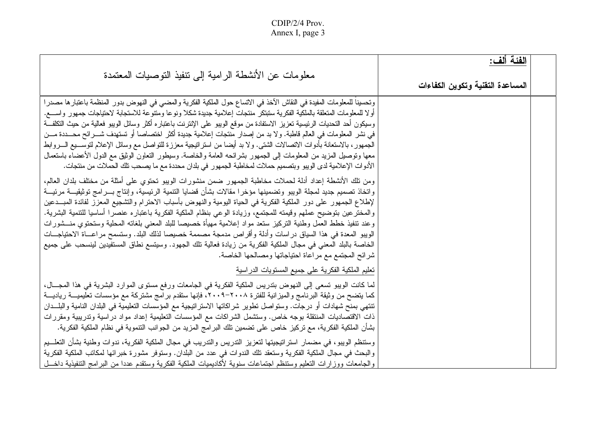| وتحسينا للمعلومات المفيدة في النقاش الآخذ في الاتساع حول الملكية الفكرية والمضبي في النهوض بدور المنظمة باعتبارها مصدرا<br>أولا للمعلومات المتعلقة بالملكية الفكرية ستبتكر منتجات إعلامية جديدة شكلا ونوعا ومنتوعة للاستجابة لاحتياجات جمهور واســـع.<br>وسيكون أحد التحديات الرئيسية تعزيز الاستفادة من موقع الويبو على الإنترنت باعتباره أكثر وسائل الويبو فعالية من حيث التكلفـــة<br>في نشر المعلومات في العالم قاطبة. ولا بد من إصدار منتجات إعلامية جديدة أكثر اختصاصا أو تستهدف شــــرائح محــــددة مــــن<br>الجمهور، بالاستعانة بأدوات الاتصالات الشتبي. ولا بد أيضا من استرانيجية معززة للتواصل مع وسائل الإعلام لتوســـيع الــــروابط<br>معها ونوصيل المزيد من المعلومات إلىي الجمهور بشرائحه العامة والخاصة. وسيطور النعاون الوثيق مع الدول الأعضاء باستعمال<br>الأدوات الإعلامية لدى الويبو وبتصميم حملات لمخاطبة الجمهور في بلدان محددة مع ما يصحب تلك الحملات من منتجات.<br>ومن نلك الأنشطة إعداد أدلة لحملات مخاطبة الجمهور ضمن منشورات الويبو نحتوي على أمثلة من مختلف بلدان العالم،<br>واتخاذ نصميم جديد لمجلة الويبو ونضمينها مؤخرا مقالات بشأن قضايا التنمية الرئيسية، وإنتاج بـــرامج توثيقيـــة مرئيـــة<br>لإطلاع الجمهور على دور الملكية الفكرية في الحياة اليومية والنهوض بأسباب الاحترام والتشجيع المعزز لفائدة المبــدعين<br>والمخترعين بتوضيح عملهم وقيمته للمجتمع، وزيادة الوعي بنظام الملكية الفكرية باعتباره عنصرا أساسيا للتتمية البشرية.<br>وعند نتفيذ خطط العمل وطنية التركيز ستعد مواد إعلامية مهيأة خصيصا للبلد المعنبي بلغاته المحلية وستحتوي منـــشورات<br>الويبو المعدة في هذا السياق دراسات وأدلة وأقراص مدمجة مصممة خصيصا لذلك البلد. وستسمح مراعـــاة الاحتياجـــات<br>الخاصة بالبلد المعنى في مجال الملكية الفكرية من زيادة فعالية تلك الجهود. وسيتسع نطاق المستفيدين لينسحب على جميع<br>شرائح المجتمع مع مراعاة احتياجاتها ومصالحها الخاصة.<br><mark>تعليم الملكية الفكرية على جميع المستويات ال</mark> در اسية<br>لما كانت الويبو تسعى إلى النهوض بتدريس الملكية الفكرية في الجامعات ورفع مستوى الموارد البشرية في هذا المجـــال،<br>كما يتضح من وثيقة البرنامج والميزانية للفترة ٢٠٠٨-٢٠٠٩، فإنها ستقدم برامج مشتركة مع مؤسسات تعليميـــة رياديـــة<br>تتتهي بمنح شهادات أو درجات. وستواصل تطوير شراكاتها الاستراتيجية مع المؤسسات التعليمية في البلدان النامية والبلــدان<br>ذات الاقتصاديات المنتقلة بوجه خاص. وستشمل الشراكات مع المؤسسات التعليمية إعداد مواد دراسية وتدريبية ومقررات | معلومات عن الأنشطة الرامية إلى نتفيذ التوصيات المعتمدة                                                        | الفئة ألف:<br>المساعدة التقنية وتكوين الكفاءات |
|-----------------------------------------------------------------------------------------------------------------------------------------------------------------------------------------------------------------------------------------------------------------------------------------------------------------------------------------------------------------------------------------------------------------------------------------------------------------------------------------------------------------------------------------------------------------------------------------------------------------------------------------------------------------------------------------------------------------------------------------------------------------------------------------------------------------------------------------------------------------------------------------------------------------------------------------------------------------------------------------------------------------------------------------------------------------------------------------------------------------------------------------------------------------------------------------------------------------------------------------------------------------------------------------------------------------------------------------------------------------------------------------------------------------------------------------------------------------------------------------------------------------------------------------------------------------------------------------------------------------------------------------------------------------------------------------------------------------------------------------------------------------------------------------------------------------------------------------------------------------------------------------------------------------------------------------------------------------------------------------------------------------------------------------------------------------------------------------------------------------------------------------------------------------------------------------------------------------------------------------------------------------------------------------------------------------------------------------|---------------------------------------------------------------------------------------------------------------|------------------------------------------------|
|                                                                                                                                                                                                                                                                                                                                                                                                                                                                                                                                                                                                                                                                                                                                                                                                                                                                                                                                                                                                                                                                                                                                                                                                                                                                                                                                                                                                                                                                                                                                                                                                                                                                                                                                                                                                                                                                                                                                                                                                                                                                                                                                                                                                                                                                                                                                         |                                                                                                               |                                                |
|                                                                                                                                                                                                                                                                                                                                                                                                                                                                                                                                                                                                                                                                                                                                                                                                                                                                                                                                                                                                                                                                                                                                                                                                                                                                                                                                                                                                                                                                                                                                                                                                                                                                                                                                                                                                                                                                                                                                                                                                                                                                                                                                                                                                                                                                                                                                         |                                                                                                               |                                                |
| وستنظم الويبو ، في مضمار  استر انيجيتها لتعزيز  التدريس و التدريب في مجال الملكية الفكرية، ندوات وطنية بشأن التعلــيم<br>والبحث في مجال الملكية الفكرية وستعقد تلك الندوات في عدد من البلدان. وستوفر مشورة خبرائها لمكاتب الملكية الفكرية                                                                                                                                                                                                                                                                                                                                                                                                                                                                                                                                                                                                                                                                                                                                                                                                                                                                                                                                                                                                                                                                                                                                                                                                                                                                                                                                                                                                                                                                                                                                                                                                                                                                                                                                                                                                                                                                                                                                                                                                                                                                                               | بشأن الملكية الفكرية، مع تركيز خاص على تضمين تلك البر امج المزيد من الجوانب التتموية في نظام الملكية الفكرية. |                                                |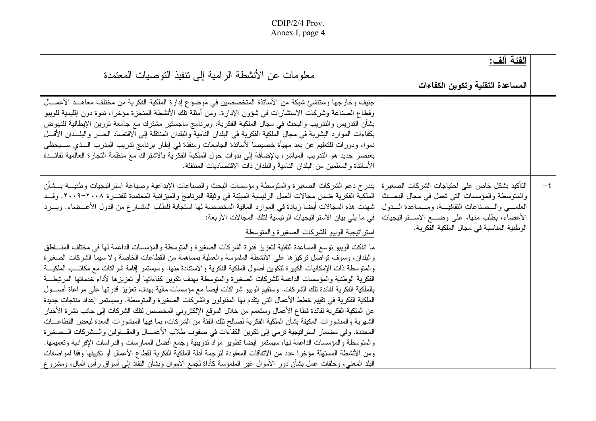| معلومات عن الأنشطة الرامية إلى نتفيذ التوصيات المعتمدة<br>جنيف وخارجها وستنشئ شبكة من الأساتذة المتخصصين في موضوع إدارة الملكية الفكرية من مختلف معاهــد الأعمـــال<br>وقطاع الصناعة وشركات الاستشارات في شؤون الإدارة. ومن أمثلة نلك الأنشطة المنجزة مؤخرا، ندوة دون إقليمية للويبو                                                                                                                                                                                                                                                                                                                                                                                                                                                                                                                                                                              | الفئة ألف:<br>المساعدة التقنية وتكوين الكفاءات                                                                                                                                                                                                           |  |
|-------------------------------------------------------------------------------------------------------------------------------------------------------------------------------------------------------------------------------------------------------------------------------------------------------------------------------------------------------------------------------------------------------------------------------------------------------------------------------------------------------------------------------------------------------------------------------------------------------------------------------------------------------------------------------------------------------------------------------------------------------------------------------------------------------------------------------------------------------------------|----------------------------------------------------------------------------------------------------------------------------------------------------------------------------------------------------------------------------------------------------------|--|
| بشأن التدريس والتدريب والبحث في مجال الملكية الفكرية، وبرنامج ماجستير مشترك مع جامعة تورين الإيطالية للنهوض<br>بكفاءات الموارد البشرية في مجال الملكية الفكرية في البلدان النامية والبلدان المنتقلة إلى الاقتصاد الحـــر والبلـــدان الأقـــل<br>نموا، ودورات للنعليم عن بعد مهيأة خصيصا لأساتذة الجامعات ومنفذة في إطار برنامج تدريب المدرب الـــذي ســـيحظى<br>بعنصر جديد هو التدريب المباشر، بالإضافة إلى ندوات حول الملكية الفكرية بالاشتراك مع منظمة التجارة العالمية لفائـــدة<br>الأساتذة والمعلمين من البلدان النامية والبلدان ذات الاقتصاديات المنتقلة.                                                                                                                                                                                                                                                                                                  |                                                                                                                                                                                                                                                          |  |
| يندرج دعم الشركات الصغيرة والمتوسطة ومؤسسات البحث والصناعات الإبداعية وصياغة استراتيجيات وطنيـــة بـــشأن<br>الملكية الفكرية ضمن مجالات العمل الرئيسية المبيّنة في وثيقة البرنامج والميزانية المعتمدة للفتـــرة ٢٠٠٨–٢٠٠٩. وقـــد<br>شهدت هذه المجالات أيضا زيادة في الموارد المالية المخصصة لها استجابة للطلب المتسار ع من الدول الأعـــضاء. ويـــرد<br>في ما يلي بيان الاستر اتيجيات الرئيسية لتلك المجالات الأربعة:<br>استراتيجية الويبو للشركات الصغيرة والمتوسطة                                                                                                                                                                                                                                                                                                                                                                                             | التأكيد بشكل خاص على احتياجات الشركات الصغيرة<br>والمنوسطة والمؤسسات التي نعمل في مجال البحث<br>العلمـــي والـــصناعات الثقافيـــة، ومـــساعدة الـــدول<br>الأعضاء، بطلب منها، علىي وضـــع الاســـتراتيجيات<br>الوطنية المناسبة في مجال الملكية الفكرية. |  |
| ما انفكت الويبو توسع المساعدة التقنية لتعزيز قدرة الشركات الصغيرة والمتوسطة والمؤسسات الداعمة لها في مختلف المنسلطق<br>والبلدان، وسوف نواصل نركيزها على الأنشطة الملموسة والعملية بمساهمة من القطاعات الخاصة ولا سيما الشركات الصغيرة<br>والمنوسطة ذات الإمكانيات الكبيرة لتكوين أصول الملكية الفكرية والاستفادة منها. وسيستمر إقامة شراكات مع مكاتــب الملكيـــة<br>الفكرية الوطنية والمؤسسات الداعمة للشركات الصغيرة والمتوسطة بهدف نكوين كفاءاتها أو تعزيزها لأداء خدماتها المرنبطة<br>بالملكية الفكرية لفائدة تلك الشركات. وستقيم الويبو شراكات أيضا مع مؤسسات مالية بهدف نعزيز قدرتها على مراعاة أصـــول                                                                                                                                                                                                                                                     |                                                                                                                                                                                                                                                          |  |
| الملكية الفكرية في تقييم خطط الأعمال التي يتقدم بها المقاولون والشركات الصغيرة والمتوسطة. وسيستمر إعداد منتجات جديدة<br>عن الملكية الفكرية لفائدة قطاع الأعمال وستعمم من خلال الموقع الإلكتروني المخصص لنلك الشركات إلى جانب نشرة الأخبار<br>الشهرية والمنشورات المكيفة بشأن الملكية الفكرية لصالح نلك الفئة من الشركات، بما فيها المنشورات المعدة لبعض القطاعـــات<br>المحددة. وفي مضمار استراتيجية ترمي إلى نكوين الكفاءات في صفوف طلاب الأعمـــال والمقـــاولين والـــشركات الـــصغيرة<br>والمنوسطة والمؤسسات الداعمة لها، سيستمر أيضا نطوير مواد ندريبية وجمع أفضل الممارسات والدراسات الإفرادية ونعميمها.<br>ومن الأنشطة المستهلة مؤخرًا عدد من الاتفاقات المعقودة لترجمة أدلة الملكية الفكرية لقطاع الأعمال أو نكييفها وفقا لمواصفات<br>البلد المعنـي، وحلقات عمل بشأن دور الأموال غير الملموسة كأداة لجمع الأموال وبشأن النفاذ إلى أسواق رأس المال، ومشروع |                                                                                                                                                                                                                                                          |  |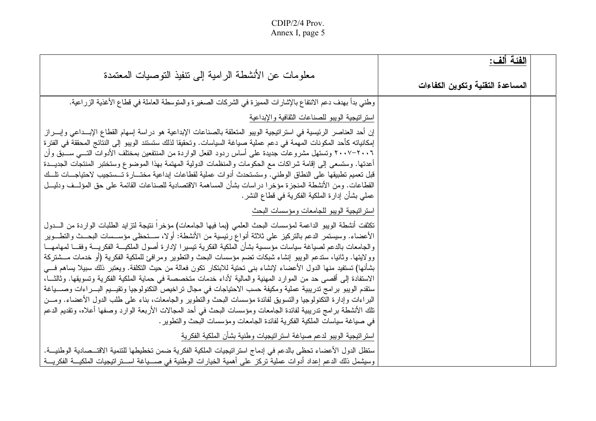| معلومات عن الأنشطة الرامية إلى نتفيذ التوصيات المعتمدة                                                                                                                                                                                                                                                                                                                                                                                                                                                                                                                                                                                                                                                                                                                                                                                                                                                                                                                                                                                                                                                                                                                | الفئة آلف:<br>المساعدة التقنية وتكوين الكفاءات |
|-----------------------------------------------------------------------------------------------------------------------------------------------------------------------------------------------------------------------------------------------------------------------------------------------------------------------------------------------------------------------------------------------------------------------------------------------------------------------------------------------------------------------------------------------------------------------------------------------------------------------------------------------------------------------------------------------------------------------------------------------------------------------------------------------------------------------------------------------------------------------------------------------------------------------------------------------------------------------------------------------------------------------------------------------------------------------------------------------------------------------------------------------------------------------|------------------------------------------------|
| وطني بدأ بهدف دعم الانتفاع بالإشارات المميزة في الشركات الصغيرة والمتوسطة العاملة في قطاع الأغذية الزراعية.                                                                                                                                                                                                                                                                                                                                                                                                                                                                                                                                                                                                                                                                                                                                                                                                                                                                                                                                                                                                                                                           |                                                |
| استراتيجية الويبو للصناعات النقافية والإبداعية                                                                                                                                                                                                                                                                                                                                                                                                                                                                                                                                                                                                                                                                                                                                                                                                                                                                                                                                                                                                                                                                                                                        |                                                |
| إن أحد العناصر الرئيسية في استراتيجية الويبو المنعلقة بالصناعات الإبداعية هو دراسة إسهام القطاع الإبــداعي وإبـــراز<br>إمكانياته كأحد المكونات المهمة في دعم عملية صياغة السياسات. وتحقيقا لذلك ستستند الويبو إلى النتائج المحققة في الفترة<br>٢٠٠٦–٢٠٠٧ وتستهل مشروعات جديدة على أساس ردود الفعل الواردة من المنتفعين بمختلف الأدوات التسبي ســـبق وأن<br>أعدتها. وستسعى إلى إقامة شراكات مع الحكومات والمنظمات الدولية المهتمة بهذا الموضوع وستختبر المنتجات الجديـــدة<br>قبل نعميم تطبيقها على النطاق الوطني. وستستحدث أدوات عملية لقطاعات إبداعية مختـــارة تـــستجيب لاحتياجـــات نلـــك<br>القطاعات. ومن الأنشطة المنجزة مؤخرا دراسات بشأن المساهمة الاقتصادية للصناعات القائمة على حق المؤلــف ودليــل<br>عملي بشأن إدار ة الملكية الفكرية في قطاع النشر .                                                                                                                                                                                                                                                                                                                                                                                                   |                                                |
| استراتيجية الويبو للجامعات ومؤسسات البحث                                                                                                                                                                                                                                                                                                                                                                                                                                                                                                                                                                                                                                                                                                                                                                                                                                                                                                                                                                                                                                                                                                                              |                                                |
| تكثفت أنشطة الويبو الداعمة لمؤسسات البحث العلمي (بما فيها الجامعات) مؤخرا نتيجة لتزايد الطلبات الواردة من السدول<br>الأعضاء. وسيستمر الدعم بالتركيز على ثلاثة أنواع رئيسية من الأنشطة: أولا، ســـتحظى مؤســـسات البحـــث والتطـــوير<br>والجامعات بالدعم لصياغة سياسات مؤسسية بشأن الملكية الفكرية نيسيرا لإدارة أصول الملكيـــة الفكريــــة وفقـــا لمهامهـــا<br>وولايتها. وثانيا، ستدعم الويبو إنشاء شبكات تضم مؤسسات البحث والتطوير ومرافئ للملكية الفكرية (أو خدمات مـــشتركة<br>بشأنها) تستفيد منها الدول الأعضاء لإنشاء بني تحتية للابتكار نكون فعالة من حيث التكلفة. ويعتبر ذلك سبيلا يساهم فسي<br>الاستفادة إلى أقصبي حد من الموارد المهنية والمالية لأداء خدمات متخصصة في حماية الملكية الفكرية وتسويقها. وثالثــا،<br>ستقدم الويبو برامج تدريبية عملية ومكيفة حسب الاحتياجات في مجال تراخيص التكنولوجيا وتقيــيم البـــراءات وصــــياغة<br>البر اءات وإدارة التكنولوجيا والتسويق لفائدة مؤسسات البحث والتطوير والجامعات، بناء على طلب الدول الأعضاء. ومــن<br>نلك الأنشطة برامج ندريبية لفائدة الجامعات ومؤسسات البحث في أحد المجالات الأربعة الوارد وصفها أعلاه، ونقديم الدعم<br>في صياغة سياسات الملكية الفكرية لفائدة الجامعات ومؤسسات البحث والنطوير . |                                                |
| استر اتيجية الويبو لدعم صياغة استر اتيجيات وطنية بشأن الملكية الفكرية<br>ستظل الدول الأعضاء تحظي بالدعم في إدماج استر اتيجيات الملكية الفكرية ضمن تخطيطها للتنمية الاقتـــصادية الوطنيـــة.<br>وسيشمل ذلك الدعم إعداد أدوات عملية تركز على أهمية الخيارات الوطنية في صــــياغة اســـتراتيجيات الملكيـــة الفكريـــة                                                                                                                                                                                                                                                                                                                                                                                                                                                                                                                                                                                                                                                                                                                                                                                                                                                   |                                                |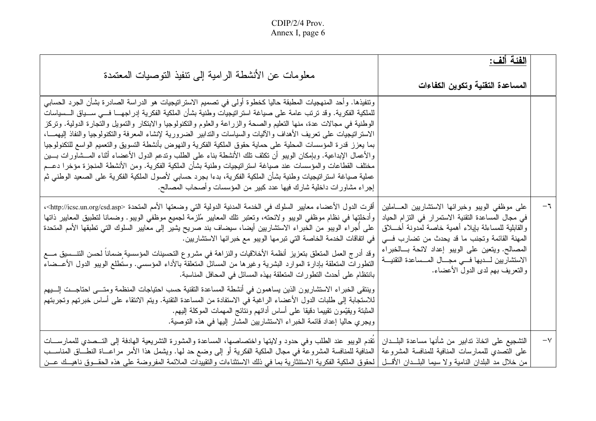| معلومات عن الأنشطة الرامية إلى نتفيذ التوصيات المعتمدة                                                                                                                                                                                                                                                                                                                                                                                                                                                                                                                                                                                                                                                                                                                                                                                                                                                                                                                                                                                      | الفئة ألف:<br>المساعدة التقنية وتكوين الكفاءات                                                                                                                                                                                                                                                                                                             |               |
|---------------------------------------------------------------------------------------------------------------------------------------------------------------------------------------------------------------------------------------------------------------------------------------------------------------------------------------------------------------------------------------------------------------------------------------------------------------------------------------------------------------------------------------------------------------------------------------------------------------------------------------------------------------------------------------------------------------------------------------------------------------------------------------------------------------------------------------------------------------------------------------------------------------------------------------------------------------------------------------------------------------------------------------------|------------------------------------------------------------------------------------------------------------------------------------------------------------------------------------------------------------------------------------------------------------------------------------------------------------------------------------------------------------|---------------|
| ونتفيذها. وأحد المنهجيات المطبقة حاليا كخطوة أولى في نصميم الاسترانيجيات هو الدراسة الصادرة بشأن الجرد الحسابي<br>للملكية الفكرية. وقد ترتب عامة على صياغة استرانتيجيات وطنية بشأن الملكية الفكرية إدراجهـــا فـــي ســـياق الـــسياسات<br>الوطنية في مجالات عدة، منها التعليم والصحة والزراعة والعلوم والنكنولوجيا والابتكار والتمويل والتجارة الدولية. ونركز<br>الاستراتيجيات على نعريف الأهداف والآليات والسياسات والتدابير الضرورية لإنشاء المعرفة والتكنولوجيا والنفاذ إليهمـــا،<br>بما يعزز قدرة المؤسسات المحلية على حماية حقوق الملكية الفكرية والنهوض بأنشطة التسويق والتعميم الواسع للتكنولوجيا<br>والأعمال الإبداعية. وبإمكان الويبو أن تكثف تلك الأنشطة بناء على الطلب وندعم الدول الأعضاء أثناء المـــشاور ات بـــين<br>مختلف القطاعات والمؤسسات عند صياغة استراتيجيات وطنية بشأن الملكية الفكرية. ومن الأنشطة المنجزة مؤخرا دعـــم<br>عملية صياغة استرانيجيات وطنية بشأن الملكية الفكرية، بدءا بجرد حسابي لأصول الملكية الفكرية على الصعيد الوطنبي ثم<br>إجراء مشاورات داخلية شارك فيها عدد كبير من المؤسسات وأصحاب المصالح. |                                                                                                                                                                                                                                                                                                                                                            |               |
| أقرت الدول الأعضاء معايير السلوك في الخدمة المدنية الدولية التي وضعتها الأمم المتحدة <http: csd.asp="" icsc.un.org="">،<br/>وأدخلتها في نظام موظفي الويبو ولائحته، وتعتبر تلك المعايير مُلزمة لجميع موظفي الويبو . وضمانا لتطبيق المعايير ذاتها<br/>على أجراء الويبو من الخبراء الاستشاريين أيضا، سيضاف بند صريح يشير إلى معايير السلوك التي تطبقها الأمم المتحدة<br/>في اتفاقات الخدمة الخاصة التي تبر مها الويبو مع خبر ائها الاستشاريين.<br/>وقد أدرج العمل المتعلق بتعزيز أنظمة الأخلاقيات والنزاهة في مشروع التحسينات المؤسسية ضمانا لحسن التتــسيق مـــع<br/>النطورات المنعلقة بإدارة الموارد البشرية وغيرها من المسائل المنعلقة بالأداء المؤسسي. وسنطلع الويبو الدول الأعــضاء<br/>بانتظام على أحدث النطور ات المتعلقة بهذه المسائل في المحافل المناسبة.</http:>                                                                                                                                                                                                                                                                     | على موظفى الويبو وخبرائها الاستشاريين العـــاملين<br>في مجال المساعدة التقنية الاستمرار في التزام الحياد<br>والقابلية للمساءلة بإيلاء أهمية خاصة لمدونة أخـــلاق<br>المهنة القائمة وتجنب ما قد يحدث من تضارب فسي<br>المصالح. ويتعين على الويبو إعداد لائحة بسالخبراء<br>الاستشاريين لسديها فسى مجسال المسساعدة التقنيسة<br>والنعريف بهم لدى الدول الأعضاء. | $-\mathbf{y}$ |
| وينتقى الخبراء الاستشاريون الذين يساهمون في أنشطة المساعدة النقنية حسب احتياجات المنظمة ومتـــي احتاجـــت اإلـــيهم<br>للاستجابة إلى طلبات الدول الأعضاء الراغبة في الاستفادة من المساعدة التقنية. ويتم الانتقاء على أساس خبرتهم وتجربتهم<br>المثبتة ويقيِّمون تقييما دقيقا على أساس أدائهم ونتائج الممهمات الموكلة إليهم.<br>ويجري حاليا إعداد قائمة الخبراء الاستشاريين المشار إليها في هذه التوصية.                                                                                                                                                                                                                                                                                                                                                                                                                                                                                                                                                                                                                                      |                                                                                                                                                                                                                                                                                                                                                            |               |
| نقدم الويبو عند الطلب وفي حدود ولايتها واختصاصها، المساعدة والمشورة التشريعية الهادفة إلى التـــصدي للممارســـات<br>المنافية للمنافسة المشروعة في مجال الملكية الفكرية أو إلى وضع حد لها. ويشمل هذا الأمر مراعـــاة النطـــاق المناســـب<br>لمحقوق الملكية الفكرية الاستئثارية بما في ذلك الاستثناءات والتقييدات الملائمة المفروضة على هذه الحقــوق ناهيــك عــن                                                                                                                                                                                                                                                                                                                                                                                                                                                                                                                                                                                                                                                                            | التشجيع على اتخاذ تدابير من شأنها مساعدة البلـــدان<br>على التصدي للممارسات المنافية للمنافسة المشروعة<br>من خلال مد البلدان النامية ولا سيما البلـــدان الأقـــل                                                                                                                                                                                          | $-\vee$       |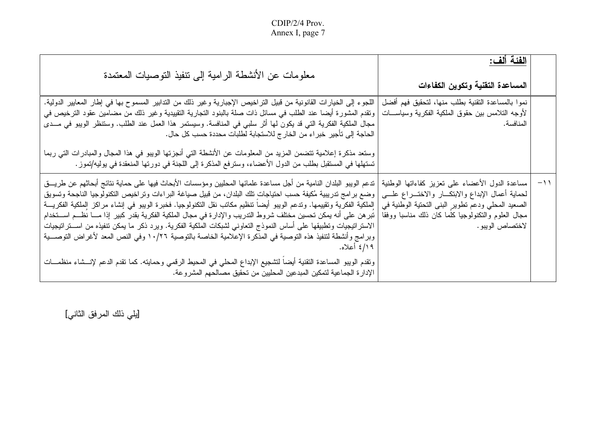| معلومات عن الأنشطة الرامية إلى نتفيذ التوصيات المعتمدة                                                                                                                                                                                                                                                                                                                                                                                                                                                                                                                                                                                                                                                                                                                                                                                                | الفئة ألف:<br>المساعدة التقنية وتكوين الكفاءات                                                                               |  |
|-------------------------------------------------------------------------------------------------------------------------------------------------------------------------------------------------------------------------------------------------------------------------------------------------------------------------------------------------------------------------------------------------------------------------------------------------------------------------------------------------------------------------------------------------------------------------------------------------------------------------------------------------------------------------------------------------------------------------------------------------------------------------------------------------------------------------------------------------------|------------------------------------------------------------------------------------------------------------------------------|--|
| اللجوء إلى الخيارات القانونية من قبيل التراخيص الإجبارية وغير ذلك من التدابير المسموح بها في إطار المعايير الدولية.<br>  ونقدم المشورة أيضا عند الطلب في مسائل ذات صلة بالبنود التجارية التقييدية وغير ذلك من مضامين عقود الترخيص في<br>مجال الملكية الفكرية التي قد يكون لها أثر سلبي في المنافسة. وسيستمر هذا العمل عند الطلب. وستنظر الويبو في مـــدى<br>الحاجة إلى تأجير خبراء من الخارج للاستجابة لطلبات محددة حسب كل حال.                                                                                                                                                                                                                                                                                                                                                                                                                       | نموا بالمساعدة التقنية بطلب منها، لتحقيق فهم أفضل<br>لأوجه النلامس ببن حقوق الملكية الفكرية وسياســـات<br>المنافسة.          |  |
| وستعد مذكرة إعلامية نتضمن المزيد من المعلومات عن الأنشطة التي أنجزتها الويبو في هذا المجال والمبادرات التي ربما<br>تستهلها في المستقبل بطلب من الدول الأعضاء، وسترفع المذكرة إلى اللجنة في دورتها المنعقدة في يوليه/تموز .                                                                                                                                                                                                                                                                                                                                                                                                                                                                                                                                                                                                                            |                                                                                                                              |  |
| 1١–   مساعدة الدول الأعضاء على تعزيز كفاءاتها الوطنية   تدعم الويبو البلدان النامية من أجل مساعنها المحليين ومؤسسات الأبحاث فيها على حماية نتائج أبحاثهم عن طريــق<br>لحماية أعمال الإبداع والابتكــار والاختـــراع علـــى  وضع برامج تدريبية مُكيفة حسب احتياجات تلك البلدان، من قبيل صياغة البراءات وتراخيص التكنولوجيا الناجحة وتسويق<br>  الملكية الفكرية وتقييمها. وتدعم الويبو أيضا نتظيم مكانب نقل التكنولوجيا. فخبرة الويبو في إنشاء مراكز الملكية الفكريـــة<br>  نبر هن على أنه يمكن تحسين مختلف شروط التدريب والإدارة في مجال الملكية الفكرية بقدر كبير إذا مــــا نظـــم اســـتخدام<br>الاستر اتيجيات وتطبيقها على أساس النموذج التعاوني لشبكات الملكية الفكرية. ويرد ذكر ما يمكن تنفيذه من اســـتراتيجيات<br>وبرامج وأنشطة لتنفيذ هذه التوصية في المذكرة الإعلامية الخاصة بالتوصية ١٠/٢٦ وفي النص المعد لأغراض التوصـــية<br>۱۹/٤ أعلاه. | الصعيد المحلي ودعم تطويرِ البني التحتية الوطنية في<br>مجال العلوم والنكنولوجيا كلما كان ذلك مناسبا ووفقا<br>لاختصاص الويبو . |  |
| ونقدم الويبو المساعدة النقنية أيضا لتشجيع الإبداع المحلي في المحيط الرقمي وحمايته. كما نقدم الدعم لإنـــشاء منظمـــات<br>الإدارة الجماعية لتمكين المبدعين المحليين من تحقيق مصالحهم المشروعة.                                                                                                                                                                                                                                                                                                                                                                                                                                                                                                                                                                                                                                                         |                                                                                                                              |  |

[يلي ذلك المرفق الثاني]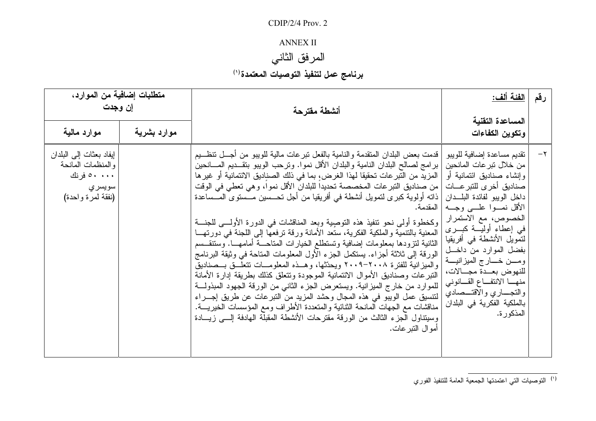### CDIP/2/4 Prov. 2

# **ANNEX II**

# المرفق الثاني

# برنامج عمل لتنفيذ التوصيات المعتمدة'')

| متطلبات إضافية من الموارد،<br>إن وجدت                                                      |             | أنشطة مقترحة                                                                                                                                                                                                                                                                                                                                                                                                                                                                                                                                                                                                                                                                                                                                                                                                                                                                                                                                                                                                                                                                                                                                                                                                                                                                                                     | <u>الفئة ألف:</u>                                                                                                                                                                                                                                                                                                                                                                                                                                                           | رقم     |
|--------------------------------------------------------------------------------------------|-------------|------------------------------------------------------------------------------------------------------------------------------------------------------------------------------------------------------------------------------------------------------------------------------------------------------------------------------------------------------------------------------------------------------------------------------------------------------------------------------------------------------------------------------------------------------------------------------------------------------------------------------------------------------------------------------------------------------------------------------------------------------------------------------------------------------------------------------------------------------------------------------------------------------------------------------------------------------------------------------------------------------------------------------------------------------------------------------------------------------------------------------------------------------------------------------------------------------------------------------------------------------------------------------------------------------------------|-----------------------------------------------------------------------------------------------------------------------------------------------------------------------------------------------------------------------------------------------------------------------------------------------------------------------------------------------------------------------------------------------------------------------------------------------------------------------------|---------|
| موارد مالية                                                                                | موارد بشرية |                                                                                                                                                                                                                                                                                                                                                                                                                                                                                                                                                                                                                                                                                                                                                                                                                                                                                                                                                                                                                                                                                                                                                                                                                                                                                                                  | المساعدة التقنية<br>وتكوين الكفاءات                                                                                                                                                                                                                                                                                                                                                                                                                                         |         |
| إيفاد بعثات إلى البلدان<br>والمنظمات المانحة<br>۰۰۰ ۵۰ فرنك<br>سويسري<br>(نفقة لمرة واحدة) |             | قدمت بعض البلدان المتقدمة والنامية بالفعل نبرعات مالية للويبو من أجـــل نتظـــيم<br>برامج لصالح البلدان النامية والبلدان الأقل نموا. وترحب الويبو بتقــديم المـــانحين<br>  المزيد من النبر عات تحقيقا لهذا الغرض، بما في ذلك الصناديق الائتمانية أو غير ها<br>  من صناديق التبر عات المخصصة تحديدا للبلدان الأقل نموا، و هي تعطي في الوقت<br>ذاته أولوية كبرى لتمويل أنشطة في أفريقيا من أجل تحـــسين مـــستوى المـــساعدة<br>المقدمة.<br>وكخطوة أولى نحو نتفيذ هذه النوصية وبعد المناقشات في الدورة الأولـــي للجنـــة<br>المعنية بالتنمية والملكية الفكرية، ستعد الأمانة ورقة ترفعها إلى اللجنة في دورتهـــا<br>الثانية لتزودها بمعلومات إضافية وتستطلع الخيارات المتاحـــة أمامهـــا. وستتقــسم<br>الورقة إلى ثلاثة أجزاء. يستكمل الجزء الأول المعلومات المناحة في وثيقة البرنامج<br>والمبزانية للفترة ٢٠٠٨–٢٠٠٩ ويحدِّثها، وهــذه المعلومـــات تتعلَّــق بــصناديق<br>النبر عات وصناديق الأموال الائتمانية الموجودة ونتعلق كذلك بطريقة إدارة الأمانة<br>للموارد من خارج الميزانية. ويستعرض الجزء الثانبي من الورقة الجهود المبذولـــة<br>لتتسيق عمل الويبو في هذه المجال وحشد المزيد من النبر عات عن طريق إجـــراء<br>مناقشات مع الجهات المانحة الثنائية والمتعددة الأطراف ومع المؤسسات الخيريــــة.<br>وسيتناول الجزء الثالث من الورقة مقترحات الأنشطة المقبلة الهادفة إلـــي زيـــادة<br>أموال النبر عات. | تقديم مساعدة إضـافية للويبو<br>من خلال تبر عات المانحين<br>وإنشاء صناديق ائتمانية أو<br>صناديق أخرى للتبر عسات<br>داخل الويبو لفائدة البلـــدان<br>الأقل نمسوا علسى وجسه<br>الخصوص، مع الاستمرار<br>في إعطاء أوليـــة كبـــرى<br>لتمويل الأنشطة في أفريقيا<br>بفضل الموارد من داخـــل<br>ومــــــن خــــــــار ج المميز انيــــــة<br>للنهوض بعــدة مجـــالات،<br>منهـــا الانتفـــاع القـــانوني<br>والتجـــاري والاقتـــصادي<br>بالملكية الفكرية في البلدان<br>المذكور ة. | $-\tau$ |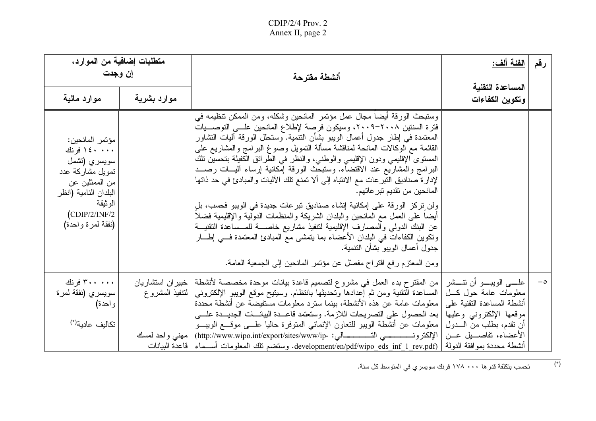| متطلبات إضافية من الموارد،<br>إن وجدت                                                                                                                            |                                                           | أنشطة مقترحة                                                                                                                                                                                                                                                                                                                                                                                                                                                                                                                                                                                                                                                                                                                                                                                                                                                                                                                                                                                                                                  | <u>الفئة ألف:</u>                                                                                                                                                                                               | رقم      |
|------------------------------------------------------------------------------------------------------------------------------------------------------------------|-----------------------------------------------------------|-----------------------------------------------------------------------------------------------------------------------------------------------------------------------------------------------------------------------------------------------------------------------------------------------------------------------------------------------------------------------------------------------------------------------------------------------------------------------------------------------------------------------------------------------------------------------------------------------------------------------------------------------------------------------------------------------------------------------------------------------------------------------------------------------------------------------------------------------------------------------------------------------------------------------------------------------------------------------------------------------------------------------------------------------|-----------------------------------------------------------------------------------------------------------------------------------------------------------------------------------------------------------------|----------|
| موارد مالية                                                                                                                                                      | موارد بشرية                                               |                                                                                                                                                                                                                                                                                                                                                                                                                                                                                                                                                                                                                                                                                                                                                                                                                                                                                                                                                                                                                                               | المساعدة التقنية<br>وتكوين الكفاءات                                                                                                                                                                             |          |
| مؤتمر المانحين:<br>۱٤۰ ۰۰۰ فرنك<br>سويسري (تشمل<br>تمويل مشاركة عدد<br>من الممثلين عن<br>البلدان النامية (انظر<br>الوثيقة<br>(CDIP/2/INF/2)<br>(نفقة لمرة واحدة) |                                                           | وستبحث الورقة أيضا مجال عمل مؤتمر المانحين وشكله، ومن الممكن تنظيمه في<br>فترة السنتين ٢٠٠٨-٢٠٠٩، وسيكون فرصة لإطلاع المانحين علــي التوصـــيات<br>المعتمدة في إطار جدول أعمال الويبو بشأن التنمية. وستحلل الورقة أليات التشاور<br>القائمة مع الوكالات المانحة لمناقشة مسألة التمويل وصوغ البر امج والمشاريع على<br>المستوى الإقليمي ودون الإقليمي والوطنبي، والنظر في الطرائق الكفيلة بتحسين نلك<br>البرامج والمشاريع عند الاقتضاء. وستبحث الورقة إمكانية إرساء اليسات رصسد<br>لإدارة صناديق التبرعات مع الانتباه إلى ألا تمنع تلك الأليات والمبادئ في حد ذاتها<br>المانحين من تقديم تبر عاتهم.<br>ولن تركَّز الورقة على إمكانية إنشاء صناديق تبرعات جديدة في الويبو فحسب، بلِ<br>أيضا على العمل مع المانحين والبلدان الشريكة والمنظمات الدولية والإقليمية فضلا<br>عن البنك الدولمي والمصارف الإقليمية لنتفيذ مشاريع خاصـــة للمـــساعدة النقنيـــة<br>ونكوين الكفاءات في البلدان الأعضاء بما يتمشى مع المبادئ المعتمدة فسي إطـــار<br>جدول أعمال الويبو بشأن النتمية.<br>ومن المعتزم رفع اقتراح مفصلٌ عن مؤتمر المانحين إلى الجمعية العامة. |                                                                                                                                                                                                                 |          |
| ۳۰۰ ۰۰۰ فرنك<br>سويسري (نفقة لمرة<br>واحدة)<br>تكاليف عادية <sup>(*)</sup>                                                                                       | خبیر ان استشاریان<br>المتنفيذ المشروع<br>  مهنى واحد لمسك | من المقترح بدء العمل في مشروع لتصميم قاعدة بيانات موحدة مخصصة لأنشطة<br>  المساعدة النقنية ومن ثم إعدادها وتحديثها بانتظام. وسيتيح موقع الويبو الإلكتروني<br>معلومات عامة عن هذه الأنشطة، بينما سترد معلومات مستفيضة عن أنشطة محددة<br>بعد الحصول على النصريحات اللازمة. وستعتمد قاعــدة البيانـــات الجديـــدة علــــي<br>معلومات عن أنشطة الويبو للنعاون الإنمائي المتوفرة حاليا علـــي موقـــع الويبـــو<br>الإلكترونــــــــــــــــــــــــــالى: -http://www.wipo.int/export/sites/www/ip<br>development/en/pdf/wipo_eds_inf_1_rev.pdf). وستضم نلك المعلومات أســـماء   قاعدة البيانات                                                                                                                                                                                                                                                                                                                                                                                                                                                  | علــــي الويبــــــو أن تنـــــشر<br>معلومات عامة حول كـــل<br>أنشطة المساعدة التقنية على  <br>موقعها الإلكتروني وعليها<br>أن نقدم، بطلب من الــــدول<br>الأعضاء، تفاصـــيل عـــن<br>أنشطة محددة بموافقة الدولة | $-\circ$ |

(\*) تحسب بتكلفة قدر ها ٧٠٠ × ١٧٨ فرنك سويسر ي في المتوسط كل سنة.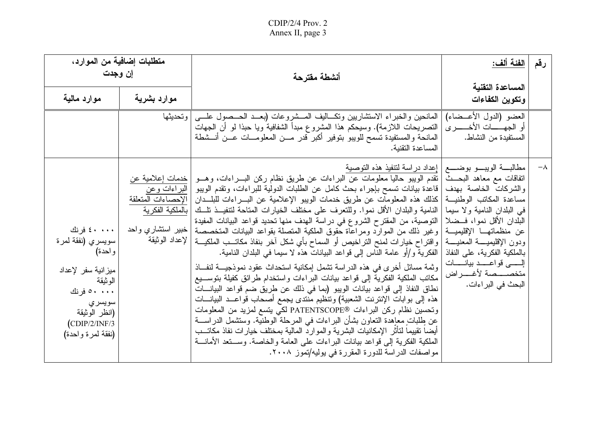| إن وجدت                                                                                                                                                       | متطلبات إضافية من الموارد،                                                                                                  | أنشطة مقترحة                                                                                                                                                                                                                                                                                                                                                                                                                                                                                                                                                                                                                                                                                                                                                                                                                                                                                                                                                                                                                                                                                                                                                                                                                                                                                                                                                                                                                                         | <u>الفئة ألف:</u>                                                                                                                                                                                                                                                                                                                  | رقم        |
|---------------------------------------------------------------------------------------------------------------------------------------------------------------|-----------------------------------------------------------------------------------------------------------------------------|------------------------------------------------------------------------------------------------------------------------------------------------------------------------------------------------------------------------------------------------------------------------------------------------------------------------------------------------------------------------------------------------------------------------------------------------------------------------------------------------------------------------------------------------------------------------------------------------------------------------------------------------------------------------------------------------------------------------------------------------------------------------------------------------------------------------------------------------------------------------------------------------------------------------------------------------------------------------------------------------------------------------------------------------------------------------------------------------------------------------------------------------------------------------------------------------------------------------------------------------------------------------------------------------------------------------------------------------------------------------------------------------------------------------------------------------------|------------------------------------------------------------------------------------------------------------------------------------------------------------------------------------------------------------------------------------------------------------------------------------------------------------------------------------|------------|
| موارد مالية                                                                                                                                                   | موارد بشرية                                                                                                                 |                                                                                                                                                                                                                                                                                                                                                                                                                                                                                                                                                                                                                                                                                                                                                                                                                                                                                                                                                                                                                                                                                                                                                                                                                                                                                                                                                                                                                                                      | المساعدة التقنية<br>وتكوين الكفاءات                                                                                                                                                                                                                                                                                                |            |
|                                                                                                                                                               |                                                                                                                             | المانحين والخبراء الاستشاربين ونكساليف المسشروعات (بعسد الحــصول علـــي  وتحديثها<br>التصريحات اللزرمة). وسيحكم هذا المشروع مبدأ الشفافية ويا حبذا لو أن الجهات<br>المانحة والمستفيدة تسمح للويبو بتوفير أكبر قدر مـــن المعلومـــات عـــن أنـــشطة<br>المساعدة التقنية.                                                                                                                                                                                                                                                                                                                                                                                                                                                                                                                                                                                                                                                                                                                                                                                                                                                                                                                                                                                                                                                                                                                                                                             | العضو (الدول الأعــضاء)<br>أو الجهـــــــات الأخـــــــــــرى<br>المستفيدة من النشاط.                                                                                                                                                                                                                                              |            |
| ٤٠٠٠٠ فرنك<br>سويسري (نفقة لمرة<br>واحدة)<br>ميز انية سفر لإعداد<br>الو ثيقة<br>۰۰۰ ، ۵ فرنك<br>سويسري<br>(انظر الوثيقة<br>(CDIP/2/INF/3<br>(نفقة لمرة واحدة) | خدمات إعلامية عن<br>  المبر اءات وعن<br>  الإحصاءات المتعلقة<br>  بالملكية الفكرية<br>  خبير استشاري واحد<br>لإعداد الوثيقة | مطالبسة الويبسو بوضسع   إعداد دراسة لتتفيذ هذه التوصية<br>تقدم الويبو حاليا معلومات عن البراءات عن طريق نظام ركن البــــراءات، وهــــو<br>قاعدة بيانات تسمح بإجراء بحث كامل عن الطلبات الدولية للبراءات، وتقدم الويبو<br>كذلك هذه المعلومات عن طريق خدمات الويبو الإعلامية عن البـــراءات للبلـــدان<br>النامية والبلدان الأقل نموا. وللتعرف على مختلف الخيارات المتاحة لتتفيــذ تلــك<br>التوصية، من المقترح الشروع في دراسة الهدف منها تحديد قواعد البيانات المفيدة<br>وغير ذلك من الموارد ومراعاة حقوق الملكية المتصلة بقواعد البيانات المتخصصة<br>واقتراح خيارات لمنح التراخيص أو السماح بأي شكل أخر بنفاذ مكاتــب الملكيـــة<br>الفكرية و/أو عامة الناس إلى قواعد البيانات هذه لا سيما في البلدان النامية.<br> وثمة مسائل أخرى في هذه الدراسة نشمل إمكانية استحداث عقود نموذجيـــة لنفـــاذ<br>مكاتب الملكية الفكرية إلى قواعد بيانات البراءات واستخدام طرائق كفيلة بنوســيع<br>نطاق النفاذ إلى قواعد بيانات الويبو (بما في ذلك عن طريق ضم قواعد البيانـــات<br>هذه إلى بوابات الإنترنت الشعبية) وتنظيم منتدى يجمع أصحاب قواعــد البيانـــات<br>وتحسين نظام ركن البراءات ®PATENTSCOPE لكي يتسع لمزيد من المعلومات<br>عن طِلباتِ معاهدة النُّعاون بشأن البراءات في المرحلة الوطنية. وستشمل الدراســــة<br>أيضا نقييما لتأثر الإمكانيات البشرية والموارد المالية بمختلف خيارات نفاذ مكاتـــب<br>الْمَلَكِية الْفَكَّرِية إلى قواعد بيانات البراءات على العامة والخاصة. وســـتعد الأمانــــة<br>مواصفات الدراسة للدورة المقررة في يوليه/تموز ٢٠٠٨. | اتفاقات مع معاهد البحـــث<br>والشركات الخاصة بهدف<br>مساعدة المكاتب الوطنيـــة<br>في البلدان النامية ولا سيما<br>البلدان الأقل نموا، فــضلا<br>عن منظماتهـــا الإقليميـــة<br>ودون الإقليميــــة المعنيــــة<br>بالملكية الفكرية، على النفاذ<br>إلــــــى قواعـــــد بيانــــــات<br>متخصــــصة لأغـــــراض<br>البحث في البر اءات. | $-\lambda$ |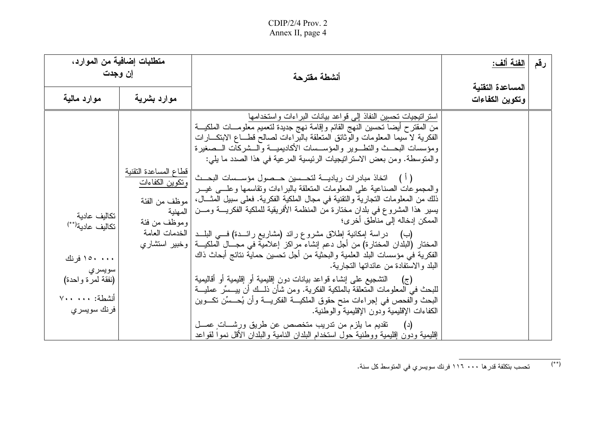|                                                                                                                   | متطلبات إضافية من الموارد،                                                                               |                                                                                                                                                                                                                                                                                                                                                                                                                                                                                                                                                                                                                                                                                                                                                                                                                                                                                                                                                                                                                                                                                                                                                                                                                                                                                                                                                                                                                                                                                                                                                    | ا <u>لفئة ألف:</u> | رقم |
|-------------------------------------------------------------------------------------------------------------------|----------------------------------------------------------------------------------------------------------|----------------------------------------------------------------------------------------------------------------------------------------------------------------------------------------------------------------------------------------------------------------------------------------------------------------------------------------------------------------------------------------------------------------------------------------------------------------------------------------------------------------------------------------------------------------------------------------------------------------------------------------------------------------------------------------------------------------------------------------------------------------------------------------------------------------------------------------------------------------------------------------------------------------------------------------------------------------------------------------------------------------------------------------------------------------------------------------------------------------------------------------------------------------------------------------------------------------------------------------------------------------------------------------------------------------------------------------------------------------------------------------------------------------------------------------------------------------------------------------------------------------------------------------------------|--------------------|-----|
|                                                                                                                   | إن وجدت                                                                                                  | أنشطة مقترحة                                                                                                                                                                                                                                                                                                                                                                                                                                                                                                                                                                                                                                                                                                                                                                                                                                                                                                                                                                                                                                                                                                                                                                                                                                                                                                                                                                                                                                                                                                                                       | المساعدة التقنية   |     |
| موارد مالية                                                                                                       | موارد بشرية                                                                                              |                                                                                                                                                                                                                                                                                                                                                                                                                                                                                                                                                                                                                                                                                                                                                                                                                                                                                                                                                                                                                                                                                                                                                                                                                                                                                                                                                                                                                                                                                                                                                    | وتكوين الكفاءات    |     |
| تكاليف عادية<br>تكاليف عادية(**)<br>۱۰۰۰ ۱۵۰ فرنك<br>سويسري<br>(نفقة لمرة واحدة)<br>أنشطة: ٧٠٠ ٧٠٠<br>فرنك سويسري | قطاع المساعدة التقنية<br>ونكوين الكفاءات<br>  موظف من الفئة<br>المهنية<br>وموظف من فئة<br>الخدمات العامة | استر انتبجيات تحسين النفاذ إلىي قواعد بيانات البر اءات واستخدامها<br>من المقترح أيضاً نحسين النهج القائم وإقامة نهج جديدة لتعميم معلومـــات الملكيـــة<br>الفكرية لا سيما المعلومات والوثائق المنعلقة بالبراءات لصالح قطـــاع الابتكـــارات<br>ومؤسسات البحــث والنطــوير والمؤســسات الأكاديميـــة والـــشركات الـــصغيرة<br>والمتوسطة. ومن بعض الاستراتيجيات الرئيسية المرعية في هذا الصدد ما يلي:<br>( أ )     اتخاذ مبادر ات رياديــــة لتحــــسين حـــصول مؤســـسات البحـــث<br>والمجموعات الصناعية على المعلومات المتعلقة بالبراءات وتقاسمها وعلـــم غيـــر<br>ذلك من المعلومات التجارية والتقنية في مجال الملكية الفكرية. فعلى سبيل المثـــال،<br>يسير  هذا المشروع في بلدان مختارة من المنظمة الأفريقية للملكية الفكريــــة ومـــن<br>الممكن إدخاله إلى مناطق أخر ي؛<br>(ب)       دراسة إمكانية إطلاق مشروع رائد (مشاريع رائـــدة) فــــى البلـــد<br>المختار (البلدان المختار ة) من أجل دعم إنشاء مراكز إعلامية في مجـــال الملكيــــة   وخبير استشار ي<br>الفكرية في مؤسسات البلد العلمية والبحثية من أجل تحسين حماية نتائج أبحاث ذاك<br>البلد والاستفادة من عائداتها النجارية.<br>(ج)     التشجيع على إنشاء قواعد بيانات دون إقليمية أو إقليمية أو أقاليمية<br>للبحث في المعلومات المتعلقة بالملكية الفكرية. ومن شأن ذلــك أن بيـــسِّر عمليـــة<br>البحث والفحص في إجراءات منح حقوق الملكيـــة الفكريـــة وأن يُحـــسِّن تكـــوين<br>الكفاءات الإقليمية ودون الإقليمية والوطنية.<br>(د)     نقديم ما يلزم من ندريب متخصص عن طريق ورشـــاتٍ عصــل<br>إقليمية ودون إقليمية ووطنية حول استخدام البلدان النامية والبلدان الأقل نموا لقواعد |                    |     |

 $(*)$ تحسب بتكلفة قدر ها ۱۱۰ × ۱۱٦ فرنك سويسري في المتوسط كل سنة.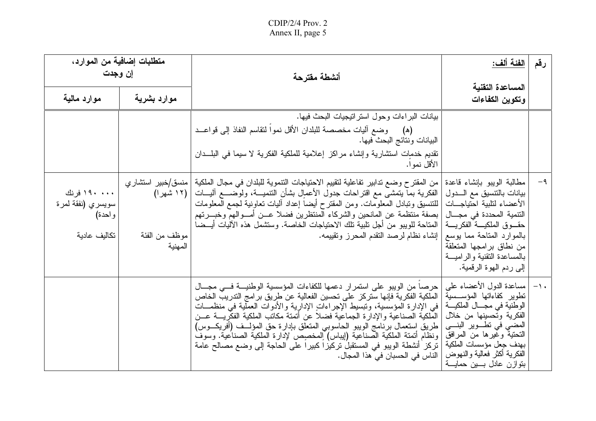|                                                               | متطلبات إضافية من الموارد،<br>إن وجدت | أنشطة مقترحة                                                                                                                                                                                                                                                                                                                                                                                                                                                                                                                                                                                                    | <u>الفئة ألف:</u>                                                                                                                                                                                                                                                             | رقم  |
|---------------------------------------------------------------|---------------------------------------|-----------------------------------------------------------------------------------------------------------------------------------------------------------------------------------------------------------------------------------------------------------------------------------------------------------------------------------------------------------------------------------------------------------------------------------------------------------------------------------------------------------------------------------------------------------------------------------------------------------------|-------------------------------------------------------------------------------------------------------------------------------------------------------------------------------------------------------------------------------------------------------------------------------|------|
| موارد مالية                                                   | موارد بشرية                           |                                                                                                                                                                                                                                                                                                                                                                                                                                                                                                                                                                                                                 | المساعدة التقنية<br>وتكوين الكفاءات                                                                                                                                                                                                                                           |      |
|                                                               |                                       | بيانات البراءات وحول استراتيجيات البحث فيها.<br>(ه)     وضع أليات مخصصة للبلدان الأقل نموا لتقاسم النفاذ إلى قواعــد<br>البيانات ونتائج البحث فيها.<br>تقديم خدمات استشارية وإنشاء مراكز إعلامية للملكية الفكرية لا سيما في البلــدان<br>الأقل نمو ا.                                                                                                                                                                                                                                                                                                                                                           |                                                                                                                                                                                                                                                                               |      |
| ۱۹۰ . ۱۹۰ فرنك<br>سويسري (نفقة لمرة<br>واحدة)<br>تكاليف عادية | (۱۲ شهرا)<br>موظف من الفئة<br>المهنية | من المقترح وضـع تدابير تفاعلية لتقييم الاحتياجات التتموية للبلدان فـي مـجال الملكية   منسق/خبير استشاري<br>الفكرية بما يتمشى مع اقتراحات جدول الأعمال بشأن التتميـــة، ولوضــــع أليــــات<br>للنتسيق ونبادل المعلومات. ومن المقترح أيضا إعداد أليات نعاونية لجمع المعلومات<br> بصفة منتظمة عن المانحين والشركاء المنتظرين فضلا عـــن أمـــوالـهم وخبــــرتـهم<br>المتاحة للويبو من أجل تلبية تلك الاحتياجات الخاصة. وستشمل هذه الآليات أيـــضا<br>  إنشاء نظام لرصد النقدم المحرز وتقييمه.                                                                                                                     | مطالبة الويبو بإنشاء قاعدة<br>بيانات بالنتسيق مع السدول<br>الأعضاء لنلبية احتياجسات<br>النتمية المحددة في مجـــال<br>حقسوق الملكيسة الفكريسة<br>بالموارد المتاحة مما بوسع<br>من نطاق برامجها المتعلقة<br>بالمساعدة النقنية والراميسة<br>إلى ردم الهوة الرقمية.                | $-9$ |
|                                                               |                                       | حرصا من الويبو على استمرار دعمها للكفاءات المؤسسية الوطنيـــة فـــى مجـــال<br>  الملكية الفكرية فإنها ستركز على تحسين الفعالية عن طريق برامج التدريب الخاص<br>في الإدارة المؤسسية، ونُبسيط الإجراءاتِ الإدارية والأدوات العملية في منظمـــات<br>الملكية الصناعية والإدارة الجماعية فضلا عن أتمتة مكاتب الملكية الفكريــــة عـــن<br>طريق استعمال برنامج الويبو الحاسوبي المتعلق بإدارة حق المؤلــف (أفريكـــوس)<br> ونظام أتمنة الملكية الصناعية (إيباس) المخصص لإدارة الملكية الصناعية. وسوف<br>تركز أنشطة الويبو في المستقبل تركيزًا كبيرًا على الحاجة إلى وضع مصالح عامة<br>الناس في الحسبان في هذا المجال. | ١٠–   مساعدة الدول الأعضاء علمي<br>تطوير كفاءاتها المؤســسية<br>الوطنية في مجــــال الملكيــــة<br>الفكرية وتحسينها من خلال<br>المضبي في نطـــوير البنــــي<br>التحتية وغيرها من المرافق<br>بهدف جعل مؤسسات الملكية<br>الفكرية أكثر فعالية والنهوض<br>بتوازن عادل بسين حمايسة |      |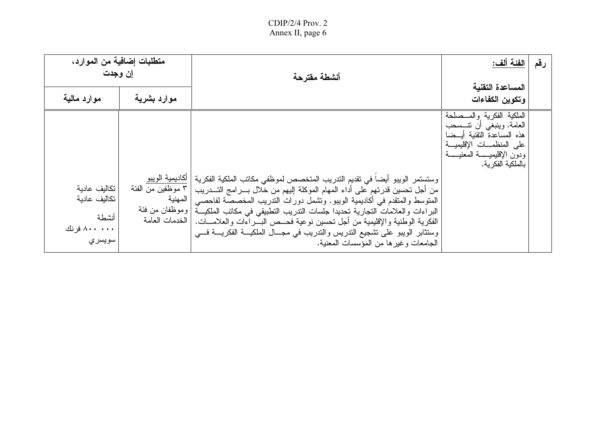| متطلبات إضافية من الموارد،<br>إن وجدت                           |                                                                                        | أنشطة مقترحة                                                                                                                                                                                                                                                                                                                                                                                                                                                                                                                           | الفئة ألف:                                                                                                                                                                        | رقم |
|-----------------------------------------------------------------|----------------------------------------------------------------------------------------|----------------------------------------------------------------------------------------------------------------------------------------------------------------------------------------------------------------------------------------------------------------------------------------------------------------------------------------------------------------------------------------------------------------------------------------------------------------------------------------------------------------------------------------|-----------------------------------------------------------------------------------------------------------------------------------------------------------------------------------|-----|
| موارد مالية                                                     | موارد بشرية                                                                            |                                                                                                                                                                                                                                                                                                                                                                                                                                                                                                                                        | المساعدة التقنية<br>وتكوين الكفاءات                                                                                                                                               |     |
| تكاليف عادية<br>تكاليف عادية<br>أنشطة<br>۸۰۰ ۸۰۰ فرنك<br>سويسري | اكاديمية الويبو<br>٣ موظفين من الفئة<br>المهنية<br> وموظفان من فئة<br>ا الخدمات العامة | وستستمر الويبو أيضا في تقديم التدريب المتخصص لموظفي مكاتب الملكية الفكرية<br>من أجل تحسين قدرتهم على أداء المهام الموكلة إليهم من خلال بـــرامج التـــدريب<br>المتوسط والمتقدم في أكاديمية الويبو . ونشمل دورات الندريب المخصصة لفاحصبي<br>البراءات والعلامات التجارية تحديدا جلسات الندريب التطبيقي في مكاتب الملكيــة<br>الفكرية الوطنية والإقليمية من أجل نحسين نوعية فحــص البـــراءات والعلامـــات.<br>وستثابر الويبو على تشجيع التدريس والتدريب في مجـــال الملكيـــة الفكريــــة فــــي<br>الجامعات وغيرها من المؤسسات المعنية. | الملكية الفكرية والمسصلحة<br>العامة. وينبغي أن نتـــسحب<br>هذه المساعدة النقنية أيسضا<br>على المنظمـــات الإقليميـــة<br>ودون الإقليميــــــة المعنيــــــة<br>بالملكية الفكر ية. |     |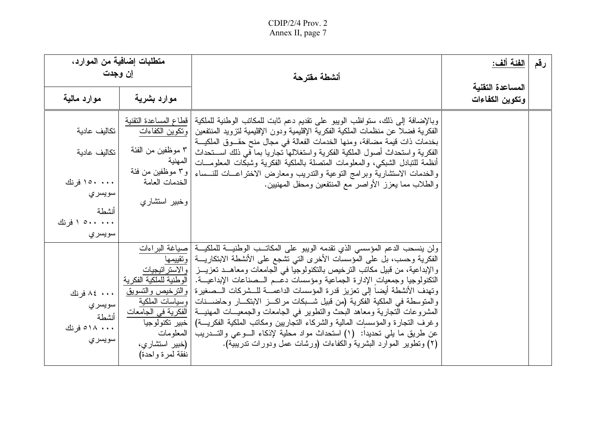| متطلبات إضافية من الموارد،<br>إن وجدت                                                         |                                                                                                                                              | أنشطة مقترحة                                                                                                                                                                                                                                                                                                                                                                                                                                                                                                                                                                                                                                                                                                                                                                                                                                                                                                                                      | <u>الفئة ألف:</u>                   | رقم |
|-----------------------------------------------------------------------------------------------|----------------------------------------------------------------------------------------------------------------------------------------------|---------------------------------------------------------------------------------------------------------------------------------------------------------------------------------------------------------------------------------------------------------------------------------------------------------------------------------------------------------------------------------------------------------------------------------------------------------------------------------------------------------------------------------------------------------------------------------------------------------------------------------------------------------------------------------------------------------------------------------------------------------------------------------------------------------------------------------------------------------------------------------------------------------------------------------------------------|-------------------------------------|-----|
| موارد مالية                                                                                   | موارد بشرية                                                                                                                                  |                                                                                                                                                                                                                                                                                                                                                                                                                                                                                                                                                                                                                                                                                                                                                                                                                                                                                                                                                   | المساعدة التقنية<br>وتكوين الكفاءات |     |
| تكاليف عادية<br>تكاليف عادية<br>۱۰۰۰ ۱۵۰ فرنك<br>سويسر ي<br>أنشطة<br>۰۰۰ ۱۰۰ ۱ فرنك<br>سويسري | قطاع المساعدة التقنية<br><u>  ونكوين ال</u> كفاءات<br>٣ موظفين من الفئة<br>المهنية<br>  و ۳ موظفین من فئة<br>الخدمات العامة<br>وخبير استشاري | وبالإضافة إلى ذلك، سنواظب الويبو على نقديم دعم ثابت للمكاتب الوطنية للملكية<br>الفكرية فضلا عن منظمات الملكية الفكرية الإقليمية ودون الإقليمية لتزويد المنتفعين<br>بخدمات ذات قيمة مضافة، ومنها الخدمات الفعالة في مجال منح حقــوق الملكيـــة<br>الفكرية واستحداث أصول الملكية الفكرية واستغلالها نجاريا بما في ذلك اســـتحداث<br>أنظمة للتبادل الشبكي، والمعلومات المتصلة بالملكية الفكرية وشبكات المعلومسات<br>والخدمات الاستشارية وبرامج النوعية والندريب ومعارض الاختراعــات للنــساء<br>والطلاب مما يعزز الأواصر مع المنتفعين ومحفل المهنبين.                                                                                                                                                                                                                                                                                                                                                                                                |                                     |     |
| ۸٤ ۰۰۰ فرنك<br>سويسري<br>أنشطة<br>۵۱۸ م فر نك<br>سويسري                                       | خبير تكنولوجيا<br>المعلو مات<br>  (خبیر استشاری،<br>نفقة لمرة واحدة)                                                                         | ولن ينسحب الدعم المؤسسي الذي نقدمه الويبو على المكاتــب الوطنيـــة للملكيـــة   صياغة البراءات<br>الفكرية وحسب، بل على المؤسسات الأخرى التي تشجع على الأنشطة الابتكاريـــة   وتقييمها<br>والإبداعية، من قبيل مكاتب الترخيص بالتكنولوجيا في الجامعات ومعاهــد تعزيـــز  والاستراتيجيات<br>النكنولوجيا وجمعيات الإدارة الجماعية ومؤسسات دعــم الـــصناعات الإبداعيـــة.   الوطنية للملكية الفكرية<br>وتهدف الأنشطة أيضا إلىي تعزيز قدرة المؤسسات الداعمـــة للـــشركات الـــصغيرة والترخيص والتسويق<br>والمتوسطة في الملكية الفكرية (من قبيل شـــبكات مراكــــز الابتكـــار وحاضــــنات   وسياسات الملكية<br>المشروعات التجارية ومعاهد البحث والنطوير في الجامعات والجمعيـــات المهنيـــة   الفكرية في الجامعات<br>وغرف النجارة والمؤسسات المالية والشركاء النجاريين ومكاتب الملكية الفكريـــة)<br>عن طريق ما يلي تحديدًا:  (١) استحداث مواد محلية لإذكاء الـــوعي والتــــدريب<br>(٢) ونطوير الموارد البشرية والكفاءات (ورشات عمل ودورات ندريبية). |                                     |     |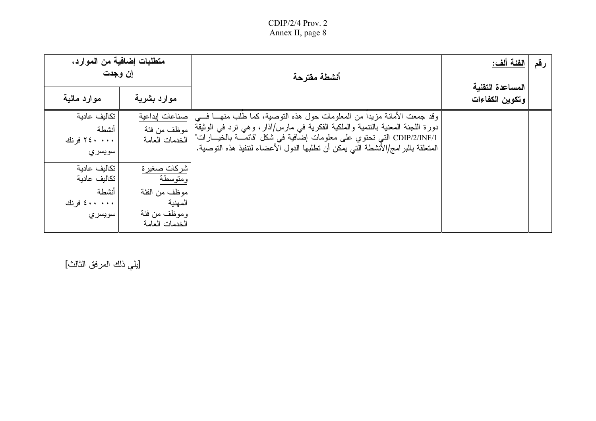| متطلبات إضافية من الموارد،<br>اِن وجدت                          |                                                                                       | أنشطة مقترحة                                                                                                                                                                                                                                                                                                                     | الفئة ألف:                          | رقم |
|-----------------------------------------------------------------|---------------------------------------------------------------------------------------|----------------------------------------------------------------------------------------------------------------------------------------------------------------------------------------------------------------------------------------------------------------------------------------------------------------------------------|-------------------------------------|-----|
| موارد مالية                                                     | موارد بشرية                                                                           |                                                                                                                                                                                                                                                                                                                                  | المساعدة التقنية<br>وتكوين الكفاءات |     |
| تكاليف عادية<br>أنشطة<br>۲٤۰ . ۲٤ فرنك<br>سويسري                | صناعات إبداعية<br>  موظف من فئة<br>الخدمات العامة                                     | وقد جمعت الأمانة مزيدًا من المعلومات حول هذه التوصية، كما طلب منهـــا فــــى<br>دورة اللجنة المعنية بالتنمية والملكية الفكرية في مارس/أذار ، وهي نرد في الوثيقة<br>CDIP/2/INF/1 التي تحتوي على معلومات إضافية في شكل "قائمـــة بالخيـــارات"<br>المتعلقة بالبر امج/الأنشطة التي يمكن أن تطلبها الدول الأعضاء لتنفيذ هذه التوصية. |                                     |     |
| تكاليف عادية<br>تكاليف عادية<br>أنشطة<br>۰۰۰ ۶۰۰ فرنك<br>سويسري | شركات صغير ة<br>ومتوسطة<br>موظف من الفئة<br>المهنية<br>وموظف من فئة<br>الخدمات العامة |                                                                                                                                                                                                                                                                                                                                  |                                     |     |

[يلي ذلك المرفق الثالث]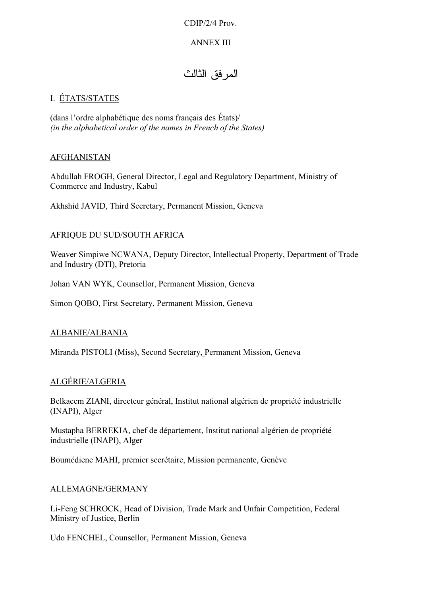CDIP/2/4 Prov.

## ANNEX III

# المرفق الثالث

# I. ÉTATS/STATES

(dans l'ordre alphabétique des noms français des États)/ (in the alphabetical order of the names in French of the States)

#### AFGHANISTAN

Abdullah FROGH, General Director, Legal and Regulatory Department, Ministry of Commerce and Industry, Kabul

Akhshid JAVID, Third Secretary, Permanent Mission, Geneva

#### AFRIQUE DU SUD/SOUTH AFRICA

Weaver Simpiwe NCWANA, Deputy Director, Intellectual Property, Department of Trade and Industry (DTI), Pretoria

Johan VAN WYK, Counsellor, Permanent Mission, Geneva

Simon QOBO, First Secretary, Permanent Mission, Geneva

#### ALBANIE/ALBANIA

Miranda PISTOLI (Miss), Second Secretary, Permanent Mission, Geneva

#### ALGÉRIE/ALGERIA

Belkacem ZIANI, directeur général, Institut national algérien de propriété industrielle (INAPI), Alger

Mustapha BERREKIA, chef de département, Institut national algérien de propriété industrielle (INAPI), Alger

Boumédiene MAHI, premier secrétaire, Mission permanente, Genève

#### ALLEMAGNE/GERMANY

Li-Feng SCHROCK, Head of Division, Trade Mark and Unfair Competition, Federal Ministry of Justice, Berlin

Udo FENCHEL, Counsellor, Permanent Mission, Geneva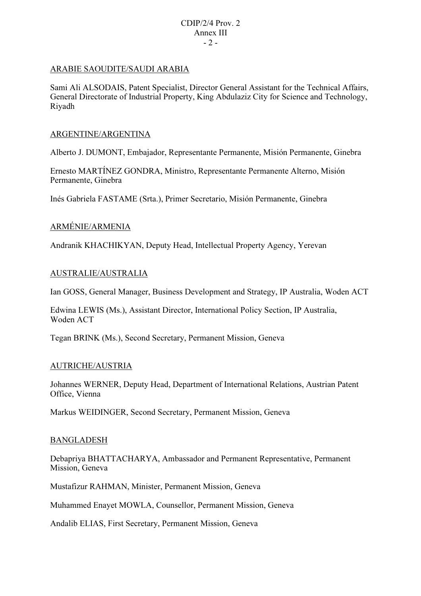#### CDIP/2/4 Prov. 2 Annex III  $-2-$

#### ARABIE SAOUDITE/SAUDI ARABIA

Sami Ali ALSODAIS, Patent Specialist, Director General Assistant for the Technical Affairs, General Directorate of Industrial Property, King Abdulaziz City for Science and Technology, Riyadh

#### ARGENTINE/ARGENTINA

Alberto J. DUMONT, Embajador, Representante Permanente, Misión Permanente, Ginebra

Ernesto MARTÍNEZ GONDRA, Ministro, Representante Permanente Alterno, Misión Permanente, Ginebra

Inés Gabriela FASTAME (Srta.), Primer Secretario, Misión Permanente, Ginebra

#### ARMÉNIE/ARMENIA

Andranik KHACHIKYAN, Deputy Head, Intellectual Property Agency, Yerevan

#### AUSTRALIE/AUSTRALIA

Ian GOSS, General Manager, Business Development and Strategy, IP Australia, Woden ACT

Edwina LEWIS (Ms.), Assistant Director, International Policy Section, IP Australia, Woden ACT

Tegan BRINK (Ms.), Second Secretary, Permanent Mission, Geneva

#### AUTRICHE/AUSTRIA

Johannes WERNER, Deputy Head, Department of International Relations, Austrian Patent Office, Vienna

Markus WEIDINGER, Second Secretary, Permanent Mission, Geneva

#### BANGLADESH

Debapriya BHATTACHARYA, Ambassador and Permanent Representative, Permanent Mission, Geneva

Mustafizur RAHMAN, Minister, Permanent Mission, Geneva

Muhammed Enayet MOWLA, Counsellor, Permanent Mission, Geneva

Andalib ELIAS, First Secretary, Permanent Mission, Geneva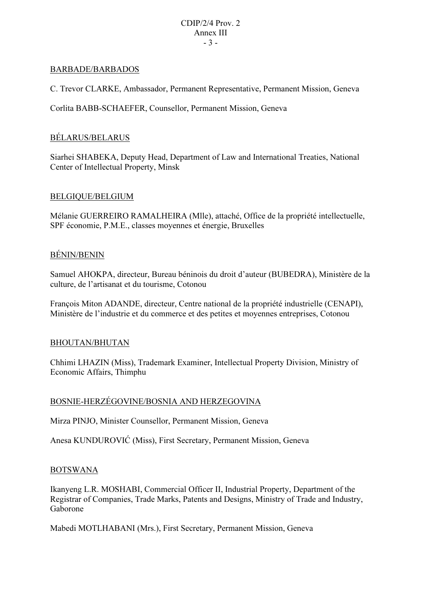#### BARBADE/BARBADOS

C. Trevor CLARKE, Ambassador, Permanent Representative, Permanent Mission, Geneva

Corlita BABB-SCHAEFER, Counsellor, Permanent Mission, Geneva

#### BÉLARUS/BELARUS

Siarhei SHABEKA, Deputy Head, Department of Law and International Treaties, National Center of Intellectual Property, Minsk

#### BELGIQUE/BELGIUM

Mélanie GUERREIRO RAMALHEIRA (Mlle), attaché, Office de la propriété intellectuelle, SPF économie, P.M.E., classes moyennes et énergie, Bruxelles

#### BÉNIN/BENIN

Samuel AHOKPA, directeur, Bureau béninois du droit d'auteur (BUBEDRA), Ministère de la culture, de l'artisanat et du tourisme, Cotonou

François Miton ADANDE, directeur, Centre national de la propriété industrielle (CENAPI), Ministère de l'industrie et du commerce et des petites et moyennes entreprises, Cotonou

#### BHOUTAN/BHUTAN

Chhimi LHAZIN (Miss), Trademark Examiner, Intellectual Property Division, Ministry of Economic Affairs, Thimphu

#### BOSNIE-HERZÉGOVINE/BOSNIA AND HERZEGOVINA

Mirza PINJO, Minister Counsellor, Permanent Mission, Geneva

Anesa KUNDUROVIĆ (Miss), First Secretary, Permanent Mission, Geneva

#### BOTSWANA

Ikanyeng L.R. MOSHABI, Commercial Officer II, Industrial Property, Department of the Registrar of Companies, Trade Marks, Patents and Designs, Ministry of Trade and Industry, Gaborone

Mabedi MOTLHABANI (Mrs.), First Secretary, Permanent Mission, Geneva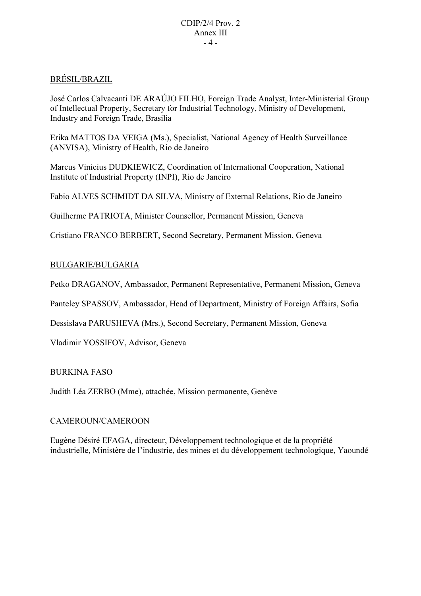### BRÉSIL/BRAZIL

José Carlos Calvacanti DE ARAÚJO FILHO, Foreign Trade Analyst, Inter-Ministerial Group of Intellectual Property, Secretary for Industrial Technology, Ministry of Development, Industry and Foreign Trade, Brasilia

Erika MATTOS DA VEIGA (Ms.), Specialist, National Agency of Health Surveillance (ANVISA), Ministry of Health, Rio de Janeiro

Marcus Vinicius DUDKIEWICZ, Coordination of International Cooperation, National Institute of Industrial Property (INPI), Rio de Janeiro

Fabio ALVES SCHMIDT DA SILVA, Ministry of External Relations, Rio de Janeiro

Guilherme PATRIOTA, Minister Counsellor, Permanent Mission, Geneva

Cristiano FRANCO BERBERT, Second Secretary, Permanent Mission, Geneva

### BULGARIE/BULGARIA

Petko DRAGANOV, Ambassador, Permanent Representative, Permanent Mission, Geneva

Panteley SPASSOV, Ambassador, Head of Department, Ministry of Foreign Affairs, Sofia

Dessislava PARUSHEVA (Mrs.), Second Secretary, Permanent Mission, Geneva

Vladimir YOSSIFOV, Advisor, Geneva

#### BURKINA FASO

Judith Léa ZERBO (Mme), attachée, Mission permanente, Genève

#### CAMEROUN/CAMEROON

Eugène Désiré EFAGA, directeur, Développement technologique et de la propriété industrielle, Ministère de l'industrie, des mines et du développement technologique, Yaoundé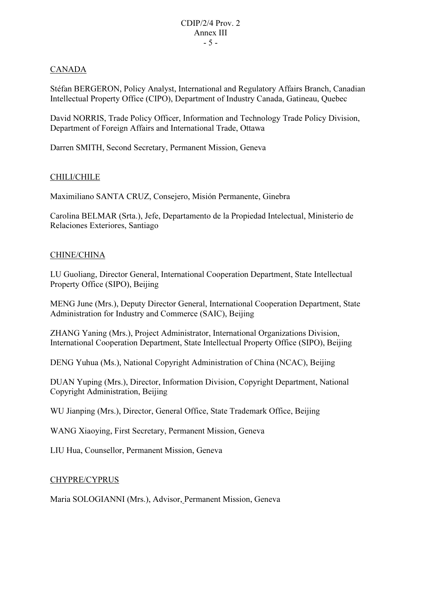## CANADA

Stéfan BERGERON, Policy Analyst, International and Regulatory Affairs Branch, Canadian Intellectual Property Office (CIPO), Department of Industry Canada, Gatineau, Quebec

David NORRIS, Trade Policy Officer, Information and Technology Trade Policy Division, Department of Foreign Affairs and International Trade, Ottawa

Darren SMITH, Second Secretary, Permanent Mission, Geneva

#### CHILI/CHILE

Maximiliano SANTA CRUZ, Consejero, Misión Permanente, Ginebra

Carolina BELMAR (Srta.), Jefe, Departamento de la Propiedad Intelectual, Ministerio de Relaciones Exteriores, Santiago

#### CHINE/CHINA

LU Guoliang, Director General, International Cooperation Department, State Intellectual Property Office (SIPO), Beijing

MENG June (Mrs.), Deputy Director General, International Cooperation Department, State Administration for Industry and Commerce (SAIC), Beijing

ZHANG Yaning (Mrs.), Project Administrator, International Organizations Division, International Cooperation Department, State Intellectual Property Office (SIPO), Beijing

DENG Yuhua (Ms.), National Copyright Administration of China (NCAC), Beijing

DUAN Yuping (Mrs.), Director, Information Division, Copyright Department, National Copyright Administration, Beijing

WU Jianping (Mrs.), Director, General Office, State Trademark Office, Beijing

WANG Xiaoying, First Secretary, Permanent Mission, Geneva

LIU Hua, Counsellor, Permanent Mission, Geneva

#### CHYPRE/CYPRUS

Maria SOLOGIANNI (Mrs.), Advisor, Permanent Mission, Geneva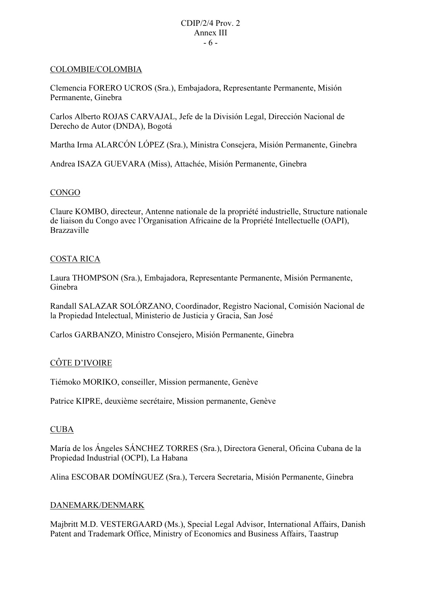#### COLOMBIE/COLOMBIA

Clemencia FORERO UCROS (Sra.), Embajadora, Representante Permanente, Misión Permanente, Ginebra

Carlos Alberto ROJAS CARVAJAL, Jefe de la División Legal, Dirección Nacional de Derecho de Autor (DNDA), Bogotá

Martha Irma ALARCÓN LÓPEZ (Sra.), Ministra Consejera, Misión Permanente, Ginebra

Andrea ISAZA GUEVARA (Miss), Attachée, Misión Permanente, Ginebra

#### **CONGO**

Claure KOMBO, directeur, Antenne nationale de la propriété industrielle, Structure nationale de liaison du Congo avec l'Organisation Africaine de la Propriété Intellectuelle (OAPI), Brazzaville

#### COSTA RICA

Laura THOMPSON (Sra.), Embajadora, Representante Permanente, Misión Permanente, Ginebra

Randall SALAZAR SOLÓRZANO, Coordinador, Registro Nacional, Comisión Nacional de la Propiedad Intelectual, Ministerio de Justicia y Gracia, San José

Carlos GARBANZO, Ministro Consejero, Misión Permanente, Ginebra

#### CÔTE D'IVOIRE

Tiémoko MORIKO, conseiller, Mission permanente, Genève

Patrice KIPRE, deuxième secrétaire, Mission permanente, Genève

#### CUBA

María de los Ángeles SÁNCHEZ TORRES (Sra.), Directora General, Oficina Cubana de la Propiedad Industrial (OCPI), La Habana

Alina ESCOBAR DOMÍNGUEZ (Sra.), Tercera Secretaria, Misión Permanente, Ginebra

#### DANEMARK/DENMARK

Majbritt M.D. VESTERGAARD (Ms.), Special Legal Advisor, International Affairs, Danish Patent and Trademark Office, Ministry of Economics and Business Affairs, Taastrup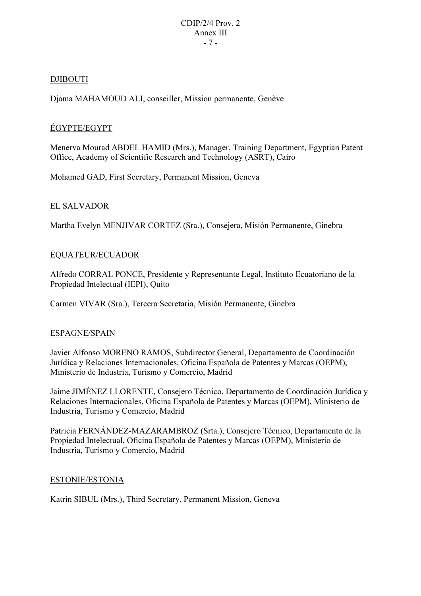### DJIBOUTI

Djama MAHAMOUD ALI, conseiller, Mission permanente, Genève

## ÉGYPTE/EGYPT

Menerva Mourad ABDEL HAMID (Mrs.), Manager, Training Department, Egyptian Patent Office, Academy of Scientific Research and Technology (ASRT), Cairo

Mohamed GAD, First Secretary, Permanent Mission, Geneva

### EL SALVADOR

Martha Evelyn MENJIVAR CORTEZ (Sra.), Consejera, Misión Permanente, Ginebra

### ÉQUATEUR/ECUADOR

Alfredo CORRAL PONCE, Presidente y Representante Legal, Instituto Ecuatoriano de la Propiedad Intelectual (IEPI), Quito

Carmen VIVAR (Sra.), Tercera Secretaria, Misión Permanente, Ginebra

#### ESPAGNE/SPAIN

Javier Alfonso MORENO RAMOS, Subdirector General, Departamento de Coordinación Jurídica y Relaciones Internacionales, Oficina Española de Patentes y Marcas (OEPM), Ministerio de Industria, Turismo y Comercio, Madrid

Jaime JIMÉNEZ LLORENTE, Consejero Técnico, Departamento de Coordinación Jurídica y Relaciones Internacionales, Oficina Española de Patentes y Marcas (OEPM), Ministerio de Industria, Turismo y Comercio, Madrid

Patricia FERNÁNDEZ-MAZARAMBROZ (Srta.), Consejero Técnico, Departamento de la Propiedad Intelectual, Oficina Española de Patentes y Marcas (OEPM), Ministerio de Industria, Turismo y Comercio, Madrid

#### ESTONIE/ESTONIA

Katrin SIBUL (Mrs.), Third Secretary, Permanent Mission, Geneva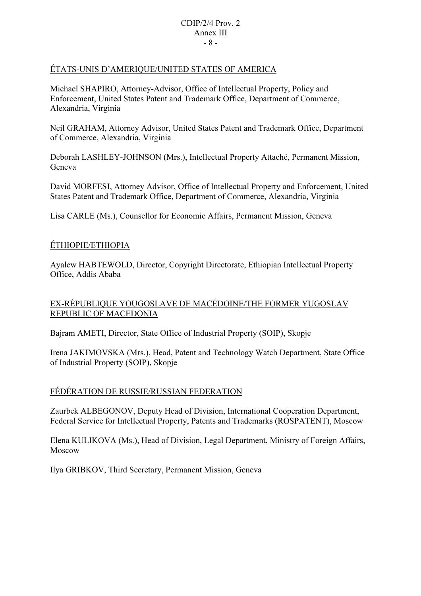#### CDIP/2/4 Prov. 2 Annex III - 8 -

#### ÉTATS-UNIS D'AMERIQUE/UNITED STATES OF AMERICA

Michael SHAPIRO, Attorney-Advisor, Office of Intellectual Property, Policy and Enforcement, United States Patent and Trademark Office, Department of Commerce, Alexandria, Virginia

Neil GRAHAM, Attorney Advisor, United States Patent and Trademark Office, Department of Commerce, Alexandria, Virginia

Deborah LASHLEY-JOHNSON (Mrs.), Intellectual Property Attaché, Permanent Mission, Geneva

David MORFESI, Attorney Advisor, Office of Intellectual Property and Enforcement, United States Patent and Trademark Office, Department of Commerce, Alexandria, Virginia

Lisa CARLE (Ms.), Counsellor for Economic Affairs, Permanent Mission, Geneva

#### ÉTHIOPIE/ETHIOPIA

Ayalew HABTEWOLD, Director, Copyright Directorate, Ethiopian Intellectual Property Office, Addis Ababa

#### EX-RÉPUBLIQUE YOUGOSLAVE DE MACÉDOINE/THE FORMER YUGOSLAV REPUBLIC OF MACEDONIA

Bajram AMETI, Director, State Office of Industrial Property (SOIP), Skopje

Irena JAKIMOVSKA (Mrs.), Head, Patent and Technology Watch Department, State Office of Industrial Property (SOIP), Skopje

#### FÉDÉRATION DE RUSSIE/RUSSIAN FEDERATION

Zaurbek ALBEGONOV, Deputy Head of Division, International Cooperation Department, Federal Service for Intellectual Property, Patents and Trademarks (ROSPATENT), Moscow

Elena KULIKOVA (Ms.), Head of Division, Legal Department, Ministry of Foreign Affairs, Moscow

Ilya GRIBKOV, Third Secretary, Permanent Mission, Geneva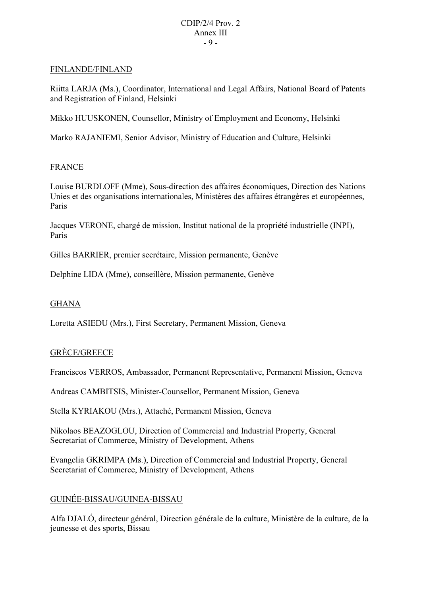#### CDIP/2/4 Prov. 2 Annex III - 9 -

#### FINLANDE/FINLAND

Riitta LARJA (Ms.), Coordinator, International and Legal Affairs, National Board of Patents and Registration of Finland, Helsinki

Mikko HUUSKONEN, Counsellor, Ministry of Employment and Economy, Helsinki

Marko RAJANIEMI, Senior Advisor, Ministry of Education and Culture, Helsinki

#### FRANCE

Louise BURDLOFF (Mme), Sous-direction des affaires économiques, Direction des Nations Unies et des organisations internationales, Ministères des affaires étrangères et européennes, Paris

Jacques VERONE, chargé de mission, Institut national de la propriété industrielle (INPI), Paris

Gilles BARRIER, premier secrétaire, Mission permanente, Genève

Delphine LIDA (Mme), conseillère, Mission permanente, Genève

#### GHANA

Loretta ASIEDU (Mrs.), First Secretary, Permanent Mission, Geneva

#### GRÈCE/GREECE

Franciscos VERROS, Ambassador, Permanent Representative, Permanent Mission, Geneva

Andreas CAMBITSIS, Minister-Counsellor, Permanent Mission, Geneva

Stella KYRIAKOU (Mrs.), Attaché, Permanent Mission, Geneva

Nikolaos BEAZOGLOU, Direction of Commercial and Industrial Property, General Secretariat of Commerce, Ministry of Development, Athens

Evangelia GKRIMPA (Ms.), Direction of Commercial and Industrial Property, General Secretariat of Commerce, Ministry of Development, Athens

#### GUINÉE-BISSAU/GUINEA-BISSAU

Alfa DJALÓ, directeur général, Direction générale de la culture, Ministère de la culture, de la jeunesse et des sports, Bissau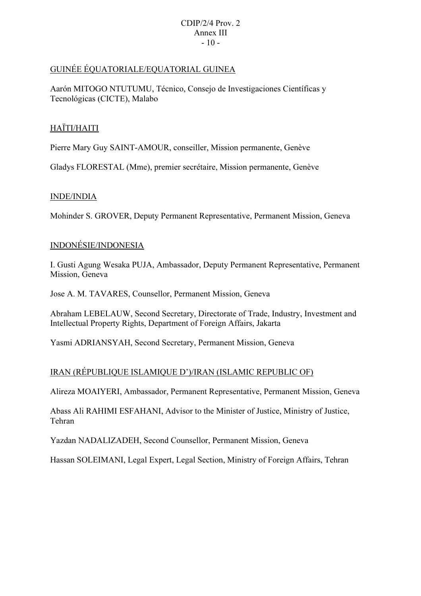#### CDIP/2/4 Prov. 2 Annex III - 10 -

#### GUINÉE ÉQUATORIALE/EQUATORIAL GUINEA

Aarón MITOGO NTUTUMU, Técnico, Consejo de Investigaciones Científicas y Tecnológicas (CICTE), Malabo

### HAÏTI/HAITI

Pierre Mary Guy SAINT-AMOUR, conseiller, Mission permanente, Genève

Gladys FLORESTAL (Mme), premier secrétaire, Mission permanente, Genève

#### INDE/INDIA

Mohinder S. GROVER, Deputy Permanent Representative, Permanent Mission, Geneva

### INDONÉSIE/INDONESIA

I. Gusti Agung Wesaka PUJA, Ambassador, Deputy Permanent Representative, Permanent Mission, Geneva

Jose A. M. TAVARES, Counsellor, Permanent Mission, Geneva

Abraham LEBELAUW, Second Secretary, Directorate of Trade, Industry, Investment and Intellectual Property Rights, Department of Foreign Affairs, Jakarta

Yasmi ADRIANSYAH, Second Secretary, Permanent Mission, Geneva

#### IRAN (RÉPUBLIQUE ISLAMIQUE D')/IRAN (ISLAMIC REPUBLIC OF)

Alireza MOAIYERI, Ambassador, Permanent Representative, Permanent Mission, Geneva

Abass Ali RAHIMI ESFAHANI, Advisor to the Minister of Justice, Ministry of Justice, Tehran

Yazdan NADALIZADEH, Second Counsellor, Permanent Mission, Geneva

Hassan SOLEIMANI, Legal Expert, Legal Section, Ministry of Foreign Affairs, Tehran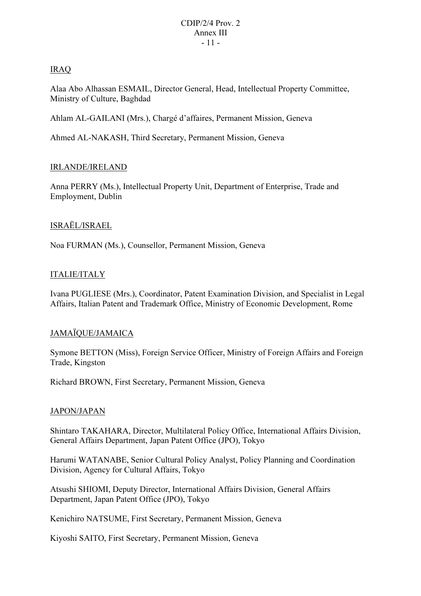### IRAQ

Alaa Abo Alhassan ESMAIL, Director General, Head, Intellectual Property Committee, Ministry of Culture, Baghdad

Ahlam AL-GAILANI (Mrs.), Chargé d'affaires, Permanent Mission, Geneva

Ahmed AL-NAKASH, Third Secretary, Permanent Mission, Geneva

#### IRLANDE/IRELAND

Anna PERRY (Ms.), Intellectual Property Unit, Department of Enterprise, Trade and Employment, Dublin

#### ISRAËL/ISRAEL

Noa FURMAN (Ms.), Counsellor, Permanent Mission, Geneva

#### ITALIE/ITALY

Ivana PUGLIESE (Mrs.), Coordinator, Patent Examination Division, and Specialist in Legal Affairs, Italian Patent and Trademark Office, Ministry of Economic Development, Rome

#### JAMAÏQUE/JAMAICA

Symone BETTON (Miss), Foreign Service Officer, Ministry of Foreign Affairs and Foreign Trade, Kingston

Richard BROWN, First Secretary, Permanent Mission, Geneva

#### JAPON/JAPAN

Shintaro TAKAHARA, Director, Multilateral Policy Office, International Affairs Division, General Affairs Department, Japan Patent Office (JPO), Tokyo

Harumi WATANABE, Senior Cultural Policy Analyst, Policy Planning and Coordination Division, Agency for Cultural Affairs, Tokyo

Atsushi SHIOMI, Deputy Director, International Affairs Division, General Affairs Department, Japan Patent Office (JPO), Tokyo

Kenichiro NATSUME, First Secretary, Permanent Mission, Geneva

Kiyoshi SAITO, First Secretary, Permanent Mission, Geneva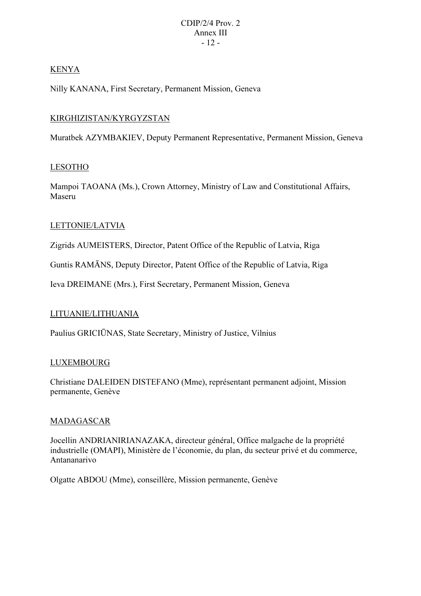## KENYA

Nilly KANANA, First Secretary, Permanent Mission, Geneva

## KIRGHIZISTAN/KYRGYZSTAN

Muratbek AZYMBAKIEV, Deputy Permanent Representative, Permanent Mission, Geneva

#### LESOTHO

Mampoi TAOANA (Ms.), Crown Attorney, Ministry of Law and Constitutional Affairs, Maseru

#### LETTONIE/LATVIA

Zigrids AUMEISTERS, Director, Patent Office of the Republic of Latvia, Riga

Guntis RAMĀNS, Deputy Director, Patent Office of the Republic of Latvia, Riga

Ieva DREIMANE (Mrs.), First Secretary, Permanent Mission, Geneva

#### LITUANIE/LITHUANIA

Paulius GRICIŪNAS, State Secretary, Ministry of Justice, Vilnius

#### LUXEMBOURG

Christiane DALEIDEN DISTEFANO (Mme), représentant permanent adjoint, Mission permanente, Genève

#### **MADAGASCAR**

Jocellin ANDRIANIRIANAZAKA, directeur général, Office malgache de la propriété industrielle (OMAPI), Ministère de l'économie, du plan, du secteur privé et du commerce, Antananarivo

Olgatte ABDOU (Mme), conseillère, Mission permanente, Genève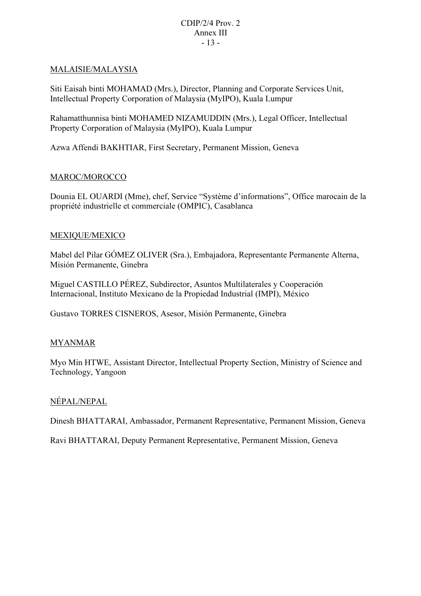#### MALAISIE/MALAYSIA

Siti Eaisah binti MOHAMAD (Mrs.), Director, Planning and Corporate Services Unit, Intellectual Property Corporation of Malaysia (MyIPO), Kuala Lumpur

Rahamatthunnisa binti MOHAMED NIZAMUDDIN (Mrs.), Legal Officer, Intellectual Property Corporation of Malaysia (MyIPO), Kuala Lumpur

Azwa Affendi BAKHTIAR, First Secretary, Permanent Mission, Geneva

### MAROC/MOROCCO

Dounia EL OUARDI (Mme), chef, Service "Système d'informations", Office marocain de la propriété industrielle et commerciale (OMPIC), Casablanca

#### MEXIQUE/MEXICO

Mabel del Pilar GÓMEZ OLIVER (Sra.), Embajadora, Representante Permanente Alterna, Misión Permanente, Ginebra

Miguel CASTILLO PÉREZ, Subdirector, Asuntos Multilaterales y Cooperación Internacional, Instituto Mexicano de la Propiedad Industrial (IMPI), México

Gustavo TORRES CISNEROS, Asesor, Misión Permanente, Ginebra

#### MYANMAR

Myo Min HTWE, Assistant Director, Intellectual Property Section, Ministry of Science and Technology, Yangoon

#### NÉPAL/NEPAL

Dinesh BHATTARAI, Ambassador, Permanent Representative, Permanent Mission, Geneva

Ravi BHATTARAI, Deputy Permanent Representative, Permanent Mission, Geneva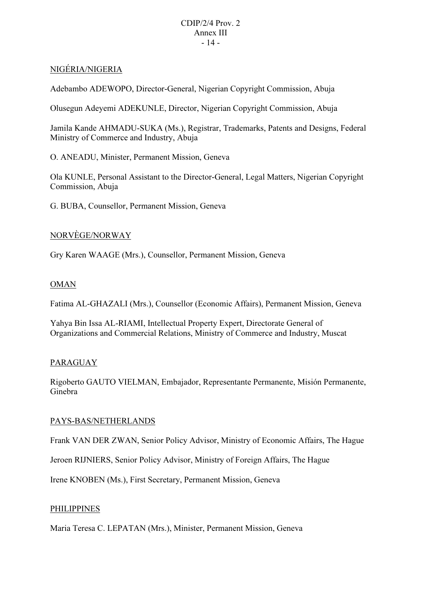#### CDIP/2/4 Prov. 2 Annex III - 14 -

# NIGÉRIA/NIGERIA

Adebambo ADEWOPO, Director-General, Nigerian Copyright Commission, Abuja

Olusegun Adeyemi ADEKUNLE, Director, Nigerian Copyright Commission, Abuja

Jamila Kande AHMADU-SUKA (Ms.), Registrar, Trademarks, Patents and Designs, Federal Ministry of Commerce and Industry, Abuja

O. ANEADU, Minister, Permanent Mission, Geneva

Ola KUNLE, Personal Assistant to the Director-General, Legal Matters, Nigerian Copyright Commission, Abuja

G. BUBA, Counsellor, Permanent Mission, Geneva

### NORVÈGE/NORWAY

Gry Karen WAAGE (Mrs.), Counsellor, Permanent Mission, Geneva

#### OMAN

Fatima AL-GHAZALI (Mrs.), Counsellor (Economic Affairs), Permanent Mission, Geneva

Yahya Bin Issa AL-RIAMI, Intellectual Property Expert, Directorate General of Organizations and Commercial Relations, Ministry of Commerce and Industry, Muscat

#### PARAGUAY

Rigoberto GAUTO VIELMAN, Embajador, Representante Permanente, Misión Permanente, Ginebra

#### PAYS-BAS/NETHERLANDS

Frank VAN DER ZWAN, Senior Policy Advisor, Ministry of Economic Affairs, The Hague

Jeroen RIJNIERS, Senior Policy Advisor, Ministry of Foreign Affairs, The Hague

Irene KNOBEN (Ms.), First Secretary, Permanent Mission, Geneva

#### PHILIPPINES

Maria Teresa C. LEPATAN (Mrs.), Minister, Permanent Mission, Geneva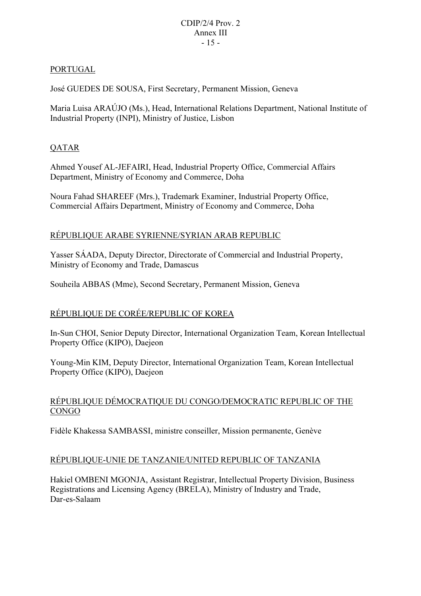# PORTUGAL

José GUEDES DE SOUSA, First Secretary, Permanent Mission, Geneva

Maria Luisa ARAÚJO (Ms.), Head, International Relations Department, National Institute of Industrial Property (INPI), Ministry of Justice, Lisbon

# QATAR

Ahmed Yousef AL-JEFAIRI, Head, Industrial Property Office, Commercial Affairs Department, Ministry of Economy and Commerce, Doha

Noura Fahad SHAREEF (Mrs.), Trademark Examiner, Industrial Property Office, Commercial Affairs Department, Ministry of Economy and Commerce, Doha

# RÉPUBLIQUE ARABE SYRIENNE/SYRIAN ARAB REPUBLIC

Yasser SÁADA, Deputy Director, Directorate of Commercial and Industrial Property, Ministry of Economy and Trade, Damascus

Souheila ABBAS (Mme), Second Secretary, Permanent Mission, Geneva

# RÉPUBLIQUE DE CORÉE/REPUBLIC OF KOREA

In-Sun CHOI, Senior Deputy Director, International Organization Team, Korean Intellectual Property Office (KIPO), Daejeon

Young-Min KIM, Deputy Director, International Organization Team, Korean Intellectual Property Office (KIPO), Daejeon

# RÉPUBLIQUE DÉMOCRATIQUE DU CONGO/DEMOCRATIC REPUBLIC OF THE CONGO

Fidèle Khakessa SAMBASSI, ministre conseiller, Mission permanente, Genève

# RÉPUBLIQUE-UNIE DE TANZANIE/UNITED REPUBLIC OF TANZANIA

Hakiel OMBENI MGONJA, Assistant Registrar, Intellectual Property Division, Business Registrations and Licensing Agency (BRELA), Ministry of Industry and Trade, Dar-es-Salaam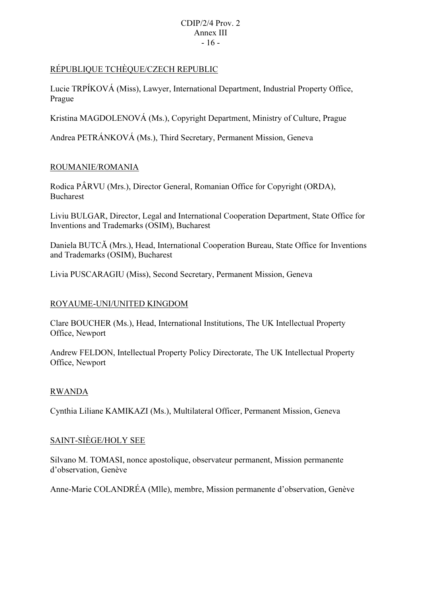#### CDIP/2/4 Prov. 2 Annex III - 16 -

# RÉPUBLIQUE TCHÈQUE/CZECH REPUBLIC

Lucie TRPÍKOVÁ (Miss), Lawyer, International Department, Industrial Property Office, Prague

Kristina MAGDOLENOVÁ (Ms.), Copyright Department, Ministry of Culture, Prague

Andrea PETRÁNKOVÁ (Ms.), Third Secretary, Permanent Mission, Geneva

# ROUMANIE/ROMANIA

Rodica PÂRVU (Mrs.), Director General, Romanian Office for Copyright (ORDA), Bucharest

Liviu BULGAR, Director, Legal and International Cooperation Department, State Office for Inventions and Trademarks (OSIM), Bucharest

Daniela BUTCĂ (Mrs.), Head, International Cooperation Bureau, State Office for Inventions and Trademarks (OSIM), Bucharest

Livia PUSCARAGIU (Miss), Second Secretary, Permanent Mission, Geneva

# ROYAUME-UNI/UNITED KINGDOM

Clare BOUCHER (Ms.), Head, International Institutions, The UK Intellectual Property Office, Newport

Andrew FELDON, Intellectual Property Policy Directorate, The UK Intellectual Property Office, Newport

# RWANDA

Cynthia Liliane KAMIKAZI (Ms.), Multilateral Officer, Permanent Mission, Geneva

# SAINT-SIÈGE/HOLY SEE

Silvano M. TOMASI, nonce apostolique, observateur permanent, Mission permanente d'observation, Genève

Anne-Marie COLANDRÉA (Mlle), membre, Mission permanente d'observation, Genève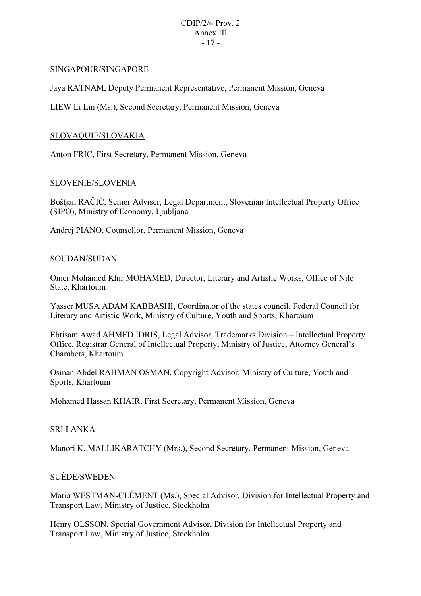#### CDIP/2/4 Prov. 2 Annex III - 17 -

#### SINGAPOUR/SINGAPORE

Jaya RATNAM, Deputy Permanent Representative, Permanent Mission, Geneva

LIEW Li Lin (Ms.), Second Secretary, Permanent Mission, Geneva

#### SLOVAQUIE/SLOVAKIA

Anton FRIC, First Secretary, Permanent Mission, Geneva

# SLOVÉNIE/SLOVENIA

Boštjan RAČIČ, Senior Adviser, Legal Department, Slovenian Intellectual Property Office (SIPO), Ministry of Economy, Ljubljana

Andrej PIANO, Counsellor, Permanent Mission, Geneva

#### SOUDAN/SUDAN

Omer Mohamed Khir MOHAMED, Director, Literary and Artistic Works, Office of Nile State, Khartoum

Yasser MUSA ADAM KABBASHI, Coordinator of the states council, Federal Council for Literary and Artistic Work, Ministry of Culture, Youth and Sports, Khartoum

Ebtisam Awad AHMED IDRIS, Legal Advisor, Trademarks Division – Intellectual Property Office, Registrar General of Intellectual Property, Ministry of Justice, Attorney General's Chambers, Khartoum

Osman Abdel RAHMAN OSMAN, Copyright Advisor, Ministry of Culture, Youth and Sports, Khartoum

Mohamed Hassan KHAIR, First Secretary, Permanent Mission, Geneva

#### SRI LANKA

Manori K. MALLIKARATCHY (Mrs.), Second Secretary, Permanent Mission, Geneva

#### SUÈDE/SWEDEN

Maria WESTMAN-CLÉMENT (Ms.), Special Advisor, Division for Intellectual Property and Transport Law, Ministry of Justice, Stockholm

Henry OLSSON, Special Government Advisor, Division for Intellectual Property and Transport Law, Ministry of Justice, Stockholm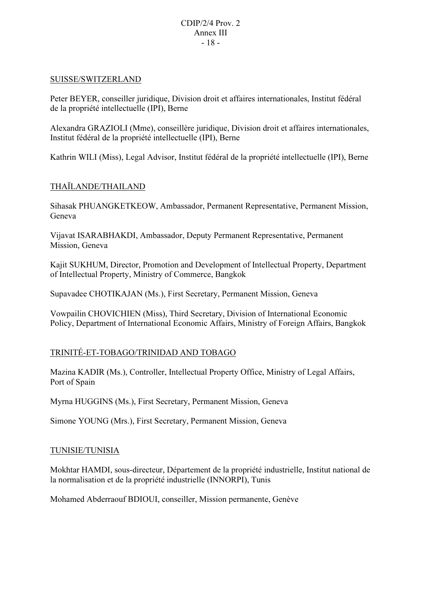## SUISSE/SWITZERLAND

Peter BEYER, conseiller juridique, Division droit et affaires internationales, Institut fédéral de la propriété intellectuelle (IPI), Berne

Alexandra GRAZIOLI (Mme), conseillère juridique, Division droit et affaires internationales, Institut fédéral de la propriété intellectuelle (IPI), Berne

Kathrin WILI (Miss), Legal Advisor, Institut fédéral de la propriété intellectuelle (IPI), Berne

# THAÏLANDE/THAILAND

Sihasak PHUANGKETKEOW, Ambassador, Permanent Representative, Permanent Mission, Geneva

Vijavat ISARABHAKDI, Ambassador, Deputy Permanent Representative, Permanent Mission, Geneva

Kajit SUKHUM, Director, Promotion and Development of Intellectual Property, Department of Intellectual Property, Ministry of Commerce, Bangkok

Supavadee CHOTIKAJAN (Ms.), First Secretary, Permanent Mission, Geneva

Vowpailin CHOVICHIEN (Miss), Third Secretary, Division of International Economic Policy, Department of International Economic Affairs, Ministry of Foreign Affairs, Bangkok

# TRINITÉ-ET-TOBAGO/TRINIDAD AND TOBAGO

Mazina KADIR (Ms.), Controller, Intellectual Property Office, Ministry of Legal Affairs, Port of Spain

Myrna HUGGINS (Ms.), First Secretary, Permanent Mission, Geneva

Simone YOUNG (Mrs.), First Secretary, Permanent Mission, Geneva

# TUNISIE/TUNISIA

Mokhtar HAMDI, sous-directeur, Département de la propriété industrielle, Institut national de la normalisation et de la propriété industrielle (INNORPI), Tunis

Mohamed Abderraouf BDIOUI, conseiller, Mission permanente, Genève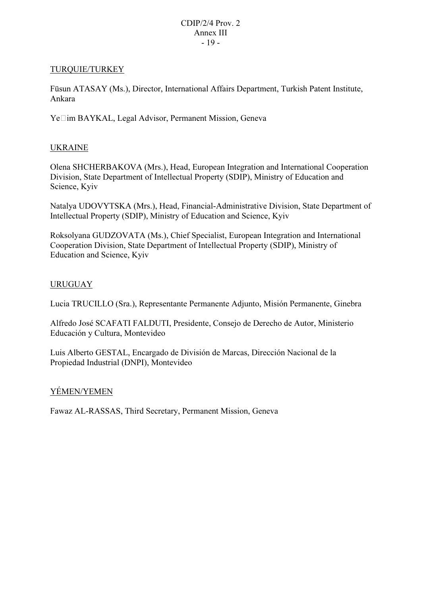#### CDIP/2/4 Prov. 2 Annex III - 19 -

### TURQUIE/TURKEY

Füsun ATASAY (Ms.), Director, International Affairs Department, Turkish Patent Institute, Ankara

Ye□im BAYKAL, Legal Advisor, Permanent Mission, Geneva

### UKRAINE

Olena SHCHERBAKOVA (Mrs.), Head, European Integration and International Cooperation Division, State Department of Intellectual Property (SDIP), Ministry of Education and Science, Kyiv

Natalya UDOVYTSKA (Mrs.), Head, Financial-Administrative Division, State Department of Intellectual Property (SDIP), Ministry of Education and Science, Kyiv

Roksolyana GUDZOVATA (Ms.), Chief Specialist, European Integration and International Cooperation Division, State Department of Intellectual Property (SDIP), Ministry of Education and Science, Kyiv

### URUGUAY

Lucia TRUCILLO (Sra.), Representante Permanente Adjunto, Misión Permanente, Ginebra

Alfredo José SCAFATI FALDUTI, Presidente, Consejo de Derecho de Autor, Ministerio Educación y Cultura, Montevideo

Luis Alberto GESTAL, Encargado de División de Marcas, Dirección Nacional de la Propiedad Industrial (DNPI), Montevideo

# YÉMEN/YEMEN

Fawaz AL-RASSAS, Third Secretary, Permanent Mission, Geneva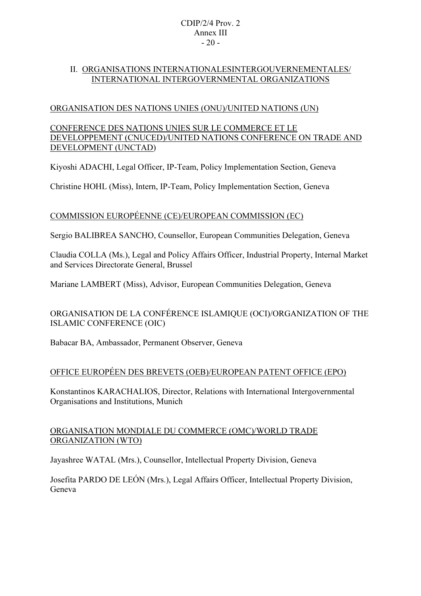### CDIP/2/4 Prov. 2 Annex III - 20 -

## II. ORGANISATIONS INTERNATIONALESINTERGOUVERNEMENTALES/ INTERNATIONAL INTERGOVERNMENTAL ORGANIZATIONS

# ORGANISATION DES NATIONS UNIES (ONU)/UNITED NATIONS (UN)

## CONFERENCE DES NATIONS UNIES SUR LE COMMERCE ET LE DEVELOPPEMENT (CNUCED)/UNITED NATIONS CONFERENCE ON TRADE AND DEVELOPMENT (UNCTAD)

Kiyoshi ADACHI, Legal Officer, IP-Team, Policy Implementation Section, Geneva

Christine HOHL (Miss), Intern, IP-Team, Policy Implementation Section, Geneva

# COMMISSION EUROPÉENNE (CE)/EUROPEAN COMMISSION (EC)

Sergio BALIBREA SANCHO, Counsellor, European Communities Delegation, Geneva

Claudia COLLA (Ms.), Legal and Policy Affairs Officer, Industrial Property, Internal Market and Services Directorate General, Brussel

Mariane LAMBERT (Miss), Advisor, European Communities Delegation, Geneva

ORGANISATION DE LA CONFÉRENCE ISLAMIQUE (OCI)/ORGANIZATION OF THE ISLAMIC CONFERENCE (OIC)

Babacar BA, Ambassador, Permanent Observer, Geneva

# OFFICE EUROPÉEN DES BREVETS (OEB)/EUROPEAN PATENT OFFICE (EPO)

Konstantinos KARACHALIOS, Director, Relations with International Intergovernmental Organisations and Institutions, Munich

# ORGANISATION MONDIALE DU COMMERCE (OMC)/WORLD TRADE ORGANIZATION (WTO)

Jayashree WATAL (Mrs.), Counsellor, Intellectual Property Division, Geneva

Josefita PARDO DE LEÓN (Mrs.), Legal Affairs Officer, Intellectual Property Division, Geneva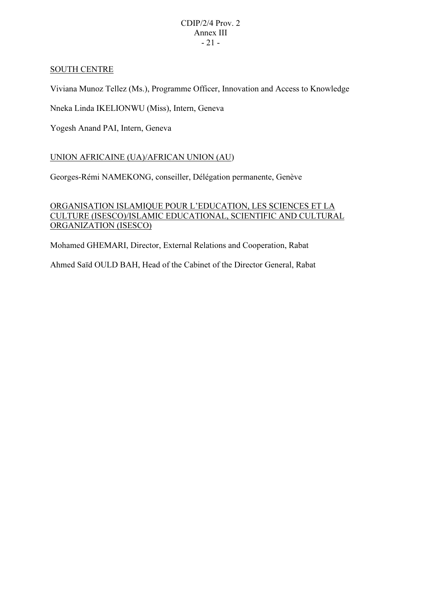# SOUTH CENTRE

Viviana Munoz Tellez (Ms.), Programme Officer, Innovation and Access to Knowledge

Nneka Linda IKELIONWU (Miss), Intern, Geneva

Yogesh Anand PAI, Intern, Geneva

# UNION AFRICAINE (UA)/AFRICAN UNION (AU)

Georges-Rémi NAMEKONG, conseiller, Délégation permanente, Genève

## ORGANISATION ISLAMIQUE POUR L'EDUCATION, LES SCIENCES ET LA CULTURE (ISESCO)/ISLAMIC EDUCATIONAL, SCIENTIFIC AND CULTURAL ORGANIZATION (ISESCO)

Mohamed GHEMARI, Director, External Relations and Cooperation, Rabat

Ahmed Saïd OULD BAH, Head of the Cabinet of the Director General, Rabat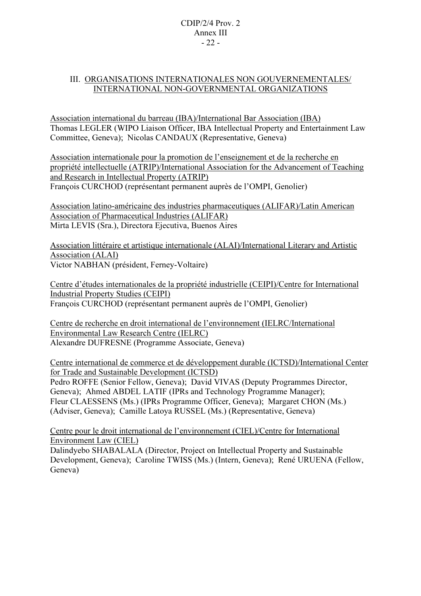# III. ORGANISATIONS INTERNATIONALES NON GOUVERNEMENTALES/ INTERNATIONAL NON-GOVERNMENTAL ORGANIZATIONS

Association international du barreau (IBA)/International Bar Association (IBA) Thomas LEGLER (WIPO Liaison Officer, IBA Intellectual Property and Entertainment Law Committee, Geneva); Nicolas CANDAUX (Representative, Geneva)

Association internationale pour la promotion de l'enseignement et de la recherche en propriété intellectuelle (ATRIP)/International Association for the Advancement of Teaching and Research in Intellectual Property (ATRIP) François CURCHOD (représentant permanent auprès de l'OMPI, Genolier)

Association latino-américaine des industries pharmaceutiques (ALIFAR)/Latin American Association of Pharmaceutical Industries (ALIFAR) Mirta LEVIS (Sra.), Directora Ejecutiva, Buenos Aires

Association littéraire et artistique internationale (ALAI)/International Literary and Artistic Association (ALAI) Victor NABHAN (président, Ferney-Voltaire)

Centre d'études internationales de la propriété industrielle (CEIPI)/Centre for International Industrial Property Studies (CEIPI) François CURCHOD (représentant permanent auprès de l'OMPI, Genolier)

Centre de recherche en droit international de l'environnement (IELRC/International Environmental Law Research Centre (IELRC) Alexandre DUFRESNE (Programme Associate, Geneva)

Centre international de commerce et de développement durable (ICTSD)/International Center for Trade and Sustainable Development (ICTSD) Pedro ROFFE (Senior Fellow, Geneva); David VIVAS (Deputy Programmes Director, Geneva); Ahmed ABDEL LATIF (IPRs and Technology Programme Manager); Fleur CLAESSENS (Ms.) (IPRs Programme Officer, Geneva); Margaret CHON (Ms.) (Adviser, Geneva); Camille Latoya RUSSEL (Ms.) (Representative, Geneva)

Centre pour le droit international de l'environnement (CIEL)/Centre for International Environment Law (CIEL)

Dalindyebo SHABALALA (Director, Project on Intellectual Property and Sustainable Development, Geneva); Caroline TWISS (Ms.) (Intern, Geneva); René URUENA (Fellow, Geneva)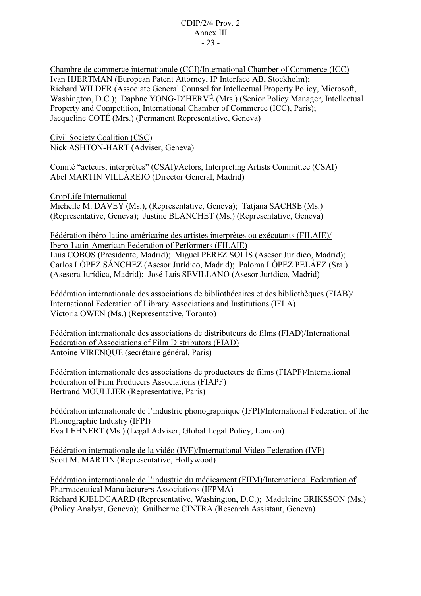Chambre de commerce internationale (CCI)/International Chamber of Commerce (ICC) Ivan HJERTMAN (European Patent Attorney, IP Interface AB, Stockholm); Richard WILDER (Associate General Counsel for Intellectual Property Policy, Microsoft, Washington, D.C.); Daphne YONG-D'HERVÉ (Mrs.) (Senior Policy Manager, Intellectual Property and Competition, International Chamber of Commerce (ICC), Paris); Jacqueline COTÉ (Mrs.) (Permanent Representative, Geneva)

Civil Society Coalition (CSC) Nick ASHTON-HART (Adviser, Geneva)

Comité "acteurs, interprètes" (CSAI)/Actors, Interpreting Artists Committee (CSAI) Abel MARTIN VILLAREJO (Director General, Madrid)

CropLife International Michelle M. DAVEY (Ms.), (Representative, Geneva); Tatjana SACHSE (Ms.) (Representative, Geneva); Justine BLANCHET (Ms.) (Representative, Geneva)

Fédération ibéro-latino-américaine des artistes interprètes ou exécutants (FILAIE)/ Ibero-Latin-American Federation of Performers (FILAIE) Luis COBOS (Presidente, Madrid); Miguel PÉREZ SOLÍS (Asesor Jurídico, Madrid); Carlos LÓPEZ SÁNCHEZ (Asesor Jurídico, Madrid); Paloma LÓPEZ PELÁEZ (Sra.) (Asesora Jurídica, Madrid); José Luis SEVILLANO (Asesor Jurídico, Madrid)

Fédération internationale des associations de bibliothécaires et des bibliothèques (FIAB)/ International Federation of Library Associations and Institutions (IFLA) Victoria OWEN (Ms.) (Representative, Toronto)

Fédération internationale des associations de distributeurs de films (FIAD)/International Federation of Associations of Film Distributors (FIAD) Antoine VIRENQUE (secrétaire général, Paris)

Fédération internationale des associations de producteurs de films (FIAPF)/International Federation of Film Producers Associations (FIAPF) Bertrand MOULLIER (Representative, Paris)

Fédération internationale de l'industrie phonographique (IFPI)/International Federation of the Phonographic Industry (IFPI) Eva LEHNERT (Ms.) (Legal Adviser, Global Legal Policy, London)

Fédération internationale de la vidéo (IVF)/International Video Federation (IVF) Scott M. MARTIN (Representative, Hollywood)

Fédération internationale de l'industrie du médicament (FIIM)/International Federation of Pharmaceutical Manufacturers Associations (IFPMA) Richard KJELDGAARD (Representative, Washington, D.C.); Madeleine ERIKSSON (Ms.) (Policy Analyst, Geneva); Guilherme CINTRA (Research Assistant, Geneva)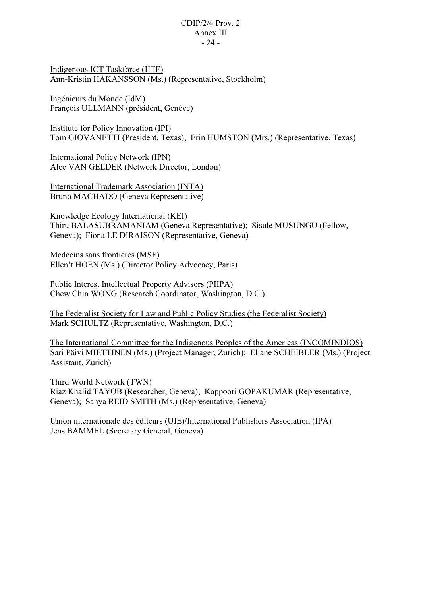#### CDIP/2/4 Prov. 2 Annex III - 24 -

Indigenous ICT Taskforce (IITF) Ann-Kristin HÅKANSSON (Ms.) (Representative, Stockholm)

Ingénieurs du Monde (IdM) François ULLMANN (président, Genève)

Institute for Policy Innovation (IPI) Tom GIOVANETTI (President, Texas); Erin HUMSTON (Mrs.) (Representative, Texas)

International Policy Network (IPN) Alec VAN GELDER (Network Director, London)

International Trademark Association (INTA) Bruno MACHADO (Geneva Representative)

Knowledge Ecology International (KEI) Thiru BALASUBRAMANIAM (Geneva Representative); Sisule MUSUNGU (Fellow, Geneva); Fiona LE DIRAISON (Representative, Geneva)

Médecins sans frontières (MSF) Ellen't HOEN (Ms.) (Director Policy Advocacy, Paris)

Public Interest Intellectual Property Advisors (PIIPA) Chew Chin WONG (Research Coordinator, Washington, D.C.)

The Federalist Society for Law and Public Policy Studies (the Federalist Society) Mark SCHULTZ (Representative, Washington, D.C.)

The International Committee for the Indigenous Peoples of the Americas (INCOMINDIOS) Sari Päivi MIETTINEN (Ms.) (Project Manager, Zurich); Eliane SCHEIBLER (Ms.) (Project Assistant, Zurich)

Third World Network (TWN) Riaz Khalid TAYOB (Researcher, Geneva); Kappoori GOPAKUMAR (Representative, Geneva); Sanya REID SMITH (Ms.) (Representative, Geneva)

Union internationale des éditeurs (UIE)/International Publishers Association (IPA) Jens BAMMEL (Secretary General, Geneva)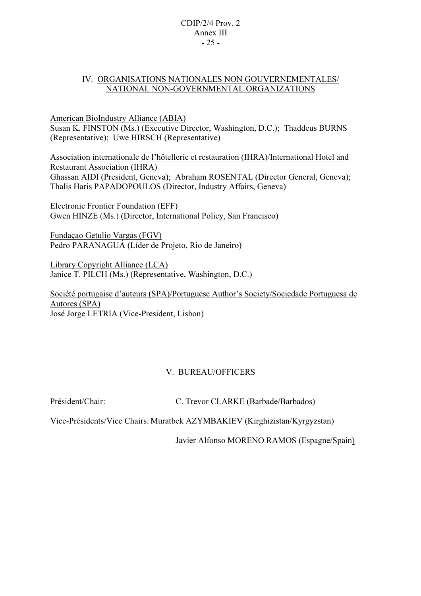#### CDIP/2/4 Prov. 2 Annex III - 25 -

### IV. ORGANISATIONS NATIONALES NON GOUVERNEMENTALES/ NATIONAL NON-GOVERNMENTAL ORGANIZATIONS

American BioIndustry Alliance (ABIA)

Susan K. FINSTON (Ms.) (Executive Director, Washington, D.C.); Thaddeus BURNS (Representative); Uwe HIRSCH (Representative)

Association internationale de l'hôtellerie et restauration (IHRA)/International Hotel and Restaurant Association (IHRA) Ghassan AIDI (President, Geneva); Abraham ROSENTAL (Director General, Geneva); Thalis Haris PAPADOPOULOS (Director, Industry Affairs, Geneva)

Electronic Frontier Foundation (EFF) Gwen HINZE (Ms.) (Director, International Policy, San Francisco)

Fundaçao Getulio Vargas (FGV) Pedro PARANAGUÁ (Líder de Projeto, Rio de Janeiro)

Library Copyright Alliance (LCA) Janice T. PILCH (Ms.) (Representative, Washington, D.C.)

Société portugaise d'auteurs (SPA)/Portuguese Author's Society/Sociedade Portuguesa de Autores (SPA) José Jorge LETRIA (Vice-President, Lisbon)

# V. BUREAU/OFFICERS

Président/Chair: C. Trevor CLARKE (Barbade/Barbados)

Vice-Présidents/Vice Chairs: Muratbek AZYMBAKIEV (Kirghizistan/Kyrgyzstan)

Javier Alfonso MORENO RAMOS (Espagne/Spain)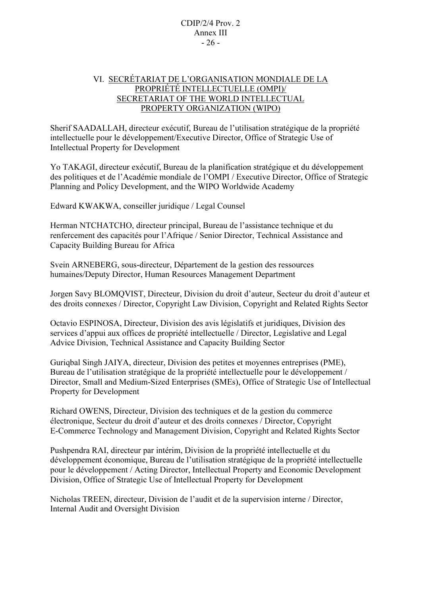#### CDIP/2/4 Prov. 2 Annex III - 26 -

# VI. SECRÉTARIAT DE L'ORGANISATION MONDIALE DE LA PROPRIÉTÉ INTELLECTUELLE (OMPI)/ SECRETARIAT OF THE WORLD INTELLECTUAL PROPERTY ORGANIZATION (WIPO)

Sherif SAADALLAH, directeur exécutif, Bureau de l'utilisation stratégique de la propriété intellectuelle pour le développement/Executive Director, Office of Strategic Use of Intellectual Property for Development

Yo TAKAGI, directeur exécutif, Bureau de la planification stratégique et du développement des politiques et de l'Académie mondiale de l'OMPI / Executive Director, Office of Strategic Planning and Policy Development, and the WIPO Worldwide Academy

Edward KWAKWA, conseiller juridique / Legal Counsel

Herman NTCHATCHO, directeur principal, Bureau de l'assistance technique et du renfercement des capacités pour l'Afrique / Senior Director, Technical Assistance and Capacity Building Bureau for Africa

Svein ARNEBERG, sous-directeur, Département de la gestion des ressources humaines/Deputy Director, Human Resources Management Department

Jorgen Savy BLOMQVIST, Directeur, Division du droit d'auteur, Secteur du droit d'auteur et des droits connexes / Director, Copyright Law Division, Copyright and Related Rights Sector

Octavio ESPINOSA, Directeur, Division des avis législatifs et juridiques, Division des services d'appui aux offices de propriété intellectuelle / Director, Legislative and Legal Advice Division, Technical Assistance and Capacity Building Sector

Guriqbal Singh JAIYA, directeur, Division des petites et moyennes entreprises (PME), Bureau de l'utilisation stratégique de la propriété intellectuelle pour le développement / Director, Small and Medium-Sized Enterprises (SMEs), Office of Strategic Use of Intellectual Property for Development

Richard OWENS, Directeur, Division des techniques et de la gestion du commerce électronique, Secteur du droit d'auteur et des droits connexes / Director, Copyright E-Commerce Technology and Management Division, Copyright and Related Rights Sector

Pushpendra RAI, directeur par intérim, Division de la propriété intellectuelle et du développement économique, Bureau de l'utilisation stratégique de la propriété intellectuelle pour le développement / Acting Director, Intellectual Property and Economic Development Division, Office of Strategic Use of Intellectual Property for Development

Nicholas TREEN, directeur, Division de l'audit et de la supervision interne / Director, Internal Audit and Oversight Division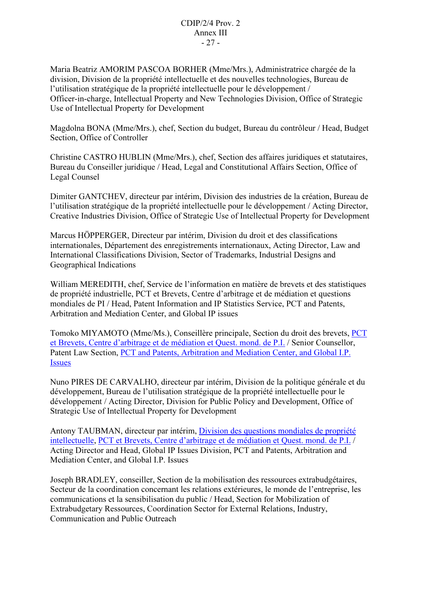Maria Beatriz AMORIM PASCOA BORHER (Mme/Mrs.), Administratrice chargée de la division, Division de la propriété intellectuelle et des nouvelles technologies, Bureau de l'utilisation stratégique de la propriété intellectuelle pour le développement / Officer-in-charge, Intellectual Property and New Technologies Division, Office of Strategic Use of Intellectual Property for Development

Magdolna BONA (Mme/Mrs.), chef, Section du budget, Bureau du contrôleur / Head, Budget Section, Office of Controller

Christine CASTRO HUBLIN (Mme/Mrs.), chef, Section des affaires juridiques et statutaires, Bureau du Conseiller juridique / Head, Legal and Constitutional Affairs Section, Office of Legal Counsel

Dimiter GANTCHEV, directeur par intérim, Division des industries de la création, Bureau de l'utilisation stratégique de la propriété intellectuelle pour le développement / Acting Director, Creative Industries Division, Office of Strategic Use of Intellectual Property for Development

Marcus HÖPPERGER, Directeur par intérim, Division du droit et des classifications internationales, Département des enregistrements internationaux, Acting Director, Law and International Classifications Division, Sector of Trademarks, Industrial Designs and Geographical Indications

William MEREDITH, chef, Service de l'information en matière de brevets et des statistiques de propriété industrielle, PCT et Brevets, Centre d'arbitrage et de médiation et questions mondiales de PI / Head, Patent Information and IP Statistics Service, PCT and Patents, Arbitration and Mediation Center, and Global IP issues

Tomoko MIYAMOTO (Mme/Ms.), Conseillère principale, Section du droit des brevets, PCT et Brevets, Centre d'arbitrage et de médiation et Quest. mond. de P.I. / Senior Counsellor, Patent Law Section, PCT and Patents, Arbitration and Mediation Center, and Global I.P. Issues

Nuno PIRES DE CARVALHO, directeur par intérim, Division de la politique générale et du développement, Bureau de l'utilisation stratégique de la propriété intellectuelle pour le développement / Acting Director, Division for Public Policy and Development, Office of Strategic Use of Intellectual Property for Development

Antony TAUBMAN, directeur par intérim, Division des questions mondiales de propriété intellectuelle, PCT et Brevets, Centre d'arbitrage et de médiation et Quest. mond. de P.I. / Acting Director and Head, Global IP Issues Division, PCT and Patents, Arbitration and Mediation Center, and Global I.P. Issues

Joseph BRADLEY, conseiller, Section de la mobilisation des ressources extrabudgétaires, Secteur de la coordination concernant les relations extérieures, le monde de l'entreprise, les communications et la sensibilisation du public / Head, Section for Mobilization of Extrabudgetary Ressources, Coordination Sector for External Relations, Industry, Communication and Public Outreach